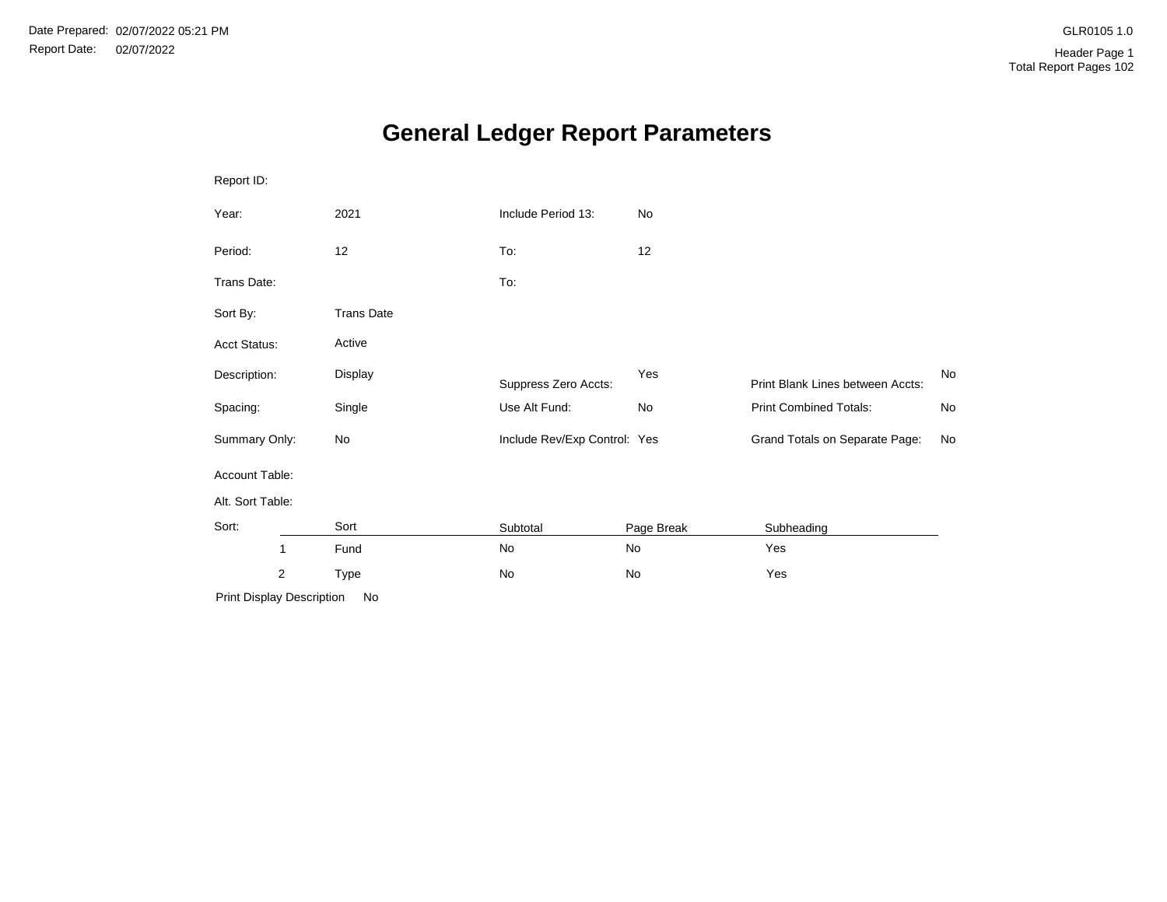# **General Ledger Report Parameters**

| Report ID:                |                   |                              |            |                                  |    |
|---------------------------|-------------------|------------------------------|------------|----------------------------------|----|
| Year:                     | 2021              | Include Period 13:           | No         |                                  |    |
| Period:                   | 12                | To:                          | 12         |                                  |    |
| Trans Date:               |                   | To:                          |            |                                  |    |
| Sort By:                  | <b>Trans Date</b> |                              |            |                                  |    |
| Acct Status:              | Active            |                              |            |                                  |    |
| Description:              | Display           | Suppress Zero Accts:         | Yes        | Print Blank Lines between Accts: | No |
| Spacing:                  | Single            | Use Alt Fund:                | No         | <b>Print Combined Totals:</b>    | No |
| Summary Only:             | No                | Include Rev/Exp Control: Yes |            | Grand Totals on Separate Page:   | No |
| Account Table:            |                   |                              |            |                                  |    |
| Alt. Sort Table:          |                   |                              |            |                                  |    |
| Sort:                     | Sort              | Subtotal                     | Page Break | Subheading                       |    |
| 1                         | Fund              | No                           | No         | Yes                              |    |
| 2                         | Type              | No                           | No         | Yes                              |    |
| Print Display Description | No                |                              |            |                                  |    |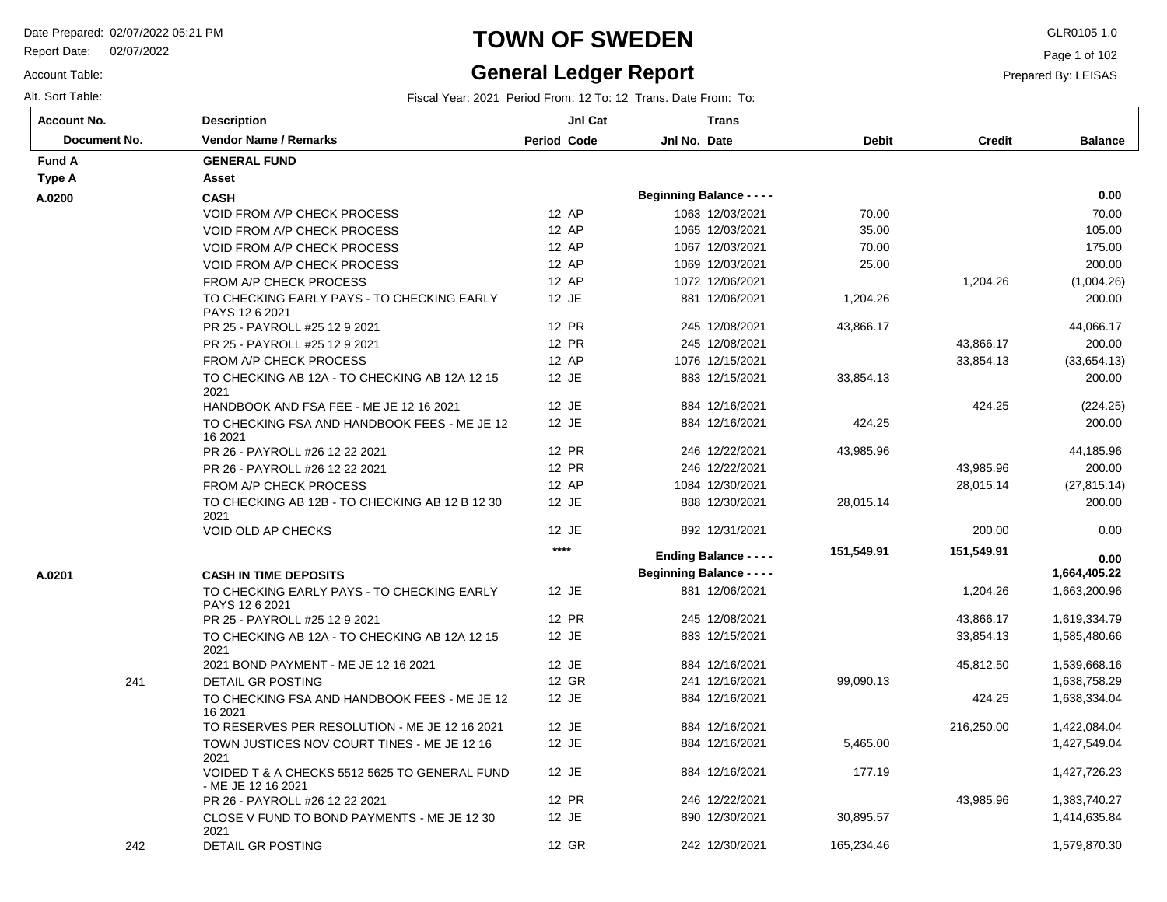Report Date: 02/07/2022

Account Table:

### **TOWN OF SWEDEN** GLR0105 1.0

### **General Ledger Report**

Page 1 of 102

Prepared By: LEISAS

| Account No.  | <b>Description</b>                                                  | JnI Cat            | <b>Trans</b>                     |              |               |                |
|--------------|---------------------------------------------------------------------|--------------------|----------------------------------|--------------|---------------|----------------|
| Document No. | <b>Vendor Name / Remarks</b>                                        | <b>Period Code</b> | Jnl No. Date                     | <b>Debit</b> | <b>Credit</b> | <b>Balance</b> |
| Fund A       | <b>GENERAL FUND</b>                                                 |                    |                                  |              |               |                |
| Type A       | Asset                                                               |                    |                                  |              |               |                |
| A.0200       | <b>CASH</b>                                                         |                    | <b>Beginning Balance - - - -</b> |              |               | 0.00           |
|              | <b>VOID FROM A/P CHECK PROCESS</b>                                  | 12 AP              | 1063 12/03/2021                  | 70.00        |               | 70.00          |
|              | <b>VOID FROM A/P CHECK PROCESS</b>                                  | 12 AP              | 1065 12/03/2021                  | 35.00        |               | 105.00         |
|              | VOID FROM A/P CHECK PROCESS                                         | 12 AP              | 1067 12/03/2021                  | 70.00        |               | 175.00         |
|              | <b>VOID FROM A/P CHECK PROCESS</b>                                  | 12 AP              | 1069 12/03/2021                  | 25.00        |               | 200.00         |
|              | FROM A/P CHECK PROCESS                                              | 12 AP              | 1072 12/06/2021                  |              | 1,204.26      | (1,004.26)     |
|              | TO CHECKING EARLY PAYS - TO CHECKING EARLY<br>PAYS 12 6 2021        | 12 JE              | 881 12/06/2021                   | 1,204.26     |               | 200.00         |
|              | PR 25 - PAYROLL #25 12 9 2021                                       | 12 PR              | 245 12/08/2021                   | 43,866.17    |               | 44,066.17      |
|              | PR 25 - PAYROLL #25 12 9 2021                                       | 12 PR              | 245 12/08/2021                   |              | 43,866.17     | 200.00         |
|              | FROM A/P CHECK PROCESS                                              | 12 AP              | 1076 12/15/2021                  |              | 33,854.13     | (33,654.13)    |
|              | TO CHECKING AB 12A - TO CHECKING AB 12A 12 15<br>2021               | 12 JE              | 883 12/15/2021                   | 33,854.13    |               | 200.00         |
|              | HANDBOOK AND FSA FEE - ME JE 12 16 2021                             | 12 JE              | 884 12/16/2021                   |              | 424.25        | (224.25)       |
|              | TO CHECKING FSA AND HANDBOOK FEES - ME JE 12<br>16 2021             | 12 JE              | 884 12/16/2021                   | 424.25       |               | 200.00         |
|              | PR 26 - PAYROLL #26 12 22 2021                                      | 12 PR              | 246 12/22/2021                   | 43,985.96    |               | 44,185.96      |
|              | PR 26 - PAYROLL #26 12 22 2021                                      | 12 PR              | 246 12/22/2021                   |              | 43,985.96     | 200.00         |
|              | FROM A/P CHECK PROCESS                                              | 12 AP              | 1084 12/30/2021                  |              | 28,015.14     | (27, 815.14)   |
|              | TO CHECKING AB 12B - TO CHECKING AB 12 B 12 30<br>2021              | 12 JE              | 888 12/30/2021                   | 28,015.14    |               | 200.00         |
|              | <b>VOID OLD AP CHECKS</b>                                           | 12 JE              | 892 12/31/2021                   |              | 200.00        | 0.00           |
|              |                                                                     | $***$              | <b>Ending Balance - - - -</b>    | 151,549.91   | 151,549.91    | 0.00           |
| A.0201       | <b>CASH IN TIME DEPOSITS</b>                                        |                    | <b>Beginning Balance - - - -</b> |              |               | 1,664,405.22   |
|              | TO CHECKING EARLY PAYS - TO CHECKING EARLY<br>PAYS 12 6 2021        | 12 JE              | 881 12/06/2021                   |              | 1,204.26      | 1,663,200.96   |
|              | PR 25 - PAYROLL #25 12 9 2021                                       | 12 PR              | 245 12/08/2021                   |              | 43,866.17     | 1,619,334.79   |
|              | TO CHECKING AB 12A - TO CHECKING AB 12A 12 15<br>2021               | 12 JE              | 883 12/15/2021                   |              | 33,854.13     | 1,585,480.66   |
|              | 2021 BOND PAYMENT - ME JE 12 16 2021                                | 12 JE              | 884 12/16/2021                   |              | 45,812.50     | 1,539,668.16   |
| 241          | <b>DETAIL GR POSTING</b>                                            | 12 GR              | 241 12/16/2021                   | 99,090.13    |               | 1,638,758.29   |
|              | TO CHECKING FSA AND HANDBOOK FEES - ME JE 12<br>16 2021             | 12 JE              | 884 12/16/2021                   |              | 424.25        | 1,638,334.04   |
|              | TO RESERVES PER RESOLUTION - ME JE 12 16 2021                       | 12 JE              | 884 12/16/2021                   |              | 216,250.00    | 1,422,084.04   |
|              | TOWN JUSTICES NOV COURT TINES - ME JE 12 16<br>2021                 | 12 JE              | 884 12/16/2021                   | 5,465.00     |               | 1,427,549.04   |
|              | VOIDED T & A CHECKS 5512 5625 TO GENERAL FUND<br>- ME JE 12 16 2021 | 12 JE              | 884 12/16/2021                   | 177.19       |               | 1,427,726.23   |
|              | PR 26 - PAYROLL #26 12 22 2021                                      | 12 PR              | 246 12/22/2021                   |              | 43,985.96     | 1,383,740.27   |
|              | CLOSE V FUND TO BOND PAYMENTS - ME JE 12 30<br>2021                 | 12 JE              | 890 12/30/2021                   | 30,895.57    |               | 1,414,635.84   |
| 242          | <b>DETAIL GR POSTING</b>                                            | 12 GR              | 242 12/30/2021                   | 165,234.46   |               | 1,579,870.30   |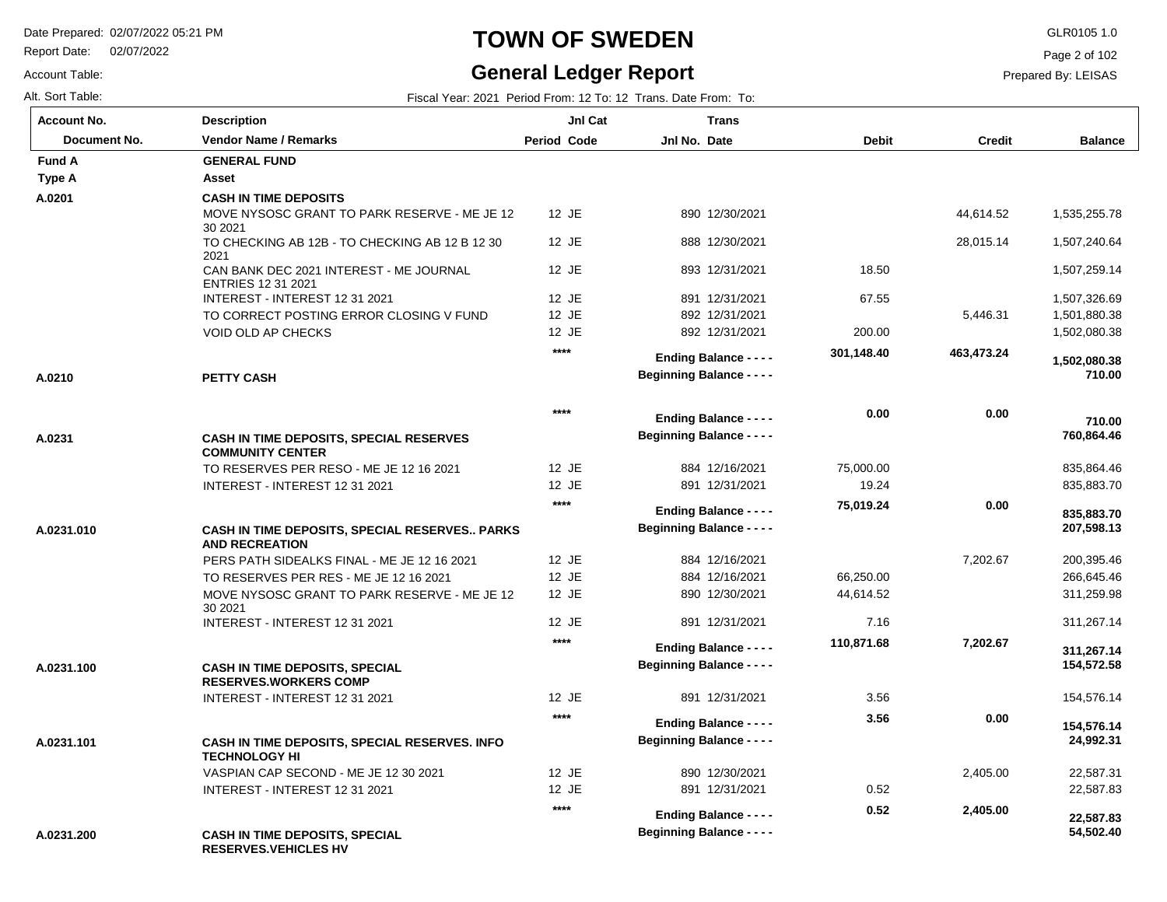Report Date: 02/07/2022

#### Account Table:

Alt. Sort Table: Fiscal Year: 2021 Period From: 12 To: 12 Trans. Date From: To:

### **TOWN OF SWEDEN** GLR0105 1.0

### **General Ledger Report**

Page 2 of 102

| <b>Account No.</b>  | <b>Description</b>                                                        | JnI Cat            | <b>Trans</b>                                                      |              |               |                          |
|---------------------|---------------------------------------------------------------------------|--------------------|-------------------------------------------------------------------|--------------|---------------|--------------------------|
| <b>Document No.</b> | <b>Vendor Name / Remarks</b>                                              | <b>Period Code</b> | Jnl No. Date                                                      | <b>Debit</b> | <b>Credit</b> | <b>Balance</b>           |
| <b>Fund A</b>       | <b>GENERAL FUND</b>                                                       |                    |                                                                   |              |               |                          |
| Type A              | Asset                                                                     |                    |                                                                   |              |               |                          |
| A.0201              | <b>CASH IN TIME DEPOSITS</b>                                              |                    |                                                                   |              |               |                          |
|                     | MOVE NYSOSC GRANT TO PARK RESERVE - ME JE 12<br>30 20 21                  | $12$ JE            | 890 12/30/2021                                                    |              | 44,614.52     | 1,535,255.78             |
|                     | TO CHECKING AB 12B - TO CHECKING AB 12 B 12 30<br>2021                    | 12 JE              | 888 12/30/2021                                                    |              | 28,015.14     | 1,507,240.64             |
|                     | CAN BANK DEC 2021 INTEREST - ME JOURNAL<br><b>ENTRIES 12 31 2021</b>      | 12 JE              | 893 12/31/2021                                                    | 18.50        |               | 1,507,259.14             |
|                     | INTEREST - INTEREST 12 31 2021                                            | 12 JE              | 891 12/31/2021                                                    | 67.55        |               | 1,507,326.69             |
|                     | TO CORRECT POSTING ERROR CLOSING V FUND                                   | 12 JE              | 892 12/31/2021                                                    |              | 5,446.31      | 1,501,880.38             |
|                     | <b>VOID OLD AP CHECKS</b>                                                 | 12 JE              | 892 12/31/2021                                                    | 200.00       |               | 1,502,080.38             |
| A.0210              | <b>PETTY CASH</b>                                                         | $***$              | <b>Ending Balance - - - -</b><br><b>Beginning Balance - - - -</b> | 301,148.40   | 463,473.24    | 1,502,080.38<br>710.00   |
|                     |                                                                           |                    |                                                                   |              |               |                          |
|                     |                                                                           | $****$             | <b>Ending Balance - - - -</b>                                     | 0.00         | 0.00          | 710.00                   |
| A.0231              | <b>CASH IN TIME DEPOSITS, SPECIAL RESERVES</b><br><b>COMMUNITY CENTER</b> |                    | <b>Beginning Balance - - - -</b>                                  |              |               | 760,864.46               |
|                     | TO RESERVES PER RESO - ME JE 12 16 2021                                   | 12 JE              | 884 12/16/2021                                                    | 75,000.00    |               | 835,864.46               |
|                     | INTEREST - INTEREST 12 31 2021                                            | 12 JE              | 891 12/31/2021                                                    | 19.24        |               | 835,883.70               |
|                     |                                                                           | $****$             | <b>Ending Balance - - - -</b>                                     | 75,019.24    | 0.00          | 835,883.70               |
| A.0231.010          | CASH IN TIME DEPOSITS, SPECIAL RESERVES PARKS<br><b>AND RECREATION</b>    |                    | <b>Beginning Balance - - - -</b>                                  |              |               | 207,598.13               |
|                     | PERS PATH SIDEALKS FINAL - ME JE 12 16 2021                               | 12 JE              | 884 12/16/2021                                                    |              | 7,202.67      | 200,395.46               |
|                     | TO RESERVES PER RES - ME JE 12 16 2021                                    | 12 JE              | 884 12/16/2021                                                    | 66,250.00    |               | 266,645.46               |
|                     | MOVE NYSOSC GRANT TO PARK RESERVE - ME JE 12<br>30 20 21                  | 12 JE              | 890 12/30/2021                                                    | 44,614.52    |               | 311,259.98               |
|                     | INTEREST - INTEREST 12 31 2021                                            | 12 JE              | 891 12/31/2021                                                    | 7.16         |               | 311,267.14               |
|                     |                                                                           | $****$             | <b>Ending Balance - - - -</b>                                     | 110,871.68   | 7,202.67      |                          |
| A.0231.100          | <b>CASH IN TIME DEPOSITS, SPECIAL</b><br><b>RESERVES.WORKERS COMP</b>     |                    | <b>Beginning Balance - - - -</b>                                  |              |               | 311,267.14<br>154,572.58 |
|                     | INTEREST - INTEREST 12 31 2021                                            | 12 JE              | 891 12/31/2021                                                    | 3.56         |               | 154,576.14               |
|                     |                                                                           | $****$             | <b>Ending Balance - - - -</b>                                     | 3.56         | 0.00          |                          |
| A.0231.101          | CASH IN TIME DEPOSITS, SPECIAL RESERVES. INFO<br><b>TECHNOLOGY HI</b>     |                    | <b>Beginning Balance - - - -</b>                                  |              |               | 154,576.14<br>24,992.31  |
|                     | VASPIAN CAP SECOND - ME JE 12 30 2021                                     | 12 JE              | 890 12/30/2021                                                    |              | 2,405.00      | 22,587.31                |
|                     | INTEREST - INTEREST 12 31 2021                                            | 12 JE              | 891 12/31/2021                                                    | 0.52         |               | 22,587.83                |
|                     |                                                                           | $***$              | <b>Ending Balance - - - -</b>                                     | 0.52         | 2,405.00      | 22,587.83                |
| A.0231.200          | <b>CASH IN TIME DEPOSITS, SPECIAL</b><br><b>RESERVES.VEHICLES HV</b>      |                    | <b>Beginning Balance - - - -</b>                                  |              |               | 54,502.40                |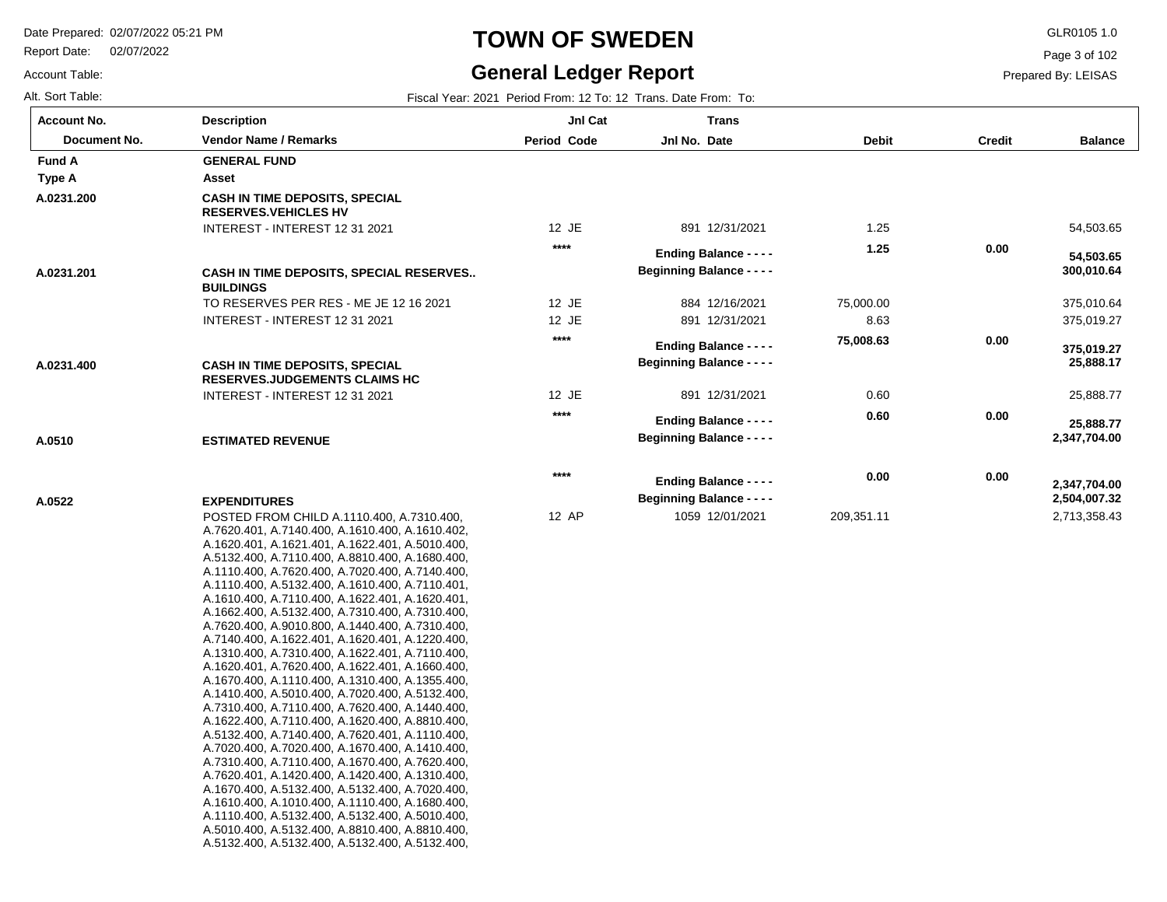Report Date: 02/07/2022

# **TOWN OF SWEDEN** GLR0105 1.0

#### **General Ledger Report**

**Balance**

54,503.65

 **54,503.65** 

 375,010.64 375,019.27

 **300,010.64** 

25,888.77

 **25,888.77** 

 **25,888.17** 

 **375,019.27** 

2,713,358.43

 **2,504,007.32** 

 **2,347,704.00** 

 **2,347,704.00** 

Page 3 of 102

Prepared By: LEISAS

Account Table: Alt. Sort Table: Fiscal Year: 2021 Period From: 12 To: 12 Trans. Date From: To:

| <b>Account No.</b> | <b>Description</b>                                                                                                                                                                                                                                                                                                                                                                                                                                                                                                                                                                                                                                                                                                                                                                                                                                                                                                                                                                                                                                                                                    | Jnl Cat            | <b>Trans</b>                                                      |              |               |
|--------------------|-------------------------------------------------------------------------------------------------------------------------------------------------------------------------------------------------------------------------------------------------------------------------------------------------------------------------------------------------------------------------------------------------------------------------------------------------------------------------------------------------------------------------------------------------------------------------------------------------------------------------------------------------------------------------------------------------------------------------------------------------------------------------------------------------------------------------------------------------------------------------------------------------------------------------------------------------------------------------------------------------------------------------------------------------------------------------------------------------------|--------------------|-------------------------------------------------------------------|--------------|---------------|
| Document No.       | <b>Vendor Name / Remarks</b>                                                                                                                                                                                                                                                                                                                                                                                                                                                                                                                                                                                                                                                                                                                                                                                                                                                                                                                                                                                                                                                                          | <b>Period Code</b> | Jnl No. Date                                                      | <b>Debit</b> | <b>Credit</b> |
| <b>Fund A</b>      | <b>GENERAL FUND</b>                                                                                                                                                                                                                                                                                                                                                                                                                                                                                                                                                                                                                                                                                                                                                                                                                                                                                                                                                                                                                                                                                   |                    |                                                                   |              |               |
| <b>Type A</b>      | Asset                                                                                                                                                                                                                                                                                                                                                                                                                                                                                                                                                                                                                                                                                                                                                                                                                                                                                                                                                                                                                                                                                                 |                    |                                                                   |              |               |
| A.0231.200         | <b>CASH IN TIME DEPOSITS, SPECIAL</b><br><b>RESERVES.VEHICLES HV</b>                                                                                                                                                                                                                                                                                                                                                                                                                                                                                                                                                                                                                                                                                                                                                                                                                                                                                                                                                                                                                                  |                    |                                                                   |              |               |
|                    | INTEREST - INTEREST 12 31 2021                                                                                                                                                                                                                                                                                                                                                                                                                                                                                                                                                                                                                                                                                                                                                                                                                                                                                                                                                                                                                                                                        | 12 JE              | 891 12/31/2021                                                    | 1.25         |               |
|                    |                                                                                                                                                                                                                                                                                                                                                                                                                                                                                                                                                                                                                                                                                                                                                                                                                                                                                                                                                                                                                                                                                                       | $***$              | <b>Ending Balance - - - -</b>                                     | 1.25         | 0.00          |
| A.0231.201         | CASH IN TIME DEPOSITS, SPECIAL RESERVES<br><b>BUILDINGS</b>                                                                                                                                                                                                                                                                                                                                                                                                                                                                                                                                                                                                                                                                                                                                                                                                                                                                                                                                                                                                                                           |                    | <b>Beginning Balance - - - -</b>                                  |              |               |
|                    | TO RESERVES PER RES - ME JE 12 16 2021                                                                                                                                                                                                                                                                                                                                                                                                                                                                                                                                                                                                                                                                                                                                                                                                                                                                                                                                                                                                                                                                | 12 JE              | 884 12/16/2021                                                    | 75,000.00    |               |
|                    | INTEREST - INTEREST 12 31 2021                                                                                                                                                                                                                                                                                                                                                                                                                                                                                                                                                                                                                                                                                                                                                                                                                                                                                                                                                                                                                                                                        | 12 JE              | 891 12/31/2021                                                    | 8.63         |               |
|                    |                                                                                                                                                                                                                                                                                                                                                                                                                                                                                                                                                                                                                                                                                                                                                                                                                                                                                                                                                                                                                                                                                                       | $***$              | <b>Ending Balance - - - -</b><br><b>Beginning Balance - - - -</b> | 75,008.63    | 0.00          |
| A.0231.400         | <b>CASH IN TIME DEPOSITS, SPECIAL</b><br><b>RESERVES.JUDGEMENTS CLAIMS HC</b>                                                                                                                                                                                                                                                                                                                                                                                                                                                                                                                                                                                                                                                                                                                                                                                                                                                                                                                                                                                                                         |                    |                                                                   |              |               |
|                    | INTEREST - INTEREST 12 31 2021                                                                                                                                                                                                                                                                                                                                                                                                                                                                                                                                                                                                                                                                                                                                                                                                                                                                                                                                                                                                                                                                        | 12 JE              | 891 12/31/2021                                                    | 0.60         |               |
|                    |                                                                                                                                                                                                                                                                                                                                                                                                                                                                                                                                                                                                                                                                                                                                                                                                                                                                                                                                                                                                                                                                                                       | $***$              | <b>Ending Balance - - - -</b>                                     | 0.60         | 0.00          |
| A.0510             | <b>ESTIMATED REVENUE</b>                                                                                                                                                                                                                                                                                                                                                                                                                                                                                                                                                                                                                                                                                                                                                                                                                                                                                                                                                                                                                                                                              |                    | Beginning Balance - - - -                                         |              |               |
|                    |                                                                                                                                                                                                                                                                                                                                                                                                                                                                                                                                                                                                                                                                                                                                                                                                                                                                                                                                                                                                                                                                                                       | $***$              | <b>Ending Balance - - - -</b>                                     | 0.00         | 0.00          |
| A.0522             | <b>EXPENDITURES</b>                                                                                                                                                                                                                                                                                                                                                                                                                                                                                                                                                                                                                                                                                                                                                                                                                                                                                                                                                                                                                                                                                   |                    | <b>Beginning Balance - - - -</b>                                  |              |               |
|                    | POSTED FROM CHILD A.1110.400, A.7310.400,<br>A.7620.401, A.7140.400, A.1610.400, A.1610.402,<br>A.1620.401, A.1621.401, A.1622.401, A.5010.400,<br>A.5132.400, A.7110.400, A.8810.400, A.1680.400,<br>A.1110.400, A.7620.400, A.7020.400, A.7140.400,<br>A.1110.400, A.5132.400, A.1610.400, A.7110.401,<br>A.1610.400, A.7110.400, A.1622.401, A.1620.401,<br>A.1662.400, A.5132.400, A.7310.400, A.7310.400,<br>A.7620.400, A.9010.800, A.1440.400, A.7310.400,<br>A.7140.400, A.1622.401, A.1620.401, A.1220.400,<br>A.1310.400, A.7310.400, A.1622.401, A.7110.400,<br>A.1620.401, A.7620.400, A.1622.401, A.1660.400,<br>A.1670.400, A.1110.400, A.1310.400, A.1355.400,<br>A.1410.400, A.5010.400, A.7020.400, A.5132.400,<br>A.7310.400, A.7110.400, A.7620.400, A.1440.400,<br>A.1622.400, A.7110.400, A.1620.400, A.8810.400,<br>A.5132.400, A.7140.400, A.7620.401, A.1110.400,<br>A.7020.400, A.7020.400, A.1670.400, A.1410.400,<br>A.7310.400, A.7110.400, A.1670.400, A.7620.400,<br>A.7620.401, A.1420.400, A.1420.400, A.1310.400,<br>A.1670.400, A.5132.400, A.5132.400, A.7020.400, | 12 AP              | 1059 12/01/2021                                                   | 209,351.11   |               |

A.1610.400, A.1010.400, A.1110.400, A.1680.400, A.1110.400, A.5132.400, A.5132.400, A.5010.400, A.5010.400, A.5132.400, A.8810.400, A.8810.400, A.5132.400, A.5132.400, A.5132.400, A.5132.400,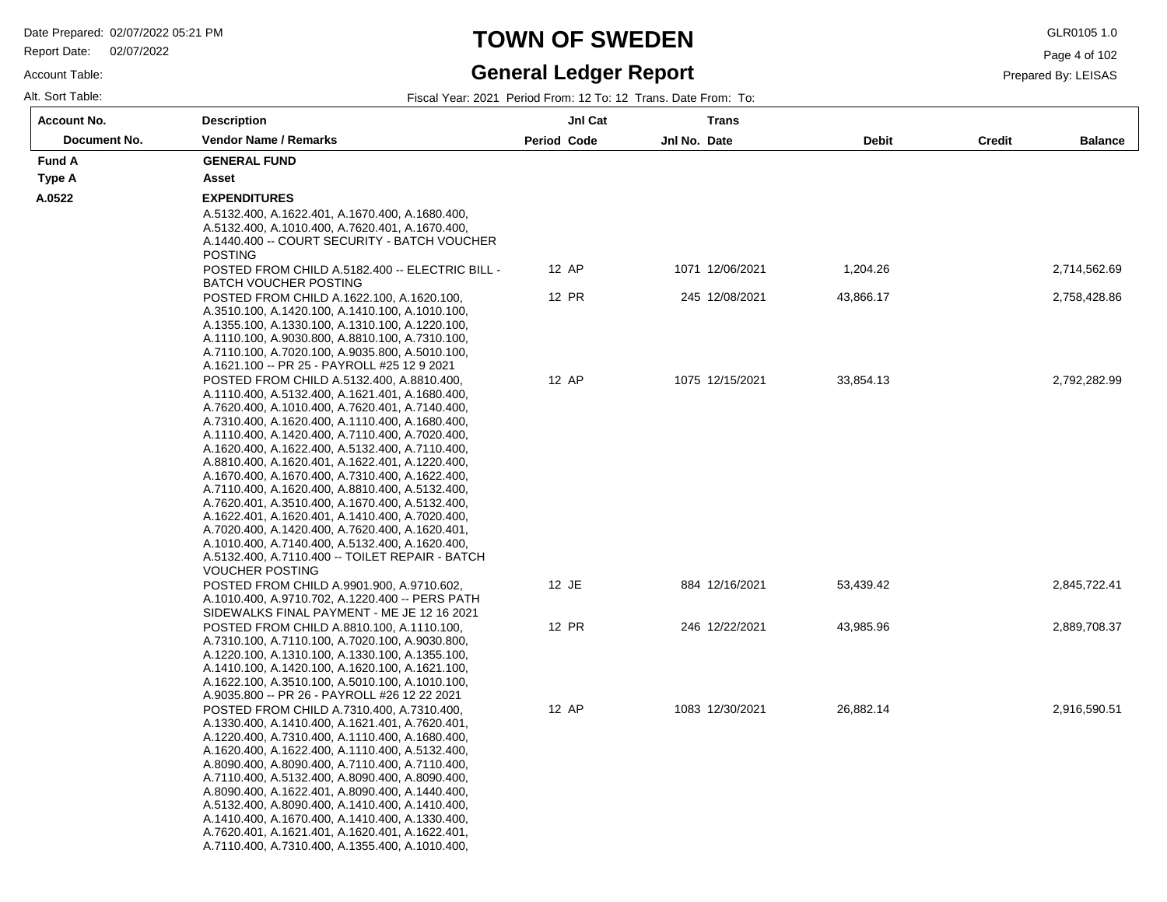Report Date: 02/07/2022

#### Account Table:

# **TOWN OF SWEDEN** GLR0105 1.0

### **General Ledger Report**

Page 4 of 102

| Alt. Sort Table: |  | Fiscal Year: 2021 Period From: 12 To: 12 Trans. Date From: To: |
|------------------|--|----------------------------------------------------------------|
|                  |  |                                                                |

| <b>Account No.</b> | <b>Description</b>                                                                                 | JnI Cat     |              | <b>Trans</b>    |              |               |                |
|--------------------|----------------------------------------------------------------------------------------------------|-------------|--------------|-----------------|--------------|---------------|----------------|
| Document No.       | <b>Vendor Name / Remarks</b>                                                                       | Period Code | Jnl No. Date |                 | <b>Debit</b> | <b>Credit</b> | <b>Balance</b> |
| <b>Fund A</b>      | <b>GENERAL FUND</b>                                                                                |             |              |                 |              |               |                |
| Type A             | Asset                                                                                              |             |              |                 |              |               |                |
| A.0522             | <b>EXPENDITURES</b>                                                                                |             |              |                 |              |               |                |
|                    | A.5132.400, A.1622.401, A.1670.400, A.1680.400,<br>A.5132.400, A.1010.400, A.7620.401, A.1670.400, |             |              |                 |              |               |                |
|                    | A.1440.400 -- COURT SECURITY - BATCH VOUCHER<br><b>POSTING</b>                                     |             |              |                 |              |               |                |
|                    | POSTED FROM CHILD A.5182.400 -- ELECTRIC BILL -<br><b>BATCH VOUCHER POSTING</b>                    | 12 AP       |              | 1071 12/06/2021 | 1,204.26     |               | 2,714,562.69   |
|                    | POSTED FROM CHILD A.1622.100, A.1620.100,                                                          | 12 PR       |              | 245 12/08/2021  | 43,866.17    |               | 2,758,428.86   |
|                    | A.3510.100, A.1420.100, A.1410.100, A.1010.100,                                                    |             |              |                 |              |               |                |
|                    | A.1355.100, A.1330.100, A.1310.100, A.1220.100,                                                    |             |              |                 |              |               |                |
|                    | A.1110.100, A.9030.800, A.8810.100, A.7310.100,                                                    |             |              |                 |              |               |                |
|                    | A.7110.100, A.7020.100, A.9035.800, A.5010.100,                                                    |             |              |                 |              |               |                |
|                    | A.1621.100 -- PR 25 - PAYROLL #25 12 9 2021<br>POSTED FROM CHILD A.5132.400, A.8810.400,           | 12 AP       |              | 1075 12/15/2021 | 33,854.13    |               | 2,792,282.99   |
|                    | A.1110.400, A.5132.400, A.1621.401, A.1680.400,                                                    |             |              |                 |              |               |                |
|                    | A.7620.400, A.1010.400, A.7620.401, A.7140.400,                                                    |             |              |                 |              |               |                |
|                    | A.7310.400, A.1620.400, A.1110.400, A.1680.400,                                                    |             |              |                 |              |               |                |
|                    | A.1110.400, A.1420.400, A.7110.400, A.7020.400,                                                    |             |              |                 |              |               |                |
|                    | A.1620.400, A.1622.400, A.5132.400, A.7110.400,                                                    |             |              |                 |              |               |                |
|                    | A.8810.400, A.1620.401, A.1622.401, A.1220.400,                                                    |             |              |                 |              |               |                |
|                    | A.1670.400, A.1670.400, A.7310.400, A.1622.400,<br>A.7110.400, A.1620.400, A.8810.400, A.5132.400, |             |              |                 |              |               |                |
|                    | A.7620.401, A.3510.400, A.1670.400, A.5132.400,                                                    |             |              |                 |              |               |                |
|                    | A.1622.401, A.1620.401, A.1410.400, A.7020.400,                                                    |             |              |                 |              |               |                |
|                    | A.7020.400, A.1420.400, A.7620.400, A.1620.401,                                                    |             |              |                 |              |               |                |
|                    | A.1010.400, A.7140.400, A.5132.400, A.1620.400,                                                    |             |              |                 |              |               |                |
|                    | A.5132.400, A.7110.400 -- TOILET REPAIR - BATCH                                                    |             |              |                 |              |               |                |
|                    | <b>VOUCHER POSTING</b>                                                                             |             |              |                 |              |               |                |
|                    | POSTED FROM CHILD A.9901.900, A.9710.602,                                                          | 12 JE       |              | 884 12/16/2021  | 53,439.42    |               | 2,845,722.41   |
|                    | A.1010.400, A.9710.702, A.1220.400 -- PERS PATH<br>SIDEWALKS FINAL PAYMENT - ME JE 12 16 2021      |             |              |                 |              |               |                |
|                    | POSTED FROM CHILD A.8810.100, A.1110.100,                                                          | 12 PR       |              | 246 12/22/2021  | 43,985.96    |               | 2,889,708.37   |
|                    | A.7310.100, A.7110.100, A.7020.100, A.9030.800,                                                    |             |              |                 |              |               |                |
|                    | A.1220.100, A.1310.100, A.1330.100, A.1355.100,                                                    |             |              |                 |              |               |                |
|                    | A.1410.100, A.1420.100, A.1620.100, A.1621.100,                                                    |             |              |                 |              |               |                |
|                    | A.1622.100, A.3510.100, A.5010.100, A.1010.100,                                                    |             |              |                 |              |               |                |
|                    | A.9035.800 -- PR 26 - PAYROLL #26 12 22 2021                                                       |             |              |                 |              |               |                |
|                    | POSTED FROM CHILD A.7310.400, A.7310.400,                                                          | 12 AP       |              | 1083 12/30/2021 | 26,882.14    |               | 2,916,590.51   |
|                    | A.1330.400, A.1410.400, A.1621.401, A.7620.401,<br>A.1220.400, A.7310.400, A.1110.400, A.1680.400, |             |              |                 |              |               |                |
|                    | A.1620.400, A.1622.400, A.1110.400, A.5132.400,                                                    |             |              |                 |              |               |                |
|                    | A.8090.400, A.8090.400, A.7110.400, A.7110.400,                                                    |             |              |                 |              |               |                |
|                    | A.7110.400, A.5132.400, A.8090.400, A.8090.400,                                                    |             |              |                 |              |               |                |
|                    | A.8090.400, A.1622.401, A.8090.400, A.1440.400,                                                    |             |              |                 |              |               |                |
|                    | A.5132.400, A.8090.400, A.1410.400, A.1410.400,                                                    |             |              |                 |              |               |                |
|                    | A.1410.400, A.1670.400, A.1410.400, A.1330.400,                                                    |             |              |                 |              |               |                |
|                    | A.7620.401, A.1621.401, A.1620.401, A.1622.401,<br>A.7110.400, A.7310.400, A.1355.400, A.1010.400, |             |              |                 |              |               |                |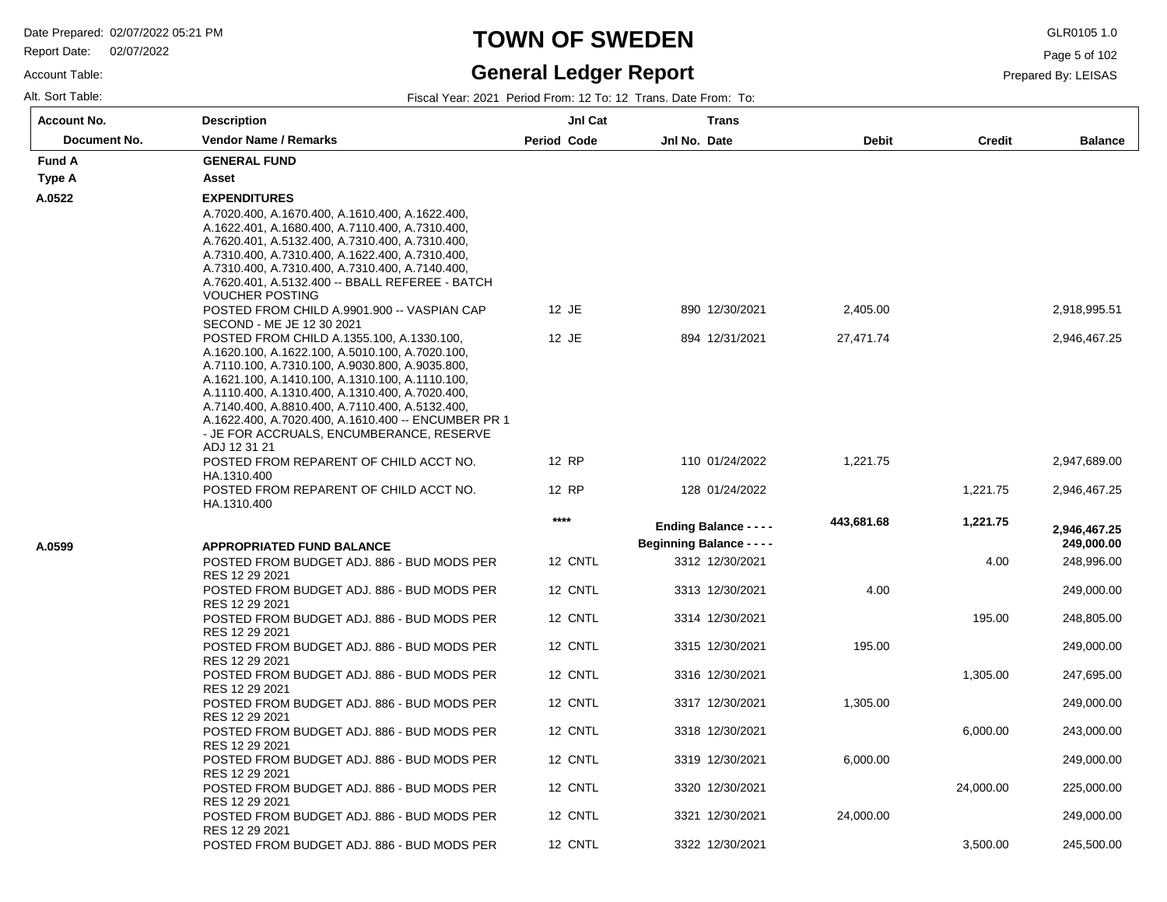Report Date: 02/07/2022

Account Table:

## **TOWN OF SWEDEN** GLR0105 1.0

### **General Ledger Report**

Page 5 of 102

Prepared By: LEISAS

| Account No.  | <b>Description</b>                                                                                                                                                                                                                                                                                                                                                                                                                                       | JnI Cat     | <b>Trans</b>                                                      |            |               |                            |
|--------------|----------------------------------------------------------------------------------------------------------------------------------------------------------------------------------------------------------------------------------------------------------------------------------------------------------------------------------------------------------------------------------------------------------------------------------------------------------|-------------|-------------------------------------------------------------------|------------|---------------|----------------------------|
| Document No. | <b>Vendor Name / Remarks</b>                                                                                                                                                                                                                                                                                                                                                                                                                             | Period Code | Jnl No. Date                                                      | Debit      | <b>Credit</b> | <b>Balance</b>             |
| Fund A       | <b>GENERAL FUND</b>                                                                                                                                                                                                                                                                                                                                                                                                                                      |             |                                                                   |            |               |                            |
| Type A       | Asset                                                                                                                                                                                                                                                                                                                                                                                                                                                    |             |                                                                   |            |               |                            |
| A.0522       | <b>EXPENDITURES</b><br>A.7020.400, A.1670.400, A.1610.400, A.1622.400,<br>A.1622.401, A.1680.400, A.7110.400, A.7310.400,<br>A.7620.401, A.5132.400, A.7310.400, A.7310.400,<br>A.7310.400, A.7310.400, A.1622.400, A.7310.400,<br>A.7310.400, A.7310.400, A.7310.400, A.7140.400,<br>A.7620.401, A.5132.400 -- BBALL REFEREE - BATCH<br><b>VOUCHER POSTING</b>                                                                                          |             |                                                                   |            |               |                            |
|              | POSTED FROM CHILD A.9901.900 -- VASPIAN CAP                                                                                                                                                                                                                                                                                                                                                                                                              | 12 JE       | 890 12/30/2021                                                    | 2,405.00   |               | 2,918,995.51               |
|              | SECOND - ME JE 12 30 2021<br>POSTED FROM CHILD A.1355.100, A.1330.100,<br>A.1620.100, A.1622.100, A.5010.100, A.7020.100,<br>A.7110.100, A.7310.100, A.9030.800, A.9035.800,<br>A.1621.100, A.1410.100, A.1310.100, A.1110.100,<br>A.1110.400, A.1310.400, A.1310.400, A.7020.400,<br>A.7140.400, A.8810.400, A.7110.400, A.5132.400,<br>A.1622.400, A.7020.400, A.1610.400 -- ENCUMBER PR 1<br>- JE FOR ACCRUALS, ENCUMBERANCE, RESERVE<br>ADJ 12 31 21 | 12 JE       | 894 12/31/2021                                                    | 27,471.74  |               | 2,946,467.25               |
|              | POSTED FROM REPARENT OF CHILD ACCT NO.                                                                                                                                                                                                                                                                                                                                                                                                                   | 12 RP       | 110 01/24/2022                                                    | 1,221.75   |               | 2,947,689.00               |
|              | HA.1310.400<br>POSTED FROM REPARENT OF CHILD ACCT NO.<br>HA.1310.400                                                                                                                                                                                                                                                                                                                                                                                     | 12 RP       | 128 01/24/2022                                                    |            | 1,221.75      | 2,946,467.25               |
| A.0599       | <b>APPROPRIATED FUND BALANCE</b>                                                                                                                                                                                                                                                                                                                                                                                                                         | $****$      | <b>Ending Balance - - - -</b><br><b>Beginning Balance - - - -</b> | 443,681.68 | 1,221.75      | 2,946,467.25<br>249,000.00 |
|              | POSTED FROM BUDGET ADJ. 886 - BUD MODS PER                                                                                                                                                                                                                                                                                                                                                                                                               | 12 CNTL     | 3312 12/30/2021                                                   |            | 4.00          | 248,996.00                 |
|              | RES 12 29 2021<br>POSTED FROM BUDGET ADJ. 886 - BUD MODS PER<br>RES 12 29 2021                                                                                                                                                                                                                                                                                                                                                                           | 12 CNTL     | 3313 12/30/2021                                                   | 4.00       |               | 249,000.00                 |
|              | POSTED FROM BUDGET ADJ. 886 - BUD MODS PER<br>RES 12 29 2021                                                                                                                                                                                                                                                                                                                                                                                             | 12 CNTL     | 3314 12/30/2021                                                   |            | 195.00        | 248,805.00                 |
|              | POSTED FROM BUDGET ADJ. 886 - BUD MODS PER<br>RES 12 29 2021                                                                                                                                                                                                                                                                                                                                                                                             | 12 CNTL     | 3315 12/30/2021                                                   | 195.00     |               | 249,000.00                 |
|              | POSTED FROM BUDGET ADJ. 886 - BUD MODS PER<br>RES 12 29 2021                                                                                                                                                                                                                                                                                                                                                                                             | 12 CNTL     | 3316 12/30/2021                                                   |            | 1,305.00      | 247,695.00                 |
|              | POSTED FROM BUDGET ADJ. 886 - BUD MODS PER<br>RES 12 29 2021                                                                                                                                                                                                                                                                                                                                                                                             | 12 CNTL     | 3317 12/30/2021                                                   | 1,305.00   |               | 249,000.00                 |
|              | POSTED FROM BUDGET ADJ. 886 - BUD MODS PER<br>RES 12 29 2021                                                                                                                                                                                                                                                                                                                                                                                             | 12 CNTL     | 3318 12/30/2021                                                   |            | 6,000.00      | 243,000.00                 |
|              | POSTED FROM BUDGET ADJ. 886 - BUD MODS PER<br>RES 12 29 2021                                                                                                                                                                                                                                                                                                                                                                                             | 12 CNTL     | 3319 12/30/2021                                                   | 6,000.00   |               | 249,000.00                 |
|              | POSTED FROM BUDGET ADJ. 886 - BUD MODS PER<br>RES 12 29 2021                                                                                                                                                                                                                                                                                                                                                                                             | 12 CNTL     | 3320 12/30/2021                                                   |            | 24,000.00     | 225,000.00                 |
|              | POSTED FROM BUDGET ADJ. 886 - BUD MODS PER<br>RES 12 29 2021                                                                                                                                                                                                                                                                                                                                                                                             | 12 CNTL     | 3321 12/30/2021                                                   | 24,000.00  |               | 249,000.00                 |
|              | POSTED FROM BUDGET ADJ. 886 - BUD MODS PER                                                                                                                                                                                                                                                                                                                                                                                                               | 12 CNTL     | 3322 12/30/2021                                                   |            | 3,500.00      | 245,500.00                 |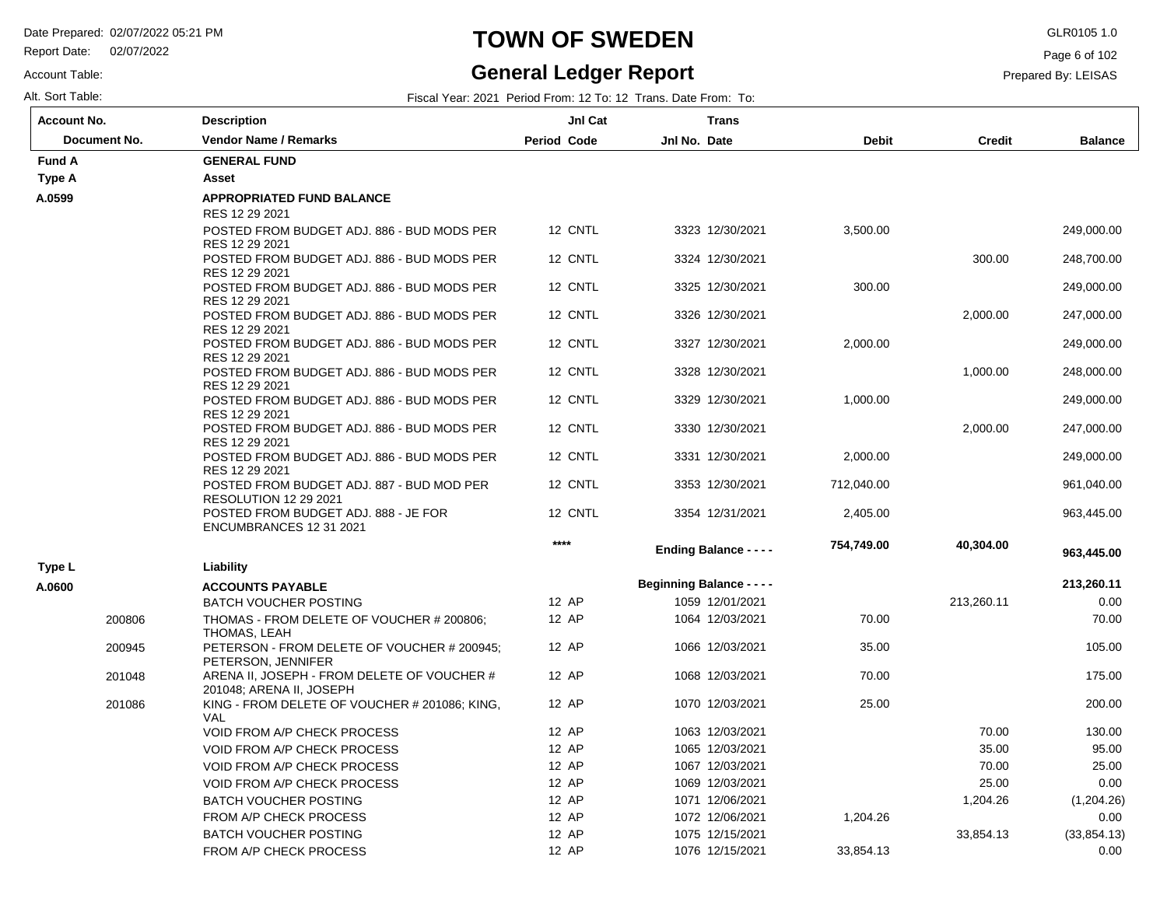Report Date: 02/07/2022

Account Table:

### **TOWN OF SWEDEN** GLR0105 1.0

### **General Ledger Report**

Page 6 of 102

Prepared By: LEISAS

| <b>Account No.</b> | <b>Description</b>                                                        | JnI Cat            |                                  | <b>Trans</b>    |              |            |                |
|--------------------|---------------------------------------------------------------------------|--------------------|----------------------------------|-----------------|--------------|------------|----------------|
| Document No.       | <b>Vendor Name / Remarks</b>                                              | <b>Period Code</b> | Jnl No. Date                     |                 | <b>Debit</b> | Credit     | <b>Balance</b> |
| <b>Fund A</b>      | <b>GENERAL FUND</b>                                                       |                    |                                  |                 |              |            |                |
| Type A             | Asset                                                                     |                    |                                  |                 |              |            |                |
| A.0599             | <b>APPROPRIATED FUND BALANCE</b>                                          |                    |                                  |                 |              |            |                |
|                    | RES 12 29 2021                                                            |                    |                                  |                 |              |            |                |
|                    | POSTED FROM BUDGET ADJ. 886 - BUD MODS PER<br>RES 12 29 2021              | 12 CNTL            |                                  | 3323 12/30/2021 | 3,500.00     |            | 249,000.00     |
|                    | POSTED FROM BUDGET ADJ. 886 - BUD MODS PER<br>RES 12 29 2021              | 12 CNTL            |                                  | 3324 12/30/2021 |              | 300.00     | 248,700.00     |
|                    | POSTED FROM BUDGET ADJ. 886 - BUD MODS PER<br>RES 12 29 2021              | 12 CNTL            |                                  | 3325 12/30/2021 | 300.00       |            | 249,000.00     |
|                    | POSTED FROM BUDGET ADJ. 886 - BUD MODS PER<br>RES 12 29 2021              | 12 CNTL            |                                  | 3326 12/30/2021 |              | 2,000.00   | 247,000.00     |
|                    | POSTED FROM BUDGET ADJ. 886 - BUD MODS PER<br>RES 12 29 2021              | 12 CNTL            |                                  | 3327 12/30/2021 | 2,000.00     |            | 249,000.00     |
|                    | POSTED FROM BUDGET ADJ. 886 - BUD MODS PER<br>RES 12 29 2021              | 12 CNTL            |                                  | 3328 12/30/2021 |              | 1,000.00   | 248,000.00     |
|                    | POSTED FROM BUDGET ADJ. 886 - BUD MODS PER<br>RES 12 29 2021              | 12 CNTL            |                                  | 3329 12/30/2021 | 1,000.00     |            | 249,000.00     |
|                    | POSTED FROM BUDGET ADJ. 886 - BUD MODS PER<br>RES 12 29 2021              | 12 CNTL            |                                  | 3330 12/30/2021 |              | 2,000.00   | 247,000.00     |
|                    | POSTED FROM BUDGET ADJ. 886 - BUD MODS PER<br>RES 12 29 2021              | 12 CNTL            |                                  | 3331 12/30/2021 | 2,000.00     |            | 249,000.00     |
|                    | POSTED FROM BUDGET ADJ. 887 - BUD MOD PER<br><b>RESOLUTION 12 29 2021</b> | 12 CNTL            |                                  | 3353 12/30/2021 | 712,040.00   |            | 961,040.00     |
|                    | POSTED FROM BUDGET ADJ. 888 - JE FOR<br>ENCUMBRANCES 12 31 2021           | 12 CNTL            |                                  | 3354 12/31/2021 | 2,405.00     |            | 963,445.00     |
|                    |                                                                           | $***$              | <b>Ending Balance - - - -</b>    |                 | 754,749.00   | 40,304.00  | 963,445.00     |
| Type L             | Liability                                                                 |                    |                                  |                 |              |            |                |
| A.0600             | <b>ACCOUNTS PAYABLE</b>                                                   |                    | <b>Beginning Balance - - - -</b> |                 |              |            | 213,260.11     |
|                    | <b>BATCH VOUCHER POSTING</b>                                              | 12 AP              |                                  | 1059 12/01/2021 |              | 213,260.11 | 0.00           |
| 200806             | THOMAS - FROM DELETE OF VOUCHER # 200806;<br>THOMAS, LEAH                 | 12 AP              |                                  | 1064 12/03/2021 | 70.00        |            | 70.00          |
| 200945             | PETERSON - FROM DELETE OF VOUCHER # 200945;<br>PETERSON, JENNIFER         | 12 AP              |                                  | 1066 12/03/2021 | 35.00        |            | 105.00         |
| 201048             | ARENA II, JOSEPH - FROM DELETE OF VOUCHER #<br>201048; ARENA II, JOSEPH   | 12 AP              |                                  | 1068 12/03/2021 | 70.00        |            | 175.00         |
| 201086             | KING - FROM DELETE OF VOUCHER # 201086; KING,<br><b>VAL</b>               | 12 AP              |                                  | 1070 12/03/2021 | 25.00        |            | 200.00         |
|                    | <b>VOID FROM A/P CHECK PROCESS</b>                                        | 12 AP              |                                  | 1063 12/03/2021 |              | 70.00      | 130.00         |
|                    | <b>VOID FROM A/P CHECK PROCESS</b>                                        | 12 AP              |                                  | 1065 12/03/2021 |              | 35.00      | 95.00          |
|                    | <b>VOID FROM A/P CHECK PROCESS</b>                                        | 12 AP              |                                  | 1067 12/03/2021 |              | 70.00      | 25.00          |
|                    | <b>VOID FROM A/P CHECK PROCESS</b>                                        | 12 AP              |                                  | 1069 12/03/2021 |              | 25.00      | 0.00           |
|                    | <b>BATCH VOUCHER POSTING</b>                                              | 12 AP              |                                  | 1071 12/06/2021 |              | 1,204.26   | (1,204.26)     |
|                    | FROM A/P CHECK PROCESS                                                    | 12 AP              |                                  | 1072 12/06/2021 | 1,204.26     |            | 0.00           |
|                    | <b>BATCH VOUCHER POSTING</b>                                              | 12 AP              |                                  | 1075 12/15/2021 |              | 33,854.13  | (33, 854.13)   |
|                    | <b>FROM A/P CHECK PROCESS</b>                                             | 12 AP              |                                  | 1076 12/15/2021 | 33,854.13    |            | 0.00           |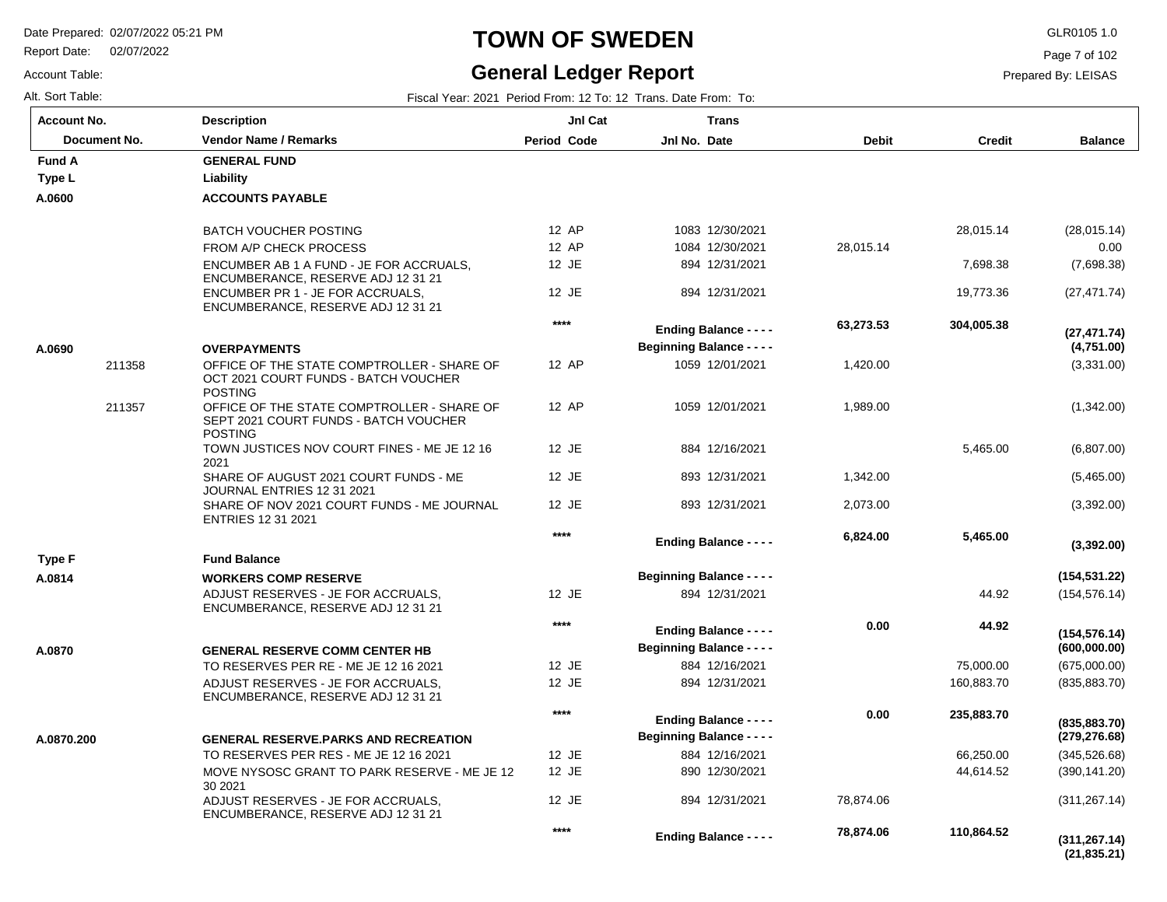30 2021

ADJUST RESERVES - JE FOR ACCRUALS, ENCUMBERANCE, RESERVE ADJ 12 31 21

Report Date: 02/07/2022

# **TOWN OF SWEDEN** GLR0105 1.0

#### **General Ledger Report**

**Balance**

(28,015.14) 0.00 (7,698.38) (27,471.74)

(3,331.00)

**(4,751.00)**

**(27,471.74)**

(1,342.00)

(6,807.00) (5,465.00) (3,392.00)

(154,576.14)

**(154,531.22)**

**(3,392.00)**

(675,000.00) (835,883.70)

**(600,000.00)**

**(154,576.14)**

(345,526.68) (390,141.20) (311,267.14)

**(279,276.68)**

**(835,883.70)**

Page 7 of 102

Prepared By: LEISAS

Account Table: Alt. Sort Table: Fiscal Year: 2021 Period From: 12 To: 12 Trans. Date From: To: **Account No.**

**A.0600**

**Type L**

**Fund A** 

**A.0690**

**A.0814**

**Type F**

**A.0870**

**A.0870.200**

| ⊍nt No.      | Description                                                                                           | JnI Cat            | <b>Trans</b>                     |              |               |
|--------------|-------------------------------------------------------------------------------------------------------|--------------------|----------------------------------|--------------|---------------|
| Document No. | <b>Vendor Name / Remarks</b>                                                                          | <b>Period Code</b> | Jnl No. Date                     | <b>Debit</b> | <b>Credit</b> |
| ΙA           | <b>GENERAL FUND</b>                                                                                   |                    |                                  |              |               |
| ۱L           | Liability                                                                                             |                    |                                  |              |               |
| )0           | <b>ACCOUNTS PAYABLE</b>                                                                               |                    |                                  |              |               |
|              | <b>BATCH VOUCHER POSTING</b>                                                                          | 12 AP              | 1083 12/30/2021                  |              | 28,015.14     |
|              | FROM A/P CHECK PROCESS                                                                                | 12 AP              | 1084 12/30/2021                  | 28,015.14    |               |
|              | ENCUMBER AB 1 A FUND - JE FOR ACCRUALS,<br>ENCUMBERANCE, RESERVE ADJ 12 31 21                         | 12 JE              | 894 12/31/2021                   |              | 7,698.38      |
|              | ENCUMBER PR 1 - JE FOR ACCRUALS.<br>ENCUMBERANCE, RESERVE ADJ 12 31 21                                | 12 JE              | 894 12/31/2021                   |              | 19,773.36     |
|              |                                                                                                       | ****               | <b>Ending Balance - - - -</b>    | 63,273.53    | 304,005.38    |
| 90           | <b>OVERPAYMENTS</b>                                                                                   |                    | <b>Beginning Balance - - - -</b> |              |               |
| 211358       | OFFICE OF THE STATE COMPTROLLER - SHARE OF                                                            | 12 AP              | 1059 12/01/2021                  | 1,420.00     |               |
|              | OCT 2021 COURT FUNDS - BATCH VOUCHER<br><b>POSTING</b>                                                |                    |                                  |              |               |
| 211357       | OFFICE OF THE STATE COMPTROLLER - SHARE OF<br>SEPT 2021 COURT FUNDS - BATCH VOUCHER<br><b>POSTING</b> | 12 AP              | 1059 12/01/2021                  | 1,989.00     |               |
|              | TOWN JUSTICES NOV COURT FINES - ME JE 12 16<br>2021                                                   | 12 JE              | 884 12/16/2021                   |              | 5,465.00      |
|              | SHARE OF AUGUST 2021 COURT FUNDS - ME<br>JOURNAL ENTRIES 12 31 2021                                   | 12 JE              | 893 12/31/2021                   | 1,342.00     |               |
|              | SHARE OF NOV 2021 COURT FUNDS - ME JOURNAL<br><b>ENTRIES 12 31 2021</b>                               | 12 JE              | 893 12/31/2021                   | 2,073.00     |               |
|              |                                                                                                       | $****$             | <b>Ending Balance - - - -</b>    | 6,824.00     | 5,465.00      |
| ۱F           | <b>Fund Balance</b>                                                                                   |                    |                                  |              |               |
| 4            | <b>WORKERS COMP RESERVE</b>                                                                           |                    | <b>Beginning Balance - - - -</b> |              |               |
|              | ADJUST RESERVES - JE FOR ACCRUALS,<br>ENCUMBERANCE, RESERVE ADJ 12 31 21                              | 12 JE              | 894 12/31/2021                   |              | 44.92         |
|              |                                                                                                       | ****               | <b>Ending Balance - - - -</b>    | 0.00         | 44.92         |
| 70           | <b>GENERAL RESERVE COMM CENTER HB</b>                                                                 |                    | <b>Beginning Balance - - - -</b> |              |               |
|              | TO RESERVES PER RE - ME JE 12 16 2021                                                                 | 12 JE              | 884 12/16/2021                   |              | 75,000.00     |
|              | ADJUST RESERVES - JE FOR ACCRUALS,                                                                    | 12 JE              | 894 12/31/2021                   |              | 160,883.70    |
|              | ENCUMBERANCE, RESERVE ADJ 12 31 21                                                                    |                    |                                  |              |               |
|              |                                                                                                       | ****               | <b>Ending Balance - - - -</b>    | 0.00         | 235,883.70    |
| 70.200       | <b>GENERAL RESERVE PARKS AND RECREATION</b>                                                           |                    | <b>Beginning Balance - - - -</b> |              |               |
|              | TO RESERVES PER RES - ME JE 12 16 2021                                                                | 12 JE              | 884 12/16/2021                   |              | 66,250.00     |
|              | MOVE NYSOSC GRANT TO PARK RESERVE - ME JE 12                                                          | $12$ JE            | 890 12/30/2021                   |              | 44.614.52     |

12 JE 12 JE

**\*\*\*\***

890 12/30/2021 894 12/31/2021

**Ending Balance - - - -**

78,874.06

 **78,874.06** 

**(21,835.21) (311,267.14)**

 **110,864.52**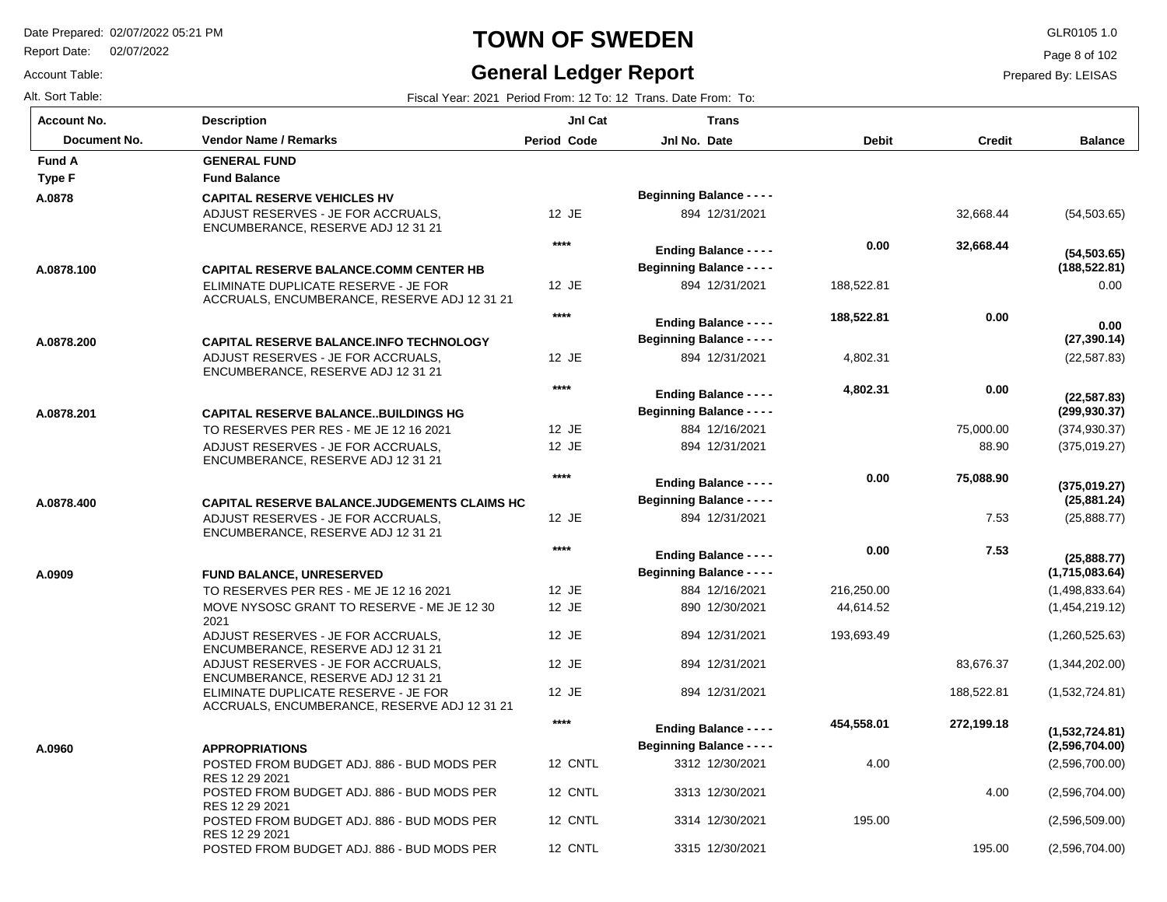Report Date: 02/07/2022

Account Table:

## **TOWN OF SWEDEN** GLR0105 1.0

### **General Ledger Report**

Page 8 of 102

Prepared By: LEISAS

| <b>Account No.</b> | <b>Description</b>                                                                   | Jnl Cat            | <b>Trans</b>                                                      |              |               |                                  |
|--------------------|--------------------------------------------------------------------------------------|--------------------|-------------------------------------------------------------------|--------------|---------------|----------------------------------|
| Document No.       | <b>Vendor Name / Remarks</b>                                                         | <b>Period Code</b> | Jnl No. Date                                                      | <b>Debit</b> | <b>Credit</b> | <b>Balance</b>                   |
| <b>Fund A</b>      | <b>GENERAL FUND</b>                                                                  |                    |                                                                   |              |               |                                  |
| <b>Type F</b>      | <b>Fund Balance</b>                                                                  |                    |                                                                   |              |               |                                  |
| A.0878             | <b>CAPITAL RESERVE VEHICLES HV</b>                                                   |                    | <b>Beginning Balance - - - -</b>                                  |              |               |                                  |
|                    | ADJUST RESERVES - JE FOR ACCRUALS.<br>ENCUMBERANCE, RESERVE ADJ 12 31 21             | 12 JE              | 894 12/31/2021                                                    |              | 32,668.44     | (54, 503.65)                     |
|                    |                                                                                      | $****$             | <b>Ending Balance - - - -</b>                                     | 0.00         | 32,668.44     | (54, 503.65)                     |
| A.0878.100         | <b>CAPITAL RESERVE BALANCE COMM CENTER HB</b>                                        |                    | <b>Beginning Balance - - - -</b>                                  |              |               | (188, 522.81)                    |
|                    | ELIMINATE DUPLICATE RESERVE - JE FOR<br>ACCRUALS, ENCUMBERANCE, RESERVE ADJ 12 31 21 | 12 JE              | 894 12/31/2021                                                    | 188,522.81   |               | 0.00                             |
|                    |                                                                                      | $****$             | <b>Ending Balance - - - -</b>                                     | 188,522.81   | 0.00          | 0.00                             |
| A.0878.200         | <b>CAPITAL RESERVE BALANCE.INFO TECHNOLOGY</b>                                       |                    | <b>Beginning Balance - - - -</b>                                  |              |               | (27, 390.14)                     |
|                    | ADJUST RESERVES - JE FOR ACCRUALS.<br>ENCUMBERANCE, RESERVE ADJ 12 31 21             | 12 JE              | 894 12/31/2021                                                    | 4,802.31     |               | (22, 587.83)                     |
|                    |                                                                                      | $***$              | <b>Ending Balance - - - -</b>                                     | 4,802.31     | 0.00          |                                  |
| A.0878.201         | <b>CAPITAL RESERVE BALANCEBUILDINGS HG</b>                                           |                    | <b>Beginning Balance - - - -</b>                                  |              |               | (22, 587.83)<br>(299, 930.37)    |
|                    | TO RESERVES PER RES - ME JE 12 16 2021                                               | 12 JE              | 884 12/16/2021                                                    |              | 75,000.00     | (374, 930.37)                    |
|                    | ADJUST RESERVES - JE FOR ACCRUALS,<br>ENCUMBERANCE, RESERVE ADJ 12 31 21             | 12 JE              | 894 12/31/2021                                                    |              | 88.90         | (375,019.27)                     |
|                    |                                                                                      | $***$              | <b>Ending Balance - - - -</b>                                     | 0.00         | 75,088.90     |                                  |
| A.0878.400         | CAPITAL RESERVE BALANCE.JUDGEMENTS CLAIMS HC                                         |                    | <b>Beginning Balance - - - -</b>                                  |              |               | (375,019.27)<br>(25, 881.24)     |
|                    | ADJUST RESERVES - JE FOR ACCRUALS.<br>ENCUMBERANCE, RESERVE ADJ 12 31 21             | 12 JE              | 894 12/31/2021                                                    |              | 7.53          | (25,888.77)                      |
|                    |                                                                                      | $****$             | <b>Ending Balance - - - -</b>                                     | 0.00         | 7.53          |                                  |
|                    |                                                                                      |                    | <b>Beginning Balance - - - -</b>                                  |              |               | (25,888.77)<br>(1,715,083.64)    |
| A.0909             | <b>FUND BALANCE, UNRESERVED</b><br>TO RESERVES PER RES - ME JE 12 16 2021            | 12 JE              | 884 12/16/2021                                                    | 216,250.00   |               | (1,498,833.64)                   |
|                    | MOVE NYSOSC GRANT TO RESERVE - ME JE 12 30                                           | 12 JE              | 890 12/30/2021                                                    | 44,614.52    |               | (1,454,219.12)                   |
|                    | 2021                                                                                 |                    |                                                                   |              |               |                                  |
|                    | ADJUST RESERVES - JE FOR ACCRUALS,<br>ENCUMBERANCE, RESERVE ADJ 12 31 21             | 12 JE              | 894 12/31/2021                                                    | 193,693.49   |               | (1,260,525.63)                   |
|                    | ADJUST RESERVES - JE FOR ACCRUALS,<br>ENCUMBERANCE, RESERVE ADJ 12 31 21             | 12 JE              | 894 12/31/2021                                                    |              | 83,676.37     | (1,344,202.00)                   |
|                    | ELIMINATE DUPLICATE RESERVE - JE FOR<br>ACCRUALS, ENCUMBERANCE, RESERVE ADJ 12 31 21 | 12 JE              | 894 12/31/2021                                                    |              | 188,522.81    | (1,532,724.81)                   |
|                    |                                                                                      | $****$             | <b>Ending Balance - - - -</b><br><b>Beginning Balance - - - -</b> | 454,558.01   | 272,199.18    | (1,532,724.81)<br>(2,596,704.00) |
| A.0960             | <b>APPROPRIATIONS</b><br>POSTED FROM BUDGET ADJ. 886 - BUD MODS PER                  | 12 CNTL            | 3312 12/30/2021                                                   | 4.00         |               | (2,596,700.00)                   |
|                    | RES 12 29 2021                                                                       |                    |                                                                   |              |               |                                  |
|                    | POSTED FROM BUDGET ADJ. 886 - BUD MODS PER<br>RES 12 29 2021                         | 12 CNTL            | 3313 12/30/2021                                                   |              | 4.00          | (2,596,704.00)                   |
|                    | POSTED FROM BUDGET ADJ. 886 - BUD MODS PER<br>RES 12 29 2021                         | 12 CNTL            | 3314 12/30/2021                                                   | 195.00       |               | (2,596,509.00)                   |
|                    | POSTED FROM BUDGET ADJ. 886 - BUD MODS PER                                           | 12 CNTL            | 3315 12/30/2021                                                   |              | 195.00        | (2,596,704.00)                   |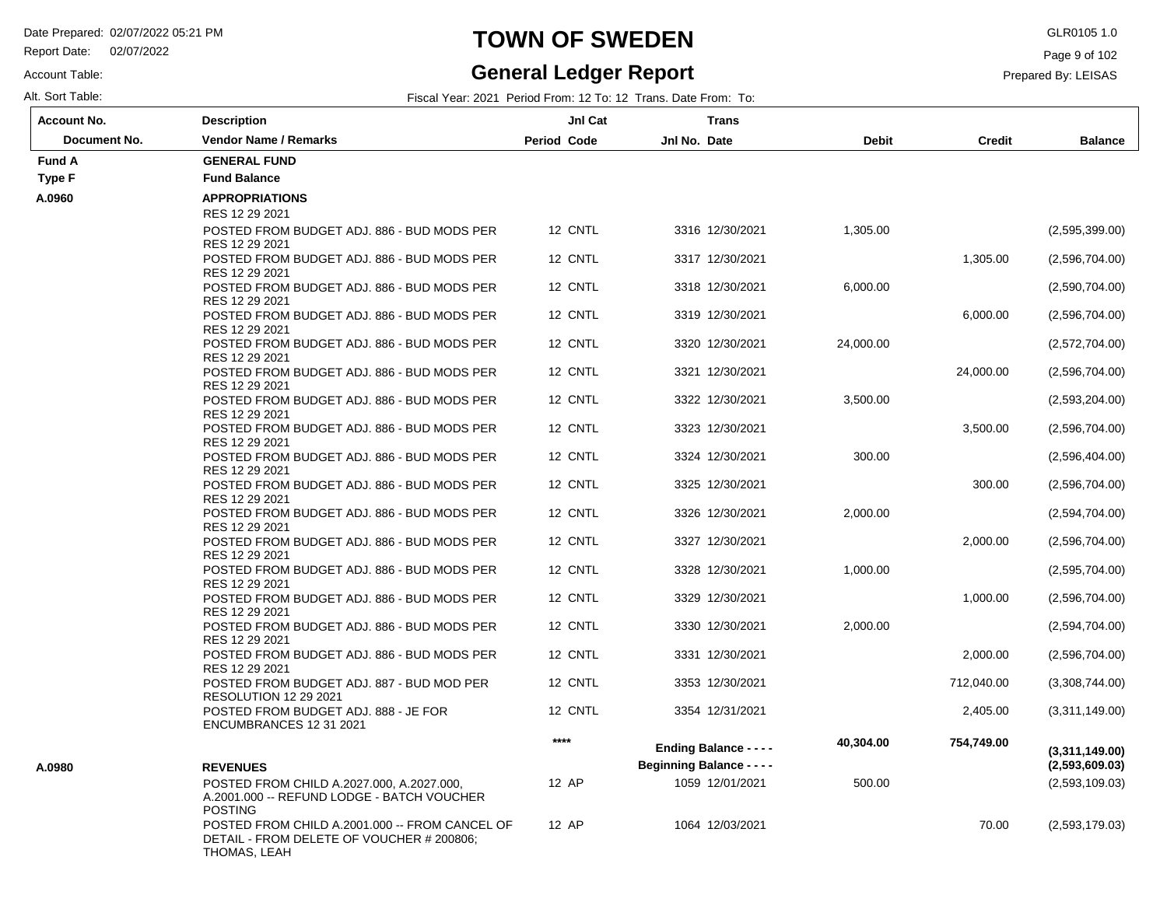Report Date: 02/07/2022

#### Account Table:

### **General Ledger Report**

Page 9 of 102

Prepared By: LEISAS

| <b>Account No.</b> | <b>Description</b>                                                                                                           | JnI Cat            |                                  | <b>Trans</b>                  |              |               |                                  |
|--------------------|------------------------------------------------------------------------------------------------------------------------------|--------------------|----------------------------------|-------------------------------|--------------|---------------|----------------------------------|
| Document No.       | <b>Vendor Name / Remarks</b>                                                                                                 | <b>Period Code</b> | Jnl No. Date                     |                               | <b>Debit</b> | <b>Credit</b> | <b>Balance</b>                   |
| <b>Fund A</b>      | <b>GENERAL FUND</b>                                                                                                          |                    |                                  |                               |              |               |                                  |
| <b>Type F</b>      | <b>Fund Balance</b>                                                                                                          |                    |                                  |                               |              |               |                                  |
| A.0960             | <b>APPROPRIATIONS</b>                                                                                                        |                    |                                  |                               |              |               |                                  |
|                    | RES 12 29 2021                                                                                                               |                    |                                  |                               |              |               |                                  |
|                    | POSTED FROM BUDGET ADJ. 886 - BUD MODS PER<br>RES 12 29 2021                                                                 | 12 CNTL            |                                  | 3316 12/30/2021               | 1,305.00     |               | (2,595,399.00)                   |
|                    | POSTED FROM BUDGET ADJ. 886 - BUD MODS PER<br>RES 12 29 2021                                                                 | 12 CNTL            |                                  | 3317 12/30/2021               |              | 1,305.00      | (2,596,704.00)                   |
|                    | POSTED FROM BUDGET ADJ. 886 - BUD MODS PER<br>RES 12 29 2021                                                                 | 12 CNTL            |                                  | 3318 12/30/2021               | 6,000.00     |               | (2,590,704.00)                   |
|                    | POSTED FROM BUDGET ADJ, 886 - BUD MODS PER<br>RES 12 29 2021                                                                 | 12 CNTL            |                                  | 3319 12/30/2021               |              | 6,000.00      | (2,596,704.00)                   |
|                    | POSTED FROM BUDGET ADJ. 886 - BUD MODS PER<br>RES 12 29 2021                                                                 | 12 CNTL            |                                  | 3320 12/30/2021               | 24,000.00    |               | (2,572,704.00)                   |
|                    | POSTED FROM BUDGET ADJ. 886 - BUD MODS PER<br>RES 12 29 2021                                                                 | 12 CNTL            |                                  | 3321 12/30/2021               |              | 24,000.00     | (2,596,704.00)                   |
|                    | POSTED FROM BUDGET ADJ. 886 - BUD MODS PER<br>RES 12 29 2021                                                                 | 12 CNTL            |                                  | 3322 12/30/2021               | 3,500.00     |               | (2,593,204.00)                   |
|                    | POSTED FROM BUDGET ADJ. 886 - BUD MODS PER<br>RES 12 29 2021                                                                 | 12 CNTL            |                                  | 3323 12/30/2021               |              | 3,500.00      | (2,596,704.00)                   |
|                    | POSTED FROM BUDGET ADJ. 886 - BUD MODS PER<br>RES 12 29 2021                                                                 | 12 CNTL            |                                  | 3324 12/30/2021               | 300.00       |               | (2,596,404.00)                   |
|                    | POSTED FROM BUDGET ADJ. 886 - BUD MODS PER<br>RES 12 29 2021                                                                 | 12 CNTL            |                                  | 3325 12/30/2021               |              | 300.00        | (2,596,704.00)                   |
|                    | POSTED FROM BUDGET ADJ. 886 - BUD MODS PER<br>RES 12 29 2021                                                                 | 12 CNTL            |                                  | 3326 12/30/2021               | 2,000.00     |               | (2,594,704.00)                   |
|                    | POSTED FROM BUDGET ADJ. 886 - BUD MODS PER<br>RES 12 29 2021                                                                 | 12 CNTL            |                                  | 3327 12/30/2021               |              | 2,000.00      | (2,596,704.00)                   |
|                    | POSTED FROM BUDGET ADJ. 886 - BUD MODS PER<br>RES 12 29 2021                                                                 | 12 CNTL            |                                  | 3328 12/30/2021               | 1,000.00     |               | (2,595,704.00)                   |
|                    | POSTED FROM BUDGET ADJ. 886 - BUD MODS PER<br>RES 12 29 2021                                                                 | 12 CNTL            |                                  | 3329 12/30/2021               |              | 1,000.00      | (2,596,704.00)                   |
|                    | POSTED FROM BUDGET ADJ. 886 - BUD MODS PER<br>RES 12 29 2021                                                                 | 12 CNTL            |                                  | 3330 12/30/2021               | 2,000.00     |               | (2,594,704.00)                   |
|                    | POSTED FROM BUDGET ADJ. 886 - BUD MODS PER<br>RES 12 29 2021                                                                 | 12 CNTL            |                                  | 3331 12/30/2021               |              | 2,000.00      | (2,596,704.00)                   |
|                    | POSTED FROM BUDGET ADJ. 887 - BUD MOD PER<br><b>RESOLUTION 12 29 2021</b>                                                    | 12 CNTL            |                                  | 3353 12/30/2021               |              | 712,040.00    | (3,308,744.00)                   |
|                    | POSTED FROM BUDGET ADJ. 888 - JE FOR<br>ENCUMBRANCES 12 31 2021                                                              | 12 CNTL            |                                  | 3354 12/31/2021               |              | 2,405.00      | (3,311,149.00)                   |
|                    |                                                                                                                              | ****               | <b>Beginning Balance - - - -</b> | <b>Ending Balance - - - -</b> | 40,304.00    | 754,749.00    | (3,311,149.00)<br>(2,593,609.03) |
| A.0980             | <b>REVENUES</b><br>POSTED FROM CHILD A.2027.000, A.2027.000,<br>A.2001.000 -- REFUND LODGE - BATCH VOUCHER<br><b>POSTING</b> | 12 AP              |                                  | 1059 12/01/2021               | 500.00       |               | (2,593,109.03)                   |
|                    | POSTED FROM CHILD A.2001.000 -- FROM CANCEL OF<br>DETAIL - FROM DELETE OF VOUCHER # 200806;<br>THOMAS, LEAH                  | 12 AP              |                                  | 1064 12/03/2021               |              | 70.00         | (2,593,179.03)                   |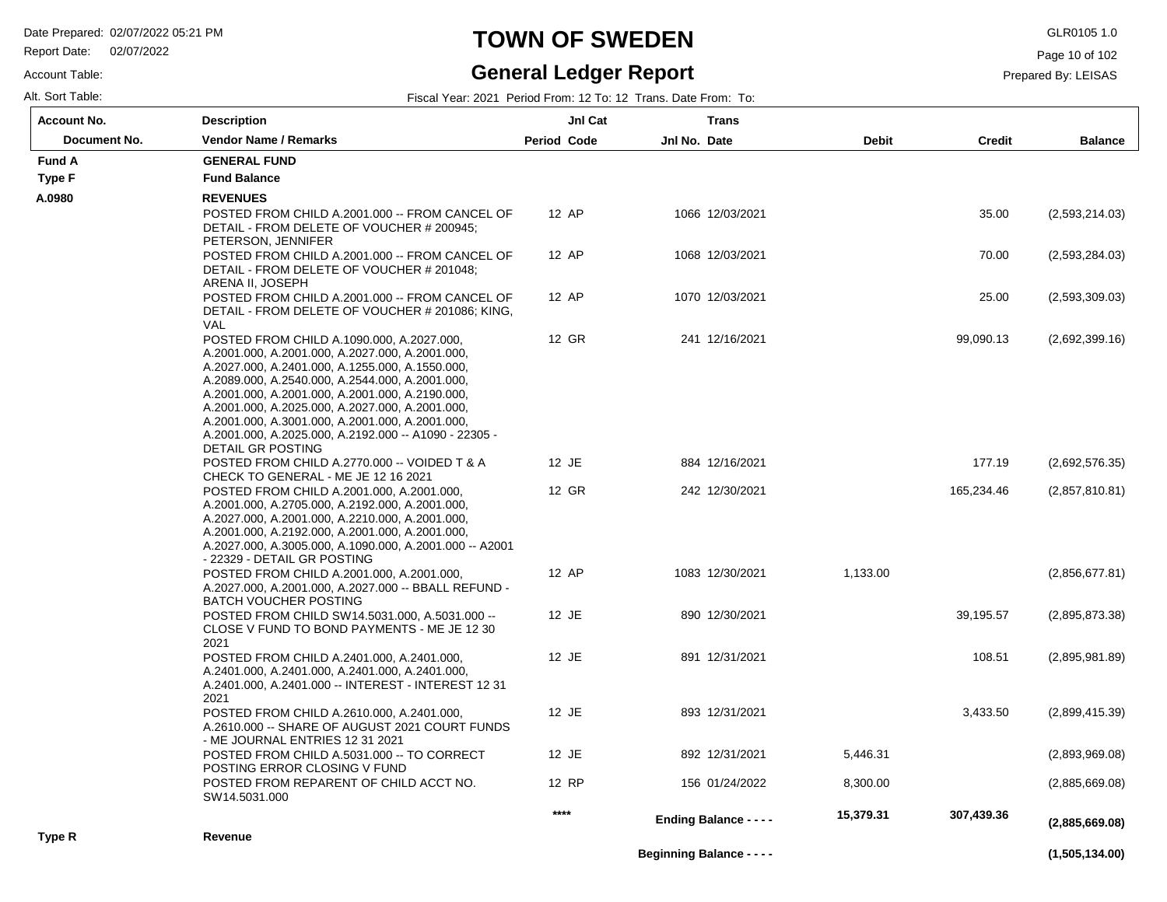Report Date: 02/07/2022

#### Account Table:

# **TOWN OF SWEDEN** GLR0105 1.0

#### **General Ledger Report**

Page 10 of 102

| Alt. Sort Table: | Fiscal Year: 2021 Period From: 12 To: 12 Trans. Date From: To: |  |
|------------------|----------------------------------------------------------------|--|
|                  |                                                                |  |

| <b>Account No.</b> | <b>Description</b>                                                                                                                                                                                                                                                                                                                                                                                                                        | JnI Cat            |              | <b>Trans</b>                     |              |               |                |
|--------------------|-------------------------------------------------------------------------------------------------------------------------------------------------------------------------------------------------------------------------------------------------------------------------------------------------------------------------------------------------------------------------------------------------------------------------------------------|--------------------|--------------|----------------------------------|--------------|---------------|----------------|
| Document No.       | <b>Vendor Name / Remarks</b>                                                                                                                                                                                                                                                                                                                                                                                                              | <b>Period Code</b> | Jnl No. Date |                                  | <b>Debit</b> | <b>Credit</b> | <b>Balance</b> |
| <b>Fund A</b>      | <b>GENERAL FUND</b>                                                                                                                                                                                                                                                                                                                                                                                                                       |                    |              |                                  |              |               |                |
| Type F             | <b>Fund Balance</b>                                                                                                                                                                                                                                                                                                                                                                                                                       |                    |              |                                  |              |               |                |
| A.0980             | <b>REVENUES</b>                                                                                                                                                                                                                                                                                                                                                                                                                           |                    |              |                                  |              |               |                |
|                    | POSTED FROM CHILD A.2001.000 -- FROM CANCEL OF<br>DETAIL - FROM DELETE OF VOUCHER # 200945;<br>PETERSON, JENNIFER                                                                                                                                                                                                                                                                                                                         | 12 AP              |              | 1066 12/03/2021                  |              | 35.00         | (2,593,214.03) |
|                    | POSTED FROM CHILD A.2001.000 -- FROM CANCEL OF<br>DETAIL - FROM DELETE OF VOUCHER # 201048;<br>ARENA II, JOSEPH                                                                                                                                                                                                                                                                                                                           | 12 AP              |              | 1068 12/03/2021                  |              | 70.00         | (2,593,284.03) |
|                    | POSTED FROM CHILD A.2001.000 -- FROM CANCEL OF<br>DETAIL - FROM DELETE OF VOUCHER # 201086; KING,<br>VAL                                                                                                                                                                                                                                                                                                                                  | 12 AP              |              | 1070 12/03/2021                  |              | 25.00         | (2,593,309.03) |
|                    | POSTED FROM CHILD A.1090.000, A.2027.000,<br>A.2001.000, A.2001.000, A.2027.000, A.2001.000,<br>A.2027.000, A.2401.000, A.1255.000, A.1550.000,<br>A.2089.000, A.2540.000, A.2544.000, A.2001.000,<br>A.2001.000, A.2001.000, A.2001.000, A.2190.000,<br>A.2001.000, A.2025.000, A.2027.000, A.2001.000,<br>A.2001.000, A.3001.000, A.2001.000, A.2001.000,<br>A.2001.000, A.2025.000, A.2192.000 -- A1090 - 22305 -<br>DETAIL GR POSTING | 12 GR              |              | 241 12/16/2021                   |              | 99,090.13     | (2,692,399.16) |
|                    | POSTED FROM CHILD A.2770.000 -- VOIDED T & A                                                                                                                                                                                                                                                                                                                                                                                              | 12 JE              |              | 884 12/16/2021                   |              | 177.19        | (2,692,576.35) |
|                    | CHECK TO GENERAL - ME JE 12 16 2021<br>POSTED FROM CHILD A.2001.000, A.2001.000,<br>A.2001.000, A.2705.000, A.2192.000, A.2001.000,<br>A.2027.000, A.2001.000, A.2210.000, A.2001.000,<br>A.2001.000, A.2192.000, A.2001.000, A.2001.000,<br>A.2027.000, A.3005.000, A.1090.000, A.2001.000 -- A2001<br>- 22329 - DETAIL GR POSTING                                                                                                       | 12 GR              |              | 242 12/30/2021                   |              | 165,234.46    | (2,857,810.81) |
|                    | POSTED FROM CHILD A.2001.000, A.2001.000,<br>A.2027.000, A.2001.000, A.2027.000 -- BBALL REFUND -<br><b>BATCH VOUCHER POSTING</b>                                                                                                                                                                                                                                                                                                         | 12 AP              |              | 1083 12/30/2021                  | 1,133.00     |               | (2,856,677.81) |
|                    | POSTED FROM CHILD SW14.5031.000, A.5031.000 --<br>CLOSE V FUND TO BOND PAYMENTS - ME JE 12 30<br>2021                                                                                                                                                                                                                                                                                                                                     | 12 JE              |              | 890 12/30/2021                   |              | 39,195.57     | (2,895,873.38) |
|                    | POSTED FROM CHILD A.2401.000, A.2401.000,<br>A.2401.000, A.2401.000, A.2401.000, A.2401.000,<br>A.2401.000, A.2401.000 -- INTEREST - INTEREST 12 31<br>2021                                                                                                                                                                                                                                                                               | 12 JE              |              | 891 12/31/2021                   |              | 108.51        | (2,895,981.89) |
|                    | POSTED FROM CHILD A.2610.000, A.2401.000,<br>A.2610.000 -- SHARE OF AUGUST 2021 COURT FUNDS<br>- ME JOURNAL ENTRIES 12 31 2021                                                                                                                                                                                                                                                                                                            | 12 JE              |              | 893 12/31/2021                   |              | 3,433.50      | (2,899,415.39) |
|                    | POSTED FROM CHILD A.5031.000 -- TO CORRECT<br>POSTING ERROR CLOSING V FUND                                                                                                                                                                                                                                                                                                                                                                | 12 JE              |              | 892 12/31/2021                   | 5,446.31     |               | (2,893,969.08) |
|                    | POSTED FROM REPARENT OF CHILD ACCT NO.<br>SW14.5031.000                                                                                                                                                                                                                                                                                                                                                                                   | 12 RP              |              | 156 01/24/2022                   | 8,300.00     |               | (2,885,669.08) |
|                    |                                                                                                                                                                                                                                                                                                                                                                                                                                           | ****               |              | <b>Ending Balance - - - -</b>    | 15,379.31    | 307,439.36    | (2,885,669.08) |
| Type R             | Revenue                                                                                                                                                                                                                                                                                                                                                                                                                                   |                    |              | <b>Beginning Balance - - - -</b> |              |               | (1,505,134.00) |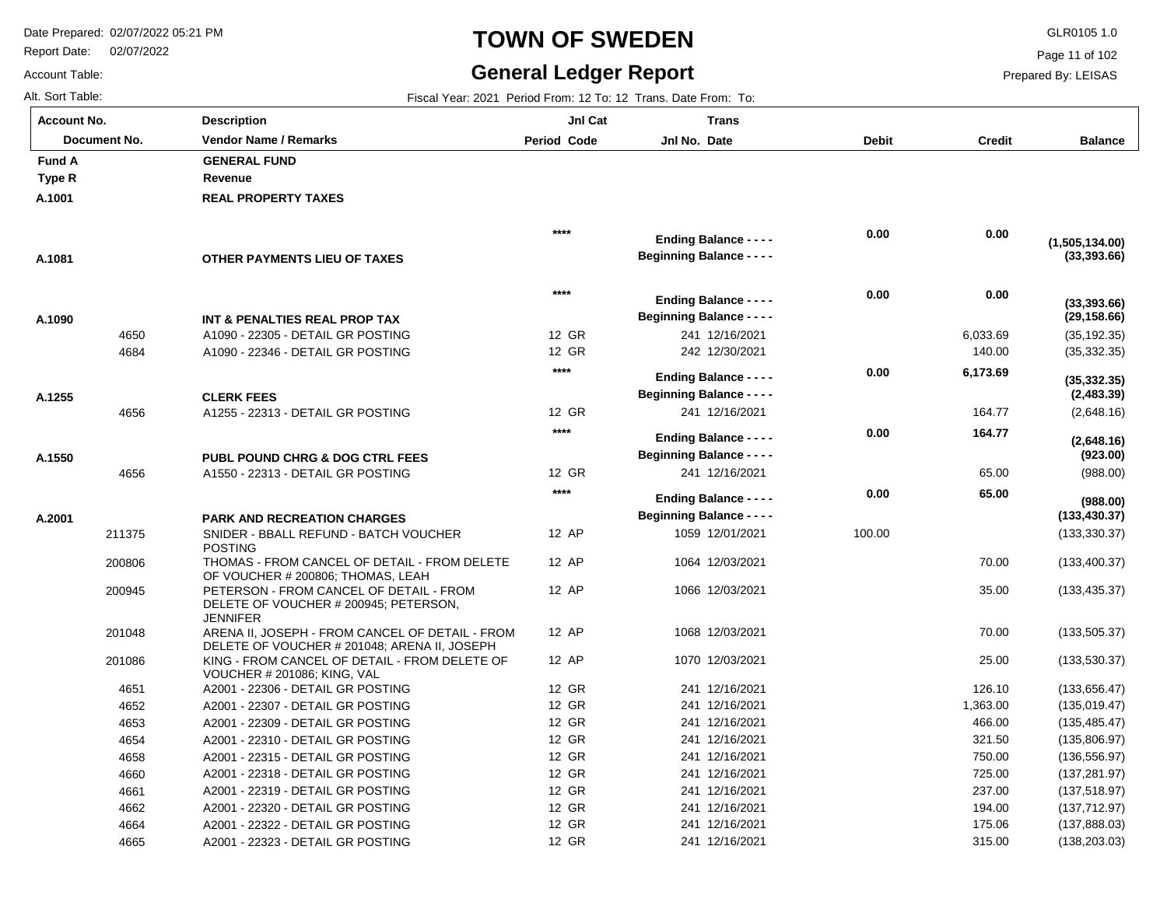4662 4664 4665

A2001 - 22320 - DETAIL GR POSTING A2001 - 22322 - DETAIL GR POSTING A2001 - 22323 - DETAIL GR POSTING

Report Date: 02/07/2022

# **TOWN OF SWEDEN** GLR0105 1.0

#### **General Ledger Report**

**Balance**

(35,192.35) (35,332.35)

**(29,158.66)**

**(33,393.66)**

**(33,393.66)**

**(1,505,134.00)**

(2,648.16)

**(2,648.16)**

**(2,483.39)**

**(35,332.35)**

(988.00)

**(988.00)**

**(923.00)**

(133,330.37) (133,400.37) (133,435.37)

**(133,430.37)**

(133,505.37) (133,530.37) (133,656.47) (135,019.47) (135,485.47) (135,806.97) (136,556.97) (137,281.97) (137,518.97) (137,712.97) (137,888.03) (138,203.03)

Page 11 of 102

Prepared By: LEISAS

 70.00 25.00 126.10 1,363.00 466.00 321.50 750.00 725.00 237.00 194.00 175.06 315.00

Account Table: Alt. Sort Table: Fiscal Year: 2021 Period From: 12 To: 12 Trans. Date From: To: **Account No.**

**A.1001**

**Type R Fund A** 

**A.1081**

**A.1090**

**A.1255**

**A.1550**

**A.2001**

| unt No.      | <b>Description</b>                                                                                  | JnI Cat            | <b>Trans</b>                     |        |               |
|--------------|-----------------------------------------------------------------------------------------------------|--------------------|----------------------------------|--------|---------------|
| Document No. | Vendor Name / Remarks                                                                               | <b>Period Code</b> | Jnl No. Date                     | Debit  | <b>Credit</b> |
| ΙA           | <b>GENERAL FUND</b>                                                                                 |                    |                                  |        |               |
| ιR.          | Revenue                                                                                             |                    |                                  |        |               |
| )1           | <b>REAL PROPERTY TAXES</b>                                                                          |                    |                                  |        |               |
|              |                                                                                                     | $****$             |                                  | 0.00   | 0.00          |
|              |                                                                                                     |                    | <b>Ending Balance - - - -</b>    |        |               |
| 31           | OTHER PAYMENTS LIEU OF TAXES                                                                        |                    | <b>Beginning Balance - - - -</b> |        |               |
|              |                                                                                                     | $****$             | <b>Ending Balance - - - -</b>    | 0.00   | 0.00          |
|              |                                                                                                     |                    | <b>Beginning Balance - - - -</b> |        |               |
| 90<br>4650   | INT & PENALTIES REAL PROP TAX<br>A1090 - 22305 - DETAIL GR POSTING                                  | 12 GR              | 241 12/16/2021                   |        | 6,033.69      |
| 4684         |                                                                                                     | 12 GR              | 242 12/30/2021                   |        | 140.00        |
|              | A1090 - 22346 - DETAIL GR POSTING                                                                   | $****$             |                                  |        |               |
|              |                                                                                                     |                    | <b>Ending Balance - - - -</b>    | 0.00   | 6,173.69      |
| 55           | <b>CLERK FEES</b>                                                                                   |                    | <b>Beginning Balance - - - -</b> |        |               |
| 4656         | A1255 - 22313 - DETAIL GR POSTING                                                                   | 12 GR              | 241 12/16/2021                   |        | 164.77        |
|              |                                                                                                     | $****$             | <b>Ending Balance - - - -</b>    | 0.00   | 164.77        |
| 50           | <b>PUBL POUND CHRG &amp; DOG CTRL FEES</b>                                                          |                    | <b>Beginning Balance - - - -</b> |        |               |
| 4656         | A1550 - 22313 - DETAIL GR POSTING                                                                   | 12 GR              | 241 12/16/2021                   |        | 65.00         |
|              |                                                                                                     | $****$             | <b>Ending Balance - - - -</b>    | 0.00   | 65.00         |
| )1           | <b>PARK AND RECREATION CHARGES</b>                                                                  |                    | <b>Beginning Balance - - - -</b> |        |               |
| 211375       | SNIDER - BBALL REFUND - BATCH VOUCHER<br><b>POSTING</b>                                             | 12 AP              | 1059 12/01/2021                  | 100.00 |               |
| 200806       | THOMAS - FROM CANCEL OF DETAIL - FROM DELETE<br>OF VOUCHER # 200806; THOMAS, LEAH                   | 12 AP              | 1064 12/03/2021                  |        | 70.00         |
| 200945       | PETERSON - FROM CANCEL OF DETAIL - FROM<br>DELETE OF VOUCHER # 200945; PETERSON,<br><b>JENNIFER</b> | 12 AP              | 1066 12/03/2021                  |        | 35.00         |
| 201048       | ARENA II, JOSEPH - FROM CANCEL OF DETAIL - FROM<br>DELETE OF VOUCHER # 201048; ARENA II, JOSEPH     | 12 AP              | 1068 12/03/2021                  |        | 70.00         |
| 201086       | KING - FROM CANCEL OF DETAIL - FROM DELETE OF<br>VOUCHER # 201086; KING, VAL                        | 12 AP              | 1070 12/03/2021                  |        | 25.00         |
| 4651         | A2001 - 22306 - DETAIL GR POSTING                                                                   | 12 GR              | 241 12/16/2021                   |        | 126.10        |
| 4652         | A2001 - 22307 - DETAIL GR POSTING                                                                   | 12 GR              | 241 12/16/2021                   |        | 1,363.00      |
| 4653         | A2001 - 22309 - DETAIL GR POSTING                                                                   | 12 GR              | 241 12/16/2021                   |        | 466.00        |
| 4654         | A2001 - 22310 - DETAIL GR POSTING                                                                   | 12 GR              | 241 12/16/2021                   |        | 321.50        |
| 4658         | A2001 - 22315 - DETAIL GR POSTING                                                                   | 12 GR              | 241 12/16/2021                   |        | 750.00        |
| 4660         | A2001 - 22318 - DETAIL GR POSTING                                                                   | 12 GR              | 241 12/16/2021                   |        | 725.00        |
| 4661         | A2001 - 22319 - DETAIL GR POSTING                                                                   | 12 GR              | 241 12/16/2021                   |        | 237.00        |

12 GR 12 GR 12 GR 241 12/16/2021 241 12/16/2021 241 12/16/2021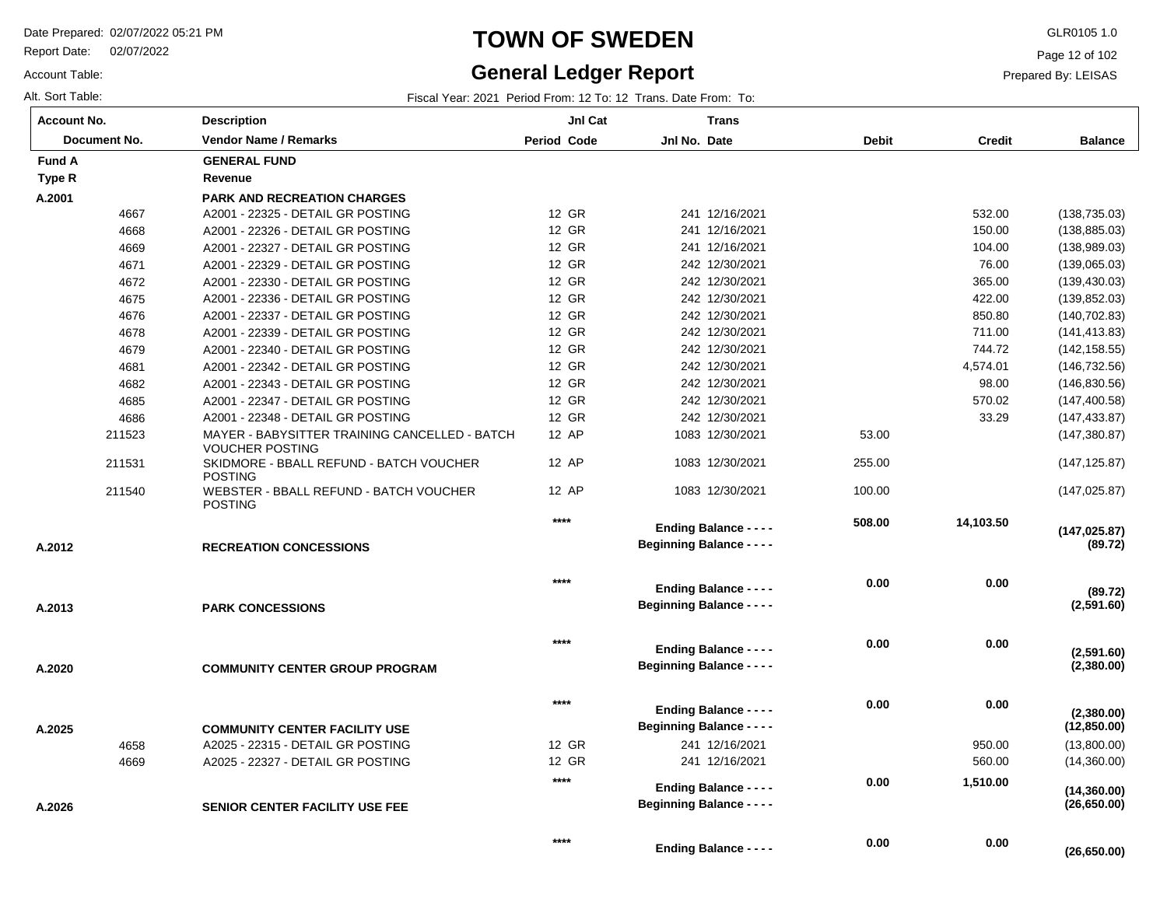Report Date: 02/07/2022

Account Table:

## **TOWN OF SWEDEN** GLR0105 1.0

#### **General Ledger Report**

**(26,650.00)**

Page 12 of 102

| Alt. Sort Table: | Fiscal Year: 2021 Period From: 12 To: 12 Trans, Date From: To: |  |
|------------------|----------------------------------------------------------------|--|
|------------------|----------------------------------------------------------------|--|

| <b>Account No.</b>  | <b>Description</b>                                                      | JnI Cat            | <b>Trans</b>                                                      |              |               |                          |
|---------------------|-------------------------------------------------------------------------|--------------------|-------------------------------------------------------------------|--------------|---------------|--------------------------|
| <b>Document No.</b> | <b>Vendor Name / Remarks</b>                                            | <b>Period Code</b> | Jnl No. Date                                                      | <b>Debit</b> | <b>Credit</b> | <b>Balance</b>           |
| <b>Fund A</b>       | <b>GENERAL FUND</b>                                                     |                    |                                                                   |              |               |                          |
| Type R              | Revenue                                                                 |                    |                                                                   |              |               |                          |
| A.2001              | <b>PARK AND RECREATION CHARGES</b>                                      |                    |                                                                   |              |               |                          |
| 4667                | A2001 - 22325 - DETAIL GR POSTING                                       | 12 GR              | 241 12/16/2021                                                    |              | 532.00        | (138, 735.03)            |
| 4668                | A2001 - 22326 - DETAIL GR POSTING                                       | 12 GR              | 241 12/16/2021                                                    |              | 150.00        | (138, 885.03)            |
| 4669                | A2001 - 22327 - DETAIL GR POSTING                                       | 12 GR              | 241 12/16/2021                                                    |              | 104.00        | (138, 989.03)            |
| 4671                | A2001 - 22329 - DETAIL GR POSTING                                       | 12 GR              | 242 12/30/2021                                                    |              | 76.00         | (139,065.03)             |
| 4672                | A2001 - 22330 - DETAIL GR POSTING                                       | 12 GR              | 242 12/30/2021                                                    |              | 365.00        | (139, 430.03)            |
| 4675                | A2001 - 22336 - DETAIL GR POSTING                                       | 12 GR              | 242 12/30/2021                                                    |              | 422.00        | (139, 852.03)            |
| 4676                | A2001 - 22337 - DETAIL GR POSTING                                       | 12 GR              | 242 12/30/2021                                                    |              | 850.80        | (140, 702.83)            |
| 4678                | A2001 - 22339 - DETAIL GR POSTING                                       | 12 GR              | 242 12/30/2021                                                    |              | 711.00        | (141, 413.83)            |
| 4679                | A2001 - 22340 - DETAIL GR POSTING                                       | 12 GR              | 242 12/30/2021                                                    |              | 744.72        | (142, 158.55)            |
| 4681                | A2001 - 22342 - DETAIL GR POSTING                                       | 12 GR              | 242 12/30/2021                                                    |              | 4,574.01      | (146, 732.56)            |
| 4682                | A2001 - 22343 - DETAIL GR POSTING                                       | 12 GR              | 242 12/30/2021                                                    |              | 98.00         | (146, 830.56)            |
| 4685                | A2001 - 22347 - DETAIL GR POSTING                                       | 12 GR              | 242 12/30/2021                                                    |              | 570.02        | (147, 400.58)            |
| 4686                | A2001 - 22348 - DETAIL GR POSTING                                       | 12 GR              | 242 12/30/2021                                                    |              | 33.29         | (147, 433.87)            |
| 211523              | MAYER - BABYSITTER TRAINING CANCELLED - BATCH<br><b>VOUCHER POSTING</b> | 12 AP              | 1083 12/30/2021                                                   | 53.00        |               | (147, 380.87)            |
| 211531              | SKIDMORE - BBALL REFUND - BATCH VOUCHER<br><b>POSTING</b>               | 12 AP              | 1083 12/30/2021                                                   | 255.00       |               | (147, 125.87)            |
| 211540              | WEBSTER - BBALL REFUND - BATCH VOUCHER<br><b>POSTING</b>                | 12 AP              | 1083 12/30/2021                                                   | 100.00       |               | (147, 025.87)            |
|                     |                                                                         | $****$             | <b>Ending Balance - - - -</b>                                     | 508.00       | 14,103.50     | (147, 025.87)            |
| A.2012              | <b>RECREATION CONCESSIONS</b>                                           |                    | <b>Beginning Balance - - - -</b>                                  |              |               | (89.72)                  |
|                     |                                                                         | $***$              | <b>Ending Balance - - - -</b>                                     | 0.00         | 0.00          | (89.72)                  |
| A.2013              | <b>PARK CONCESSIONS</b>                                                 |                    | <b>Beginning Balance - - - -</b>                                  |              |               | (2,591.60)               |
|                     |                                                                         | $***$              | <b>Ending Balance - - - -</b>                                     | 0.00         | 0.00          |                          |
| A.2020              | <b>COMMUNITY CENTER GROUP PROGRAM</b>                                   |                    | <b>Beginning Balance - - - -</b>                                  |              |               | (2,591.60)<br>(2,380.00) |
|                     |                                                                         | $***$              |                                                                   | 0.00         | 0.00          |                          |
|                     |                                                                         |                    | <b>Ending Balance - - - -</b><br><b>Beginning Balance - - - -</b> |              |               | (2,380.00)               |
| A.2025              | <b>COMMUNITY CENTER FACILITY USE</b>                                    |                    |                                                                   |              |               | (12,850.00)              |
| 4658                | A2025 - 22315 - DETAIL GR POSTING                                       | 12 GR              | 241 12/16/2021                                                    |              | 950.00        | (13,800.00)              |
| 4669                | A2025 - 22327 - DETAIL GR POSTING                                       | 12 GR              | 241 12/16/2021                                                    |              | 560.00        | (14,360.00)              |
|                     |                                                                         | $***$              | <b>Ending Balance - - - -</b>                                     | 0.00         | 1,510.00      | (14, 360.00)             |
| A.2026              | <b>SENIOR CENTER FACILITY USE FEE</b>                                   |                    | <b>Beginning Balance - - - -</b>                                  |              |               | (26, 650.00)             |
|                     |                                                                         | $***$              | <b>Ending Balance - - - -</b>                                     | 0.00         | 0.00          | (26.650.00)              |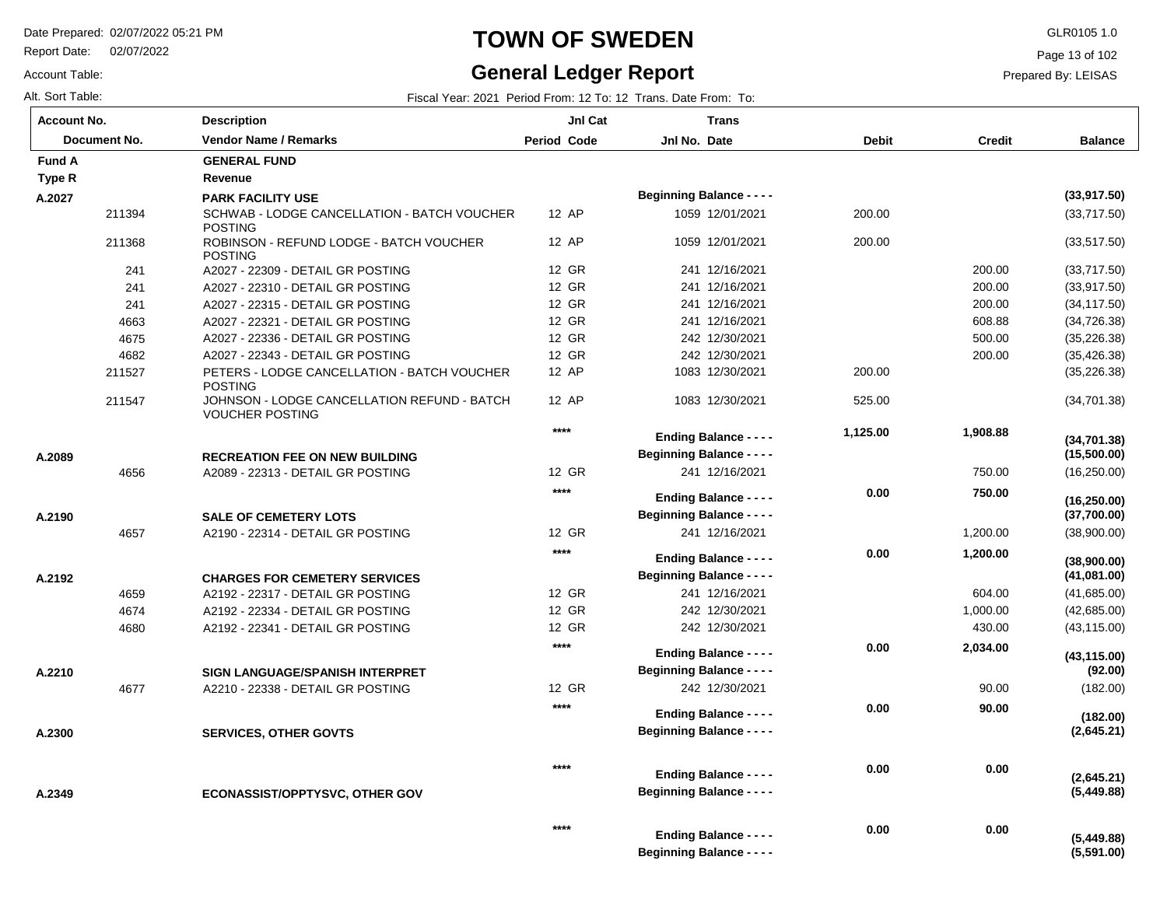Report Date: 02/07/2022

#### Account Table:

### **TOWN OF SWEDEN** GLR0105 1.0

# **General Ledger Report**

Page 13 of 102

#### Prepared By: LEISAS

| <b>Account No.</b> | <b>Description</b>                                                    | JnI Cat            | <b>Trans</b>                                                      |              |               |                            |
|--------------------|-----------------------------------------------------------------------|--------------------|-------------------------------------------------------------------|--------------|---------------|----------------------------|
| Document No.       | <b>Vendor Name / Remarks</b>                                          | <b>Period Code</b> | Jnl No. Date                                                      | <b>Debit</b> | <b>Credit</b> | <b>Balance</b>             |
| <b>Fund A</b>      | <b>GENERAL FUND</b>                                                   |                    |                                                                   |              |               |                            |
| Type R             | Revenue                                                               |                    |                                                                   |              |               |                            |
| A.2027             | <b>PARK FACILITY USE</b>                                              |                    | <b>Beginning Balance - - - -</b>                                  |              |               | (33,917.50)                |
| 211394             | SCHWAB - LODGE CANCELLATION - BATCH VOUCHER<br><b>POSTING</b>         | 12 AP              | 1059 12/01/2021                                                   | 200.00       |               | (33,717.50)                |
| 211368             | ROBINSON - REFUND LODGE - BATCH VOUCHER<br><b>POSTING</b>             | 12 AP              | 1059 12/01/2021                                                   | 200.00       |               | (33, 517.50)               |
| 241                | A2027 - 22309 - DETAIL GR POSTING                                     | 12 GR              | 241 12/16/2021                                                    |              | 200.00        | (33,717.50)                |
| 241                | A2027 - 22310 - DETAIL GR POSTING                                     | 12 GR              | 241 12/16/2021                                                    |              | 200.00        | (33, 917.50)               |
| 241                | A2027 - 22315 - DETAIL GR POSTING                                     | 12 GR              | 241 12/16/2021                                                    |              | 200.00        | (34, 117.50)               |
| 4663               | A2027 - 22321 - DETAIL GR POSTING                                     | 12 GR              | 241 12/16/2021                                                    |              | 608.88        | (34, 726.38)               |
| 4675               | A2027 - 22336 - DETAIL GR POSTING                                     | 12 GR              | 242 12/30/2021                                                    |              | 500.00        | (35, 226.38)               |
| 4682               | A2027 - 22343 - DETAIL GR POSTING                                     | 12 GR              | 242 12/30/2021                                                    |              | 200.00        | (35, 426.38)               |
| 211527             | PETERS - LODGE CANCELLATION - BATCH VOUCHER<br><b>POSTING</b>         | 12 AP              | 1083 12/30/2021                                                   | 200.00       |               | (35, 226.38)               |
| 211547             | JOHNSON - LODGE CANCELLATION REFUND - BATCH<br><b>VOUCHER POSTING</b> | 12 AP              | 1083 12/30/2021                                                   | 525.00       |               | (34, 701.38)               |
|                    |                                                                       | $***$              | <b>Ending Balance - - - -</b>                                     | 1,125.00     | 1,908.88      | (34,701.38)                |
| A.2089             | <b>RECREATION FEE ON NEW BUILDING</b>                                 |                    | <b>Beginning Balance - - - -</b>                                  |              |               | (15,500.00)                |
| 4656               | A2089 - 22313 - DETAIL GR POSTING                                     | 12 GR              | 241 12/16/2021                                                    |              | 750.00        | (16, 250.00)               |
|                    |                                                                       | $***$              | <b>Ending Balance - - - -</b>                                     | 0.00         | 750.00        | (16, 250.00)               |
| A.2190             | <b>SALE OF CEMETERY LOTS</b>                                          |                    | <b>Beginning Balance - - - -</b>                                  |              |               | (37,700.00)                |
| 4657               | A2190 - 22314 - DETAIL GR POSTING                                     | 12 GR              | 241 12/16/2021                                                    |              | 1,200.00      | (38,900.00)                |
| A.2192             | <b>CHARGES FOR CEMETERY SERVICES</b>                                  | $***$              | <b>Ending Balance - - - -</b><br><b>Beginning Balance - - - -</b> | 0.00         | 1,200.00      | (38,900.00)<br>(41,081.00) |
| 4659               | A2192 - 22317 - DETAIL GR POSTING                                     | 12 GR              | 241 12/16/2021                                                    |              | 604.00        | (41,685.00)                |
| 4674               | A2192 - 22334 - DETAIL GR POSTING                                     | 12 GR              | 242 12/30/2021                                                    |              | 1,000.00      | (42,685.00)                |
| 4680               | A2192 - 22341 - DETAIL GR POSTING                                     | 12 GR              | 242 12/30/2021                                                    |              | 430.00        | (43, 115.00)               |
| A.2210             | SIGN LANGUAGE/SPANISH INTERPRET                                       | $***$              | <b>Ending Balance - - - -</b><br><b>Beginning Balance - - - -</b> | 0.00         | 2,034.00      | (43, 115.00)<br>(92.00)    |
| 4677               | A2210 - 22338 - DETAIL GR POSTING                                     | 12 GR              | 242 12/30/2021                                                    |              | 90.00         | (182.00)                   |
|                    |                                                                       | $***$              |                                                                   | 0.00         | 90.00         |                            |
| A.2300             | <b>SERVICES, OTHER GOVTS</b>                                          |                    | <b>Ending Balance - - - -</b><br><b>Beginning Balance - - - -</b> |              |               | (182.00)<br>(2,645.21)     |
| A.2349             | <b>ECONASSIST/OPPTYSVC, OTHER GOV</b>                                 | ****               | <b>Ending Balance - - - -</b><br><b>Beginning Balance - - - -</b> | 0.00         | 0.00          | (2,645.21)<br>(5,449.88)   |
|                    |                                                                       | ****               | <b>Ending Balance - - - -</b><br><b>Beginning Balance - - - -</b> | 0.00         | 0.00          | (5,449.88)<br>(5,591.00)   |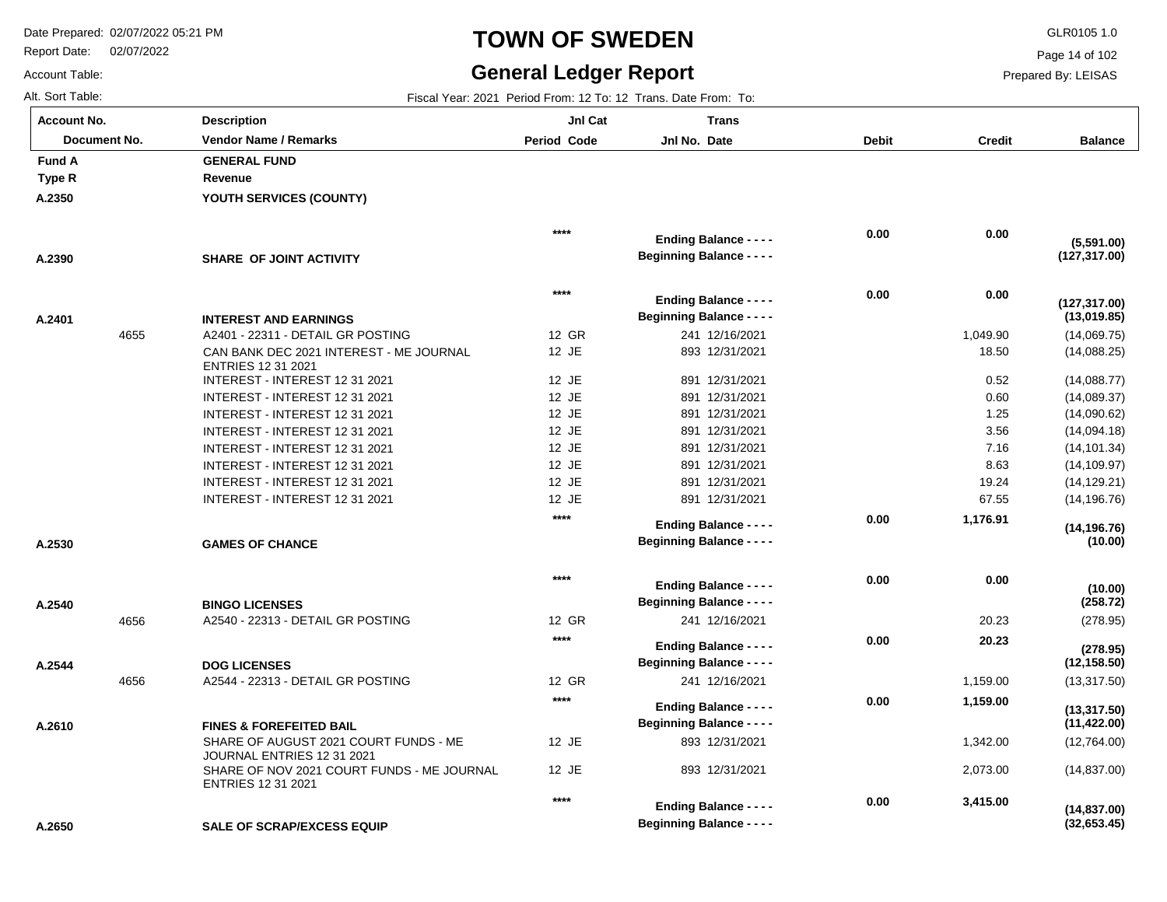**Description**

Report Date: 02/07/2022

# **TOWN OF SWEDEN** GLR0105 1.0

#### **General Ledger Report**

**Jnl Cat**

**Trans**

**Balance**

(14,069.75) (14,088.25) (14,088.77) (14,089.37) (14,090.62) (14,094.18) (14,101.34) (14,109.97) (14,129.21) (14,196.76)

**(13,019.85)**

**(127,317.00)**

**(127,317.00)**

**(5,591.00)**

(278.95)

**(278.95)**

**(258.72)**

**(10.00)**

**(10.00)**

**(14,196.76)**

(13,317.50)

**(12,158.50)**

(12,764.00) (14,837.00)

**(32,653.45)**

**(14,837.00)**

**(11,422.00)**

**(13,317.50)**

Page 14 of 102

Prepared By: LEISAS

 **3,415.00** 

 **0.00** 

Account Table: Alt. Sort Table: Fiscal Year: 2021 Period From: 12 To: 12 Trans. Date From: To: **Account No.**

**A.2350**

**Type R Fund A** 

**A.2390**

**A.2401**

**A.2530**

**A.2540**

**A.2544**

**A.2610**

| Document No. | <b>Vendor Name / Remarks</b>                                         | <b>Period Code</b> | Jnl No. Date                     | <b>Debit</b> | <b>Credit</b> |
|--------------|----------------------------------------------------------------------|--------------------|----------------------------------|--------------|---------------|
| ΙA           | <b>GENERAL FUND</b>                                                  |                    |                                  |              |               |
| ιR.          | Revenue                                                              |                    |                                  |              |               |
| 50           | YOUTH SERVICES (COUNTY)                                              |                    |                                  |              |               |
|              |                                                                      |                    |                                  |              |               |
|              |                                                                      | ****               | <b>Ending Balance - - - -</b>    | 0.00         | 0.00          |
| 90           | SHARE OF JOINT ACTIVITY                                              |                    | <b>Beginning Balance - - - -</b> |              |               |
|              |                                                                      |                    |                                  |              |               |
|              |                                                                      | $****$             | <b>Ending Balance - - - -</b>    | 0.00         | 0.00          |
|              |                                                                      |                    | <b>Beginning Balance - - - -</b> |              |               |
| )1           | <b>INTEREST AND EARNINGS</b>                                         |                    |                                  |              |               |
| 4655         | A2401 - 22311 - DETAIL GR POSTING                                    | 12 GR              | 241 12/16/2021                   |              | 1,049.90      |
|              | CAN BANK DEC 2021 INTEREST - ME JOURNAL<br><b>ENTRIES 12 31 2021</b> | 12 JE              | 893 12/31/2021                   |              | 18.50         |
|              | INTEREST - INTEREST 12 31 2021                                       | 12 JE              | 891 12/31/2021                   |              | 0.52          |
|              | INTEREST - INTEREST 12 31 2021                                       | 12 JE              | 891 12/31/2021                   |              | 0.60          |
|              | INTEREST - INTEREST 12 31 2021                                       | 12 JE              | 891 12/31/2021                   |              | 1.25          |
|              | INTEREST - INTEREST 12 31 2021                                       | 12 JE              | 891 12/31/2021                   |              | 3.56          |
|              | INTEREST - INTEREST 12 31 2021                                       | 12 JE              | 891 12/31/2021                   |              | 7.16          |
|              | INTEREST - INTEREST 12 31 2021                                       | 12 JE              | 891 12/31/2021                   |              | 8.63          |
|              | INTEREST - INTEREST 12 31 2021                                       | 12 JE              | 891 12/31/2021                   |              | 19.24         |
|              | INTEREST - INTEREST 12 31 2021                                       | 12 JE              | 891 12/31/2021                   |              | 67.55         |
|              |                                                                      | $****$             | <b>Ending Balance - - - -</b>    | 0.00         | 1,176.91      |
| 30           | <b>GAMES OF CHANCE</b>                                               |                    | <b>Beginning Balance - - - -</b> |              |               |
|              |                                                                      |                    |                                  |              |               |
|              |                                                                      | $****$             | <b>Ending Balance - - - -</b>    | 0.00         | 0.00          |
| 10           | <b>BINGO LICENSES</b>                                                |                    | <b>Beginning Balance - - - -</b> |              |               |
| 4656         | A2540 - 22313 - DETAIL GR POSTING                                    | 12 GR              | 241 12/16/2021                   |              | 20.23         |
|              |                                                                      | $****$             |                                  | 0.00         | 20.23         |
|              |                                                                      |                    | <b>Ending Balance - - - -</b>    |              |               |
| 14           | <b>DOG LICENSES</b>                                                  |                    | <b>Beginning Balance - - - -</b> |              |               |
| 4656         | A2544 - 22313 - DETAIL GR POSTING                                    | 12 GR              | 241 12/16/2021                   |              | 1,159.00      |
|              |                                                                      | $****$             | <b>Ending Balance - - - -</b>    | 0.00         | 1,159.00      |
| 10           | <b>FINES &amp; FOREFEITED BAIL</b>                                   |                    | <b>Beginning Balance - - - -</b> |              |               |
|              | SHARE OF AUGUST 2021 COURT FUNDS - ME<br>JOURNAL ENTRIES 12 31 2021  | 12 JE              | 893 12/31/2021                   |              | 1,342.00      |
|              | SHARE OF NOV 2021 COURT FUNDS - ME JOURNAL                           | 12 JE              | 893 12/31/2021                   |              | 2,073.00      |

**\*\*\*\***

**Beginning Balance - - - -**

**Ending Balance - - - -**

**SALE OF SCRAP/EXCESS EQUIP A.2650**

ENTRIES 12 31 2021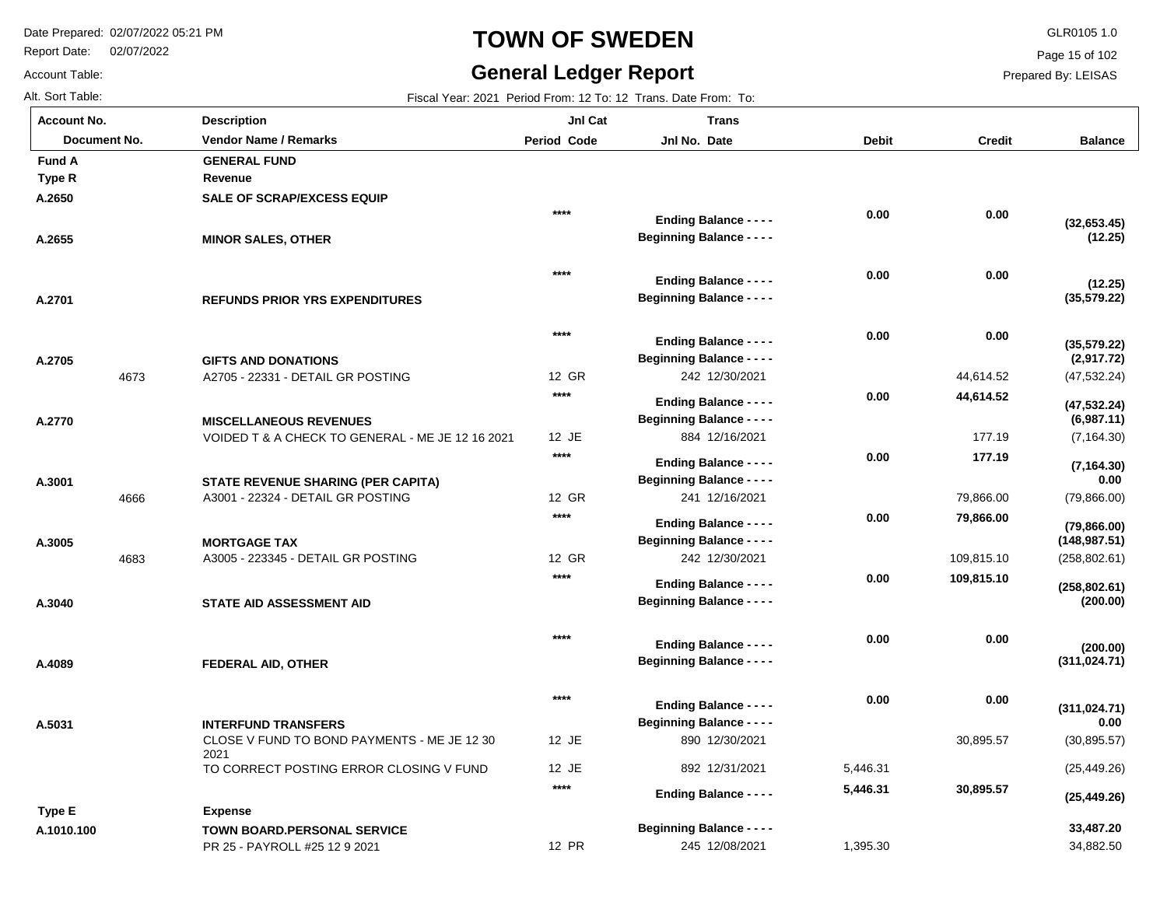Report Date: 02/07/2022

# **TOWN OF SWEDEN** GLR0105 1.0

#### **General Ledger Report**

**Balance**

Page 15 of 102

Prepared By: LEISAS

| Alt. Sort Table:   |      | Fiscal Year: 2021 Period From: 12 To: 12 Trans. Date From: To:                 |             |                                                                   |              |               |  |  |
|--------------------|------|--------------------------------------------------------------------------------|-------------|-------------------------------------------------------------------|--------------|---------------|--|--|
| <b>Account No.</b> |      | <b>Description</b>                                                             | Jnl Cat     | <b>Trans</b>                                                      |              |               |  |  |
| Document No.       |      | <b>Vendor Name / Remarks</b>                                                   | Period Code | Jnl No. Date                                                      | <b>Debit</b> | <b>Credit</b> |  |  |
| <b>Fund A</b>      |      | <b>GENERAL FUND</b>                                                            |             |                                                                   |              |               |  |  |
| <b>Type R</b>      |      | Revenue                                                                        |             |                                                                   |              |               |  |  |
| A.2650             |      | <b>SALE OF SCRAP/EXCESS EQUIP</b>                                              |             |                                                                   |              |               |  |  |
|                    |      |                                                                                | $****$      | <b>Ending Balance - - - -</b>                                     | 0.00         | 0.00          |  |  |
| A.2655             |      | <b>MINOR SALES, OTHER</b>                                                      |             | <b>Beginning Balance - - - -</b>                                  |              |               |  |  |
|                    |      |                                                                                | $***$       | <b>Ending Balance - - - -</b>                                     | 0.00         | 0.00          |  |  |
| A.2701             |      | <b>REFUNDS PRIOR YRS EXPENDITURES</b>                                          |             | <b>Beginning Balance - - - -</b>                                  |              |               |  |  |
|                    |      |                                                                                | $****$      | <b>Ending Balance - - - -</b>                                     | 0.00         | 0.00          |  |  |
| A.2705             |      | <b>GIFTS AND DONATIONS</b>                                                     |             | <b>Beginning Balance - - - -</b>                                  |              |               |  |  |
|                    | 4673 | A2705 - 22331 - DETAIL GR POSTING                                              | 12 GR       | 242 12/30/2021                                                    |              | 44,614.52     |  |  |
|                    |      |                                                                                | $****$      | <b>Ending Balance - - - -</b>                                     | 0.00         | 44,614.52     |  |  |
| A.2770             |      | <b>MISCELLANEOUS REVENUES</b>                                                  |             | <b>Beginning Balance - - - -</b>                                  |              |               |  |  |
|                    |      | VOIDED T & A CHECK TO GENERAL - ME JE 12 16 2021                               | 12 JE       | 884 12/16/2021                                                    |              | 177.19        |  |  |
|                    |      |                                                                                | $****$      |                                                                   | 0.00         | 177.19        |  |  |
|                    |      |                                                                                |             | <b>Ending Balance - - - -</b><br><b>Beginning Balance - - - -</b> |              |               |  |  |
| A.3001             | 4666 | <b>STATE REVENUE SHARING (PER CAPITA)</b><br>A3001 - 22324 - DETAIL GR POSTING | 12 GR       | 241 12/16/2021                                                    |              | 79,866.00     |  |  |
|                    |      |                                                                                | $****$      |                                                                   | 0.00         | 79,866.00     |  |  |
|                    |      |                                                                                |             | <b>Ending Balance - - - -</b>                                     |              |               |  |  |
| A.3005             |      | <b>MORTGAGE TAX</b><br>A3005 - 223345 - DETAIL GR POSTING                      | 12 GR       | <b>Beginning Balance - - - -</b><br>242 12/30/2021                |              | 109,815.10    |  |  |
|                    | 4683 |                                                                                | $***$       |                                                                   |              |               |  |  |
|                    |      |                                                                                |             | <b>Ending Balance - - - -</b>                                     | 0.00         | 109,815.10    |  |  |
| A.3040             |      | STATE AID ASSESSMENT AID                                                       |             | <b>Beginning Balance - - - -</b>                                  |              |               |  |  |
|                    |      |                                                                                | $***$       | <b>Ending Balance - - - -</b>                                     | 0.00         | 0.00          |  |  |
| A.4089             |      | FEDERAL AID, OTHER                                                             |             | <b>Beginning Balance - - - -</b>                                  |              |               |  |  |
|                    |      |                                                                                | $****$      | <b>Ending Balance - - - -</b>                                     | 0.00         | 0.00          |  |  |
| A.5031             |      | <b>INTERFUND TRANSFERS</b>                                                     |             | <b>Beginning Balance - - - -</b>                                  |              |               |  |  |
|                    |      |                                                                                |             |                                                                   |              |               |  |  |

2021

CLOSE V FUND TO BOND PAYMENTS - ME JE 12 30 TO CORRECT POSTING ERROR CLOSING V FUND PR 25 - PAYROLL #25 12 9 2021 44,614.52 177.19 79,866.00 109,815.10 30,895.57 **TOWN BOARD.PERSONAL SERVICE** 12 JE 12 JE 12 PR 242 12/30/2021 884 12/16/2021 241 12/16/2021 242 12/30/2021 890 12/30/2021 892 12/31/2021 245 12/08/2021 (47,532.24) (7,164.30) (79,866.00) (258,802.61) (30,895.57) (25,449.26) 34,882.50 5,446.31 1,395.30 **(12.25) (35,579.22) (2,917.72) (6,987.11) 0.00 (148,987.51) (200.00) (311,024.71) 0.00 33,487.20 Expense (32,653.45) (12.25) (35,579.22) (47,532.24) (7,164.30) (79,866.00) (258,802.61) (200.00) (311,024.71) (25,449.26) 0.00 0.00 0.00 44,614.52 177.19 79,866.00 109,815.10 0.00 0.00 30,895.57 0.00 0.00 0.00 0.00 0.00 0.00 0.00 0.00 0.00 5,446.31 \*\*\*\* Beginning Balance - - - - Beginning Balance - - - - Beginning Balance - - - - Beginning Balance - - - - Beginning Balance - - - - Beginning Balance - - - - Beginning Balance - - - - Beginning Balance - - - - Beginning Balance - - - - Beginning Balance - - - - Ending Balance - - - - Ending Balance - - - - Ending Balance - - - - Ending Balance - - - - Ending Balance - - - - Ending Balance - - - - Ending Balance - - - - Ending Balance - - - - Ending Balance - - - - Ending Balance - - - -**

**A.1010.100**

**Type E**

Account Table: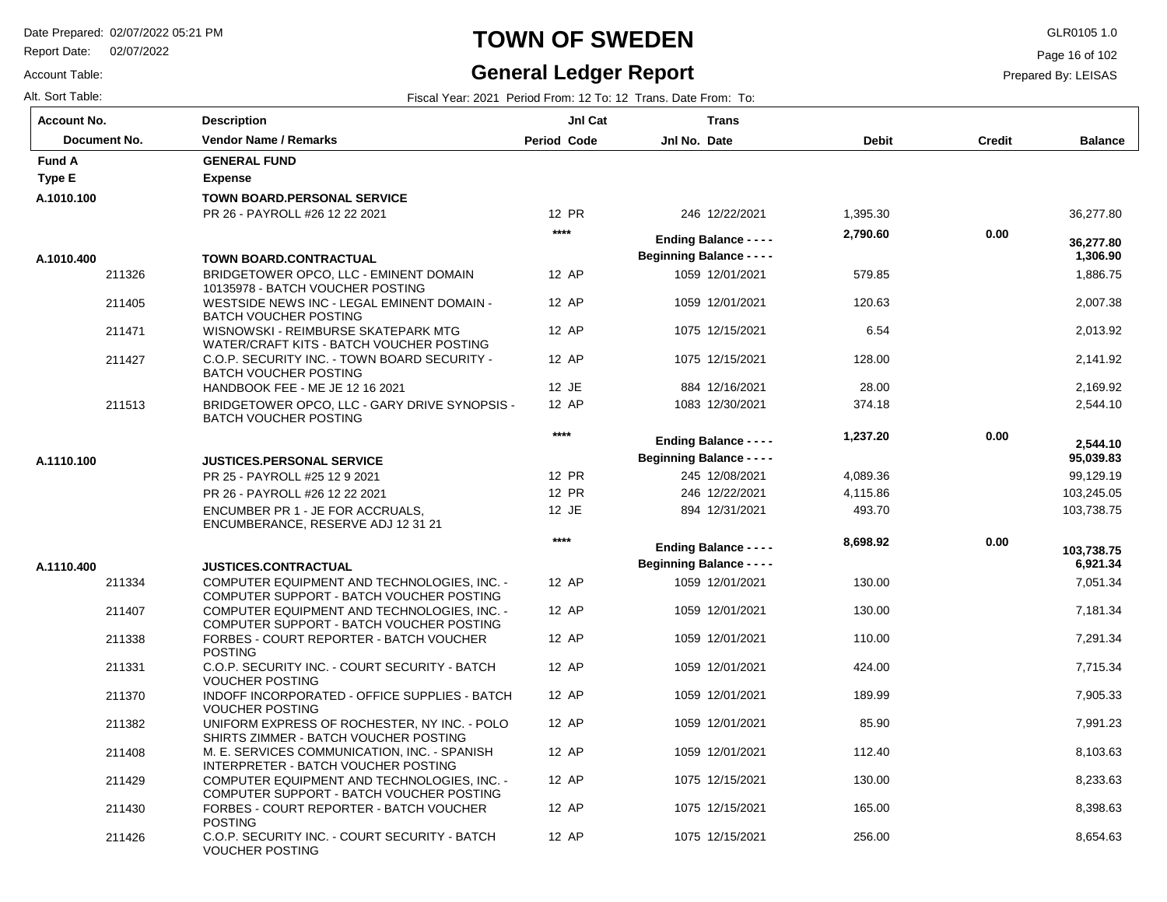VOUCHER POSTING

Report Date: 02/07/2022

# **TOWN OF SWEDEN** GLR0105 1.0

### **General Ledger Report**

Page 16 of 102

Prepared By: LEISAS

Account Table:

| Alt. Sort Table:   |                                                                                         |                    | Fiscal Year: 2021 Period From: 12 To: 12 Trans. Date From: To:    |              |               |                       |
|--------------------|-----------------------------------------------------------------------------------------|--------------------|-------------------------------------------------------------------|--------------|---------------|-----------------------|
| <b>Account No.</b> | <b>Description</b>                                                                      | JnI Cat            | <b>Trans</b>                                                      |              |               |                       |
| Document No.       | <b>Vendor Name / Remarks</b>                                                            | <b>Period Code</b> | Jnl No. Date                                                      | <b>Debit</b> | <b>Credit</b> | <b>Balance</b>        |
| <b>Fund A</b>      | <b>GENERAL FUND</b>                                                                     |                    |                                                                   |              |               |                       |
| <b>Type E</b>      | <b>Expense</b>                                                                          |                    |                                                                   |              |               |                       |
| A.1010.100         | <b>TOWN BOARD.PERSONAL SERVICE</b>                                                      |                    |                                                                   |              |               |                       |
|                    | PR 26 - PAYROLL #26 12 22 2021                                                          | 12 PR              | 246 12/22/2021                                                    | 1,395.30     |               | 36,277.80             |
| A.1010.400         | <b>TOWN BOARD.CONTRACTUAL</b>                                                           | $***$              | <b>Ending Balance - - - -</b><br><b>Beginning Balance - - - -</b> | 2,790.60     | 0.00          | 36.277.80<br>1,306.90 |
| 211326             | BRIDGETOWER OPCO, LLC - EMINENT DOMAIN<br>10135978 - BATCH VOUCHER POSTING              | 12 AP              | 1059 12/01/2021                                                   | 579.85       |               | 1,886.75              |
| 211405             | WESTSIDE NEWS INC - LEGAL EMINENT DOMAIN -<br><b>BATCH VOUCHER POSTING</b>              | 12 AP              | 1059 12/01/2021                                                   | 120.63       |               | 2,007.38              |
| 211471             | WISNOWSKI - REIMBURSE SKATEPARK MTG<br>WATER/CRAFT KITS - BATCH VOUCHER POSTING         | 12 AP              | 1075 12/15/2021                                                   | 6.54         |               | 2,013.92              |
| 211427             | C.O.P. SECURITY INC. TOWN BOARD SECURITY -<br><b>BATCH VOUCHER POSTING</b>              | 12 AP              | 1075 12/15/2021                                                   | 128.00       |               | 2,141.92              |
|                    | HANDBOOK FEE - ME JE 12 16 2021                                                         | 12 JE              | 884 12/16/2021                                                    | 28.00        |               | 2,169.92              |
| 211513             | BRIDGETOWER OPCO, LLC - GARY DRIVE SYNOPSIS -<br><b>BATCH VOUCHER POSTING</b>           | 12 AP              | 1083 12/30/2021                                                   | 374.18       |               | 2,544.10              |
|                    |                                                                                         | $****$             | <b>Ending Balance - - - -</b>                                     | 1,237.20     | 0.00          | 2,544.10              |
| A.1110.100         | <b>JUSTICES.PERSONAL SERVICE</b>                                                        |                    | <b>Beginning Balance - - - -</b>                                  |              |               | 95,039.83             |
|                    | PR 25 - PAYROLL #25 12 9 2021                                                           | 12 PR              | 245 12/08/2021                                                    | 4,089.36     |               | 99,129.19             |
|                    | PR 26 - PAYROLL #26 12 22 2021                                                          | <b>12 PR</b>       | 246 12/22/2021                                                    | 4,115.86     |               | 103,245.05            |
|                    | ENCUMBER PR 1 - JE FOR ACCRUALS,<br>ENCUMBERANCE, RESERVE ADJ 12 31 21                  | 12 JE              | 894 12/31/2021                                                    | 493.70       |               | 103,738.75            |
|                    |                                                                                         | $***$              | <b>Ending Balance - - - -</b>                                     | 8,698.92     | 0.00          | 103,738.75            |
| A.1110.400         | <b>JUSTICES.CONTRACTUAL</b>                                                             |                    | <b>Beginning Balance - - - -</b>                                  |              |               | 6,921.34              |
| 211334             | COMPUTER EQUIPMENT AND TECHNOLOGIES, INC. -<br>COMPUTER SUPPORT - BATCH VOUCHER POSTING | 12 AP              | 1059 12/01/2021                                                   | 130.00       |               | 7,051.34              |
| 211407             | COMPUTER EQUIPMENT AND TECHNOLOGIES, INC. -<br>COMPUTER SUPPORT - BATCH VOUCHER POSTING | 12 AP              | 1059 12/01/2021                                                   | 130.00       |               | 7,181.34              |
| 211338             | FORBES - COURT REPORTER - BATCH VOUCHER<br><b>POSTING</b>                               | 12 AP              | 1059 12/01/2021                                                   | 110.00       |               | 7,291.34              |
| 211331             | C.O.P. SECURITY INC. - COURT SECURITY - BATCH<br><b>VOUCHER POSTING</b>                 | 12 AP              | 1059 12/01/2021                                                   | 424.00       |               | 7,715.34              |
| 211370             | INDOFF INCORPORATED - OFFICE SUPPLIES - BATCH<br><b>VOUCHER POSTING</b>                 | 12 AP              | 1059 12/01/2021                                                   | 189.99       |               | 7,905.33              |
| 211382             | UNIFORM EXPRESS OF ROCHESTER, NY INC. - POLO<br>SHIRTS ZIMMER - BATCH VOUCHER POSTING   | 12 AP              | 1059 12/01/2021                                                   | 85.90        |               | 7,991.23              |
| 211408             | M. E. SERVICES COMMUNICATION, INC. - SPANISH<br>INTERPRETER - BATCH VOUCHER POSTING     | 12 AP              | 1059 12/01/2021                                                   | 112.40       |               | 8,103.63              |
| 211429             | COMPUTER EQUIPMENT AND TECHNOLOGIES. INC. -<br>COMPUTER SUPPORT - BATCH VOUCHER POSTING | 12 AP              | 1075 12/15/2021                                                   | 130.00       |               | 8,233.63              |
| 211430             | FORBES - COURT REPORTER - BATCH VOUCHER<br><b>POSTING</b>                               | 12 AP              | 1075 12/15/2021                                                   | 165.00       |               | 8,398.63              |
| 211426             | C.O.P. SECURITY INC. - COURT SECURITY - BATCH                                           | 12 AP              | 1075 12/15/2021                                                   | 256.00       |               | 8,654.63              |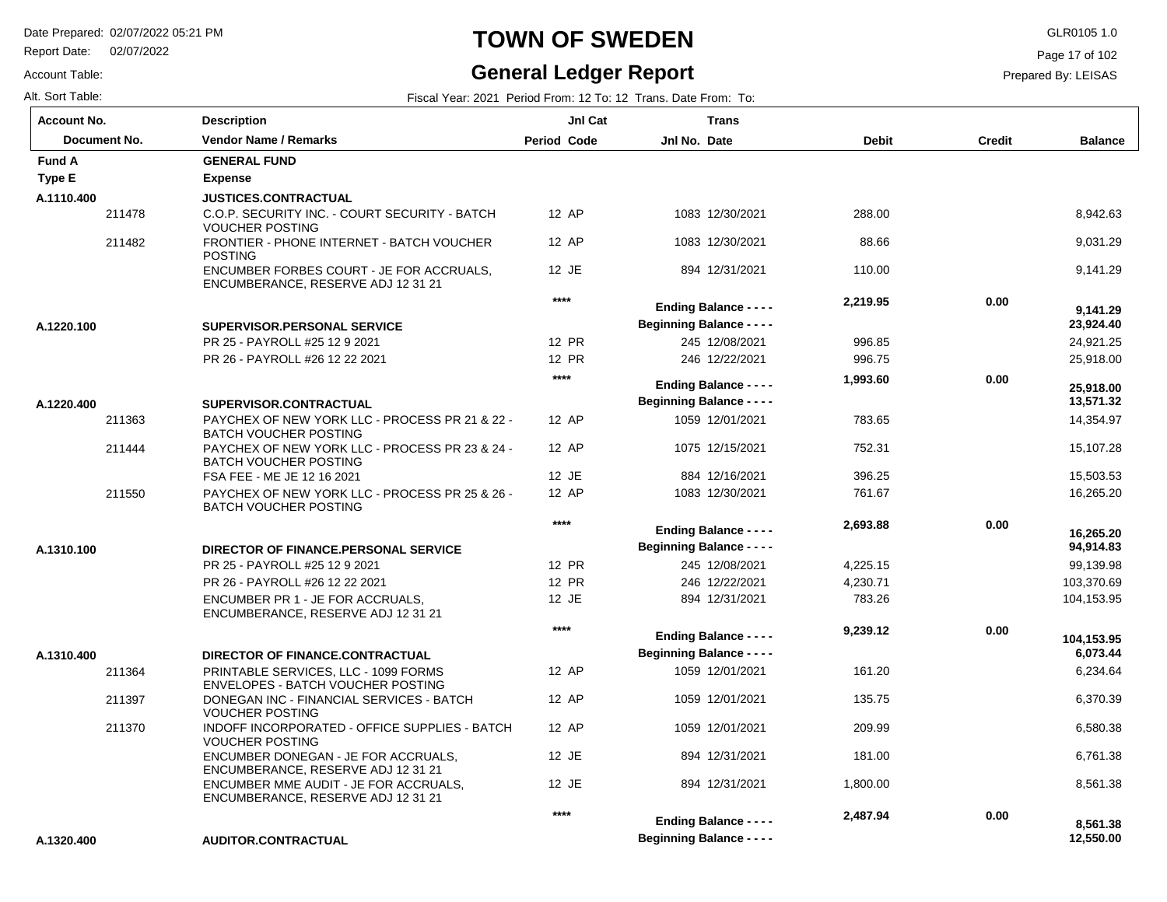Report Date: 02/07/2022

#### Account Table:

### **TOWN OF SWEDEN** GLR0105 1.0

#### **General Ledger Report**

Page 17 of 102

 **12,550.00** 

Prepared By: LEISAS

| Alt. Sort Table:   |                                                                                                                     |                    | Fiscal Year: 2021 Period From: 12 To: 12 Trans. Date From: To: |              |               |                        |
|--------------------|---------------------------------------------------------------------------------------------------------------------|--------------------|----------------------------------------------------------------|--------------|---------------|------------------------|
| <b>Account No.</b> | <b>Description</b>                                                                                                  | JnI Cat            | <b>Trans</b>                                                   |              |               |                        |
| Document No.       | <b>Vendor Name / Remarks</b>                                                                                        | <b>Period Code</b> | Jnl No. Date                                                   | <b>Debit</b> | <b>Credit</b> | <b>Balance</b>         |
| <b>Fund A</b>      | <b>GENERAL FUND</b>                                                                                                 |                    |                                                                |              |               |                        |
| Type E             | <b>Expense</b>                                                                                                      |                    |                                                                |              |               |                        |
| A.1110.400         | <b>JUSTICES.CONTRACTUAL</b>                                                                                         |                    |                                                                |              |               |                        |
| 211478             | C.O.P. SECURITY INC. - COURT SECURITY - BATCH<br><b>VOUCHER POSTING</b>                                             | 12 AP              | 1083 12/30/2021                                                | 288.00       |               | 8,942.63               |
| 211482             | FRONTIER - PHONE INTERNET - BATCH VOUCHER<br><b>POSTING</b>                                                         | 12 AP              | 1083 12/30/2021                                                | 88.66        |               | 9,031.29               |
|                    | ENCUMBER FORBES COURT - JE FOR ACCRUALS,<br>ENCUMBERANCE, RESERVE ADJ 12 31 21                                      | 12 JE              | 894 12/31/2021                                                 | 110.00       |               | 9,141.29               |
|                    |                                                                                                                     | $****$             | <b>Ending Balance - - - -</b>                                  | 2,219.95     | 0.00          | 9,141.29               |
| A.1220.100         | SUPERVISOR.PERSONAL SERVICE                                                                                         |                    | <b>Beginning Balance - - - -</b>                               |              |               | 23,924.40              |
|                    | PR 25 - PAYROLL #25 12 9 2021                                                                                       | 12 PR              | 245 12/08/2021                                                 | 996.85       |               | 24,921.25              |
|                    | PR 26 - PAYROLL #26 12 22 2021                                                                                      | 12 PR              | 246 12/22/2021                                                 | 996.75       |               | 25,918.00              |
|                    |                                                                                                                     | ****               | <b>Ending Balance - - - -</b>                                  | 1,993.60     | 0.00          | 25,918.00              |
| A.1220.400         | SUPERVISOR.CONTRACTUAL                                                                                              |                    | <b>Beginning Balance - - - -</b>                               |              |               | 13,571.32              |
| 211363             | PAYCHEX OF NEW YORK LLC - PROCESS PR 21 & 22 -<br><b>BATCH VOUCHER POSTING</b>                                      | 12 AP              | 1059 12/01/2021                                                | 783.65       |               | 14,354.97              |
| 211444             | PAYCHEX OF NEW YORK LLC - PROCESS PR 23 & 24 -<br><b>BATCH VOUCHER POSTING</b>                                      | 12 AP              | 1075 12/15/2021                                                | 752.31       |               | 15.107.28              |
|                    | FSA FEE - ME JE 12 16 2021                                                                                          | 12 JE              | 884 12/16/2021                                                 | 396.25       |               | 15,503.53              |
| 211550             | PAYCHEX OF NEW YORK LLC - PROCESS PR 25 & 26 -<br><b>BATCH VOUCHER POSTING</b>                                      | 12 AP              | 1083 12/30/2021                                                | 761.67       |               | 16,265.20              |
|                    |                                                                                                                     | ****               | <b>Ending Balance - - - -</b>                                  | 2,693.88     | 0.00          | 16.265.20              |
| A.1310.100         | DIRECTOR OF FINANCE.PERSONAL SERVICE                                                                                |                    | <b>Beginning Balance - - - -</b>                               |              |               | 94,914.83              |
|                    | PR 25 - PAYROLL #25 12 9 2021                                                                                       | 12 PR              | 245 12/08/2021                                                 | 4,225.15     |               | 99,139.98              |
|                    | PR 26 - PAYROLL #26 12 22 2021                                                                                      | 12 PR              | 246 12/22/2021                                                 | 4,230.71     |               | 103,370.69             |
|                    | ENCUMBER PR 1 - JE FOR ACCRUALS,<br>ENCUMBERANCE, RESERVE ADJ 12 31 21                                              | 12 JE              | 894 12/31/2021                                                 | 783.26       |               | 104,153.95             |
|                    |                                                                                                                     | ****               | <b>Ending Balance - - - -</b>                                  | 9,239.12     | 0.00          |                        |
| A.1310.400         |                                                                                                                     |                    | <b>Beginning Balance - - - -</b>                               |              |               | 104,153.95<br>6,073.44 |
| 211364             | DIRECTOR OF FINANCE.CONTRACTUAL<br>PRINTABLE SERVICES, LLC - 1099 FORMS<br><b>ENVELOPES - BATCH VOUCHER POSTING</b> | 12 AP              | 1059 12/01/2021                                                | 161.20       |               | 6,234.64               |
| 211397             | DONEGAN INC - FINANCIAL SERVICES - BATCH<br><b>VOUCHER POSTING</b>                                                  | 12 AP              | 1059 12/01/2021                                                | 135.75       |               | 6,370.39               |
| 211370             | INDOFF INCORPORATED - OFFICE SUPPLIES - BATCH<br><b>VOUCHER POSTING</b>                                             | 12 AP              | 1059 12/01/2021                                                | 209.99       |               | 6,580.38               |
|                    | ENCUMBER DONEGAN - JE FOR ACCRUALS,<br>ENCUMBERANCE, RESERVE ADJ 12 31 21                                           | 12 JE              | 894 12/31/2021                                                 | 181.00       |               | 6,761.38               |
|                    | ENCUMBER MME AUDIT - JE FOR ACCRUALS,<br>ENCUMBERANCE, RESERVE ADJ 12 31 21                                         | 12 JE              | 894 12/31/2021                                                 | 1,800.00     |               | 8,561.38               |
|                    |                                                                                                                     | ****               | <b>Ending Balance - - - -</b>                                  | 2,487.94     | 0.00          | 8,561.38               |

**Beginning Balance - - - -**

**AUDITOR.CONTRACTUAL A.1320.400**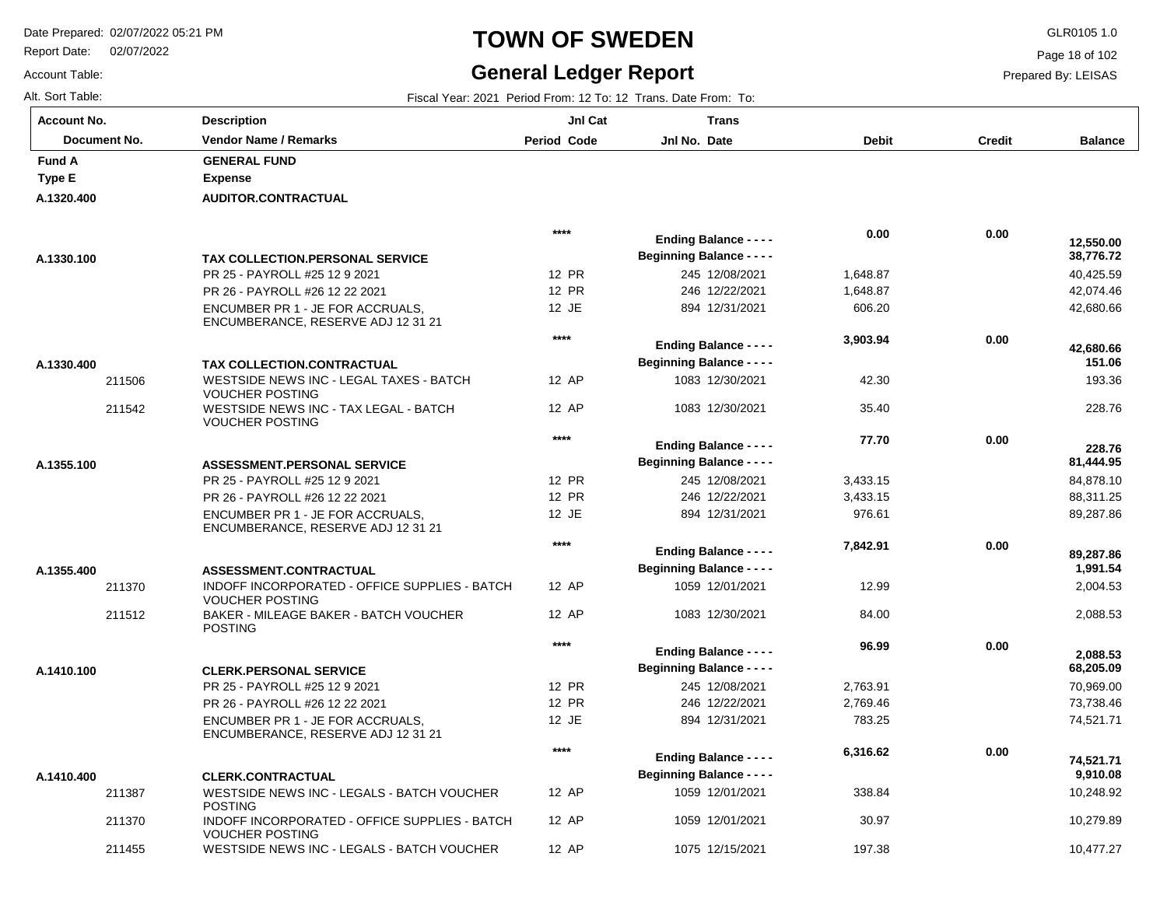211370 211455 INDOFF INCORPORATED - OFFICE SUPPLIES - BATCH

WESTSIDE NEWS INC - LEGALS - BATCH VOUCHER

VOUCHER POSTING

Report Date: 02/07/2022

# **TOWN OF SWEDEN** GLR0105 1.0

#### **General Ledger Report** Fiscal Year: 2021 Period From: 12 To: 12 Trans. Date From: To:

**Balance**

 40,425.59 42,074.46 42,680.66

 **38,776.72** 

 **12,550.00** 

 193.36 228.76

 **151.06** 

 **42,680.66** 

 84,878.10 88,311.25 89,287.86

 **81,444.95** 

 **228.76** 

 2,004.53 2,088.53

 **1,991.54** 

 **89,287.86** 

 70,969.00 73,738.46 74,521.71

 **68,205.09** 

 **2,088.53** 

 10,248.92 10,279.89 10,477.27

 **9,910.08** 

 **74,521.71** 

Page 18 of 102

Prepared By: LEISAS

| <b>Account No.</b> |
|--------------------|
| Alt. Sort Table:   |
| Account Table:     |

**A.1320.400**

**Type E Fund A** 

**A.1330.100**

**A.1330.400**

**A.1355.100**

**A.1355.400**

**A.1410.100**

**A.1410.400**

| յսոt No.     | Description                                                                                            | <b>JnI Cat</b> | Trans                            |                    |               |
|--------------|--------------------------------------------------------------------------------------------------------|----------------|----------------------------------|--------------------|---------------|
| Document No. | <b>Vendor Name / Remarks</b>                                                                           | Period Code    | Jnl No. Date                     | <b>Debit</b>       | <b>Credit</b> |
| ΙA           | <b>GENERAL FUND</b>                                                                                    |                |                                  |                    |               |
| ١E           | <b>Expense</b>                                                                                         |                |                                  |                    |               |
| 20.400       | <b>AUDITOR.CONTRACTUAL</b>                                                                             |                |                                  |                    |               |
|              |                                                                                                        | $****$         | <b>Ending Balance - - - -</b>    | 0.00               | 0.00          |
| 30.100       | <b>TAX COLLECTION PERSONAL SERVICE</b>                                                                 |                | <b>Beginning Balance - - - -</b> |                    |               |
|              | PR 25 - PAYROLL #25 12 9 2021                                                                          | 12 PR          | 245 12/08/2021                   | 1,648.87           |               |
|              | PR 26 - PAYROLL #26 12 22 2021                                                                         | <b>12 PR</b>   | 246 12/22/2021                   | 1,648.87           |               |
|              | ENCUMBER PR 1 - JE FOR ACCRUALS.<br>ENCUMBERANCE, RESERVE ADJ 12 31 21                                 | 12 JE          | 894 12/31/2021                   | 606.20             |               |
|              |                                                                                                        | ****           | <b>Ending Balance - - - -</b>    | 3,903.94           | 0.00          |
| 30.400       |                                                                                                        |                | <b>Beginning Balance - - - -</b> |                    |               |
| 211506       | <b>TAX COLLECTION.CONTRACTUAL</b><br>WESTSIDE NEWS INC - LEGAL TAXES - BATCH<br><b>VOUCHER POSTING</b> | 12 AP          | 1083 12/30/2021                  | 42.30              |               |
| 211542       | WESTSIDE NEWS INC - TAX LEGAL - BATCH<br><b>VOUCHER POSTING</b>                                        | 12 AP          | 1083 12/30/2021                  | 35.40              |               |
|              |                                                                                                        | ****           |                                  | 77.70              | 0.00          |
|              |                                                                                                        |                | <b>Ending Balance - - - -</b>    |                    |               |
| 55.100       | <b>ASSESSMENT.PERSONAL SERVICE</b>                                                                     | 12 PR          | <b>Beginning Balance - - - -</b> |                    |               |
|              | PR 25 - PAYROLL #25 12 9 2021                                                                          | 12 PR          | 245 12/08/2021<br>246 12/22/2021 | 3,433.15           |               |
|              | PR 26 - PAYROLL #26 12 22 2021                                                                         | 12 JE          | 894 12/31/2021                   | 3,433.15<br>976.61 |               |
|              | ENCUMBER PR 1 - JE FOR ACCRUALS.<br>ENCUMBERANCE, RESERVE ADJ 12 31 21                                 |                |                                  |                    |               |
|              |                                                                                                        | $****$         | <b>Ending Balance - - - -</b>    | 7,842.91           | 0.00          |
| 55.400       | <b>ASSESSMENT.CONTRACTUAL</b>                                                                          |                | <b>Beginning Balance - - - -</b> |                    |               |
| 211370       | INDOFF INCORPORATED - OFFICE SUPPLIES - BATCH<br><b>VOUCHER POSTING</b>                                | 12 AP          | 1059 12/01/2021                  | 12.99              |               |
| 211512       | BAKER - MILEAGE BAKER - BATCH VOUCHER<br><b>POSTING</b>                                                | 12 AP          | 1083 12/30/2021                  | 84.00              |               |
|              |                                                                                                        | $****$         | <b>Ending Balance - - - -</b>    | 96.99              | 0.00          |
| 0.100        | <b>CLERK.PERSONAL SERVICE</b>                                                                          |                | <b>Beginning Balance - - - -</b> |                    |               |
|              | PR 25 - PAYROLL #25 12 9 2021                                                                          | <b>12 PR</b>   | 245 12/08/2021                   | 2,763.91           |               |
|              | PR 26 - PAYROLL #26 12 22 2021                                                                         | 12 PR          | 246 12/22/2021                   | 2,769.46           |               |
|              | ENCUMBER PR 1 - JE FOR ACCRUALS.<br>ENCUMBERANCE, RESERVE ADJ 12 31 21                                 | 12 JE          | 894 12/31/2021                   | 783.25             |               |
|              |                                                                                                        | $****$         | <b>Ending Balance - - - -</b>    | 6,316.62           | 0.00          |
| 0.400        | <b>CLERK.CONTRACTUAL</b>                                                                               |                | <b>Beginning Balance - - - -</b> |                    |               |
| 211387       | WESTSIDE NEWS INC - LEGALS - BATCH VOUCHER<br><b>POSTING</b>                                           | 12 AP          | 1059 12/01/2021                  | 338.84             |               |

12 AP 12 AP 1059 12/01/2021 1075 12/15/2021

 30.97 197.38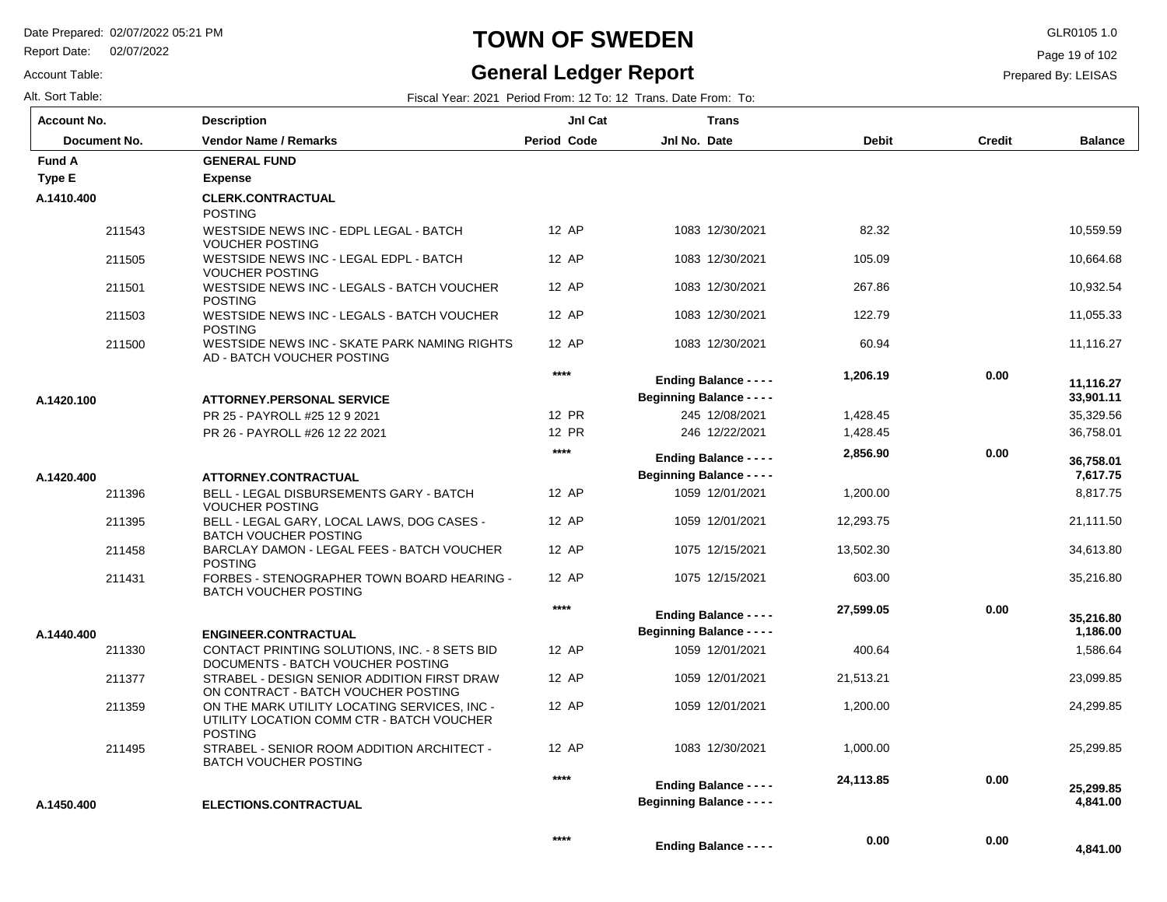**Description**

Report Date: 02/07/2022

# **TOWN OF SWEDEN** GLR0105 1.0

#### **General Ledger Report**

**Jnl Cat**

**Trans**

**Balance**

 10,559.59 10,664.68 10,932.54 11,055.33 11,116.27

 35,329.56 36,758.01

 **33,901.11** 

 **11,116.27** 

 8,817.75 21,111.50 34,613.80 35,216.80

 **7,617.75** 

 **36,758.01** 

 1,586.64 23,099.85 24,299.85

 **1,186.00** 

 **35,216.80** 

25,299.85

 **4,841.00** 

 **4,841.00** 

 **25,299.85** 

Page 19 of 102

Prepared By: LEISAS

Account Table: Alt. Sort Table: Fiscal Year: 2021 Period From: 12 To: 12 Trans. Date From: To: **Account No.**

|               | Document No. | <b>Vendor Name / Remarks</b>                                                                                | Period Code | Jnl No. Date                     | <b>Debit</b> | <b>Credit</b> |
|---------------|--------------|-------------------------------------------------------------------------------------------------------------|-------------|----------------------------------|--------------|---------------|
| <b>Fund A</b> |              | <b>GENERAL FUND</b>                                                                                         |             |                                  |              |               |
| Type E        |              | <b>Expense</b>                                                                                              |             |                                  |              |               |
| A.1410.400    |              | <b>CLERK.CONTRACTUAL</b><br><b>POSTING</b>                                                                  |             |                                  |              |               |
|               | 211543       | WESTSIDE NEWS INC - EDPL LEGAL - BATCH<br><b>VOUCHER POSTING</b>                                            | 12 AP       | 1083 12/30/2021                  | 82.32        |               |
|               | 211505       | WESTSIDE NEWS INC - LEGAL EDPL - BATCH<br><b>VOUCHER POSTING</b>                                            | 12 AP       | 1083 12/30/2021                  | 105.09       |               |
|               | 211501       | WESTSIDE NEWS INC - LEGALS - BATCH VOUCHER<br><b>POSTING</b>                                                | 12 AP       | 1083 12/30/2021                  | 267.86       |               |
|               | 211503       | WESTSIDE NEWS INC - LEGALS - BATCH VOUCHER<br><b>POSTING</b>                                                | 12 AP       | 1083 12/30/2021                  | 122.79       |               |
|               | 211500       | WESTSIDE NEWS INC - SKATE PARK NAMING RIGHTS<br>AD - BATCH VOUCHER POSTING                                  | 12 AP       | 1083 12/30/2021                  | 60.94        |               |
|               |              |                                                                                                             | ****        | <b>Ending Balance - - - -</b>    | 1,206.19     | 0.00          |
| A.1420.100    |              | <b>ATTORNEY.PERSONAL SERVICE</b>                                                                            |             | <b>Beginning Balance - - - -</b> |              |               |
|               |              | PR 25 - PAYROLL #25 12 9 2021                                                                               | 12 PR       | 245 12/08/2021                   | 1,428.45     |               |
|               |              | PR 26 - PAYROLL #26 12 22 2021                                                                              | 12 PR       | 246 12/22/2021                   | 1,428.45     |               |
|               |              |                                                                                                             | ****        | <b>Ending Balance - - - -</b>    | 2,856.90     | 0.00          |
| A.1420.400    |              | ATTORNEY.CONTRACTUAL                                                                                        |             | <b>Beginning Balance - - - -</b> |              |               |
|               | 211396       | <b>BELL - LEGAL DISBURSEMENTS GARY - BATCH</b><br><b>VOUCHER POSTING</b>                                    | 12 AP       | 1059 12/01/2021                  | 1,200.00     |               |
|               | 211395       | BELL - LEGAL GARY, LOCAL LAWS, DOG CASES -<br><b>BATCH VOUCHER POSTING</b>                                  | 12 AP       | 1059 12/01/2021                  | 12,293.75    |               |
|               | 211458       | BARCLAY DAMON - LEGAL FEES - BATCH VOUCHER<br><b>POSTING</b>                                                | 12 AP       | 1075 12/15/2021                  | 13,502.30    |               |
|               | 211431       | FORBES - STENOGRAPHER TOWN BOARD HEARING -<br><b>BATCH VOUCHER POSTING</b>                                  | 12 AP       | 1075 12/15/2021                  | 603.00       |               |
|               |              |                                                                                                             | ****        | <b>Ending Balance - - - -</b>    | 27,599.05    | 0.00          |
| A.1440.400    |              | <b>ENGINEER.CONTRACTUAL</b>                                                                                 |             | <b>Beginning Balance - - - -</b> |              |               |
|               | 211330       | CONTACT PRINTING SOLUTIONS, INC. - 8 SETS BID<br>DOCUMENTS - BATCH VOUCHER POSTING                          | 12 AP       | 1059 12/01/2021                  | 400.64       |               |
|               | 211377       | STRABEL - DESIGN SENIOR ADDITION FIRST DRAW<br>ON CONTRACT - BATCH VOUCHER POSTING                          | 12 AP       | 1059 12/01/2021                  | 21,513.21    |               |
|               | 211359       | ON THE MARK UTILITY LOCATING SERVICES, INC -<br>UTILITY LOCATION COMM CTR - BATCH VOUCHER<br><b>POSTING</b> | 12 AP       | 1059 12/01/2021                  | 1,200.00     |               |
|               | 211495       | STRABEL - SENIOR ROOM ADDITION ARCHITECT -<br><b>BATCH VOUCHER POSTING</b>                                  | 12 AP       | 1083 12/30/2021                  | 1,000.00     |               |
|               |              |                                                                                                             | ****        | <b>Ending Balance - - - -</b>    | 24,113.85    | 0.00          |
| A.1450.400    |              | ELECTIONS.CONTRACTUAL                                                                                       |             | <b>Beginning Balance - - - -</b> |              |               |

**Ending Balance - - - -**

 **0.00** 

 **0.00**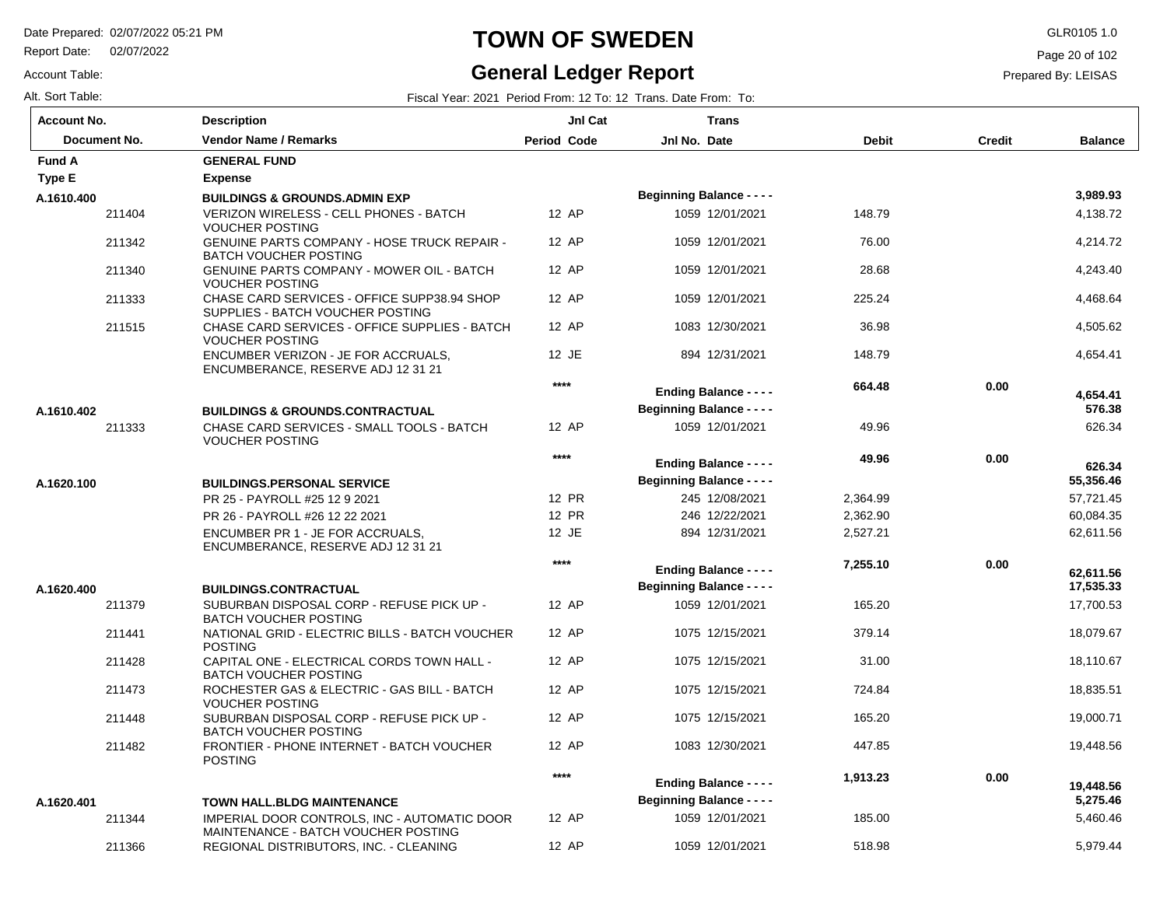Report Date: 02/07/2022

#### Account Table:

### **TOWN OF SWEDEN** GLR0105 1.0

### **General Ledger Report**

Page 20 of 102

#### Prepared By: LEISAS

| <b>Account No.</b> | <b>Description</b>                                                                  | JnI Cat     | <b>Trans</b>                     |          |               |                        |
|--------------------|-------------------------------------------------------------------------------------|-------------|----------------------------------|----------|---------------|------------------------|
| Document No.       | <b>Vendor Name / Remarks</b>                                                        | Period Code | Jnl No. Date                     | Debit    | <b>Credit</b> | <b>Balance</b>         |
| <b>Fund A</b>      | <b>GENERAL FUND</b>                                                                 |             |                                  |          |               |                        |
| Type E             | <b>Expense</b>                                                                      |             |                                  |          |               |                        |
| A.1610.400         | <b>BUILDINGS &amp; GROUNDS.ADMIN EXP</b>                                            |             | <b>Beginning Balance - - - -</b> |          |               | 3,989.93               |
| 211404             | VERIZON WIRELESS - CELL PHONES - BATCH<br><b>VOUCHER POSTING</b>                    | 12 AP       | 1059 12/01/2021                  | 148.79   |               | 4,138.72               |
| 211342             | <b>GENUINE PARTS COMPANY - HOSE TRUCK REPAIR -</b><br><b>BATCH VOUCHER POSTING</b>  | 12 AP       | 1059 12/01/2021                  | 76.00    |               | 4,214.72               |
| 211340             | <b>GENUINE PARTS COMPANY - MOWER OIL - BATCH</b><br><b>VOUCHER POSTING</b>          | 12 AP       | 1059 12/01/2021                  | 28.68    |               | 4,243.40               |
| 211333             | CHASE CARD SERVICES - OFFICE SUPP38.94 SHOP<br>SUPPLIES - BATCH VOUCHER POSTING     | 12 AP       | 1059 12/01/2021                  | 225.24   |               | 4,468.64               |
| 211515             | CHASE CARD SERVICES - OFFICE SUPPLIES - BATCH<br><b>VOUCHER POSTING</b>             | 12 AP       | 1083 12/30/2021                  | 36.98    |               | 4,505.62               |
|                    | ENCUMBER VERIZON - JE FOR ACCRUALS,<br>ENCUMBERANCE, RESERVE ADJ 12 31 21           | 12 JE       | 894 12/31/2021                   | 148.79   |               | 4,654.41               |
|                    |                                                                                     | $***$       | <b>Ending Balance - - - -</b>    | 664.48   | 0.00          | 4,654.41               |
| A.1610.402         | <b>BUILDINGS &amp; GROUNDS.CONTRACTUAL</b>                                          |             | <b>Beginning Balance - - - -</b> |          |               | 576.38                 |
| 211333             | CHASE CARD SERVICES - SMALL TOOLS - BATCH<br><b>VOUCHER POSTING</b>                 | 12 AP       | 1059 12/01/2021                  | 49.96    |               | 626.34                 |
|                    |                                                                                     | $***$       | <b>Ending Balance - - - -</b>    | 49.96    | 0.00          | 626.34                 |
| A.1620.100         | <b>BUILDINGS.PERSONAL SERVICE</b>                                                   |             | <b>Beginning Balance - - - -</b> |          |               | 55,356.46              |
|                    | PR 25 - PAYROLL #25 12 9 2021                                                       | 12 PR       | 245 12/08/2021                   | 2,364.99 |               | 57,721.45              |
|                    | PR 26 - PAYROLL #26 12 22 2021                                                      | 12 PR       | 246 12/22/2021                   | 2,362.90 |               | 60,084.35              |
|                    | ENCUMBER PR 1 - JE FOR ACCRUALS.<br>ENCUMBERANCE, RESERVE ADJ 12 31 21              | 12 JE       | 894 12/31/2021                   | 2,527.21 |               | 62,611.56              |
|                    |                                                                                     | $****$      | <b>Ending Balance - - - -</b>    | 7,255.10 | 0.00          |                        |
| A.1620.400         | <b>BUILDINGS.CONTRACTUAL</b>                                                        |             | <b>Beginning Balance - - - -</b> |          |               | 62,611.56<br>17,535.33 |
| 211379             | SUBURBAN DISPOSAL CORP - REFUSE PICK UP -<br><b>BATCH VOUCHER POSTING</b>           | 12 AP       | 1059 12/01/2021                  | 165.20   |               | 17,700.53              |
| 211441             | NATIONAL GRID - ELECTRIC BILLS - BATCH VOUCHER<br><b>POSTING</b>                    | 12 AP       | 1075 12/15/2021                  | 379.14   |               | 18,079.67              |
| 211428             | CAPITAL ONE - ELECTRICAL CORDS TOWN HALL -<br><b>BATCH VOUCHER POSTING</b>          | 12 AP       | 1075 12/15/2021                  | 31.00    |               | 18,110.67              |
| 211473             | ROCHESTER GAS & ELECTRIC - GAS BILL - BATCH<br><b>VOUCHER POSTING</b>               | 12 AP       | 1075 12/15/2021                  | 724.84   |               | 18,835.51              |
| 211448             | SUBURBAN DISPOSAL CORP - REFUSE PICK UP -<br><b>BATCH VOUCHER POSTING</b>           | 12 AP       | 1075 12/15/2021                  | 165.20   |               | 19,000.71              |
| 211482             | FRONTIER - PHONE INTERNET - BATCH VOUCHER<br><b>POSTING</b>                         | 12 AP       | 1083 12/30/2021                  | 447.85   |               | 19,448.56              |
|                    |                                                                                     | $***$       | <b>Ending Balance - - - -</b>    | 1,913.23 | 0.00          | 19,448.56              |
| A.1620.401         | <b>TOWN HALL.BLDG MAINTENANCE</b>                                                   |             | <b>Beginning Balance - - - -</b> |          |               | 5,275.46               |
| 211344             | IMPERIAL DOOR CONTROLS, INC - AUTOMATIC DOOR<br>MAINTENANCE - BATCH VOUCHER POSTING | 12 AP       | 1059 12/01/2021                  | 185.00   |               | 5,460.46               |
| 211366             | REGIONAL DISTRIBUTORS, INC. - CLEANING                                              | 12 AP       | 1059 12/01/2021                  | 518.98   |               | 5,979.44               |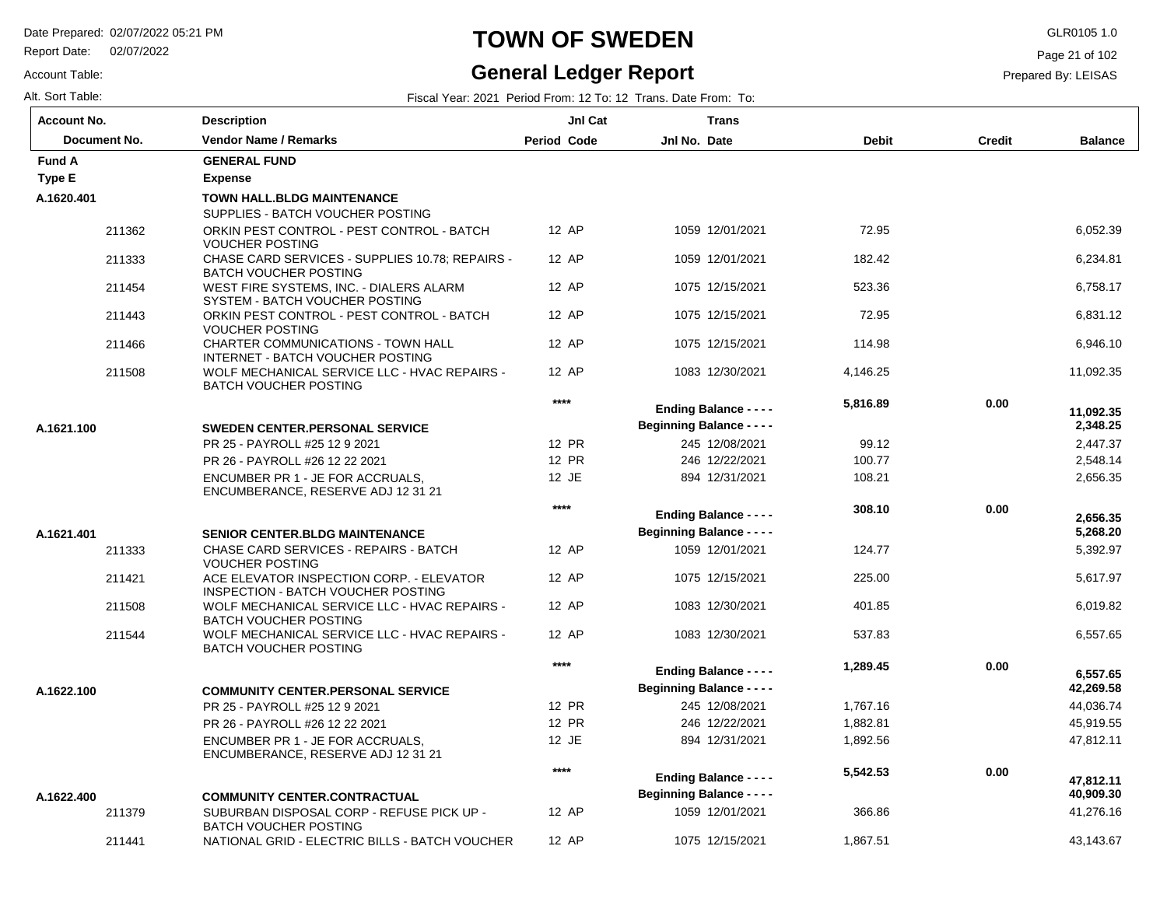Report Date: 02/07/2022

#### Account Table:

# **TOWN OF SWEDEN** GLR0105 1.0

### **General Ledger Report**

Page 21 of 102

| Alt. Sort Table: | Fiscal Year: 2021 Period From: 12 To: 12 Trans. Date From:<br>: То: |  |
|------------------|---------------------------------------------------------------------|--|
|                  |                                                                     |  |

| <b>Account No.</b> |        | <b>Description</b>                                                              | JnI Cat            | <b>Trans</b>                     |              |               |                |
|--------------------|--------|---------------------------------------------------------------------------------|--------------------|----------------------------------|--------------|---------------|----------------|
| Document No.       |        | <b>Vendor Name / Remarks</b>                                                    | <b>Period Code</b> | Jnl No. Date                     | <b>Debit</b> | <b>Credit</b> | <b>Balance</b> |
| <b>Fund A</b>      |        | <b>GENERAL FUND</b>                                                             |                    |                                  |              |               |                |
| <b>Type E</b>      |        | <b>Expense</b>                                                                  |                    |                                  |              |               |                |
| A.1620.401         |        | <b>TOWN HALL.BLDG MAINTENANCE</b><br>SUPPLIES - BATCH VOUCHER POSTING           |                    |                                  |              |               |                |
|                    | 211362 | ORKIN PEST CONTROL - PEST CONTROL - BATCH<br><b>VOUCHER POSTING</b>             | 12 AP              | 1059 12/01/2021                  | 72.95        |               | 6,052.39       |
|                    | 211333 | CHASE CARD SERVICES - SUPPLIES 10.78; REPAIRS -<br><b>BATCH VOUCHER POSTING</b> | 12 AP              | 1059 12/01/2021                  | 182.42       |               | 6,234.81       |
|                    | 211454 | WEST FIRE SYSTEMS, INC. - DIALERS ALARM<br>SYSTEM - BATCH VOUCHER POSTING       | 12 AP              | 1075 12/15/2021                  | 523.36       |               | 6.758.17       |
|                    | 211443 | ORKIN PEST CONTROL - PEST CONTROL - BATCH<br><b>VOUCHER POSTING</b>             | 12 AP              | 1075 12/15/2021                  | 72.95        |               | 6,831.12       |
|                    | 211466 | CHARTER COMMUNICATIONS - TOWN HALL<br>INTERNET - BATCH VOUCHER POSTING          | 12 AP              | 1075 12/15/2021                  | 114.98       |               | 6,946.10       |
|                    | 211508 | WOLF MECHANICAL SERVICE LLC - HVAC REPAIRS -<br><b>BATCH VOUCHER POSTING</b>    | 12 AP              | 1083 12/30/2021                  | 4,146.25     |               | 11,092.35      |
|                    |        |                                                                                 | $***$              | <b>Ending Balance - - - -</b>    | 5,816.89     | 0.00          | 11,092.35      |
| A.1621.100         |        | <b>SWEDEN CENTER.PERSONAL SERVICE</b>                                           |                    | <b>Beginning Balance - - - -</b> |              |               | 2,348.25       |
|                    |        | PR 25 - PAYROLL #25 12 9 2021                                                   | 12 PR              | 245 12/08/2021                   | 99.12        |               | 2,447.37       |
|                    |        | PR 26 - PAYROLL #26 12 22 2021                                                  | 12 PR              | 246 12/22/2021                   | 100.77       |               | 2,548.14       |
|                    |        | ENCUMBER PR 1 - JE FOR ACCRUALS.<br>ENCUMBERANCE, RESERVE ADJ 12 31 21          | 12 JE              | 894 12/31/2021                   | 108.21       |               | 2,656.35       |
|                    |        |                                                                                 | $***$              | <b>Ending Balance - - - -</b>    | 308.10       | 0.00          | 2,656.35       |
| A.1621.401         |        | <b>SENIOR CENTER.BLDG MAINTENANCE</b>                                           |                    | <b>Beginning Balance - - - -</b> |              |               | 5,268.20       |
|                    | 211333 | CHASE CARD SERVICES - REPAIRS - BATCH<br><b>VOUCHER POSTING</b>                 | 12 AP              | 1059 12/01/2021                  | 124.77       |               | 5,392.97       |
|                    | 211421 | ACE ELEVATOR INSPECTION CORP. - ELEVATOR<br>INSPECTION - BATCH VOUCHER POSTING  | 12 AP              | 1075 12/15/2021                  | 225.00       |               | 5,617.97       |
|                    | 211508 | WOLF MECHANICAL SERVICE LLC - HVAC REPAIRS -<br><b>BATCH VOUCHER POSTING</b>    | 12 AP              | 1083 12/30/2021                  | 401.85       |               | 6,019.82       |
|                    | 211544 | WOLF MECHANICAL SERVICE LLC - HVAC REPAIRS -<br><b>BATCH VOUCHER POSTING</b>    | 12 AP              | 1083 12/30/2021                  | 537.83       |               | 6,557.65       |
|                    |        |                                                                                 | ****               | <b>Ending Balance - - - -</b>    | 1,289.45     | 0.00          | 6.557.65       |
| A.1622.100         |        | <b>COMMUNITY CENTER.PERSONAL SERVICE</b>                                        |                    | <b>Beginning Balance - - - -</b> |              |               | 42,269.58      |
|                    |        | PR 25 - PAYROLL #25 12 9 2021                                                   | 12 PR              | 245 12/08/2021                   | 1,767.16     |               | 44,036.74      |
|                    |        | PR 26 - PAYROLL #26 12 22 2021                                                  | 12 PR              | 246 12/22/2021                   | 1,882.81     |               | 45,919.55      |
|                    |        | ENCUMBER PR 1 - JE FOR ACCRUALS.<br>ENCUMBERANCE, RESERVE ADJ 12 31 21          | 12 JE              | 894 12/31/2021                   | 1,892.56     |               | 47,812.11      |
|                    |        |                                                                                 | $***$              | <b>Ending Balance - - - -</b>    | 5,542.53     | 0.00          | 47,812.11      |
| A.1622.400         |        | <b>COMMUNITY CENTER.CONTRACTUAL</b>                                             |                    | <b>Beginning Balance - - - -</b> |              |               | 40,909.30      |
|                    | 211379 | SUBURBAN DISPOSAL CORP - REFUSE PICK UP -<br>BATCH VOUCHER POSTING              | 12 AP              | 1059 12/01/2021                  | 366.86       |               | 41,276.16      |
|                    | 211441 | NATIONAL GRID - ELECTRIC BILLS - BATCH VOUCHER                                  | 12 AP              | 1075 12/15/2021                  | 1,867.51     |               | 43,143.67      |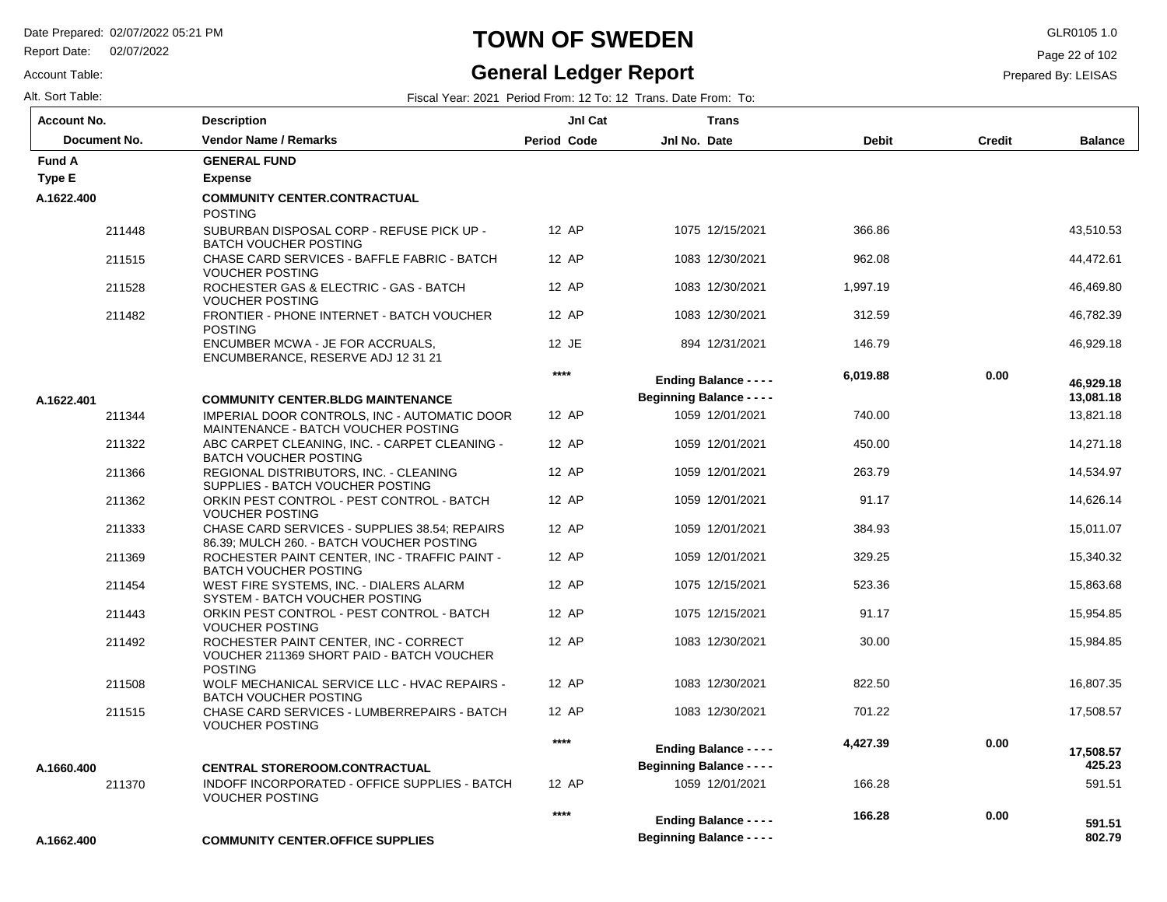Report Date: 02/07/2022

# **TOWN OF SWEDEN** GLR0105 1.0

#### **General Ledger Report**

**Balance**

 43,510.53 44,472.61 46,469.80 46,782.39 46,929.18

 13,821.18 14,271.18 14,534.97 14,626.14 15,011.07 15,340.32 15,863.68 15,954.85 15,984.85

 **13,081.18** 

 **46,929.18** 

 16,807.35 17,508.57

591.51

 **802.79** 

 **591.51** 

 **425.23** 

 **17,508.57** 

Page 22 of 102

Prepared By: LEISAS

Account Table: Alt. Sort Table: Fiscal Year: 2021 Period From: 12 To: 12 Trans. Date From: To: 12 Trans. Date From: To: 12 Trans. Date From: To:

| <b>Account No.</b> |              | Description                                                                                          | JnI Cat     |                                  | Trans                            |              |               |
|--------------------|--------------|------------------------------------------------------------------------------------------------------|-------------|----------------------------------|----------------------------------|--------------|---------------|
|                    | Document No. | <b>Vendor Name / Remarks</b>                                                                         | Period Code | Jnl No. Date                     |                                  | <b>Debit</b> | <b>Credit</b> |
| <b>Fund A</b>      |              | <b>GENERAL FUND</b>                                                                                  |             |                                  |                                  |              |               |
| Type E             |              | <b>Expense</b>                                                                                       |             |                                  |                                  |              |               |
| A.1622.400         |              | <b>COMMUNITY CENTER.CONTRACTUAL</b><br><b>POSTING</b>                                                |             |                                  |                                  |              |               |
|                    | 211448       | SUBURBAN DISPOSAL CORP - REFUSE PICK UP -<br><b>BATCH VOUCHER POSTING</b>                            | 12 AP       |                                  | 1075 12/15/2021                  | 366.86       |               |
|                    | 211515       | CHASE CARD SERVICES - BAFFLE FABRIC - BATCH<br><b>VOUCHER POSTING</b>                                | 12 AP       |                                  | 1083 12/30/2021                  | 962.08       |               |
|                    | 211528       | ROCHESTER GAS & ELECTRIC - GAS - BATCH<br><b>VOUCHER POSTING</b>                                     | 12 AP       |                                  | 1083 12/30/2021                  | 1,997.19     |               |
|                    | 211482       | FRONTIER - PHONE INTERNET - BATCH VOUCHER<br><b>POSTING</b>                                          | 12 AP       |                                  | 1083 12/30/2021                  | 312.59       |               |
|                    |              | ENCUMBER MCWA - JE FOR ACCRUALS,<br>ENCUMBERANCE, RESERVE ADJ 12 31 21                               | 12 JE       |                                  | 894 12/31/2021                   | 146.79       |               |
|                    |              |                                                                                                      | ****        |                                  | <b>Ending Balance - - - -</b>    | 6,019.88     | 0.00          |
| A.1622.401         |              | <b>COMMUNITY CENTER.BLDG MAINTENANCE</b>                                                             |             |                                  | <b>Beginning Balance - - - -</b> |              |               |
|                    | 211344       | IMPERIAL DOOR CONTROLS, INC - AUTOMATIC DOOR<br>MAINTENANCE - BATCH VOUCHER POSTING                  | 12 AP       |                                  | 1059 12/01/2021                  | 740.00       |               |
|                    | 211322       | ABC CARPET CLEANING, INC. - CARPET CLEANING -<br><b>BATCH VOUCHER POSTING</b>                        | 12 AP       |                                  | 1059 12/01/2021                  | 450.00       |               |
|                    | 211366       | REGIONAL DISTRIBUTORS, INC. - CLEANING<br>SUPPLIES - BATCH VOUCHER POSTING                           | 12 AP       |                                  | 1059 12/01/2021                  | 263.79       |               |
|                    | 211362       | ORKIN PEST CONTROL - PEST CONTROL - BATCH<br><b>VOUCHER POSTING</b>                                  | 12 AP       |                                  | 1059 12/01/2021                  | 91.17        |               |
|                    | 211333       | CHASE CARD SERVICES - SUPPLIES 38.54; REPAIRS<br>86.39; MULCH 260. - BATCH VOUCHER POSTING           | 12 AP       |                                  | 1059 12/01/2021                  | 384.93       |               |
|                    | 211369       | ROCHESTER PAINT CENTER, INC - TRAFFIC PAINT -<br><b>BATCH VOUCHER POSTING</b>                        | 12 AP       |                                  | 1059 12/01/2021                  | 329.25       |               |
|                    | 211454       | WEST FIRE SYSTEMS, INC. - DIALERS ALARM<br>SYSTEM - BATCH VOUCHER POSTING                            | 12 AP       |                                  | 1075 12/15/2021                  | 523.36       |               |
|                    | 211443       | ORKIN PEST CONTROL - PEST CONTROL - BATCH<br><b>VOUCHER POSTING</b>                                  | 12 AP       |                                  | 1075 12/15/2021                  | 91.17        |               |
|                    | 211492       | ROCHESTER PAINT CENTER, INC - CORRECT<br>VOUCHER 211369 SHORT PAID - BATCH VOUCHER<br><b>POSTING</b> | 12 AP       |                                  | 1083 12/30/2021                  | 30.00        |               |
|                    | 211508       | WOLF MECHANICAL SERVICE LLC - HVAC REPAIRS -<br><b>BATCH VOUCHER POSTING</b>                         | 12 AP       |                                  | 1083 12/30/2021                  | 822.50       |               |
|                    | 211515       | CHASE CARD SERVICES - LUMBERREPAIRS - BATCH<br><b>VOUCHER POSTING</b>                                | 12 AP       |                                  | 1083 12/30/2021                  | 701.22       |               |
|                    |              |                                                                                                      | $***$       |                                  | <b>Ending Balance - - - -</b>    | 4,427.39     | 0.00          |
| A.1660.400         |              | <b>CENTRAL STOREROOM.CONTRACTUAL</b>                                                                 |             | <b>Beginning Balance - - - -</b> |                                  |              |               |
|                    | 211370       | INDOFF INCORPORATED - OFFICE SUPPLIES - BATCH<br><b>VOUCHER POSTING</b>                              | 12 AP       |                                  | 1059 12/01/2021                  | 166.28       |               |
|                    |              |                                                                                                      | ****        | <b>Explorer Bulletine</b>        |                                  | 166.28       | 0.00          |

**Beginning Balance - - - -**

**Ending Balance - - - -**

**COMMUNITY CENTER.OFFICE SUPPLIES A.1662.400**

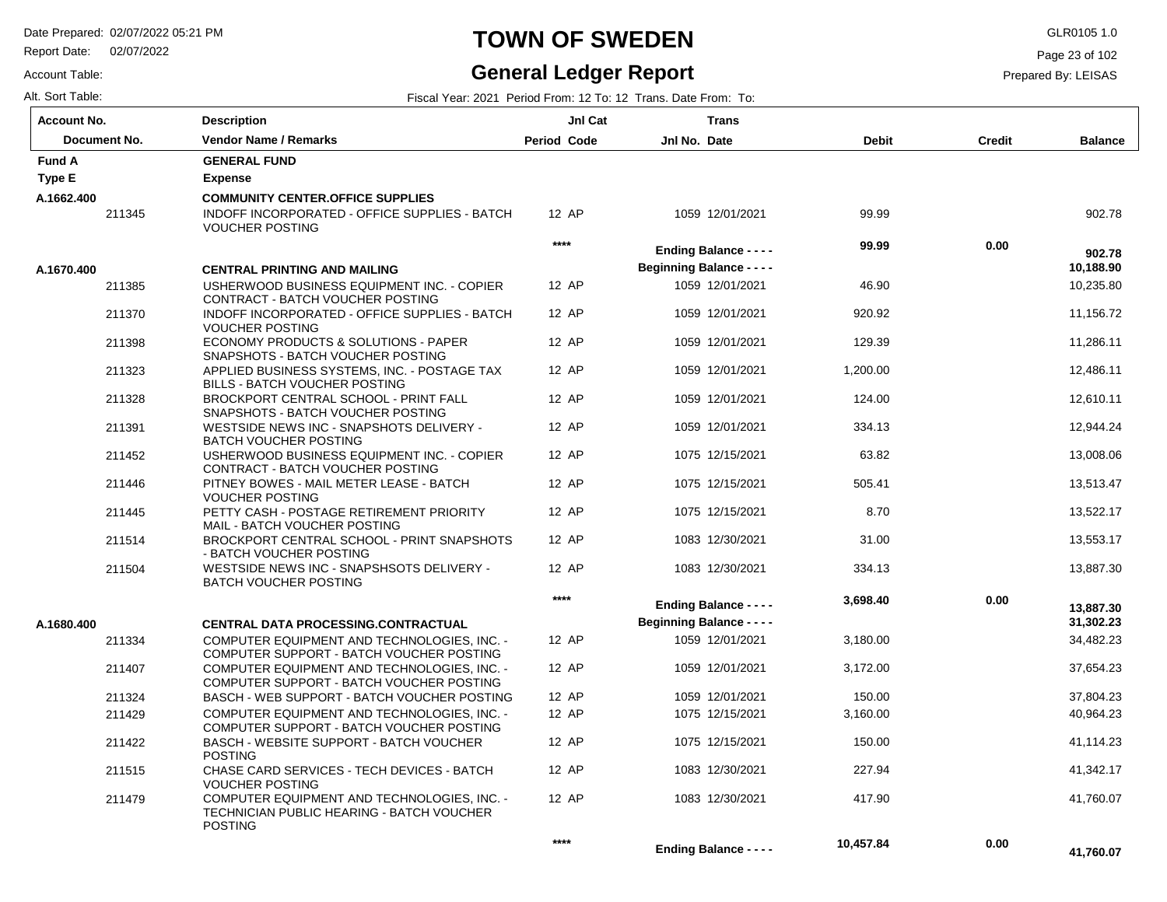Report Date: 02/07/2022

# **TOWN OF SWEDEN** GLR0105 1.0

#### **General Ledger Report**

 **41,760.07** 

 **0.00** 

 **10,457.84** 

**Ending Balance - - - -**

Page 23 of 102

Prepared By: LEISAS

| Alt. Sort Table: | Fiscal Year: 2021 Period From: 12 To: 12 Trans, Date From: To: |  |
|------------------|----------------------------------------------------------------|--|
|                  |                                                                |  |

Account Table:

| <b>Account No.</b> | <b>Description</b>                                                                                                | JnI Cat     | <b>Trans</b>                     |              |               |                |
|--------------------|-------------------------------------------------------------------------------------------------------------------|-------------|----------------------------------|--------------|---------------|----------------|
| Document No.       | <b>Vendor Name / Remarks</b>                                                                                      | Period Code | Jnl No. Date                     | <b>Debit</b> | <b>Credit</b> | <b>Balance</b> |
| <b>Fund A</b>      | <b>GENERAL FUND</b>                                                                                               |             |                                  |              |               |                |
| <b>Type E</b>      | <b>Expense</b>                                                                                                    |             |                                  |              |               |                |
| A.1662.400         | <b>COMMUNITY CENTER.OFFICE SUPPLIES</b>                                                                           |             |                                  |              |               |                |
| 211345             | INDOFF INCORPORATED - OFFICE SUPPLIES - BATCH<br><b>VOUCHER POSTING</b>                                           | 12 AP       | 1059 12/01/2021                  | 99.99        |               | 902.78         |
|                    |                                                                                                                   | $***$       | <b>Ending Balance - - - -</b>    | 99.99        | 0.00          | 902.78         |
| A.1670.400         | <b>CENTRAL PRINTING AND MAILING</b>                                                                               |             | <b>Beginning Balance - - - -</b> |              |               | 10,188.90      |
| 211385             | USHERWOOD BUSINESS EQUIPMENT INC. - COPIER<br>CONTRACT - BATCH VOUCHER POSTING                                    | 12 AP       | 1059 12/01/2021                  | 46.90        |               | 10,235.80      |
| 211370             | INDOFF INCORPORATED - OFFICE SUPPLIES - BATCH<br><b>VOUCHER POSTING</b>                                           | 12 AP       | 1059 12/01/2021                  | 920.92       |               | 11,156.72      |
| 211398             | ECONOMY PRODUCTS & SOLUTIONS - PAPER<br>SNAPSHOTS - BATCH VOUCHER POSTING                                         | 12 AP       | 1059 12/01/2021                  | 129.39       |               | 11,286.11      |
| 211323             | APPLIED BUSINESS SYSTEMS, INC. - POSTAGE TAX<br>BILLS - BATCH VOUCHER POSTING                                     | 12 AP       | 1059 12/01/2021                  | 1,200.00     |               | 12,486.11      |
| 211328             | BROCKPORT CENTRAL SCHOOL - PRINT FALL<br>SNAPSHOTS - BATCH VOUCHER POSTING                                        | 12 AP       | 1059 12/01/2021                  | 124.00       |               | 12,610.11      |
| 211391             | WESTSIDE NEWS INC - SNAPSHOTS DELIVERY -<br><b>BATCH VOUCHER POSTING</b>                                          | 12 AP       | 1059 12/01/2021                  | 334.13       |               | 12.944.24      |
| 211452             | USHERWOOD BUSINESS EQUIPMENT INC. - COPIER<br>CONTRACT - BATCH VOUCHER POSTING                                    | 12 AP       | 1075 12/15/2021                  | 63.82        |               | 13,008.06      |
| 211446             | PITNEY BOWES - MAIL METER LEASE - BATCH<br><b>VOUCHER POSTING</b>                                                 | 12 AP       | 1075 12/15/2021                  | 505.41       |               | 13,513.47      |
| 211445             | PETTY CASH - POSTAGE RETIREMENT PRIORITY<br>MAIL - BATCH VOUCHER POSTING                                          | 12 AP       | 1075 12/15/2021                  | 8.70         |               | 13,522.17      |
| 211514             | BROCKPORT CENTRAL SCHOOL - PRINT SNAPSHOTS<br>- BATCH VOUCHER POSTING                                             | 12 AP       | 1083 12/30/2021                  | 31.00        |               | 13,553.17      |
| 211504             | WESTSIDE NEWS INC - SNAPSHSOTS DELIVERY -<br><b>BATCH VOUCHER POSTING</b>                                         | 12 AP       | 1083 12/30/2021                  | 334.13       |               | 13,887.30      |
|                    |                                                                                                                   | $***$       | <b>Ending Balance - - - -</b>    | 3,698.40     | 0.00          | 13,887,30      |
| A.1680.400         | <b>CENTRAL DATA PROCESSING.CONTRACTUAL</b>                                                                        |             | <b>Beginning Balance - - - -</b> |              |               | 31,302.23      |
| 211334             | COMPUTER EQUIPMENT AND TECHNOLOGIES, INC. -<br>COMPUTER SUPPORT - BATCH VOUCHER POSTING                           | 12 AP       | 1059 12/01/2021                  | 3,180.00     |               | 34,482.23      |
| 211407             | COMPUTER EQUIPMENT AND TECHNOLOGIES, INC. -<br>COMPUTER SUPPORT - BATCH VOUCHER POSTING                           | 12 AP       | 1059 12/01/2021                  | 3,172.00     |               | 37,654.23      |
| 211324             | BASCH - WEB SUPPORT - BATCH VOUCHER POSTING                                                                       | 12 AP       | 1059 12/01/2021                  | 150.00       |               | 37,804.23      |
| 211429             | COMPUTER EQUIPMENT AND TECHNOLOGIES, INC. -<br>COMPUTER SUPPORT - BATCH VOUCHER POSTING                           | 12 AP       | 1075 12/15/2021                  | 3,160.00     |               | 40,964.23      |
| 211422             | <b>BASCH - WEBSITE SUPPORT - BATCH VOUCHER</b><br><b>POSTING</b>                                                  | 12 AP       | 1075 12/15/2021                  | 150.00       |               | 41,114.23      |
| 211515             | CHASE CARD SERVICES - TECH DEVICES - BATCH<br><b>VOUCHER POSTING</b>                                              | 12 AP       | 1083 12/30/2021                  | 227.94       |               | 41,342.17      |
| 211479             | COMPUTER EQUIPMENT AND TECHNOLOGIES, INC. -<br><b>TECHNICIAN PUBLIC HEARING - BATCH VOUCHER</b><br><b>POSTING</b> | 12 AP       | 1083 12/30/2021                  | 417.90       |               | 41,760.07      |

**\*\*\*\***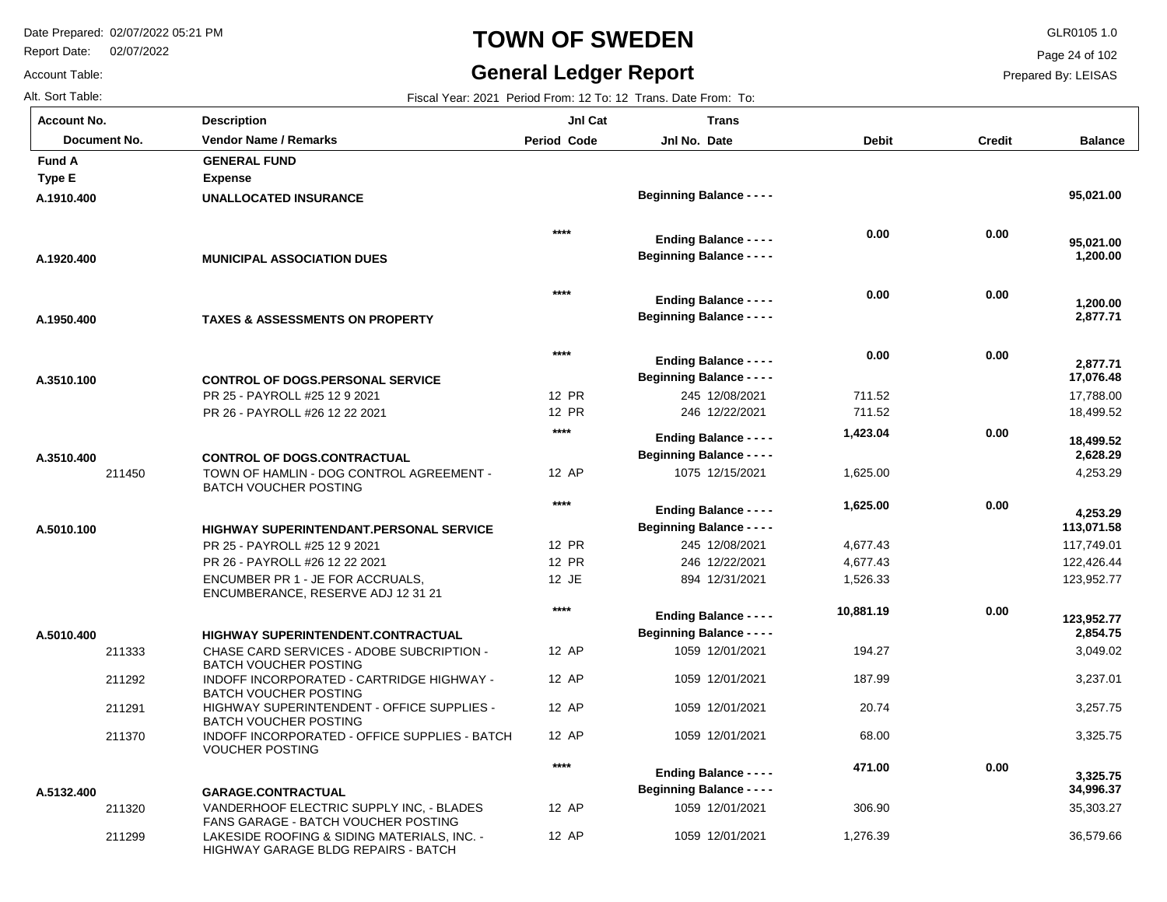Report Date: 02/07/2022

## **TOWN OF SWEDEN** GLR0105 1.0

#### **General Ledger Report**

**Balance**

 **95,021.00** 

 **1,200.00** 

 **95,021.00** 

 **2,877.71** 

 **1,200.00** 

 17,788.00 18,499.52

 **17,076.48** 

 **2,877.71** 

4,253.29

 **4,253.29** 

 **2,628.29** 

 **18,499.52** 

 117,749.01 122,426.44 123,952.77

 **113,071.58** 

 3,049.02 3,237.01 3,257.75 3,325.75

 **2,854.75** 

 **123,952.77** 

 35,303.27 36,579.66

 **34,996.37** 

 **3,325.75** 

Page 24 of 102

Prepared By: LEISAS

Account Table: Alt. Sort Table: Fiscal Year: 2021 Period From: 12 To: 12 Trans. Date From: To: **Account No.**

**A.1910.400**

**Type E Fund A** 

**A.1920.400**

**A.1950.400**

**A.3510.100**

**A.3510.400**

**A.5010.100**

**A.5010.400**

| ⊍nt No.         | <b>Description</b>                                                               | JnI Cat            | <b>Trans</b>                                                      |              |        |
|-----------------|----------------------------------------------------------------------------------|--------------------|-------------------------------------------------------------------|--------------|--------|
| Document No.    | <b>Vendor Name / Remarks</b>                                                     | <b>Period Code</b> | Jnl No. Date                                                      | <b>Debit</b> | Credit |
| ΙA              | <b>GENERAL FUND</b>                                                              |                    |                                                                   |              |        |
| Е               | <b>Expense</b>                                                                   |                    |                                                                   |              |        |
| 0.400           | <b>UNALLOCATED INSURANCE</b>                                                     |                    | <b>Beginning Balance - - - -</b>                                  |              |        |
|                 |                                                                                  | $***$              | <b>Ending Balance - - - -</b>                                     | 0.00         | 0.00   |
| 20.400          | <b>MUNICIPAL ASSOCIATION DUES</b>                                                |                    | <b>Beginning Balance - - - -</b>                                  |              |        |
|                 |                                                                                  | $****$             | <b>Ending Balance - - - -</b>                                     | 0.00         | 0.00   |
| 50.400          | <b>TAXES &amp; ASSESSMENTS ON PROPERTY</b>                                       |                    | <b>Beginning Balance - - - -</b>                                  |              |        |
|                 |                                                                                  | $****$             | <b>Ending Balance - - - -</b>                                     | 0.00         | 0.00   |
| 10.100          | <b>CONTROL OF DOGS.PERSONAL SERVICE</b>                                          |                    | <b>Beginning Balance - - - -</b>                                  |              |        |
|                 | PR 25 - PAYROLL #25 12 9 2021                                                    | 12 PR              | 245 12/08/2021                                                    | 711.52       |        |
|                 | PR 26 - PAYROLL #26 12 22 2021                                                   | 12 PR              | 246 12/22/2021                                                    | 711.52       |        |
|                 |                                                                                  | $****$             |                                                                   | 1,423.04     | 0.00   |
|                 |                                                                                  |                    | <b>Ending Balance - - - -</b><br><b>Beginning Balance - - - -</b> |              |        |
| 0.400<br>211450 | <b>CONTROL OF DOGS.CONTRACTUAL</b><br>TOWN OF HAMLIN - DOG CONTROL AGREEMENT -   | 12 AP              | 1075 12/15/2021                                                   | 1,625.00     |        |
|                 | <b>BATCH VOUCHER POSTING</b>                                                     |                    |                                                                   |              |        |
|                 |                                                                                  | $****$             | <b>Ending Balance - - - -</b>                                     | 1,625.00     | 0.00   |
| 10.100          | <b>HIGHWAY SUPERINTENDANT.PERSONAL SERVICE</b>                                   |                    | <b>Beginning Balance - - - -</b>                                  |              |        |
|                 | PR 25 - PAYROLL #25 12 9 2021                                                    | 12 PR              | 245 12/08/2021                                                    | 4,677.43     |        |
|                 | PR 26 - PAYROLL #26 12 22 2021                                                   | <b>12 PR</b>       | 246 12/22/2021                                                    | 4,677.43     |        |
|                 | ENCUMBER PR 1 - JE FOR ACCRUALS.<br>ENCUMBERANCE, RESERVE ADJ 12 31 21           | 12 JE              | 894 12/31/2021                                                    | 1,526.33     |        |
|                 |                                                                                  | $***$              | <b>Ending Balance - - - -</b>                                     | 10,881.19    | 0.00   |
| 10.400          | <b>HIGHWAY SUPERINTENDENT.CONTRACTUAL</b>                                        |                    | <b>Beginning Balance - - - -</b>                                  |              |        |
| 211333          | <b>CHASE CARD SERVICES - ADOBE SUBCRIPTION -</b><br><b>BATCH VOUCHER POSTING</b> | 12 AP              | 1059 12/01/2021                                                   | 194.27       |        |
| 211292          | INDOFF INCORPORATED - CARTRIDGE HIGHWAY -<br><b>BATCH VOUCHER POSTING</b>        | 12 AP              | 1059 12/01/2021                                                   | 187.99       |        |
| 211291          | HIGHWAY SUPERINTENDENT - OFFICE SUPPLIES -<br><b>BATCH VOUCHER POSTING</b>       | 12 AP              | 1059 12/01/2021                                                   | 20.74        |        |
| 211370          | INDOFF INCORPORATED - OFFICE SUPPLIES - BATCH<br><b>VOUCHER POSTING</b>          | 12 AP              | 1059 12/01/2021                                                   | 68.00        |        |
|                 |                                                                                  | $****$             | <b>Ending Balance - - - -</b>                                     | 471.00       | 0.00   |
| 32.400          | <b>GARAGE CONTRACTUAL</b>                                                        |                    | <b>Beginning Balance - - - -</b>                                  |              |        |

12 AP 12 AP 1059 12/01/2021 1059 12/01/2021 306.90

1,276.39

211320 211299 VANDERHOOF ELECTRIC SUPPLY INC, - BLADES FANS GARAGE - BATCH VOUCHER POSTING LAKESIDE ROOFING & SIDING MATERIALS, INC. - HIGHWAY GARAGE BLDG REPAIRS - BATCH **GARAGE.CONTRACTUAL A.5132.400**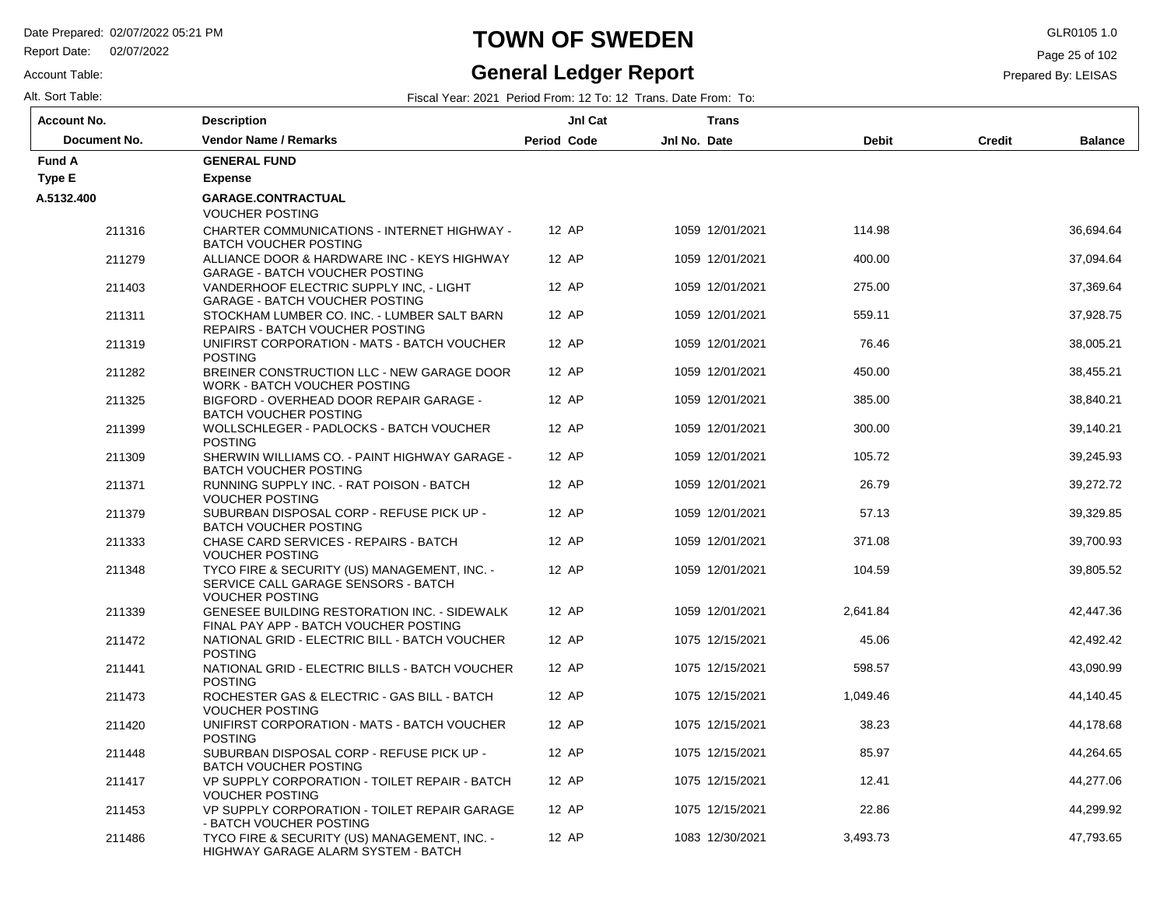Report Date: 02/07/2022

#### Account Table:

# **TOWN OF SWEDEN** GLR0105 1.0

#### **General Ledger Report**

Page 25 of 102

| <b>Account No.</b><br><b>JnI Cat</b><br><b>Description</b> |                                                                                                               | <b>Trans</b>       |                 |              |                                 |
|------------------------------------------------------------|---------------------------------------------------------------------------------------------------------------|--------------------|-----------------|--------------|---------------------------------|
| Document No.                                               | <b>Vendor Name / Remarks</b>                                                                                  | <b>Period Code</b> | Jnl No. Date    | <b>Debit</b> | <b>Credit</b><br><b>Balance</b> |
| <b>Fund A</b>                                              | <b>GENERAL FUND</b>                                                                                           |                    |                 |              |                                 |
| <b>Type E</b>                                              | <b>Expense</b>                                                                                                |                    |                 |              |                                 |
| A.5132.400                                                 | GARAGE.CONTRACTUAL<br><b>VOUCHER POSTING</b>                                                                  |                    |                 |              |                                 |
| 211316                                                     | <b>CHARTER COMMUNICATIONS - INTERNET HIGHWAY -</b><br><b>BATCH VOUCHER POSTING</b>                            | 12 AP              | 1059 12/01/2021 | 114.98       | 36,694.64                       |
| 211279                                                     | ALLIANCE DOOR & HARDWARE INC - KEYS HIGHWAY<br><b>GARAGE - BATCH VOUCHER POSTING</b>                          | 12 AP              | 1059 12/01/2021 | 400.00       | 37,094.64                       |
| 211403                                                     | VANDERHOOF ELECTRIC SUPPLY INC. - LIGHT<br><b>GARAGE - BATCH VOUCHER POSTING</b>                              | 12 AP              | 1059 12/01/2021 | 275.00       | 37,369.64                       |
| 211311                                                     | STOCKHAM LUMBER CO. INC. - LUMBER SALT BARN<br>REPAIRS - BATCH VOUCHER POSTING                                | 12 AP              | 1059 12/01/2021 | 559.11       | 37,928.75                       |
| 211319                                                     | UNIFIRST CORPORATION - MATS - BATCH VOUCHER<br><b>POSTING</b>                                                 | 12 AP              | 1059 12/01/2021 | 76.46        | 38,005.21                       |
| 211282                                                     | BREINER CONSTRUCTION LLC - NEW GARAGE DOOR<br>WORK - BATCH VOUCHER POSTING                                    | 12 AP              | 1059 12/01/2021 | 450.00       | 38,455.21                       |
| 211325                                                     | BIGFORD - OVERHEAD DOOR REPAIR GARAGE -<br><b>BATCH VOUCHER POSTING</b>                                       | 12 AP              | 1059 12/01/2021 | 385.00       | 38,840.21                       |
| 211399                                                     | WOLLSCHLEGER - PADLOCKS - BATCH VOUCHER<br><b>POSTING</b>                                                     | 12 AP              | 1059 12/01/2021 | 300.00       | 39,140.21                       |
| 211309                                                     | SHERWIN WILLIAMS CO. - PAINT HIGHWAY GARAGE -<br><b>BATCH VOUCHER POSTING</b>                                 | 12 AP              | 1059 12/01/2021 | 105.72       | 39,245.93                       |
| 211371                                                     | RUNNING SUPPLY INC. - RAT POISON - BATCH<br><b>VOUCHER POSTING</b>                                            | 12 AP              | 1059 12/01/2021 | 26.79        | 39,272.72                       |
| 211379                                                     | SUBURBAN DISPOSAL CORP - REFUSE PICK UP -<br><b>BATCH VOUCHER POSTING</b>                                     | 12 AP              | 1059 12/01/2021 | 57.13        | 39,329.85                       |
| 211333                                                     | CHASE CARD SERVICES - REPAIRS - BATCH<br><b>VOUCHER POSTING</b>                                               | 12 AP              | 1059 12/01/2021 | 371.08       | 39,700.93                       |
| 211348                                                     | TYCO FIRE & SECURITY (US) MANAGEMENT, INC. -<br>SERVICE CALL GARAGE SENSORS - BATCH<br><b>VOUCHER POSTING</b> | 12 AP              | 1059 12/01/2021 | 104.59       | 39,805.52                       |
| 211339                                                     | <b>GENESEE BUILDING RESTORATION INC. - SIDEWALK</b><br>FINAL PAY APP - BATCH VOUCHER POSTING                  | 12 AP              | 1059 12/01/2021 | 2,641.84     | 42,447.36                       |
| 211472                                                     | NATIONAL GRID - ELECTRIC BILL - BATCH VOUCHER<br><b>POSTING</b>                                               | 12 AP              | 1075 12/15/2021 | 45.06        | 42,492.42                       |
| 211441                                                     | NATIONAL GRID - ELECTRIC BILLS - BATCH VOUCHER<br><b>POSTING</b>                                              | 12 AP              | 1075 12/15/2021 | 598.57       | 43,090.99                       |
| 211473                                                     | ROCHESTER GAS & ELECTRIC - GAS BILL - BATCH<br><b>VOUCHER POSTING</b>                                         | 12 AP              | 1075 12/15/2021 | 1,049.46     | 44,140.45                       |
| 211420                                                     | UNIFIRST CORPORATION - MATS - BATCH VOUCHER<br><b>POSTING</b>                                                 | 12 AP              | 1075 12/15/2021 | 38.23        | 44,178.68                       |
| 211448                                                     | SUBURBAN DISPOSAL CORP - REFUSE PICK UP -<br><b>BATCH VOUCHER POSTING</b>                                     | 12 AP              | 1075 12/15/2021 | 85.97        | 44,264.65                       |
| 211417                                                     | VP SUPPLY CORPORATION - TOILET REPAIR - BATCH<br><b>VOUCHER POSTING</b>                                       | 12 AP              | 1075 12/15/2021 | 12.41        | 44,277.06                       |
| 211453                                                     | VP SUPPLY CORPORATION - TOILET REPAIR GARAGE<br>- BATCH VOUCHER POSTING                                       | 12 AP              | 1075 12/15/2021 | 22.86        | 44,299.92                       |
| 211486                                                     | TYCO FIRE & SECURITY (US) MANAGEMENT, INC. -<br>HIGHWAY GARAGE ALARM SYSTEM - BATCH                           | 12 AP              | 1083 12/30/2021 | 3,493.73     | 47,793.65                       |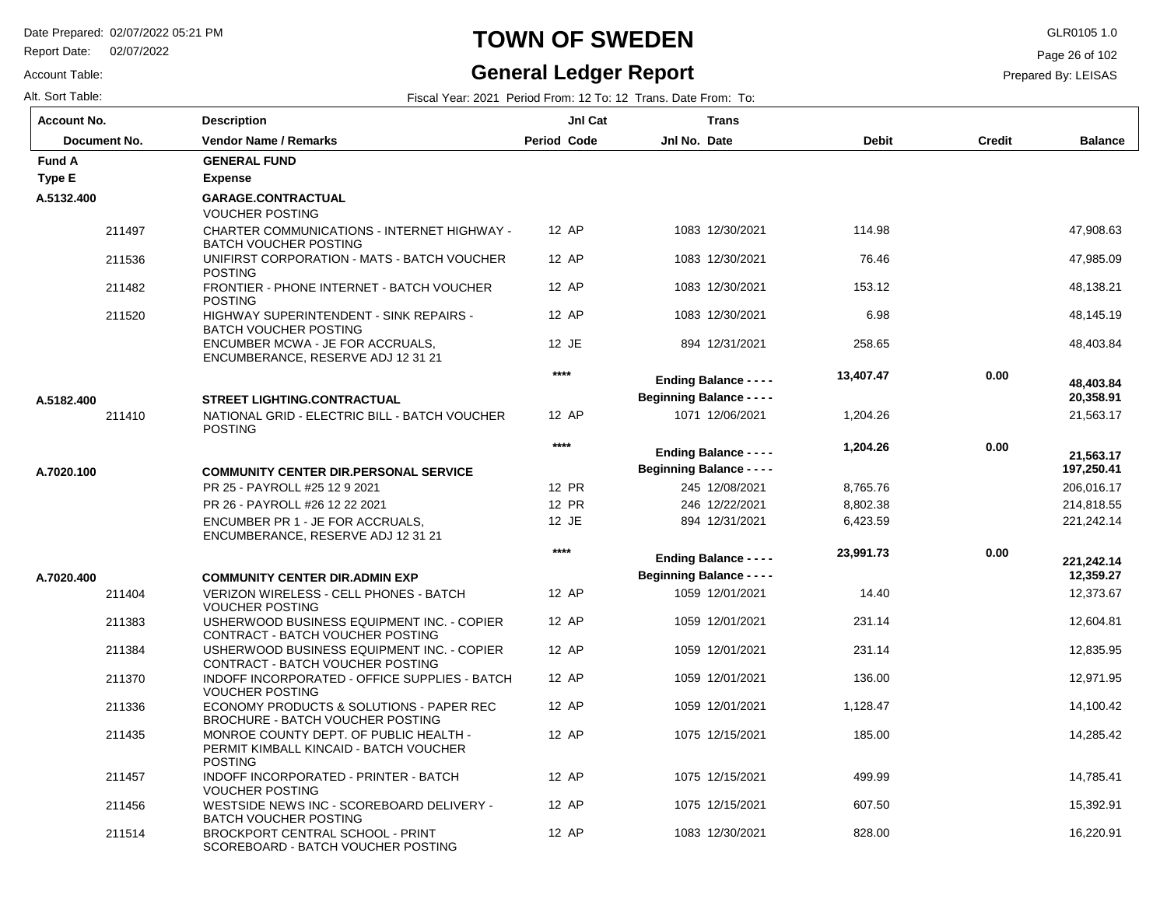211514

Report Date: 02/07/2022

#### Account Table:

**A.5182.400**

Alt. Sort Table: Fiscal Year: 2021 Period From: 12 To: 12 Trans. Date From: To:

#### **General Ledger Report**

Page 26 of 102

Prepared By: LEISAS

| Account No.   | <b>Description</b>                                                                 | <b>Jnl Cat</b>     | <b>Trans</b>    |              |               |
|---------------|------------------------------------------------------------------------------------|--------------------|-----------------|--------------|---------------|
| Document No.  | <b>Vendor Name / Remarks</b>                                                       | <b>Period Code</b> | Jnl No. Date    | <b>Debit</b> | <b>Credit</b> |
| <b>Fund A</b> | <b>GENERAL FUND</b>                                                                |                    |                 |              |               |
| Type E        | <b>Expense</b>                                                                     |                    |                 |              |               |
| A.5132.400    | <b>GARAGE.CONTRACTUAL</b><br><b>VOUCHER POSTING</b>                                |                    |                 |              |               |
| 211497        | <b>CHARTER COMMUNICATIONS - INTERNET HIGHWAY -</b><br><b>BATCH VOUCHER POSTING</b> | 12 AP              | 1083 12/30/2021 | 114.98       |               |
| 211536        | UNIFIRST CORPORATION - MATS - BATCH VOUCHER<br><b>POSTING</b>                      | 12 AP              | 1083 12/30/2021 | 76.46        |               |
| 211482        | FRONTIER - PHONE INTERNET - BATCH VOUCHER<br><b>POSTING</b>                        | 12 AP              | 1083 12/30/2021 | 153.12       |               |
| 211520        | HIGHWAY SUPERINTENDENT - SINK REPAIRS -<br><b>BATCH VOUCHER POSTING</b>            | 12 AP              | 1083 12/30/2021 | 6.98         |               |
|               | ENCUMBER MCWA - JE FOR ACCRUALS.                                                   | 12 JE              | 894 12/31/2021  | 258.65       |               |

12 AP

**\*\*\*\***

**\*\*\*\***

12 PR 12 PR 12 JE

12 AP 12 AP 12 AP 12 AP 12 AP 12 AP

**\*\*\*\***

12 AP 12 AP 12 AP

1083 12/30/2021

|            | 211410 | NATIONAL GRID - ELECTRIC BILL - BATCH VOUCHER<br><b>POSTING</b>               |
|------------|--------|-------------------------------------------------------------------------------|
| A.7020.100 |        | <b>COMMUNITY CENTER DIR.PERSONAL SERVICE</b><br>PR 25 - PAYROLL #25 12 9 2021 |
|            |        | PR 26 - PAYROLL #26 12 22 2021                                                |
|            |        | ENCUMBER PR 1 - JE FOR ACCRUALS.                                              |

ENCUMBERANCE, RESERVE ADJ 12 31 21

**STREET LIGHTING.CONTRACTUAL**

ENCUMBERANCE, RESERVE ADJ 12 31 21

| A.7020.400 |        | <b>COMMUNITY CENTER DIR.ADMIN EXP</b>                                            |
|------------|--------|----------------------------------------------------------------------------------|
|            | 211404 | VERIZON WIRELESS - CELL PHONES - BATCH<br>VOUCHER POSTING                        |
|            | 211383 | USHERWOOD BUSINESS EQUIPMENT INC. - COPIER<br>CONTRACT - BATCH VOUCHER POSTING   |
|            | 211384 | USHERWOOD BUSINESS EQUIPMENT INC. - COPIER<br>CONTRACT - BATCH VOUCHER POSTING   |
|            | 211370 | INDOFF INCORPORATED - OFFICE SUPPLIES - BATCH<br>VOUCHER POSTING                 |
|            | 211336 | ECONOMY PRODUCTS & SOLUTIONS - PAPER REC<br>BROCHURE - BATCH VOUCHER POSTING     |
|            | 211435 | MONROE COUNTY DEPT. OF PUBLIC HEALTH -<br>PERMIT KIMBALL KINCAID - BATCH VOUCHER |
|            |        | <b>POSTING</b>                                                                   |
|            | 211457 | INDOFF INCORPORATED - PRINTER - BATCH<br><b>VOUCHER POSTING</b>                  |
|            | 211456 | WESTSIDE NEWS INC - SCOREBOARD DELIVERY -<br><b>BATCH VOUCHER POSTING</b>        |

BROCKPORT CENTRAL SCHOOL - PRINT SCOREBOARD - BATCH VOUCHER POSTING

| 1083 12/30/2021                                                   | 6.98      |      | 48,145.19               |
|-------------------------------------------------------------------|-----------|------|-------------------------|
| 894 12/31/2021                                                    | 258.65    |      | 48,403.84               |
| <b>Ending Balance - - - -</b><br><b>Beginning Balance - - - -</b> | 13,407.47 | 0.00 | 48,403.84<br>20,358.91  |
| 1071 12/06/2021                                                   | 1,204.26  |      | 21,563.17               |
| <b>Ending Balance - - - -</b><br><b>Beginning Balance - - - -</b> | 1,204.26  | 0.00 | 21,563.17<br>197,250.41 |
| 245 12/08/2021                                                    | 8,765.76  |      | 206,016.17              |
| 246 12/22/2021                                                    | 8,802.38  |      | 214,818.55              |
| 894 12/31/2021                                                    | 6,423.59  |      | 221,242.14              |
| <b>Ending Balance - - - -</b><br><b>Beginning Balance - - - -</b> | 23,991.73 | 0.00 | 221,242.14<br>12,359.27 |
| 1059 12/01/2021                                                   | 14.40     |      | 12,373.67               |
| 1059 12/01/2021                                                   | 231.14    |      | 12,604.81               |
| 1059 12/01/2021                                                   | 231.14    |      | 12,835.95               |
| 1059 12/01/2021                                                   | 136.00    |      | 12,971.95               |
| 1059 12/01/2021                                                   | 1,128.47  |      | 14,100.42               |
| 1075 12/15/2021                                                   | 185.00    |      | 14,285.42               |
| 1075 12/15/2021                                                   | 499.99    |      | 14,785.41               |
| 1075 12/15/2021                                                   | 607.50    |      | 15,392.91               |

828.00

**Balance**

 47,908.63 47,985.09 48,138.21

16,220.91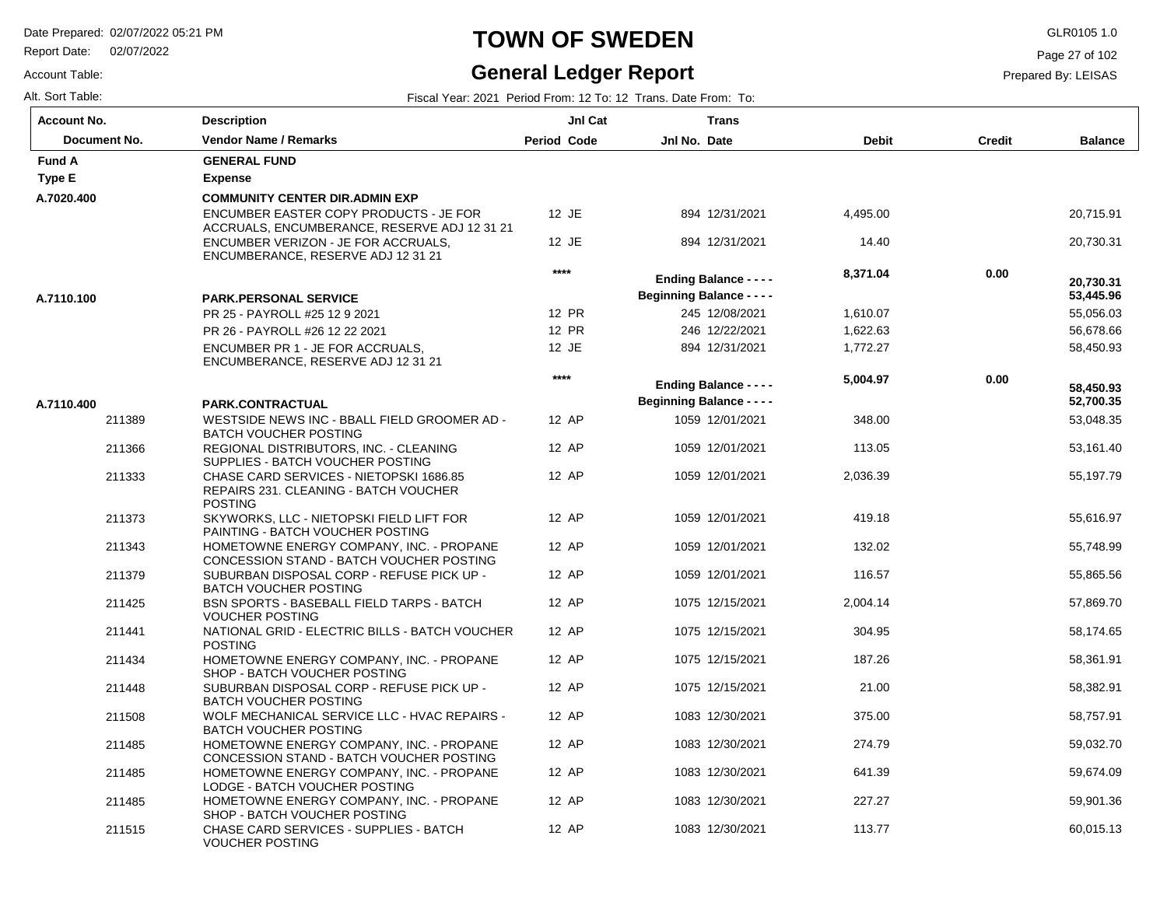Report Date: 02/07/2022

# **TOWN OF SWEDEN** GLR0105 1.0

#### **General Ledger Report**

Page 27 of 102

| Account Table:   | <b>General Ledger Report</b>                                   |
|------------------|----------------------------------------------------------------|
| Alt. Sort Table: | Fiscal Year: 2021 Period From: 12 To: 12 Trans. Date From: To: |

| <b>Account No.</b> | <b>Description</b>                                                                                 | JnI Cat     | <b>Trans</b>                     |              |               |                |
|--------------------|----------------------------------------------------------------------------------------------------|-------------|----------------------------------|--------------|---------------|----------------|
| Document No.       | <b>Vendor Name / Remarks</b>                                                                       | Period Code | Jnl No. Date                     | <b>Debit</b> | <b>Credit</b> | <b>Balance</b> |
| <b>Fund A</b>      | <b>GENERAL FUND</b>                                                                                |             |                                  |              |               |                |
| Type E             | <b>Expense</b>                                                                                     |             |                                  |              |               |                |
| A.7020.400         | <b>COMMUNITY CENTER DIR.ADMIN EXP</b>                                                              |             |                                  |              |               |                |
|                    | ENCUMBER EASTER COPY PRODUCTS - JE FOR<br>ACCRUALS, ENCUMBERANCE, RESERVE ADJ 12 31 21             | 12 JE       | 894 12/31/2021                   | 4,495.00     |               | 20,715.91      |
|                    | ENCUMBER VERIZON - JE FOR ACCRUALS.<br>ENCUMBERANCE, RESERVE ADJ 12 31 21                          | 12 JE       | 894 12/31/2021                   | 14.40        |               | 20,730.31      |
|                    |                                                                                                    | $***$       | <b>Ending Balance - - - -</b>    | 8,371.04     | 0.00          | 20,730.31      |
| A.7110.100         | <b>PARK.PERSONAL SERVICE</b>                                                                       |             | <b>Beginning Balance - - - -</b> |              |               | 53,445.96      |
|                    | PR 25 - PAYROLL #25 12 9 2021                                                                      | 12 PR       | 245 12/08/2021                   | 1,610.07     |               | 55,056.03      |
|                    | PR 26 - PAYROLL #26 12 22 2021                                                                     | 12 PR       | 246 12/22/2021                   | 1,622.63     |               | 56,678.66      |
|                    | ENCUMBER PR 1 - JE FOR ACCRUALS,<br>ENCUMBERANCE, RESERVE ADJ 12 31 21                             | 12 JE       | 894 12/31/2021                   | 1,772.27     |               | 58,450.93      |
|                    |                                                                                                    | $****$      | <b>Ending Balance - - - -</b>    | 5,004.97     | 0.00          | 58,450.93      |
| A.7110.400         | PARK.CONTRACTUAL                                                                                   |             | <b>Beginning Balance - - - -</b> |              |               | 52,700.35      |
| 211389             | WESTSIDE NEWS INC - BBALL FIELD GROOMER AD -<br><b>BATCH VOUCHER POSTING</b>                       | 12 AP       | 1059 12/01/2021                  | 348.00       |               | 53,048.35      |
| 211366             | REGIONAL DISTRIBUTORS, INC. - CLEANING<br>SUPPLIES - BATCH VOUCHER POSTING                         | 12 AP       | 1059 12/01/2021                  | 113.05       |               | 53,161.40      |
| 211333             | CHASE CARD SERVICES - NIETOPSKI 1686.85<br>REPAIRS 231. CLEANING - BATCH VOUCHER<br><b>POSTING</b> | 12 AP       | 1059 12/01/2021                  | 2,036.39     |               | 55,197.79      |
| 211373             | SKYWORKS, LLC - NIETOPSKI FIELD LIFT FOR<br>PAINTING - BATCH VOUCHER POSTING                       | 12 AP       | 1059 12/01/2021                  | 419.18       |               | 55,616.97      |
| 211343             | HOMETOWNE ENERGY COMPANY, INC. - PROPANE<br>CONCESSION STAND - BATCH VOUCHER POSTING               | 12 AP       | 1059 12/01/2021                  | 132.02       |               | 55,748.99      |
| 211379             | SUBURBAN DISPOSAL CORP - REFUSE PICK UP -<br><b>BATCH VOUCHER POSTING</b>                          | 12 AP       | 1059 12/01/2021                  | 116.57       |               | 55,865.56      |
| 211425             | <b>BSN SPORTS - BASEBALL FIELD TARPS - BATCH</b><br><b>VOUCHER POSTING</b>                         | 12 AP       | 1075 12/15/2021                  | 2.004.14     |               | 57,869.70      |
| 211441             | NATIONAL GRID - ELECTRIC BILLS - BATCH VOUCHER<br><b>POSTING</b>                                   | 12 AP       | 1075 12/15/2021                  | 304.95       |               | 58,174.65      |
| 211434             | HOMETOWNE ENERGY COMPANY, INC. - PROPANE<br>SHOP - BATCH VOUCHER POSTING                           | 12 AP       | 1075 12/15/2021                  | 187.26       |               | 58,361.91      |
| 211448             | SUBURBAN DISPOSAL CORP - REFUSE PICK UP -<br><b>BATCH VOUCHER POSTING</b>                          | 12 AP       | 1075 12/15/2021                  | 21.00        |               | 58,382.91      |
| 211508             | WOLF MECHANICAL SERVICE LLC - HVAC REPAIRS -<br><b>BATCH VOUCHER POSTING</b>                       | 12 AP       | 1083 12/30/2021                  | 375.00       |               | 58,757.91      |
| 211485             | HOMETOWNE ENERGY COMPANY, INC. - PROPANE<br>CONCESSION STAND - BATCH VOUCHER POSTING               | 12 AP       | 1083 12/30/2021                  | 274.79       |               | 59,032.70      |
| 211485             | HOMETOWNE ENERGY COMPANY, INC. - PROPANE<br>LODGE - BATCH VOUCHER POSTING                          | 12 AP       | 1083 12/30/2021                  | 641.39       |               | 59,674.09      |
| 211485             | HOMETOWNE ENERGY COMPANY, INC. - PROPANE<br>SHOP - BATCH VOUCHER POSTING                           | 12 AP       | 1083 12/30/2021                  | 227.27       |               | 59,901.36      |
| 211515             | CHASE CARD SERVICES - SUPPLIES - BATCH<br><b>VOUCHER POSTING</b>                                   | 12 AP       | 1083 12/30/2021                  | 113.77       |               | 60,015.13      |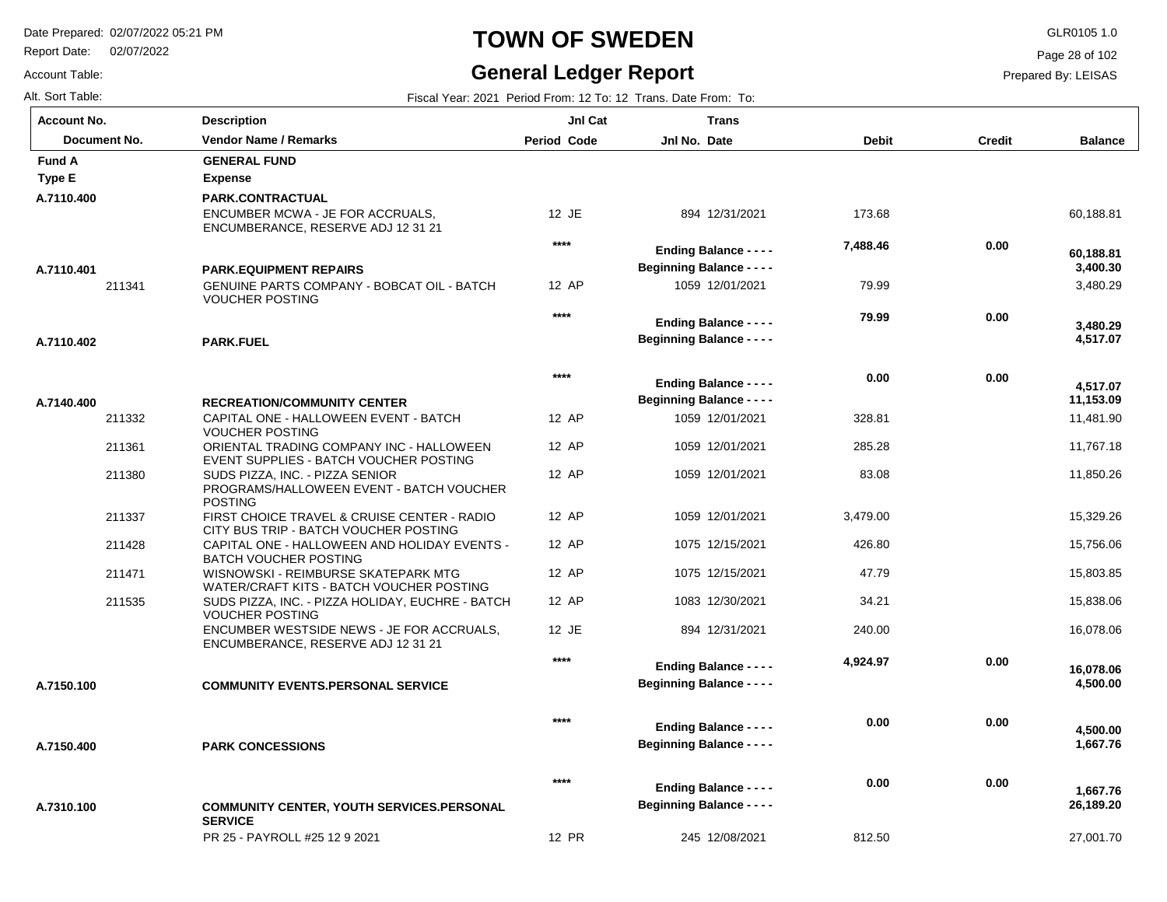PR 25 - PAYROLL #25 12 9 2021

Report Date: 02/07/2022

## **TOWN OF SWEDEN** GLR0105 1.0

#### **General Ledger Report**

27,001.70

Page 28 of 102

Prepared By: LEISAS

Account Table: Alt. Sort Table: Fiscal Year: 2021 Period From: 12 To: 12 Trans. Date From: To: 12 Trans. Date From: To: 12 Trans. Date From: To:

| <b>Account No.</b> | <b>Description</b>                                                                            | Jnl Cat            | <b>Trans</b>                                                      |              |               |                       |
|--------------------|-----------------------------------------------------------------------------------------------|--------------------|-------------------------------------------------------------------|--------------|---------------|-----------------------|
| Document No.       | <b>Vendor Name / Remarks</b>                                                                  | <b>Period Code</b> | Jnl No. Date                                                      | <b>Debit</b> | <b>Credit</b> | <b>Balance</b>        |
| <b>Fund A</b>      | <b>GENERAL FUND</b>                                                                           |                    |                                                                   |              |               |                       |
| Type E             | <b>Expense</b>                                                                                |                    |                                                                   |              |               |                       |
| A.7110.400         | PARK.CONTRACTUAL<br>ENCUMBER MCWA - JE FOR ACCRUALS,<br>ENCUMBERANCE, RESERVE ADJ 12 31 21    | 12 JE              | 894 12/31/2021                                                    | 173.68       |               | 60,188.81             |
| A.7110.401         | <b>PARK.EQUIPMENT REPAIRS</b>                                                                 | $***$              | <b>Ending Balance - - - -</b><br><b>Beginning Balance - - - -</b> | 7,488.46     | 0.00          | 60,188.81<br>3,400.30 |
| 211341             | GENUINE PARTS COMPANY - BOBCAT OIL - BATCH<br><b>VOUCHER POSTING</b>                          | 12 AP              | 1059 12/01/2021                                                   | 79.99        |               | 3,480.29              |
| A.7110.402         | <b>PARK.FUEL</b>                                                                              | ****               | <b>Ending Balance - - - -</b><br><b>Beginning Balance - - - -</b> | 79.99        | 0.00          | 3,480.29<br>4,517.07  |
|                    |                                                                                               | ****               | <b>Ending Balance - - - -</b>                                     | 0.00         | 0.00          | 4.517.07              |
| A.7140.400         | <b>RECREATION/COMMUNITY CENTER</b>                                                            |                    | <b>Beginning Balance - - - -</b>                                  |              |               | 11,153.09             |
| 211332             | CAPITAL ONE - HALLOWEEN EVENT - BATCH<br><b>VOUCHER POSTING</b>                               | 12 AP              | 1059 12/01/2021                                                   | 328.81       |               | 11,481.90             |
| 211361             | ORIENTAL TRADING COMPANY INC - HALLOWEEN<br>EVENT SUPPLIES - BATCH VOUCHER POSTING            | 12 AP              | 1059 12/01/2021                                                   | 285.28       |               | 11,767.18             |
| 211380             | SUDS PIZZA, INC. - PIZZA SENIOR<br>PROGRAMS/HALLOWEEN EVENT - BATCH VOUCHER<br><b>POSTING</b> | 12 AP              | 1059 12/01/2021                                                   | 83.08        |               | 11,850.26             |
| 211337             | FIRST CHOICE TRAVEL & CRUISE CENTER - RADIO<br>CITY BUS TRIP - BATCH VOUCHER POSTING          | 12 AP              | 1059 12/01/2021                                                   | 3,479.00     |               | 15,329.26             |
| 211428             | CAPITAL ONE - HALLOWEEN AND HOLIDAY EVENTS -<br><b>BATCH VOUCHER POSTING</b>                  | 12 AP              | 1075 12/15/2021                                                   | 426.80       |               | 15,756.06             |
| 211471             | WISNOWSKI - REIMBURSE SKATEPARK MTG<br>WATER/CRAFT KITS - BATCH VOUCHER POSTING               | 12 AP              | 1075 12/15/2021                                                   | 47.79        |               | 15,803.85             |
| 211535             | SUDS PIZZA, INC. - PIZZA HOLIDAY, EUCHRE - BATCH<br><b>VOUCHER POSTING</b>                    | 12 AP              | 1083 12/30/2021                                                   | 34.21        |               | 15,838.06             |
|                    | ENCUMBER WESTSIDE NEWS - JE FOR ACCRUALS,<br>ENCUMBERANCE, RESERVE ADJ 12 31 21               | 12 JE              | 894 12/31/2021                                                    | 240.00       |               | 16,078.06             |
| A.7150.100         | <b>COMMUNITY EVENTS.PERSONAL SERVICE</b>                                                      | $***$              | <b>Ending Balance - - - -</b><br><b>Beginning Balance - - - -</b> | 4,924.97     | 0.00          | 16,078.06<br>4,500.00 |
|                    |                                                                                               |                    |                                                                   |              |               |                       |
| A.7150.400         | <b>PARK CONCESSIONS</b>                                                                       | $***$              | <b>Ending Balance - - - -</b><br><b>Beginning Balance - - - -</b> | 0.00         | 0.00          | 4,500.00<br>1,667.76  |
|                    |                                                                                               | $***$              | <b>Ending Balance - - - -</b>                                     | 0.00         | 0.00          | 1,667.76              |
| A.7310.100         | <b>COMMUNITY CENTER, YOUTH SERVICES.PERSONAL</b><br><b>SERVICE</b>                            |                    | <b>Beginning Balance - - - -</b>                                  |              |               | 26,189.20             |

12 PR

245 12/08/2021

812.50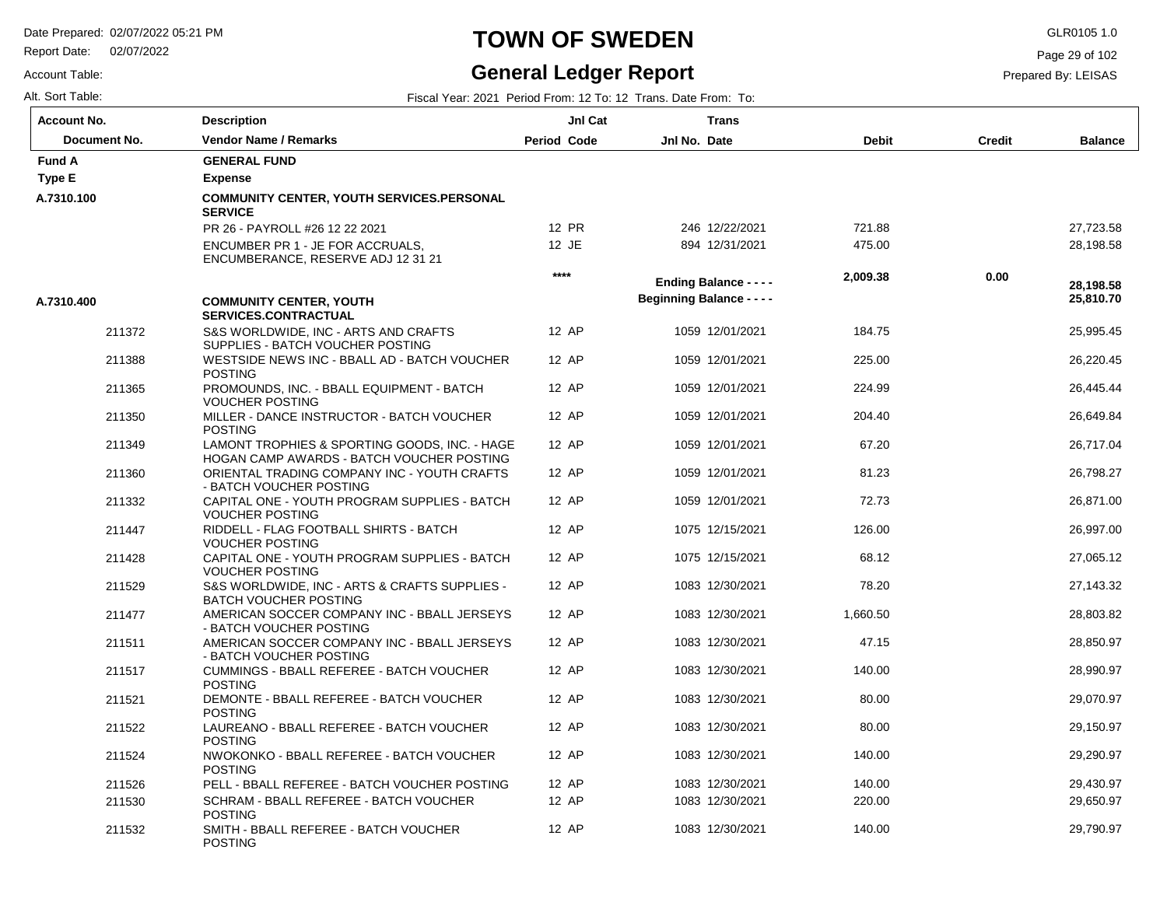Report Date: 02/07/2022

#### Account Table:

### **TOWN OF SWEDEN** GLR0105 1.0

### **General Ledger Report**

Page 29 of 102

Prepared By: LEISAS

| Account No.  | <b>Description</b>                                                                         | JnI Cat            | <b>Trans</b>                     |              |               |                |
|--------------|--------------------------------------------------------------------------------------------|--------------------|----------------------------------|--------------|---------------|----------------|
| Document No. | <b>Vendor Name / Remarks</b>                                                               | <b>Period Code</b> | Jnl No. Date                     | <b>Debit</b> | <b>Credit</b> | <b>Balance</b> |
| Fund A       | <b>GENERAL FUND</b>                                                                        |                    |                                  |              |               |                |
| Type E       | <b>Expense</b>                                                                             |                    |                                  |              |               |                |
| A.7310.100   | <b>COMMUNITY CENTER, YOUTH SERVICES.PERSONAL</b><br><b>SERVICE</b>                         |                    |                                  |              |               |                |
|              | PR 26 - PAYROLL #26 12 22 2021                                                             | 12 PR              | 246 12/22/2021                   | 721.88       |               | 27,723.58      |
|              | ENCUMBER PR 1 - JE FOR ACCRUALS,<br>ENCUMBERANCE, RESERVE ADJ 12 31 21                     | 12 JE              | 894 12/31/2021                   | 475.00       |               | 28,198.58      |
|              |                                                                                            | ****               | <b>Ending Balance - - - -</b>    | 2,009.38     | 0.00          | 28,198.58      |
| A.7310.400   | <b>COMMUNITY CENTER, YOUTH</b><br><b>SERVICES.CONTRACTUAL</b>                              |                    | <b>Beginning Balance - - - -</b> |              |               | 25,810.70      |
| 211372       | S&S WORLDWIDE, INC - ARTS AND CRAFTS<br>SUPPLIES - BATCH VOUCHER POSTING                   | 12 AP              | 1059 12/01/2021                  | 184.75       |               | 25,995.45      |
| 211388       | WESTSIDE NEWS INC - BBALL AD - BATCH VOUCHER<br><b>POSTING</b>                             | 12 AP              | 1059 12/01/2021                  | 225.00       |               | 26,220.45      |
| 211365       | PROMOUNDS, INC. - BBALL EQUIPMENT - BATCH<br><b>VOUCHER POSTING</b>                        | 12 AP              | 1059 12/01/2021                  | 224.99       |               | 26,445.44      |
| 211350       | MILLER - DANCE INSTRUCTOR - BATCH VOUCHER<br><b>POSTING</b>                                | 12 AP              | 1059 12/01/2021                  | 204.40       |               | 26,649.84      |
| 211349       | LAMONT TROPHIES & SPORTING GOODS, INC. - HAGE<br>HOGAN CAMP AWARDS - BATCH VOUCHER POSTING | 12 AP              | 1059 12/01/2021                  | 67.20        |               | 26,717.04      |
| 211360       | ORIENTAL TRADING COMPANY INC - YOUTH CRAFTS<br>- BATCH VOUCHER POSTING                     | 12 AP              | 1059 12/01/2021                  | 81.23        |               | 26,798.27      |
| 211332       | CAPITAL ONE - YOUTH PROGRAM SUPPLIES - BATCH<br><b>VOUCHER POSTING</b>                     | 12 AP              | 1059 12/01/2021                  | 72.73        |               | 26,871.00      |
| 211447       | RIDDELL - FLAG FOOTBALL SHIRTS - BATCH<br><b>VOUCHER POSTING</b>                           | 12 AP              | 1075 12/15/2021                  | 126.00       |               | 26,997.00      |
| 211428       | CAPITAL ONE - YOUTH PROGRAM SUPPLIES - BATCH<br><b>VOUCHER POSTING</b>                     | 12 AP              | 1075 12/15/2021                  | 68.12        |               | 27,065.12      |
| 211529       | S&S WORLDWIDE, INC - ARTS & CRAFTS SUPPLIES -<br><b>BATCH VOUCHER POSTING</b>              | 12 AP              | 1083 12/30/2021                  | 78.20        |               | 27,143.32      |
| 211477       | AMERICAN SOCCER COMPANY INC - BBALL JERSEYS<br>- BATCH VOUCHER POSTING                     | 12 AP              | 1083 12/30/2021                  | 1,660.50     |               | 28,803.82      |
| 211511       | AMERICAN SOCCER COMPANY INC - BBALL JERSEYS<br>- BATCH VOUCHER POSTING                     | 12 AP              | 1083 12/30/2021                  | 47.15        |               | 28,850.97      |
| 211517       | CUMMINGS - BBALL REFEREE - BATCH VOUCHER<br><b>POSTING</b>                                 | 12 AP              | 1083 12/30/2021                  | 140.00       |               | 28,990.97      |
| 211521       | DEMONTE - BBALL REFEREE - BATCH VOUCHER<br><b>POSTING</b>                                  | 12 AP              | 1083 12/30/2021                  | 80.00        |               | 29,070.97      |
| 211522       | LAUREANO - BBALL REFEREE - BATCH VOUCHER<br><b>POSTING</b>                                 | 12 AP              | 1083 12/30/2021                  | 80.00        |               | 29,150.97      |
| 211524       | NWOKONKO - BBALL REFEREE - BATCH VOUCHER<br><b>POSTING</b>                                 | 12 AP              | 1083 12/30/2021                  | 140.00       |               | 29,290.97      |
| 211526       | PELL - BBALL REFEREE - BATCH VOUCHER POSTING                                               | 12 AP              | 1083 12/30/2021                  | 140.00       |               | 29.430.97      |
| 211530       | SCHRAM - BBALL REFEREE - BATCH VOUCHER<br><b>POSTING</b>                                   | 12 AP              | 1083 12/30/2021                  | 220.00       |               | 29,650.97      |
| 211532       | SMITH - BBALL REFEREE - BATCH VOUCHER<br><b>POSTING</b>                                    | 12 AP              | 1083 12/30/2021                  | 140.00       |               | 29,790.97      |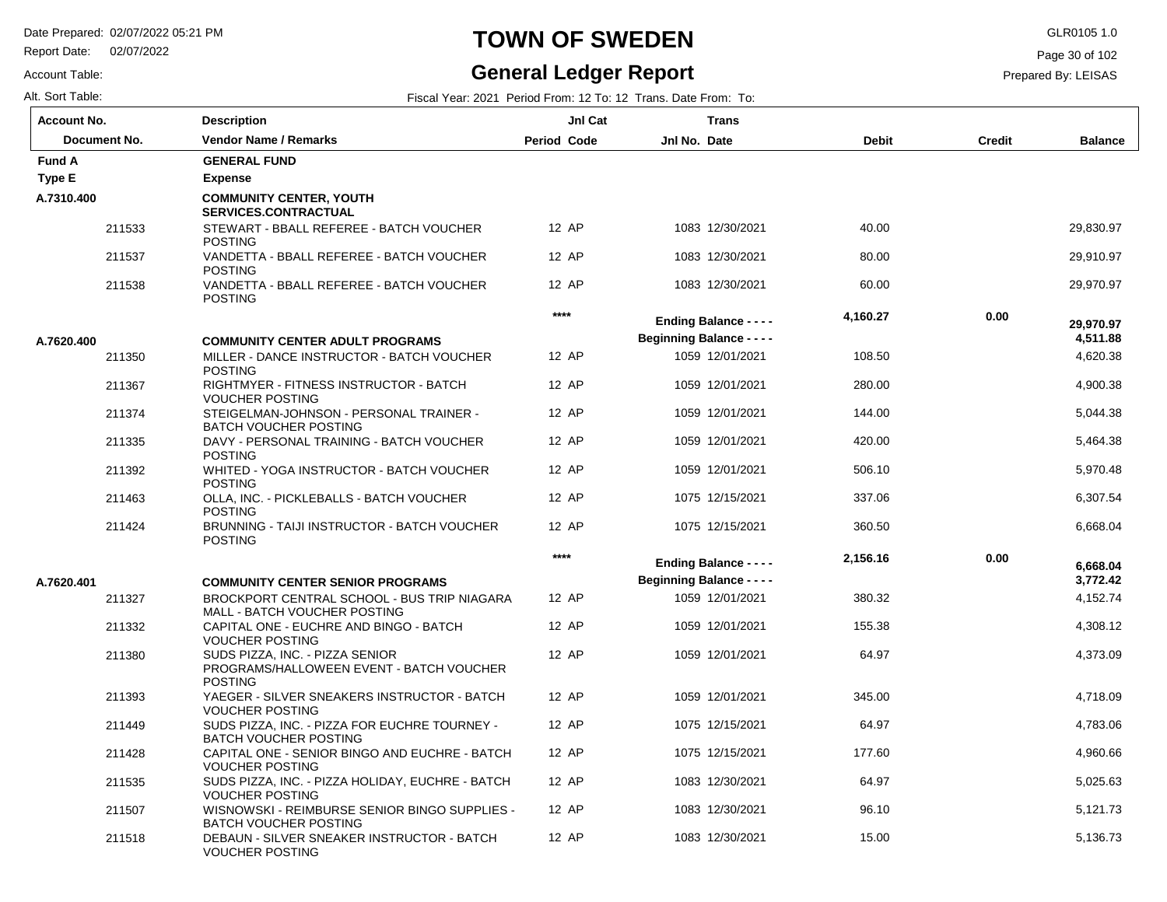Report Date: 02/07/2022

Account Table:

# **TOWN OF SWEDEN** GLR0105 1.0

### **General Ledger Report**

Page 30 of 102

Prepared By: LEISAS

| <b>Account No.</b> | <b>Description</b>                                                                            | JnI Cat            | <b>Trans</b>                                                      |              |               |                       |
|--------------------|-----------------------------------------------------------------------------------------------|--------------------|-------------------------------------------------------------------|--------------|---------------|-----------------------|
| Document No.       | <b>Vendor Name / Remarks</b>                                                                  | <b>Period Code</b> | Jnl No. Date                                                      | <b>Debit</b> | <b>Credit</b> | <b>Balance</b>        |
| <b>Fund A</b>      | <b>GENERAL FUND</b>                                                                           |                    |                                                                   |              |               |                       |
| <b>Type E</b>      | <b>Expense</b>                                                                                |                    |                                                                   |              |               |                       |
| A.7310.400         | <b>COMMUNITY CENTER, YOUTH</b><br><b>SERVICES.CONTRACTUAL</b>                                 |                    |                                                                   |              |               |                       |
| 211533             | STEWART - BBALL REFEREE - BATCH VOUCHER<br><b>POSTING</b>                                     | 12 AP              | 1083 12/30/2021                                                   | 40.00        |               | 29,830.97             |
| 211537             | VANDETTA - BBALL REFEREE - BATCH VOUCHER<br><b>POSTING</b>                                    | 12 AP              | 1083 12/30/2021                                                   | 80.00        |               | 29,910.97             |
| 211538             | VANDETTA - BBALL REFEREE - BATCH VOUCHER<br><b>POSTING</b>                                    | 12 AP              | 1083 12/30/2021                                                   | 60.00        |               | 29,970.97             |
|                    |                                                                                               | $***$              | <b>Ending Balance - - - -</b><br><b>Beginning Balance - - - -</b> | 4,160.27     | 0.00          | 29,970.97<br>4,511.88 |
| A.7620.400         | <b>COMMUNITY CENTER ADULT PROGRAMS</b>                                                        |                    |                                                                   |              |               |                       |
| 211350             | MILLER - DANCE INSTRUCTOR - BATCH VOUCHER<br><b>POSTING</b>                                   | 12 AP              | 1059 12/01/2021                                                   | 108.50       |               | 4,620.38              |
| 211367             | RIGHTMYER - FITNESS INSTRUCTOR - BATCH<br><b>VOUCHER POSTING</b>                              | 12 AP              | 1059 12/01/2021                                                   | 280.00       |               | 4,900.38              |
| 211374             | STEIGELMAN-JOHNSON - PERSONAL TRAINER -<br><b>BATCH VOUCHER POSTING</b>                       | 12 AP              | 1059 12/01/2021                                                   | 144.00       |               | 5,044.38              |
| 211335             | DAVY - PERSONAL TRAINING - BATCH VOUCHER<br><b>POSTING</b>                                    | 12 AP              | 1059 12/01/2021                                                   | 420.00       |               | 5,464.38              |
| 211392             | WHITED - YOGA INSTRUCTOR - BATCH VOUCHER<br><b>POSTING</b>                                    | 12 AP              | 1059 12/01/2021                                                   | 506.10       |               | 5,970.48              |
| 211463             | OLLA, INC. - PICKLEBALLS - BATCH VOUCHER<br><b>POSTING</b>                                    | 12 AP              | 1075 12/15/2021                                                   | 337.06       |               | 6,307.54              |
| 211424             | BRUNNING - TAIJI INSTRUCTOR - BATCH VOUCHER<br><b>POSTING</b>                                 | 12 AP              | 1075 12/15/2021                                                   | 360.50       |               | 6,668.04              |
|                    |                                                                                               | $***$              | <b>Ending Balance - - - -</b>                                     | 2,156.16     | 0.00          | 6.668.04              |
| A.7620.401         | <b>COMMUNITY CENTER SENIOR PROGRAMS</b>                                                       |                    | <b>Beginning Balance - - - -</b>                                  |              |               | 3,772.42              |
| 211327             | BROCKPORT CENTRAL SCHOOL - BUS TRIP NIAGARA<br>MALL - BATCH VOUCHER POSTING                   | 12 AP              | 1059 12/01/2021                                                   | 380.32       |               | 4,152.74              |
| 211332             | CAPITAL ONE - EUCHRE AND BINGO - BATCH<br><b>VOUCHER POSTING</b>                              | 12 AP              | 1059 12/01/2021                                                   | 155.38       |               | 4,308.12              |
| 211380             | SUDS PIZZA, INC. - PIZZA SENIOR<br>PROGRAMS/HALLOWEEN EVENT - BATCH VOUCHER<br><b>POSTING</b> | 12 AP              | 1059 12/01/2021                                                   | 64.97        |               | 4,373.09              |
| 211393             | YAEGER - SILVER SNEAKERS INSTRUCTOR - BATCH<br><b>VOUCHER POSTING</b>                         | 12 AP              | 1059 12/01/2021                                                   | 345.00       |               | 4,718.09              |
| 211449             | SUDS PIZZA, INC. - PIZZA FOR EUCHRE TOURNEY -<br><b>BATCH VOUCHER POSTING</b>                 | 12 AP              | 1075 12/15/2021                                                   | 64.97        |               | 4,783.06              |
| 211428             | CAPITAL ONE - SENIOR BINGO AND EUCHRE - BATCH<br><b>VOUCHER POSTING</b>                       | 12 AP              | 1075 12/15/2021                                                   | 177.60       |               | 4,960.66              |
| 211535             | SUDS PIZZA, INC. - PIZZA HOLIDAY, EUCHRE - BATCH<br><b>VOUCHER POSTING</b>                    | 12 AP              | 1083 12/30/2021                                                   | 64.97        |               | 5,025.63              |
| 211507             | WISNOWSKI - REIMBURSE SENIOR BINGO SUPPLIES -<br><b>BATCH VOUCHER POSTING</b>                 | 12 AP              | 1083 12/30/2021                                                   | 96.10        |               | 5.121.73              |
| 211518             | DEBAUN - SILVER SNEAKER INSTRUCTOR - BATCH<br><b>VOUCHER POSTING</b>                          | 12 AP              | 1083 12/30/2021                                                   | 15.00        |               | 5,136.73              |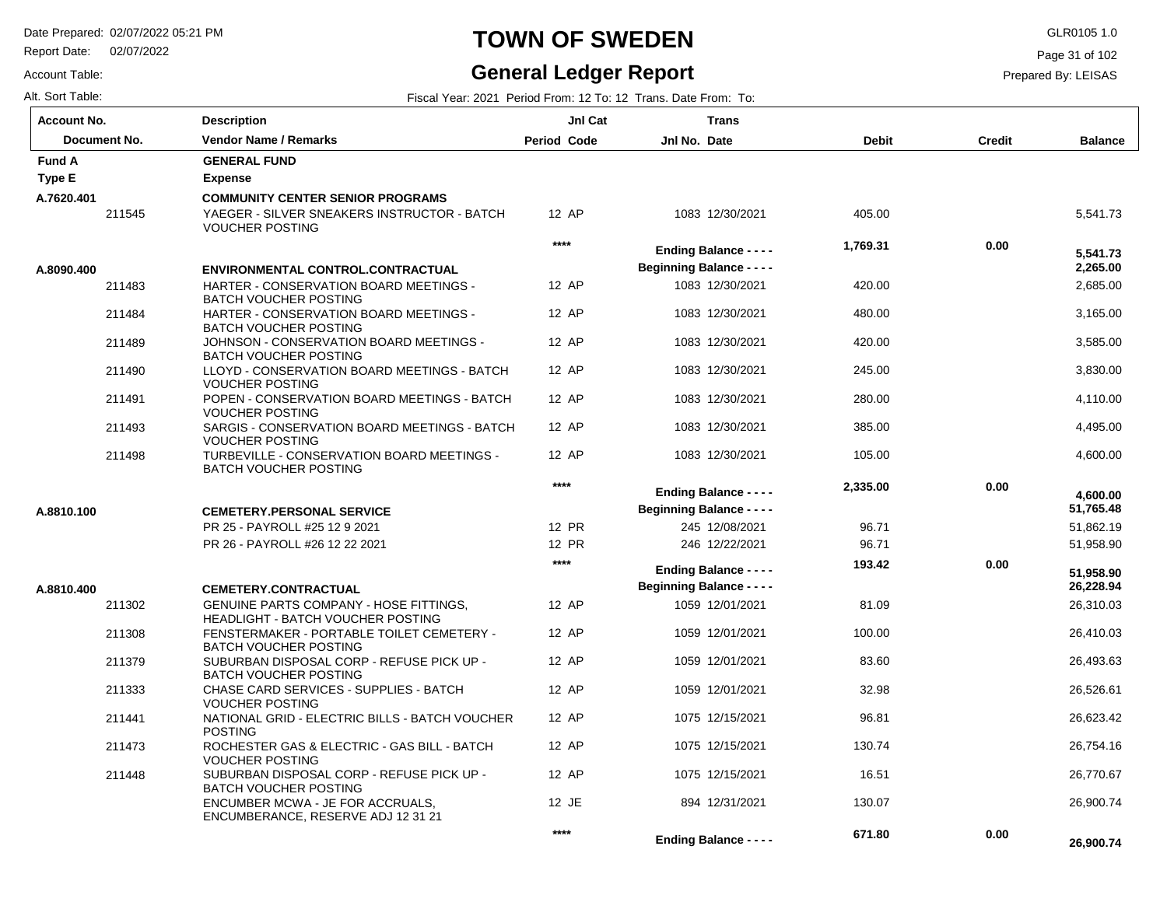Report Date: 02/07/2022

# **TOWN OF SWEDEN** GLR0105 1.0

#### **General Ledger Report**

**Balance**

5,541.73

 2,685.00 3,165.00 3,585.00 3,830.00 4,110.00 4,495.00 4,600.00

 **2,265.00** 

 **5,541.73** 

 51,862.19 51,958.90

 **51,765.48** 

 **4,600.00** 

 26,310.03 26,410.03 26,493.63 26,526.61 26,623.42 26,754.16 26,770.67 26,900.74

 **26,900.74** 

 **0.00** 

 **671.80** 

 **26,228.94** 

 **51,958.90** 

Page 31 of 102

Prepared By: LEISAS

| Alt. Sort Table:   |  |
|--------------------|--|
| <b>Account No.</b> |  |

Account Table:

| Alt. Sort Table: |                                                                                    | Fiscal Year: 2021 Period From: 12 To: 12 Trans, Date From: To: |                                  |              |               |  |  |
|------------------|------------------------------------------------------------------------------------|----------------------------------------------------------------|----------------------------------|--------------|---------------|--|--|
| Account No.      | <b>Description</b>                                                                 | JnI Cat                                                        | <b>Trans</b>                     |              |               |  |  |
| Document No.     | <b>Vendor Name / Remarks</b>                                                       | Period Code                                                    | Jnl No. Date                     | <b>Debit</b> | <b>Credit</b> |  |  |
| <b>Fund A</b>    | <b>GENERAL FUND</b>                                                                |                                                                |                                  |              |               |  |  |
| Type E           | <b>Expense</b>                                                                     |                                                                |                                  |              |               |  |  |
| A.7620.401       | <b>COMMUNITY CENTER SENIOR PROGRAMS</b>                                            |                                                                |                                  |              |               |  |  |
| 211545           | YAEGER - SILVER SNEAKERS INSTRUCTOR - BATCH<br><b>VOUCHER POSTING</b>              | 12 AP                                                          | 1083 12/30/2021                  | 405.00       |               |  |  |
|                  |                                                                                    | ****                                                           | <b>Ending Balance - - - -</b>    | 1,769.31     | 0.00          |  |  |
| A.8090.400       | <b>ENVIRONMENTAL CONTROL.CONTRACTUAL</b>                                           |                                                                | <b>Beginning Balance - - - -</b> |              |               |  |  |
| 211483           | HARTER - CONSERVATION BOARD MEETINGS -<br><b>BATCH VOUCHER POSTING</b>             | 12 AP                                                          | 1083 12/30/2021                  | 420.00       |               |  |  |
| 211484           | HARTER - CONSERVATION BOARD MEETINGS -<br><b>BATCH VOUCHER POSTING</b>             | 12 AP                                                          | 1083 12/30/2021                  | 480.00       |               |  |  |
| 211489           | JOHNSON - CONSERVATION BOARD MEETINGS -<br><b>BATCH VOUCHER POSTING</b>            | 12 AP                                                          | 1083 12/30/2021                  | 420.00       |               |  |  |
| 211490           | LLOYD - CONSERVATION BOARD MEETINGS - BATCH<br><b>VOUCHER POSTING</b>              | 12 AP                                                          | 1083 12/30/2021                  | 245.00       |               |  |  |
| 211491           | POPEN - CONSERVATION BOARD MEETINGS - BATCH<br><b>VOUCHER POSTING</b>              | 12 AP                                                          | 1083 12/30/2021                  | 280.00       |               |  |  |
| 211493           | SARGIS - CONSERVATION BOARD MEETINGS - BATCH<br><b>VOUCHER POSTING</b>             | 12 AP                                                          | 1083 12/30/2021                  | 385.00       |               |  |  |
| 211498           | TURBEVILLE - CONSERVATION BOARD MEETINGS -<br><b>BATCH VOUCHER POSTING</b>         | 12 AP                                                          | 1083 12/30/2021                  | 105.00       |               |  |  |
|                  |                                                                                    | ****                                                           | <b>Ending Balance - - - -</b>    | 2,335.00     | 0.00          |  |  |
| A.8810.100       | <b>CEMETERY.PERSONAL SERVICE</b>                                                   |                                                                | <b>Beginning Balance - - - -</b> |              |               |  |  |
|                  | PR 25 - PAYROLL #25 12 9 2021                                                      | 12 PR                                                          | 245 12/08/2021                   | 96.71        |               |  |  |
|                  | PR 26 - PAYROLL #26 12 22 2021                                                     | 12 PR                                                          | 246 12/22/2021                   | 96.71        |               |  |  |
|                  |                                                                                    | ****                                                           | <b>Ending Balance - - - -</b>    | 193.42       | 0.00          |  |  |
| A.8810.400       | <b>CEMETERY.CONTRACTUAL</b>                                                        |                                                                | <b>Beginning Balance - - - -</b> |              |               |  |  |
| 211302           | <b>GENUINE PARTS COMPANY - HOSE FITTINGS,</b><br>HEADLIGHT - BATCH VOUCHER POSTING | 12 AP                                                          | 1059 12/01/2021                  | 81.09        |               |  |  |
| 211308           | FENSTERMAKER - PORTABLE TOILET CEMETERY -<br><b>BATCH VOUCHER POSTING</b>          | 12 AP                                                          | 1059 12/01/2021                  | 100.00       |               |  |  |
| 211379           | SUBURBAN DISPOSAL CORP - REFUSE PICK UP -<br><b>BATCH VOUCHER POSTING</b>          | 12 AP                                                          | 1059 12/01/2021                  | 83.60        |               |  |  |
| 211333           | CHASE CARD SERVICES - SUPPLIES - BATCH<br><b>VOUCHER POSTING</b>                   | 12 AP                                                          | 1059 12/01/2021                  | 32.98        |               |  |  |
| 211441           | NATIONAL GRID - ELECTRIC BILLS - BATCH VOUCHER<br><b>POSTING</b>                   | 12 AP                                                          | 1075 12/15/2021                  | 96.81        |               |  |  |
| 211473           | ROCHESTER GAS & ELECTRIC - GAS BILL - BATCH<br><b>VOUCHER POSTING</b>              | 12 AP                                                          | 1075 12/15/2021                  | 130.74       |               |  |  |
| 211448           | SUBURBAN DISPOSAL CORP - REFUSE PICK UP -<br><b>BATCH VOUCHER POSTING</b>          | 12 AP                                                          | 1075 12/15/2021                  | 16.51        |               |  |  |
|                  | ENCUMBER MCWA - JE FOR ACCRUALS,<br>ENCUMBERANCE, RESERVE ADJ 12 31 21             | 12 JE                                                          | 894 12/31/2021                   | 130.07       |               |  |  |

**\*\*\*\***

**Ending Balance - - - -**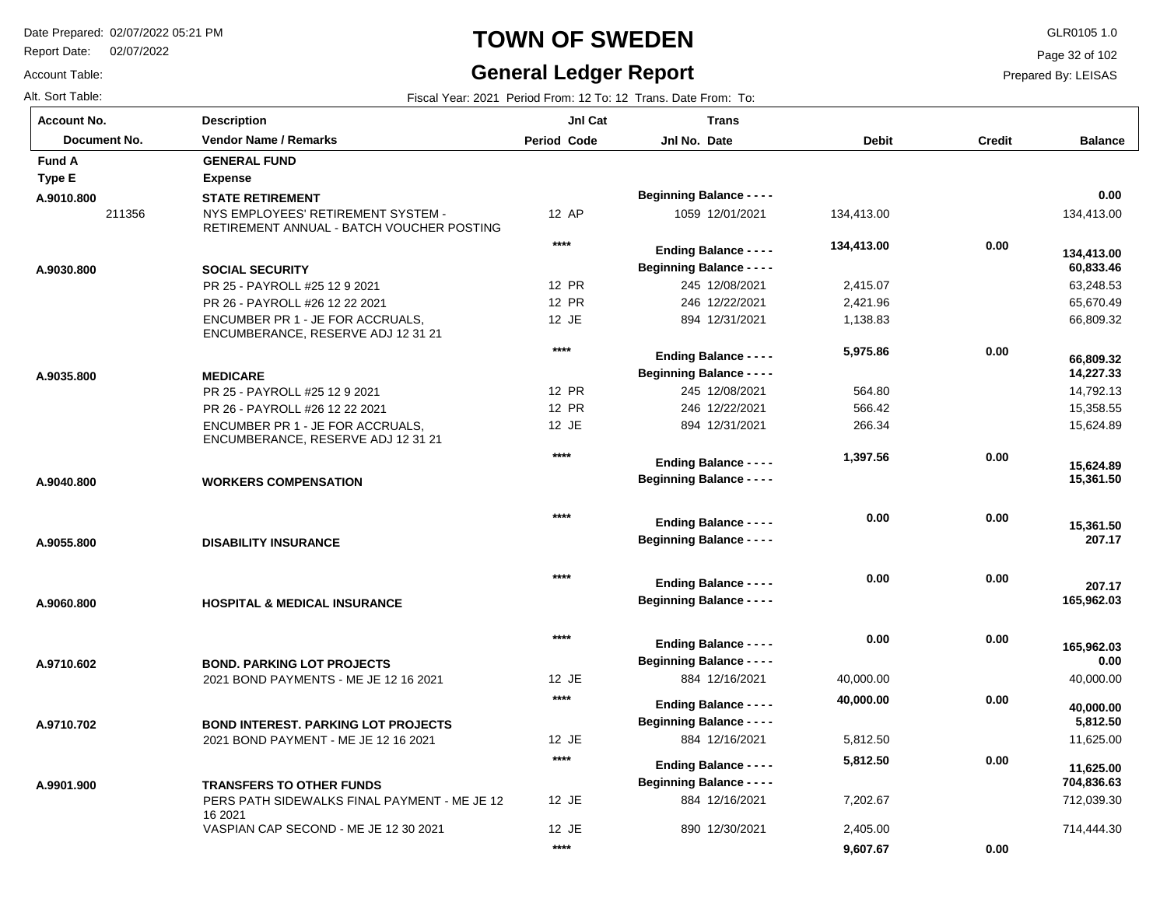Report Date: 02/07/2022

## **TOWN OF SWEDEN** GLR0105 1.0

#### **General Ledger Report**

Page 32 of 102

 **0.00** 

 **9,607.67** 

Prepared By: LEISAS

Account Table: Alt. Sort Table: Fiscal Year: 2021 Period From: 12 To: 12 Trans. Date From: To:

| <b>Account No.</b> | <b>Description</b>                                                              | JnI Cat            | <b>Trans</b>                                                      |              |               |                         |
|--------------------|---------------------------------------------------------------------------------|--------------------|-------------------------------------------------------------------|--------------|---------------|-------------------------|
| Document No.       | <b>Vendor Name / Remarks</b>                                                    | <b>Period Code</b> | Jnl No. Date                                                      | <b>Debit</b> | <b>Credit</b> | <b>Balance</b>          |
| <b>Fund A</b>      | <b>GENERAL FUND</b>                                                             |                    |                                                                   |              |               |                         |
| <b>Type E</b>      | <b>Expense</b>                                                                  |                    |                                                                   |              |               |                         |
| A.9010.800         | <b>STATE RETIREMENT</b>                                                         |                    | <b>Beginning Balance - - - -</b>                                  |              |               | 0.00                    |
| 211356             | NYS EMPLOYEES' RETIREMENT SYSTEM -<br>RETIREMENT ANNUAL - BATCH VOUCHER POSTING | 12 AP              | 1059 12/01/2021                                                   | 134,413.00   |               | 134,413.00              |
|                    |                                                                                 | $***$              | <b>Ending Balance - - - -</b>                                     | 134,413.00   | 0.00          | 134,413.00              |
| A.9030.800         | <b>SOCIAL SECURITY</b>                                                          |                    | <b>Beginning Balance - - - -</b>                                  |              |               | 60,833.46               |
|                    | PR 25 - PAYROLL #25 12 9 2021                                                   | 12 PR              | 245 12/08/2021                                                    | 2,415.07     |               | 63,248.53               |
|                    | PR 26 - PAYROLL #26 12 22 2021                                                  | 12 PR              | 246 12/22/2021                                                    | 2,421.96     |               | 65,670.49               |
|                    | ENCUMBER PR 1 - JE FOR ACCRUALS,<br>ENCUMBERANCE, RESERVE ADJ 12 31 21          | 12 JE              | 894 12/31/2021                                                    | 1,138.83     |               | 66,809.32               |
|                    |                                                                                 | $***$              | <b>Ending Balance - - - -</b>                                     | 5,975.86     | 0.00          |                         |
| A.9035.800         | <b>MEDICARE</b>                                                                 |                    | <b>Beginning Balance - - - -</b>                                  |              |               | 66,809.32<br>14,227.33  |
|                    | PR 25 - PAYROLL #25 12 9 2021                                                   | 12 PR              | 245 12/08/2021                                                    | 564.80       |               | 14,792.13               |
|                    | PR 26 - PAYROLL #26 12 22 2021                                                  | 12 PR              | 246 12/22/2021                                                    | 566.42       |               | 15,358.55               |
|                    | ENCUMBER PR 1 - JE FOR ACCRUALS.<br>ENCUMBERANCE, RESERVE ADJ 12 31 21          | 12 JE              | 894 12/31/2021                                                    | 266.34       |               | 15,624.89               |
|                    |                                                                                 | ****               | <b>Ending Balance - - - -</b>                                     | 1,397.56     | 0.00          |                         |
| A.9040.800         | <b>WORKERS COMPENSATION</b>                                                     |                    | <b>Beginning Balance - - - -</b>                                  |              |               | 15,624.89<br>15,361.50  |
|                    |                                                                                 | $***$              | <b>Ending Balance - - - -</b>                                     | 0.00         | 0.00          | 15,361.50               |
| A.9055.800         | <b>DISABILITY INSURANCE</b>                                                     |                    | <b>Beginning Balance - - - -</b>                                  |              |               | 207.17                  |
|                    |                                                                                 | $***$              | <b>Ending Balance - - - -</b>                                     | 0.00         | 0.00          | 207.17                  |
| A.9060.800         | <b>HOSPITAL &amp; MEDICAL INSURANCE</b>                                         |                    | <b>Beginning Balance - - - -</b>                                  |              |               | 165,962.03              |
|                    |                                                                                 | $****$             | <b>Ending Balance - - - -</b>                                     | 0.00         | 0.00          | 165,962.03              |
| A.9710.602         | <b>BOND. PARKING LOT PROJECTS</b>                                               |                    | <b>Beginning Balance - - - -</b>                                  |              |               | 0.00                    |
|                    | 2021 BOND PAYMENTS - ME JE 12 16 2021                                           | 12 JE              | 884 12/16/2021                                                    | 40,000.00    |               | 40,000.00               |
|                    |                                                                                 | $***$              | <b>Ending Balance - - - -</b>                                     | 40,000.00    | 0.00          | 40,000.00               |
| A.9710.702         | <b>BOND INTEREST, PARKING LOT PROJECTS</b>                                      |                    | <b>Beginning Balance - - - -</b>                                  |              |               | 5,812.50                |
|                    | 2021 BOND PAYMENT - ME JE 12 16 2021                                            | 12 JE              | 884 12/16/2021                                                    | 5,812.50     |               | 11,625.00               |
| A.9901.900         | <b>TRANSFERS TO OTHER FUNDS</b>                                                 | $****$             | <b>Ending Balance - - - -</b><br><b>Beginning Balance - - - -</b> | 5,812.50     | 0.00          | 11.625.00<br>704,836.63 |
|                    | PERS PATH SIDEWALKS FINAL PAYMENT - ME JE 12<br>16 2021                         | 12 JE              | 884 12/16/2021                                                    | 7,202.67     |               | 712,039.30              |
|                    | VASPIAN CAP SECOND - ME JE 12 30 2021                                           | 12 JE              | 890 12/30/2021                                                    | 2,405.00     |               | 714,444.30              |

**\*\*\*\***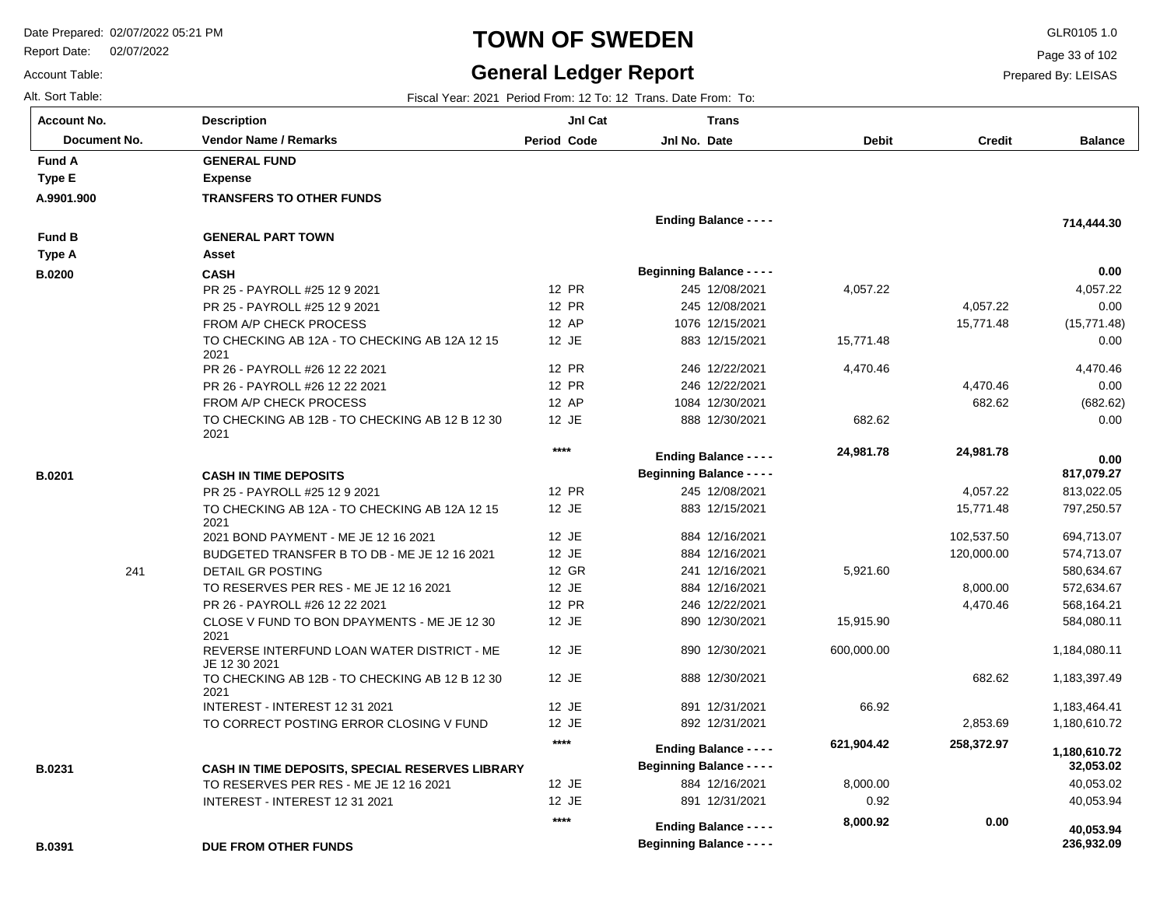Report Date: 02/07/2022

# **TOWN OF SWEDEN** GLR0105 1.0

#### **General Ledger Report**

**Balance**

 4,057.22 0.00 (15,771.48) 0.00

 **714,444.30** 

 **0.00** 

 4,470.46 0.00 (682.62) 0.00

 813,022.05 797,250.57 694,713.07 574,713.07 580,634.67 572,634.67 568,164.21 584,080.11 1,184,080.11 1,183,397.49 1,183,464.41 1,180,610.72

 **817,079.27** 

 **0.00** 

 40,053.02 40,053.94

 **236,932.09** 

 **40,053.94** 

 **32,053.02** 

 **1,180,610.72** 

Page 33 of 102

Prepared By: LEISAS

| <b>Account No.</b> |
|--------------------|
| Alt. Sort Table:   |
| Account Table:     |

**A.9901.900**

**Type E**

**Fund A**

**B.0200**

**Type A**

**Fund B**

**B.0201**

**B.0231**

| unt No.      | <b>Description</b>                                          | JnI Cat            | <b>Trans</b>                     |              |               |
|--------------|-------------------------------------------------------------|--------------------|----------------------------------|--------------|---------------|
| Document No. | Vendor Name / Remarks                                       | <b>Period Code</b> | Jnl No. Date                     | <b>Debit</b> | <b>Credit</b> |
| ΙA           | <b>GENERAL FUND</b>                                         |                    |                                  |              |               |
| ١E           | <b>Expense</b>                                              |                    |                                  |              |               |
| 1.900        | <b>TRANSFERS TO OTHER FUNDS</b>                             |                    |                                  |              |               |
|              |                                                             |                    | <b>Ending Balance - - - -</b>    |              |               |
| I B          | <b>GENERAL PART TOWN</b>                                    |                    |                                  |              |               |
| ۰A           | Asset                                                       |                    |                                  |              |               |
|              |                                                             |                    | <b>Beginning Balance - - - -</b> |              |               |
| )0           | <b>CASH</b>                                                 | <b>12 PR</b>       | 245 12/08/2021                   | 4,057.22     |               |
|              | PR 25 - PAYROLL #25 12 9 2021                               |                    |                                  |              |               |
|              | PR 25 - PAYROLL #25 12 9 2021                               | 12 PR              | 245 12/08/2021                   |              | 4,057.22      |
|              | FROM A/P CHECK PROCESS                                      | 12 AP              | 1076 12/15/2021                  |              | 15,771.48     |
|              | TO CHECKING AB 12A - TO CHECKING AB 12A 12 15<br>2021       | 12 JE              | 883 12/15/2021                   | 15,771.48    |               |
|              | PR 26 - PAYROLL #26 12 22 2021                              | 12 PR              | 246 12/22/2021                   | 4,470.46     |               |
|              | PR 26 - PAYROLL #26 12 22 2021                              | <b>12 PR</b>       | 246 12/22/2021                   |              | 4,470.46      |
|              | FROM A/P CHECK PROCESS                                      | 12 AP              | 1084 12/30/2021                  |              | 682.62        |
|              | TO CHECKING AB 12B - TO CHECKING AB 12 B 12 30              | 12 JE              | 888 12/30/2021                   | 682.62       |               |
|              | 2021                                                        |                    |                                  |              |               |
|              |                                                             | $****$             | <b>Ending Balance - - - -</b>    | 24,981.78    | 24,981.78     |
|              | <b>CASH IN TIME DEPOSITS</b>                                |                    | <b>Beginning Balance - - - -</b> |              |               |
|              | PR 25 - PAYROLL #25 12 9 2021                               | 12 PR              | 245 12/08/2021                   |              | 4,057.22      |
|              | TO CHECKING AB 12A - TO CHECKING AB 12A 12 15               | 12 JE              | 883 12/15/2021                   |              | 15,771.48     |
|              | 2021                                                        |                    |                                  |              |               |
|              | 2021 BOND PAYMENT - ME JE 12 16 2021                        | 12 JE              | 884 12/16/2021                   |              | 102,537.50    |
|              | BUDGETED TRANSFER B TO DB - ME JE 12 16 2021                | 12 JE              | 884 12/16/2021                   |              | 120,000.00    |
| 241          | DETAIL GR POSTING                                           | 12 GR              | 241 12/16/2021                   | 5,921.60     |               |
|              | TO RESERVES PER RES - ME JE 12 16 2021                      | 12 JE              | 884 12/16/2021                   |              | 8,000.00      |
|              | PR 26 - PAYROLL #26 12 22 2021                              | 12 PR              | 246 12/22/2021                   |              | 4,470.46      |
|              | CLOSE V FUND TO BON DPAYMENTS - ME JE 12 30<br>2021         | 12 JE              | 890 12/30/2021                   | 15,915.90    |               |
|              | REVERSE INTERFUND LOAN WATER DISTRICT - ME<br>JE 12 30 2021 | 12 JE              | 890 12/30/2021                   | 600,000.00   |               |
|              | TO CHECKING AB 12B - TO CHECKING AB 12 B 12 30<br>2021      | 12 JE              | 888 12/30/2021                   |              | 682.62        |
|              | INTEREST - INTEREST 12 31 2021                              | 12 JE              | 891 12/31/2021                   | 66.92        |               |
|              | TO CORRECT POSTING ERROR CLOSING V FUND                     | 12 JE              | 892 12/31/2021                   |              | 2,853.69      |
|              |                                                             | $****$             | <b>Ending Balance - - - -</b>    | 621,904.42   | 258,372.97    |
| 31           | CASH IN TIME DEPOSITS, SPECIAL RESERVES LIBRARY             |                    | <b>Beginning Balance - - - -</b> |              |               |
|              | TO RESERVES PER RES - ME JE 12 16 2021                      | 12 JE              | 884 12/16/2021                   | 8,000.00     |               |
|              | INTEREST - INTEREST 12 31 2021                              | 12 JE              | 891 12/31/2021                   | 0.92         |               |
|              |                                                             | $***$              | <b>Ending Balance - - - -</b>    | 8,000.92     | 0.00          |

**Beginning Balance - - - -**

**B.0391**

**DUE FROM OTHER FUNDS**

Alt. Sort Table: Fiscal Year: 2021 Period From: 12 To: 12 Trans. Date From: To: To: 12 Trans. Date From: To: To **Description**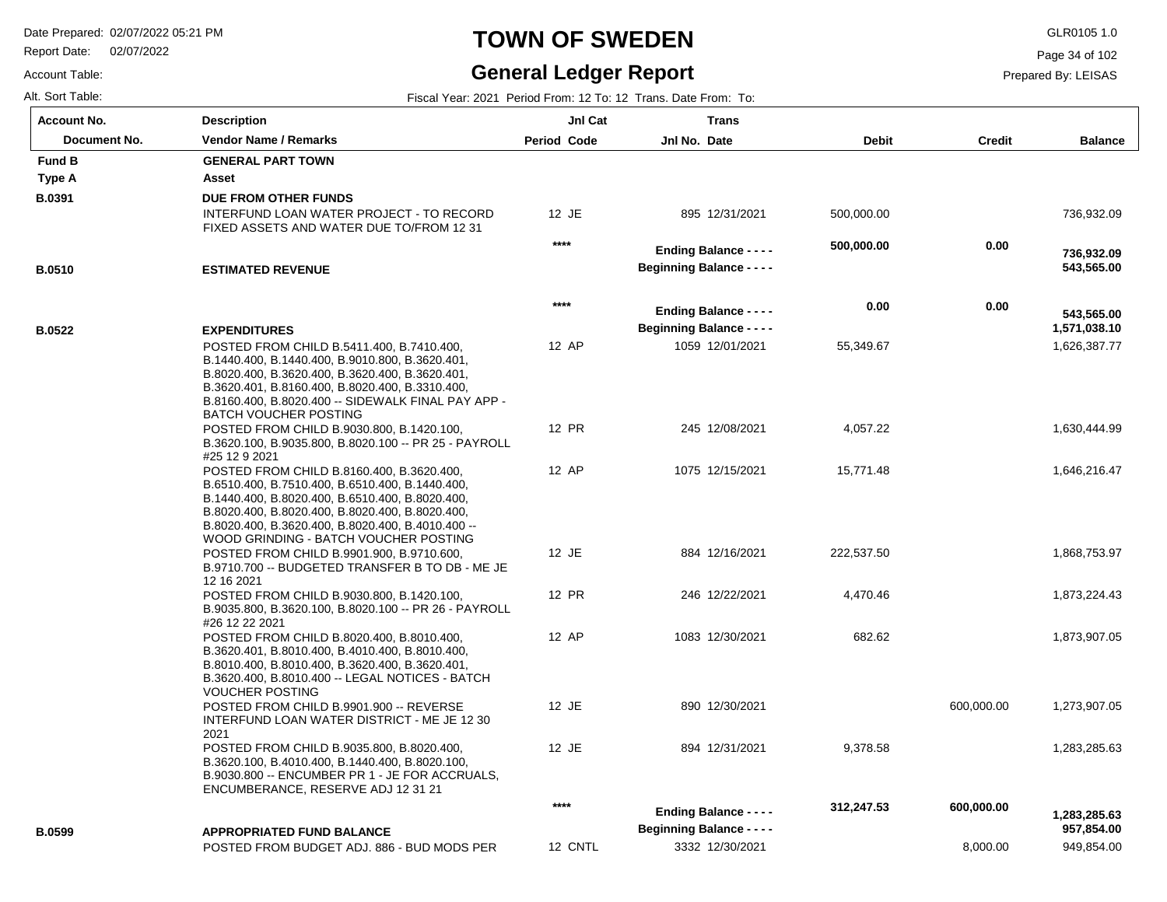Report Date: 02/07/2022

## **TOWN OF SWEDEN** GLR0105 1.0

#### **General Ledger Report**

**Trans**

**Balance**

736,932.09

 **543,565.00** 

 **736,932.09** 

Page 34 of 102

Prepared By: LEISAS

| <b>Account No.</b> | <b>Description</b>                                                                                                                                                                                                                                                                               | <b>Jnl Cat</b>     | Trans                            |              |               |
|--------------------|--------------------------------------------------------------------------------------------------------------------------------------------------------------------------------------------------------------------------------------------------------------------------------------------------|--------------------|----------------------------------|--------------|---------------|
| Document No.       | <b>Vendor Name / Remarks</b>                                                                                                                                                                                                                                                                     | <b>Period Code</b> | Jnl No. Date                     | <b>Debit</b> | <b>Credit</b> |
| <b>Fund B</b>      | <b>GENERAL PART TOWN</b>                                                                                                                                                                                                                                                                         |                    |                                  |              |               |
| Type A             | Asset                                                                                                                                                                                                                                                                                            |                    |                                  |              |               |
| B.0391             | DUE FROM OTHER FUNDS                                                                                                                                                                                                                                                                             |                    |                                  |              |               |
|                    | INTERFUND LOAN WATER PROJECT - TO RECORD<br>FIXED ASSETS AND WATER DUE TO/FROM 12 31                                                                                                                                                                                                             | $12 \text{ JE}$    | 895 12/31/2021                   | 500,000.00   |               |
|                    |                                                                                                                                                                                                                                                                                                  | $***$              | <b>Ending Balance - - - -</b>    | 500,000.00   | 0.00          |
| <b>B.0510</b>      | <b>ESTIMATED REVENUE</b>                                                                                                                                                                                                                                                                         |                    | <b>Beginning Balance - - - -</b> |              |               |
|                    |                                                                                                                                                                                                                                                                                                  | $****$             | <b>Ending Balance - - - -</b>    | 0.00         | 0.00          |
| <b>B.0522</b>      | <b>EXPENDITURES</b>                                                                                                                                                                                                                                                                              |                    | <b>Beginning Balance - - - -</b> |              |               |
|                    | POSTED FROM CHILD B.5411.400, B.7410.400,<br>B.1440.400, B.1440.400, B.9010.800, B.3620.401,<br>B.8020.400, B.3620.400, B.3620.400, B.3620.401,<br>B.3620.401, B.8160.400, B.8020.400, B.3310.400,<br>B.8160.400, B.8020.400 -- SIDEWALK FINAL PAY APP -                                         | 12 AP              | 1059 12/01/2021                  | 55,349.67    |               |
|                    | <b>BATCH VOUCHER POSTING</b><br>POSTED FROM CHILD B.9030.800, B.1420.100,<br>B.3620.100, B.9035.800, B.8020.100 -- PR 25 - PAYROLL<br>#25 12 9 2021                                                                                                                                              | 12 PR              | 245 12/08/2021                   | 4,057.22     |               |
|                    | POSTED FROM CHILD B.8160.400, B.3620.400,<br>B.6510.400, B.7510.400, B.6510.400, B.1440.400,<br>B.1440.400, B.8020.400, B.6510.400, B.8020.400,<br>B.8020.400, B.8020.400, B.8020.400, B.8020.400,<br>B.8020.400, B.3620.400, B.8020.400, B.4010.400 --<br>WOOD GRINDING - BATCH VOUCHER POSTING | 12 AP              | 1075 12/15/2021                  | 15,771.48    |               |
|                    | POSTED FROM CHILD B.9901.900, B.9710.600,<br>B.9710.700 -- BUDGETED TRANSFER B TO DB - ME JE<br>12 16 2021                                                                                                                                                                                       | $12$ JE            | 884 12/16/2021                   | 222,537.50   |               |
|                    | POSTED FROM CHILD B.9030.800, B.1420.100,<br>B.9035.800, B.3620.100, B.8020.100 -- PR 26 - PAYROLL<br>#26 12 22 2021                                                                                                                                                                             | 12 PR              | 246 12/22/2021                   | 4,470.46     |               |
|                    | POSTED FROM CHILD B.8020.400, B.8010.400,<br>B.3620.401, B.8010.400, B.4010.400, B.8010.400,<br>B.8010.400, B.8010.400, B.3620.400, B.3620.401,<br>B.3620.400, B.8010.400 -- LEGAL NOTICES - BATCH<br><b>VOUCHER POSTING</b>                                                                     | 12 AP              | 1083 12/30/2021                  | 682.62       |               |
|                    | POSTED FROM CHILD B.9901.900 -- REVERSE<br>INTERFUND LOAN WATER DISTRICT - ME JE 12 30<br>2021                                                                                                                                                                                                   | 12 JE              | 890 12/30/2021                   |              | 600,000.00    |

POSTED FROM CHILD B.9035.800, B.80 B.3620.100, B.4010.400, B.1440.400, B.8 B.9030.800 -- ENCUMBER PR 1 - JE FO ENCUMBERANCE, RESERVE ADJ 12 3

POSTED FROM BUDGET ADJ. 886 - BU **APPROPRIATED FUND BALANCE B.0599**

|                                                                                  | $***$   | <b>Ending Balance - - - -</b><br><b>Beginning Balance - - - -</b> | 0.00       | 0.00       | 543,565.00<br>1,571,038.10 |
|----------------------------------------------------------------------------------|---------|-------------------------------------------------------------------|------------|------------|----------------------------|
| 410.400,<br>3620.401,<br>3620.401,<br>3310.400,<br>INAL PAY APP -                | 12 AP   | 1059 12/01/2021                                                   | 55,349.67  |            | 1,626,387.77               |
| 420.100,<br>R 25 - PAYROLL                                                       | 12 PR   | 245 12/08/2021                                                    | 4,057.22   |            | 1,630,444.99               |
| 620.400,<br>1440.400,<br>8020.400,<br>8020.400,<br>4010.400 --<br><b>POSTING</b> | 12 AP   | 1075 12/15/2021                                                   | 15,771.48  |            | 1,646,216.47               |
| 710.600,<br>3 TO DB - ME JE                                                      | 12 JE   | 884 12/16/2021                                                    | 222,537.50 |            | 1,868,753.97               |
| 420.100,<br>R 26 - PAYROLL                                                       | 12 PR   | 246 12/22/2021                                                    | 4,470.46   |            | 1,873,224.43               |
| 010.400,<br>8010.400,<br>3620.401.<br>CES - BATCH                                | 12 AP   | 1083 12/30/2021                                                   | 682.62     |            | 1,873,907.05               |
| EVERSE<br>ME JE 12 30                                                            | 12 JE   | 890 12/30/2021                                                    |            | 600,000.00 | 1,273,907.05               |
| 020.400,<br>8020.100,<br>R ACCRUALS,<br>121                                      | 12 JE   | 894 12/31/2021                                                    | 9,378.58   |            | 1,283,285.63               |
|                                                                                  | $***$   | <b>Ending Balance - - - -</b><br><b>Beginning Balance - - - -</b> | 312,247.53 | 600,000.00 | 1,283,285.63<br>957,854.00 |
| JD MODS PER                                                                      | 12 CNTL | 3332 12/30/2021                                                   |            | 8,000.00   | 949,854.00                 |
|                                                                                  |         |                                                                   |            |            |                            |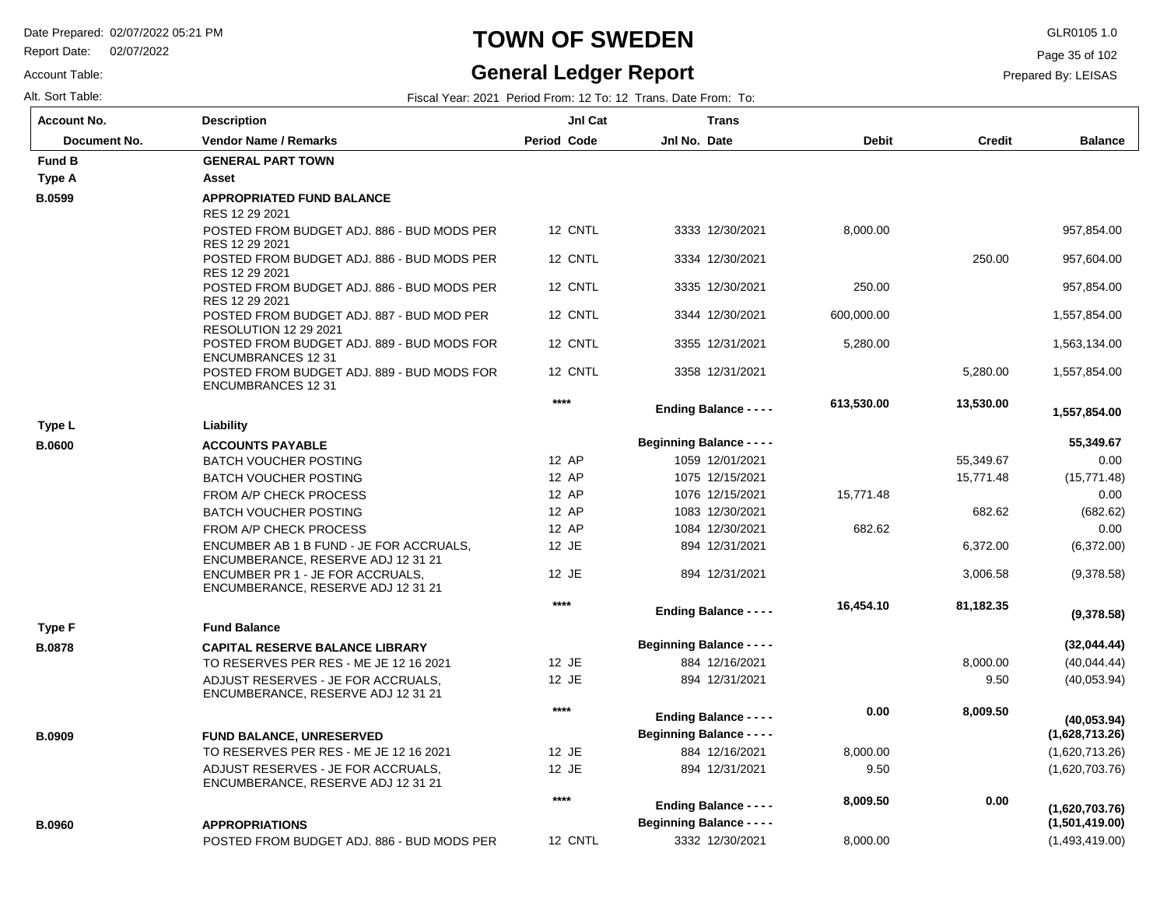Report Date: 02/07/2022

Account Table:

# **TOWN OF SWEDEN** GLR0105 1.0

#### **General Ledger Report**

Page 35 of 102

| Alt. Sort Table: | Fiscal Year: 2021 Period From: 12 To: 12 Trans. Date From:<br>To: |
|------------------|-------------------------------------------------------------------|
|------------------|-------------------------------------------------------------------|

| <b>Account No.</b>  | <b>Description</b>                                                            | Jnl Cat            | <b>Trans</b>                     |              |               |                |
|---------------------|-------------------------------------------------------------------------------|--------------------|----------------------------------|--------------|---------------|----------------|
| <b>Document No.</b> | <b>Vendor Name / Remarks</b>                                                  | <b>Period Code</b> | Jnl No. Date                     | <b>Debit</b> | <b>Credit</b> | <b>Balance</b> |
| <b>Fund B</b>       | <b>GENERAL PART TOWN</b>                                                      |                    |                                  |              |               |                |
| Type A              | Asset                                                                         |                    |                                  |              |               |                |
| <b>B.0599</b>       | <b>APPROPRIATED FUND BALANCE</b>                                              |                    |                                  |              |               |                |
|                     | RES 12 29 2021                                                                |                    |                                  |              |               |                |
|                     | POSTED FROM BUDGET ADJ. 886 - BUD MODS PER<br>RES 12 29 2021                  | 12 CNTL            | 3333 12/30/2021                  | 8,000.00     |               | 957,854.00     |
|                     | POSTED FROM BUDGET ADJ. 886 - BUD MODS PER<br>RES 12 29 2021                  | 12 CNTL            | 3334 12/30/2021                  |              | 250.00        | 957,604.00     |
|                     | POSTED FROM BUDGET ADJ. 886 - BUD MODS PER<br>RES 12 29 2021                  | 12 CNTL            | 3335 12/30/2021                  | 250.00       |               | 957,854.00     |
|                     | POSTED FROM BUDGET ADJ. 887 - BUD MOD PER<br><b>RESOLUTION 12 29 2021</b>     | 12 CNTL            | 3344 12/30/2021                  | 600.000.00   |               | 1,557,854.00   |
|                     | POSTED FROM BUDGET ADJ. 889 - BUD MODS FOR<br><b>ENCUMBRANCES 12 31</b>       | 12 CNTL            | 3355 12/31/2021                  | 5,280.00     |               | 1,563,134.00   |
|                     | POSTED FROM BUDGET ADJ, 889 - BUD MODS FOR<br><b>ENCUMBRANCES 12 31</b>       | 12 CNTL            | 3358 12/31/2021                  |              | 5,280.00      | 1,557,854.00   |
|                     |                                                                               | $****$             | <b>Ending Balance - - - -</b>    | 613,530.00   | 13,530.00     | 1,557,854.00   |
| Type L              | Liability                                                                     |                    |                                  |              |               |                |
| <b>B.0600</b>       | <b>ACCOUNTS PAYABLE</b>                                                       |                    | <b>Beginning Balance - - - -</b> |              |               | 55,349.67      |
|                     | <b>BATCH VOUCHER POSTING</b>                                                  | 12 AP              | 1059 12/01/2021                  |              | 55,349.67     | 0.00           |
|                     | <b>BATCH VOUCHER POSTING</b>                                                  | 12 AP              | 1075 12/15/2021                  |              | 15,771.48     | (15, 771.48)   |
|                     | FROM A/P CHECK PROCESS                                                        | 12 AP              | 1076 12/15/2021                  | 15,771.48    |               | 0.00           |
|                     | <b>BATCH VOUCHER POSTING</b>                                                  | 12 AP              | 1083 12/30/2021                  |              | 682.62        | (682.62)       |
|                     | FROM A/P CHECK PROCESS                                                        | 12 AP              | 1084 12/30/2021                  | 682.62       |               | 0.00           |
|                     | ENCUMBER AB 1 B FUND - JE FOR ACCRUALS,<br>ENCUMBERANCE, RESERVE ADJ 12 31 21 | 12 JE              | 894 12/31/2021                   |              | 6,372.00      | (6,372.00)     |
|                     | ENCUMBER PR 1 - JE FOR ACCRUALS.<br>ENCUMBERANCE, RESERVE ADJ 12 31 21        | 12 JE              | 894 12/31/2021                   |              | 3,006.58      | (9,378.58)     |
|                     |                                                                               | $****$             | <b>Ending Balance - - - -</b>    | 16,454.10    | 81,182.35     | (9,378.58)     |
| <b>Type F</b>       | <b>Fund Balance</b>                                                           |                    |                                  |              |               |                |
| <b>B.0878</b>       | <b>CAPITAL RESERVE BALANCE LIBRARY</b>                                        |                    | <b>Beginning Balance - - - -</b> |              |               | (32,044.44)    |
|                     | TO RESERVES PER RES - ME JE 12 16 2021                                        | 12 JE              | 884 12/16/2021                   |              | 8,000.00      | (40,044.44)    |
|                     | ADJUST RESERVES - JE FOR ACCRUALS.<br>ENCUMBERANCE, RESERVE ADJ 12 31 21      | 12 JE              | 894 12/31/2021                   |              | 9.50          | (40,053.94)    |
|                     |                                                                               | $***$              | <b>Ending Balance - - - -</b>    | 0.00         | 8,009.50      | (40.053.94)    |
| <b>B.0909</b>       | <b>FUND BALANCE, UNRESERVED</b>                                               |                    | <b>Beginning Balance - - - -</b> |              |               | (1,628,713.26) |
|                     | TO RESERVES PER RES - ME JE 12 16 2021                                        | 12 JE              | 884 12/16/2021                   | 8,000.00     |               | (1,620,713.26) |
|                     | ADJUST RESERVES - JE FOR ACCRUALS.<br>ENCUMBERANCE, RESERVE ADJ 12 31 21      | 12 JE              | 894 12/31/2021                   | 9.50         |               | (1,620,703.76) |
|                     |                                                                               | $****$             | <b>Ending Balance - - - -</b>    | 8,009.50     | 0.00          | (1,620,703.76) |
| <b>B.0960</b>       | <b>APPROPRIATIONS</b>                                                         |                    | <b>Beginning Balance - - - -</b> |              |               | (1,501,419.00) |
|                     | POSTED FROM BUDGET ADJ. 886 - BUD MODS PER                                    | 12 CNTL            | 3332 12/30/2021                  | 8,000.00     |               | (1,493,419.00) |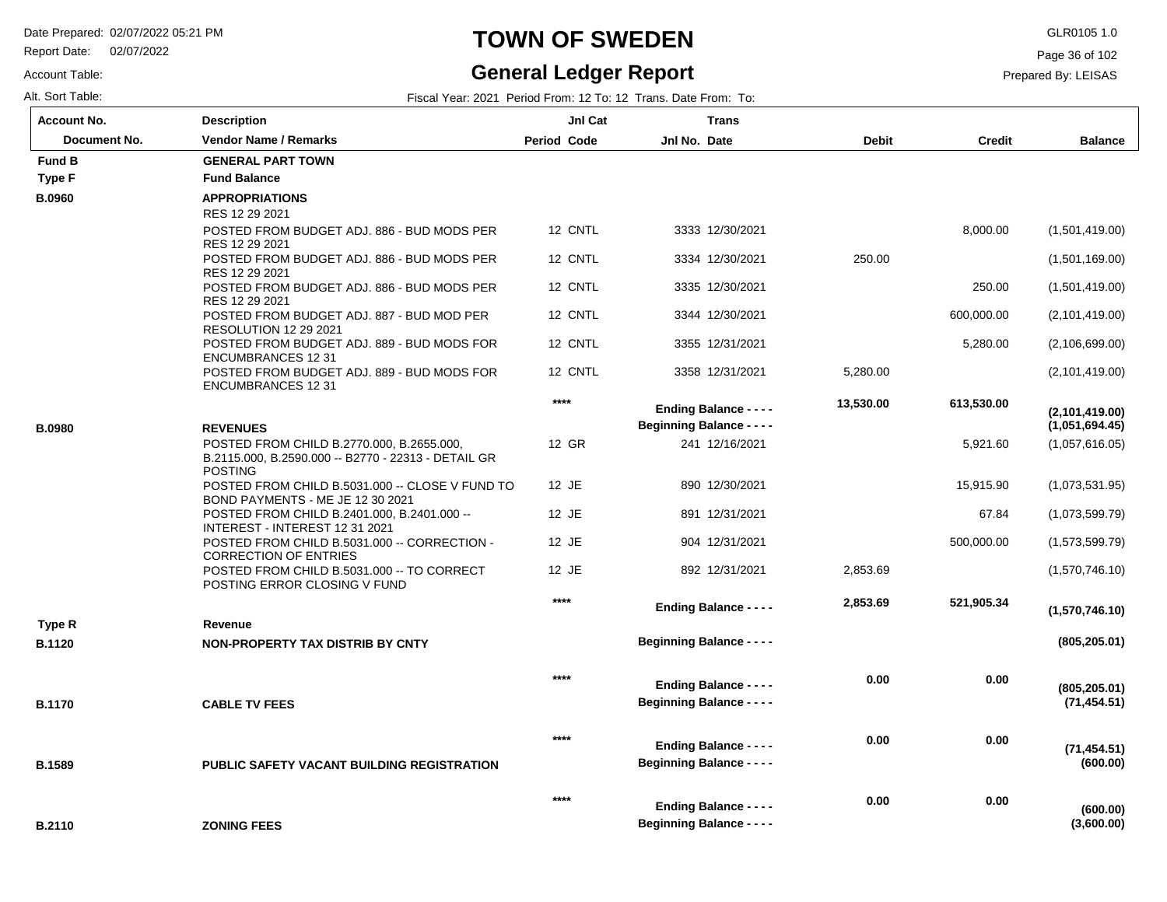Report Date: 02/07/2022

#### Account Table:

Alt. Sort Table: Fiscal Year: 2021 Period From: 12 To: 12 Trans. Date From: To: **Account No.**

#### **TOWN OF SWEDEN** GLR0105 1.0

#### **General Ledger Report**

Page 36 of 102

**Balance**

| ount No.     | <b>Description</b>           | <b>Jnl Cat</b> |              | Trans |              |               |
|--------------|------------------------------|----------------|--------------|-------|--------------|---------------|
| Document No. | <b>Vendor Name / Remarks</b> | Period Code    | Jnl No. Date |       | <b>Debit</b> | <b>Credit</b> |
| d B          | <b>GENERAL PART TOWN</b>     |                |              |       |              |               |
|              | _________                    |                |              |       |              |               |

| <b>Fund B</b> | <b>GENERAL PART TOWN</b>                                                       |         |                                  |           |            |                        |
|---------------|--------------------------------------------------------------------------------|---------|----------------------------------|-----------|------------|------------------------|
| <b>Type F</b> | <b>Fund Balance</b>                                                            |         |                                  |           |            |                        |
| <b>B.0960</b> | <b>APPROPRIATIONS</b>                                                          |         |                                  |           |            |                        |
|               | RES 12 29 2021                                                                 |         |                                  |           |            |                        |
|               | POSTED FROM BUDGET ADJ. 886 - BUD MODS PER<br>RES 12 29 2021                   | 12 CNTL | 3333 12/30/2021                  |           | 8,000.00   | (1,501,419.00)         |
|               | POSTED FROM BUDGET ADJ. 886 - BUD MODS PER                                     | 12 CNTL | 3334 12/30/2021                  | 250.00    |            | (1,501,169.00)         |
|               | RES 12 29 2021                                                                 |         |                                  |           |            |                        |
|               | POSTED FROM BUDGET ADJ. 886 - BUD MODS PER                                     | 12 CNTL | 3335 12/30/2021                  |           | 250.00     | (1,501,419.00)         |
|               | RES 12 29 2021<br>POSTED FROM BUDGET ADJ. 887 - BUD MOD PER                    | 12 CNTL | 3344 12/30/2021                  |           | 600,000.00 | (2,101,419.00)         |
|               | <b>RESOLUTION 12 29 2021</b>                                                   |         |                                  |           |            |                        |
|               | POSTED FROM BUDGET ADJ. 889 - BUD MODS FOR                                     | 12 CNTL | 3355 12/31/2021                  |           | 5,280.00   | (2,106,699.00)         |
|               | <b>ENCUMBRANCES 12 31</b><br>POSTED FROM BUDGET ADJ, 889 - BUD MODS FOR        | 12 CNTL | 3358 12/31/2021                  | 5,280.00  |            | (2,101,419.00)         |
|               | <b>ENCUMBRANCES 12 31</b>                                                      |         |                                  |           |            |                        |
|               |                                                                                | $****$  | <b>Ending Balance - - - -</b>    | 13,530.00 | 613,530.00 | (2,101,419.00)         |
| <b>B.0980</b> | <b>REVENUES</b>                                                                |         | <b>Beginning Balance - - - -</b> |           |            | (1,051,694.45)         |
|               | POSTED FROM CHILD B.2770.000, B.2655.000,                                      | 12 GR   | 241 12/16/2021                   |           | 5,921.60   | (1,057,616.05)         |
|               | B.2115.000, B.2590.000 -- B2770 - 22313 - DETAIL GR                            |         |                                  |           |            |                        |
|               | <b>POSTING</b><br>POSTED FROM CHILD B.5031.000 -- CLOSE V FUND TO              | 12 JE   | 890 12/30/2021                   |           | 15,915.90  | (1,073,531.95)         |
|               | BOND PAYMENTS - ME JE 12 30 2021                                               |         |                                  |           |            |                        |
|               | POSTED FROM CHILD B.2401.000, B.2401.000 --                                    | 12 JE   | 891 12/31/2021                   |           | 67.84      | (1,073,599.79)         |
|               | INTEREST - INTEREST 12 31 2021<br>POSTED FROM CHILD B.5031.000 -- CORRECTION - | 12 JE   | 904 12/31/2021                   |           | 500,000.00 | (1,573,599.79)         |
|               | <b>CORRECTION OF ENTRIES</b>                                                   |         |                                  |           |            |                        |
|               | POSTED FROM CHILD B.5031.000 -- TO CORRECT                                     | 12 JE   | 892 12/31/2021                   | 2,853.69  |            | (1,570,746.10)         |
|               | POSTING ERROR CLOSING V FUND                                                   | $****$  |                                  |           |            |                        |
|               |                                                                                |         | <b>Ending Balance - - - -</b>    | 2,853.69  | 521,905.34 | (1,570,746.10)         |
| Type R        | Revenue                                                                        |         |                                  |           |            |                        |
| <b>B.1120</b> | NON-PROPERTY TAX DISTRIB BY CNTY                                               |         | <b>Beginning Balance - - - -</b> |           |            | (805, 205.01)          |
|               |                                                                                | $****$  |                                  | 0.00      |            |                        |
|               |                                                                                |         | <b>Ending Balance - - - -</b>    |           | 0.00       | (805, 205.01)          |
| <b>B.1170</b> | <b>CABLE TV FEES</b>                                                           |         | <b>Beginning Balance - - - -</b> |           |            | (71, 454.51)           |
|               |                                                                                | $***$   |                                  | 0.00      | 0.00       |                        |
|               |                                                                                |         | <b>Ending Balance - - - -</b>    |           |            | (71, 454.51)           |
| <b>B.1589</b> | <b>PUBLIC SAFETY VACANT BUILDING REGISTRATION</b>                              |         | <b>Beginning Balance - - - -</b> |           |            | (600.00)               |
|               |                                                                                | $****$  | <b>Ending Balance - - - -</b>    | 0.00      | 0.00       |                        |
| B.2110        | <b>ZONING FEES</b>                                                             |         | <b>Beginning Balance - - - -</b> |           |            | (600.00)<br>(3,600.00) |
|               |                                                                                |         |                                  |           |            |                        |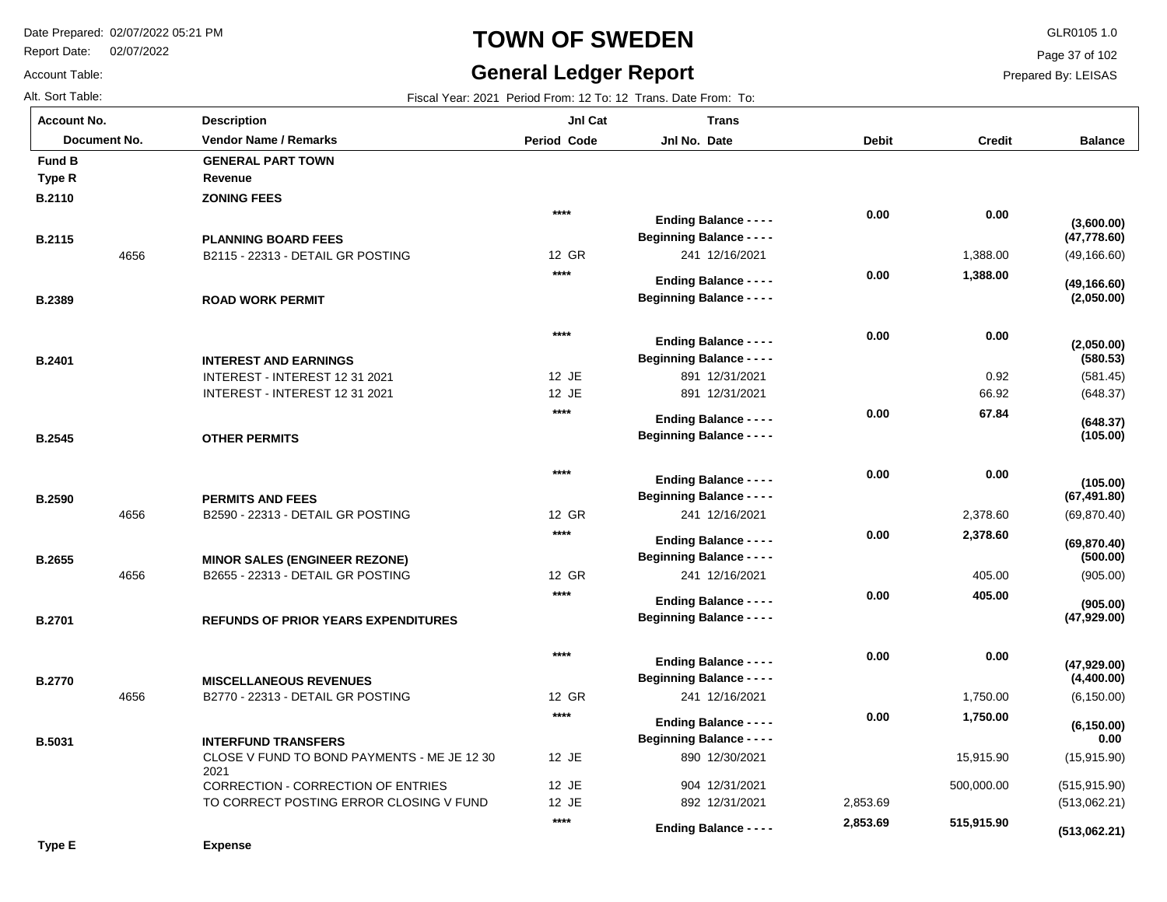Report Date: 02/07/2022

# **TOWN OF SWEDEN** GLR0105 1.0

#### **General Ledger Report**

**Balance**

(49,166.60)

**(49,166.60)**

**(2,050.00)**

**(47,778.60)**

**(3,600.00)**

(581.45) (648.37)

**(105.00)**

**(105.00)**

**(648.37)**

**(580.53)**

**(2,050.00)**

(69,870.40)

**(69,870.40)**

**(67,491.80)**

(905.00)

**(905.00)**

**(47,929.00)**

**(500.00)**

(6,150.00)

**(6,150.00)**

**(4,400.00)**

**(47,929.00)**

(15,915.90) (515,915.90) (513,062.21)

**(513,062.21)**

 **0.00** 

Page 37 of 102

Prepared By: LEISAS

 15,915.90 500,000.00

 **515,915.90** 

|  | AIL SOIT TADIE: |  |  |
|--|-----------------|--|--|
|  | Account No.     |  |  |

Account Table:

**Type E**

| Alt. Sort Table:   |              |                                                                |                    | Fiscal Year: 2021 Period From: 12 To: 12 Trans. Date From: To:    |              |               |
|--------------------|--------------|----------------------------------------------------------------|--------------------|-------------------------------------------------------------------|--------------|---------------|
| <b>Account No.</b> |              | <b>Description</b>                                             | JnI Cat            | <b>Trans</b>                                                      |              |               |
|                    | Document No. | <b>Vendor Name / Remarks</b>                                   | <b>Period Code</b> | Jnl No. Date                                                      | <b>Debit</b> | <b>Credit</b> |
| Fund B             |              | <b>GENERAL PART TOWN</b>                                       |                    |                                                                   |              |               |
| <b>Type R</b>      |              | Revenue                                                        |                    |                                                                   |              |               |
| B.2110             |              | <b>ZONING FEES</b>                                             |                    |                                                                   |              |               |
|                    |              |                                                                | $****$             | <b>Ending Balance - - - -</b>                                     | 0.00         | 0.00          |
| <b>B.2115</b>      |              | <b>PLANNING BOARD FEES</b>                                     |                    | <b>Beginning Balance - - - -</b>                                  |              |               |
|                    | 4656         | B2115 - 22313 - DETAIL GR POSTING                              | 12 GR              | 241 12/16/2021                                                    |              | 1,388.00      |
|                    |              |                                                                | $***$              | <b>Ending Balance - - - -</b>                                     | 0.00         | 1,388.00      |
| <b>B.2389</b>      |              | <b>ROAD WORK PERMIT</b>                                        |                    | <b>Beginning Balance - - - -</b>                                  |              |               |
|                    |              |                                                                |                    |                                                                   |              |               |
|                    |              |                                                                | $***$              |                                                                   | 0.00         | 0.00          |
|                    |              |                                                                |                    | <b>Ending Balance - - - -</b><br><b>Beginning Balance - - - -</b> |              |               |
| <b>B.2401</b>      |              | <b>INTEREST AND EARNINGS</b><br>INTEREST - INTEREST 12 31 2021 | 12 JE              | 891 12/31/2021                                                    |              | 0.92          |
|                    |              | INTEREST - INTEREST 12 31 2021                                 | 12 JE              | 891 12/31/2021                                                    |              | 66.92         |
|                    |              |                                                                | $***$              |                                                                   | 0.00         | 67.84         |
|                    |              |                                                                |                    | <b>Ending Balance - - - -</b>                                     |              |               |
| <b>B.2545</b>      |              | <b>OTHER PERMITS</b>                                           |                    | <b>Beginning Balance - - - -</b>                                  |              |               |
|                    |              |                                                                | $****$             |                                                                   | 0.00         | 0.00          |
|                    |              |                                                                |                    | <b>Ending Balance - - - -</b>                                     |              |               |
| <b>B.2590</b>      |              | <b>PERMITS AND FEES</b>                                        | 12 GR              | <b>Beginning Balance - - - -</b><br>241 12/16/2021                |              | 2,378.60      |
|                    | 4656         | B2590 - 22313 - DETAIL GR POSTING                              | $****$             |                                                                   |              |               |
|                    |              |                                                                |                    | <b>Ending Balance - - - -</b>                                     | 0.00         | 2,378.60      |
| <b>B.2655</b>      |              | <b>MINOR SALES (ENGINEER REZONE)</b>                           |                    | <b>Beginning Balance - - - -</b>                                  |              |               |
|                    | 4656         | B2655 - 22313 - DETAIL GR POSTING                              | 12 GR              | 241 12/16/2021                                                    |              | 405.00        |
|                    |              |                                                                | $***$              | <b>Ending Balance - - - -</b>                                     | 0.00         | 405.00        |
| <b>B.2701</b>      |              | <b>REFUNDS OF PRIOR YEARS EXPENDITURES</b>                     |                    | <b>Beginning Balance - - - -</b>                                  |              |               |
|                    |              |                                                                | $***$              |                                                                   |              |               |
|                    |              |                                                                |                    | <b>Ending Balance - - - -</b>                                     | 0.00         | 0.00          |
| <b>B.2770</b>      |              | <b>MISCELLANEOUS REVENUES</b>                                  |                    | <b>Beginning Balance - - - -</b>                                  |              |               |
|                    | 4656         | B2770 - 22313 - DETAIL GR POSTING                              | 12 GR              | 241 12/16/2021                                                    |              | 1,750.00      |
|                    |              |                                                                | $***$              | <b>Ending Balance - - - -</b>                                     | 0.00         | 1,750.00      |

12 JE 12 JE 12 JE

**\*\*\*\***

890 12/30/2021 904 12/31/2021

**Ending Balance - - - -**

**Beginning Balance - - - -**

892 12/31/2021 2,853.69

 **2,853.69** 

| <b>B.5031</b> | <b>INTERFUND TRANSFERS</b>                          |
|---------------|-----------------------------------------------------|
|               | CLOSE V FUND TO BOND PAYMENTS - ME JE 12 30<br>2021 |
|               | CORRECTION - CORRECTION OF ENTRIES                  |
|               | TO CORRECT POSTING ERROR CLOSING V FUND             |
|               |                                                     |

**Expense**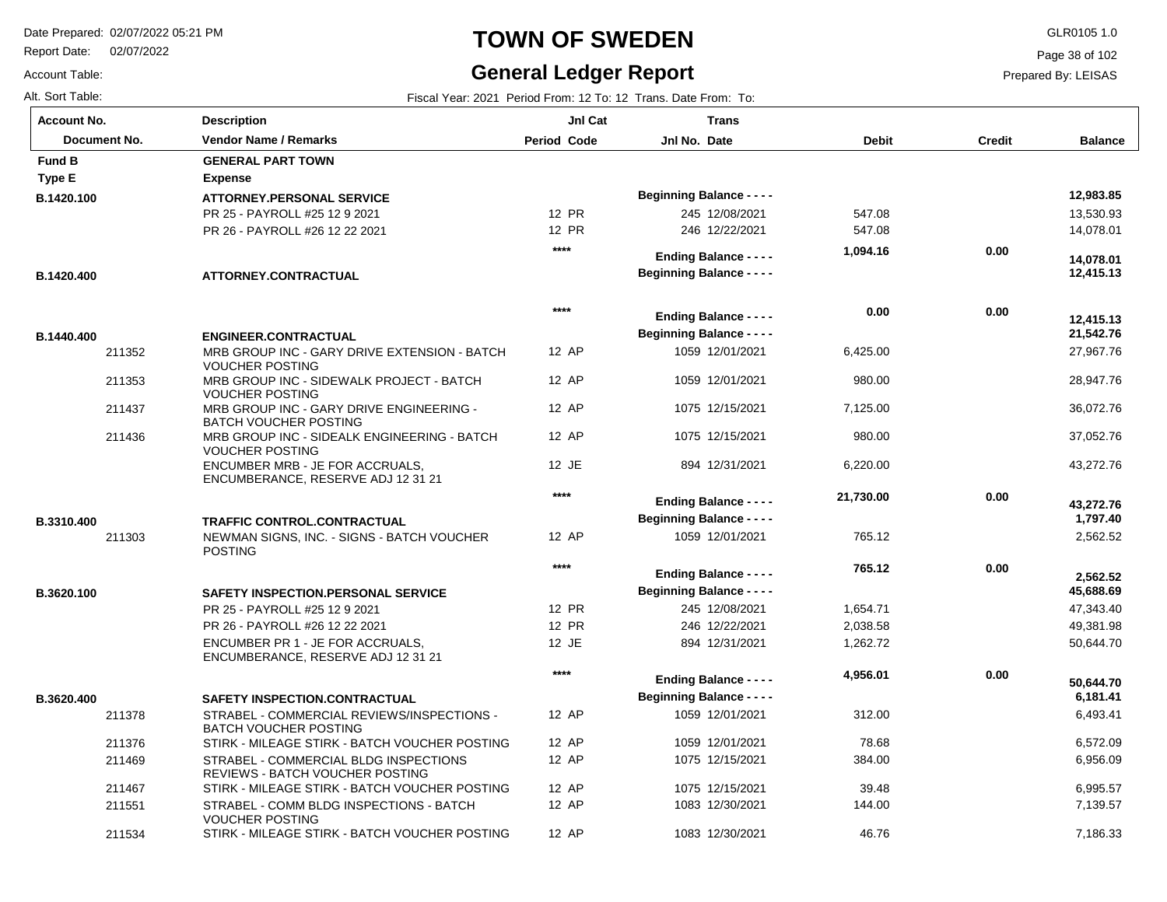Report Date: 02/07/2022

Account Table:

# **TOWN OF SWEDEN** GLR0105 1.0

#### **General Ledger Report**

Page 38 of 102

**Balance**

 13,530.93 14,078.01

 **12,415.13** 

 **14,078.01** 

 **12,983.85** 

 27,967.76 28,947.76 36,072.76 37,052.76 43,272.76

 **21,542.76** 

 **12,415.13** 

2,562.52

 **1,797.40** 

 **43,272.76** 

 47,343.40 49,381.98 50,644.70

 **45,688.69** 

 **2,562.52** 

 6,493.41 6,572.09 6,956.09 6,995.57 7,139.57 7,186.33

 **6,181.41** 

 **50,644.70** 

| Alt. Sort Table:   |                                                                            |                | Fiscal Year: 2021 Period From: 12 To: 12 Trans. Date From: To: |              |               |
|--------------------|----------------------------------------------------------------------------|----------------|----------------------------------------------------------------|--------------|---------------|
| <b>Account No.</b> | <b>Description</b>                                                         | <b>Jnl Cat</b> | <b>Trans</b>                                                   |              |               |
| Document No.       | <b>Vendor Name / Remarks</b>                                               | Period Code    | Jnl No. Date                                                   | <b>Debit</b> | <b>Credit</b> |
| <b>Fund B</b>      | <b>GENERAL PART TOWN</b>                                                   |                |                                                                |              |               |
| Type E             | <b>Expense</b>                                                             |                |                                                                |              |               |
| B.1420.100         | <b>ATTORNEY.PERSONAL SERVICE</b>                                           |                | <b>Beginning Balance - - - -</b>                               |              |               |
|                    | PR 25 - PAYROLL #25 12 9 2021                                              | 12 PR          | 245 12/08/2021                                                 | 547.08       |               |
|                    | PR 26 - PAYROLL #26 12 22 2021                                             | 12 PR          | 246 12/22/2021                                                 | 547.08       |               |
|                    |                                                                            | $***$          | <b>Ending Balance - - - -</b>                                  | 1,094.16     | 0.00          |
| B.1420.400         | ATTORNEY.CONTRACTUAL                                                       |                | <b>Beginning Balance - - - -</b>                               |              |               |
|                    |                                                                            | $***$          | <b>Ending Balance - - - -</b>                                  | 0.00         | 0.00          |
| B.1440.400         | ENGINEER.CONTRACTUAL                                                       |                | <b>Beginning Balance - - - -</b>                               |              |               |
| 211352             | MRB GROUP INC - GARY DRIVE EXTENSION - BATCH<br><b>VOUCHER POSTING</b>     | 12 AP          | 1059 12/01/2021                                                | 6,425.00     |               |
| 211353             | MRB GROUP INC - SIDEWALK PROJECT - BATCH<br>VOUCHER POSTING                | 12 AP          | 1059 12/01/2021                                                | 980.00       |               |
| 211437             | MRB GROUP INC - GARY DRIVE ENGINEERING -<br><b>BATCH VOUCHER POSTING</b>   | 12 AP          | 1075 12/15/2021                                                | 7,125.00     |               |
| 211436             | MRB GROUP INC - SIDEALK ENGINEERING - BATCH<br>VOUCHER POSTING             | 12 AP          | 1075 12/15/2021                                                | 980.00       |               |
|                    | ENCUMBER MRB - JE FOR ACCRUALS,<br>ENCUMBERANCE, RESERVE ADJ 12 31 21      | 12 JE          | 894 12/31/2021                                                 | 6,220.00     |               |
|                    |                                                                            | ****           | <b>Ending Balance - - - -</b>                                  | 21,730.00    | 0.00          |
| B.3310.400         | <b>TRAFFIC CONTROL.CONTRACTUAL</b>                                         |                | <b>Beginning Balance - - - -</b>                               |              |               |
| 211303             | NEWMAN SIGNS, INC. - SIGNS - BATCH VOUCHER<br><b>POSTING</b>               | 12 AP          | 1059 12/01/2021                                                | 765.12       |               |
|                    |                                                                            | $***$          | <b>Ending Balance - - - -</b>                                  | 765.12       | 0.00          |
| B.3620.100         | <b>SAFETY INSPECTION.PERSONAL SERVICE</b>                                  |                | <b>Beginning Balance - - - -</b>                               |              |               |
|                    | PR 25 - PAYROLL #25 12 9 2021                                              | 12 PR          | 245 12/08/2021                                                 | 1,654.71     |               |
|                    | PR 26 - PAYROLL #26 12 22 2021                                             | 12 PR          | 246 12/22/2021                                                 | 2,038.58     |               |
|                    | ENCUMBER PR 1 - JE FOR ACCRUALS,<br>ENCUMBERANCE, RESERVE ADJ 12 31 21     | 12 JE          | 894 12/31/2021                                                 | 1,262.72     |               |
|                    |                                                                            | $***$          | <b>Ending Balance - - - -</b>                                  | 4,956.01     | 0.00          |
| B.3620.400         | <b>SAFETY INSPECTION.CONTRACTUAL</b>                                       |                | <b>Beginning Balance - - - -</b>                               |              |               |
| 211378             | STRABEL - COMMERCIAL REVIEWS/INSPECTIONS -<br><b>BATCH VOUCHER POSTING</b> | 12 AP          | 1059 12/01/2021                                                | 312.00       |               |
| 211376             | STIRK - MILEAGE STIRK - BATCH VOUCHER POSTING                              | 12 AP          | 1059 12/01/2021                                                | 78.68        |               |
| 211469             | STRABEL - COMMERCIAL BLDG INSPECTIONS<br>REVIEWS - BATCH VOUCHER POSTING   | 12 AP          | 1075 12/15/2021                                                | 384.00       |               |
| 211467             | STIRK - MILEAGE STIRK - BATCH VOUCHER POSTING                              | 12 AP          | 1075 12/15/2021                                                | 39.48        |               |
| 211551             | STRABEL - COMM BLDG INSPECTIONS - BATCH<br>VOUCHER POSTING                 | 12 AP          | 1083 12/30/2021                                                | 144.00       |               |
| 211534             | STIRK - MILEAGE STIRK - BATCH VOUCHER POSTING                              | 12 AP          | 1083 12/30/2021                                                | 46.76        |               |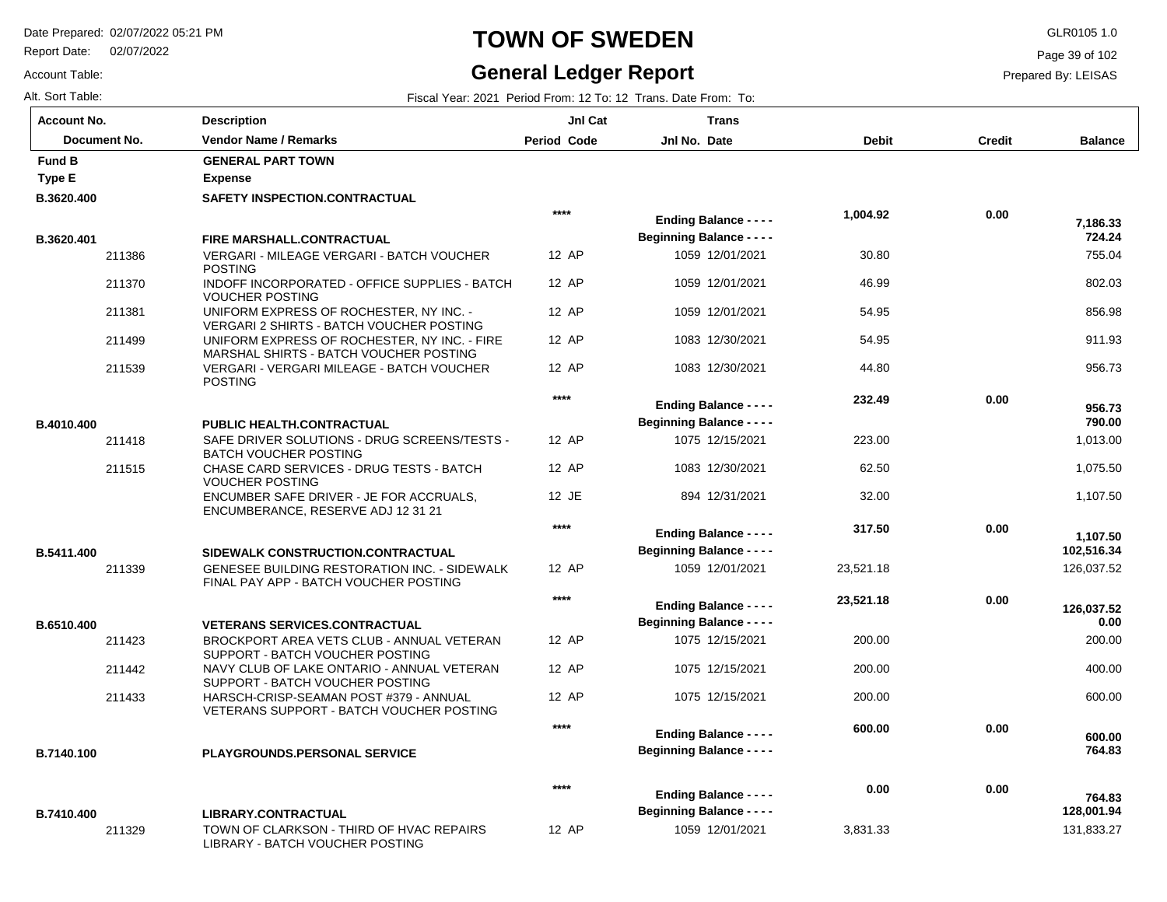Report Date: 02/07/2022

# **TOWN OF SWEDEN** GLR0105 1.0

#### **General Ledger Report**

**Balance**

 755.04 802.03 856.98 911.93 956.73

 **724.24** 

 **7,186.33** 

 1,013.00 1,075.50 1,107.50

 **790.00** 

 **956.73** 

126,037.52

 **126,037.52** 

 **102,516.34** 

 **1,107.50** 

 200.00 400.00 600.00

 **764.83** 

 **764.83** 

 **600.00** 

 **0.00** 

131,833.27

 **128,001.94** 

Page 39 of 102

Prepared By: LEISAS

Account Table: Alt. Sort Table: Fiscal Year: 2021 Period From: 12 To: 12 Trans. Date From: To:

| <b>Account No.</b> |        | <b>Description</b>                                                                           | JnI Cat            | <b>Trans</b>                     |              |               |
|--------------------|--------|----------------------------------------------------------------------------------------------|--------------------|----------------------------------|--------------|---------------|
| Document No.       |        | <b>Vendor Name / Remarks</b>                                                                 | <b>Period Code</b> | Jnl No. Date                     | <b>Debit</b> | <b>Credit</b> |
| <b>Fund B</b>      |        | <b>GENERAL PART TOWN</b>                                                                     |                    |                                  |              |               |
| <b>Type E</b>      |        | <b>Expense</b>                                                                               |                    |                                  |              |               |
| B.3620.400         |        | SAFETY INSPECTION.CONTRACTUAL                                                                |                    |                                  |              |               |
|                    |        |                                                                                              | $****$             | <b>Ending Balance - - - -</b>    | 1,004.92     | 0.00          |
| B.3620.401         |        | FIRE MARSHALL.CONTRACTUAL                                                                    |                    | <b>Beginning Balance - - - -</b> |              |               |
|                    | 211386 | <b>VERGARI - MILEAGE VERGARI - BATCH VOUCHER</b><br><b>POSTING</b>                           | 12 AP              | 1059 12/01/2021                  | 30.80        |               |
|                    | 211370 | INDOFF INCORPORATED - OFFICE SUPPLIES - BATCH<br><b>VOUCHER POSTING</b>                      | 12 AP              | 1059 12/01/2021                  | 46.99        |               |
|                    | 211381 | UNIFORM EXPRESS OF ROCHESTER, NY INC. -<br>VERGARI 2 SHIRTS - BATCH VOUCHER POSTING          | 12 AP              | 1059 12/01/2021                  | 54.95        |               |
|                    | 211499 | UNIFORM EXPRESS OF ROCHESTER, NY INC. - FIRE<br>MARSHAL SHIRTS - BATCH VOUCHER POSTING       | 12 AP              | 1083 12/30/2021                  | 54.95        |               |
|                    | 211539 | VERGARI - VERGARI MILEAGE - BATCH VOUCHER<br><b>POSTING</b>                                  | 12 AP              | 1083 12/30/2021                  | 44.80        |               |
|                    |        |                                                                                              | $***$              | <b>Ending Balance - - - -</b>    | 232.49       | 0.00          |
| B.4010.400         |        | PUBLIC HEALTH.CONTRACTUAL                                                                    |                    | <b>Beginning Balance - - - -</b> |              |               |
|                    | 211418 | SAFE DRIVER SOLUTIONS - DRUG SCREENS/TESTS -<br><b>BATCH VOUCHER POSTING</b>                 | 12 AP              | 1075 12/15/2021                  | 223.00       |               |
|                    | 211515 | CHASE CARD SERVICES - DRUG TESTS - BATCH<br><b>VOUCHER POSTING</b>                           | 12 AP              | 1083 12/30/2021                  | 62.50        |               |
|                    |        | ENCUMBER SAFE DRIVER - JE FOR ACCRUALS,<br>ENCUMBERANCE, RESERVE ADJ 12 31 21                | 12 JE              | 894 12/31/2021                   | 32.00        |               |
|                    |        |                                                                                              | $***$              | <b>Ending Balance - - - -</b>    | 317.50       | 0.00          |
| B.5411.400         |        | SIDEWALK CONSTRUCTION.CONTRACTUAL                                                            |                    | <b>Beginning Balance - - - -</b> |              |               |
|                    | 211339 | <b>GENESEE BUILDING RESTORATION INC. - SIDEWALK</b><br>FINAL PAY APP - BATCH VOUCHER POSTING | 12 AP              | 1059 12/01/2021                  | 23,521.18    |               |
|                    |        |                                                                                              | $***$              | <b>Ending Balance - - - -</b>    | 23,521.18    | 0.00          |
| B.6510.400         |        | <b>VETERANS SERVICES.CONTRACTUAL</b>                                                         |                    | <b>Beginning Balance - - - -</b> |              |               |
|                    | 211423 | BROCKPORT AREA VETS CLUB - ANNUAL VETERAN<br>SUPPORT - BATCH VOUCHER POSTING                 | 12 AP              | 1075 12/15/2021                  | 200.00       |               |
|                    | 211442 | NAVY CLUB OF LAKE ONTARIO - ANNUAL VETERAN<br>SUPPORT - BATCH VOUCHER POSTING                | 12 AP              | 1075 12/15/2021                  | 200.00       |               |
|                    | 211433 | HARSCH-CRISP-SEAMAN POST #379 - ANNUAL<br>VETERANS SUPPORT - BATCH VOUCHER POSTING           | 12 AP              | 1075 12/15/2021                  | 200.00       |               |
|                    |        |                                                                                              | $***$              | <b>Ending Balance - - - -</b>    | 600.00       | 0.00          |
| B.7140.100         |        | <b>PLAYGROUNDS.PERSONAL SERVICE</b>                                                          |                    | <b>Beginning Balance - - - -</b> |              |               |
|                    |        |                                                                                              | $***$              | Ending Balance - - - -           | 0.00         | 0.00          |

12 AP

1059 12/01/2021

**Beginning Balance - - - -**

3,831.33

| B.7410.400 |        | <b>LIBRARY.CONTRACTUAL</b>                                                  |
|------------|--------|-----------------------------------------------------------------------------|
|            | 211329 | TOWN OF CLARKSON - THIRD OF HVAC REPAIRS<br>LIBRARY - BATCH VOUCHER POSTING |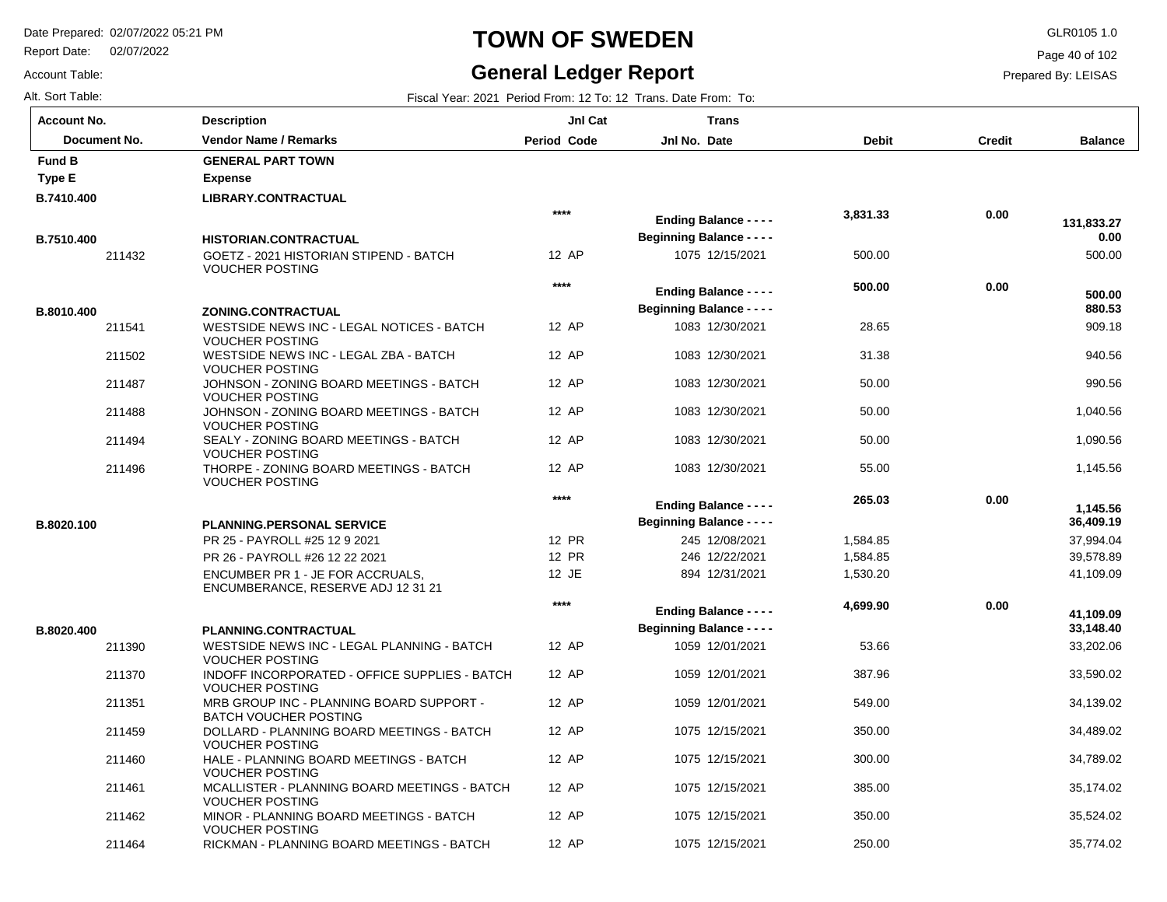211464

VOUCHER POSTING

RICKMAN - PLANNING BOARD MEETINGS - BATCH

Report Date: 02/07/2022

### **TOWN OF SWEDEN** GLR0105 1.0

#### **General Ledger Report**

**Balance**

500.00

 **131,833.27** 

 **0.00** 

 909.18 940.56 990.56

 **880.53** 

 **500.00** 

 1,040.56 1,090.56 1,145.56

 37,994.04 39,578.89 41,109.09

 **36,409.19** 

 **1,145.56** 

 33,202.06 33,590.02 34,139.02 34,489.02 34,789.02 35,174.02 35,524.02 35,774.02

 **33,148.40** 

 **41,109.09** 

Page 40 of 102

Prepared By: LEISAS

Alt. Sort Table: Fiscal Year: 2021 Period From: 12 To: 12 Trans. Date From: To:

Account Table:

| <b>Account No.</b> | <b>Description</b>                                                       | JnI Cat            | <b>Trans</b>                     |              |               |
|--------------------|--------------------------------------------------------------------------|--------------------|----------------------------------|--------------|---------------|
| Document No.       | Vendor Name / Remarks                                                    | <b>Period Code</b> | Jnl No. Date                     | <b>Debit</b> | <b>Credit</b> |
| <b>Fund B</b>      | <b>GENERAL PART TOWN</b>                                                 |                    |                                  |              |               |
| Type E             | <b>Expense</b>                                                           |                    |                                  |              |               |
| B.7410.400         | <b>LIBRARY.CONTRACTUAL</b>                                               |                    |                                  |              |               |
|                    |                                                                          | $***$              | <b>Ending Balance - - - -</b>    | 3,831.33     | 0.00          |
| B.7510.400         | <b>HISTORIAN.CONTRACTUAL</b>                                             |                    | <b>Beginning Balance - - - -</b> |              |               |
| 211432             | GOETZ - 2021 HISTORIAN STIPEND - BATCH<br><b>VOUCHER POSTING</b>         | 12 AP              | 1075 12/15/2021                  | 500.00       |               |
|                    |                                                                          | $***$              |                                  | 500.00       | 0.00          |
|                    |                                                                          |                    | <b>Ending Balance - - - -</b>    |              |               |
| B.8010.400         | ZONING.CONTRACTUAL                                                       |                    | <b>Beginning Balance - - - -</b> |              |               |
| 211541             | WESTSIDE NEWS INC - LEGAL NOTICES - BATCH<br><b>VOUCHER POSTING</b>      | 12 AP              | 1083 12/30/2021                  | 28.65        |               |
| 211502             | WESTSIDE NEWS INC - LEGAL ZBA - BATCH<br><b>VOUCHER POSTING</b>          | 12 AP              | 1083 12/30/2021                  | 31.38        |               |
| 211487             | JOHNSON - ZONING BOARD MEETINGS - BATCH<br><b>VOUCHER POSTING</b>        | 12 AP              | 1083 12/30/2021                  | 50.00        |               |
| 211488             | JOHNSON - ZONING BOARD MEETINGS - BATCH<br><b>VOUCHER POSTING</b>        | 12 AP              | 1083 12/30/2021                  | 50.00        |               |
| 211494             | SEALY - ZONING BOARD MEETINGS - BATCH<br><b>VOUCHER POSTING</b>          | 12 AP              | 1083 12/30/2021                  | 50.00        |               |
| 211496             | THORPE - ZONING BOARD MEETINGS - BATCH<br><b>VOUCHER POSTING</b>         | 12 AP              | 1083 12/30/2021                  | 55.00        |               |
|                    |                                                                          | $***$              | <b>Ending Balance - - - -</b>    | 265.03       | 0.00          |
| B.8020.100         |                                                                          |                    | <b>Beginning Balance - - - -</b> |              |               |
|                    | <b>PLANNING.PERSONAL SERVICE</b><br>PR 25 - PAYROLL #25 12 9 2021        | 12 PR              | 245 12/08/2021                   | 1,584.85     |               |
|                    | PR 26 - PAYROLL #26 12 22 2021                                           | 12 PR              | 246 12/22/2021                   | 1,584.85     |               |
|                    | ENCUMBER PR 1 - JE FOR ACCRUALS,                                         | 12 JE              | 894 12/31/2021                   | 1,530.20     |               |
|                    | ENCUMBERANCE, RESERVE ADJ 12 31 21                                       |                    |                                  |              |               |
|                    |                                                                          | ****               | <b>Ending Balance - - - -</b>    | 4,699.90     | 0.00          |
| B.8020.400         | PLANNING.CONTRACTUAL                                                     |                    | <b>Beginning Balance - - - -</b> |              |               |
| 211390             | WESTSIDE NEWS INC - LEGAL PLANNING - BATCH<br><b>VOUCHER POSTING</b>     | 12 AP              | 1059 12/01/2021                  | 53.66        |               |
| 211370             | INDOFF INCORPORATED - OFFICE SUPPLIES - BATCH<br><b>VOUCHER POSTING</b>  | 12 AP              | 1059 12/01/2021                  | 387.96       |               |
| 211351             | MRB GROUP INC - PLANNING BOARD SUPPORT -<br><b>BATCH VOUCHER POSTING</b> | 12 AP              | 1059 12/01/2021                  | 549.00       |               |
| 211459             | DOLLARD - PLANNING BOARD MEETINGS - BATCH<br><b>VOUCHER POSTING</b>      | 12 AP              | 1075 12/15/2021                  | 350.00       |               |
| 211460             | HALE - PLANNING BOARD MEETINGS - BATCH<br><b>VOUCHER POSTING</b>         | 12 AP              | 1075 12/15/2021                  | 300.00       |               |
| 211461             | MCALLISTER - PLANNING BOARD MEETINGS - BATCH<br><b>VOUCHER POSTING</b>   | 12 AP              | 1075 12/15/2021                  | 385.00       |               |
| 211462             | MINOR - PLANNING BOARD MEETINGS - BATCH                                  | 12 AP              | 1075 12/15/2021                  | 350.00       |               |

12 AP

1075 12/15/2021

250.00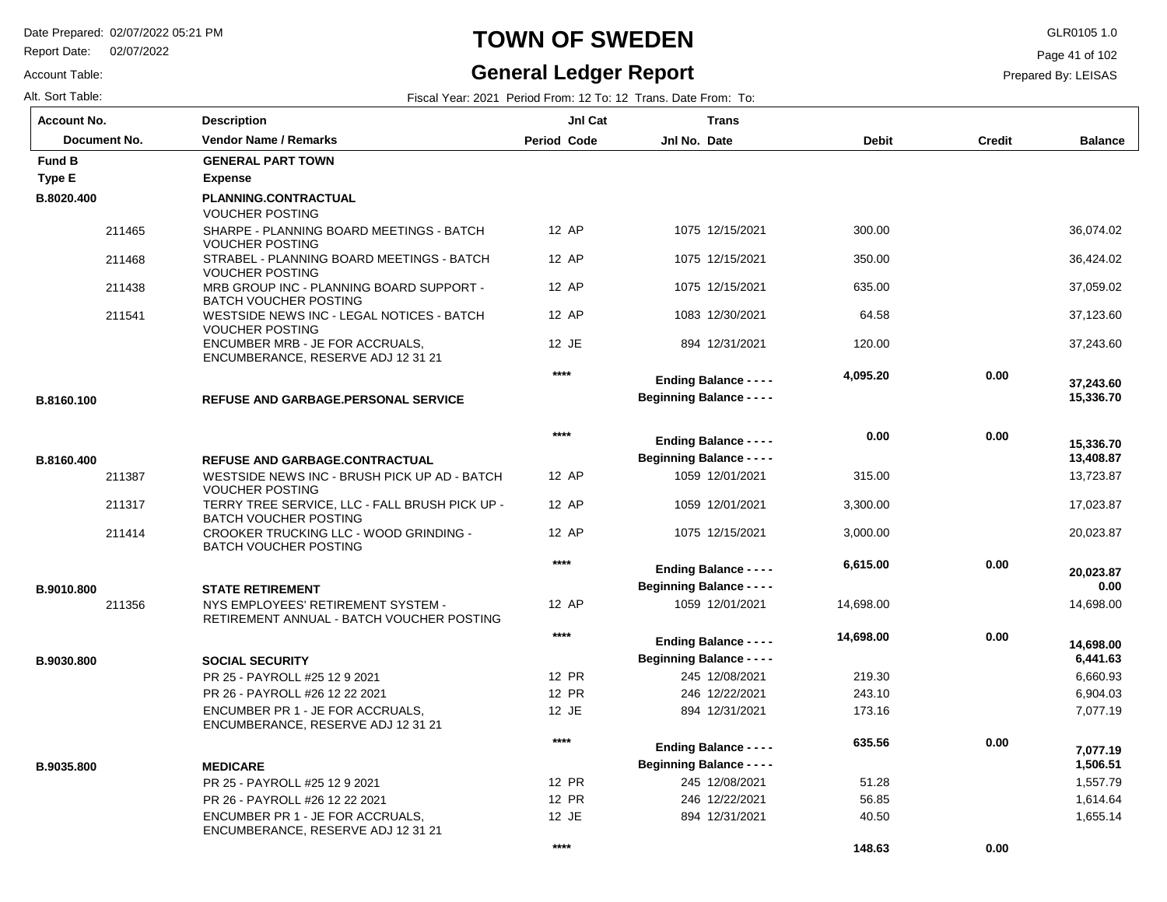Report Date: 02/07/2022

### **TOWN OF SWEDEN** GLR0105 1.0

# **General Ledger Report**

Page 41 of 102

Prepared By: LEISAS

 **0.00** 

 **148.63** 

Account Table:

| Alt. Sort Table:   |                                                                                 |                    | Fiscal Year: 2021 Period From: 12 To: 12 Trans. Date From: To:    |              |               |                        |
|--------------------|---------------------------------------------------------------------------------|--------------------|-------------------------------------------------------------------|--------------|---------------|------------------------|
| <b>Account No.</b> | <b>Description</b>                                                              | JnI Cat            | <b>Trans</b>                                                      |              |               |                        |
| Document No.       | <b>Vendor Name / Remarks</b>                                                    | <b>Period Code</b> | Jnl No. Date                                                      | <b>Debit</b> | <b>Credit</b> | <b>Balance</b>         |
| <b>Fund B</b>      | <b>GENERAL PART TOWN</b>                                                        |                    |                                                                   |              |               |                        |
| Type E             | <b>Expense</b>                                                                  |                    |                                                                   |              |               |                        |
| B.8020.400         | PLANNING.CONTRACTUAL<br><b>VOUCHER POSTING</b>                                  |                    |                                                                   |              |               |                        |
| 211465             | SHARPE - PLANNING BOARD MEETINGS - BATCH<br><b>VOUCHER POSTING</b>              | 12 AP              | 1075 12/15/2021                                                   | 300.00       |               | 36,074.02              |
| 211468             | STRABEL - PLANNING BOARD MEETINGS - BATCH<br><b>VOUCHER POSTING</b>             | 12 AP              | 1075 12/15/2021                                                   | 350.00       |               | 36,424.02              |
| 211438             | MRB GROUP INC - PLANNING BOARD SUPPORT -<br><b>BATCH VOUCHER POSTING</b>        | 12 AP              | 1075 12/15/2021                                                   | 635.00       |               | 37,059.02              |
| 211541             | WESTSIDE NEWS INC - LEGAL NOTICES - BATCH<br><b>VOUCHER POSTING</b>             | 12 AP              | 1083 12/30/2021                                                   | 64.58        |               | 37,123.60              |
|                    | ENCUMBER MRB - JE FOR ACCRUALS,<br>ENCUMBERANCE, RESERVE ADJ 12 31 21           | 12 JE              | 894 12/31/2021                                                    | 120.00       |               | 37,243.60              |
| B.8160.100         | <b>REFUSE AND GARBAGE.PERSONAL SERVICE</b>                                      | $***$              | <b>Ending Balance - - - -</b><br><b>Beginning Balance - - - -</b> | 4,095.20     | 0.00          | 37,243.60<br>15,336.70 |
|                    |                                                                                 |                    |                                                                   |              |               |                        |
|                    |                                                                                 | $***$              | <b>Ending Balance - - - -</b>                                     | 0.00         | 0.00          | 15,336.70              |
| B.8160.400         | REFUSE AND GARBAGE.CONTRACTUAL                                                  |                    | <b>Beginning Balance - - - -</b>                                  |              |               | 13,408.87              |
| 211387             | WESTSIDE NEWS INC - BRUSH PICK UP AD - BATCH<br><b>VOUCHER POSTING</b>          | 12 AP              | 1059 12/01/2021                                                   | 315.00       |               | 13,723.87              |
| 211317             | TERRY TREE SERVICE, LLC - FALL BRUSH PICK UP -<br><b>BATCH VOUCHER POSTING</b>  | 12 AP              | 1059 12/01/2021                                                   | 3,300.00     |               | 17,023.87              |
| 211414             | CROOKER TRUCKING LLC - WOOD GRINDING -<br><b>BATCH VOUCHER POSTING</b>          | 12 AP              | 1075 12/15/2021                                                   | 3,000.00     |               | 20,023.87              |
|                    |                                                                                 | $***$              | <b>Ending Balance - - - -</b>                                     | 6,615.00     | 0.00          | 20,023.87              |
| B.9010.800         | <b>STATE RETIREMENT</b>                                                         |                    | <b>Beginning Balance - - - -</b>                                  |              |               | 0.00                   |
| 211356             | NYS EMPLOYEES' RETIREMENT SYSTEM -<br>RETIREMENT ANNUAL - BATCH VOUCHER POSTING | 12 AP              | 1059 12/01/2021                                                   | 14,698.00    |               | 14,698.00              |
|                    |                                                                                 | $***$              | <b>Ending Balance - - - -</b>                                     | 14,698.00    | 0.00          | 14.698.00              |
| B.9030.800         | <b>SOCIAL SECURITY</b>                                                          |                    | <b>Beginning Balance - - - -</b>                                  |              |               | 6,441.63               |
|                    | PR 25 - PAYROLL #25 12 9 2021                                                   | 12 PR              | 245 12/08/2021                                                    | 219.30       |               | 6,660.93               |
|                    | PR 26 - PAYROLL #26 12 22 2021                                                  | 12 PR              | 246 12/22/2021                                                    | 243.10       |               | 6,904.03               |
|                    | ENCUMBER PR 1 - JE FOR ACCRUALS,<br>ENCUMBERANCE, RESERVE ADJ 12 31 21          | 12 JE              | 894 12/31/2021                                                    | 173.16       |               | 7,077.19               |
|                    |                                                                                 | $***$              | <b>Ending Balance - - - -</b>                                     | 635.56       | 0.00          |                        |
|                    |                                                                                 |                    | <b>Beginning Balance - - - -</b>                                  |              |               | 7,077.19<br>1,506.51   |
| B.9035.800         | <b>MEDICARE</b><br>PR 25 - PAYROLL #25 12 9 2021                                | 12 PR              | 245 12/08/2021                                                    | 51.28        |               | 1,557.79               |
|                    | PR 26 - PAYROLL #26 12 22 2021                                                  | 12 PR              | 246 12/22/2021                                                    | 56.85        |               | 1,614.64               |
|                    | ENCUMBER PR 1 - JE FOR ACCRUALS,                                                | 12 JE              | 894 12/31/2021                                                    | 40.50        |               | 1,655.14               |
|                    | ENCUMBERANCE, RESERVE ADJ 12 31 21                                              |                    |                                                                   |              |               |                        |

**\*\*\*\***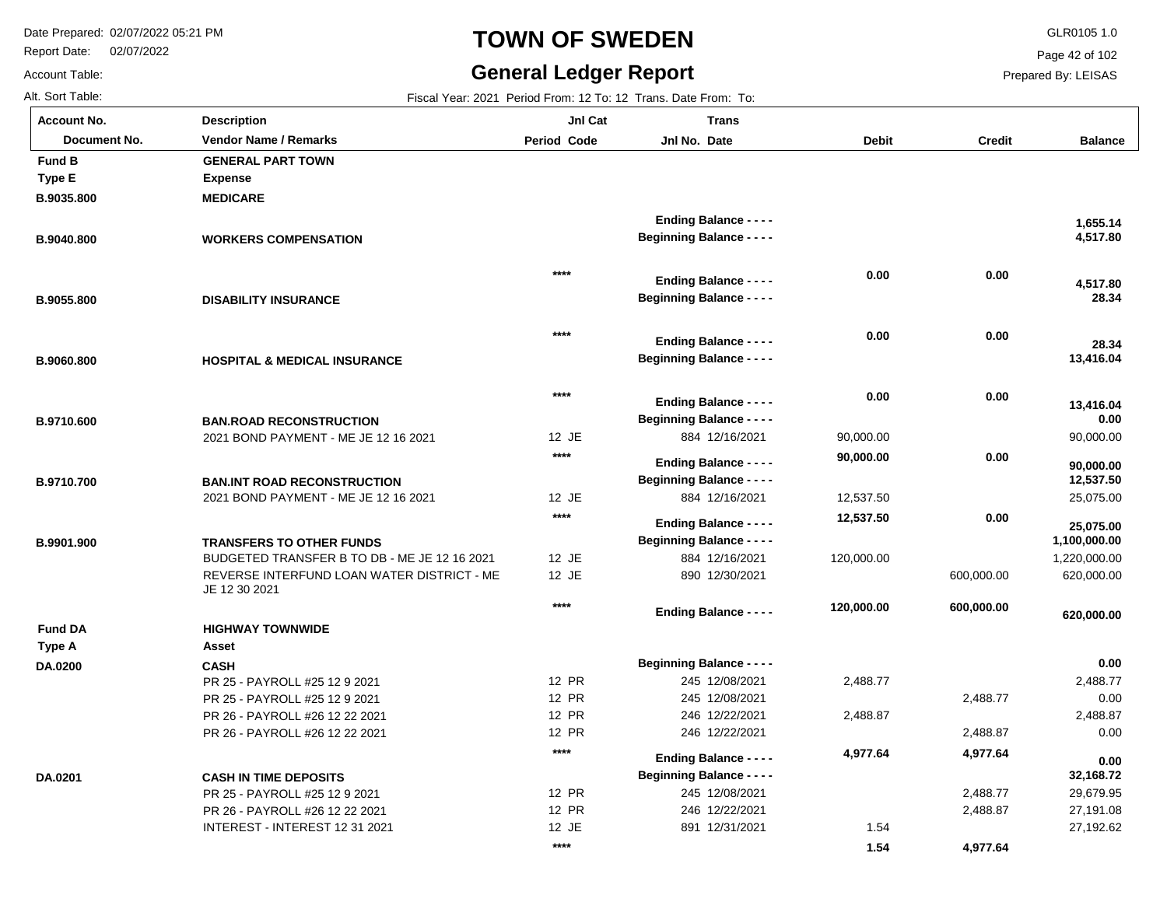Report Date: 02/07/2022

#### **TOWN OF SWEDEN** GLR0105 1.0

#### **General Ledger Report**

**Balance**

 **4,517.80** 

 **1,655.14** 

 **28.34** 

 **28.34** 

 **4,517.80** 

90,000.00

 **13,416.04** 

 **0.00** 

 **13,416.04** 

25,075.00

 **25,075.00** 

 **12,537.50** 

 **90,000.00** 

 1,220,000.00 620,000.00

 **620,000.00** 

 **1,100,000.00** 

 2,488.77 0.00 2,488.87 0.00

 **0.00** 

 29,679.95 27,191.08 27,192.62

 **32,168.72** 

 **0.00** 

Page 42 of 102

Prepared By: LEISAS

 2,488.77 2,488.87

 **4,977.64** 

1.54

 **1.54** 

Account Table: Alt. Sort Table: Fiscal Year: 2021 Period From: 12 To: 12 Trans. Date From: To: **Account No.**

**B.9035.800**

**Type E**

**Fund B**

**B.9040.800**

**B.9055.800**

**B.9060.800**

**B.9710.600**

**B.9710.700**

**B.9901.900**

**DA.0200**

**Type A**

**Fund DA**

**DA.0201**

| unt No.      | <b>Description</b>                                                              | JnI Cat            | <b>Trans</b>                     |              |               |
|--------------|---------------------------------------------------------------------------------|--------------------|----------------------------------|--------------|---------------|
| Document No. | <b>Vendor Name / Remarks</b>                                                    | <b>Period Code</b> | Jnl No. Date                     | <b>Debit</b> | <b>Credit</b> |
| I B          | <b>GENERAL PART TOWN</b>                                                        |                    |                                  |              |               |
| ۱E           | <b>Expense</b>                                                                  |                    |                                  |              |               |
| 35.800       | <b>MEDICARE</b>                                                                 |                    |                                  |              |               |
|              |                                                                                 |                    | <b>Ending Balance - - - -</b>    |              |               |
| 10.800       | <b>WORKERS COMPENSATION</b>                                                     |                    | <b>Beginning Balance - - - -</b> |              |               |
|              |                                                                                 |                    |                                  |              |               |
|              |                                                                                 | ****               | <b>Ending Balance - - - -</b>    | 0.00         | 0.00          |
|              |                                                                                 |                    | <b>Beginning Balance - - - -</b> |              |               |
| 55.800       | <b>DISABILITY INSURANCE</b>                                                     |                    |                                  |              |               |
|              |                                                                                 | $****$             |                                  | 0.00         | 0.00          |
|              |                                                                                 |                    | <b>Ending Balance - - - -</b>    |              |               |
| 60.800       | <b>HOSPITAL &amp; MEDICAL INSURANCE</b>                                         |                    | <b>Beginning Balance - - - -</b> |              |               |
|              |                                                                                 | ****               |                                  | 0.00         | 0.00          |
|              |                                                                                 |                    | <b>Ending Balance - - - -</b>    |              |               |
| 10.600       | <b>BAN.ROAD RECONSTRUCTION</b>                                                  |                    | <b>Beginning Balance - - - -</b> |              |               |
|              | 2021 BOND PAYMENT - ME JE 12 16 2021                                            | 12 JE              | 884 12/16/2021                   | 90,000.00    |               |
|              |                                                                                 | $****$             | <b>Ending Balance - - - -</b>    | 90,000.00    | 0.00          |
| 10.700       | <b>BAN.INT ROAD RECONSTRUCTION</b>                                              |                    | <b>Beginning Balance - - - -</b> |              |               |
|              | 2021 BOND PAYMENT - ME JE 12 16 2021                                            | 12 JE              | 884 12/16/2021                   | 12,537.50    |               |
|              |                                                                                 | ****               | <b>Ending Balance - - - -</b>    | 12,537.50    | 0.00          |
|              |                                                                                 |                    | <b>Beginning Balance - - - -</b> |              |               |
| 1.900        | <b>TRANSFERS TO OTHER FUNDS</b><br>BUDGETED TRANSFER B TO DB - ME JE 12 16 2021 | 12 JE              | 884 12/16/2021                   | 120,000.00   |               |
|              | REVERSE INTERFUND LOAN WATER DISTRICT - ME                                      | 12 JE              | 890 12/30/2021                   |              | 600,000.00    |
|              | JE 12 30 2021                                                                   |                    |                                  |              |               |
|              |                                                                                 | $****$             | <b>Ending Balance - - - -</b>    | 120,000.00   | 600,000.00    |
| I DA         | <b>HIGHWAY TOWNWIDE</b>                                                         |                    |                                  |              |               |
| ۰A           | Asset                                                                           |                    |                                  |              |               |
| 200          | <b>CASH</b>                                                                     |                    | <b>Beginning Balance - - - -</b> |              |               |
|              | PR 25 - PAYROLL #25 12 9 2021                                                   | <b>12 PR</b>       | 245 12/08/2021                   | 2,488.77     |               |
|              | PR 25 - PAYROLL #25 12 9 2021                                                   | <b>12 PR</b>       | 245 12/08/2021                   |              | 2,488.77      |
|              | PR 26 - PAYROLL #26 12 22 2021                                                  | 12 PR              | 246 12/22/2021                   | 2,488.87     |               |
|              | PR 26 - PAYROLL #26 12 22 2021                                                  | <b>12 PR</b>       | 246 12/22/2021                   |              | 2,488.87      |
|              |                                                                                 | $****$             | <b>Ending Balance - - - -</b>    | 4,977.64     | 4,977.64      |
| 201          | <b>CASH IN TIME DEPOSITS</b>                                                    |                    | <b>Beginning Balance - - - -</b> |              |               |
|              |                                                                                 |                    |                                  |              |               |

12 PR 12 PR 12 JE

**\*\*\*\***

245 12/08/2021 246 12/22/2021 891 12/31/2021

PR 25 - PAYROLL #25 12 9 2021 PR 26 - PAYROLL #26 12 22 2021 INTEREST - INTEREST 12 31 2021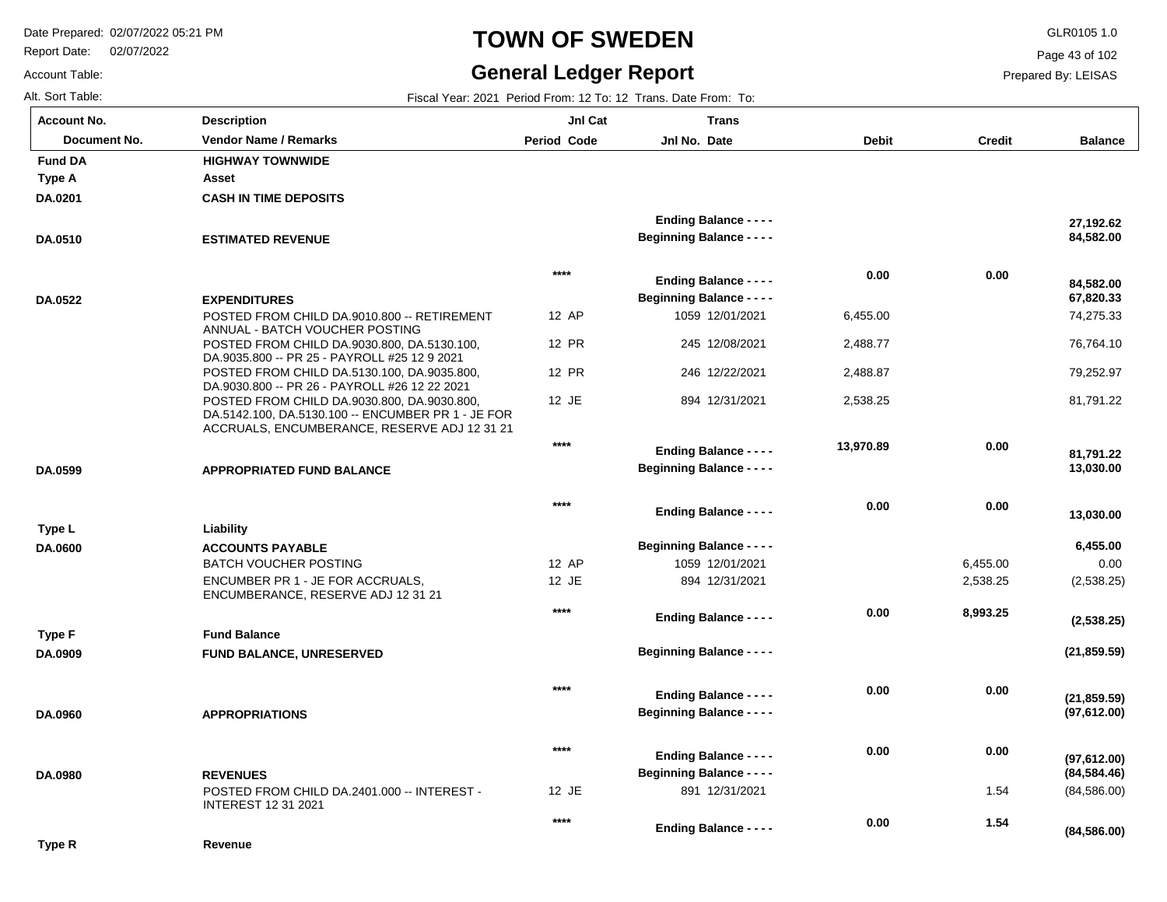Report Date: 02/07/2022

# **TOWN OF SWEDEN** GLR0105 1.0

#### **General Ledger Report**

**Balance**

 74,275.33 76,764.10 79,252.97 81,791.22

 **13,030.00** 

 **81,791.22** 

 **67,820.33** 

 **84,582.00** 

 **84,582.00** 

 **27,192.62** 

 0.00 (2,538.25)

 **6,455.00** 

 **13,030.00** 

**(21,859.59)**

**(2,538.25)**

**(97,612.00)**

**(21,859.59)**

(84,586.00)

**(84,586.00)**

 **1.54** 

 **0.00** 

**(84,584.46)**

**(97,612.00)**

Page 43 of 102

Prepared By: LEISAS

|  | Alt. Sort Table: |  |
|--|------------------|--|
|  |                  |  |

Account Table:

| Alt. Sort Table:   | Fiscal Year: 2021 Period From: 12 To: 12 Trans. Date From: To:                                                                                    |                    |                                                                   |              |               |  |  |  |
|--------------------|---------------------------------------------------------------------------------------------------------------------------------------------------|--------------------|-------------------------------------------------------------------|--------------|---------------|--|--|--|
| <b>Account No.</b> | <b>Description</b>                                                                                                                                | JnI Cat            | <b>Trans</b>                                                      |              |               |  |  |  |
| Document No.       | <b>Vendor Name / Remarks</b>                                                                                                                      | <b>Period Code</b> | Jnl No. Date                                                      | <b>Debit</b> | <b>Credit</b> |  |  |  |
| <b>Fund DA</b>     | <b>HIGHWAY TOWNWIDE</b>                                                                                                                           |                    |                                                                   |              |               |  |  |  |
| <b>Type A</b>      | Asset                                                                                                                                             |                    |                                                                   |              |               |  |  |  |
| DA.0201            | <b>CASH IN TIME DEPOSITS</b>                                                                                                                      |                    |                                                                   |              |               |  |  |  |
|                    |                                                                                                                                                   |                    | <b>Ending Balance - - - -</b>                                     |              |               |  |  |  |
| DA.0510            | <b>ESTIMATED REVENUE</b>                                                                                                                          |                    | <b>Beginning Balance - - - -</b>                                  |              |               |  |  |  |
|                    |                                                                                                                                                   | $****$             |                                                                   | 0.00         | 0.00          |  |  |  |
|                    |                                                                                                                                                   |                    | <b>Ending Balance - - - -</b><br><b>Beginning Balance - - - -</b> |              |               |  |  |  |
| DA.0522            | <b>EXPENDITURES</b><br>POSTED FROM CHILD DA.9010.800 -- RETIREMENT                                                                                | 12 AP              | 1059 12/01/2021                                                   | 6,455.00     |               |  |  |  |
|                    | ANNUAL - BATCH VOUCHER POSTING                                                                                                                    |                    |                                                                   |              |               |  |  |  |
|                    | POSTED FROM CHILD DA.9030.800, DA.5130.100,                                                                                                       | 12 PR              | 245 12/08/2021                                                    | 2,488.77     |               |  |  |  |
|                    | DA.9035.800 -- PR 25 - PAYROLL #25 12 9 2021                                                                                                      | 12 PR              | 246 12/22/2021                                                    |              |               |  |  |  |
|                    | POSTED FROM CHILD DA.5130.100, DA.9035.800,<br>DA.9030.800 -- PR 26 - PAYROLL #26 12 22 2021                                                      |                    |                                                                   | 2,488.87     |               |  |  |  |
|                    | POSTED FROM CHILD DA.9030.800, DA.9030.800,<br>DA.5142.100, DA.5130.100 -- ENCUMBER PR 1 - JE FOR<br>ACCRUALS, ENCUMBERANCE, RESERVE ADJ 12 31 21 | 12 JE              | 894 12/31/2021                                                    | 2,538.25     |               |  |  |  |
|                    |                                                                                                                                                   | $***$              | <b>Ending Balance - - - -</b>                                     | 13,970.89    | 0.00          |  |  |  |
| DA.0599            | <b>APPROPRIATED FUND BALANCE</b>                                                                                                                  |                    | <b>Beginning Balance - - - -</b>                                  |              |               |  |  |  |
|                    |                                                                                                                                                   |                    |                                                                   |              |               |  |  |  |
|                    |                                                                                                                                                   | $****$             | <b>Ending Balance - - - -</b>                                     | 0.00         | 0.00          |  |  |  |
| Type L             | Liability                                                                                                                                         |                    |                                                                   |              |               |  |  |  |
| DA.0600            | <b>ACCOUNTS PAYABLE</b>                                                                                                                           |                    | <b>Beginning Balance - - - -</b>                                  |              |               |  |  |  |
|                    | <b>BATCH VOUCHER POSTING</b>                                                                                                                      | 12 AP              | 1059 12/01/2021                                                   |              | 6,455.00      |  |  |  |
|                    | ENCUMBER PR 1 - JE FOR ACCRUALS,                                                                                                                  | 12 JE              | 894 12/31/2021                                                    |              | 2,538.25      |  |  |  |
|                    | ENCUMBERANCE, RESERVE ADJ 12 31 21                                                                                                                |                    |                                                                   |              |               |  |  |  |
|                    |                                                                                                                                                   | $****$             | <b>Ending Balance - - - -</b>                                     | 0.00         | 8,993.25      |  |  |  |
| Type F             | <b>Fund Balance</b>                                                                                                                               |                    |                                                                   |              |               |  |  |  |
| DA.0909            | <b>FUND BALANCE, UNRESERVED</b>                                                                                                                   |                    | <b>Beginning Balance - - - -</b>                                  |              |               |  |  |  |
|                    |                                                                                                                                                   | $****$             |                                                                   | 0.00         | 0.00          |  |  |  |
|                    |                                                                                                                                                   |                    | <b>Ending Balance - - - -</b>                                     |              |               |  |  |  |
| DA.0960            | <b>APPROPRIATIONS</b>                                                                                                                             |                    | <b>Beginning Balance - - - -</b>                                  |              |               |  |  |  |
|                    |                                                                                                                                                   | $***$              |                                                                   | 0.00         | 0.00          |  |  |  |
|                    |                                                                                                                                                   |                    | <b>Ending Balance - - - -</b>                                     |              |               |  |  |  |
| DA.0980            | <b>REVENUES</b>                                                                                                                                   |                    | <b>Beginning Balance - - - -</b>                                  |              |               |  |  |  |
|                    | POSTED FROM CHILD DA.2401.000 -- INTEREST -<br><b>INTEREST 12 31 2021</b>                                                                         | 12 JE              | 891 12/31/2021                                                    |              | 1.54          |  |  |  |

**\*\*\*\***

**Ending Balance - - - -**

**Revenue**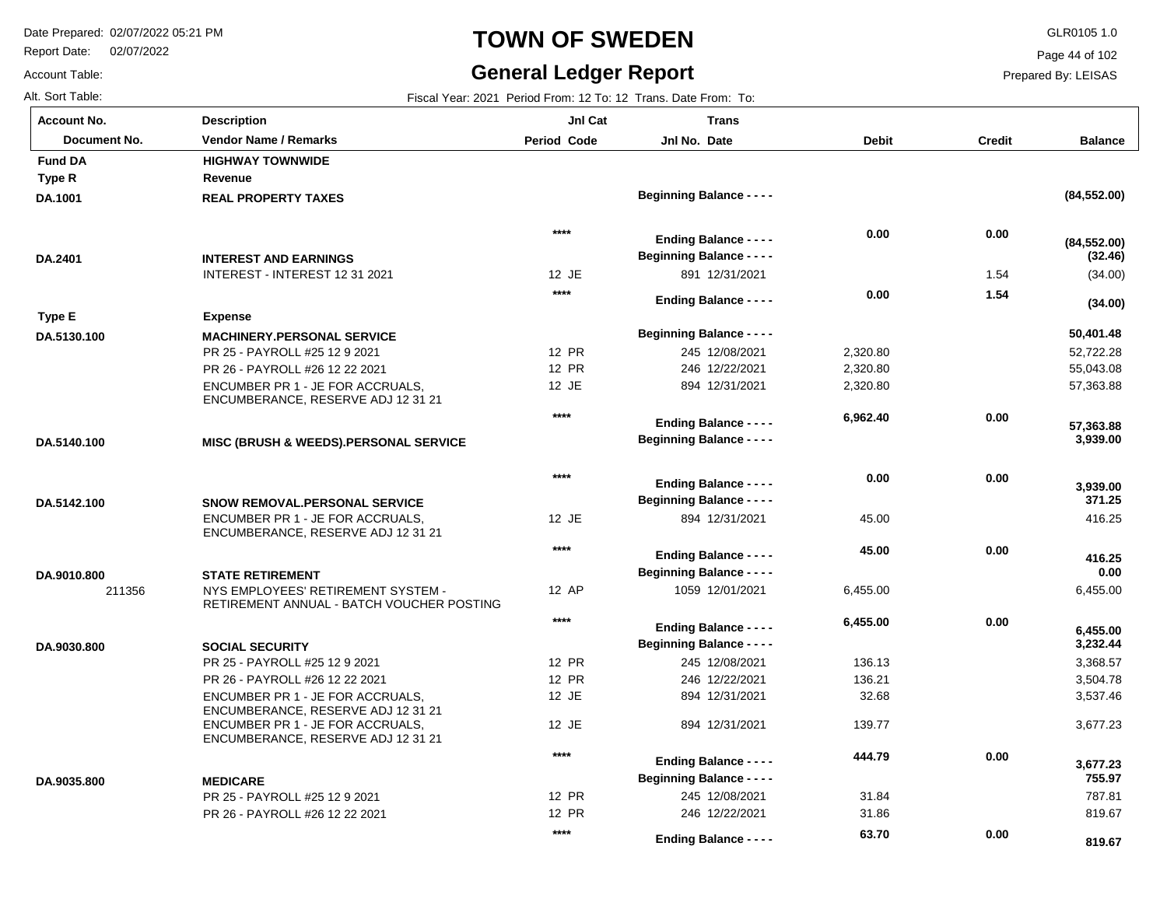Report Date: 02/07/2022

#### **TOWN OF SWEDEN** GLR0105 1.0

#### **General Ledger Report**

 **819.67** 

Page 44 of 102

Prepared By: LEISAS

| Alt. Sort Table:   | Fiscal Year: 2021 Period From: 12 To: 12 Trans. Date From: To:                  |                    |                                  |                 |               |                      |  |
|--------------------|---------------------------------------------------------------------------------|--------------------|----------------------------------|-----------------|---------------|----------------------|--|
| <b>Account No.</b> | <b>Description</b>                                                              | JnI Cat            | Trans                            |                 |               |                      |  |
| Document No.       | <b>Vendor Name / Remarks</b>                                                    | <b>Period Code</b> | Jnl No. Date                     | <b>Debit</b>    | <b>Credit</b> | <b>Balance</b>       |  |
| <b>Fund DA</b>     | <b>HIGHWAY TOWNWIDE</b>                                                         |                    |                                  |                 |               |                      |  |
| Type R             | Revenue                                                                         |                    |                                  |                 |               |                      |  |
| DA.1001            | <b>REAL PROPERTY TAXES</b>                                                      |                    | <b>Beginning Balance - - - -</b> |                 |               | (84, 552.00)         |  |
|                    |                                                                                 | $****$             | <b>Ending Balance - - - -</b>    | 0.00            | 0.00          | (84, 552.00)         |  |
| DA.2401            | <b>INTEREST AND EARNINGS</b>                                                    |                    | <b>Beginning Balance - - - -</b> |                 |               | (32.46)              |  |
|                    | INTEREST - INTEREST 12 31 2021                                                  | 12 JE              | 891 12/31/2021                   |                 | 1.54          | (34.00)              |  |
|                    |                                                                                 | $***$              | <b>Ending Balance - - - -</b>    | 0.00            | 1.54          | (34.00)              |  |
| Type E             | <b>Expense</b>                                                                  |                    |                                  |                 |               |                      |  |
| DA.5130.100        | <b>MACHINERY.PERSONAL SERVICE</b>                                               |                    | <b>Beginning Balance - - - -</b> |                 |               | 50,401.48            |  |
|                    | PR 25 - PAYROLL #25 12 9 2021                                                   | 12 PR              | 245 12/08/2021                   | 2,320.80        |               | 52,722.28            |  |
|                    | PR 26 - PAYROLL #26 12 22 2021                                                  | 12 PR              | 246 12/22/2021                   | 2,320.80        |               | 55,043.08            |  |
|                    | ENCUMBER PR 1 - JE FOR ACCRUALS.<br>ENCUMBERANCE, RESERVE ADJ 12 31 21          | 12 JE              | 894 12/31/2021                   | 2,320.80        |               | 57,363.88            |  |
|                    |                                                                                 | $***$              | <b>Ending Balance - - - -</b>    | 6,962.40        | 0.00          | 57,363.88            |  |
| DA.5140.100        | <b>MISC (BRUSH &amp; WEEDS).PERSONAL SERVICE</b>                                |                    | <b>Beginning Balance - - - -</b> |                 |               | 3,939.00             |  |
|                    |                                                                                 |                    |                                  |                 |               |                      |  |
|                    |                                                                                 | $***$              | <b>Ending Balance - - - -</b>    | 0.00            | 0.00          | 3,939.00             |  |
| DA.5142.100        | <b>SNOW REMOVAL.PERSONAL SERVICE</b>                                            |                    | <b>Beginning Balance - - - -</b> |                 |               | 371.25               |  |
|                    | ENCUMBER PR 1 - JE FOR ACCRUALS,<br>ENCUMBERANCE, RESERVE ADJ 12 31 21          | 12 JE              | 894 12/31/2021                   | 45.00           |               | 416.25               |  |
|                    |                                                                                 | $****$             | <b>Ending Balance - - - -</b>    | 45.00           | 0.00          | 416.25               |  |
| DA.9010.800        | <b>STATE RETIREMENT</b>                                                         |                    | <b>Beginning Balance - - - -</b> |                 |               | 0.00                 |  |
| 211356             | NYS EMPLOYEES' RETIREMENT SYSTEM -<br>RETIREMENT ANNUAL - BATCH VOUCHER POSTING | 12 AP              | 1059 12/01/2021                  | 6,455.00        |               | 6,455.00             |  |
|                    |                                                                                 | $***$              |                                  | 6,455.00        | 0.00          |                      |  |
|                    |                                                                                 |                    | <b>Ending Balance - - - -</b>    |                 |               | 6,455.00<br>3,232.44 |  |
| DA.9030.800        | <b>SOCIAL SECURITY</b>                                                          | 12 PR              | <b>Beginning Balance - - - -</b> |                 |               |                      |  |
|                    | PR 25 - PAYROLL #25 12 9 2021                                                   |                    | 245 12/08/2021                   | 136.13          |               | 3,368.57             |  |
|                    | PR 26 - PAYROLL #26 12 22 2021                                                  | 12 PR<br>12 JE     | 246 12/22/2021<br>894 12/31/2021 | 136.21<br>32.68 |               | 3,504.78<br>3,537.46 |  |
|                    | ENCUMBER PR 1 - JE FOR ACCRUALS.<br>ENCUMBERANCE, RESERVE ADJ 12 31 21          |                    |                                  |                 |               |                      |  |
|                    | ENCUMBER PR 1 - JE FOR ACCRUALS,<br>ENCUMBERANCE, RESERVE ADJ 12 31 21          | 12 JE              | 894 12/31/2021                   | 139.77          |               | 3,677.23             |  |
|                    |                                                                                 | $***$              | <b>Ending Balance - - - -</b>    | 444.79          | 0.00          | 3,677.23             |  |
| DA.9035.800        | <b>MEDICARE</b>                                                                 |                    | <b>Beginning Balance - - - -</b> |                 |               | 755.97               |  |
|                    | PR 25 - PAYROLL #25 12 9 2021                                                   | 12 PR              | 245 12/08/2021                   | 31.84           |               | 787.81               |  |
|                    | PR 26 - PAYROLL #26 12 22 2021                                                  | 12 PR              | 246 12/22/2021                   | 31.86           |               | 819.67               |  |
|                    |                                                                                 | $***$              | <b>Ending Balance - - - -</b>    | 63.70           | 0.00          | 819.67               |  |

Account Table: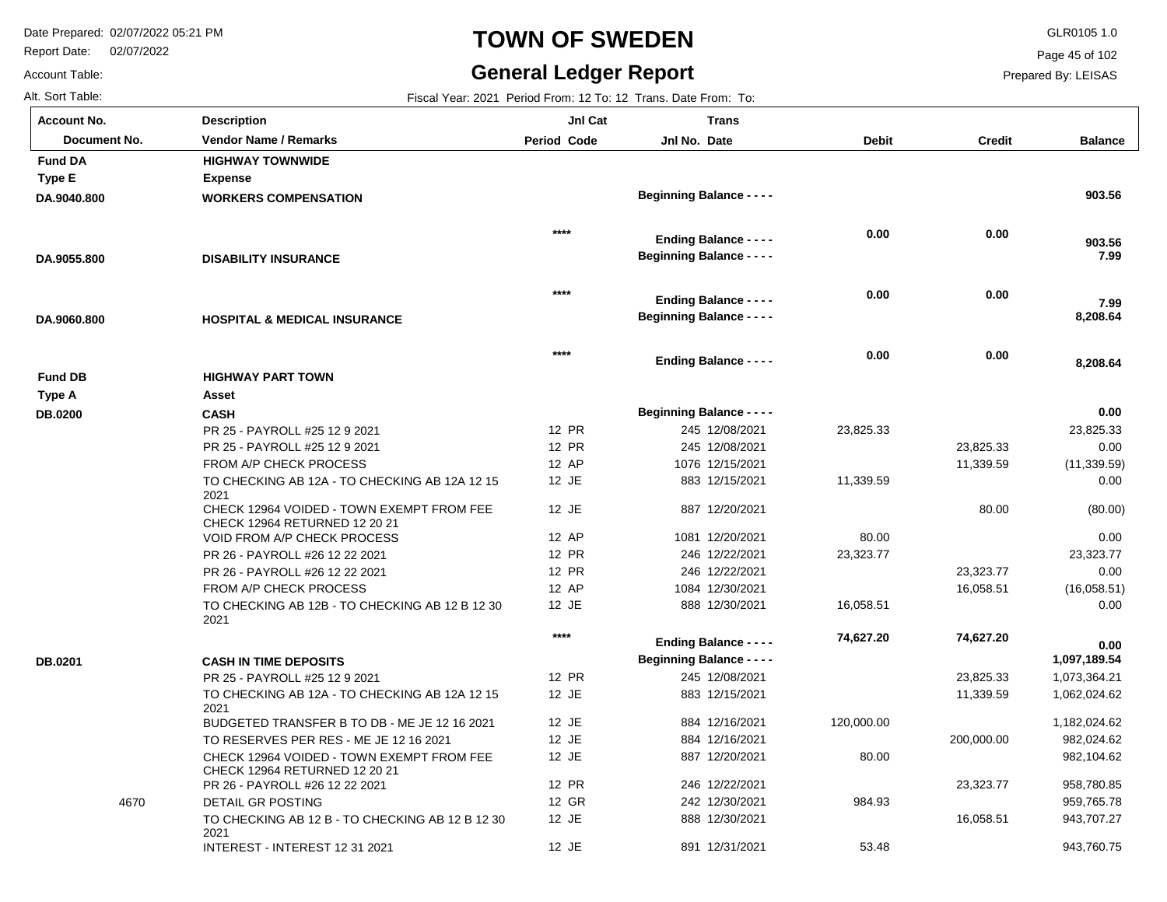2021

INTEREST - INTEREST 12 31 2021

Report Date: 02/07/2022

#### **TOWN OF SWEDEN** GLR0105 1.0

#### **General Ledger Report**

**Balance**

 **903.56** 

 **7.99** 

 **7.99** 

 **903.56** 

 **8,208.64** 

 **8,208.64** 

 23,825.33 0.00 (11,339.59) 0.00

 **0.00** 

(80.00) 0.00 23,323.77 0.00 (16,058.51) 0.00

 1,073,364.21 1,062,024.62 1,182,024.62 982,024.62 982,104.62 958,780.85 959,765.78 943,707.27 943,760.75

 **1,097,189.54** 

 **0.00** 

Page 45 of 102

Prepared By: LEISAS

Account Table: **Account No.**

| Alt. Sort Table:   |                                                                            |                    | Fiscal Year: 2021 Period From: 12 To: 12 Trans. Date From: To:    |              |               |
|--------------------|----------------------------------------------------------------------------|--------------------|-------------------------------------------------------------------|--------------|---------------|
| <b>Account No.</b> | <b>Description</b>                                                         | JnI Cat            | <b>Trans</b>                                                      |              |               |
| Document No.       | Vendor Name / Remarks                                                      | <b>Period Code</b> | Jnl No. Date                                                      | <b>Debit</b> | <b>Credit</b> |
| <b>Fund DA</b>     | <b>HIGHWAY TOWNWIDE</b>                                                    |                    |                                                                   |              |               |
| <b>Type E</b>      | <b>Expense</b>                                                             |                    |                                                                   |              |               |
| DA.9040.800        | <b>WORKERS COMPENSATION</b>                                                |                    | <b>Beginning Balance - - - -</b>                                  |              |               |
|                    |                                                                            | $***$              | <b>Ending Balance - - - -</b>                                     | 0.00         | 0.00          |
| DA.9055.800        | <b>DISABILITY INSURANCE</b>                                                |                    | <b>Beginning Balance - - - -</b>                                  |              |               |
|                    |                                                                            | $****$             |                                                                   | 0.00         | 0.00          |
| DA.9060.800        | <b>HOSPITAL &amp; MEDICAL INSURANCE</b>                                    |                    | <b>Ending Balance - - - -</b><br><b>Beginning Balance - - - -</b> |              |               |
|                    |                                                                            |                    |                                                                   |              |               |
|                    |                                                                            | $****$             | <b>Ending Balance - - - -</b>                                     | 0.00         | 0.00          |
| <b>Fund DB</b>     | <b>HIGHWAY PART TOWN</b>                                                   |                    |                                                                   |              |               |
| <b>Type A</b>      | Asset                                                                      |                    |                                                                   |              |               |
| DB.0200            | <b>CASH</b>                                                                |                    | <b>Beginning Balance - - - -</b>                                  |              |               |
|                    | PR 25 - PAYROLL #25 12 9 2021                                              | <b>12 PR</b>       | 245 12/08/2021                                                    | 23,825.33    |               |
|                    | PR 25 - PAYROLL #25 12 9 2021                                              | 12 PR              | 245 12/08/2021                                                    |              | 23,825.33     |
|                    | FROM A/P CHECK PROCESS                                                     | 12 AP              | 1076 12/15/2021                                                   |              | 11,339.59     |
|                    | TO CHECKING AB 12A - TO CHECKING AB 12A 12 15<br>2021                      | 12 JE              | 883 12/15/2021                                                    | 11,339.59    |               |
|                    | CHECK 12964 VOIDED - TOWN EXEMPT FROM FEE<br>CHECK 12964 RETURNED 12 20 21 | 12 JE              | 887 12/20/2021                                                    |              | 80.00         |
|                    | <b>VOID FROM A/P CHECK PROCESS</b>                                         | 12 AP              | 1081 12/20/2021                                                   | 80.00        |               |
|                    | PR 26 - PAYROLL #26 12 22 2021                                             | 12 PR              | 246 12/22/2021                                                    | 23,323.77    |               |
|                    | PR 26 - PAYROLL #26 12 22 2021                                             | 12 PR              | 246 12/22/2021                                                    |              | 23,323.77     |
|                    | FROM A/P CHECK PROCESS                                                     | 12 AP              | 1084 12/30/2021                                                   |              | 16,058.51     |
|                    | TO CHECKING AB 12B - TO CHECKING AB 12 B 12 30<br>2021                     | 12 JE              | 888 12/30/2021                                                    | 16,058.51    |               |
|                    |                                                                            | $***$              | <b>Ending Balance - - - -</b>                                     | 74,627.20    | 74,627.20     |
| DB.0201            | <b>CASH IN TIME DEPOSITS</b>                                               |                    | <b>Beginning Balance - - - -</b>                                  |              |               |
|                    | PR 25 - PAYROLL #25 12 9 2021                                              | <b>12 PR</b>       | 245 12/08/2021                                                    |              | 23,825.33     |
|                    | TO CHECKING AB 12A - TO CHECKING AB 12A 12 15<br>2021                      | 12 JE              | 883 12/15/2021                                                    |              | 11,339.59     |
|                    | BUDGETED TRANSFER B TO DB - ME JE 12 16 2021                               | 12 JE              | 884 12/16/2021                                                    | 120,000.00   |               |
|                    | TO RESERVES PER RES - ME JE 12 16 2021                                     | 12 JE              | 884 12/16/2021                                                    |              | 200,000.00    |
|                    | CHECK 12964 VOIDED - TOWN EXEMPT FROM FEE<br>CHECK 12964 RETURNED 12 20 21 | 12 JE              | 887 12/20/2021                                                    | 80.00        |               |
|                    | PR 26 - PAYROLL #26 12 22 2021                                             | <b>12 PR</b>       | 246 12/22/2021                                                    |              | 23,323.77     |
| 4670               | DETAIL GR POSTING                                                          | 12 GR              | 242 12/30/2021                                                    | 984.93       |               |
|                    | TO CHECKING AB 12 B - TO CHECKING AB 12 B 12 30                            | 12 JE              | 888 12/30/2021                                                    |              | 16,058.51     |

12 JE

891 12/31/2021

53.48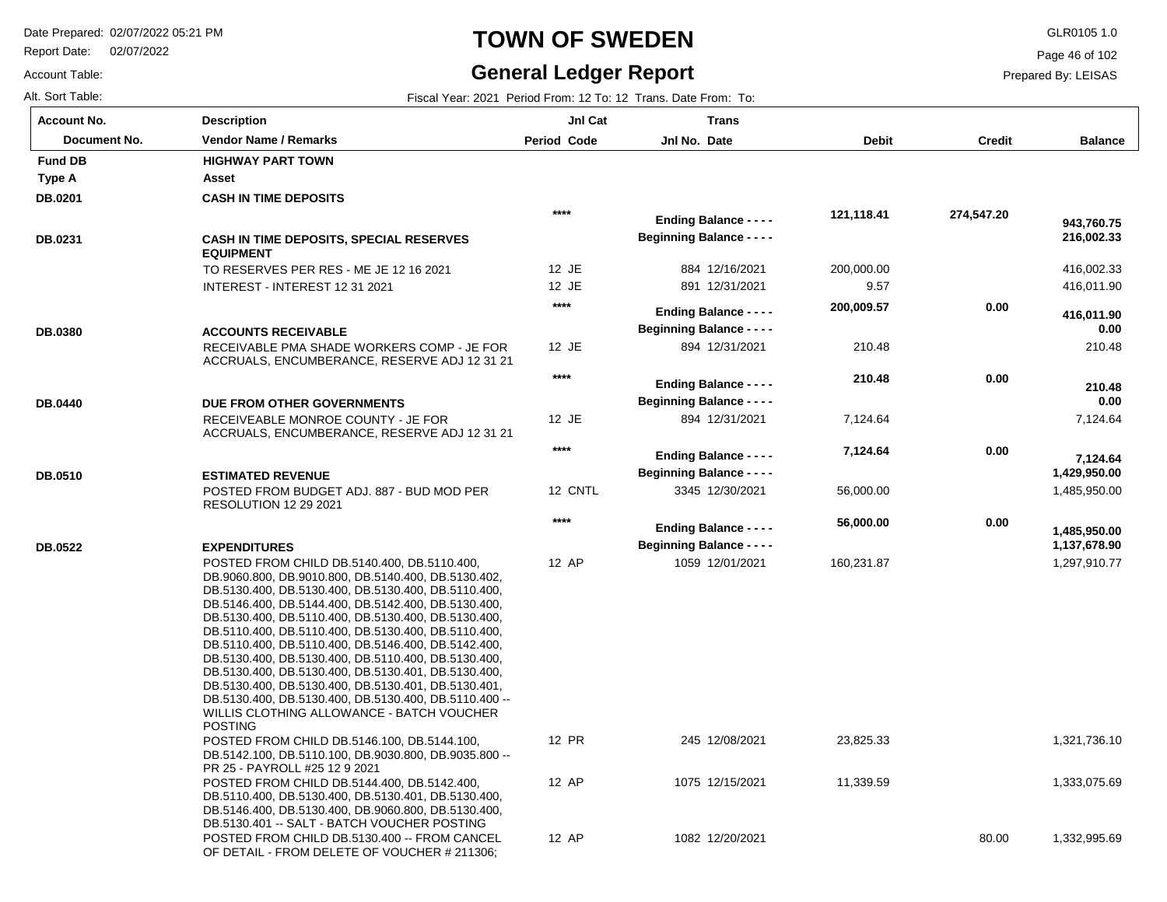Report Date: 02/07/2022

Account Table:

**DB.0440**

## **TOWN OF SWEDEN** GLR0105 1.0

#### **General Ledger Report**

12

12

12

12

**Balance**

Page 46 of 102

Prepared By: LEISAS

| Alt. Sort Table:<br>Fiscal Year: 2021 Period From: 12 To: 12 Trans, Date From: To: |                            |                                  |                                  |               |  |
|------------------------------------------------------------------------------------|----------------------------|----------------------------------|----------------------------------|---------------|--|
| <b>Description</b>                                                                 | JnI Cat                    | Trans                            |                                  |               |  |
| <b>Vendor Name / Remarks</b>                                                       | <b>Period Code</b>         | Jnl No. Date                     | <b>Debit</b>                     | <b>Credit</b> |  |
| <b>HIGHWAY PART TOWN</b>                                                           |                            |                                  |                                  |               |  |
| Asset                                                                              |                            |                                  |                                  |               |  |
| <b>CASH IN TIME DEPOSITS</b>                                                       |                            |                                  |                                  |               |  |
|                                                                                    | $****$                     | <b>Ending Balance - - - -</b>    | 121,118.41                       | 274,547.20    |  |
| <b>CASH IN TIME DEPOSITS, SPECIAL RESERVES</b><br><b>EQUIPMENT</b>                 |                            | <b>Beginning Balance - - - -</b> |                                  |               |  |
| TO RESERVES PER RES - ME JE 12 16 2021                                             | 12 JE                      | 884 12/16/2021                   | 200,000.00                       |               |  |
| INTEREST - INTEREST 12 31 2021                                                     | 12 JE                      | 891 12/31/2021                   | 9.57                             |               |  |
|                                                                                    | $***$                      | <b>Ending Balance - - - -</b>    | 200,009.57                       | 0.00          |  |
|                                                                                    | <b>ACCOUNTS RECEIVABLE</b> |                                  | <b>Beginning Balance - - - -</b> |               |  |

| RECEIVABLE PMA SHADE WORKERS COMP - JE FOR   |
|----------------------------------------------|
| ACCRUALS, ENCUMBERANCE, RESERVE ADJ 12 31 21 |
|                                              |

#### RECEIVEABLE MONROE COUNTY - JE FOR ACCRUALS, ENCUMBERANCE, RESERVE ADJ 12 31 21 **DUE FROM OTHER GOVERNMENTS**

| DB.0510 | <b>ESTIMATED REVENUE</b>                                           |
|---------|--------------------------------------------------------------------|
|         | POSTED FROM BUDGET ADJ. 887 - BUD MOD PER<br>RESOLUTION 12 29 2021 |

#### POSTED FROM CHILD DB.5140.400, DB.5110.400, DB.9060.800, DB.9010.800, DB.5140.400, DB.5130.402, DB.5130.400, DB.5130.400, DB.5130.400, DB.5110.400, DB.5146.400, DB.5144.400, DB.5142.400, DB.5130.400, DB.5130.400, DB.5110.400, DB.5130.400, DB.5130.400, DB.5110.400, DB.5110.400, DB.5130.400, DB.5110.400, DB.5110.400, DB.5110.400, DB.5146.400, DB.5142.400, DB.5130.400, DB.5130.400, DB.5110.400, DB.5130.400, **EXPENDITURES DB.0522**

| DB.5130.400, DB.5130.400, DB.5130.401, DB.5130.400,   |       |
|-------------------------------------------------------|-------|
| DB.5130.400, DB.5130.400, DB.5130.401, DB.5130.401,   |       |
| DB.5130.400, DB.5130.400, DB.5130.400, DB.5110.400 -- |       |
| WILLIS CLOTHING ALLOWANCE - BATCH VOUCHER             |       |
| <b>POSTING</b>                                        |       |
| POSTED FROM CHILD DB.5146.100, DB.5144.100,           | 12 PR |
| DB.5142.100, DB.5110.100, DB.9030.800, DB.9035.800 -- |       |
| PR 25 - PAYROLL #25 12 9 2021                         |       |
| POSTED FROM CHILD DB.5144.400, DB.5142.400.           | 12 AP |
| DB.5110.400, DB.5130.400, DB.5130.401, DB.5130.400,   |       |
| DB.5146.400, DB.5130.400, DB.9060.800, DB.5130.400,   |       |
| DB.5130.401 -- SALT - BATCH VOUCHER POSTING           |       |
| POSTED FROM CHILD DB.5130.400 -- FROM CANCEL          | 12 AP |
| OF DETAIL - FROM DELETE OF VOUCHER # 211306:          |       |

| ****           | <b>Ending Balance - - - -</b><br><b>Beginning Balance - - - -</b> | 121,118.41         | 274,547.20 | 943,760.75<br>216,002.33     |
|----------------|-------------------------------------------------------------------|--------------------|------------|------------------------------|
| 12 JE<br>12 JE | 884 12/16/2021<br>891 12/31/2021                                  | 200,000.00<br>9.57 |            | 416,002.33<br>416,011.90     |
| $***$          | <b>Ending Balance - - - -</b><br><b>Beginning Balance - - - -</b> | 200,009.57         | 0.00       | 416,011.90<br>0.00           |
| 12 JE          | 894 12/31/2021                                                    | 210.48             |            | 210.48                       |
| $***$          | <b>Ending Balance - - - -</b><br><b>Beginning Balance - - - -</b> | 210.48             | 0.00       | 210.48<br>0.00               |
| 12 JE          | 894 12/31/2021                                                    | 7,124.64           |            | 7,124.64                     |
| $***$          | <b>Ending Balance - - - -</b><br><b>Beginning Balance - - - -</b> | 7,124.64           | 0.00       | 7,124.64<br>1,429,950.00     |
| 12 CNTL        | 3345 12/30/2021                                                   | 56,000.00          |            | 1,485,950.00                 |
| $***$          | <b>Ending Balance - - - -</b><br><b>Beginning Balance - - - -</b> | 56,000.00          | 0.00       | 1,485,950.00<br>1,137,678.90 |
| 12 AP          | 1059 12/01/2021                                                   | 160,231.87         |            | 1,297,910.77                 |

| 12 PR | 245 12/08/2021  | 23,825.33 |       | 1,321,736.10 |
|-------|-----------------|-----------|-------|--------------|
| 12 AP | 1075 12/15/2021 | 11,339.59 |       | 1,333,075.69 |
| 12 AP | 1082 12/20/2021 |           | 80.00 | 1,332,995.69 |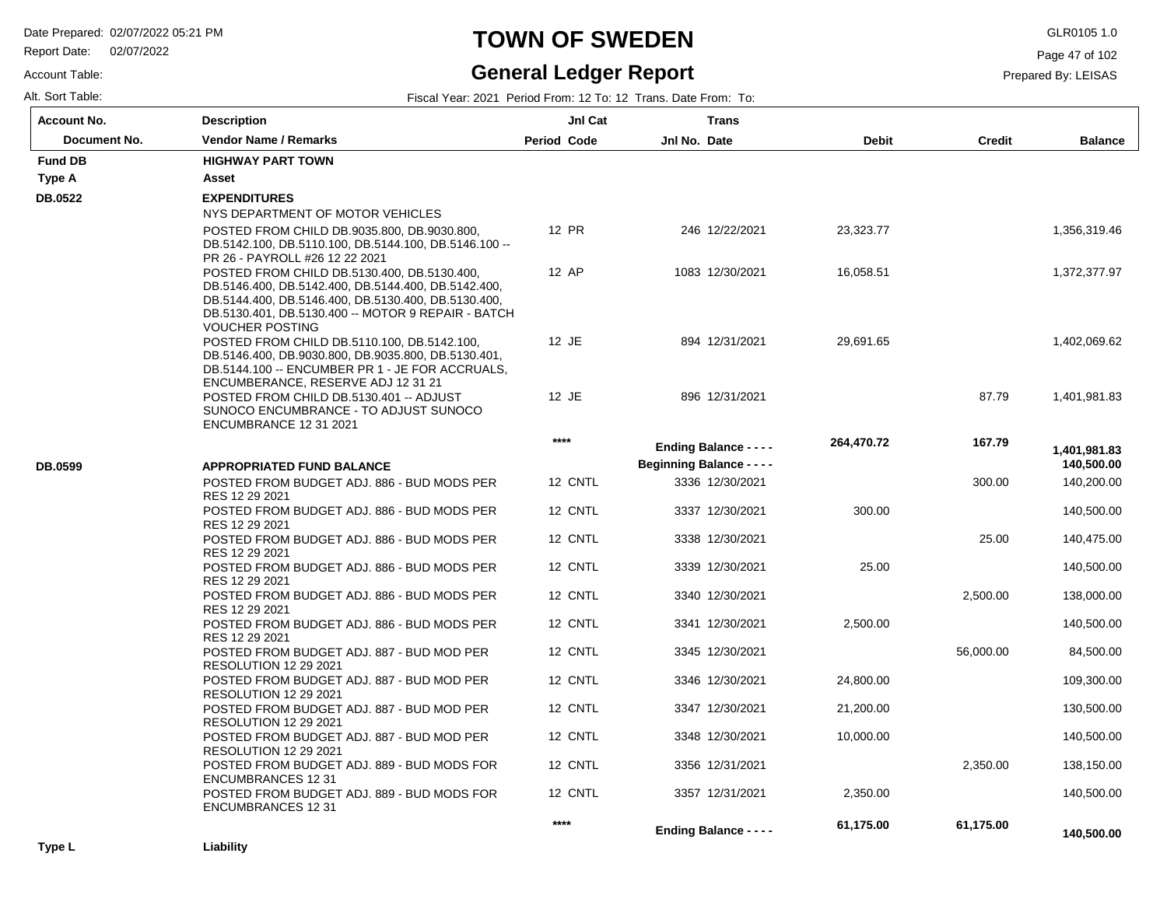Report Date: 02/07/2022

#### Account Table:

#### **TOWN OF SWEDEN** GLR0105 1.0

#### **General Ledger Report**

Page 47 of 102

|                     |  | <b>Production Production</b> |                                                              | $\sim$ $\sim$ $\sim$ $\sim$ $\sim$ | . |  |
|---------------------|--|------------------------------|--------------------------------------------------------------|------------------------------------|---|--|
| Alt. Sort<br>Table: |  | Fisca.<br>∴Year: ∠.          | : 2021 Period From: 12 To: 12 Trans. D<br>Date From:<br>l o: |                                    |   |  |

| <b>Account No.</b> | <b>Description</b>                                                                                     | JnI Cat            | Trans                            |              |               |                |
|--------------------|--------------------------------------------------------------------------------------------------------|--------------------|----------------------------------|--------------|---------------|----------------|
| Document No.       | <b>Vendor Name / Remarks</b>                                                                           | <b>Period Code</b> | Jnl No. Date                     | <b>Debit</b> | <b>Credit</b> | <b>Balance</b> |
| <b>Fund DB</b>     | <b>HIGHWAY PART TOWN</b>                                                                               |                    |                                  |              |               |                |
| Type A             | Asset                                                                                                  |                    |                                  |              |               |                |
| DB.0522            | <b>EXPENDITURES</b>                                                                                    |                    |                                  |              |               |                |
|                    | NYS DEPARTMENT OF MOTOR VEHICLES                                                                       |                    |                                  |              |               |                |
|                    | POSTED FROM CHILD DB.9035.800, DB.9030.800,                                                            | 12 PR              | 246 12/22/2021                   | 23,323.77    |               | 1,356,319.46   |
|                    | DB.5142.100, DB.5110.100, DB.5144.100, DB.5146.100 --<br>PR 26 - PAYROLL #26 12 22 2021                |                    |                                  |              |               |                |
|                    | POSTED FROM CHILD DB.5130.400, DB.5130.400,<br>DB.5146.400, DB.5142.400, DB.5144.400, DB.5142.400,     | 12 AP              | 1083 12/30/2021                  | 16,058.51    |               | 1,372,377.97   |
|                    | DB.5144.400, DB.5146.400, DB.5130.400, DB.5130.400,                                                    |                    |                                  |              |               |                |
|                    | DB.5130.401, DB.5130.400 -- MOTOR 9 REPAIR - BATCH<br><b>VOUCHER POSTING</b>                           |                    |                                  |              |               |                |
|                    | POSTED FROM CHILD DB.5110.100, DB.5142.100,                                                            | 12 JE              | 894 12/31/2021                   | 29,691.65    |               | 1,402,069.62   |
|                    | DB.5146.400, DB.9030.800, DB.9035.800, DB.5130.401,<br>DB.5144.100 -- ENCUMBER PR 1 - JE FOR ACCRUALS. |                    |                                  |              |               |                |
|                    | ENCUMBERANCE, RESERVE ADJ 12 31 21                                                                     |                    |                                  |              |               |                |
|                    | POSTED FROM CHILD DB.5130.401 -- ADJUST                                                                | 12 JE              | 896 12/31/2021                   |              | 87.79         | 1,401,981.83   |
|                    | SUNOCO ENCUMBRANCE - TO ADJUST SUNOCO<br>ENCUMBRANCE 12 31 2021                                        |                    |                                  |              |               |                |
|                    |                                                                                                        | ****               | <b>Ending Balance - - - -</b>    | 264,470.72   | 167.79        | 1,401,981.83   |
| DB.0599            | <b>APPROPRIATED FUND BALANCE</b>                                                                       |                    | <b>Beginning Balance - - - -</b> |              |               | 140,500.00     |
|                    | POSTED FROM BUDGET ADJ. 886 - BUD MODS PER                                                             | 12 CNTL            | 3336 12/30/2021                  |              | 300.00        | 140,200.00     |
|                    | RES 12 29 2021                                                                                         |                    |                                  |              |               |                |
|                    | POSTED FROM BUDGET ADJ. 886 - BUD MODS PER<br>RES 12 29 2021                                           | 12 CNTL            | 3337 12/30/2021                  | 300.00       |               | 140,500.00     |
|                    | POSTED FROM BUDGET ADJ. 886 - BUD MODS PER                                                             | 12 CNTL            | 3338 12/30/2021                  |              | 25.00         | 140,475.00     |
|                    | RES 12 29 2021                                                                                         |                    |                                  |              |               |                |
|                    | POSTED FROM BUDGET ADJ. 886 - BUD MODS PER                                                             | 12 CNTL            | 3339 12/30/2021                  | 25.00        |               | 140,500.00     |
|                    | RES 12 29 2021<br>POSTED FROM BUDGET ADJ. 886 - BUD MODS PER                                           | 12 CNTL            | 3340 12/30/2021                  |              | 2,500.00      | 138,000.00     |
|                    | RES 12 29 2021                                                                                         |                    |                                  |              |               |                |
|                    | POSTED FROM BUDGET ADJ. 886 - BUD MODS PER<br>RES 12 29 2021                                           | 12 CNTL            | 3341 12/30/2021                  | 2,500.00     |               | 140,500.00     |
|                    | POSTED FROM BUDGET ADJ. 887 - BUD MOD PER                                                              | 12 CNTL            | 3345 12/30/2021                  |              | 56,000.00     | 84,500.00      |
|                    | <b>RESOLUTION 12 29 2021</b>                                                                           |                    |                                  |              |               |                |
|                    | POSTED FROM BUDGET ADJ. 887 - BUD MOD PER                                                              | 12 CNTL            | 3346 12/30/2021                  | 24,800.00    |               | 109,300.00     |
|                    | <b>RESOLUTION 12 29 2021</b><br>POSTED FROM BUDGET ADJ. 887 - BUD MOD PER                              | 12 CNTL            | 3347 12/30/2021                  | 21,200.00    |               | 130,500.00     |
|                    | <b>RESOLUTION 12 29 2021</b>                                                                           |                    |                                  |              |               |                |
|                    | POSTED FROM BUDGET ADJ. 887 - BUD MOD PER                                                              | 12 CNTL            | 3348 12/30/2021                  | 10,000.00    |               | 140,500.00     |
|                    | RESOLUTION 12 29 2021                                                                                  | 12 CNTL            | 3356 12/31/2021                  |              | 2,350.00      | 138,150.00     |
|                    | POSTED FROM BUDGET ADJ. 889 - BUD MODS FOR<br><b>ENCUMBRANCES 12 31</b>                                |                    |                                  |              |               |                |
|                    | POSTED FROM BUDGET ADJ. 889 - BUD MODS FOR                                                             | 12 CNTL            | 3357 12/31/2021                  | 2,350.00     |               | 140,500.00     |
|                    | <b>ENCUMBRANCES 12 31</b>                                                                              |                    |                                  |              |               |                |
|                    |                                                                                                        | $***$              | <b>Ending Balance - - - -</b>    | 61,175.00    | 61,175.00     | 140,500.00     |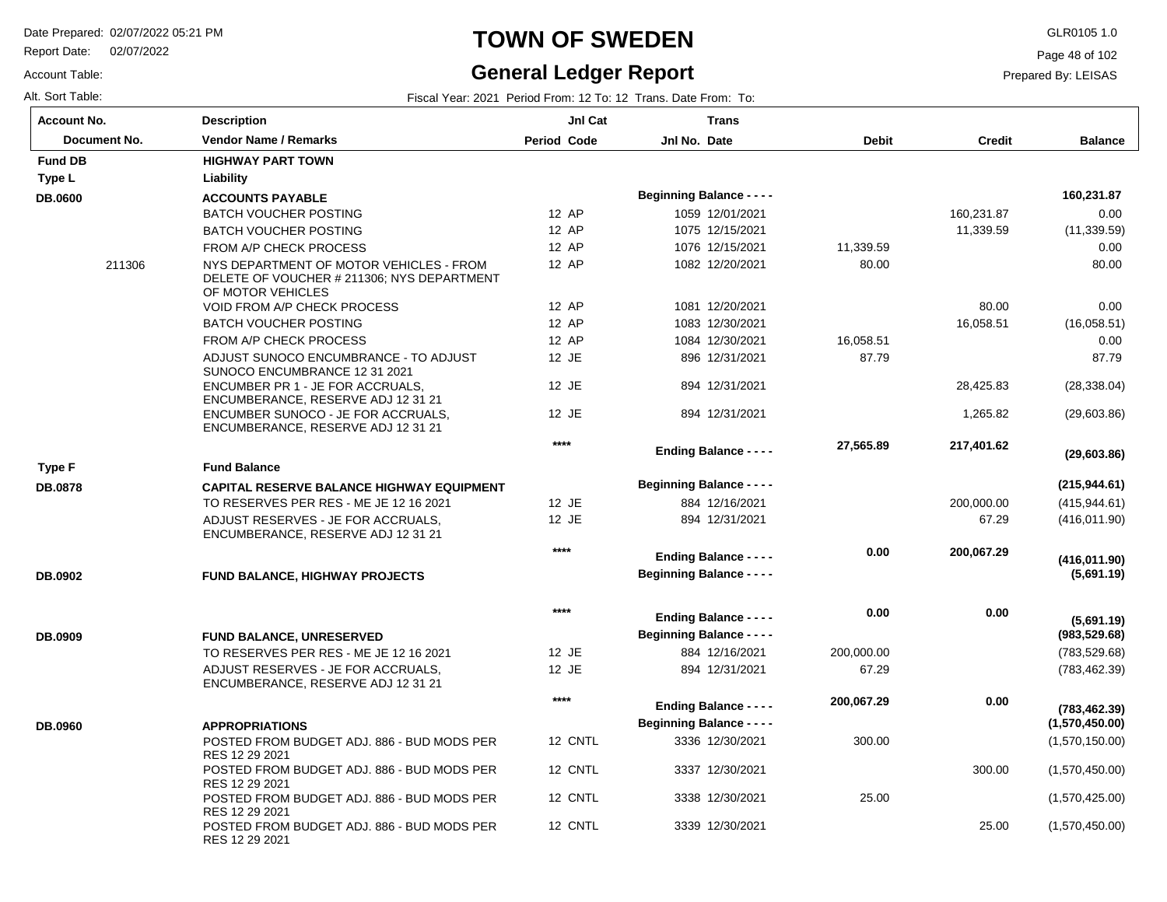Report Date: 02/07/2022

#### Account Table:

#### **TOWN OF SWEDEN** GLR0105 1.0

#### **General Ledger Report**

Page 48 of 102

Prepared By: LEISAS

Alt. Sort Table: Fiscal Year: 2021 Period From: 12 To: 12 Trans. Date From: To:

| <b>Account No.</b> | <b>Description</b>                                                                                         | JnI Cat            | <b>Trans</b>                                                      |              |               |                                 |
|--------------------|------------------------------------------------------------------------------------------------------------|--------------------|-------------------------------------------------------------------|--------------|---------------|---------------------------------|
| Document No.       | <b>Vendor Name / Remarks</b>                                                                               | <b>Period Code</b> | Jnl No. Date                                                      | <b>Debit</b> | <b>Credit</b> | <b>Balance</b>                  |
| <b>Fund DB</b>     | <b>HIGHWAY PART TOWN</b>                                                                                   |                    |                                                                   |              |               |                                 |
| Type L             | Liability                                                                                                  |                    |                                                                   |              |               |                                 |
| <b>DB.0600</b>     | <b>ACCOUNTS PAYABLE</b>                                                                                    |                    | <b>Beginning Balance - - - -</b>                                  |              |               | 160,231.87                      |
|                    | <b>BATCH VOUCHER POSTING</b>                                                                               | 12 AP              | 1059 12/01/2021                                                   |              | 160,231.87    | 0.00                            |
|                    | <b>BATCH VOUCHER POSTING</b>                                                                               | 12 AP              | 1075 12/15/2021                                                   |              | 11,339.59     | (11, 339.59)                    |
|                    | FROM A/P CHECK PROCESS                                                                                     | 12 AP              | 1076 12/15/2021                                                   | 11,339.59    |               | 0.00                            |
| 211306             | NYS DEPARTMENT OF MOTOR VEHICLES - FROM<br>DELETE OF VOUCHER # 211306; NYS DEPARTMENT<br>OF MOTOR VEHICLES | 12 AP              | 1082 12/20/2021                                                   | 80.00        |               | 80.00                           |
|                    | VOID FROM A/P CHECK PROCESS                                                                                | 12 AP              | 1081 12/20/2021                                                   |              | 80.00         | 0.00                            |
|                    | <b>BATCH VOUCHER POSTING</b>                                                                               | 12 AP              | 1083 12/30/2021                                                   |              | 16,058.51     | (16,058.51)                     |
|                    | FROM A/P CHECK PROCESS                                                                                     | 12 AP              | 1084 12/30/2021                                                   | 16,058.51    |               | 0.00                            |
|                    | ADJUST SUNOCO ENCUMBRANCE - TO ADJUST<br>SUNOCO ENCUMBRANCE 12 31 2021                                     | 12 JE              | 896 12/31/2021                                                    | 87.79        |               | 87.79                           |
|                    | ENCUMBER PR 1 - JE FOR ACCRUALS.<br>ENCUMBERANCE, RESERVE ADJ 12 31 21                                     | 12 JE              | 894 12/31/2021                                                    |              | 28,425.83     | (28, 338.04)                    |
|                    | ENCUMBER SUNOCO - JE FOR ACCRUALS.<br>ENCUMBERANCE, RESERVE ADJ 12 31 21                                   | 12 JE              | 894 12/31/2021                                                    |              | 1,265.82      | (29,603.86)                     |
|                    |                                                                                                            | $****$             | <b>Ending Balance - - - -</b>                                     | 27,565.89    | 217,401.62    | (29,603.86)                     |
| Type F             | <b>Fund Balance</b>                                                                                        |                    |                                                                   |              |               |                                 |
| <b>DB.0878</b>     | <b>CAPITAL RESERVE BALANCE HIGHWAY EQUIPMENT</b>                                                           |                    | <b>Beginning Balance - - - -</b>                                  |              |               | (215, 944.61)                   |
|                    | TO RESERVES PER RES - ME JE 12 16 2021                                                                     | 12 JE              | 884 12/16/2021                                                    |              | 200,000.00    | (415, 944.61)                   |
|                    | ADJUST RESERVES - JE FOR ACCRUALS,<br>ENCUMBERANCE, RESERVE ADJ 12 31 21                                   | 12 JE              | 894 12/31/2021                                                    |              | 67.29         | (416, 011.90)                   |
|                    |                                                                                                            | $****$             | <b>Ending Balance - - - -</b>                                     | 0.00         | 200,067.29    | (416, 011.90)                   |
| DB.0902            | <b>FUND BALANCE, HIGHWAY PROJECTS</b>                                                                      |                    | <b>Beginning Balance - - - -</b>                                  |              |               | (5,691.19)                      |
| DB.0909            | <b>FUND BALANCE, UNRESERVED</b>                                                                            | $***$              | <b>Ending Balance - - - -</b><br><b>Beginning Balance - - - -</b> | 0.00         | 0.00          | (5,691.19)<br>(983, 529.68)     |
|                    | TO RESERVES PER RES - ME JE 12 16 2021                                                                     | 12 JE              | 884 12/16/2021                                                    | 200,000.00   |               | (783, 529.68)                   |
|                    | ADJUST RESERVES - JE FOR ACCRUALS.<br>ENCUMBERANCE, RESERVE ADJ 12 31 21                                   | 12 JE              | 894 12/31/2021                                                    | 67.29        |               | (783, 462.39)                   |
| <b>DB.0960</b>     | <b>APPROPRIATIONS</b>                                                                                      | $***$              | <b>Ending Balance - - - -</b><br><b>Beginning Balance - - - -</b> | 200,067.29   | 0.00          | (783, 462.39)<br>(1,570,450.00) |
|                    | POSTED FROM BUDGET ADJ. 886 - BUD MODS PER                                                                 | 12 CNTL            | 3336 12/30/2021                                                   | 300.00       |               | (1,570,150.00)                  |
|                    | RES 12 29 2021<br>POSTED FROM BUDGET ADJ. 886 - BUD MODS PER                                               | 12 CNTL            | 3337 12/30/2021                                                   |              | 300.00        | (1,570,450.00)                  |
|                    | RES 12 29 2021<br>POSTED FROM BUDGET ADJ. 886 - BUD MODS PER                                               | 12 CNTL            | 3338 12/30/2021                                                   | 25.00        |               | (1,570,425.00)                  |
|                    | RES 12 29 2021<br>POSTED FROM BUDGET ADJ, 886 - BUD MODS PER<br>RES 12 29 2021                             | 12 CNTL            | 3339 12/30/2021                                                   |              | 25.00         | (1,570,450.00)                  |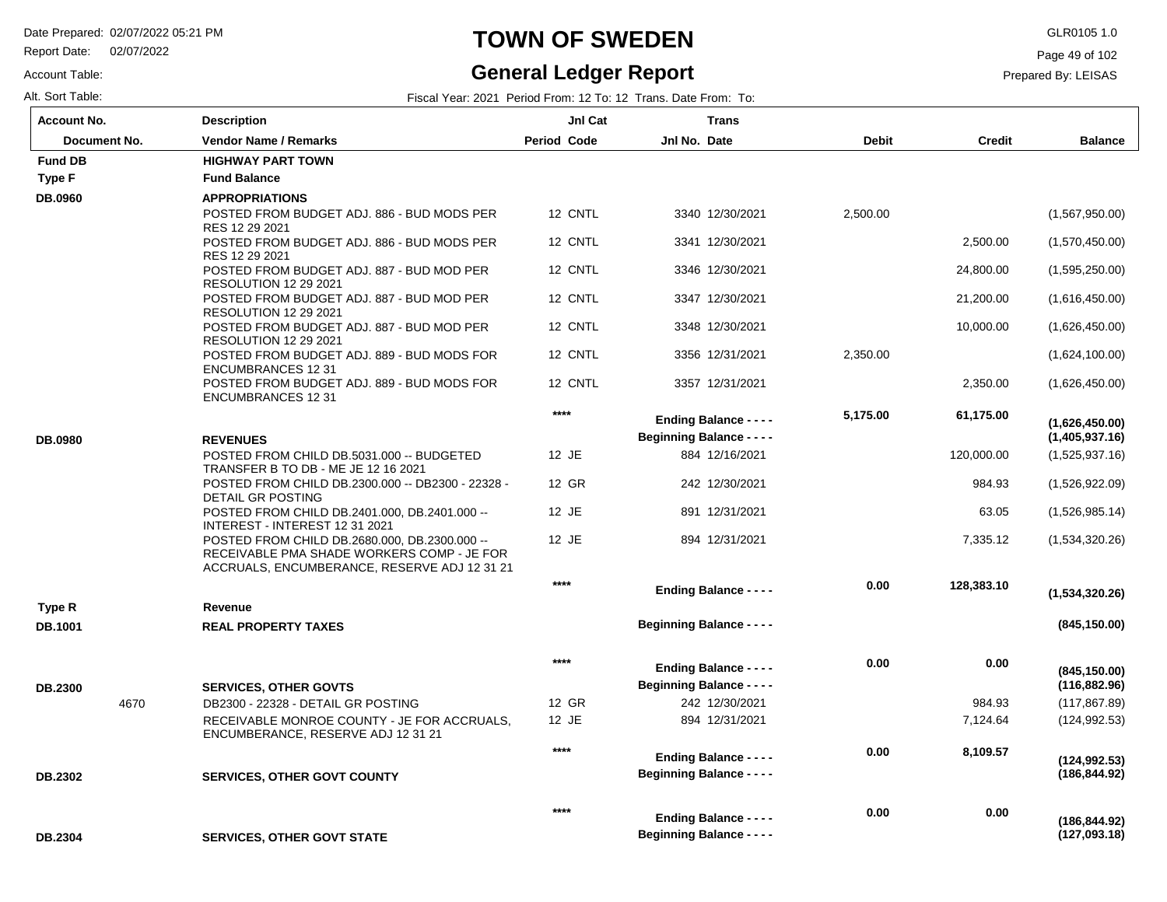Report Date: 02/07/2022

Account Table:

#### **TOWN OF SWEDEN** GLR0105 1.0

#### **General Ledger Report**

Page 49 of 102

| Alt. Sort Table:   |      |                                                                                                                                             |                    | Fiscal Year: 2021 Period From: 12 To: 12 Trans. Date From: To: |              |               |                |
|--------------------|------|---------------------------------------------------------------------------------------------------------------------------------------------|--------------------|----------------------------------------------------------------|--------------|---------------|----------------|
| <b>Account No.</b> |      | <b>Description</b>                                                                                                                          | <b>JnI Cat</b>     | <b>Trans</b>                                                   |              |               |                |
| Document No.       |      | <b>Vendor Name / Remarks</b>                                                                                                                | <b>Period Code</b> | Jnl No. Date                                                   | <b>Debit</b> | <b>Credit</b> | <b>Balance</b> |
| <b>Fund DB</b>     |      | <b>HIGHWAY PART TOWN</b>                                                                                                                    |                    |                                                                |              |               |                |
| <b>Type F</b>      |      | <b>Fund Balance</b>                                                                                                                         |                    |                                                                |              |               |                |
| DB.0960            |      | <b>APPROPRIATIONS</b>                                                                                                                       |                    |                                                                |              |               |                |
|                    |      | POSTED FROM BUDGET ADJ. 886 - BUD MODS PER<br>RES 12 29 2021                                                                                | 12 CNTL            | 3340 12/30/2021                                                | 2,500.00     |               | (1,567,950.00) |
|                    |      | POSTED FROM BUDGET ADJ. 886 - BUD MODS PER<br>RES 12 29 2021                                                                                | 12 CNTL            | 3341 12/30/2021                                                |              | 2,500.00      | (1,570,450.00) |
|                    |      | POSTED FROM BUDGET ADJ. 887 - BUD MOD PER<br>RESOLUTION 12 29 2021                                                                          | 12 CNTL            | 3346 12/30/2021                                                |              | 24,800.00     | (1,595,250.00) |
|                    |      | POSTED FROM BUDGET ADJ. 887 - BUD MOD PER<br><b>RESOLUTION 12 29 2021</b>                                                                   | 12 CNTL            | 3347 12/30/2021                                                |              | 21,200.00     | (1,616,450.00) |
|                    |      | POSTED FROM BUDGET ADJ. 887 - BUD MOD PER<br><b>RESOLUTION 12 29 2021</b>                                                                   | 12 CNTL            | 3348 12/30/2021                                                |              | 10,000.00     | (1,626,450.00) |
|                    |      | POSTED FROM BUDGET ADJ. 889 - BUD MODS FOR<br><b>ENCUMBRANCES 12 31</b>                                                                     | 12 CNTL            | 3356 12/31/2021                                                | 2,350.00     |               | (1,624,100.00) |
|                    |      | POSTED FROM BUDGET ADJ. 889 - BUD MODS FOR<br><b>ENCUMBRANCES 12 31</b>                                                                     | 12 CNTL            | 3357 12/31/2021                                                |              | 2,350.00      | (1,626,450.00) |
|                    |      |                                                                                                                                             | $***$              | <b>Ending Balance - - - -</b>                                  | 5,175.00     | 61,175.00     | (1,626,450.00) |
| <b>DB.0980</b>     |      | <b>REVENUES</b>                                                                                                                             |                    | <b>Beginning Balance - - - -</b>                               |              |               | (1,405,937.16) |
|                    |      | POSTED FROM CHILD DB.5031.000 -- BUDGETED<br>TRANSFER B TO DB - ME JE 12 16 2021                                                            | 12 JE              | 884 12/16/2021                                                 |              | 120,000.00    | (1,525,937.16) |
|                    |      | POSTED FROM CHILD DB.2300.000 -- DB2300 - 22328 -<br>DETAIL GR POSTING                                                                      | 12 GR              | 242 12/30/2021                                                 |              | 984.93        | (1,526,922.09) |
|                    |      | POSTED FROM CHILD DB.2401.000, DB.2401.000 --<br>INTEREST - INTEREST 12 31 2021                                                             | 12 JE              | 891 12/31/2021                                                 |              | 63.05         | (1,526,985.14) |
|                    |      | POSTED FROM CHILD DB.2680.000, DB.2300.000 --<br>RECEIVABLE PMA SHADE WORKERS COMP - JE FOR<br>ACCRUALS, ENCUMBERANCE, RESERVE ADJ 12 31 21 | 12 JE              | 894 12/31/2021                                                 |              | 7,335.12      | (1,534,320.26) |
|                    |      |                                                                                                                                             | ****               | <b>Ending Balance - - - -</b>                                  | 0.00         | 128,383.10    | (1,534,320.26) |
| Type R             |      | Revenue                                                                                                                                     |                    |                                                                |              |               |                |
| <b>DB.1001</b>     |      | <b>REAL PROPERTY TAXES</b>                                                                                                                  |                    | <b>Beginning Balance - - - -</b>                               |              |               | (845, 150.00)  |
|                    |      |                                                                                                                                             | $****$             | <b>Ending Balance - - - -</b>                                  | 0.00         | 0.00          | (845, 150.00)  |
| <b>DB.2300</b>     |      | <b>SERVICES, OTHER GOVTS</b>                                                                                                                |                    | <b>Beginning Balance - - - -</b>                               |              |               | (116, 882.96)  |
|                    | 4670 | DB2300 - 22328 - DETAIL GR POSTING                                                                                                          | 12 GR              | 242 12/30/2021                                                 |              | 984.93        | (117, 867.89)  |
|                    |      | RECEIVABLE MONROE COUNTY - JE FOR ACCRUALS.<br>ENCUMBERANCE, RESERVE ADJ 12 31 21                                                           | 12 JE              | 894 12/31/2021                                                 |              | 7,124.64      | (124, 992.53)  |
|                    |      |                                                                                                                                             | ****               | <b>Ending Balance - - - -</b>                                  | 0.00         | 8,109.57      | (124, 992.53)  |
| <b>DB.2302</b>     |      | <b>SERVICES, OTHER GOVT COUNTY</b>                                                                                                          |                    | <b>Beginning Balance - - - -</b>                               |              |               | (186, 844.92)  |
|                    |      |                                                                                                                                             | ****               | <b>Ending Balance - - - -</b>                                  | 0.00         | 0.00          | (186, 844.92)  |
| DB.2304            |      | <b>SERVICES, OTHER GOVT STATE</b>                                                                                                           |                    | <b>Beginning Balance - - - -</b>                               |              |               | (127,093.18)   |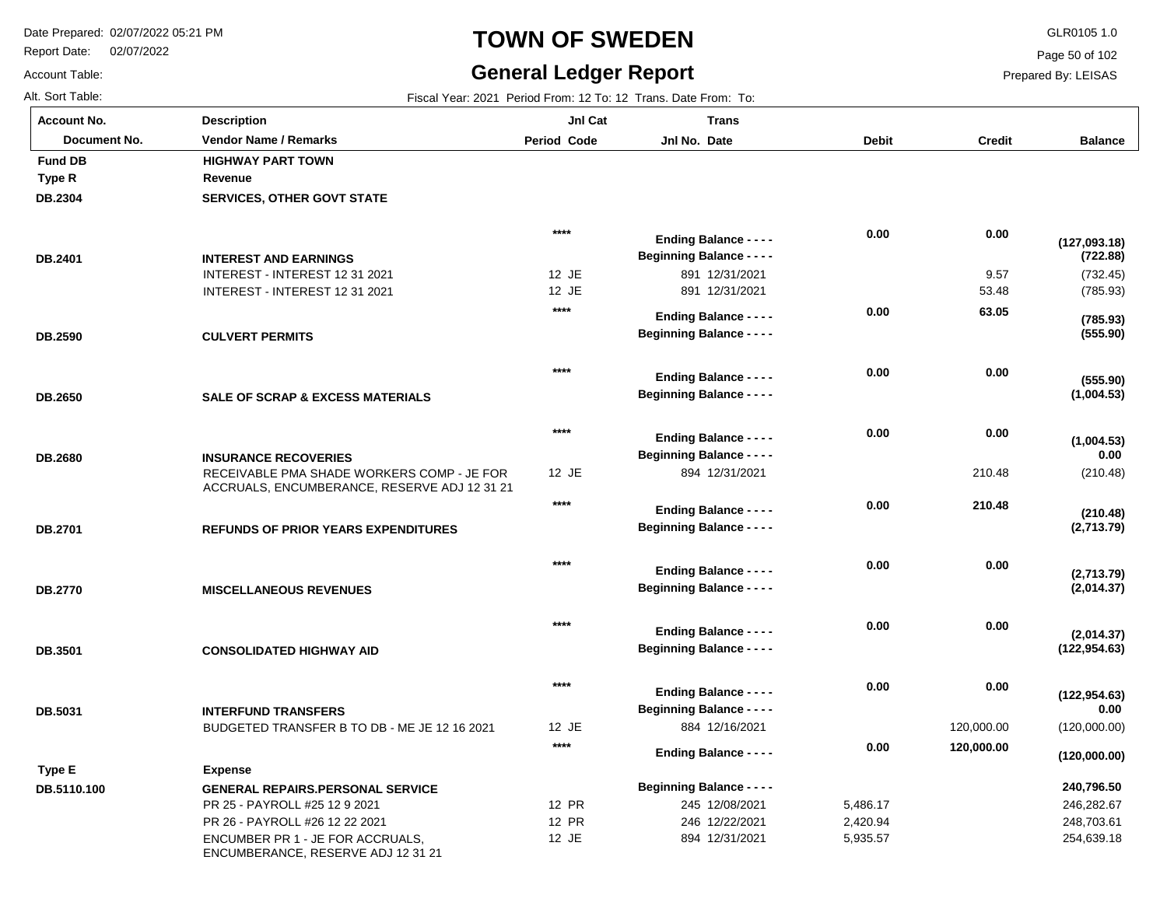**Fund DB HIGHWAY** 

Report Date: 02/07/2022

# **TOWN OF SWEDEN** GLR0105 1.0

#### **General Ledger Report** Fiscal Year: 2021 Period From: 12 To: 12 Trans. Date From: To:

**Balance**

(732.45) (785.93)

**(555.90)**

**(785.93)**

**(1,004.53)**

**(1,004.53)**

**(555.90)**

**(722.88)**

**(127,093.18)**

(210.48)

**(210.48)**

**(2,713.79)**

**(2,014.37)**

**(2,014.37)**

**(2,713.79)**

 **0.00** 

(120,000.00)

**(122,954.63)**

 **0.00** 

**(122,954.63)**

 246,282.67 248,703.61 254,639.18

 **240,796.50** 

**(120,000.00)**

Page 50 of 102

Prepared By: LEISAS

 **0.00** 

 **0.00** 

 **0.00** 

 **0.00** 

 **0.00** 

 **0.00** 

 **0.00** 

 **0.00** 

 **0.00** 

210.48

 **210.48** 

 **0.00** 

 **0.00** 

 **0.00** 

120,000.00

 **120,000.00** 

|  | Alt. Sort Table: |  |  |
|--|------------------|--|--|
|  | Account No.      |  |  |

Account Table:

**DB.2304**

**Type R**

**DB.2401**

| unt No.      | <b>Description</b>                | Jnl Cat            | <b>Trans</b>                     |              |               |
|--------------|-----------------------------------|--------------------|----------------------------------|--------------|---------------|
| Document No. | <b>Vendor Name / Remarks</b>      | <b>Period Code</b> | Jnl No. Date                     | <b>Debit</b> | <b>Credit</b> |
| I DB         | <b>HIGHWAY PART TOWN</b>          |                    |                                  |              |               |
| R            | Revenue                           |                    |                                  |              |               |
| 304          | <b>SERVICES, OTHER GOVT STATE</b> |                    |                                  |              |               |
|              |                                   | $****$             | <b>Ending Balance - - - -</b>    | 0.00         | 0.00          |
| 401          | <b>INTEREST AND EARNINGS</b>      |                    | <b>Beginning Balance - - - -</b> |              |               |
|              | INTEREST - INTEREST 12 31 2021    | 12 JE              | 891 12/31/2021                   |              | 9.57          |
|              | INTEREST - INTEREST 12 31 2021    | 12 JE              | 891 12/31/2021                   |              | 53.48         |
|              |                                   | $***$              | <b>Ending Balance - - - -</b>    | 0.00         | 63.05         |
| 590          | <b>CULVERT PERMITS</b>            |                    | <b>Beginning Balance - - - -</b> |              |               |

12 JE

**\*\*\*\***

**\*\*\*\***

**\*\*\*\***

**\*\*\*\***

**\*\*\*\***

**\*\*\*\***

894 12/31/2021

**Beginning Balance - - - -**

**Ending Balance - - - -**

**Beginning Balance - - - -**

**Ending Balance - - - -**

**Beginning Balance - - - -**

**Ending Balance - - - -**

**Beginning Balance - - - -**

**Ending Balance - - - -**

**Beginning Balance - - - -**

**Ending Balance - - - -**

**Beginning Balance - - - -**

**Ending Balance - - - -**

**Ending Balance - - - -**

884 12/16/2021

12 JE

**\*\*\*\***

**CULVERT PERMITS DB.2590**

| DB.2650 | <b>SALE OF SCRAP &amp; EXCESS MATERIALS</b> |
|---------|---------------------------------------------|
|         |                                             |

| <b>DB.2680</b> | <b>INSURANCE RECOVERIES</b>                  |
|----------------|----------------------------------------------|
|                | RECEIVABLE PMA SHADE WORKERS COMP - JE FOR   |
|                | ACCRUALS. ENCUMBERANCE. RESERVE ADJ 12 31 21 |
|                |                                              |

| <b>DB.2701</b> | <b>REFUNDS OF PRIOR YEARS EXPENDITURES</b> |
|----------------|--------------------------------------------|
|                |                                            |

**MISCELLANEOUS REVENUES DB.2770**

**CONSOLIDATED HIGHWAY AID DB.3501**

| DB.5031 | <b>INTERFUND TRANSFERS</b>                   |
|---------|----------------------------------------------|
|         | BUDGETED TRANSFER B TO DB - ME JE 12 16 2021 |

|             |                                                                        |                                  | $E110111Q$ Dalarice - - - - |          |  |
|-------------|------------------------------------------------------------------------|----------------------------------|-----------------------------|----------|--|
| Type E      | Expense                                                                |                                  |                             |          |  |
| DB.5110.100 | <b>GENERAL REPAIRS.PERSONAL SERVICE</b>                                | <b>Beginning Balance - - - -</b> |                             |          |  |
|             | PR 25 - PAYROLL #25 12 9 2021                                          | 12 PR                            | 245 12/08/2021              | 5.486.17 |  |
|             | PR 26 - PAYROLL #26 12 22 2021                                         | 12 PR                            | 246 12/22/2021              | 2,420.94 |  |
|             | ENCUMBER PR 1 - JE FOR ACCRUALS.<br>ENCUMBERANCE, RESERVE ADJ 12 31 21 | 12 JE                            | 894 12/31/2021              | 5,935.57 |  |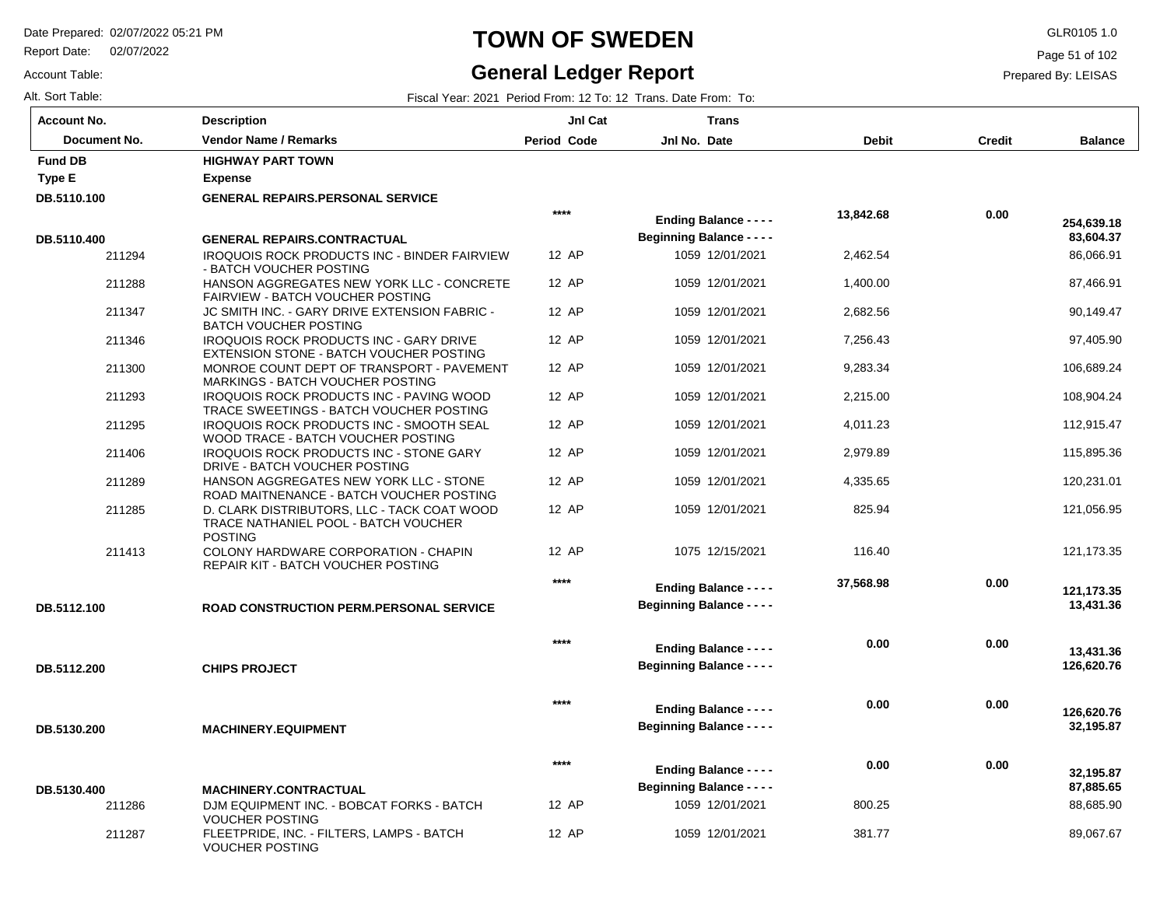Report Date: 02/07/2022

#### **TOWN OF SWEDEN** GLR0105 1.0

#### **General Ledger Report**

**Balance**

 86,066.91 87,466.91 90,149.47 97,405.90 106,689.24 108,904.24 112,915.47 115,895.36 120,231.01 121,056.95

 **83,604.37** 

 **254,639.18** 

121,173.35

 **13,431.36** 

 **121,173.35** 

 **126,620.76** 

 **13,431.36** 

 **32,195.87** 

 **126,620.76** 

 88,685.90 89,067.67

 **87,885.65** 

 **32,195.87** 

Page 51 of 102

Prepared By: LEISAS

Alt. Sort Table: Fiscal Year: 2021 Period From: 12 To: 12 Trans. Date From: To:

Account Table:

| <b>Account No.</b> | <b>Description</b>                                                                                    | JnI Cat            | <b>Trans</b>                                                      |           |        |
|--------------------|-------------------------------------------------------------------------------------------------------|--------------------|-------------------------------------------------------------------|-----------|--------|
| Document No.       | <b>Vendor Name / Remarks</b>                                                                          | <b>Period Code</b> | Jnl No. Date                                                      | Debit     | Credit |
| <b>Fund DB</b>     | <b>HIGHWAY PART TOWN</b>                                                                              |                    |                                                                   |           |        |
| Type E             | <b>Expense</b>                                                                                        |                    |                                                                   |           |        |
| DB.5110.100        | <b>GENERAL REPAIRS.PERSONAL SERVICE</b>                                                               |                    |                                                                   |           |        |
|                    |                                                                                                       | $***$              | <b>Ending Balance - - - -</b>                                     | 13,842.68 | 0.00   |
| DB.5110.400        | <b>GENERAL REPAIRS.CONTRACTUAL</b>                                                                    |                    | <b>Beginning Balance - - - -</b>                                  |           |        |
| 211294             | IROQUOIS ROCK PRODUCTS INC - BINDER FAIRVIEW<br>- BATCH VOUCHER POSTING                               | 12 AP              | 1059 12/01/2021                                                   | 2,462.54  |        |
| 211288             | HANSON AGGREGATES NEW YORK LLC - CONCRETE<br><b>FAIRVIEW - BATCH VOUCHER POSTING</b>                  | 12 AP              | 1059 12/01/2021                                                   | 1,400.00  |        |
| 211347             | JC SMITH INC. - GARY DRIVE EXTENSION FABRIC -<br><b>BATCH VOUCHER POSTING</b>                         | 12 AP              | 1059 12/01/2021                                                   | 2,682.56  |        |
| 211346             | IROQUOIS ROCK PRODUCTS INC - GARY DRIVE<br>EXTENSION STONE - BATCH VOUCHER POSTING                    | 12 AP              | 1059 12/01/2021                                                   | 7,256.43  |        |
| 211300             | MONROE COUNT DEPT OF TRANSPORT - PAVEMENT<br><b>MARKINGS - BATCH VOUCHER POSTING</b>                  | 12 AP              | 1059 12/01/2021                                                   | 9,283.34  |        |
| 211293             | IROQUOIS ROCK PRODUCTS INC - PAVING WOOD<br>TRACE SWEETINGS - BATCH VOUCHER POSTING                   | 12 AP              | 1059 12/01/2021                                                   | 2,215.00  |        |
| 211295             | <b>IROQUOIS ROCK PRODUCTS INC - SMOOTH SEAL</b><br>WOOD TRACE - BATCH VOUCHER POSTING                 | 12 AP              | 1059 12/01/2021                                                   | 4,011.23  |        |
| 211406             | <b>IROQUOIS ROCK PRODUCTS INC - STONE GARY</b><br>DRIVE - BATCH VOUCHER POSTING                       | 12 AP              | 1059 12/01/2021                                                   | 2,979.89  |        |
| 211289             | HANSON AGGREGATES NEW YORK LLC - STONE<br>ROAD MAITNENANCE - BATCH VOUCHER POSTING                    | 12 AP              | 1059 12/01/2021                                                   | 4,335.65  |        |
| 211285             | D. CLARK DISTRIBUTORS, LLC - TACK COAT WOOD<br>TRACE NATHANIEL POOL - BATCH VOUCHER<br><b>POSTING</b> | 12 AP              | 1059 12/01/2021                                                   | 825.94    |        |
| 211413             | COLONY HARDWARE CORPORATION - CHAPIN<br>REPAIR KIT - BATCH VOUCHER POSTING                            | 12 AP              | 1075 12/15/2021                                                   | 116.40    |        |
| DB.5112.100        | <b>ROAD CONSTRUCTION PERM.PERSONAL SERVICE</b>                                                        | $****$             | <b>Ending Balance - - - -</b><br><b>Beginning Balance - - - -</b> | 37,568.98 | 0.00   |
| DB.5112.200        | <b>CHIPS PROJECT</b>                                                                                  | $***$              | <b>Ending Balance - - - -</b><br><b>Beginning Balance - - - -</b> | 0.00      | 0.00   |
|                    |                                                                                                       |                    |                                                                   |           |        |
|                    |                                                                                                       | $****$             | <b>Ending Balance - - - -</b><br><b>Beginning Balance - - - -</b> | 0.00      | 0.00   |
| DB.5130.200        | <b>MACHINERY.EQUIPMENT</b>                                                                            |                    |                                                                   |           |        |
|                    |                                                                                                       | $***$              | <b>Ending Balance - - - -</b>                                     | 0.00      | 0.00   |
| DB.5130.400        | <b>MACHINERY.CONTRACTUAL</b>                                                                          |                    | <b>Beginning Balance - - - -</b>                                  |           |        |

12 AP 12 AP 1059 12/01/2021 1059 12/01/2021  800.25 381.77

| DB.5130.400 | <b>MACHINERY.CONTRACTUAL</b>                                        |
|-------------|---------------------------------------------------------------------|
| 211286      | DJM EQUIPMENT INC. - BOBCAT FORKS - BATCH<br><b>VOUCHER POSTING</b> |
| 211287      | FLEETPRIDE. INC. - FILTERS. LAMPS - BATCH<br><b>VOUCHER POSTING</b> |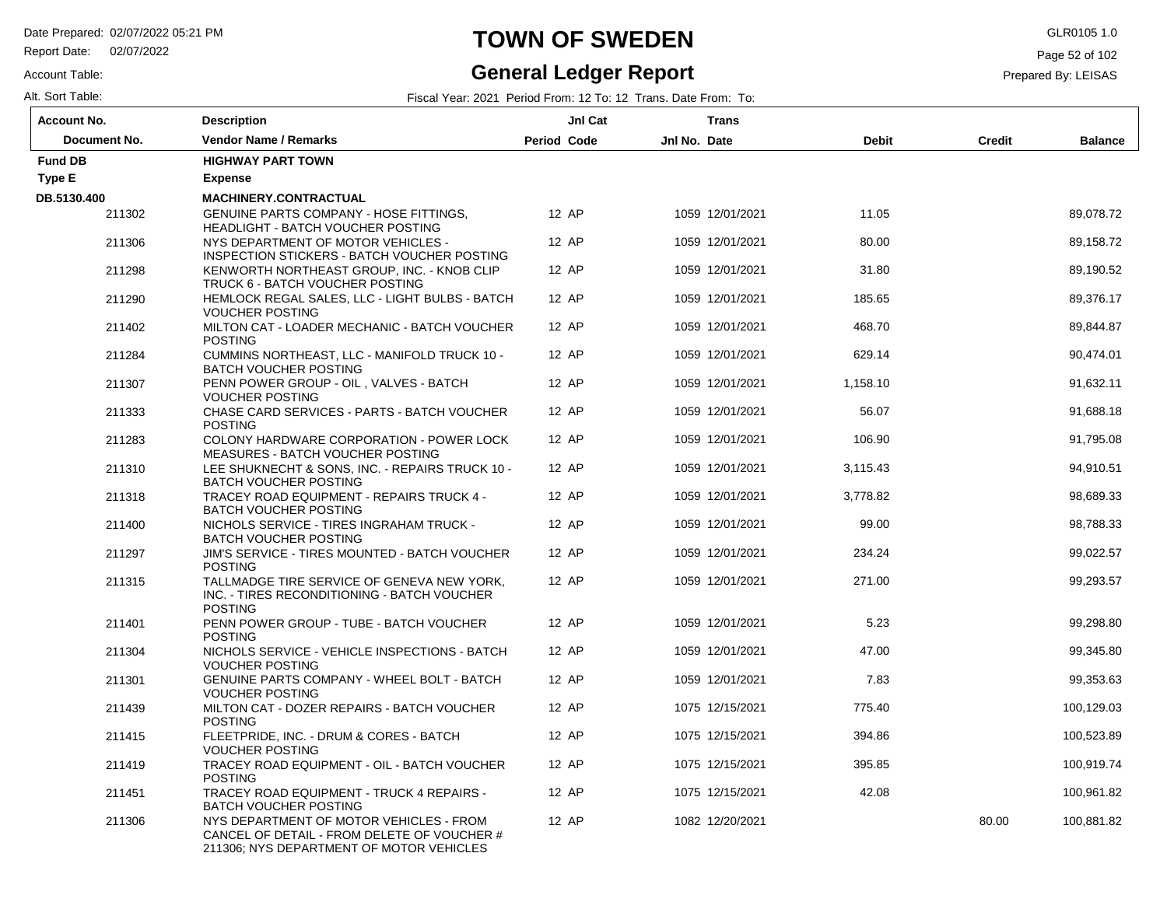Report Date: 02/07/2022

#### Account Table:

Alt. Sort Table: Fiscal Year: 2021 Period From: 12 To: 12 Trans. Date From: To:

**General Ledger Report**

**TOWN OF SWEDEN** GLR0105 1.0

Page 52 of 102

| Account No.    | <b>Description</b>                                                                                                                 | JnI Cat            |              | Trans           |              |               |                |
|----------------|------------------------------------------------------------------------------------------------------------------------------------|--------------------|--------------|-----------------|--------------|---------------|----------------|
| Document No.   | <b>Vendor Name / Remarks</b>                                                                                                       | <b>Period Code</b> | Jnl No. Date |                 | <b>Debit</b> | <b>Credit</b> | <b>Balance</b> |
| <b>Fund DB</b> | <b>HIGHWAY PART TOWN</b>                                                                                                           |                    |              |                 |              |               |                |
| Type E         | <b>Expense</b>                                                                                                                     |                    |              |                 |              |               |                |
| DB.5130.400    | <b>MACHINERY.CONTRACTUAL</b>                                                                                                       |                    |              |                 |              |               |                |
| 211302         | <b>GENUINE PARTS COMPANY - HOSE FITTINGS.</b><br>HEADLIGHT - BATCH VOUCHER POSTING                                                 | 12 AP              |              | 1059 12/01/2021 | 11.05        |               | 89,078.72      |
| 211306         | NYS DEPARTMENT OF MOTOR VEHICLES -<br>INSPECTION STICKERS - BATCH VOUCHER POSTING                                                  | 12 AP              |              | 1059 12/01/2021 | 80.00        |               | 89,158.72      |
| 211298         | KENWORTH NORTHEAST GROUP. INC. - KNOB CLIP<br>TRUCK 6 - BATCH VOUCHER POSTING                                                      | 12 AP              |              | 1059 12/01/2021 | 31.80        |               | 89,190.52      |
| 211290         | HEMLOCK REGAL SALES, LLC - LIGHT BULBS - BATCH<br><b>VOUCHER POSTING</b>                                                           | 12 AP              |              | 1059 12/01/2021 | 185.65       |               | 89,376.17      |
| 211402         | MILTON CAT - LOADER MECHANIC - BATCH VOUCHER<br><b>POSTING</b>                                                                     | 12 AP              |              | 1059 12/01/2021 | 468.70       |               | 89,844.87      |
| 211284         | CUMMINS NORTHEAST, LLC - MANIFOLD TRUCK 10 -<br><b>BATCH VOUCHER POSTING</b>                                                       | 12 AP              |              | 1059 12/01/2021 | 629.14       |               | 90,474.01      |
| 211307         | PENN POWER GROUP - OIL, VALVES - BATCH<br><b>VOUCHER POSTING</b>                                                                   | 12 AP              |              | 1059 12/01/2021 | 1,158.10     |               | 91,632.11      |
| 211333         | CHASE CARD SERVICES - PARTS - BATCH VOUCHER<br><b>POSTING</b>                                                                      | 12 AP              |              | 1059 12/01/2021 | 56.07        |               | 91,688.18      |
| 211283         | COLONY HARDWARE CORPORATION - POWER LOCK<br><b>MEASURES - BATCH VOUCHER POSTING</b>                                                | 12 AP              |              | 1059 12/01/2021 | 106.90       |               | 91,795.08      |
| 211310         | LEE SHUKNECHT & SONS. INC. - REPAIRS TRUCK 10 -<br><b>BATCH VOUCHER POSTING</b>                                                    | 12 AP              |              | 1059 12/01/2021 | 3,115.43     |               | 94,910.51      |
| 211318         | TRACEY ROAD EQUIPMENT - REPAIRS TRUCK 4 -<br><b>BATCH VOUCHER POSTING</b>                                                          | 12 AP              |              | 1059 12/01/2021 | 3,778.82     |               | 98,689.33      |
| 211400         | NICHOLS SERVICE - TIRES INGRAHAM TRUCK -<br><b>BATCH VOUCHER POSTING</b>                                                           | 12 AP              |              | 1059 12/01/2021 | 99.00        |               | 98,788.33      |
| 211297         | JIM'S SERVICE - TIRES MOUNTED - BATCH VOUCHER<br><b>POSTING</b>                                                                    | 12 AP              |              | 1059 12/01/2021 | 234.24       |               | 99,022.57      |
| 211315         | TALLMADGE TIRE SERVICE OF GENEVA NEW YORK,<br>INC. - TIRES RECONDITIONING - BATCH VOUCHER<br><b>POSTING</b>                        | 12 AP              |              | 1059 12/01/2021 | 271.00       |               | 99,293.57      |
| 211401         | PENN POWER GROUP - TUBE - BATCH VOUCHER<br><b>POSTING</b>                                                                          | 12 AP              |              | 1059 12/01/2021 | 5.23         |               | 99,298.80      |
| 211304         | NICHOLS SERVICE - VEHICLE INSPECTIONS - BATCH<br><b>VOUCHER POSTING</b>                                                            | 12 AP              |              | 1059 12/01/2021 | 47.00        |               | 99,345.80      |
| 211301         | <b>GENUINE PARTS COMPANY - WHEEL BOLT - BATCH</b><br><b>VOUCHER POSTING</b>                                                        | 12 AP              |              | 1059 12/01/2021 | 7.83         |               | 99,353.63      |
| 211439         | MILTON CAT - DOZER REPAIRS - BATCH VOUCHER<br><b>POSTING</b>                                                                       | 12 AP              |              | 1075 12/15/2021 | 775.40       |               | 100,129.03     |
| 211415         | FLEETPRIDE, INC. - DRUM & CORES - BATCH<br><b>VOUCHER POSTING</b>                                                                  | 12 AP              |              | 1075 12/15/2021 | 394.86       |               | 100,523.89     |
| 211419         | TRACEY ROAD EQUIPMENT - OIL - BATCH VOUCHER<br><b>POSTING</b>                                                                      | 12 AP              |              | 1075 12/15/2021 | 395.85       |               | 100,919.74     |
| 211451         | TRACEY ROAD EQUIPMENT - TRUCK 4 REPAIRS -<br><b>BATCH VOUCHER POSTING</b>                                                          | 12 AP              |              | 1075 12/15/2021 | 42.08        |               | 100,961.82     |
| 211306         | NYS DEPARTMENT OF MOTOR VEHICLES - FROM<br>CANCEL OF DETAIL - FROM DELETE OF VOUCHER #<br>211306; NYS DEPARTMENT OF MOTOR VEHICLES | 12 AP              |              | 1082 12/20/2021 |              | 80.00         | 100,881.82     |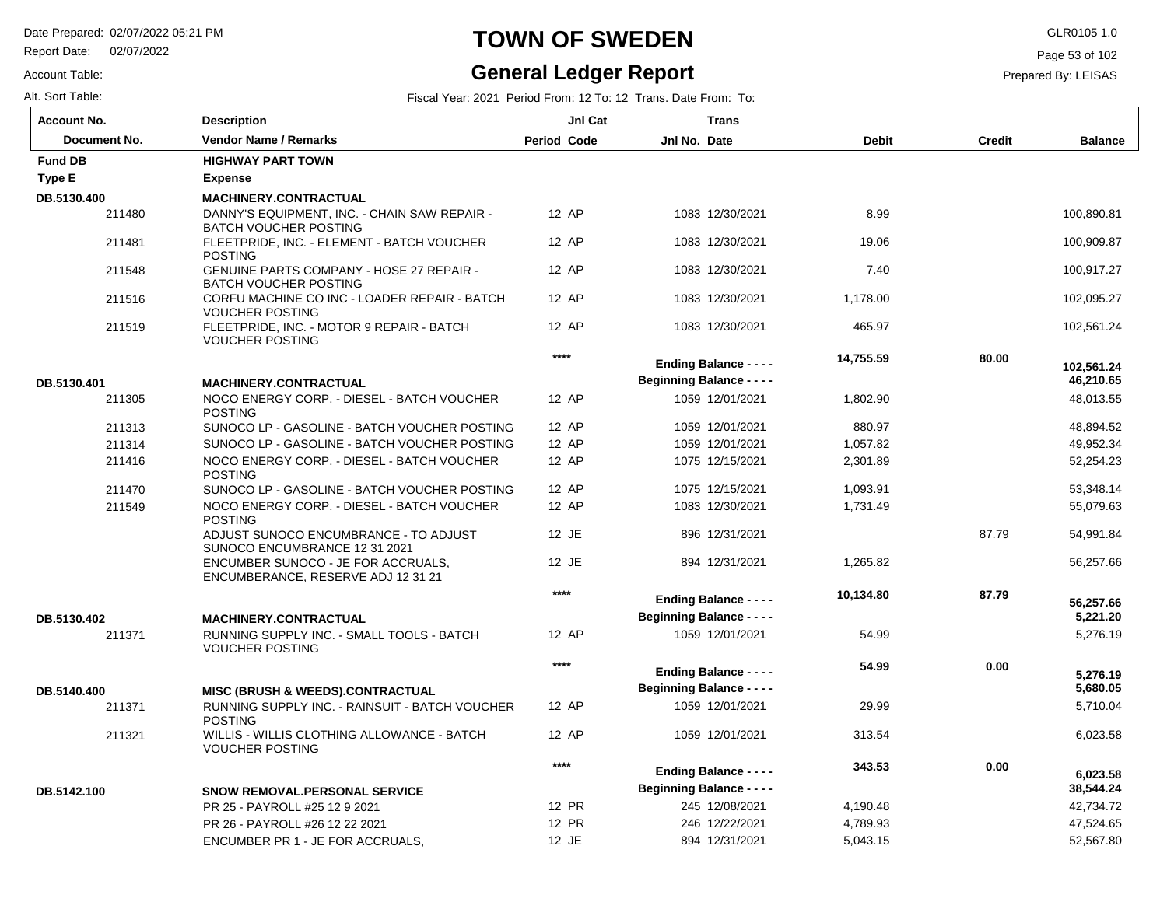Report Date: 02/07/2022

#### Account Table:

# **TOWN OF SWEDEN** GLR0105 1.0

#### **General Ledger Report**

Page 53 of 102

| Alt. Sort Table: | Fiscal Year: 2021 Period From: 12 To: 12 Trans. Date From: To: |  |
|------------------|----------------------------------------------------------------|--|
|------------------|----------------------------------------------------------------|--|

| <b>Account No.</b>  | <b>Description</b>                                                              | JnI Cat            | <b>Trans</b>                     |              |               |                         |
|---------------------|---------------------------------------------------------------------------------|--------------------|----------------------------------|--------------|---------------|-------------------------|
| <b>Document No.</b> | <b>Vendor Name / Remarks</b>                                                    | <b>Period Code</b> | Jnl No. Date                     | <b>Debit</b> | <b>Credit</b> | <b>Balance</b>          |
| <b>Fund DB</b>      | <b>HIGHWAY PART TOWN</b>                                                        |                    |                                  |              |               |                         |
| Type E              | <b>Expense</b>                                                                  |                    |                                  |              |               |                         |
| DB.5130.400         | <b>MACHINERY.CONTRACTUAL</b>                                                    |                    |                                  |              |               |                         |
| 211480              | DANNY'S EQUIPMENT, INC. - CHAIN SAW REPAIR -<br><b>BATCH VOUCHER POSTING</b>    | 12 AP              | 1083 12/30/2021                  | 8.99         |               | 100,890.81              |
| 211481              | FLEETPRIDE, INC. - ELEMENT - BATCH VOUCHER<br><b>POSTING</b>                    | 12 AP              | 1083 12/30/2021                  | 19.06        |               | 100,909.87              |
| 211548              | <b>GENUINE PARTS COMPANY - HOSE 27 REPAIR -</b><br><b>BATCH VOUCHER POSTING</b> | 12 AP              | 1083 12/30/2021                  | 7.40         |               | 100,917.27              |
| 211516              | CORFU MACHINE CO INC - LOADER REPAIR - BATCH<br><b>VOUCHER POSTING</b>          | 12 AP              | 1083 12/30/2021                  | 1,178.00     |               | 102,095.27              |
| 211519              | FLEETPRIDE, INC. - MOTOR 9 REPAIR - BATCH<br><b>VOUCHER POSTING</b>             | 12 AP              | 1083 12/30/2021                  | 465.97       |               | 102,561.24              |
|                     |                                                                                 | ****               | <b>Ending Balance - - - -</b>    | 14,755.59    | 80.00         |                         |
| DB.5130.401         | <b>MACHINERY.CONTRACTUAL</b>                                                    |                    | <b>Beginning Balance - - - -</b> |              |               | 102,561.24<br>46,210.65 |
| 211305              | NOCO ENERGY CORP. - DIESEL - BATCH VOUCHER<br><b>POSTING</b>                    | 12 AP              | 1059 12/01/2021                  | 1,802.90     |               | 48,013.55               |
| 211313              | SUNOCO LP - GASOLINE - BATCH VOUCHER POSTING                                    | 12 AP              | 1059 12/01/2021                  | 880.97       |               | 48,894.52               |
| 211314              | SUNOCO LP - GASOLINE - BATCH VOUCHER POSTING                                    | 12 AP              | 1059 12/01/2021                  | 1,057.82     |               | 49,952.34               |
| 211416              | NOCO ENERGY CORP. - DIESEL - BATCH VOUCHER<br><b>POSTING</b>                    | 12 AP              | 1075 12/15/2021                  | 2,301.89     |               | 52,254.23               |
| 211470              | SUNOCO LP - GASOLINE - BATCH VOUCHER POSTING                                    | 12 AP              | 1075 12/15/2021                  | 1,093.91     |               | 53,348.14               |
| 211549              | NOCO ENERGY CORP. - DIESEL - BATCH VOUCHER<br><b>POSTING</b>                    | 12 AP              | 1083 12/30/2021                  | 1,731.49     |               | 55,079.63               |
|                     | ADJUST SUNOCO ENCUMBRANCE - TO ADJUST<br>SUNOCO ENCUMBRANCE 12 31 2021          | 12 JE              | 896 12/31/2021                   |              | 87.79         | 54,991.84               |
|                     | ENCUMBER SUNOCO - JE FOR ACCRUALS,<br>ENCUMBERANCE, RESERVE ADJ 12 31 21        | 12 JE              | 894 12/31/2021                   | 1,265.82     |               | 56,257.66               |
|                     |                                                                                 | ****               | <b>Ending Balance - - - -</b>    | 10,134.80    | 87.79         | 56,257.66               |
| DB.5130.402         | <b>MACHINERY.CONTRACTUAL</b>                                                    |                    | <b>Beginning Balance - - - -</b> |              |               | 5,221.20                |
| 211371              | RUNNING SUPPLY INC. - SMALL TOOLS - BATCH<br><b>VOUCHER POSTING</b>             | 12 AP              | 1059 12/01/2021                  | 54.99        |               | 5,276.19                |
|                     |                                                                                 | $***$              | <b>Ending Balance - - - -</b>    | 54.99        | 0.00          | 5,276.19                |
| DB.5140.400         | <b>MISC (BRUSH &amp; WEEDS).CONTRACTUAL</b>                                     |                    | <b>Beginning Balance - - - -</b> |              |               | 5,680.05                |
| 211371              | RUNNING SUPPLY INC. - RAINSUIT - BATCH VOUCHER<br><b>POSTING</b>                | 12 AP              | 1059 12/01/2021                  | 29.99        |               | 5,710.04                |
| 211321              | WILLIS - WILLIS CLOTHING ALLOWANCE - BATCH<br><b>VOUCHER POSTING</b>            | 12 AP              | 1059 12/01/2021                  | 313.54       |               | 6,023.58                |
|                     |                                                                                 | ****               | <b>Ending Balance - - - -</b>    | 343.53       | 0.00          | 6,023.58                |
| DB.5142.100         | <b>SNOW REMOVAL.PERSONAL SERVICE</b>                                            |                    | <b>Beginning Balance - - - -</b> |              |               | 38,544.24               |
|                     | PR 25 - PAYROLL #25 12 9 2021                                                   | 12 PR              | 245 12/08/2021                   | 4,190.48     |               | 42,734.72               |
|                     | PR 26 - PAYROLL #26 12 22 2021                                                  | 12 PR              | 246 12/22/2021                   | 4,789.93     |               | 47,524.65               |
|                     | ENCUMBER PR 1 - JE FOR ACCRUALS,                                                | 12 JE              | 894 12/31/2021                   | 5,043.15     |               | 52,567.80               |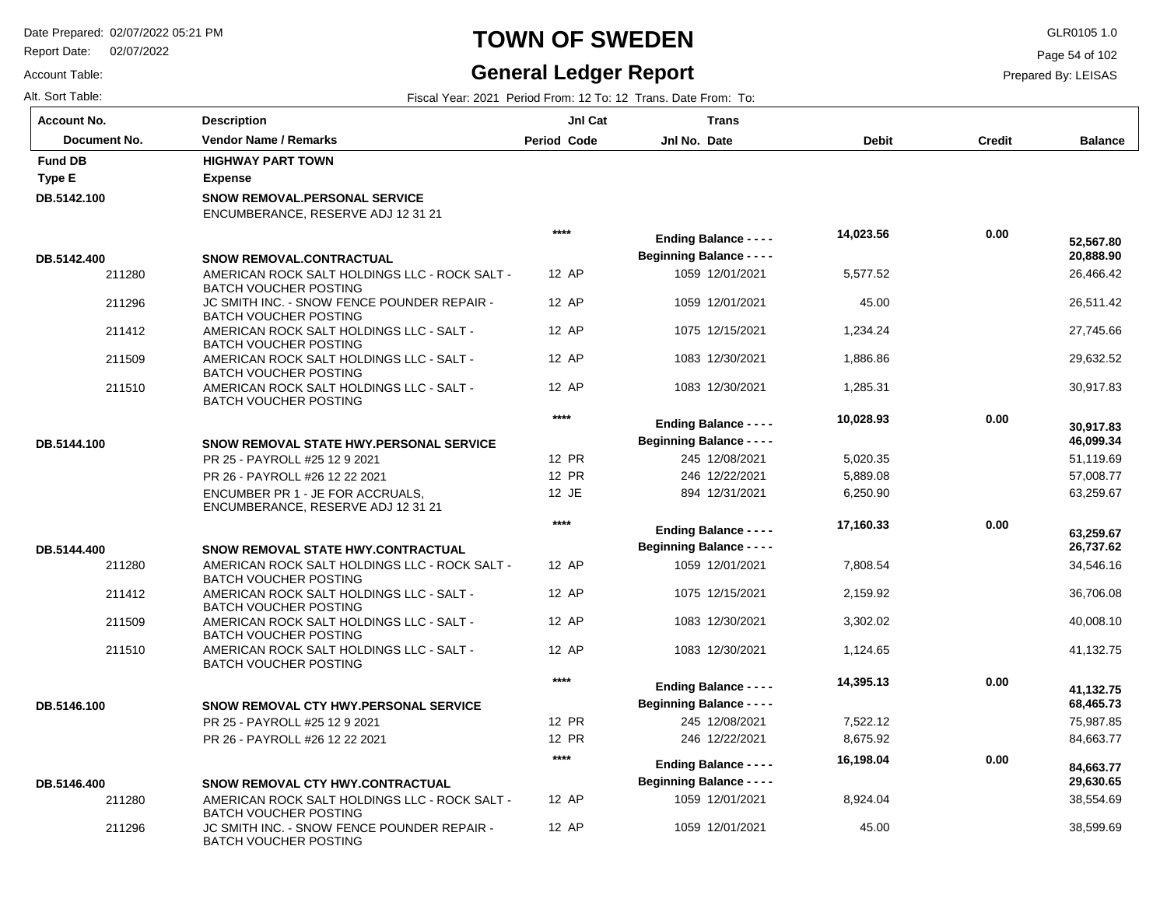Report Date: 02/07/2022

### **TOWN OF SWEDEN** GLR0105 1.0

#### **General Ledger Report**

**Balance**

 26,466.42 26,511.42 27,745.66 29,632.52 30,917.83

 **20,888.90** 

 **52,567.80** 

 51,119.69 57,008.77 63,259.67

 **46,099.34** 

 **30,917.83** 

 34,546.16 36,706.08 40,008.10 41,132.75

 **26,737.62** 

 **63,259.67** 

 75,987.85 84,663.77

 **68,465.73** 

 **41,132.75** 

 38,554.69 38,599.69

 **29,630.65** 

 **84,663.77** 

Page 54 of 102

Prepared By: LEISAS

 **0.00** 

Account Table:

| Alt. Sort Table:   |                                                                               |                    | Fiscal Year: 2021 Period From: 12 To: 12 Trans. Date From: To: |              |        |
|--------------------|-------------------------------------------------------------------------------|--------------------|----------------------------------------------------------------|--------------|--------|
| <b>Account No.</b> | <b>Description</b>                                                            | JnI Cat            | <b>Trans</b>                                                   |              |        |
| Document No.       | <b>Vendor Name / Remarks</b>                                                  | <b>Period Code</b> | Jnl No. Date                                                   | <b>Debit</b> | Credit |
| <b>Fund DB</b>     | <b>HIGHWAY PART TOWN</b>                                                      |                    |                                                                |              |        |
| Type E             | <b>Expense</b>                                                                |                    |                                                                |              |        |
| DB.5142.100        | <b>SNOW REMOVAL.PERSONAL SERVICE</b><br>ENCUMBERANCE, RESERVE ADJ 12 31 21    |                    |                                                                |              |        |
|                    |                                                                               | $***$              | <b>Ending Balance - - - -</b>                                  | 14,023.56    | 0.00   |
| DB.5142.400        | <b>SNOW REMOVAL.CONTRACTUAL</b>                                               |                    | <b>Beginning Balance - - - -</b>                               |              |        |
| 211280             | AMERICAN ROCK SALT HOLDINGS LLC - ROCK SALT -<br><b>BATCH VOUCHER POSTING</b> | 12 AP              | 1059 12/01/2021                                                | 5,577.52     |        |
| 211296             | JC SMITH INC. - SNOW FENCE POUNDER REPAIR -<br><b>BATCH VOUCHER POSTING</b>   | 12 AP              | 1059 12/01/2021                                                | 45.00        |        |
| 211412             | AMERICAN ROCK SALT HOLDINGS LLC - SALT -<br><b>BATCH VOUCHER POSTING</b>      | 12 AP              | 1075 12/15/2021                                                | 1,234.24     |        |
| 211509             | AMERICAN ROCK SALT HOLDINGS LLC - SALT -<br><b>BATCH VOUCHER POSTING</b>      | 12 AP              | 1083 12/30/2021                                                | 1,886.86     |        |
| 211510             | AMERICAN ROCK SALT HOLDINGS LLC - SALT -<br><b>BATCH VOUCHER POSTING</b>      | 12 AP              | 1083 12/30/2021                                                | 1,285.31     |        |
|                    |                                                                               | $****$             | <b>Ending Balance - - - -</b>                                  | 10,028.93    | 0.00   |
| DB.5144.100        | <b>SNOW REMOVAL STATE HWY PERSONAL SERVICE</b>                                |                    | <b>Beginning Balance - - - -</b>                               |              |        |
|                    | PR 25 - PAYROLL #25 12 9 2021                                                 | 12 PR              | 245 12/08/2021                                                 | 5,020.35     |        |
|                    | PR 26 - PAYROLL #26 12 22 2021                                                | 12 PR              | 246 12/22/2021                                                 | 5,889.08     |        |
|                    | ENCUMBER PR 1 - JE FOR ACCRUALS,<br>ENCUMBERANCE, RESERVE ADJ 12 31 21        | 12 JE              | 894 12/31/2021                                                 | 6,250.90     |        |
|                    |                                                                               | $****$             | <b>Ending Balance - - - -</b>                                  | 17,160.33    | 0.00   |
| DB.5144.400        | <b>SNOW REMOVAL STATE HWY CONTRACTUAL</b>                                     |                    | <b>Beginning Balance - - - -</b>                               |              |        |
| 211280             | AMERICAN ROCK SALT HOLDINGS LLC - ROCK SALT -<br><b>BATCH VOUCHER POSTING</b> | 12 AP              | 1059 12/01/2021                                                | 7,808.54     |        |
| 211412             | AMERICAN ROCK SALT HOLDINGS LLC - SALT -<br><b>BATCH VOUCHER POSTING</b>      | 12 AP              | 1075 12/15/2021                                                | 2,159.92     |        |
| 211509             | AMERICAN ROCK SALT HOLDINGS LLC - SALT -<br><b>BATCH VOUCHER POSTING</b>      | 12 AP              | 1083 12/30/2021                                                | 3,302.02     |        |
| 211510             | AMERICAN ROCK SALT HOLDINGS LLC - SALT -<br><b>BATCH VOUCHER POSTING</b>      | 12 AP              | 1083 12/30/2021                                                | 1,124.65     |        |
|                    |                                                                               | $****$             | <b>Ending Balance - - - -</b>                                  | 14,395.13    | 0.00   |
| DB.5146.100        | SNOW REMOVAL CTY HWY.PERSONAL SERVICE                                         |                    | <b>Beginning Balance - - - -</b>                               |              |        |
|                    | PR 25 - PAYROLL #25 12 9 2021                                                 | 12 PR              | 245 12/08/2021                                                 | 7,522.12     |        |
|                    | PR 26 - PAYROLL #26 12 22 2021                                                | 12 PR              | 246 12/22/2021                                                 | 8,675.92     |        |

12 AP 12 AP

**\*\*\*\***

1059 12/01/2021 1059 12/01/2021

**Beginning Balance - - - -**

**Ending Balance - - - -**

 8,924.04 45.00

 **16,198.04** 

| DB.5146.400 | <b>SNOW REMOVAL CTY HWY CONTRACTUAL</b>       |
|-------------|-----------------------------------------------|
| 211280      | AMERICAN ROCK SALT HOLDINGS LLC - ROCK SALT - |
|             | BATCH VOUCHER POSTING                         |
| 211296      | JC SMITH INC. - SNOW FENCE POUNDER REPAIR -   |
|             | BATCH VOUCHER POSTING                         |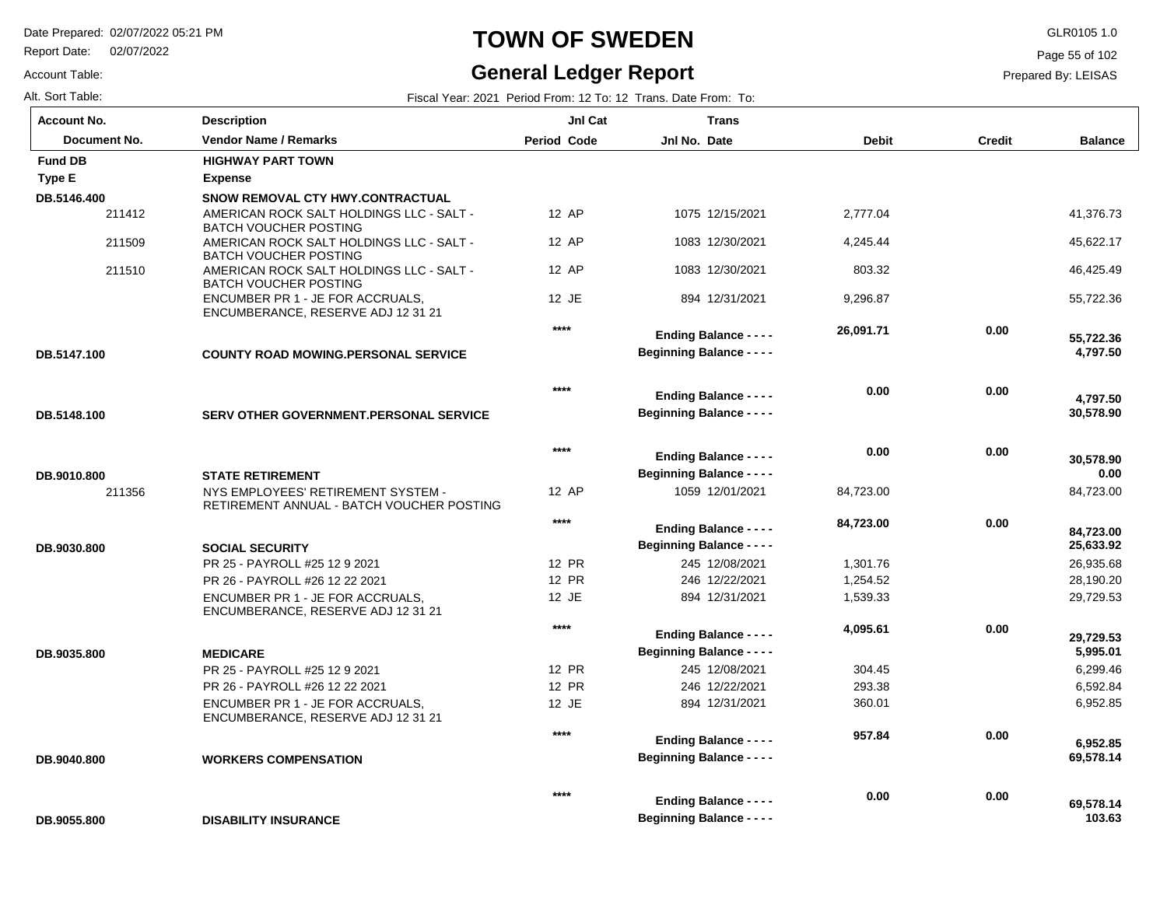Report Date: 02/07/2022

#### Account Table:

# **TOWN OF SWEDEN** GLR0105 1.0

#### **General Ledger Report**

Page 55 of 102

| Alt. Sort Table: | Fiscal Year: 2021 Period From: 12 To: 12 Trans. Date From: To: |  |
|------------------|----------------------------------------------------------------|--|
|                  |                                                                |  |

| <b>Account No.</b> | <b>Description</b>                                                              | Jnl Cat            | <b>Trans</b>                     |              |               |                |
|--------------------|---------------------------------------------------------------------------------|--------------------|----------------------------------|--------------|---------------|----------------|
| Document No.       | <b>Vendor Name / Remarks</b>                                                    | <b>Period Code</b> | Jnl No. Date                     | <b>Debit</b> | <b>Credit</b> | <b>Balance</b> |
| <b>Fund DB</b>     | <b>HIGHWAY PART TOWN</b>                                                        |                    |                                  |              |               |                |
| Type E             | <b>Expense</b>                                                                  |                    |                                  |              |               |                |
| DB.5146.400        | SNOW REMOVAL CTY HWY.CONTRACTUAL                                                |                    |                                  |              |               |                |
| 211412             | AMERICAN ROCK SALT HOLDINGS LLC - SALT -<br><b>BATCH VOUCHER POSTING</b>        | 12 AP              | 1075 12/15/2021                  | 2,777.04     |               | 41,376.73      |
| 211509             | AMERICAN ROCK SALT HOLDINGS LLC - SALT -<br><b>BATCH VOUCHER POSTING</b>        | 12 AP              | 1083 12/30/2021                  | 4,245.44     |               | 45,622.17      |
| 211510             | AMERICAN ROCK SALT HOLDINGS LLC - SALT -<br><b>BATCH VOUCHER POSTING</b>        | 12 AP              | 1083 12/30/2021                  | 803.32       |               | 46,425.49      |
|                    | ENCUMBER PR 1 - JE FOR ACCRUALS,<br>ENCUMBERANCE, RESERVE ADJ 12 31 21          | 12 JE              | 894 12/31/2021                   | 9,296.87     |               | 55,722.36      |
|                    |                                                                                 | $***$              | <b>Ending Balance - - - -</b>    | 26,091.71    | 0.00          | 55,722.36      |
| DB.5147.100        | <b>COUNTY ROAD MOWING.PERSONAL SERVICE</b>                                      |                    | <b>Beginning Balance - - - -</b> |              |               | 4,797.50       |
|                    |                                                                                 | ****               | <b>Ending Balance - - - -</b>    | 0.00         | 0.00          | 4,797.50       |
| DB.5148.100        | SERV OTHER GOVERNMENT.PERSONAL SERVICE                                          |                    | <b>Beginning Balance - - - -</b> |              |               | 30,578.90      |
|                    |                                                                                 | $***$              | <b>Ending Balance - - - -</b>    | 0.00         | 0.00          | 30,578.90      |
| DB.9010.800        | <b>STATE RETIREMENT</b>                                                         |                    | <b>Beginning Balance - - - -</b> |              |               | 0.00           |
| 211356             | NYS EMPLOYEES' RETIREMENT SYSTEM -<br>RETIREMENT ANNUAL - BATCH VOUCHER POSTING | 12 AP              | 1059 12/01/2021                  | 84,723.00    |               | 84,723.00      |
|                    |                                                                                 | $***$              | <b>Ending Balance - - - -</b>    | 84,723.00    | 0.00          | 84,723.00      |
| DB.9030.800        | <b>SOCIAL SECURITY</b>                                                          |                    | <b>Beginning Balance - - - -</b> |              |               | 25,633.92      |
|                    | PR 25 - PAYROLL #25 12 9 2021                                                   | 12 PR              | 245 12/08/2021                   | 1,301.76     |               | 26,935.68      |
|                    | PR 26 - PAYROLL #26 12 22 2021                                                  | 12 PR              | 246 12/22/2021                   | 1,254.52     |               | 28,190.20      |
|                    | ENCUMBER PR 1 - JE FOR ACCRUALS.<br>ENCUMBERANCE, RESERVE ADJ 12 31 21          | 12 JE              | 894 12/31/2021                   | 1,539.33     |               | 29,729.53      |
|                    |                                                                                 | $***$              | <b>Ending Balance - - - -</b>    | 4,095.61     | 0.00          | 29.729.53      |
| DB.9035.800        | <b>MEDICARE</b>                                                                 |                    | <b>Beginning Balance - - - -</b> |              |               | 5,995.01       |
|                    | PR 25 - PAYROLL #25 12 9 2021                                                   | 12 PR              | 245 12/08/2021                   | 304.45       |               | 6,299.46       |
|                    | PR 26 - PAYROLL #26 12 22 2021                                                  | 12 PR              | 246 12/22/2021                   | 293.38       |               | 6,592.84       |
|                    | ENCUMBER PR 1 - JE FOR ACCRUALS,<br>ENCUMBERANCE, RESERVE ADJ 12 31 21          | 12 JE              | 894 12/31/2021                   | 360.01       |               | 6,952.85       |
|                    |                                                                                 | $***$              | <b>Ending Balance - - - -</b>    | 957.84       | 0.00          | 6,952.85       |
| DB.9040.800        | <b>WORKERS COMPENSATION</b>                                                     |                    | <b>Beginning Balance - - - -</b> |              |               | 69,578.14      |
|                    |                                                                                 | $***$              | <b>Ending Balance - - - -</b>    | 0.00         | 0.00          | 69,578.14      |
| DB.9055.800        | <b>DISABILITY INSURANCE</b>                                                     |                    | <b>Beginning Balance - - - -</b> |              |               | 103.63         |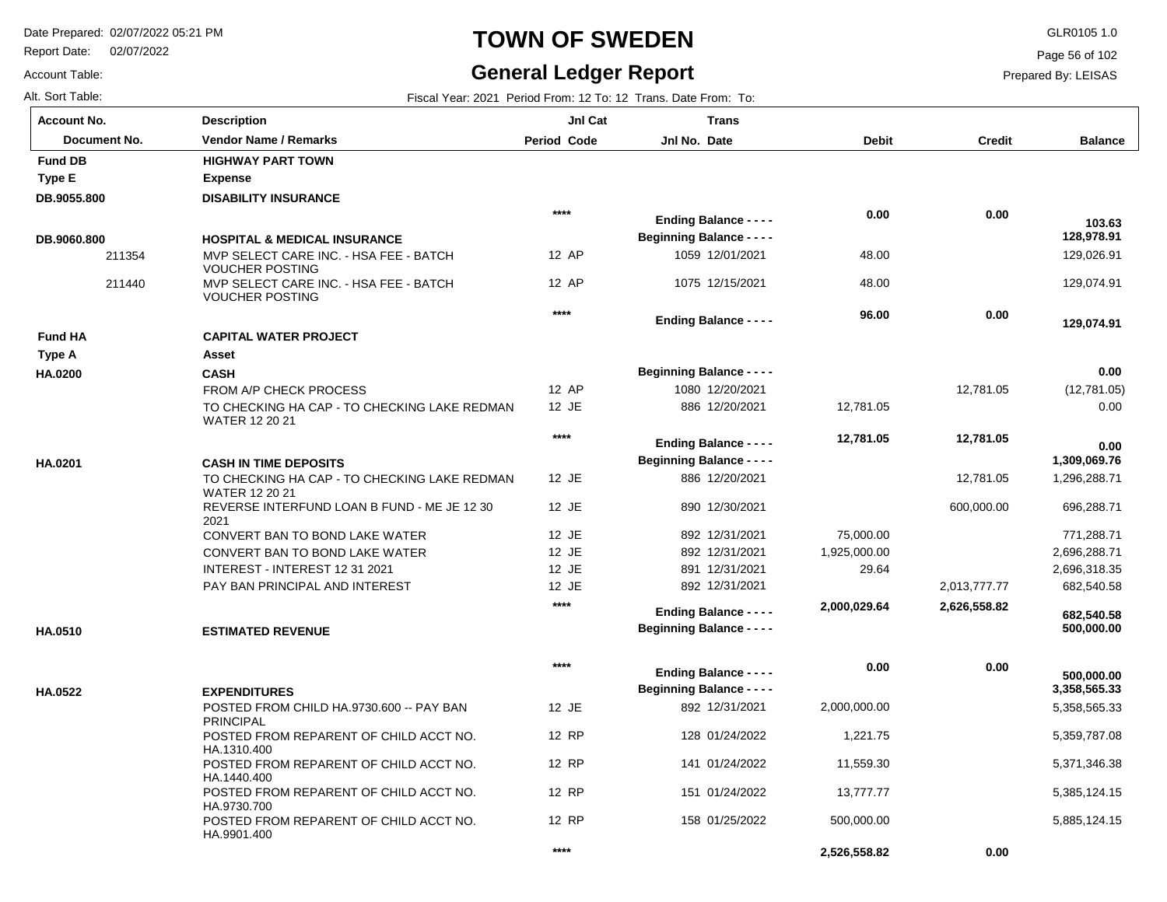Report Date: 02/07/2022

#### **TOWN OF SWEDEN** GLR0105 1.0

#### **General Ledger Report**

**Balance**

 129,026.91 129,074.91

 **129,074.91** 

 **128,978.91** 

 **103.63** 

(12,781.05) 0.00

 **0.00** 

 **0.00** 

 1,296,288.71 696,288.71 771,288.71 2,696,288.71 2,696,318.35 682,540.58

 **1,309,069.76** 

 5,358,565.33 5,359,787.08 5,371,346.38 5,385,124.15 5,885,124.15

 **3,358,565.33** 

 **500,000.00** 

 **500,000.00** 

 **682,540.58** 

Page 56 of 102

Prepared By: LEISAS

|  | Alt. Sort Table: |  |  |
|--|------------------|--|--|
|  | Account No.      |  |  |

Account Table:

| Alt. Sort Table:   |                                                                       |                    | Fiscal Year: 2021 Period From: 12 To: 12 Trans. Date From: To: |              |               |
|--------------------|-----------------------------------------------------------------------|--------------------|----------------------------------------------------------------|--------------|---------------|
| <b>Account No.</b> | <b>Description</b>                                                    | JnI Cat            | <b>Trans</b>                                                   |              |               |
| Document No.       | <b>Vendor Name / Remarks</b>                                          | <b>Period Code</b> | Jnl No. Date                                                   | <b>Debit</b> | <b>Credit</b> |
| <b>Fund DB</b>     | <b>HIGHWAY PART TOWN</b>                                              |                    |                                                                |              |               |
| <b>Type E</b>      | <b>Expense</b>                                                        |                    |                                                                |              |               |
| DB.9055.800        | <b>DISABILITY INSURANCE</b>                                           |                    |                                                                |              |               |
|                    |                                                                       | $***$              | <b>Ending Balance - - - -</b>                                  | 0.00         | 0.00          |
| DB.9060.800        | <b>HOSPITAL &amp; MEDICAL INSURANCE</b>                               |                    | <b>Beginning Balance - - - -</b>                               |              |               |
| 211354             | MVP SELECT CARE INC. - HSA FEE - BATCH<br><b>VOUCHER POSTING</b>      | 12 AP              | 1059 12/01/2021                                                | 48.00        |               |
| 211440             | MVP SELECT CARE INC. - HSA FEE - BATCH<br><b>VOUCHER POSTING</b>      | 12 AP              | 1075 12/15/2021                                                | 48.00        |               |
|                    |                                                                       | $***$              | <b>Ending Balance - - - -</b>                                  | 96.00        | 0.00          |
| <b>Fund HA</b>     | <b>CAPITAL WATER PROJECT</b>                                          |                    |                                                                |              |               |
| Type A             | Asset                                                                 |                    |                                                                |              |               |
| HA.0200            | <b>CASH</b>                                                           |                    | <b>Beginning Balance - - - -</b>                               |              |               |
|                    | FROM A/P CHECK PROCESS                                                | 12 AP              | 1080 12/20/2021                                                |              | 12,781.05     |
|                    | TO CHECKING HA CAP - TO CHECKING LAKE REDMAN<br><b>WATER 12 20 21</b> | 12 JE              | 886 12/20/2021                                                 | 12,781.05    |               |
|                    |                                                                       | $***$              | <b>Ending Balance - - - -</b>                                  | 12,781.05    | 12,781.05     |
| HA.0201            | <b>CASH IN TIME DEPOSITS</b>                                          |                    | <b>Beginning Balance - - - -</b>                               |              |               |
|                    | TO CHECKING HA CAP - TO CHECKING LAKE REDMAN<br><b>WATER 12 20 21</b> | 12 JE              | 886 12/20/2021                                                 |              | 12,781.05     |
|                    | REVERSE INTERFUND LOAN B FUND - ME JE 12 30<br>2021                   | 12 JE              | 890 12/30/2021                                                 |              | 600,000.00    |
|                    | CONVERT BAN TO BOND LAKE WATER                                        | 12 JE              | 892 12/31/2021                                                 | 75,000.00    |               |
|                    | CONVERT BAN TO BOND LAKE WATER                                        | 12 JE              | 892 12/31/2021                                                 | 1,925,000.00 |               |
|                    | INTEREST - INTEREST 12 31 2021                                        | 12 JE              | 891 12/31/2021                                                 | 29.64        |               |
|                    | PAY BAN PRINCIPAL AND INTEREST                                        | 12 JE              | 892 12/31/2021                                                 |              | 2,013,777.77  |
|                    |                                                                       | $***$              | <b>Ending Balance - - - -</b>                                  | 2,000,029.64 | 2,626,558.82  |
| HA.0510            | <b>ESTIMATED REVENUE</b>                                              |                    | <b>Beginning Balance - - - -</b>                               |              |               |
|                    |                                                                       | $***$              | <b>Ending Balance - - - -</b>                                  | 0.00         | 0.00          |
| HA.0522            | <b>EXPENDITURES</b>                                                   |                    | <b>Beginning Balance - - - -</b>                               |              |               |
|                    | POSTED FROM CHILD HA.9730.600 -- PAY BAN<br>PRINCIPAL                 | 12 JE              | 892 12/31/2021                                                 | 2,000,000.00 |               |
|                    | POSTED FROM REPARENT OF CHILD ACCT NO.<br>HA.1310.400                 | 12 RP              | 128 01/24/2022                                                 | 1,221.75     |               |
|                    | POSTED FROM REPARENT OF CHILD ACCT NO.<br>HA.1440.400                 | 12 RP              | 141 01/24/2022                                                 | 11,559.30    |               |
|                    | POSTED FROM REPARENT OF CHILD ACCT NO.<br>HA.9730.700                 | 12 RP              | 151 01/24/2022                                                 | 13,777.77    |               |
|                    | POSTED FROM REPARENT OF CHILD ACCT NO.<br>HA.9901.400                 | 12 RP              | 158 01/25/2022                                                 | 500,000.00   |               |

**\*\*\*\***

 **2,526,558.82** 

 **0.00**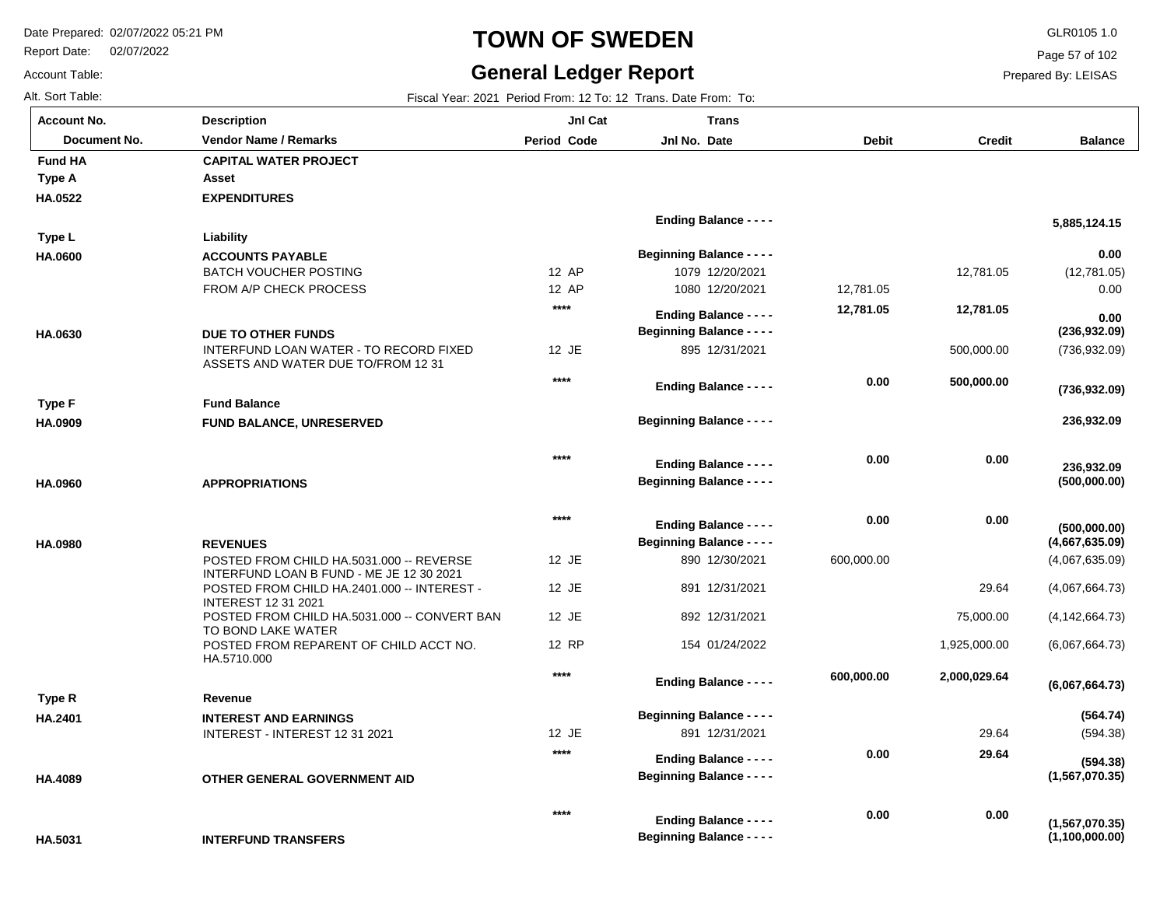Report Date: 02/07/2022

## **TOWN OF SWEDEN** GLR0105 1.0

#### **General Ledger Report**

**Balance**

(12,781.05) 0.00

 **5,885,124.15** 

 **0.00** 

 **0.00** 

(736,932.09)

 **236,932.09** 

**(736,932.09)**

**(500,000.00)**

 **236,932.09** 

**(236,932.09)**

(4,067,635.09) (4,067,664.73) (4,142,664.73) (6,067,664.73)

**(4,667,635.09)**

**(500,000.00)**

(594.38)

**(594.38)**

**(1,567,070.35)**

**(6,067,664.73)**

**(1,100,000.00)**

**(1,567,070.35)**

**(564.74)**

Page 57 of 102

Prepared By: LEISAS

 **0.00** 

 **0.00** 

Account Table: **Account No.**

**HA.0522**

**Type A**

**Fund HA** 

**HA.0600**

**Type L**

**HA.0630**

**HA.0909**

**Type F**

**HA.0960**

**HA.0980**

**HA.2401**

**Type R**

**HA.4089**

| ⊍nt No.      | Description                                                                          | JnI Cat            | Trans                            |            |               |
|--------------|--------------------------------------------------------------------------------------|--------------------|----------------------------------|------------|---------------|
| Document No. | <b>Vendor Name / Remarks</b>                                                         | <b>Period Code</b> | Jnl No. Date                     | Debit      | <b>Credit</b> |
| I HA         | <b>CAPITAL WATER PROJECT</b>                                                         |                    |                                  |            |               |
| ۰A           | Asset                                                                                |                    |                                  |            |               |
| 522          | <b>EXPENDITURES</b>                                                                  |                    |                                  |            |               |
|              |                                                                                      |                    | <b>Ending Balance - - - -</b>    |            |               |
| ۱L           | Liability                                                                            |                    |                                  |            |               |
| 600          | <b>ACCOUNTS PAYABLE</b>                                                              |                    | <b>Beginning Balance - - - -</b> |            |               |
|              | <b>BATCH VOUCHER POSTING</b>                                                         | 12 AP              | 1079 12/20/2021                  |            | 12,781.05     |
|              | FROM A/P CHECK PROCESS                                                               | 12 AP              | 1080 12/20/2021                  | 12,781.05  |               |
|              |                                                                                      | $****$             | <b>Ending Balance - - - -</b>    | 12,781.05  | 12,781.05     |
|              |                                                                                      |                    | <b>Beginning Balance - - - -</b> |            |               |
| 630          | <b>DUE TO OTHER FUNDS</b><br>INTERFUND LOAN WATER - TO RECORD FIXED                  | 12 JE              | 895 12/31/2021                   |            | 500,000.00    |
|              | ASSETS AND WATER DUE TO/FROM 12 31                                                   |                    |                                  |            |               |
|              |                                                                                      | ****               | <b>Ending Balance - - - -</b>    | 0.00       | 500,000.00    |
| ۱F           | <b>Fund Balance</b>                                                                  |                    |                                  |            |               |
| 909          | <b>FUND BALANCE, UNRESERVED</b>                                                      |                    | <b>Beginning Balance - - - -</b> |            |               |
|              |                                                                                      |                    |                                  |            |               |
|              |                                                                                      | ****               |                                  | 0.00       | 0.00          |
|              |                                                                                      |                    | <b>Ending Balance - - - -</b>    |            |               |
| 960          | <b>APPROPRIATIONS</b>                                                                |                    | <b>Beginning Balance - - - -</b> |            |               |
|              |                                                                                      | $****$             |                                  | 0.00       | 0.00          |
|              |                                                                                      |                    | <b>Ending Balance - - - -</b>    |            |               |
| 980          | <b>REVENUES</b>                                                                      |                    | <b>Beginning Balance - - - -</b> |            |               |
|              | POSTED FROM CHILD HA.5031.000 -- REVERSE<br>INTERFUND LOAN B FUND - ME JE 12 30 2021 | 12 JE              | 890 12/30/2021                   | 600,000.00 |               |
|              | POSTED FROM CHILD HA.2401.000 -- INTEREST -                                          | 12 JE              | 891 12/31/2021                   |            | 29.64         |
|              | <b>INTEREST 12 31 2021</b>                                                           |                    |                                  |            |               |
|              | POSTED FROM CHILD HA.5031.000 -- CONVERT BAN                                         | 12 JE              | 892 12/31/2021                   |            | 75,000.00     |
|              | TO BOND LAKE WATER<br>POSTED FROM REPARENT OF CHILD ACCT NO.                         | 12 RP              | 154 01/24/2022                   |            | 1,925,000.00  |
|              | HA.5710.000                                                                          |                    |                                  |            |               |
|              |                                                                                      | $****$             | <b>Ending Balance - - - -</b>    | 600,000.00 | 2,000,029.64  |
| ιR.          | Revenue                                                                              |                    |                                  |            |               |
| 401          | <b>INTEREST AND EARNINGS</b>                                                         |                    | <b>Beginning Balance - - - -</b> |            |               |
|              | INTEREST - INTEREST 12 31 2021                                                       | 12 JE              | 891 12/31/2021                   |            | 29.64         |
|              |                                                                                      | $****$             |                                  | 0.00       | 29.64         |
|              |                                                                                      |                    | <b>Ending Balance - - - -</b>    |            |               |
| 089          | OTHER GENERAL GOVERNMENT AID                                                         |                    | <b>Beginning Balance - - - -</b> |            |               |

**\*\*\*\***

**Beginning Balance - - - -**

**Ending Balance - - - -**

**INTERFUND TRANSFERS HA.5031**

Alt. Sort Table: Fiscal Year: 2021 Period From: 12 To: 12 Trans. Date From: To: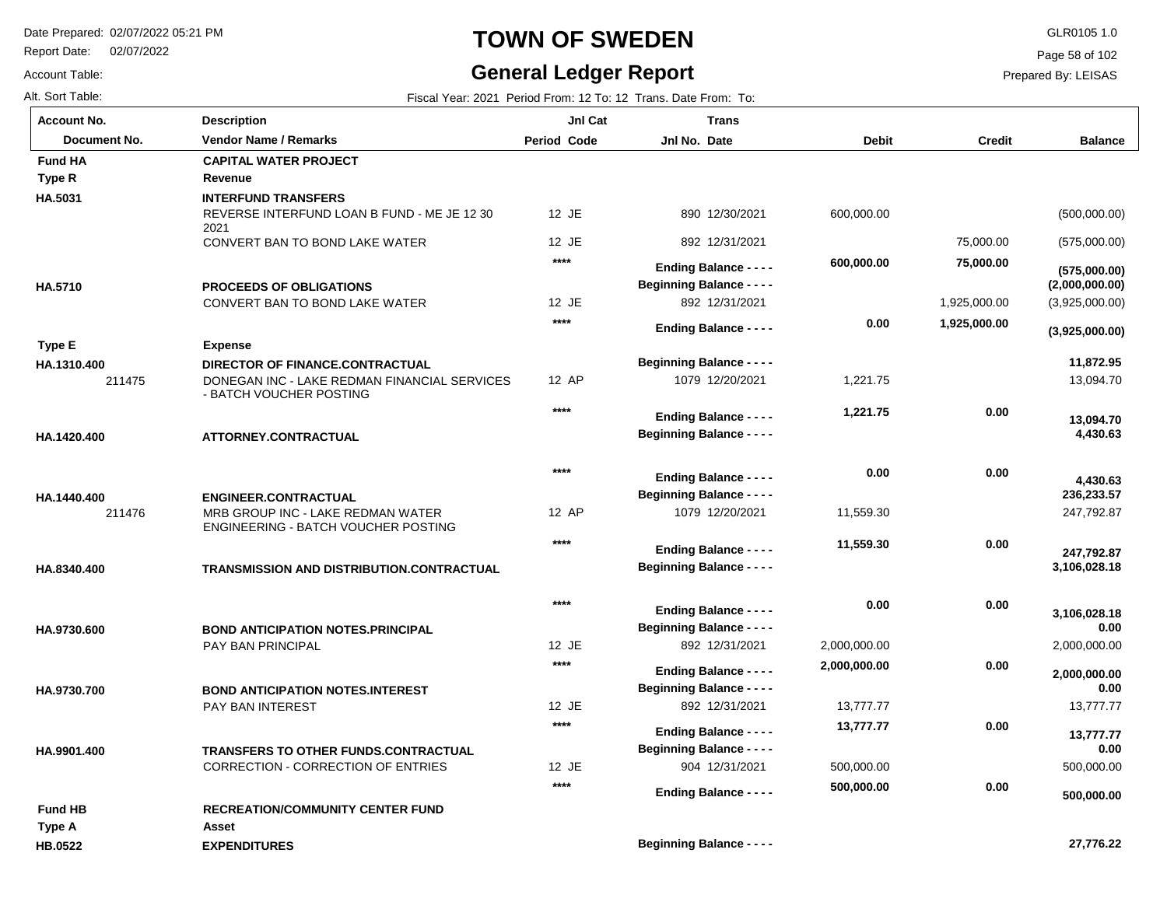Report Date: 02/07/2022

Account Table:

# **TOWN OF SWEDEN** GLR0105 1.0

#### **General Ledger Report**

Page 58 of 102

| Alt. Sort Table:             |                                                                                                            |                    | Fiscal Year: 2021 Period From: 12 To: 12 Trans. Date From: To:    |              |               |                            |
|------------------------------|------------------------------------------------------------------------------------------------------------|--------------------|-------------------------------------------------------------------|--------------|---------------|----------------------------|
| Account No.                  | <b>Description</b>                                                                                         | Jnl Cat            | <b>Trans</b>                                                      |              |               |                            |
| Document No.                 | <b>Vendor Name / Remarks</b>                                                                               | <b>Period Code</b> | Jnl No. Date                                                      | <b>Debit</b> | <b>Credit</b> | <b>Balance</b>             |
| <b>Fund HA</b>               | <b>CAPITAL WATER PROJECT</b>                                                                               |                    |                                                                   |              |               |                            |
| Type R                       | Revenue                                                                                                    |                    |                                                                   |              |               |                            |
| HA.5031                      | <b>INTERFUND TRANSFERS</b><br>REVERSE INTERFUND LOAN B FUND - ME JE 12 30<br>2021                          | 12 JE              | 890 12/30/2021                                                    | 600,000.00   |               | (500,000.00)               |
|                              | CONVERT BAN TO BOND LAKE WATER                                                                             | 12 JE              | 892 12/31/2021                                                    |              | 75,000.00     | (575,000.00)               |
|                              |                                                                                                            | $***$              | <b>Ending Balance - - - -</b>                                     | 600,000.00   | 75,000.00     | (575,000.00)               |
| HA.5710                      | <b>PROCEEDS OF OBLIGATIONS</b>                                                                             |                    | <b>Beginning Balance - - - -</b>                                  |              |               | (2,000,000.00)             |
|                              | CONVERT BAN TO BOND LAKE WATER                                                                             | 12 JE              | 892 12/31/2021                                                    |              | 1,925,000.00  | (3,925,000.00)             |
|                              |                                                                                                            | $***$              | <b>Ending Balance - - - -</b>                                     | 0.00         | 1,925,000.00  | (3,925,000.00)             |
| <b>Type E</b><br>HA.1310.400 | <b>Expense</b>                                                                                             |                    | <b>Beginning Balance - - - -</b>                                  |              |               | 11,872.95                  |
| 211475                       | DIRECTOR OF FINANCE.CONTRACTUAL<br>DONEGAN INC - LAKE REDMAN FINANCIAL SERVICES<br>- BATCH VOUCHER POSTING | 12 AP              | 1079 12/20/2021                                                   | 1,221.75     |               | 13,094.70                  |
|                              |                                                                                                            | $****$             | <b>Ending Balance - - - -</b>                                     | 1,221.75     | 0.00          |                            |
| HA.1420.400                  | ATTORNEY.CONTRACTUAL                                                                                       |                    | <b>Beginning Balance - - - -</b>                                  |              |               | 13,094.70<br>4,430.63      |
|                              |                                                                                                            | $***$              | <b>Ending Balance - - - -</b>                                     | 0.00         | 0.00          | 4,430.63                   |
| HA.1440.400                  | <b>ENGINEER.CONTRACTUAL</b>                                                                                |                    | <b>Beginning Balance - - - -</b>                                  |              |               | 236,233.57                 |
| 211476                       | MRB GROUP INC - LAKE REDMAN WATER<br>ENGINEERING - BATCH VOUCHER POSTING                                   | 12 AP              | 1079 12/20/2021                                                   | 11,559.30    |               | 247,792.87                 |
| HA.8340.400                  | TRANSMISSION AND DISTRIBUTION.CONTRACTUAL                                                                  | $***$              | <b>Ending Balance - - - -</b><br><b>Beginning Balance - - - -</b> | 11,559.30    | 0.00          | 247,792.87<br>3,106,028.18 |
| HA.9730.600                  | <b>BOND ANTICIPATION NOTES.PRINCIPAL</b>                                                                   | $***$              | <b>Ending Balance - - - -</b><br><b>Beginning Balance - - - -</b> | 0.00         | 0.00          | 3,106,028.18<br>0.00       |
|                              | PAY BAN PRINCIPAL                                                                                          | 12 JE              | 892 12/31/2021                                                    | 2,000,000.00 |               | 2,000,000.00               |
| HA.9730.700                  | <b>BOND ANTICIPATION NOTES.INTEREST</b>                                                                    | $****$             | <b>Ending Balance - - - -</b><br><b>Beginning Balance - - - -</b> | 2,000,000.00 | 0.00          | 2,000,000.00<br>0.00       |
|                              | PAY BAN INTEREST                                                                                           | 12 JE              | 892 12/31/2021                                                    | 13,777.77    |               | 13,777.77                  |
|                              |                                                                                                            | $***$              | <b>Ending Balance - - - -</b><br><b>Beginning Balance - - - -</b> | 13,777.77    | 0.00          | 13,777.77<br>0.00          |
| HA.9901.400                  | <b>TRANSFERS TO OTHER FUNDS.CONTRACTUAL</b><br><b>CORRECTION - CORRECTION OF ENTRIES</b>                   | 12 JE              | 904 12/31/2021                                                    | 500,000.00   |               | 500,000.00                 |
|                              |                                                                                                            | $***$              | <b>Ending Balance - - - -</b>                                     | 500,000.00   | 0.00          |                            |
| <b>Fund HB</b>               | <b>RECREATION/COMMUNITY CENTER FUND</b>                                                                    |                    |                                                                   |              |               | 500,000.00                 |
| Type A                       | Asset                                                                                                      |                    |                                                                   |              |               |                            |
| HB.0522                      | <b>EXPENDITURES</b>                                                                                        |                    | <b>Beginning Balance - - - -</b>                                  |              |               | 27,776.22                  |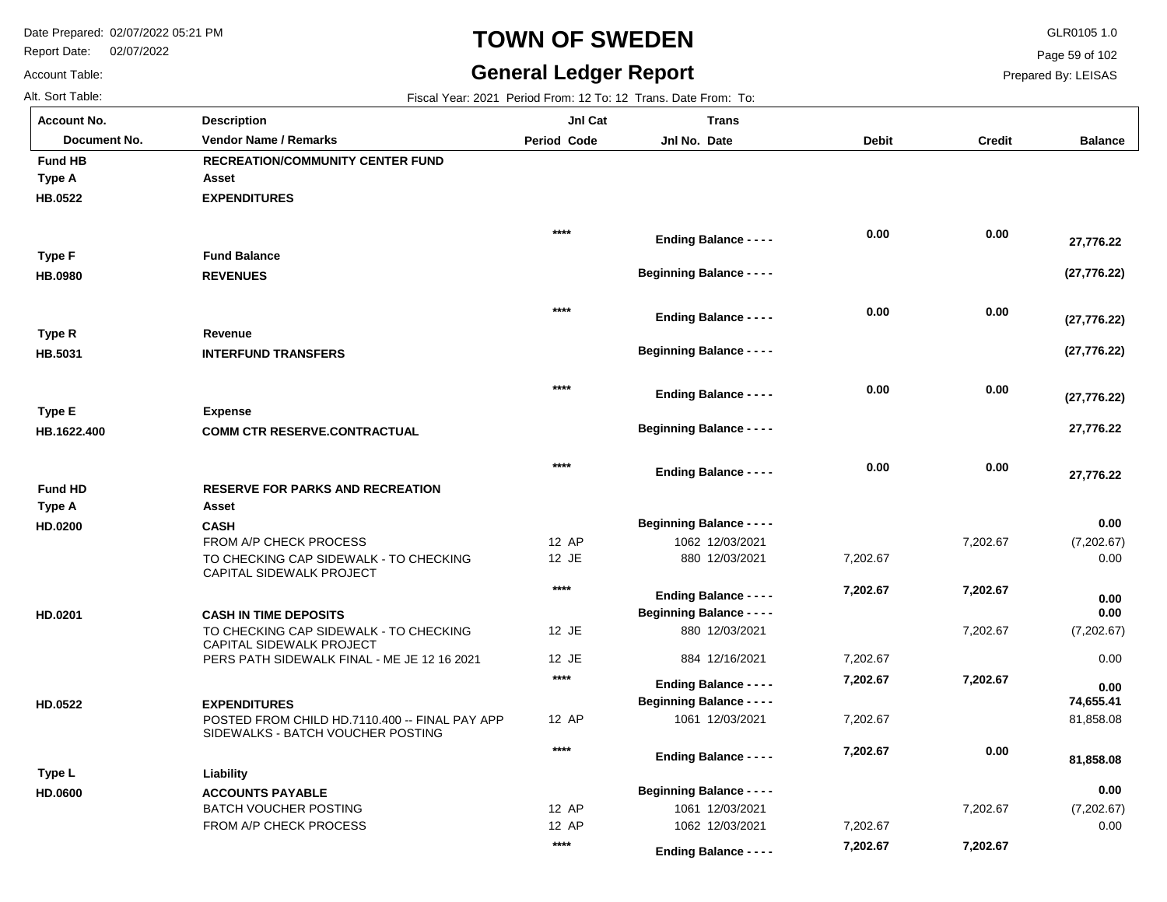**Description**

FROM A/P CHECK PROCESS

Report Date: 02/07/2022

### **TOWN OF SWEDEN** GLR0105 1.0

#### **General Ledger Report**

**Jnl Cat**

**Trans**

0.00

Page 59 of 102

Prepared By: LEISAS

Account Table: Alt. Sort Table: Fiscal Year: 2021 Period From: 12 To: 12 Trans. Date From: To: **Account No.**

| <b>Document No.</b> | <b>Vendor Name / Remarks</b>                                                        | <b>Period Code</b> | Jnl No. Date                     | <b>Debit</b> | <b>Credit</b> | <b>Balance</b> |
|---------------------|-------------------------------------------------------------------------------------|--------------------|----------------------------------|--------------|---------------|----------------|
| <b>Fund HB</b>      | <b>RECREATION/COMMUNITY CENTER FUND</b>                                             |                    |                                  |              |               |                |
| Type A              | Asset                                                                               |                    |                                  |              |               |                |
| HB.0522             | <b>EXPENDITURES</b>                                                                 |                    |                                  |              |               |                |
|                     |                                                                                     |                    |                                  |              |               |                |
|                     |                                                                                     | $****$             | <b>Ending Balance - - - -</b>    | 0.00         | 0.00          | 27,776.22      |
| Type F              | <b>Fund Balance</b>                                                                 |                    |                                  |              |               |                |
| <b>HB.0980</b>      | <b>REVENUES</b>                                                                     |                    | <b>Beginning Balance - - - -</b> |              |               | (27, 776.22)   |
|                     |                                                                                     | $****$             |                                  | 0.00         | 0.00          |                |
|                     |                                                                                     |                    | <b>Ending Balance - - - -</b>    |              |               | (27, 776.22)   |
| Type R              | Revenue                                                                             |                    |                                  |              |               |                |
| HB.5031             | <b>INTERFUND TRANSFERS</b>                                                          |                    | <b>Beginning Balance - - - -</b> |              |               | (27, 776.22)   |
|                     |                                                                                     | $***$              |                                  | 0.00         | 0.00          |                |
| Type E              | <b>Expense</b>                                                                      |                    | <b>Ending Balance - - - -</b>    |              |               | (27, 776.22)   |
| HB.1622.400         | <b>COMM CTR RESERVE.CONTRACTUAL</b>                                                 |                    | <b>Beginning Balance - - - -</b> |              |               | 27,776.22      |
|                     |                                                                                     |                    |                                  |              |               |                |
|                     |                                                                                     | $****$             | <b>Ending Balance - - - -</b>    | 0.00         | 0.00          | 27,776.22      |
| <b>Fund HD</b>      | <b>RESERVE FOR PARKS AND RECREATION</b>                                             |                    |                                  |              |               |                |
| <b>Type A</b>       | Asset                                                                               |                    |                                  |              |               |                |
| HD.0200             | <b>CASH</b>                                                                         |                    | <b>Beginning Balance - - - -</b> |              |               | 0.00           |
|                     | FROM A/P CHECK PROCESS                                                              | 12 AP              | 1062 12/03/2021                  |              | 7,202.67      | (7,202.67)     |
|                     | TO CHECKING CAP SIDEWALK - TO CHECKING<br>CAPITAL SIDEWALK PROJECT                  | 12 JE              | 880 12/03/2021                   | 7,202.67     |               | 0.00           |
|                     |                                                                                     | $****$             | <b>Ending Balance - - - -</b>    | 7,202.67     | 7,202.67      | 0.00           |
| HD.0201             | <b>CASH IN TIME DEPOSITS</b>                                                        |                    | <b>Beginning Balance - - - -</b> |              |               | 0.00           |
|                     | TO CHECKING CAP SIDEWALK - TO CHECKING<br>CAPITAL SIDEWALK PROJECT                  | 12 JE              | 880 12/03/2021                   |              | 7,202.67      | (7,202.67)     |
|                     | PERS PATH SIDEWALK FINAL - ME JE 12 16 2021                                         | 12 JE              | 884 12/16/2021                   | 7,202.67     |               | 0.00           |
|                     |                                                                                     | $***$              | <b>Ending Balance - - - -</b>    | 7,202.67     | 7,202.67      | 0.00           |
| HD.0522             | <b>EXPENDITURES</b>                                                                 |                    | <b>Beginning Balance - - - -</b> |              |               | 74,655.41      |
|                     | POSTED FROM CHILD HD.7110.400 -- FINAL PAY APP<br>SIDEWALKS - BATCH VOUCHER POSTING | 12 AP              | 1061 12/03/2021                  | 7,202.67     |               | 81,858.08      |
|                     |                                                                                     | ****               | <b>Ending Balance - - - -</b>    | 7,202.67     | 0.00          | 81,858.08      |
| Type L              | Liability                                                                           |                    |                                  |              |               |                |
| HD.0600             | <b>ACCOUNTS PAYABLE</b>                                                             |                    | <b>Beginning Balance - - - -</b> |              |               | 0.00           |
|                     | <b>BATCH VOUCHER POSTING</b>                                                        | 12 AP              | 1061 12/03/2021                  |              | 7,202.67      | (7,202.67)     |

12 AP

**\*\*\*\***

1062 12/03/2021

**Ending Balance - - - -**

7,202.67

 **7,202.67** 

 **7,202.67**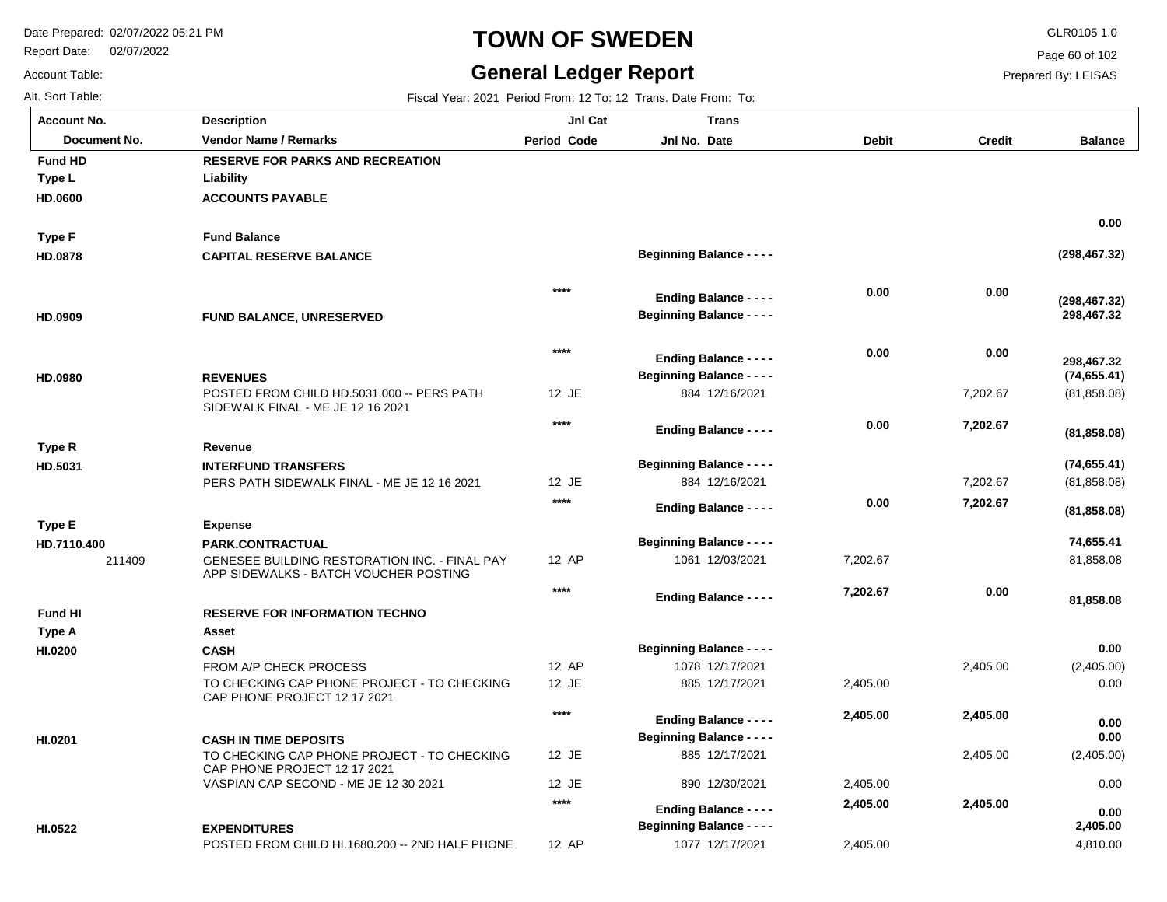Report Date: 02/07/2022

Account Table:

**Account No.**

**Type L**

**Fund HD**

# **TOWN OF SWEDEN** GLR0105 1.0

#### **General Ledger Report**

**Jnl Cat**

Jnl No. Date

**Trans**

**Period Code** 

**Balance**

Page 60 of 102

Prepared By: LEISAS

**ACCOUNTS PAYABLE Liability RESERVE FOR PARKS AND RECREATION Document No. Vendor Name / Remarks Period Jnl No. Debit Credit Description**

Alt. Sort Table: Fiscal Year: 2021 Period From: 12 To: 12 Trans. Date From: To:

| HD.0600        | <b>ACCOUNTS PAYABLE</b>                                                                |        |                                                     |          |          |                             |
|----------------|----------------------------------------------------------------------------------------|--------|-----------------------------------------------------|----------|----------|-----------------------------|
| <b>Type F</b>  | <b>Fund Balance</b>                                                                    |        |                                                     |          |          | 0.00                        |
| HD.0878        | <b>CAPITAL RESERVE BALANCE</b>                                                         |        | <b>Beginning Balance - - - -</b>                    |          |          | (298, 467.32)               |
|                |                                                                                        | $****$ | <b>Ending Balance - - - -</b>                       | 0.00     | 0.00     |                             |
| HD.0909        | FUND BALANCE, UNRESERVED                                                               |        | <b>Beginning Balance - - - -</b>                    |          |          | (298, 467.32)<br>298,467.32 |
|                |                                                                                        | $****$ | <b>Ending Balance - - - -</b>                       | 0.00     | 0.00     |                             |
| HD.0980        | <b>REVENUES</b>                                                                        |        | <b>Beginning Balance - - - -</b>                    |          |          | 298.467.32<br>(74, 655.41)  |
|                | POSTED FROM CHILD HD.5031.000 -- PERS PATH<br>SIDEWALK FINAL - ME JE 12 16 2021        | 12 JE  | 884 12/16/2021                                      |          | 7,202.67 | (81, 858.08)                |
|                |                                                                                        | ****   | <b>Ending Balance - - - -</b>                       | 0.00     | 7,202.67 |                             |
| Type R         | Revenue                                                                                |        |                                                     |          |          | (81, 858.08)                |
| HD.5031        | <b>INTERFUND TRANSFERS</b>                                                             |        | <b>Beginning Balance - - - -</b>                    |          |          | (74, 655.41)                |
|                | PERS PATH SIDEWALK FINAL - ME JE 12 16 2021                                            | 12 JE  | 884 12/16/2021                                      |          | 7,202.67 | (81, 858.08)                |
|                |                                                                                        | ****   | <b>Ending Balance - - - -</b>                       | 0.00     | 7,202.67 | (81, 858.08)                |
| <b>Type E</b>  | <b>Expense</b>                                                                         |        |                                                     |          |          |                             |
| HD.7110.400    | <b>PARK.CONTRACTUAL</b>                                                                |        | <b>Beginning Balance - - - -</b>                    |          |          | 74,655.41                   |
| 211409         | GENESEE BUILDING RESTORATION INC. - FINAL PAY<br>APP SIDEWALKS - BATCH VOUCHER POSTING | 12 AP  | 1061 12/03/2021                                     | 7,202.67 |          | 81,858.08                   |
|                |                                                                                        | $***$  | <b>Ending Balance - - - -</b>                       | 7,202.67 | 0.00     | 81,858.08                   |
| <b>Fund HI</b> | <b>RESERVE FOR INFORMATION TECHNO</b>                                                  |        |                                                     |          |          |                             |
| <b>Type A</b>  | Asset                                                                                  |        |                                                     |          |          |                             |
| HI.0200        | <b>CASH</b>                                                                            |        | <b>Beginning Balance - - - -</b>                    |          |          | 0.00                        |
|                | FROM A/P CHECK PROCESS                                                                 | 12 AP  | 1078 12/17/2021                                     |          | 2,405.00 | (2,405.00)                  |
|                | TO CHECKING CAP PHONE PROJECT - TO CHECKING<br>CAP PHONE PROJECT 12 17 2021            | 12 JE  | 885 12/17/2021                                      | 2,405.00 |          | 0.00                        |
|                |                                                                                        | $****$ | <b>Ending Balance - - - -</b>                       | 2,405.00 | 2,405.00 | 0.00                        |
| HI.0201        | <b>CASH IN TIME DEPOSITS</b>                                                           |        | <b>Beginning Balance - - - -</b>                    |          |          | 0.00                        |
|                | TO CHECKING CAP PHONE PROJECT - TO CHECKING<br>CAP PHONE PROJECT 12 17 2021            | 12 JE  | 885 12/17/2021                                      |          | 2,405.00 | (2,405.00)                  |
|                | VASPIAN CAP SECOND - ME JE 12 30 2021                                                  | 12 JE  | 890 12/30/2021                                      | 2,405.00 |          | 0.00                        |
|                |                                                                                        | $****$ | <b>Ending Balance - - - -</b>                       | 2,405.00 | 2,405.00 | 0.00                        |
| HI.0522        | <b>EXPENDITURES</b><br>POSTED FROM CHILD HI.1680.200 -- 2ND HALF PHONE                 | 12 AP  | <b>Beginning Balance - - - -</b><br>1077 12/17/2021 | 2,405.00 |          | 2,405.00<br>4,810.00        |
|                |                                                                                        |        |                                                     |          |          |                             |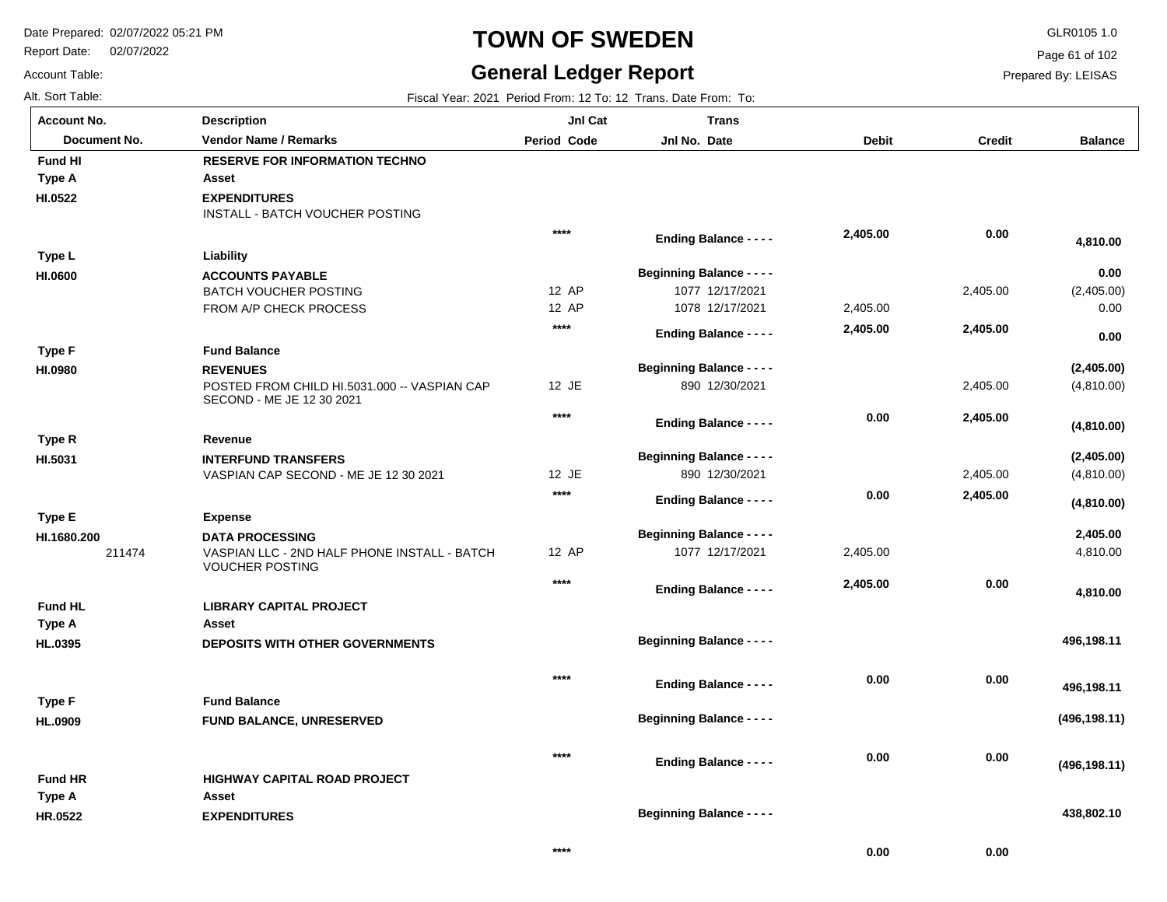Report Date: 02/07/2022

# **TOWN OF SWEDEN** GLR0105 1.0

#### **General Ledger Report**

**Balance**

(2,405.00) 0.00

 **4,810.00** 

 **0.00** 

 **0.00** 

(4,810.00)

**(2,405.00)**

(4,810.00)

**(4,810.00)**

**(2,405.00)**

**(4,810.00)**

4,810.00

 **4,810.00** 

 **496,198.11** 

**(496,198.11)**

 **496,198.11** 

 **438,802.10** 

**(496,198.11)**

 **2,405.00** 

Page 61 of 102

Prepared By: LEISAS

Account Table: Alt. Sort Table: Fiscal Year: 2021 Period From: 12 To: 12 Trans. Date From: To: **Account No.**

**HI.0522**

**Type A**

**Fund HI**

**HI.0600**

**Type L**

**HI.0980**

**Type F**

**HI.5031**

**Type E**

**Type R**

**HI.1680.200**

**HL.0395**

**Type A**

**Fund HL**

**HL.0909**

**Type F**

| unt No.      | <b>Description</b>                                                        | JnI Cat            | <b>Trans</b>                     |              |               |
|--------------|---------------------------------------------------------------------------|--------------------|----------------------------------|--------------|---------------|
| Document No. | <b>Vendor Name / Remarks</b>                                              | <b>Period Code</b> | Jnl No. Date                     | <b>Debit</b> | <b>Credit</b> |
| I HI         | <b>RESERVE FOR INFORMATION TECHNO</b>                                     |                    |                                  |              |               |
| ۰A           | Asset                                                                     |                    |                                  |              |               |
| 22           | <b>EXPENDITURES</b><br>INSTALL - BATCH VOUCHER POSTING                    |                    |                                  |              |               |
|              |                                                                           | $****$             | <b>Ending Balance - - - -</b>    | 2,405.00     | 0.00          |
| ۱L           | Liability                                                                 |                    |                                  |              |               |
| 00           | <b>ACCOUNTS PAYABLE</b>                                                   |                    | <b>Beginning Balance - - - -</b> |              |               |
|              | <b>BATCH VOUCHER POSTING</b>                                              | 12 AP              | 1077 12/17/2021                  |              | 2,405.00      |
|              | FROM A/P CHECK PROCESS                                                    | 12 AP              | 1078 12/17/2021                  | 2,405.00     |               |
|              |                                                                           | $***$              | <b>Ending Balance - - - -</b>    | 2,405.00     | 2,405.00      |
| ١F           | <b>Fund Balance</b>                                                       |                    |                                  |              |               |
| 80           | <b>REVENUES</b>                                                           |                    | <b>Beginning Balance - - - -</b> |              |               |
|              | POSTED FROM CHILD HI.5031.000 -- VASPIAN CAP<br>SECOND - ME JE 12 30 2021 | 12 JE              | 890 12/30/2021                   |              | 2,405.00      |
|              |                                                                           | $****$             | <b>Ending Balance - - - -</b>    | 0.00         | 2,405.00      |
| ۰R           | Revenue                                                                   |                    |                                  |              |               |
| 31           | <b>INTERFUND TRANSFERS</b>                                                |                    | <b>Beginning Balance - - - -</b> |              |               |
|              | VASPIAN CAP SECOND - ME JE 12 30 2021                                     | 12 JE              | 890 12/30/2021                   |              | 2,405.00      |
|              |                                                                           | $****$             | <b>Ending Balance - - - -</b>    | 0.00         | 2,405.00      |
| Е            | <b>Expense</b>                                                            |                    |                                  |              |               |
| 80.200       | <b>DATA PROCESSING</b>                                                    |                    | <b>Beginning Balance - - - -</b> |              |               |
| 211474       | VASPIAN LLC - 2ND HALF PHONE INSTALL - BATCH<br><b>VOUCHER POSTING</b>    | 12 AP              | 1077 12/17/2021                  | 2,405.00     |               |
|              |                                                                           | $****$             |                                  | 2,405.00     | 0.00          |
| I HL         | <b>LIBRARY CAPITAL PROJECT</b>                                            |                    | <b>Ending Balance - - - -</b>    |              |               |
| ۰A           | Asset                                                                     |                    |                                  |              |               |
|              | <b>DEPOSITS WITH OTHER GOVERNMENTS</b>                                    |                    | <b>Beginning Balance - - - -</b> |              |               |
| 395          |                                                                           |                    |                                  |              |               |
|              |                                                                           | $****$             | <b>Ending Balance - - - -</b>    | 0.00         | 0.00          |
| ۰F           | <b>Fund Balance</b>                                                       |                    |                                  |              |               |
| 909          | FUND BALANCE, UNRESERVED                                                  |                    | <b>Beginning Balance - - - -</b> |              |               |
|              |                                                                           | $****$             | <b>Ending Balance - - - -</b>    | 0.00         | 0.00          |

**\*\*\*\***

**Beginning Balance - - - -**

| <b>Fund HR</b> | <b>HIGHWAY CAPITAL ROAD PROJECT</b> |
|----------------|-------------------------------------|
| Type A         | Asset                               |
| <b>HR.0522</b> | <b>EXPENDITURES</b>                 |

 **0.00** 

 **0.00**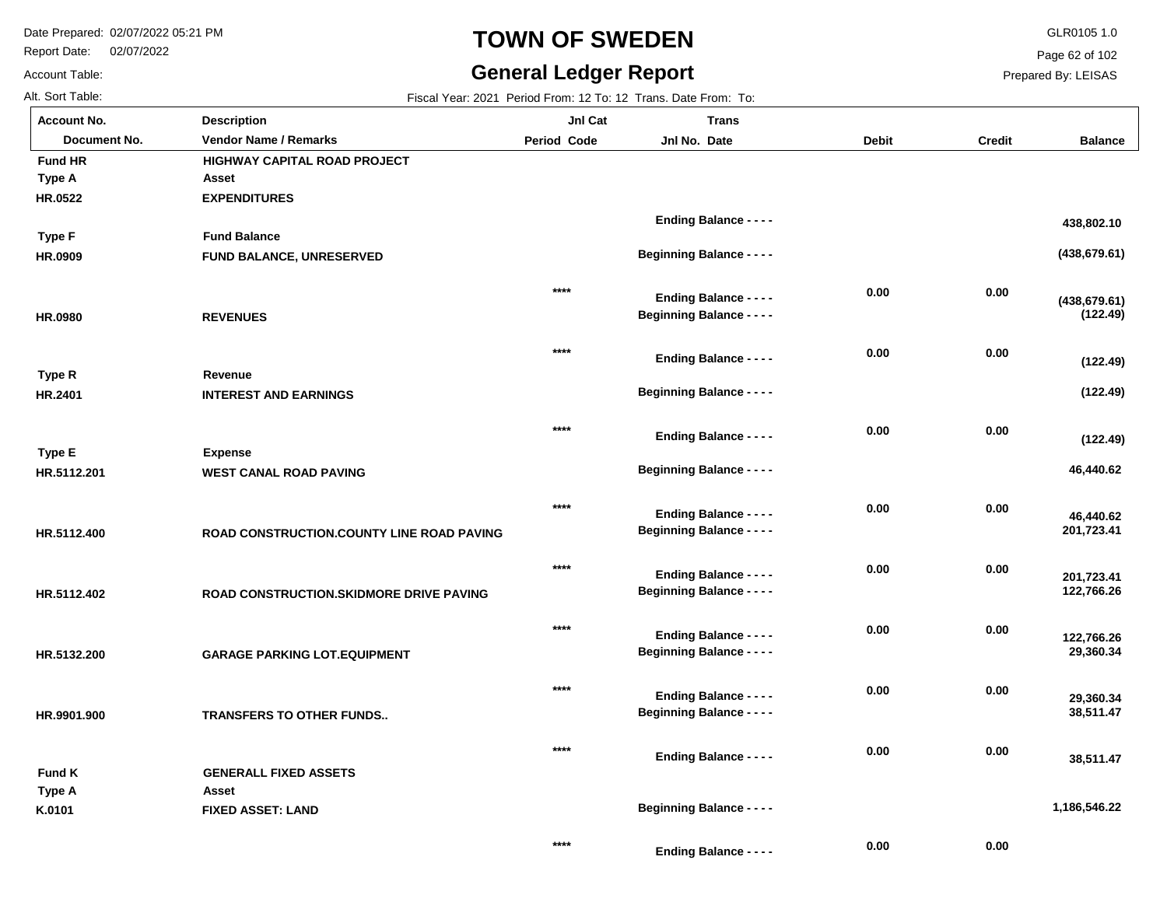Report Date: 02/07/2022

Account Table:

# **TOWN OF SWEDEN** GLR0105 1.0

#### **General Ledger Report**

Page 62 of 102

Prepared By: LEISAS

Alt. Sort Table: Fiscal Year: 2021 Period From: 12 To: 12 Trans. Date From: To:

| <b>Account No.</b> | <b>Description</b>                        | Jnl Cat     | <b>Trans</b>                                                      |              |               |                           |
|--------------------|-------------------------------------------|-------------|-------------------------------------------------------------------|--------------|---------------|---------------------------|
| Document No.       | <b>Vendor Name / Remarks</b>              | Period Code | Jnl No. Date                                                      | <b>Debit</b> | <b>Credit</b> | <b>Balance</b>            |
| <b>Fund HR</b>     | <b>HIGHWAY CAPITAL ROAD PROJECT</b>       |             |                                                                   |              |               |                           |
| Type A             | Asset                                     |             |                                                                   |              |               |                           |
| HR.0522            | <b>EXPENDITURES</b>                       |             |                                                                   |              |               |                           |
|                    |                                           |             | <b>Ending Balance - - - -</b>                                     |              |               | 438,802.10                |
| <b>Type F</b>      | <b>Fund Balance</b>                       |             |                                                                   |              |               |                           |
| HR.0909            | FUND BALANCE, UNRESERVED                  |             | <b>Beginning Balance - - - -</b>                                  |              |               | (438, 679.61)             |
|                    |                                           | ****        |                                                                   | 0.00         | 0.00          |                           |
|                    | <b>REVENUES</b>                           |             | <b>Ending Balance - - - -</b><br><b>Beginning Balance - - - -</b> |              |               | (438, 679.61)<br>(122.49) |
| HR.0980            |                                           |             |                                                                   |              |               |                           |
|                    |                                           | $***$       | <b>Ending Balance - - - -</b>                                     | 0.00         | 0.00          |                           |
| Type R             | Revenue                                   |             |                                                                   |              |               | (122.49)                  |
| HR.2401            | <b>INTEREST AND EARNINGS</b>              |             | <b>Beginning Balance - - - -</b>                                  |              |               | (122.49)                  |
|                    |                                           |             |                                                                   |              |               |                           |
|                    |                                           | $***$       | <b>Ending Balance - - - -</b>                                     | 0.00         | 0.00          |                           |
| <b>Type E</b>      | <b>Expense</b>                            |             |                                                                   |              |               | (122.49)                  |
| HR.5112.201        | <b>WEST CANAL ROAD PAVING</b>             |             | <b>Beginning Balance - - - -</b>                                  |              |               | 46,440.62                 |
|                    |                                           |             |                                                                   |              |               |                           |
|                    |                                           | ****        | <b>Ending Balance - - - -</b>                                     | 0.00         | 0.00          | 46,440.62                 |
| HR.5112.400        | ROAD CONSTRUCTION.COUNTY LINE ROAD PAVING |             | <b>Beginning Balance - - - -</b>                                  |              |               | 201,723.41                |
|                    |                                           |             |                                                                   |              |               |                           |
|                    |                                           | $****$      | <b>Ending Balance - - - -</b>                                     | 0.00         | 0.00          |                           |
|                    | ROAD CONSTRUCTION. SKIDMORE DRIVE PAVING  |             | <b>Beginning Balance - - - -</b>                                  |              |               | 201,723.41<br>122,766.26  |
| HR.5112.402        |                                           |             |                                                                   |              |               |                           |
|                    |                                           | ****        |                                                                   | 0.00         | 0.00          |                           |
|                    |                                           |             | <b>Ending Balance - - - -</b><br><b>Beginning Balance - - - -</b> |              |               | 122,766.26<br>29,360.34   |
| HR.5132.200        | <b>GARAGE PARKING LOT.EQUIPMENT</b>       |             |                                                                   |              |               |                           |
|                    |                                           | $****$      |                                                                   | 0.00         | 0.00          |                           |
|                    |                                           |             | <b>Ending Balance - - - -</b>                                     |              |               | 29,360.34                 |
| HR.9901.900        | <b>TRANSFERS TO OTHER FUNDS</b>           |             | <b>Beginning Balance - - - -</b>                                  |              |               | 38,511.47                 |
|                    |                                           | $***$       |                                                                   |              |               |                           |
|                    |                                           |             | <b>Ending Balance - - - -</b>                                     | 0.00         | 0.00          | 38,511.47                 |
| <b>Fund K</b>      | <b>GENERALL FIXED ASSETS</b>              |             |                                                                   |              |               |                           |
| Type A             | Asset                                     |             |                                                                   |              |               | 1,186,546.22              |
| K.0101             | <b>FIXED ASSET: LAND</b>                  |             | <b>Beginning Balance - - - -</b>                                  |              |               |                           |
|                    |                                           | $***$       |                                                                   | 0.00         | 0.00          |                           |
|                    |                                           |             | Ending Delense                                                    |              |               |                           |

**Ending Balance - - - -**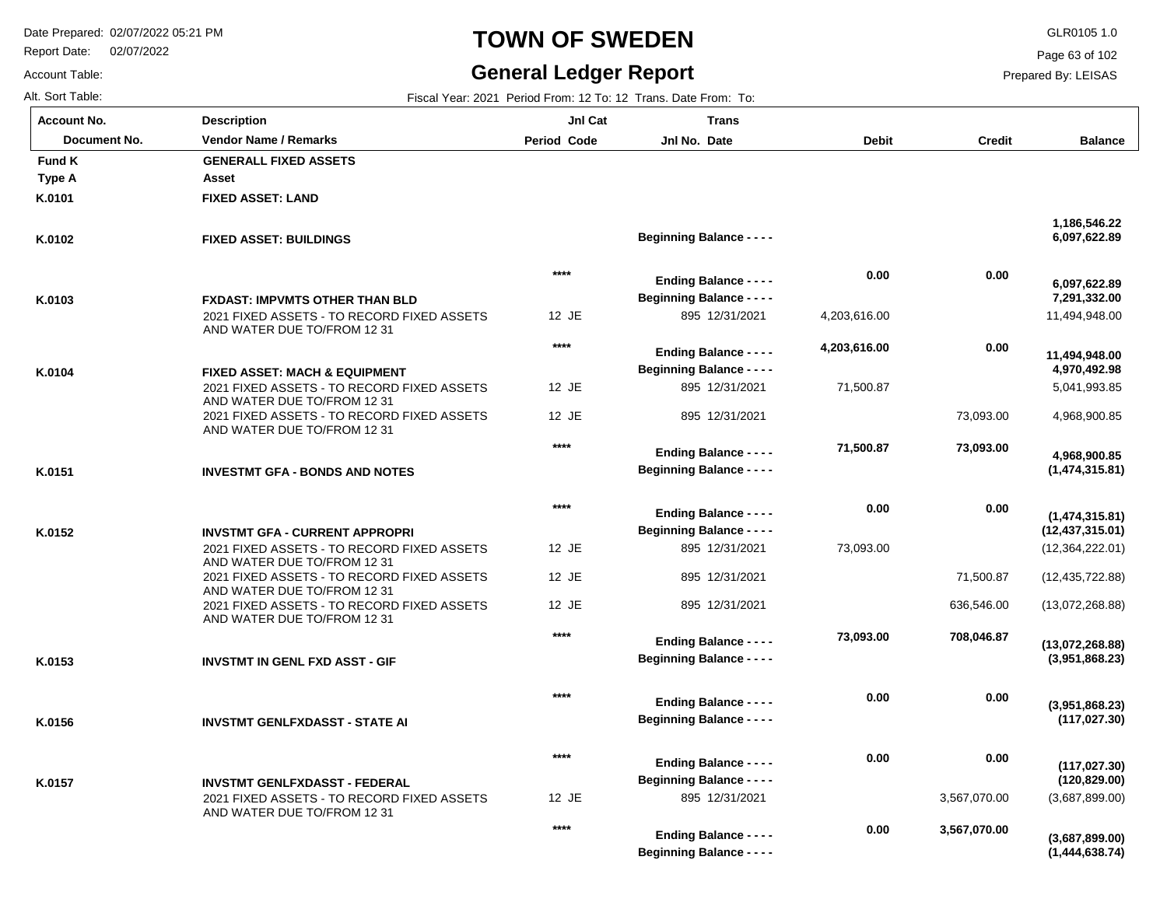Report Date: 02/07/2022

# **TOWN OF SWEDEN** GLR0105 1.0

#### **General Ledger Report**

**(1,444,638.74)**

Page 63 of 102

Prepared By: LEISAS

Account Table:

| Alt. Sort Table:   |                                                                           |             | Fiscal Year: 2021 Period From: 12 To: 12 Trans. Date From: To:    |              |               |                                     |
|--------------------|---------------------------------------------------------------------------|-------------|-------------------------------------------------------------------|--------------|---------------|-------------------------------------|
| <b>Account No.</b> | <b>Description</b>                                                        | JnI Cat     | <b>Trans</b>                                                      |              |               |                                     |
| Document No.       | <b>Vendor Name / Remarks</b>                                              | Period Code | Jnl No. Date                                                      | <b>Debit</b> | <b>Credit</b> | <b>Balance</b>                      |
| Fund K             | <b>GENERALL FIXED ASSETS</b>                                              |             |                                                                   |              |               |                                     |
| Type A             | Asset                                                                     |             |                                                                   |              |               |                                     |
| K.0101             | <b>FIXED ASSET: LAND</b>                                                  |             |                                                                   |              |               |                                     |
| K.0102             | <b>FIXED ASSET: BUILDINGS</b>                                             |             | <b>Beginning Balance - - - -</b>                                  |              |               | 1,186,546.22<br>6,097,622.89        |
|                    |                                                                           | $****$      | <b>Ending Balance - - - -</b>                                     | 0.00         | 0.00          | 6,097,622.89                        |
| K.0103             | <b>FXDAST: IMPVMTS OTHER THAN BLD</b>                                     |             | <b>Beginning Balance - - - -</b>                                  |              |               | 7,291,332.00                        |
|                    | 2021 FIXED ASSETS - TO RECORD FIXED ASSETS<br>AND WATER DUE TO/FROM 12 31 | 12 JE       | 895 12/31/2021                                                    | 4,203,616.00 |               | 11,494,948.00                       |
|                    |                                                                           | $***$       | <b>Ending Balance - - - -</b>                                     | 4,203,616.00 | 0.00          | 11,494,948.00                       |
| K.0104             | <b>FIXED ASSET: MACH &amp; EQUIPMENT</b>                                  |             | <b>Beginning Balance - - - -</b>                                  |              |               | 4,970,492.98                        |
|                    | 2021 FIXED ASSETS - TO RECORD FIXED ASSETS<br>AND WATER DUE TO/FROM 12 31 | 12 JE       | 895 12/31/2021                                                    | 71,500.87    |               | 5,041,993.85                        |
|                    | 2021 FIXED ASSETS - TO RECORD FIXED ASSETS<br>AND WATER DUE TO/FROM 12 31 | 12 JE       | 895 12/31/2021                                                    |              | 73,093.00     | 4,968,900.85                        |
|                    |                                                                           | $***$       | <b>Ending Balance - - - -</b>                                     | 71,500.87    | 73,093.00     | 4,968,900.85                        |
| K.0151             | <b>INVESTMT GFA - BONDS AND NOTES</b>                                     |             | <b>Beginning Balance - - - -</b>                                  |              |               | (1,474,315.81)                      |
| K.0152             | <b>INVSTMT GFA - CURRENT APPROPRI</b>                                     | $****$      | <b>Ending Balance - - - -</b><br><b>Beginning Balance - - - -</b> | 0.00         | 0.00          | (1,474,315.81)<br>(12, 437, 315.01) |
|                    | 2021 FIXED ASSETS - TO RECORD FIXED ASSETS                                | 12 JE       | 895 12/31/2021                                                    | 73,093.00    |               | (12,364,222.01)                     |
|                    | AND WATER DUE TO/FROM 12 31<br>2021 FIXED ASSETS - TO RECORD FIXED ASSETS | 12 JE       | 895 12/31/2021                                                    |              | 71,500.87     | (12, 435, 722.88)                   |
|                    | AND WATER DUE TO/FROM 12 31                                               |             |                                                                   |              |               |                                     |
|                    | 2021 FIXED ASSETS - TO RECORD FIXED ASSETS<br>AND WATER DUE TO/FROM 12 31 | 12 JE       | 895 12/31/2021                                                    |              | 636,546.00    | (13,072,268.88)                     |
|                    |                                                                           | $***$       | <b>Ending Balance - - - -</b>                                     | 73,093.00    | 708,046.87    | (13,072,268.88)                     |
| K.0153             | <b>INVSTMT IN GENL FXD ASST - GIF</b>                                     |             | <b>Beginning Balance - - - -</b>                                  |              |               | (3,951,868.23)                      |
|                    |                                                                           | $***$       | <b>Ending Balance - - - -</b>                                     | 0.00         | 0.00          | (3,951,868.23)                      |
| K.0156             | <b>INVSTMT GENLFXDASST - STATE AI</b>                                     |             | <b>Beginning Balance - - - -</b>                                  |              |               | (117, 027.30)                       |
|                    |                                                                           | $****$      | <b>Ending Balance - - - -</b>                                     | 0.00         | 0.00          | (117, 027.30)                       |
| K.0157             | <b>INVSTMT GENLFXDASST - FEDERAL</b>                                      |             | <b>Beginning Balance - - - -</b>                                  |              |               | (120, 829.00)                       |
|                    | 2021 FIXED ASSETS - TO RECORD FIXED ASSETS<br>AND WATER DUE TO/FROM 12 31 | 12 JE       | 895 12/31/2021                                                    |              | 3,567,070.00  | (3,687,899.00)                      |
|                    |                                                                           | ****        | <b>Ending Balance - - - -</b>                                     | 0.00         | 3,567,070.00  | (3,687,899.00)                      |

**Beginning Balance - - - -**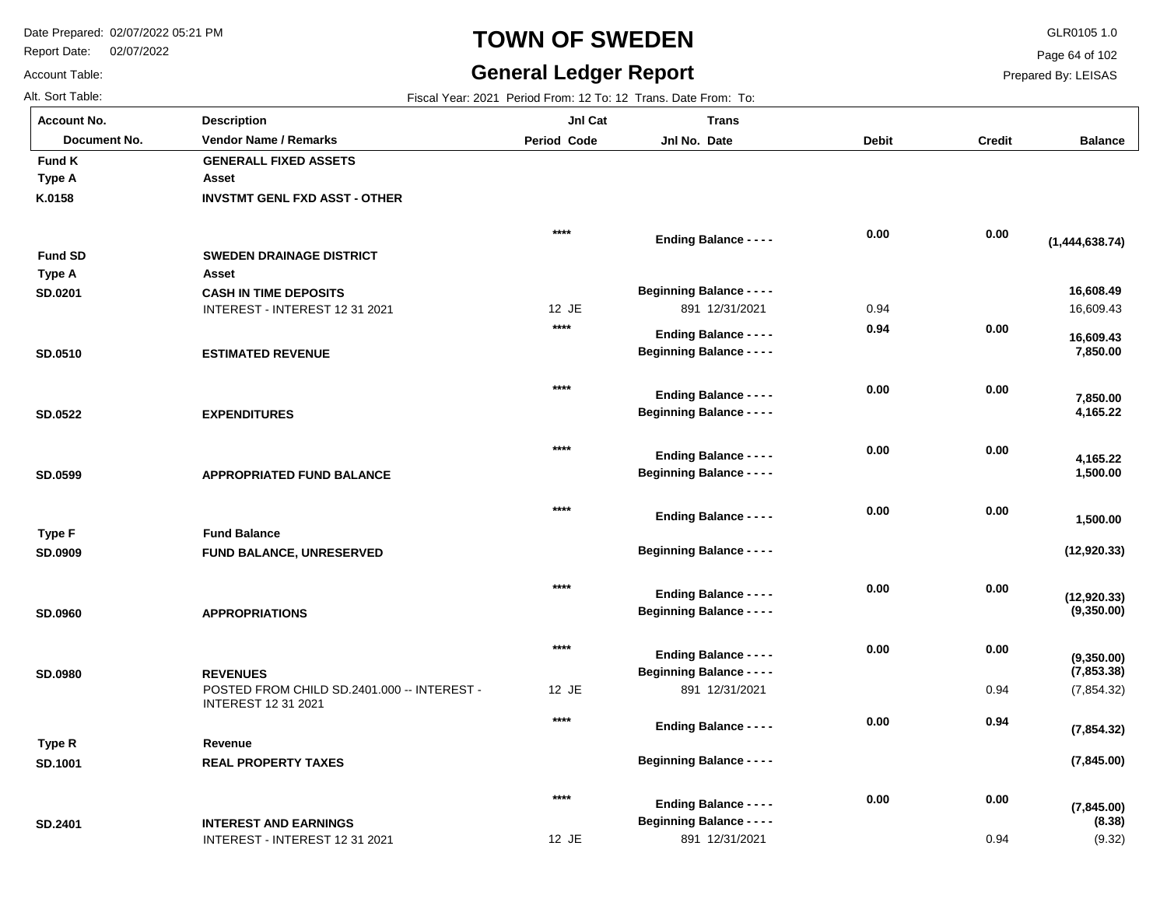INTEREST - INTEREST 12 31 2021

**INTEREST AND EARNINGS**

Report Date: 02/07/2022

## **TOWN OF SWEDEN** GLR0105 1.0

#### **General Ledger Report**

**(7,845.00)**

(9.32)

**(8.38)**

Page 64 of 102

Prepared By: LEISAS

0.94

Account Table: Alt. Sort Table: Fiscal Year: 2021 Period From: 12 To: 12 Trans. Date From: To: 12 Trans. Date From: To: 12 Trans. Date From: To:

**SD.2401**

| <b>Account No.</b> | <b>Description</b>                          | JnI Cat     | <b>Trans</b>                     |              |               |                       |
|--------------------|---------------------------------------------|-------------|----------------------------------|--------------|---------------|-----------------------|
| Document No.       | <b>Vendor Name / Remarks</b>                | Period Code | Jnl No. Date                     | <b>Debit</b> | <b>Credit</b> | <b>Balance</b>        |
| <b>Fund K</b>      | <b>GENERALL FIXED ASSETS</b>                |             |                                  |              |               |                       |
| Type A             | Asset                                       |             |                                  |              |               |                       |
| K.0158             | <b>INVSTMT GENL FXD ASST - OTHER</b>        |             |                                  |              |               |                       |
|                    |                                             | $***$       | <b>Ending Balance - - - -</b>    | 0.00         | 0.00          |                       |
| <b>Fund SD</b>     | <b>SWEDEN DRAINAGE DISTRICT</b>             |             |                                  |              |               | (1,444,638.74)        |
| Type A             | Asset                                       |             |                                  |              |               |                       |
| SD.0201            | <b>CASH IN TIME DEPOSITS</b>                |             | <b>Beginning Balance - - - -</b> |              |               | 16,608.49             |
|                    | INTEREST - INTEREST 12 31 2021              | 12 JE       | 891 12/31/2021                   | 0.94         |               | 16,609.43             |
|                    |                                             | $***$       | <b>Ending Balance - - - -</b>    | 0.94         | 0.00          |                       |
|                    |                                             |             | <b>Beginning Balance - - - -</b> |              |               | 16,609.43<br>7,850.00 |
| SD.0510            | <b>ESTIMATED REVENUE</b>                    |             |                                  |              |               |                       |
|                    |                                             | $***$       | <b>Ending Balance - - - -</b>    | 0.00         | 0.00          |                       |
| <b>SD.0522</b>     | <b>EXPENDITURES</b>                         |             | <b>Beginning Balance - - - -</b> |              |               | 7,850.00<br>4,165.22  |
|                    |                                             |             |                                  |              |               |                       |
|                    |                                             | $****$      | <b>Ending Balance - - - -</b>    | 0.00         | 0.00          |                       |
| SD.0599            | <b>APPROPRIATED FUND BALANCE</b>            |             | <b>Beginning Balance - - - -</b> |              |               | 4,165.22<br>1,500.00  |
|                    |                                             |             |                                  |              |               |                       |
|                    |                                             | $***$       | <b>Ending Balance - - - -</b>    | 0.00         | 0.00          |                       |
| <b>Type F</b>      | <b>Fund Balance</b>                         |             |                                  |              |               | 1,500.00              |
| SD.0909            | FUND BALANCE, UNRESERVED                    |             | <b>Beginning Balance - - - -</b> |              |               | (12, 920.33)          |
|                    |                                             |             |                                  |              |               |                       |
|                    |                                             | $***$       | <b>Ending Balance - - - -</b>    | 0.00         | 0.00          | (12, 920.33)          |
| SD.0960            | <b>APPROPRIATIONS</b>                       |             | <b>Beginning Balance - - - -</b> |              |               | (9,350.00)            |
|                    |                                             |             |                                  |              |               |                       |
|                    |                                             | $****$      | <b>Ending Balance - - - -</b>    | 0.00         | 0.00          | (9,350.00)            |
| <b>SD.0980</b>     | <b>REVENUES</b>                             |             | <b>Beginning Balance - - - -</b> |              |               | (7, 853.38)           |
|                    | POSTED FROM CHILD SD.2401.000 -- INTEREST - | 12 JE       | 891 12/31/2021                   |              | 0.94          | (7, 854.32)           |
|                    | <b>INTEREST 12 31 2021</b>                  | $***$       |                                  |              |               |                       |
|                    |                                             |             | <b>Ending Balance - - - -</b>    | 0.00         | 0.94          | (7, 854.32)           |
| Type R             | Revenue                                     |             |                                  |              |               |                       |
| SD.1001            | <b>REAL PROPERTY TAXES</b>                  |             | <b>Beginning Balance - - - -</b> |              |               | (7, 845.00)           |
|                    |                                             | $***$       | - - - -                          | 0.00         | 0.00          |                       |

12 JE

891 12/31/2021

**Beginning Balance - - - -**

**Ending Balance - - - -**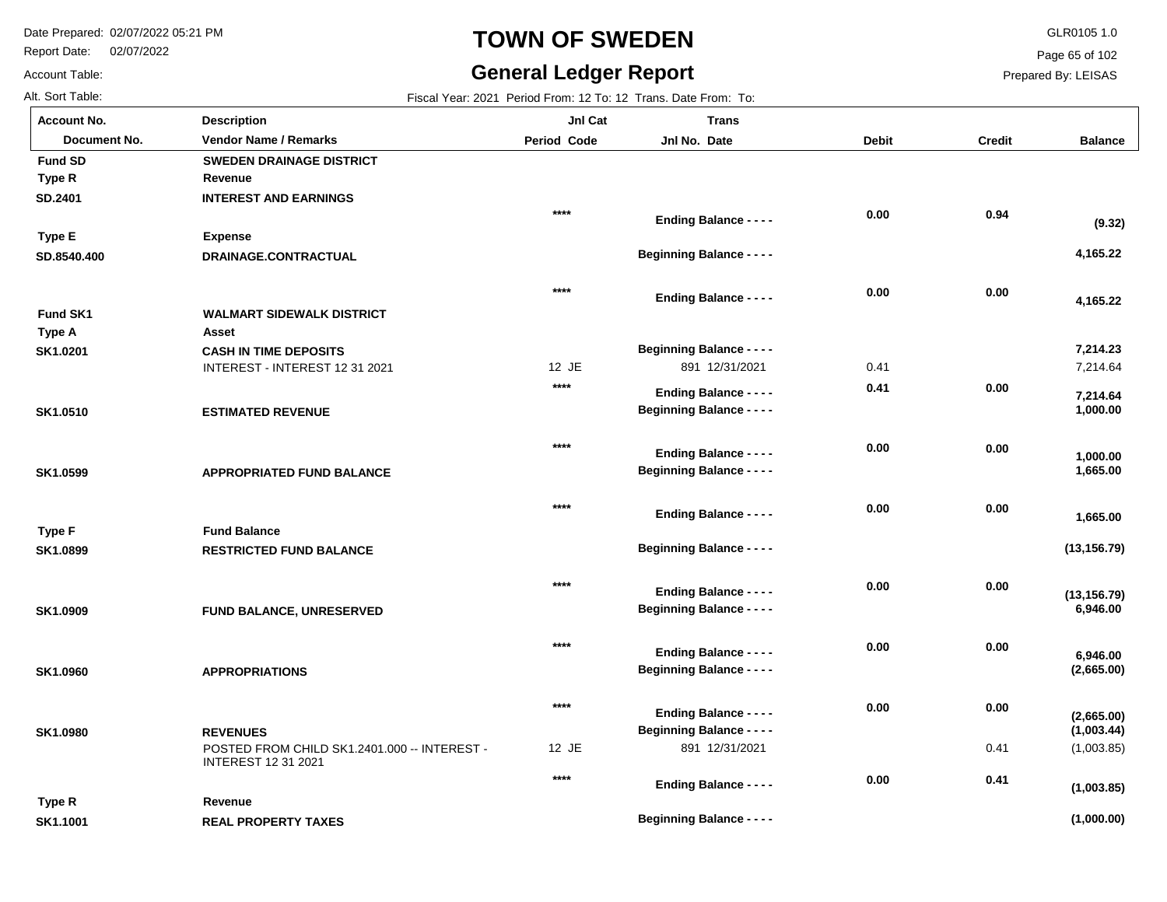Report Date: 02/07/2022

#### **TOWN OF SWEDEN** GLR0105 1.0

**Beginning Balance - - - -**

**Balance**

7,214.64

 **1,000.00** 

 **7,214.64** 

 **1,665.00** 

 **1,665.00** 

 **1,000.00** 

**(13,156.79)**

 **6,946.00** 

**(13,156.79)**

**(2,665.00)**

 **6,946.00** 

 **7,214.23** 

 **4,165.22** 

 **4,165.22** 

**(9.32)**

(1,003.85)

**(1,000.00)**

**(1,003.85)**

**(1,003.44)**

**(2,665.00)**

Page 65 of 102

Prepared By: LEISAS

| Account Table:     | <b>General Ledger Report</b>                                               |                    |                                                                   |              | P             |
|--------------------|----------------------------------------------------------------------------|--------------------|-------------------------------------------------------------------|--------------|---------------|
| Alt. Sort Table:   |                                                                            |                    | Fiscal Year: 2021 Period From: 12 To: 12 Trans. Date From: To:    |              |               |
| <b>Account No.</b> | <b>Description</b>                                                         | JnI Cat            | <b>Trans</b>                                                      |              |               |
| Document No.       | <b>Vendor Name / Remarks</b>                                               | <b>Period Code</b> | Jnl No. Date                                                      | <b>Debit</b> | <b>Credit</b> |
| <b>Fund SD</b>     | <b>SWEDEN DRAINAGE DISTRICT</b>                                            |                    |                                                                   |              |               |
| Type R             | Revenue                                                                    |                    |                                                                   |              |               |
| SD.2401            | <b>INTEREST AND EARNINGS</b>                                               |                    |                                                                   |              |               |
|                    |                                                                            | $****$             | <b>Ending Balance - - - -</b>                                     | 0.00         | 0.94          |
| <b>Type E</b>      | <b>Expense</b>                                                             |                    |                                                                   |              |               |
| SD.8540.400        | DRAINAGE.CONTRACTUAL                                                       |                    | <b>Beginning Balance - - - -</b>                                  |              |               |
|                    |                                                                            | $****$             | <b>Ending Balance - - - -</b>                                     | 0.00         | 0.00          |
| <b>Fund SK1</b>    | <b>WALMART SIDEWALK DISTRICT</b>                                           |                    |                                                                   |              |               |
| Type A             | Asset                                                                      |                    |                                                                   |              |               |
| SK1.0201           | <b>CASH IN TIME DEPOSITS</b>                                               |                    | <b>Beginning Balance - - - -</b>                                  |              |               |
|                    | INTEREST - INTEREST 12 31 2021                                             | 12 JE              | 891 12/31/2021                                                    | 0.41         |               |
|                    |                                                                            | $***$              | <b>Ending Balance - - - -</b>                                     | 0.41         | 0.00          |
| SK1.0510           | <b>ESTIMATED REVENUE</b>                                                   |                    | <b>Beginning Balance - - - -</b>                                  |              |               |
|                    |                                                                            | ****               |                                                                   | 0.00         | 0.00          |
| SK1.0599           | <b>APPROPRIATED FUND BALANCE</b>                                           |                    | <b>Ending Balance - - - -</b><br><b>Beginning Balance - - - -</b> |              |               |
|                    |                                                                            |                    |                                                                   |              |               |
|                    |                                                                            | $***$              | <b>Ending Balance - - - -</b>                                     | 0.00         | 0.00          |
| <b>Type F</b>      | <b>Fund Balance</b>                                                        |                    |                                                                   |              |               |
| SK1.0899           | <b>RESTRICTED FUND BALANCE</b>                                             |                    | <b>Beginning Balance - - - -</b>                                  |              |               |
|                    |                                                                            |                    |                                                                   |              |               |
|                    |                                                                            | $***$              | <b>Ending Balance - - - -</b>                                     | 0.00         | 0.00          |
| SK1.0909           | <b>FUND BALANCE, UNRESERVED</b>                                            |                    | <b>Beginning Balance - - - -</b>                                  |              |               |
|                    |                                                                            | $***$              | <b>Ending Balance - - - -</b>                                     | 0.00         | 0.00          |
| SK1.0960           | <b>APPROPRIATIONS</b>                                                      |                    | <b>Beginning Balance - - - -</b>                                  |              |               |
|                    |                                                                            | $****$             |                                                                   | 0.00         | 0.00          |
|                    |                                                                            |                    | <b>Ending Balance - - - -</b>                                     |              |               |
| SK1.0980           | <b>REVENUES</b>                                                            | 12 JE              | <b>Beginning Balance - - - -</b><br>891 12/31/2021                |              |               |
|                    | POSTED FROM CHILD SK1.2401.000 -- INTEREST -<br><b>INTEREST 12 31 2021</b> |                    |                                                                   |              | 0.41          |
|                    |                                                                            | $***$              | <b>Ending Balance - - - -</b>                                     | 0.00         | 0.41          |
| Type R             | Revenue                                                                    |                    |                                                                   |              |               |

**REAL PROPERTY TAXES SK1.1001**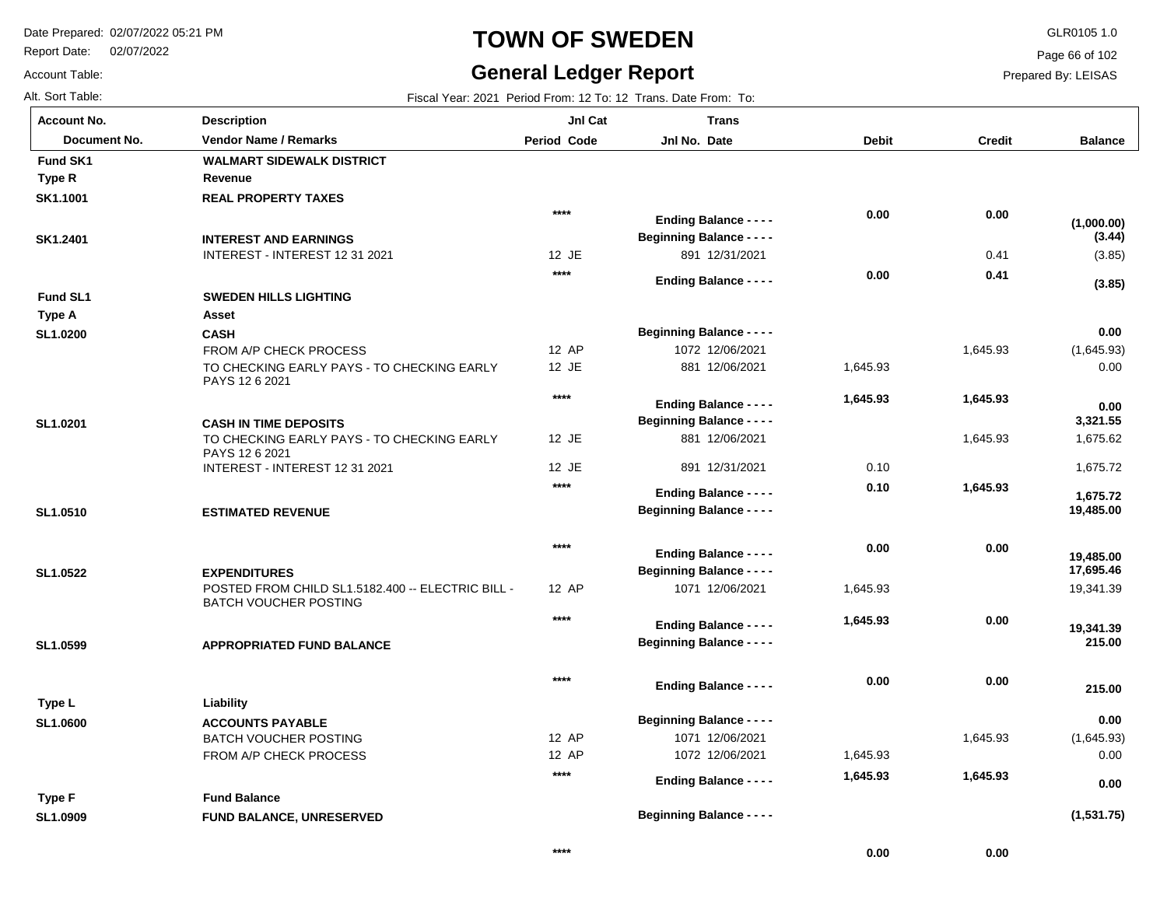Report Date: 02/07/2022

Account Table:

# **TOWN OF SWEDEN** GLR0105 1.0

#### **General Ledger Report**

Page 66 of 102

Prepared By: LEISAS

 **0.00** 

 **0.00** 

| Alt. Sort Table:   |                                                              |                    | Fiscal Year: 2021 Period From: 12 To: 12 Trans. Date From: To: |              |               |                        |
|--------------------|--------------------------------------------------------------|--------------------|----------------------------------------------------------------|--------------|---------------|------------------------|
| <b>Account No.</b> | <b>Description</b>                                           | Jnl Cat            | <b>Trans</b>                                                   |              |               |                        |
| Document No.       | <b>Vendor Name / Remarks</b>                                 | <b>Period Code</b> | Jnl No. Date                                                   | <b>Debit</b> | <b>Credit</b> | <b>Balance</b>         |
| Fund SK1           | <b>WALMART SIDEWALK DISTRICT</b>                             |                    |                                                                |              |               |                        |
| Type R             | Revenue                                                      |                    |                                                                |              |               |                        |
| SK1.1001           | <b>REAL PROPERTY TAXES</b>                                   |                    |                                                                |              |               |                        |
|                    |                                                              | $***$              | <b>Ending Balance - - - -</b>                                  | 0.00         | 0.00          | (1,000.00)             |
| SK1.2401           | <b>INTEREST AND EARNINGS</b>                                 |                    | <b>Beginning Balance - - - -</b>                               |              |               | (3.44)                 |
|                    | INTEREST - INTEREST 12 31 2021                               | 12 JE              | 891 12/31/2021                                                 |              | 0.41          | (3.85)                 |
|                    |                                                              | $***$              | <b>Ending Balance - - - -</b>                                  | 0.00         | 0.41          |                        |
| Fund SL1           | <b>SWEDEN HILLS LIGHTING</b>                                 |                    |                                                                |              |               | (3.85)                 |
| Type A             | Asset                                                        |                    |                                                                |              |               |                        |
| SL1.0200           | <b>CASH</b>                                                  |                    | <b>Beginning Balance - - - -</b>                               |              |               | 0.00                   |
|                    | FROM A/P CHECK PROCESS                                       | 12 AP              | 1072 12/06/2021                                                |              | 1,645.93      | (1,645.93)             |
|                    | TO CHECKING EARLY PAYS - TO CHECKING EARLY<br>PAYS 12 6 2021 | 12 JE              | 881 12/06/2021                                                 | 1,645.93     |               | 0.00                   |
|                    |                                                              | $***$              | Ending Balance - - - -                                         | 1,645.93     | 1,645.93      | 0.00                   |
| SL1.0201           | <b>CASH IN TIME DEPOSITS</b>                                 |                    | <b>Beginning Balance - - - -</b>                               |              |               | 3,321.55               |
|                    | TO CHECKING EARLY PAYS - TO CHECKING EARLY<br>PAYS 12 6 2021 | 12 JE              | 881 12/06/2021                                                 |              | 1,645.93      | 1,675.62               |
|                    | INTEREST - INTEREST 12 31 2021                               | 12 JE              | 891 12/31/2021                                                 | 0.10         |               | 1,675.72               |
|                    |                                                              | $****$             | <b>Ending Balance - - - -</b>                                  | 0.10         | 1,645.93      |                        |
| SL1.0510           | <b>ESTIMATED REVENUE</b>                                     |                    | <b>Beginning Balance - - - -</b>                               |              |               | 1,675.72<br>19,485.00  |
|                    |                                                              |                    |                                                                |              |               |                        |
|                    |                                                              | $***$              | <b>Ending Balance - - - -</b>                                  | 0.00         | 0.00          |                        |
| SL1.0522           | <b>EXPENDITURES</b>                                          |                    | <b>Beginning Balance - - - -</b>                               |              |               | 19,485.00<br>17,695.46 |
|                    | POSTED FROM CHILD SL1.5182.400 -- ELECTRIC BILL -            | 12 AP              | 1071 12/06/2021                                                | 1,645.93     |               | 19,341.39              |
|                    | <b>BATCH VOUCHER POSTING</b>                                 |                    |                                                                |              |               |                        |
|                    |                                                              | $***$              | <b>Ending Balance - - - -</b>                                  | 1,645.93     | 0.00          | 19,341.39              |
| SL1.0599           | <b>APPROPRIATED FUND BALANCE</b>                             |                    | <b>Beginning Balance - - - -</b>                               |              |               | 215.00                 |
|                    |                                                              |                    |                                                                |              |               |                        |
|                    |                                                              | $***$              | <b>Ending Balance - - - -</b>                                  | 0.00         | 0.00          | 215.00                 |
| Type L             | Liability                                                    |                    |                                                                |              |               |                        |
| SL1.0600           | <b>ACCOUNTS PAYABLE</b>                                      |                    | <b>Beginning Balance - - - -</b>                               |              |               | 0.00                   |
|                    | <b>BATCH VOUCHER POSTING</b>                                 | 12 AP              | 1071 12/06/2021                                                |              | 1,645.93      | (1,645.93)             |
|                    | FROM A/P CHECK PROCESS                                       | 12 AP              | 1072 12/06/2021                                                | 1,645.93     |               | 0.00                   |
|                    |                                                              | $****$             | <b>Ending Balance - - - -</b>                                  | 1,645.93     | 1,645.93      | 0.00                   |
| Type F             | <b>Fund Balance</b>                                          |                    |                                                                |              |               |                        |
| SL1.0909           | <b>FUND BALANCE, UNRESERVED</b>                              |                    | <b>Beginning Balance - - - -</b>                               |              |               | (1,531.75)             |
|                    |                                                              |                    |                                                                |              |               |                        |

**\*\*\*\***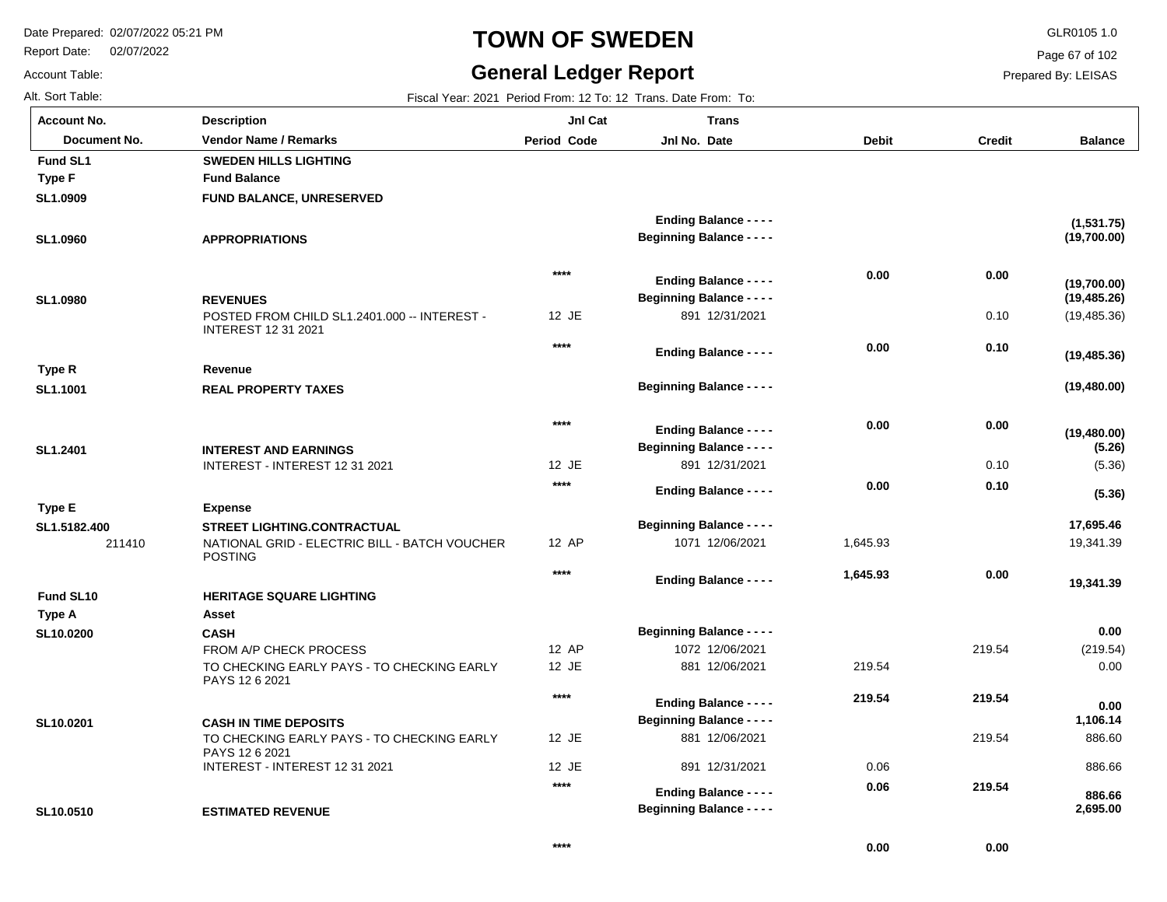Report Date: 02/07/2022

# **TOWN OF SWEDEN** GLR0105 1.0

**Balance**

(19,485.36)

**(19,480.00)**

**(19,480.00)**

**(19,485.36)**

**(19,485.26)**

**(19,700.00)**

**(19,700.00)**

**(1,531.75)**

(5.36)

**(5.36)**

**(5.26)**

19,341.39

 **19,341.39** 

 **17,695.46** 

(219.54) 0.00

 **0.00** 

 886.60 886.66

 **0.00** 

 **1,106.14** 

 **2,695.00** 

 **886.66** 

Page 67 of 102

Prepared By: LEISAS

| Account No.  |
|--------------|
| Document No. |

| Account Table:     | <b>General Ledger Report</b>                                               |                    |                                                                   |              |               |  |  |
|--------------------|----------------------------------------------------------------------------|--------------------|-------------------------------------------------------------------|--------------|---------------|--|--|
| Alt. Sort Table:   | Fiscal Year: 2021 Period From: 12 To: 12 Trans. Date From: To:             |                    |                                                                   |              |               |  |  |
| <b>Account No.</b> | <b>Description</b>                                                         | JnI Cat            | <b>Trans</b>                                                      |              |               |  |  |
| Document No.       | <b>Vendor Name / Remarks</b>                                               | <b>Period Code</b> | Jnl No. Date                                                      | <b>Debit</b> | <b>Credit</b> |  |  |
| Fund SL1           | <b>SWEDEN HILLS LIGHTING</b>                                               |                    |                                                                   |              |               |  |  |
| <b>Type F</b>      | <b>Fund Balance</b>                                                        |                    |                                                                   |              |               |  |  |
| SL1.0909           | <b>FUND BALANCE, UNRESERVED</b>                                            |                    |                                                                   |              |               |  |  |
|                    |                                                                            |                    | <b>Ending Balance - - - -</b>                                     |              |               |  |  |
| SL1.0960           | <b>APPROPRIATIONS</b>                                                      |                    | <b>Beginning Balance - - - -</b>                                  |              |               |  |  |
|                    |                                                                            | $****$             | <b>Ending Balance - - - -</b>                                     | 0.00         | 0.00          |  |  |
| SL1.0980           | <b>REVENUES</b>                                                            |                    | <b>Beginning Balance - - - -</b>                                  |              |               |  |  |
|                    | POSTED FROM CHILD SL1.2401.000 -- INTEREST -<br><b>INTEREST 12 31 2021</b> | 12 JE              | 891 12/31/2021                                                    |              | 0.10          |  |  |
|                    |                                                                            | $****$             | <b>Ending Balance - - - -</b>                                     | 0.00         | 0.10          |  |  |
| Type R             | Revenue                                                                    |                    |                                                                   |              |               |  |  |
| SL1.1001           | <b>REAL PROPERTY TAXES</b>                                                 |                    | <b>Beginning Balance - - - -</b>                                  |              |               |  |  |
|                    |                                                                            | $****$             |                                                                   | 0.00         | 0.00          |  |  |
|                    |                                                                            |                    | <b>Ending Balance - - - -</b><br><b>Beginning Balance - - - -</b> |              |               |  |  |
| SL1.2401           | <b>INTEREST AND EARNINGS</b><br>INTEREST - INTEREST 12 31 2021             | 12 JE              | 891 12/31/2021                                                    |              | 0.10          |  |  |
|                    |                                                                            | $***$              |                                                                   | 0.00         | 0.10          |  |  |
|                    |                                                                            |                    | <b>Ending Balance - - - -</b>                                     |              |               |  |  |
| <b>Type E</b>      | <b>Expense</b>                                                             |                    |                                                                   |              |               |  |  |
| SL1.5182.400       | <b>STREET LIGHTING.CONTRACTUAL</b>                                         |                    | <b>Beginning Balance - - - -</b>                                  |              |               |  |  |
| 211410             | NATIONAL GRID - ELECTRIC BILL - BATCH VOUCHER<br><b>POSTING</b>            | 12 AP              | 1071 12/06/2021                                                   | 1,645.93     |               |  |  |

|           |                                                              | $***$   | <b>Ending Balance - - - -</b>    | 1,645.93 | 0.00   |
|-----------|--------------------------------------------------------------|---------|----------------------------------|----------|--------|
| Fund SL10 | <b>HERITAGE SQUARE LIGHTING</b>                              |         |                                  |          |        |
| Type A    | Asset                                                        |         |                                  |          |        |
| SL10.0200 | <b>CASH</b>                                                  |         | <b>Beginning Balance - - - -</b> |          |        |
|           | FROM A/P CHECK PROCESS                                       | 12 AP   | 1072 12/06/2021                  |          | 219.54 |
|           | TO CHECKING EARLY PAYS - TO CHECKING EARLY<br>PAYS 12 6 2021 | $12$ JE | 12/06/2021<br>881                | 219.54   |        |
|           |                                                              | $***$   | <b>Ending Balance - - - -</b>    | 219.54   | 219.54 |
| SL10.0201 | <b>CASH IN TIME DEPOSITS</b>                                 |         | <b>Beginning Balance - - - -</b> |          |        |
|           | TO CHECKING EARLY PAYS - TO CHECKING EARLY<br>PAYS 12 6 2021 | $12$ JE | 881 12/06/2021                   |          | 219.54 |
|           | INTEREST - INTEREST 12 31 2021                               | $12$ JE | 891 12/31/2021                   | 0.06     |        |
|           |                                                              | $***$   | <b>Ending Balance - - - -</b>    | 0.06     | 219.54 |
| SL10.0510 | <b>ESTIMATED REVENUE</b>                                     |         | <b>Beginning Balance - - - -</b> |          |        |

 **0.00** 

 **0.00**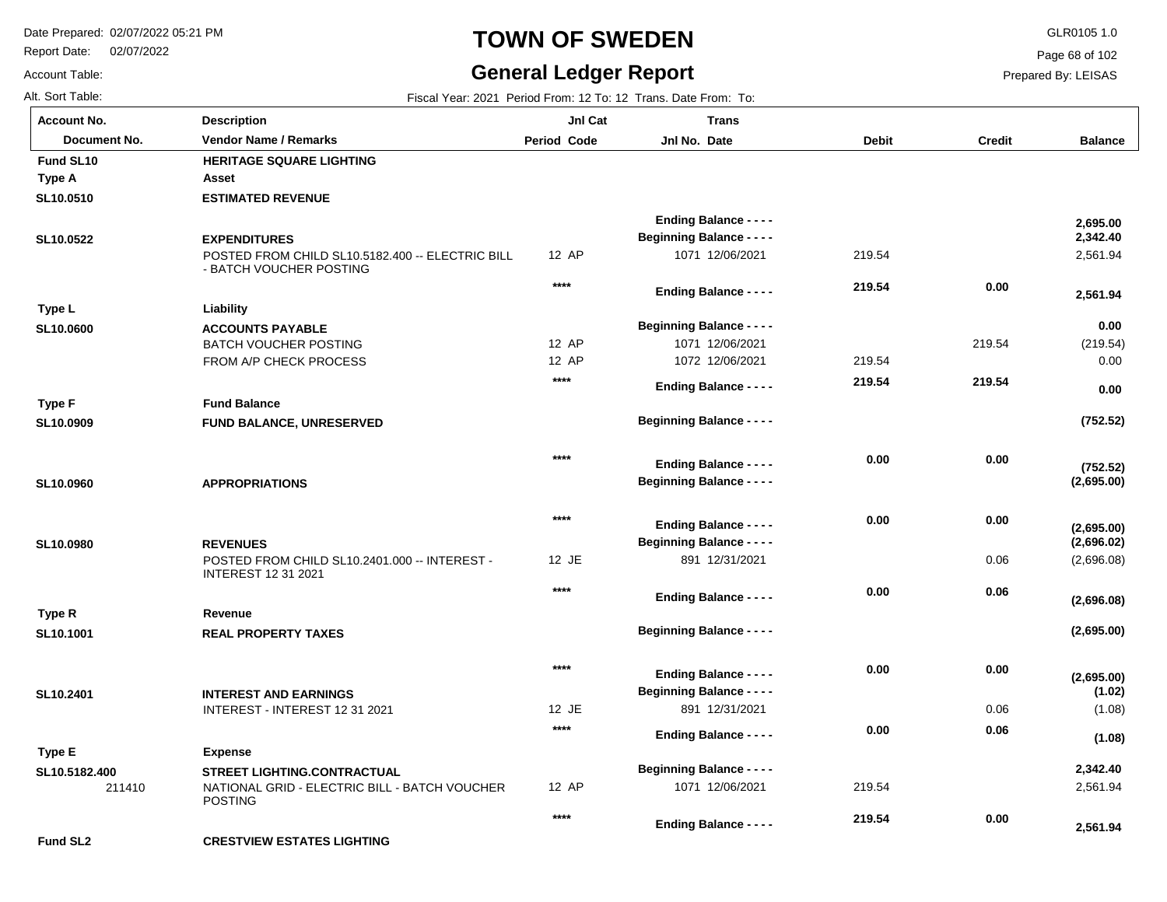**Description**

Report Date: 02/07/2022

## **TOWN OF SWEDEN** GLR0105 1.0

#### **General Ledger Report**

**Balance**

Page 68 of 102

Prepared By: LEISAS

|                | ˈ Account No.    | <b>Description</b> | JnI Cat                                                        | Trans |  |  |
|----------------|------------------|--------------------|----------------------------------------------------------------|-------|--|--|
|                | Alt. Sort Table: |                    | Fiscal Year: 2021 Period From: 12 To: 12 Trans. Date From: To: |       |  |  |
| Account Table: |                  |                    | <b>General Ledger Report</b>                                   |       |  |  |

**SL10.0510**

**Fund SL10**

**Type A**

| Document No. | <b>Vendor Name / Remarks</b>                                                 | <b>Period Code</b> | Jnl No. Date                     | <b>Debit</b> | Credit |
|--------------|------------------------------------------------------------------------------|--------------------|----------------------------------|--------------|--------|
| I SL10       | <b>HERITAGE SQUARE LIGHTING</b>                                              |                    |                                  |              |        |
| A            | Asset                                                                        |                    |                                  |              |        |
| .0510        | <b>ESTIMATED REVENUE</b>                                                     |                    |                                  |              |        |
|              |                                                                              |                    | <b>Ending Balance - - - -</b>    |              |        |
| .0522        | <b>EXPENDITURES</b>                                                          |                    | <b>Beginning Balance - - - -</b> |              |        |
|              | POSTED FROM CHILD SL10.5182.400 -- ELECTRIC BILL<br>- RATCH VOLICHER POSTING | 12 AP              | 1071 12/06/2021                  | 219.54       |        |

|                      |                                                                             |        | <b>Ending Balance - - - -</b>                                     |        |        | 2,695.00   |
|----------------------|-----------------------------------------------------------------------------|--------|-------------------------------------------------------------------|--------|--------|------------|
| SL10.0522            | <b>EXPENDITURES</b>                                                         |        | <b>Beginning Balance - - - -</b>                                  |        |        | 2,342.40   |
|                      | POSTED FROM CHILD SL10.5182.400 -- ELECTRIC BILL<br>- BATCH VOUCHER POSTING | 12 AP  | 1071 12/06/2021                                                   | 219.54 |        | 2,561.94   |
|                      |                                                                             | $****$ | <b>Ending Balance - - - -</b>                                     | 219.54 | 0.00   | 2,561.94   |
| Type L               | Liability                                                                   |        |                                                                   |        |        |            |
| SL10.0600            | <b>ACCOUNTS PAYABLE</b>                                                     |        | <b>Beginning Balance - - - -</b>                                  |        |        | 0.00       |
|                      | <b>BATCH VOUCHER POSTING</b>                                                | 12 AP  | 1071 12/06/2021                                                   |        | 219.54 | (219.54)   |
|                      | FROM A/P CHECK PROCESS                                                      | 12 AP  | 1072 12/06/2021                                                   | 219.54 |        | 0.00       |
|                      |                                                                             | $***$  | <b>Ending Balance - - - -</b>                                     | 219.54 | 219.54 | 0.00       |
| <b>Type F</b>        | <b>Fund Balance</b>                                                         |        |                                                                   |        |        |            |
| SL10.0909            | FUND BALANCE, UNRESERVED                                                    |        | <b>Beginning Balance - - - -</b>                                  |        |        | (752.52)   |
|                      |                                                                             | $***$  |                                                                   | 0.00   | 0.00   |            |
|                      |                                                                             |        | <b>Ending Balance - - - -</b><br><b>Beginning Balance - - - -</b> |        |        | (752.52)   |
| SL10.0960            | <b>APPROPRIATIONS</b>                                                       |        |                                                                   |        |        | (2,695.00) |
|                      |                                                                             | $***$  | <b>Ending Balance - - - -</b>                                     | 0.00   | 0.00   | (2,695.00) |
| SL10.0980            | <b>REVENUES</b>                                                             |        | <b>Beginning Balance - - - -</b>                                  |        |        | (2,696.02) |
|                      | POSTED FROM CHILD SL10.2401.000 -- INTEREST -<br><b>INTEREST 12 31 2021</b> | 12 JE  | 891 12/31/2021                                                    |        | 0.06   | (2,696.08) |
|                      |                                                                             | $***$  | <b>Ending Balance - - - -</b>                                     | 0.00   | 0.06   |            |
| Type R               | Revenue                                                                     |        |                                                                   |        |        | (2,696.08) |
| SL10.1001            | <b>REAL PROPERTY TAXES</b>                                                  |        | <b>Beginning Balance - - - -</b>                                  |        |        | (2,695.00) |
|                      |                                                                             | $***$  |                                                                   | 0.00   | 0.00   |            |
|                      |                                                                             |        | <b>Ending Balance - - - -</b>                                     |        |        | (2,695.00) |
| SL10.2401            | <b>INTEREST AND EARNINGS</b>                                                |        | <b>Beginning Balance - - - -</b>                                  |        |        | (1.02)     |
|                      | INTEREST - INTEREST 12 31 2021                                              | 12 JE  | 891 12/31/2021                                                    |        | 0.06   | (1.08)     |
|                      |                                                                             | $****$ | <b>Ending Balance - - - -</b>                                     | 0.00   | 0.06   | (1.08)     |
| Type E               | <b>Expense</b>                                                              |        |                                                                   |        |        |            |
| SL10.5182.400        | <b>STREET LIGHTING.CONTRACTUAL</b>                                          |        | <b>Beginning Balance - - - -</b>                                  |        |        | 2,342.40   |
| 211410               | NATIONAL GRID - ELECTRIC BILL - BATCH VOUCHER<br><b>POSTING</b>             | 12 AP  | 1071 12/06/2021                                                   | 219.54 |        | 2,561.94   |
|                      |                                                                             | $***$  | <b>Ending Balance - - - -</b>                                     | 219.54 | 0.00   | 2,561.94   |
| Fund SL <sub>2</sub> | <b>CRESTVIEW ESTATES LIGHTING</b>                                           |        |                                                                   |        |        |            |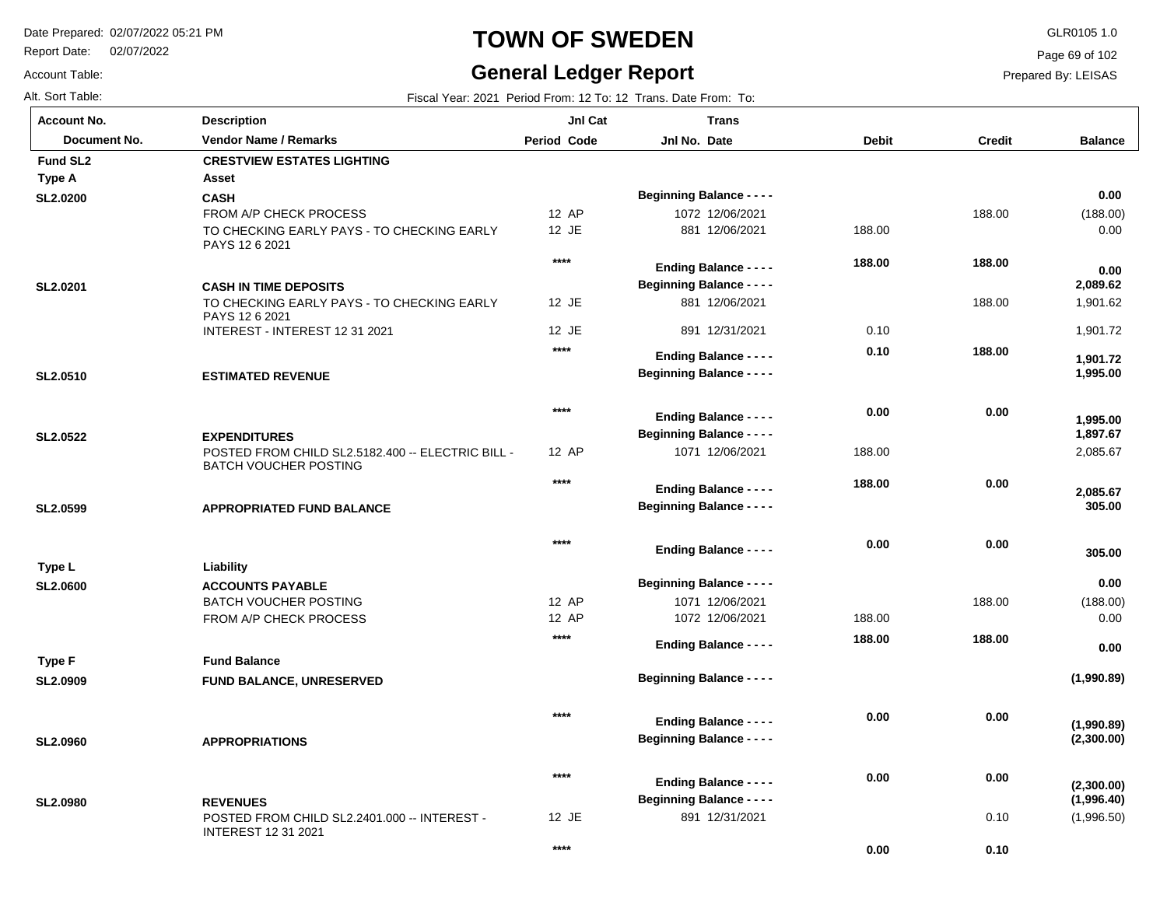Report Date: 02/07/2022

Account Table:

### **TOWN OF SWEDEN** GLR0105 1.0

#### **General Ledger Report**

**Balance**

(188.00) 0.00

 **0.00** 

 1,901.62 1,901.72

 **1,995.00** 

 **1,901.72** 

 **2,089.62** 

 **0.00** 

2,085.67

 **305.00** 

 **305.00** 

 **2,085.67** 

 **1,897.67** 

 **1,995.00** 

(188.00) 0.00

**(1,990.89)**

**(2,300.00)**

**(1,990.89)**

 **0.00** 

 **0.00** 

(1,996.50)

**(1,996.40)**

**(2,300.00)**

Page 69 of 102

Prepared By: LEISAS

| Alt. Sort Table:     | Fiscal Year: 2021 Period From: 12 To: 12 Trans. Date From: To:                    |                    |                                  |              |               |  |  |  |
|----------------------|-----------------------------------------------------------------------------------|--------------------|----------------------------------|--------------|---------------|--|--|--|
| <b>Account No.</b>   | <b>Description</b>                                                                | JnI Cat            | <b>Trans</b>                     |              |               |  |  |  |
| Document No.         | <b>Vendor Name / Remarks</b>                                                      | <b>Period Code</b> | Jnl No. Date                     | <b>Debit</b> | <b>Credit</b> |  |  |  |
| Fund SL <sub>2</sub> | <b>CRESTVIEW ESTATES LIGHTING</b>                                                 |                    |                                  |              |               |  |  |  |
| <b>Type A</b>        | Asset                                                                             |                    |                                  |              |               |  |  |  |
| <b>SL2.0200</b>      | <b>CASH</b>                                                                       |                    | <b>Beginning Balance - - - -</b> |              |               |  |  |  |
|                      | FROM A/P CHECK PROCESS                                                            | 12 AP              | 1072 12/06/2021                  |              | 188.00        |  |  |  |
|                      | TO CHECKING EARLY PAYS - TO CHECKING EARLY<br>PAYS 12 6 2021                      | 12 JE              | 881 12/06/2021                   | 188.00       |               |  |  |  |
|                      |                                                                                   | $***$              | <b>Ending Balance - - - -</b>    | 188.00       | 188.00        |  |  |  |
| SL2.0201             | <b>CASH IN TIME DEPOSITS</b>                                                      |                    | <b>Beginning Balance - - - -</b> |              |               |  |  |  |
|                      | TO CHECKING EARLY PAYS - TO CHECKING EARLY<br>PAYS 12 6 2021                      | 12 JE              | 881 12/06/2021                   |              | 188.00        |  |  |  |
|                      | INTEREST - INTEREST 12 31 2021                                                    | 12 JE              | 891 12/31/2021                   | 0.10         |               |  |  |  |
|                      |                                                                                   | $***$              | <b>Ending Balance - - - -</b>    | 0.10         | 188.00        |  |  |  |
| SL2.0510             | <b>ESTIMATED REVENUE</b>                                                          |                    | <b>Beginning Balance - - - -</b> |              |               |  |  |  |
|                      |                                                                                   |                    |                                  |              |               |  |  |  |
|                      |                                                                                   | $***$              |                                  | 0.00         | 0.00          |  |  |  |
|                      |                                                                                   |                    | <b>Ending Balance - - - -</b>    |              |               |  |  |  |
| SL2.0522             | <b>EXPENDITURES</b>                                                               |                    | <b>Beginning Balance - - - -</b> |              |               |  |  |  |
|                      | POSTED FROM CHILD SL2.5182.400 -- ELECTRIC BILL -<br><b>BATCH VOUCHER POSTING</b> | 12 AP              | 1071 12/06/2021                  | 188.00       |               |  |  |  |
|                      |                                                                                   | $***$              |                                  | 188.00       | 0.00          |  |  |  |
|                      |                                                                                   |                    | <b>Ending Balance - - - -</b>    |              |               |  |  |  |
| SL2.0599             | <b>APPROPRIATED FUND BALANCE</b>                                                  |                    | <b>Beginning Balance - - - -</b> |              |               |  |  |  |
|                      |                                                                                   | $***$              |                                  | 0.00         | 0.00          |  |  |  |
|                      |                                                                                   |                    | <b>Ending Balance - - - -</b>    |              |               |  |  |  |
| Type L               | Liability                                                                         |                    |                                  |              |               |  |  |  |
| <b>SL2.0600</b>      | <b>ACCOUNTS PAYABLE</b>                                                           |                    | <b>Beginning Balance - - - -</b> |              |               |  |  |  |
|                      | <b>BATCH VOUCHER POSTING</b>                                                      | 12 AP              | 1071 12/06/2021                  |              | 188.00        |  |  |  |
|                      | FROM A/P CHECK PROCESS                                                            | 12 AP<br>****      | 1072 12/06/2021                  | 188.00       |               |  |  |  |
|                      |                                                                                   |                    | <b>Ending Balance - - - -</b>    | 188.00       | 188.00        |  |  |  |
| Type F               | <b>Fund Balance</b>                                                               |                    |                                  |              |               |  |  |  |
| <b>SL2.0909</b>      | <b>FUND BALANCE, UNRESERVED</b>                                                   |                    | <b>Beginning Balance - - - -</b> |              |               |  |  |  |
|                      |                                                                                   |                    |                                  |              |               |  |  |  |
|                      |                                                                                   | $***$              | <b>Ending Balance - - - -</b>    | 0.00         | 0.00          |  |  |  |
| <b>SL2.0960</b>      | <b>APPROPRIATIONS</b>                                                             |                    | <b>Beginning Balance - - - -</b> |              |               |  |  |  |
|                      |                                                                                   |                    |                                  |              |               |  |  |  |
|                      |                                                                                   | ****               | <b>Ending Balance - - - -</b>    | 0.00         | 0.00          |  |  |  |
| <b>SL2.0980</b>      | <b>REVENUES</b>                                                                   |                    | <b>Beginning Balance - - - -</b> |              |               |  |  |  |
|                      | POSTED FROM CHILD SL2.2401.000 -- INTEREST -<br><b>INTEREST 12 31 2021</b>        | 12 JE              | 891 12/31/2021                   |              | 0.10          |  |  |  |

**\*\*\*\***

 **0.10** 

 **0.00**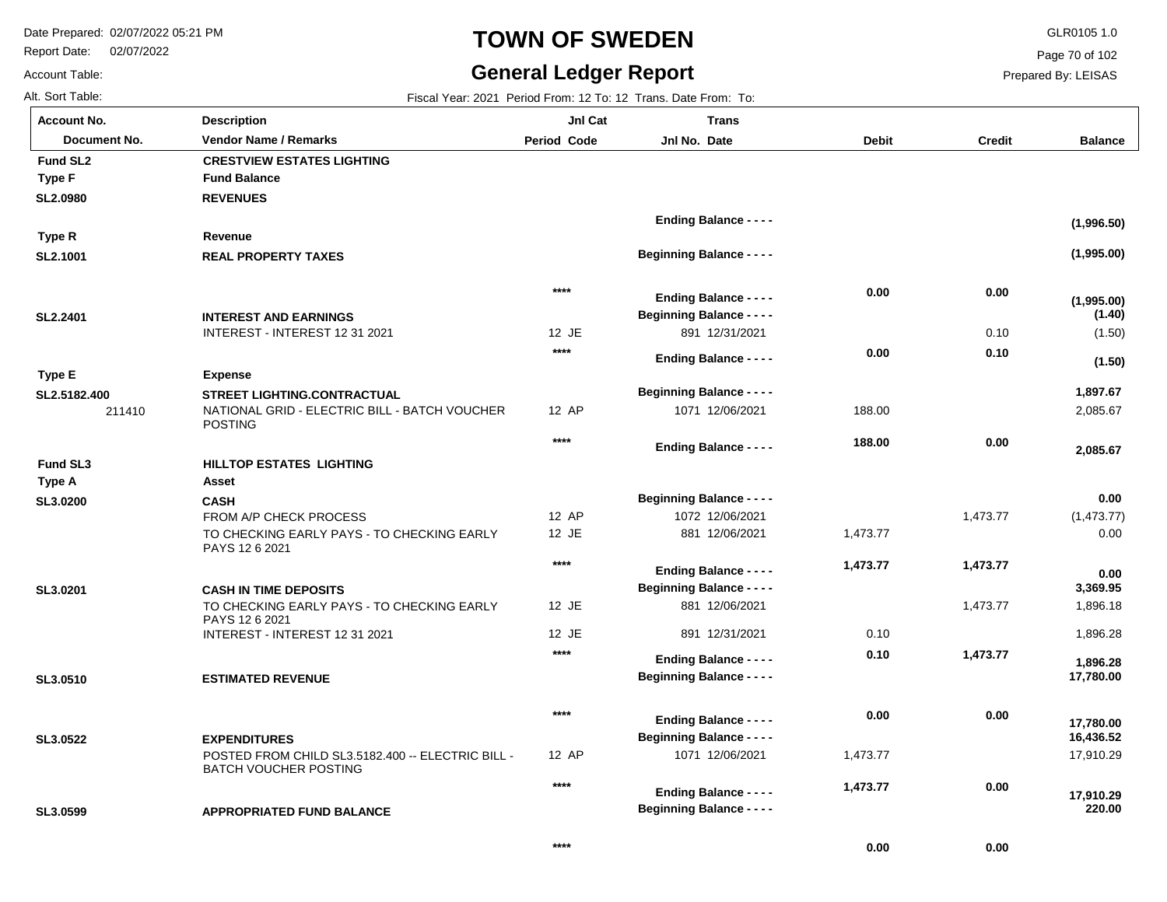Report Date: 02/07/2022

# **TOWN OF SWEDEN** GLR0105 1.0

#### **General Ledger Report**

Page 70 of 102

Prepared By: LEISAS

 **0.00** 

 **0.00** 

| AIL SUIL TADIE. |  |  |
|-----------------|--|--|
| A  N            |  |  |

Account Table:

Alt. Sort Table: Fiscal Year: 2021 Period From: 12 To: 12 Trans. Date From: To:

| Account No.            | <b>Description</b>                                                                                    | JnI Cat            | <b>Trans</b>                     |              |               |                      |
|------------------------|-------------------------------------------------------------------------------------------------------|--------------------|----------------------------------|--------------|---------------|----------------------|
| Document No.           | <b>Vendor Name / Remarks</b>                                                                          | <b>Period Code</b> | Jnl No. Date                     | <b>Debit</b> | <b>Credit</b> | <b>Balance</b>       |
| Fund SL <sub>2</sub>   | <b>CRESTVIEW ESTATES LIGHTING</b>                                                                     |                    |                                  |              |               |                      |
| <b>Type F</b>          | <b>Fund Balance</b>                                                                                   |                    |                                  |              |               |                      |
| <b>SL2.0980</b>        | <b>REVENUES</b>                                                                                       |                    |                                  |              |               |                      |
|                        |                                                                                                       |                    | <b>Ending Balance - - - -</b>    |              |               | (1,996.50)           |
| Type R                 | Revenue                                                                                               |                    |                                  |              |               |                      |
| SL2.1001               | <b>REAL PROPERTY TAXES</b>                                                                            |                    | <b>Beginning Balance - - - -</b> |              |               | (1,995.00)           |
|                        |                                                                                                       | $****$             | <b>Ending Balance - - - -</b>    | 0.00         | 0.00          |                      |
| SL2.2401               | <b>INTEREST AND EARNINGS</b>                                                                          |                    | <b>Beginning Balance - - - -</b> |              |               | (1,995.00)<br>(1.40) |
|                        | INTEREST - INTEREST 12 31 2021                                                                        | 12 JE              | 891 12/31/2021                   |              | 0.10          | (1.50)               |
|                        |                                                                                                       | $***$              |                                  | 0.00         | 0.10          |                      |
|                        |                                                                                                       |                    | <b>Ending Balance - - - -</b>    |              |               | (1.50)               |
| <b>Type E</b>          | <b>Expense</b>                                                                                        |                    | <b>Beginning Balance - - - -</b> |              |               | 1,897.67             |
| SL2.5182.400<br>211410 | <b>STREET LIGHTING.CONTRACTUAL</b><br>NATIONAL GRID - ELECTRIC BILL - BATCH VOUCHER<br><b>POSTING</b> | 12 AP              | 1071 12/06/2021                  | 188.00       |               | 2,085.67             |
|                        |                                                                                                       | $***$              | <b>Ending Balance - - - -</b>    | 188.00       | 0.00          | 2,085.67             |
| <b>Fund SL3</b>        | <b>HILLTOP ESTATES LIGHTING</b>                                                                       |                    |                                  |              |               |                      |
| Type A                 | Asset                                                                                                 |                    |                                  |              |               |                      |
| SL3.0200               | <b>CASH</b>                                                                                           |                    | <b>Beginning Balance - - - -</b> |              |               | 0.00                 |
|                        | FROM A/P CHECK PROCESS                                                                                | 12 AP              | 1072 12/06/2021                  |              | 1,473.77      | (1,473.77)           |
|                        | TO CHECKING EARLY PAYS - TO CHECKING EARLY<br>PAYS 12 6 2021                                          | 12 JE              | 881 12/06/2021                   | 1,473.77     |               | 0.00                 |
|                        |                                                                                                       | $***$              | <b>Ending Balance - - - -</b>    | 1,473.77     | 1,473.77      | 0.00                 |
| SL3.0201               | <b>CASH IN TIME DEPOSITS</b>                                                                          |                    | <b>Beginning Balance - - - -</b> |              |               | 3,369.95             |
|                        | TO CHECKING EARLY PAYS - TO CHECKING EARLY<br>PAYS 12 6 2021                                          | 12 JE              | 881 12/06/2021                   |              | 1,473.77      | 1,896.18             |
|                        | INTEREST - INTEREST 12 31 2021                                                                        | 12 JE              | 891 12/31/2021                   | 0.10         |               | 1,896.28             |
|                        |                                                                                                       | $***$              | <b>Ending Balance - - - -</b>    | 0.10         | 1,473.77      | 1,896.28             |
| SL3.0510               | <b>ESTIMATED REVENUE</b>                                                                              |                    | <b>Beginning Balance - - - -</b> |              |               | 17,780.00            |
|                        |                                                                                                       | $****$             | <b>Ending Balance - - - -</b>    | 0.00         | 0.00          | 17,780.00            |
| SL3.0522               | <b>EXPENDITURES</b>                                                                                   |                    | <b>Beginning Balance - - - -</b> |              |               | 16,436.52            |
|                        | POSTED FROM CHILD SL3.5182.400 -- ELECTRIC BILL -<br><b>BATCH VOUCHER POSTING</b>                     | 12 AP              | 1071 12/06/2021                  | 1,473.77     |               | 17,910.29            |
|                        |                                                                                                       | $***$              | <b>Ending Balance - - - -</b>    | 1,473.77     | 0.00          |                      |
| SL3.0599               | <b>APPROPRIATED FUND BALANCE</b>                                                                      |                    | <b>Beginning Balance - - - -</b> |              |               | 17,910.29<br>220.00  |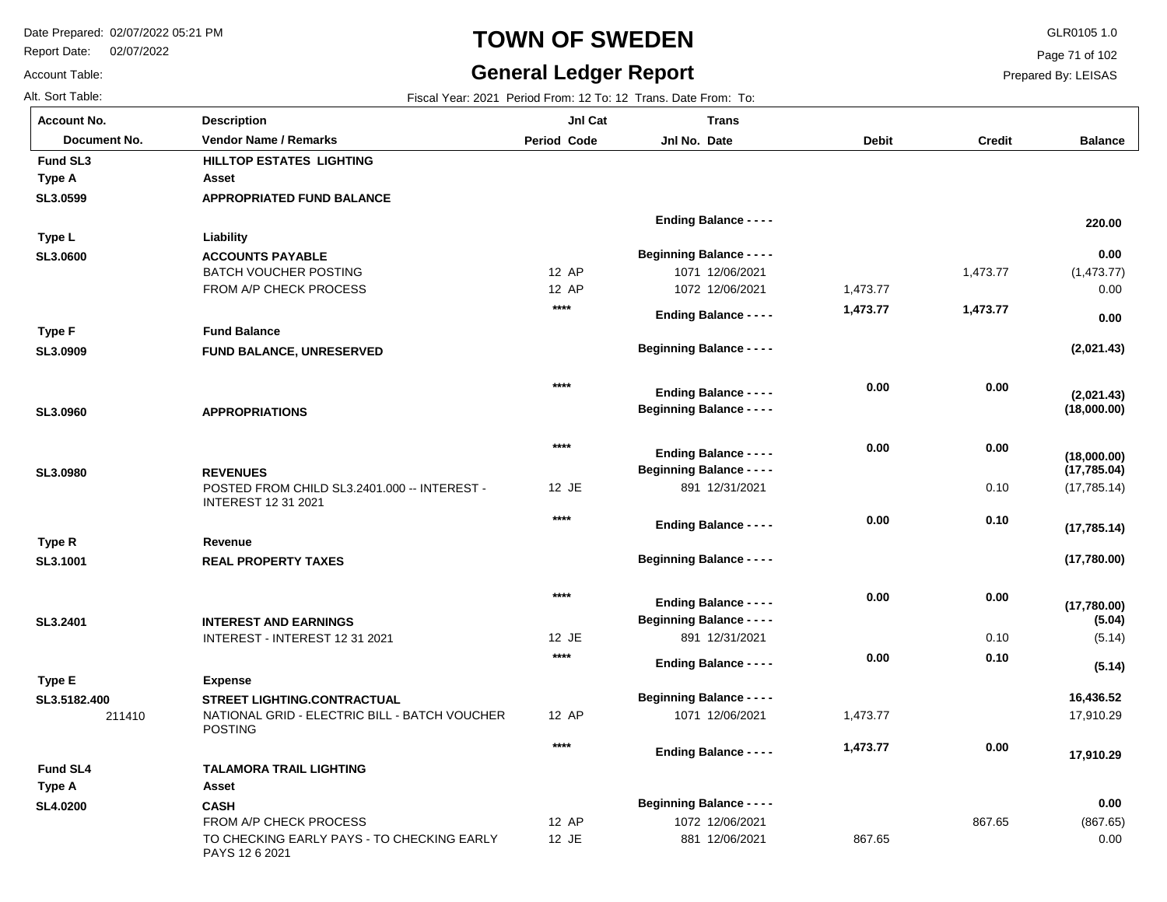FROM A/P CHECK PROCESS

PAYS 12 6 2021

TO CHECKING EARLY PAYS - TO CHECKING EARLY

Report Date: 02/07/2022

# **TOWN OF SWEDEN** GLR0105 1.0

#### **General Ledger Report**

**Balance**

(1,473.77) 0.00

**(2,021.43)**

**(18,000.00)**

**(2,021.43)**

 **0.00** 

 **0.00** 

 **220.00** 

(17,785.14)

**(17,780.00)**

**(17,780.00)**

**(17,785.14)**

**(17,785.04)**

**(18,000.00)**

(5.14)

**(5.14)**

**(5.04)**

17,910.29

 **17,910.29** 

 **16,436.52** 

(867.65) 0.00

 **0.00** 

Page 71 of 102

Prepared By: LEISAS

867.65

867.65

Account Table: Alt. Sort Table: Fiscal Year: 2021 Period From: 12 To: 12 Trans. Date From: To: **Account No.**

**SL3.0599**

**Fund SL3**

**Type A**

**SL3.0600**

**Type L**

**SL3.0909**

**Type F**

**SL3.0960**

**SL3.0980**

**SL3.1001**

**Type R**

**SL3.2401**

**Type E**

**SL3.5182.400**

**SL4.0200**

**Type A**

**Fund SL4**

| unt No.            | <b>Description</b>                                                                  | JnI Cat            | <b>Trans</b>                     |              |               |
|--------------------|-------------------------------------------------------------------------------------|--------------------|----------------------------------|--------------|---------------|
| Document No.       | <b>Vendor Name / Remarks</b>                                                        | <b>Period Code</b> | Jnl No. Date                     | <b>Debit</b> | <b>Credit</b> |
| I SL3              | HILLTOP ESTATES LIGHTING                                                            |                    |                                  |              |               |
| : A                | Asset                                                                               |                    |                                  |              |               |
| )599               | <b>APPROPRIATED FUND BALANCE</b>                                                    |                    |                                  |              |               |
|                    |                                                                                     |                    | <b>Ending Balance - - - -</b>    |              |               |
| ۱L                 | Liability                                                                           |                    |                                  |              |               |
| 000                | <b>ACCOUNTS PAYABLE</b>                                                             |                    | <b>Beginning Balance - - - -</b> |              |               |
|                    | <b>BATCH VOUCHER POSTING</b>                                                        | 12 AP              | 1071 12/06/2021                  |              | 1,473.77      |
|                    | FROM A/P CHECK PROCESS                                                              | 12 AP              | 1072 12/06/2021                  | 1,473.77     |               |
|                    |                                                                                     | $****$             |                                  | 1,473.77     | 1,473.77      |
| ۱F                 | <b>Fund Balance</b>                                                                 |                    | <b>Ending Balance - - - -</b>    |              |               |
|                    |                                                                                     |                    | <b>Beginning Balance - - - -</b> |              |               |
| )909               | FUND BALANCE, UNRESERVED                                                            |                    |                                  |              |               |
|                    |                                                                                     | $****$             |                                  |              |               |
|                    |                                                                                     |                    | <b>Ending Balance - - - -</b>    | 0.00         | 0.00          |
| )960               | <b>APPROPRIATIONS</b>                                                               |                    | <b>Beginning Balance - - - -</b> |              |               |
|                    |                                                                                     |                    |                                  |              |               |
|                    |                                                                                     | $***$              | <b>Ending Balance - - - -</b>    | 0.00         | 0.00          |
| )980               | <b>REVENUES</b>                                                                     |                    | <b>Beginning Balance - - - -</b> |              |               |
|                    | POSTED FROM CHILD SL3.2401.000 -- INTEREST -                                        | 12 JE              | 891 12/31/2021                   |              | 0.10          |
|                    | <b>INTEREST 12 31 2021</b>                                                          |                    |                                  |              |               |
|                    |                                                                                     | $****$             | <b>Ending Balance - - - -</b>    | 0.00         | 0.10          |
| R                  | Revenue                                                                             |                    |                                  |              |               |
| 1001               | <b>REAL PROPERTY TAXES</b>                                                          |                    | <b>Beginning Balance - - - -</b> |              |               |
|                    |                                                                                     |                    |                                  |              |               |
|                    |                                                                                     | $***$              | <b>Ending Balance - - - -</b>    | 0.00         | 0.00          |
| 2401               | <b>INTEREST AND EARNINGS</b>                                                        |                    | <b>Beginning Balance - - - -</b> |              |               |
|                    | INTEREST - INTEREST 12 31 2021                                                      | 12 JE              | 891 12/31/2021                   |              | 0.10          |
|                    |                                                                                     | $***$              |                                  | 0.00         | 0.10          |
| ۱E                 | <b>Expense</b>                                                                      |                    | <b>Ending Balance - - - -</b>    |              |               |
|                    |                                                                                     |                    | <b>Beginning Balance - - - -</b> |              |               |
| 5182.400<br>211410 | <b>STREET LIGHTING.CONTRACTUAL</b><br>NATIONAL GRID - ELECTRIC BILL - BATCH VOUCHER | 12 AP              | 1071 12/06/2021                  | 1,473.77     |               |
|                    | <b>POSTING</b>                                                                      |                    |                                  |              |               |
|                    |                                                                                     | $****$             | <b>Ending Balance - - - -</b>    | 1,473.77     | 0.00          |
| I SL4              | <b>TALAMORA TRAIL LIGHTING</b>                                                      |                    |                                  |              |               |
| ۰A                 | Asset                                                                               |                    |                                  |              |               |
| )200               | <b>CASH</b>                                                                         |                    | <b>Beginning Balance - - - -</b> |              |               |
|                    |                                                                                     |                    |                                  |              |               |

12 AP 12 JE

1072 12/06/2021 881 12/06/2021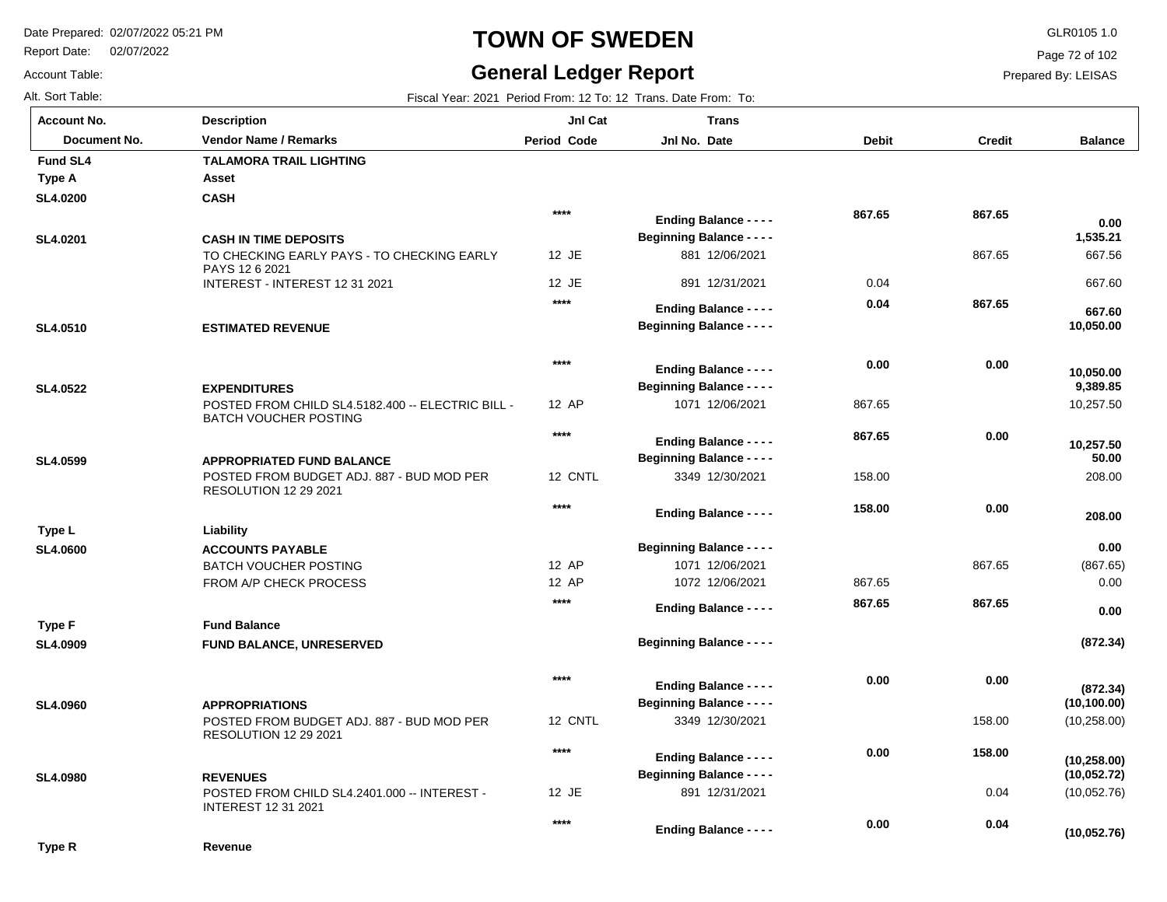Report Date: 02/07/2022

# **TOWN OF SWEDEN** GLR0105 1.0

### **General Ledger Report**

**(10,052.76)**

Page 72 of 102

Prepared By: LEISAS

Alt. Sort Table: Fiscal Year: 2021 Period From: 12 To: 12 Trans. Date From: To:

Account Table:

| <b>Account No.</b> | <b>Description</b>                                                                | <b>Jnl Cat</b>     | <b>Trans</b>                                                      |              |               |                              |
|--------------------|-----------------------------------------------------------------------------------|--------------------|-------------------------------------------------------------------|--------------|---------------|------------------------------|
| Document No.       | <b>Vendor Name / Remarks</b>                                                      | <b>Period Code</b> | Jnl No. Date                                                      | <b>Debit</b> | <b>Credit</b> | <b>Balance</b>               |
| <b>Fund SL4</b>    | <b>TALAMORA TRAIL LIGHTING</b>                                                    |                    |                                                                   |              |               |                              |
| Type A             | Asset                                                                             |                    |                                                                   |              |               |                              |
| <b>SL4.0200</b>    | <b>CASH</b>                                                                       |                    |                                                                   |              |               |                              |
|                    |                                                                                   | $***$              | <b>Ending Balance - - - -</b>                                     | 867.65       | 867.65        | 0.00                         |
| SL4.0201           | <b>CASH IN TIME DEPOSITS</b>                                                      |                    | <b>Beginning Balance - - - -</b>                                  |              |               | 1,535.21                     |
|                    | TO CHECKING EARLY PAYS - TO CHECKING EARLY<br>PAYS 12 6 2021                      | 12 JE              | 881 12/06/2021                                                    |              | 867.65        | 667.56                       |
|                    | INTEREST - INTEREST 12 31 2021                                                    | 12 JE              | 891 12/31/2021                                                    | 0.04         |               | 667.60                       |
|                    |                                                                                   | $****$             | <b>Ending Balance - - - -</b>                                     | 0.04         | 867.65        |                              |
| SL4.0510           | <b>ESTIMATED REVENUE</b>                                                          |                    | <b>Beginning Balance - - - -</b>                                  |              |               | 667.60<br>10,050.00          |
|                    |                                                                                   |                    |                                                                   |              |               |                              |
|                    |                                                                                   | $****$             |                                                                   | 0.00         | 0.00          |                              |
|                    |                                                                                   |                    | <b>Ending Balance - - - -</b>                                     |              |               | 10,050.00                    |
| SL4.0522           | <b>EXPENDITURES</b>                                                               |                    | <b>Beginning Balance - - - -</b>                                  |              |               | 9,389.85                     |
|                    | POSTED FROM CHILD SL4.5182.400 -- ELECTRIC BILL -<br><b>BATCH VOUCHER POSTING</b> | 12 AP              | 1071 12/06/2021                                                   | 867.65       |               | 10,257.50                    |
|                    |                                                                                   | $****$             |                                                                   | 867.65       | 0.00          |                              |
|                    |                                                                                   |                    | <b>Ending Balance - - - -</b><br><b>Beginning Balance - - - -</b> |              |               | 10,257.50<br>50.00           |
| SL4.0599           | <b>APPROPRIATED FUND BALANCE</b><br>POSTED FROM BUDGET ADJ. 887 - BUD MOD PER     | 12 CNTL            | 3349 12/30/2021                                                   | 158.00       |               | 208.00                       |
|                    | <b>RESOLUTION 12 29 2021</b>                                                      |                    |                                                                   |              |               |                              |
|                    |                                                                                   | $***$              | <b>Ending Balance - - - -</b>                                     | 158.00       | 0.00          |                              |
| Type L             | Liability                                                                         |                    |                                                                   |              |               | 208.00                       |
| <b>SL4.0600</b>    | <b>ACCOUNTS PAYABLE</b>                                                           |                    | <b>Beginning Balance - - - -</b>                                  |              |               | 0.00                         |
|                    | <b>BATCH VOUCHER POSTING</b>                                                      | 12 AP              | 1071 12/06/2021                                                   |              | 867.65        | (867.65)                     |
|                    | FROM A/P CHECK PROCESS                                                            | 12 AP              | 1072 12/06/2021                                                   | 867.65       |               | 0.00                         |
|                    |                                                                                   | $****$             |                                                                   | 867.65       | 867.65        |                              |
| Type F             | <b>Fund Balance</b>                                                               |                    | <b>Ending Balance - - - -</b>                                     |              |               | 0.00                         |
| SL4.0909           | FUND BALANCE, UNRESERVED                                                          |                    | <b>Beginning Balance - - - -</b>                                  |              |               | (872.34)                     |
|                    |                                                                                   |                    |                                                                   |              |               |                              |
|                    |                                                                                   | $***$              |                                                                   | 0.00         | 0.00          |                              |
|                    |                                                                                   |                    | <b>Ending Balance - - - -</b>                                     |              |               | (872.34)                     |
| <b>SL4.0960</b>    | <b>APPROPRIATIONS</b>                                                             |                    | <b>Beginning Balance - - - -</b>                                  |              |               | (10, 100.00)                 |
|                    | POSTED FROM BUDGET ADJ. 887 - BUD MOD PER<br><b>RESOLUTION 12 29 2021</b>         | 12 CNTL            | 3349 12/30/2021                                                   |              | 158.00        | (10, 258.00)                 |
|                    |                                                                                   | $****$             |                                                                   | 0.00         | 158.00        |                              |
|                    |                                                                                   |                    | <b>Ending Balance - - - -</b><br><b>Beginning Balance - - - -</b> |              |               | (10, 258.00)<br>(10, 052.72) |
| <b>SL4.0980</b>    | <b>REVENUES</b><br>POSTED FROM CHILD SL4.2401.000 -- INTEREST -                   | 12 JE              | 891 12/31/2021                                                    |              | 0.04          | (10,052.76)                  |
|                    | <b>INTEREST 12 31 2021</b>                                                        |                    |                                                                   |              |               |                              |
|                    |                                                                                   | $***$              | <b>Explorer Delegate</b>                                          | 0.00         | 0.04          |                              |

**Ending Balance - - - -**

**Type R**

**Revenue**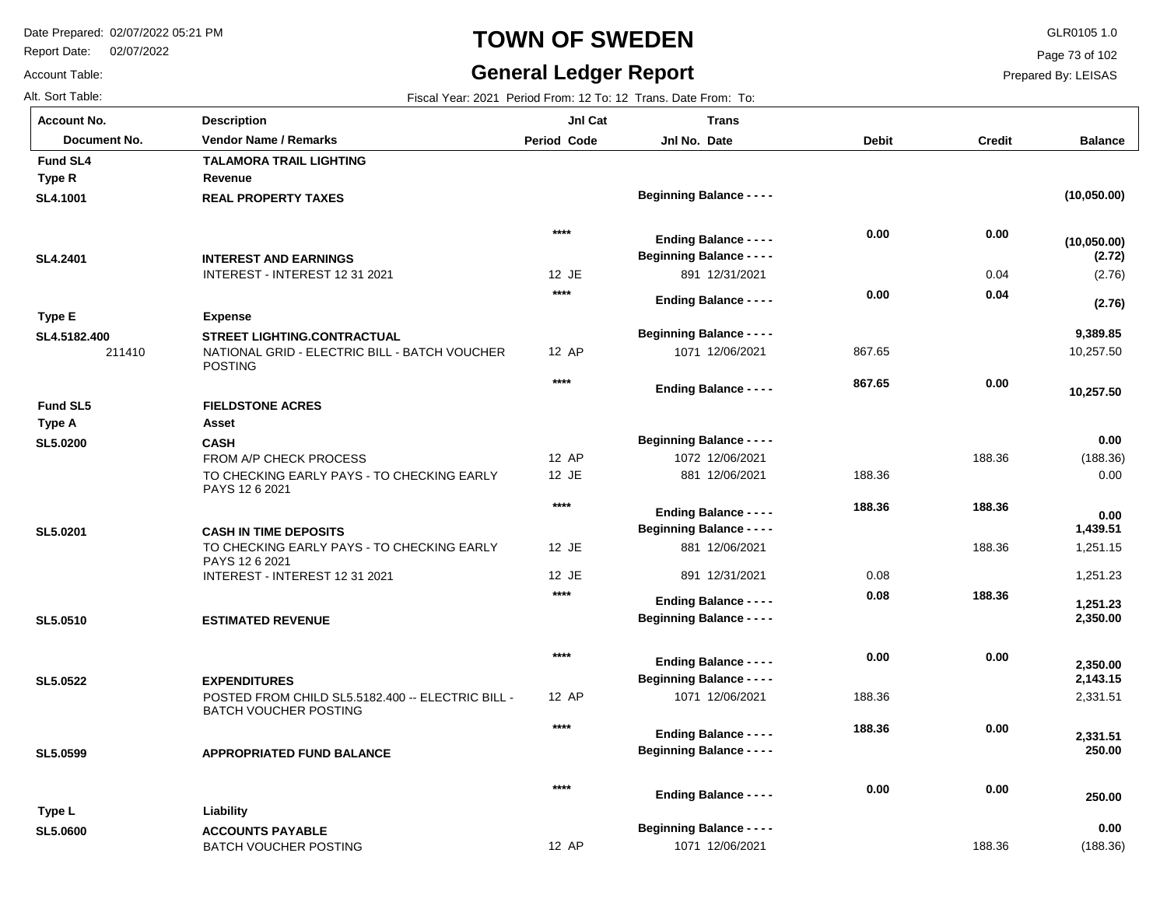Report Date: 02/07/2022

Account Table:

# **TOWN OF SWEDEN** GLR0105 1.0

# **General Ledger Report**

Page 73 of 102

| Alt. Sort Table:   |                                                                 |             | Fiscal Year: 2021 Period From: 12 To: 12 Trans. Date From: To: |              |               |                      |
|--------------------|-----------------------------------------------------------------|-------------|----------------------------------------------------------------|--------------|---------------|----------------------|
| <b>Account No.</b> | <b>Description</b>                                              | JnI Cat     | <b>Trans</b>                                                   |              |               |                      |
| Document No.       | <b>Vendor Name / Remarks</b>                                    | Period Code | Jnl No. Date                                                   | <b>Debit</b> | <b>Credit</b> | <b>Balance</b>       |
| <b>Fund SL4</b>    | <b>TALAMORA TRAIL LIGHTING</b>                                  |             |                                                                |              |               |                      |
| Type R             | Revenue                                                         |             |                                                                |              |               |                      |
| SL4.1001           | <b>REAL PROPERTY TAXES</b>                                      |             | <b>Beginning Balance - - - -</b>                               |              |               | (10,050.00)          |
|                    |                                                                 | $***$       | <b>Ending Balance - - - -</b>                                  | 0.00         | 0.00          | (10, 050.00)         |
| SL4.2401           | <b>INTEREST AND EARNINGS</b>                                    |             | <b>Beginning Balance - - - -</b>                               |              |               | (2.72)               |
|                    | INTEREST - INTEREST 12 31 2021                                  | 12 JE       | 891 12/31/2021                                                 |              | 0.04          | (2.76)               |
|                    |                                                                 | $****$      | <b>Ending Balance - - - -</b>                                  | 0.00         | 0.04          | (2.76)               |
| Type E             | <b>Expense</b>                                                  |             |                                                                |              |               |                      |
| SL4.5182.400       | <b>STREET LIGHTING.CONTRACTUAL</b>                              |             | <b>Beginning Balance - - - -</b>                               |              |               | 9,389.85             |
| 211410             | NATIONAL GRID - ELECTRIC BILL - BATCH VOUCHER<br><b>POSTING</b> | 12 AP       | 1071 12/06/2021                                                | 867.65       |               | 10,257.50            |
|                    |                                                                 | $****$      | <b>Ending Balance - - - -</b>                                  | 867.65       | 0.00          |                      |
| <b>Fund SL5</b>    | <b>FIELDSTONE ACRES</b>                                         |             |                                                                |              |               | 10,257.50            |
| Type A             | <b>Asset</b>                                                    |             |                                                                |              |               |                      |
| <b>SL5.0200</b>    | <b>CASH</b>                                                     |             | <b>Beginning Balance - - - -</b>                               |              |               | 0.00                 |
|                    | FROM A/P CHECK PROCESS                                          | 12 AP       | 1072 12/06/2021                                                |              | 188.36        | (188.36)             |
|                    | TO CHECKING EARLY PAYS - TO CHECKING EARLY<br>PAYS 12 6 2021    | 12 JE       | 881 12/06/2021                                                 | 188.36       |               | 0.00                 |
|                    |                                                                 | $***$       |                                                                | 188.36       | 188.36        |                      |
|                    |                                                                 |             | <b>Ending Balance - - - -</b>                                  |              |               | 0.00                 |
| SL5.0201           | <b>CASH IN TIME DEPOSITS</b>                                    | 12 JE       | <b>Beginning Balance - - - -</b><br>881 12/06/2021             |              | 188.36        | 1,439.51<br>1,251.15 |
|                    | TO CHECKING EARLY PAYS - TO CHECKING EARLY<br>PAYS 12 6 2021    |             |                                                                |              |               |                      |
|                    | INTEREST - INTEREST 12 31 2021                                  | 12 JE       | 891 12/31/2021                                                 | 0.08         |               | 1,251.23             |
|                    |                                                                 | $****$      | <b>Ending Balance - - - -</b>                                  | 0.08         | 188.36        | 1,251.23             |
| SL5.0510           | <b>ESTIMATED REVENUE</b>                                        |             | <b>Beginning Balance - - - -</b>                               |              |               | 2,350.00             |
|                    |                                                                 | $****$      | <b>Ending Balance - - - -</b>                                  | 0.00         | 0.00          |                      |
| <b>SL5.0522</b>    | <b>EXPENDITURES</b>                                             |             | <b>Beginning Balance - - - -</b>                               |              |               | 2,350.00<br>2,143.15 |
|                    | POSTED FROM CHILD SL5.5182.400 -- ELECTRIC BILL -               | 12 AP       | 1071 12/06/2021                                                | 188.36       |               | 2,331.51             |
|                    | <b>BATCH VOUCHER POSTING</b>                                    | $***$       |                                                                | 188.36       | 0.00          |                      |
|                    |                                                                 |             | <b>Ending Balance - - - -</b>                                  |              |               | 2,331.51             |
| SL5.0599           | <b>APPROPRIATED FUND BALANCE</b>                                |             | <b>Beginning Balance - - - -</b>                               |              |               | 250.00               |
|                    |                                                                 | $***$       | <b>Ending Balance - - - -</b>                                  | 0.00         | 0.00          | 250.00               |
| Type L             | Liability                                                       |             |                                                                |              |               |                      |
| <b>SL5.0600</b>    | <b>ACCOUNTS PAYABLE</b>                                         |             | <b>Beginning Balance - - - -</b>                               |              |               | 0.00                 |
|                    | <b>BATCH VOUCHER POSTING</b>                                    | 12 AP       | 1071 12/06/2021                                                |              | 188.36        | (188.36)             |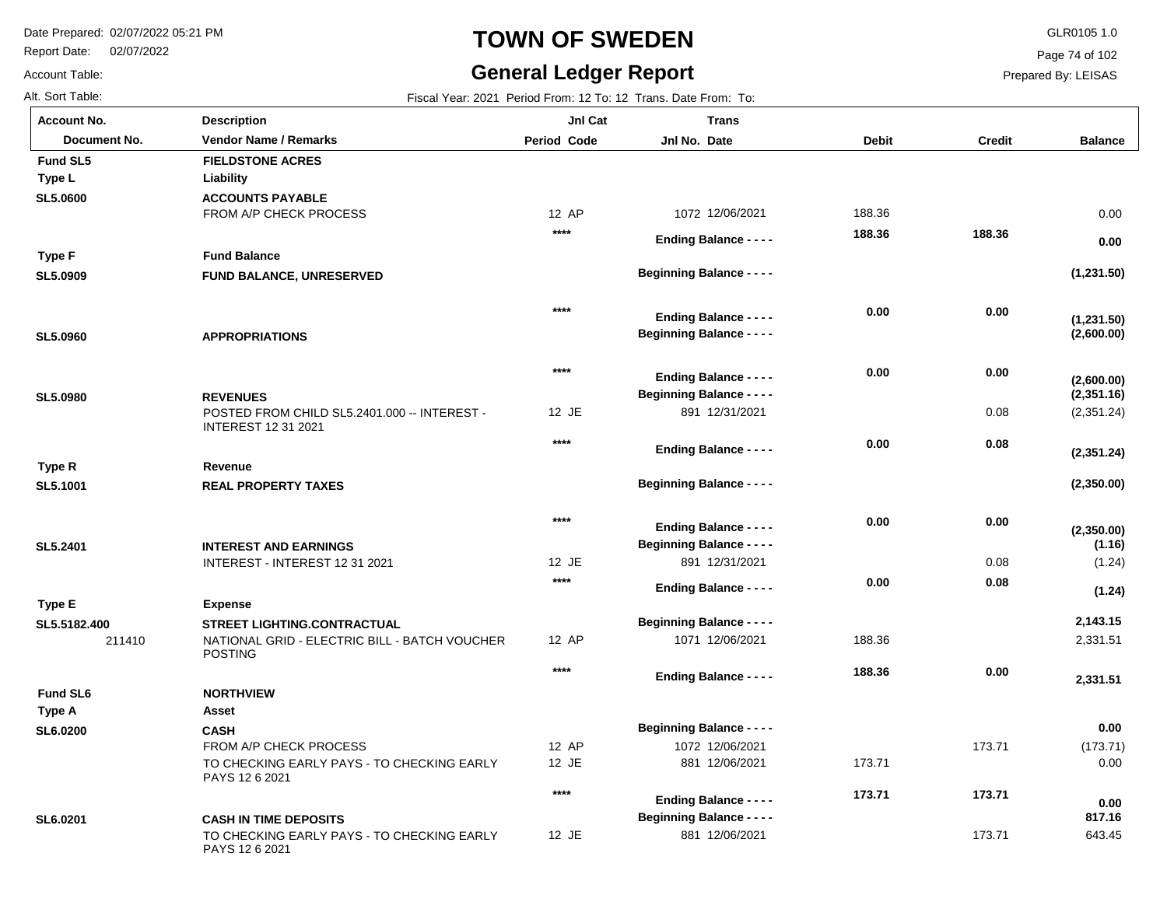Report Date: 02/07/2022

Account Table:

# **TOWN OF SWEDEN** GLR0105 1.0

#### **General Ledger Report**

Page 74 of 102

Prepared By: LEISAS

Alt. Sort Table: Fiscal Year: 2021 Period From: 12 To: 12 Trans. Date From: To: **Balance** 211410 FROM A/P CHECK PROCESS POSTED FROM CHILD SL5.2401.000 -- INTEREST - INTEREST 12 31 2021 INTEREST - INTEREST 12 31 2021 NATIONAL GRID - ELECTRIC BILL - BATCH VOUCHER POSTING FROM A/P CHECK PROCESS TO CHECKING EARLY PAYS - TO CHECKING EARLY PAYS 12 6 2021 TO CHECKING EARLY PAYS - TO CHECKING EARLY PAYS 12 6 2021 0.08 0.08 173.71 173.71 **ACCOUNTS PAYABLE FUND BALANCE, UNRESERVED APPROPRIATIONS REVENUES REAL PROPERTY TAXES INTEREST AND EARNINGS STREET LIGHTING.CONTRACTUAL CASH CASH IN TIME DEPOSITS SL5.0600 SL5.0909 SL5.0960 SL5.0980 SL5.1001 SL5.2401 SL5.5182.400 SL6.0200 SL6.0201** 12 AP 12 JE 12 JE 12 AP 12 AP 12 JE 12 JE 1072 12/06/2021 891 12/31/2021 891 12/31/2021 1071 12/06/2021 1072 12/06/2021 881 12/06/2021 881 12/06/2021 0.00 (2,351.24) (1.24) 2,331.51 (173.71) 0.00 643.45 188.36 188.36 173.71 **(1,231.50) (2,600.00) (2,351.16) (2,350.00) (1.16) 2,143.15 0.00 817.16 Liability Fund Balance Revenue Expense Asset Type L Type F Type R Type E Type A FIELDSTONE ACRES NORTHVIEW Fund SL5 Fund SL6 0.00 (1,231.50) (2,600.00) (2,351.24) (2,350.00) (1.24) 2,331.51 0.00 188.36 0.00 0.00 0.08 0.00 0.08 0.00 173.71 188.36 0.00 0.00 0.00 0.00 0.00 188.36 173.71 \*\*\*\* \*\*\*\* \*\*\*\* \*\*\*\* \*\*\*\* \*\*\*\* \*\*\*\* \*\*\*\* Account No. Document No. Vendor Name / Remarks Period Jnl No. Debit Credit Description Period Code Jnl Cat Jnl No. Date Trans Beginning Balance - - - - Beginning Balance - - - - Beginning Balance - - - - Beginning Balance - - - - Beginning Balance - - - - Beginning Balance - - - - Beginning Balance - - - - Beginning Balance - - - - Ending Balance - - - - Ending Balance - - - - Ending Balance - - - - Ending Balance - - - - Ending Balance - - - - Ending Balance - - - - Ending Balance - - - - Ending Balance - - - -**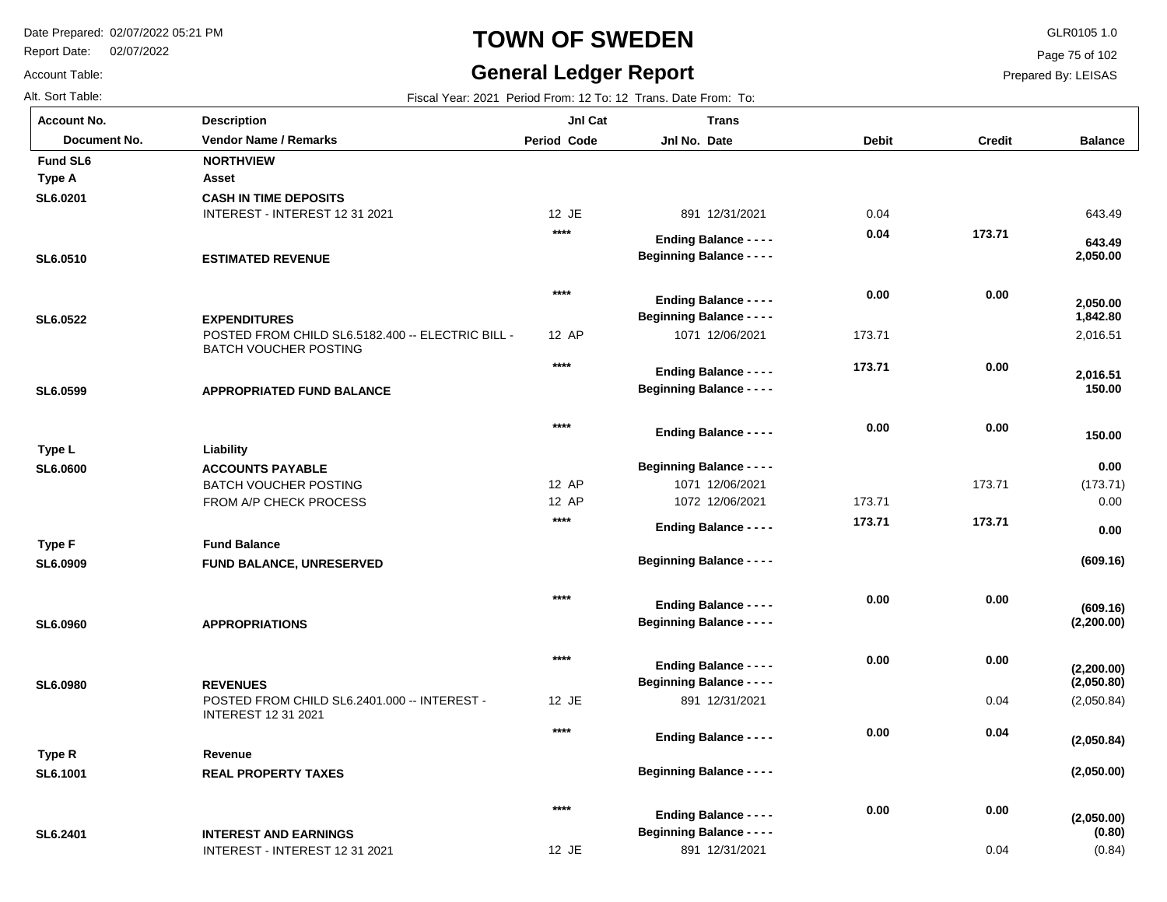Report Date: 02/07/2022

Account Table:

# **TOWN OF SWEDEN** GLR0105 1.0

#### **General Ledger Report**

**Balance**

643.49

 **643.49** 

 **2,050.00** 

2,016.51

 **2,016.51** 

 **150.00** 

 **150.00** 

 **1,842.80** 

 **2,050.00** 

(173.71) 0.00

**(609.16)**

 **0.00** 

 **0.00** 

(2,050.84)

**(2,050.00)**

**(2,050.00)**

**(2,050.84)**

**(2,050.80)**

**(2,200.00)**

**(2,200.00)**

**(609.16)**

(0.84)

**(0.80)**

Page 75 of 102

Prepared By: LEISAS

0.04

Alt. Sort Table: Fiscal Year: 2021 Period From: 12 To: 12 Trans. Date From: To: INTEREST - INTEREST 12 31 2021 POSTED FROM CHILD SL6.5182.400 -- ELECTRIC BILL -BATCH VOUCHER POSTING BATCH VOUCHER POSTING FROM A/P CHECK PROCESS POSTED FROM CHILD SL6.2401.000 -- INTEREST - INTEREST 12 31 2021 173.71 0.04 **CASH IN TIME DEPOSITS ESTIMATED REVENUE EXPENDITURES APPROPRIATED FUND BALANCE ACCOUNTS PAYABLE FUND BALANCE, UNRESERVED APPROPRIATIONS REVENUES REAL PROPERTY TAXES INTEREST AND EARNINGS SL6.0201 SL6.0510 SL6.0522 SL6.0599 SL6.0600 SL6.0909 SL6.0960 SL6.0980 SL6.1001 SL6.2401** 12 JE 12 AP 12 AP 12 AP 12 JE 891 12/31/2021 1071 12/06/2021 1071 12/06/2021 1072 12/06/2021 891 12/31/2021 0.04 173.71 173.71 **Asset Liability Fund Balance Revenue Type A Type L Type F Type R Fund SL6 NORTHVIEW 173.71 0.00 0.00 0.00 173.71 0.00 0.00 0.04 0.00 0.04 0.00 173.71 0.00 173.71 0.00 0.00 0.00 0.00 \*\*\*\* \*\*\*\* \*\*\*\* \*\*\*\* \*\*\*\* \*\*\*\* \*\*\*\* \*\*\*\* \*\*\*\* Account No. Document No. Vendor Name / Remarks Period Jnl No. Debit Credit Description Period Code Jnl Cat Jnl No. Date Trans Beginning Balance - - - - Beginning Balance - - - - Beginning Balance - - - - Beginning Balance - - - - Beginning Balance - - - - Beginning Balance - - - - Beginning Balance - - - - Beginning Balance - - - - Beginning Balance - - - - Ending Balance - - - - Ending Balance - - - - Ending Balance - - - - Ending Balance - - - - Ending Balance - - - - Ending Balance - - - - Ending Balance - - - - Ending Balance - - - - Ending Balance - - - -**

12 JE

891 12/31/2021

INTEREST - INTEREST 12 31 2021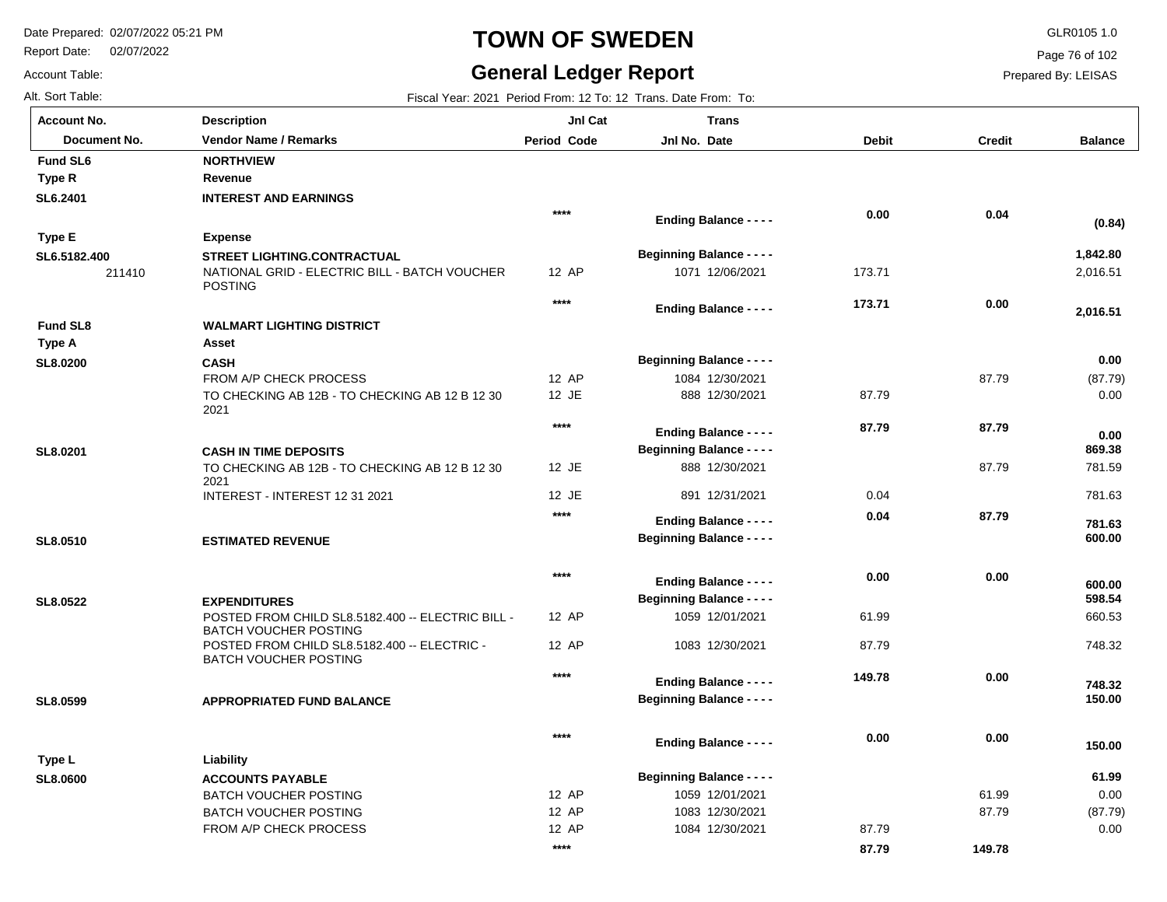Report Date: 02/07/2022

# **TOWN OF SWEDEN** GLR0105 1.0

### **General Ledger Report**

**Balance**

2,016.51

 **2,016.51** 

 **1,842.80** 

**(0.84)**

(87.79) 0.00

 **0.00** 

 781.59 781.63

 **600.00** 

 **781.63** 

 **869.38** 

 **0.00** 

 660.53 748.32

 **150.00** 

 **748.32** 

 **598.54** 

 **600.00** 

 0.00 (87.79) 0.00

 **61.99** 

 **150.00** 

Page 76 of 102

Prepared By: LEISAS

Account Table:

| Alt. Sort Table:   |                                                                                   |                    | Fiscal Year: 2021 Period From: 12 To: 12 Trans. Date From: To: |              |               |
|--------------------|-----------------------------------------------------------------------------------|--------------------|----------------------------------------------------------------|--------------|---------------|
| <b>Account No.</b> | <b>Description</b>                                                                | JnI Cat            | <b>Trans</b>                                                   |              |               |
| Document No.       | <b>Vendor Name / Remarks</b>                                                      | <b>Period Code</b> | Jnl No. Date                                                   | <b>Debit</b> | <b>Credit</b> |
| <b>Fund SL6</b>    | <b>NORTHVIEW</b>                                                                  |                    |                                                                |              |               |
| Type R             | Revenue                                                                           |                    |                                                                |              |               |
| SL6.2401           | <b>INTEREST AND EARNINGS</b>                                                      |                    |                                                                |              |               |
|                    |                                                                                   | $****$             | <b>Ending Balance - - - -</b>                                  | 0.00         | 0.04          |
| Type E             | <b>Expense</b>                                                                    |                    |                                                                |              |               |
| SL6.5182.400       | <b>STREET LIGHTING.CONTRACTUAL</b>                                                |                    | <b>Beginning Balance - - - -</b>                               |              |               |
| 211410             | NATIONAL GRID - ELECTRIC BILL - BATCH VOUCHER<br><b>POSTING</b>                   | 12 AP              | 1071 12/06/2021                                                | 173.71       |               |
|                    |                                                                                   | $****$             | <b>Ending Balance - - - -</b>                                  | 173.71       | 0.00          |
| <b>Fund SL8</b>    | <b>WALMART LIGHTING DISTRICT</b>                                                  |                    |                                                                |              |               |
| Type A             | Asset                                                                             |                    |                                                                |              |               |
| SL8.0200           | <b>CASH</b>                                                                       |                    | <b>Beginning Balance - - - -</b>                               |              |               |
|                    | <b>FROM A/P CHECK PROCESS</b>                                                     | 12 AP              | 1084 12/30/2021                                                |              | 87.79         |
|                    | TO CHECKING AB 12B - TO CHECKING AB 12 B 12 30<br>2021                            | 12 JE              | 888 12/30/2021                                                 | 87.79        |               |
|                    |                                                                                   | $****$             | <b>Ending Balance - - - -</b>                                  | 87.79        | 87.79         |
| SL8.0201           | <b>CASH IN TIME DEPOSITS</b>                                                      |                    | <b>Beginning Balance - - - -</b>                               |              |               |
|                    | TO CHECKING AB 12B - TO CHECKING AB 12 B 12 30<br>2021                            | 12 JE              | 888 12/30/2021                                                 |              | 87.79         |
|                    | INTEREST - INTEREST 12 31 2021                                                    | 12 JE              | 891 12/31/2021                                                 | 0.04         |               |
|                    |                                                                                   | $***$              | <b>Ending Balance - - - -</b>                                  | 0.04         | 87.79         |
| SL8.0510           | <b>ESTIMATED REVENUE</b>                                                          |                    | <b>Beginning Balance - - - -</b>                               |              |               |
|                    |                                                                                   | $***$              | <b>Ending Balance - - - -</b>                                  | 0.00         | 0.00          |
| SL8.0522           | <b>EXPENDITURES</b>                                                               |                    | <b>Beginning Balance - - - -</b>                               |              |               |
|                    | POSTED FROM CHILD SL8.5182.400 -- ELECTRIC BILL -<br><b>BATCH VOUCHER POSTING</b> | 12 AP              | 1059 12/01/2021                                                | 61.99        |               |
|                    | POSTED FROM CHILD SL8.5182.400 -- ELECTRIC -<br><b>BATCH VOUCHER POSTING</b>      | 12 AP              | 1083 12/30/2021                                                | 87.79        |               |
|                    |                                                                                   | $***$              | <b>Ending Balance - - - -</b>                                  | 149.78       | 0.00          |
| SL8.0599           | <b>APPROPRIATED FUND BALANCE</b>                                                  |                    | <b>Beginning Balance - - - -</b>                               |              |               |
|                    |                                                                                   | $****$             | <b>Ending Balance - - - -</b>                                  | 0.00         | 0.00          |
| Type L             | Liability                                                                         |                    |                                                                |              |               |
| SL8.0600           | <b>ACCOUNTS PAYABLE</b>                                                           |                    | <b>Beginning Balance - - - -</b>                               |              |               |
|                    | <b>BATCH VOUCHER POSTING</b>                                                      | 12 AP              | 1059 12/01/2021                                                |              | 61.99         |
|                    | <b>BATCH VOUCHER POSTING</b>                                                      | 12 AP              | 1083 12/30/2021                                                |              | 87.79         |

12 AP **\*\*\*\***

1084 12/30/2021

87.79

 **87.79** 

 **149.78** 

FROM A/P CHECK PROCESS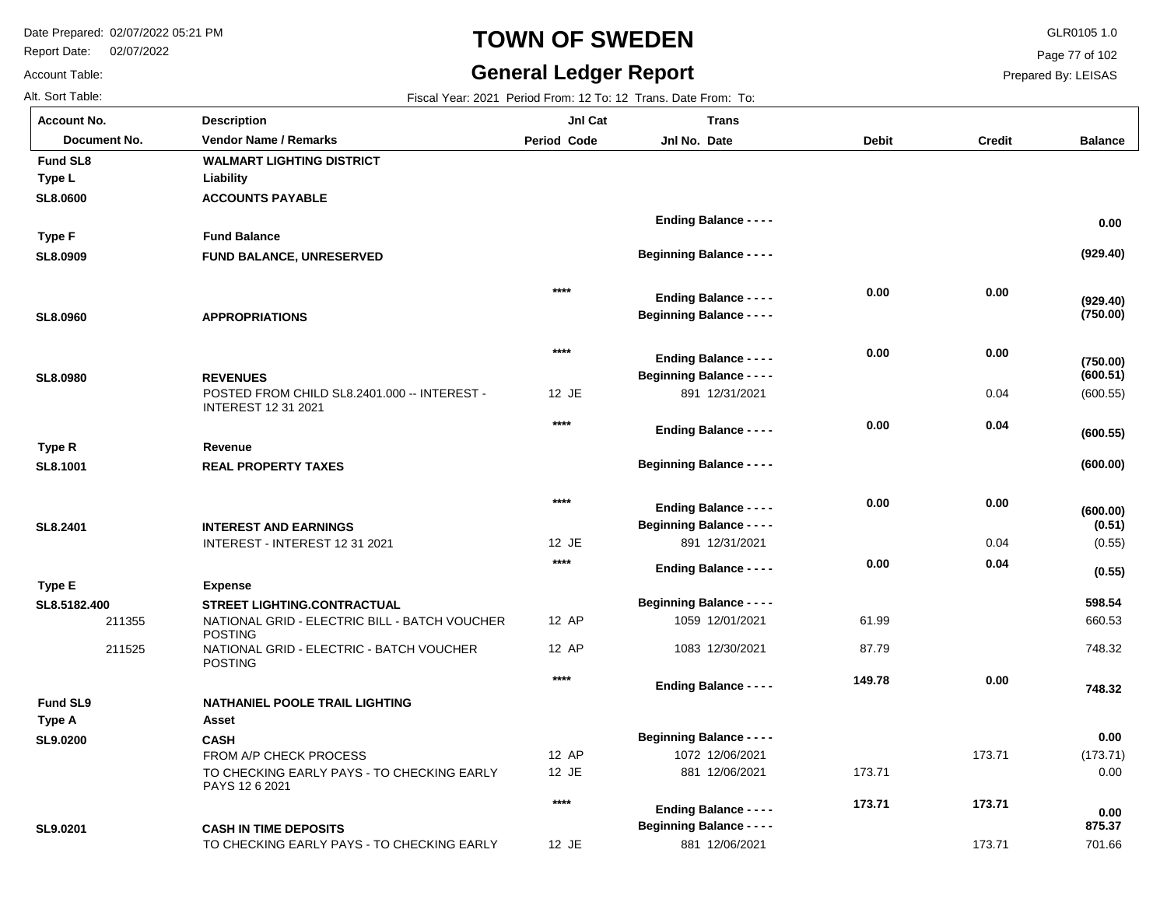Report Date: 02/07/2022

Account Table:

# **TOWN OF SWEDEN** GLR0105 1.0

#### **General Ledger Report**

12 JE

881 12/06/2021

**Balance**

**(929.40)**

 **0.00** 

**(750.00)**

**(929.40)**

(600.55)

**(600.00)**

**(600.55)**

**(600.51)**

**(750.00)**

(0.55)

**(0.55)**

**(0.51)**

**(600.00)**

 660.53 748.32

 **748.32** 

 **598.54** 

(173.71) 0.00

 **0.00** 

701.66

 **875.37** 

 **0.00** 

Page 77 of 102

Prepared By: LEISAS

173.71

| Alt. Sort Table:    |                                                            |                    | Fiscal Year: 2021 Period From: 12 To: 12 Trans. Date From: To: |              |               |
|---------------------|------------------------------------------------------------|--------------------|----------------------------------------------------------------|--------------|---------------|
| <b>Account No.</b>  | <b>Description</b>                                         | <b>Jnl Cat</b>     | <b>Trans</b>                                                   |              |               |
| <b>Document No.</b> | <b>Vendor Name / Remarks</b>                               | <b>Period Code</b> | Jnl No. Date                                                   | <b>Debit</b> | <b>Credit</b> |
| <b>Fund SL8</b>     | <b>WALMART LIGHTING DISTRICT</b>                           |                    |                                                                |              |               |
| Type L              | Liability                                                  |                    |                                                                |              |               |
| SL8.0600            | <b>ACCOUNTS PAYABLE</b>                                    |                    |                                                                |              |               |
|                     |                                                            |                    | <b>Ending Balance - - - -</b>                                  |              |               |
| Type F              | <b>Fund Balance</b>                                        |                    |                                                                |              |               |
| SL8.0909            | <b>FUND BALANCE, UNRESERVED</b>                            |                    | <b>Beginning Balance - - - -</b>                               |              |               |
|                     |                                                            |                    |                                                                |              |               |
|                     |                                                            | ****               | <b>Ending Balance - - - -</b>                                  | 0.00         | 0.00          |
| SL8.0960            | <b>APPROPRIATIONS</b>                                      |                    | <b>Beginning Balance - - - -</b>                               |              |               |
|                     |                                                            |                    |                                                                |              |               |
|                     |                                                            | $***$              | <b>Ending Balance - - - -</b>                                  | 0.00         | 0.00          |
| SL8.0980            | <b>REVENUES</b>                                            |                    | <b>Beginning Balance - - - -</b>                               |              |               |
|                     | POSTED FROM CHILD SL8.2401.000 -- INTEREST -               | 12 JE              | 891 12/31/2021                                                 |              | 0.04          |
|                     | <b>INTEREST 12 31 2021</b>                                 |                    |                                                                |              |               |
|                     |                                                            | $***$              | <b>Ending Balance - - - -</b>                                  | 0.00         | 0.04          |
| Type R              | Revenue                                                    |                    |                                                                |              |               |
| SL8.1001            | <b>REAL PROPERTY TAXES</b>                                 |                    | <b>Beginning Balance - - - -</b>                               |              |               |
|                     |                                                            |                    |                                                                |              |               |
|                     |                                                            | $***$              | <b>Ending Balance - - - -</b>                                  | 0.00         | 0.00          |
| SL8.2401            | <b>INTEREST AND EARNINGS</b>                               |                    | <b>Beginning Balance - - - -</b>                               |              |               |
|                     | INTEREST - INTEREST 12 31 2021                             | 12 JE              | 891 12/31/2021                                                 |              | 0.04          |
|                     |                                                            | $***$              | <b>Ending Balance - - - -</b>                                  | 0.00         | 0.04          |
| Type E              | <b>Expense</b>                                             |                    |                                                                |              |               |
| SL8.5182.400        | <b>STREET LIGHTING.CONTRACTUAL</b>                         |                    | <b>Beginning Balance - - - -</b>                               |              |               |
| 211355              | NATIONAL GRID - ELECTRIC BILL - BATCH VOUCHER              | 12 AP              | 1059 12/01/2021                                                | 61.99        |               |
| 211525              | <b>POSTING</b><br>NATIONAL GRID - ELECTRIC - BATCH VOUCHER | 12 AP              | 1083 12/30/2021                                                | 87.79        |               |
|                     | <b>POSTING</b>                                             |                    |                                                                |              |               |
|                     |                                                            | $***$              | <b>Ending Balance - - - -</b>                                  | 149.78       | 0.00          |
| <b>Fund SL9</b>     | <b>NATHANIEL POOLE TRAIL LIGHTING</b>                      |                    |                                                                |              |               |
| <b>Type A</b>       | Asset                                                      |                    |                                                                |              |               |
| SL9.0200            | <b>CASH</b>                                                |                    | <b>Beginning Balance - - - -</b>                               |              |               |
|                     | FROM A/P CHECK PROCESS                                     | 12 AP              | 1072 12/06/2021                                                |              | 173.71        |
|                     | TO CHECKING EARLY PAYS - TO CHECKING EARLY                 | 12 JE              | 881 12/06/2021                                                 | 173.71       |               |
|                     | PAYS 12 6 2021                                             | $****$             |                                                                | 173.71       | 173.71        |
|                     |                                                            |                    | <b>Ending Balance - - - -</b>                                  |              |               |
| SL9.0201            | <b>CASH IN TIME DEPOSITS</b>                               |                    | <b>Beginning Balance - - - -</b>                               |              |               |

TO CHECKING EARLY PAYS - TO CHECKING EARLY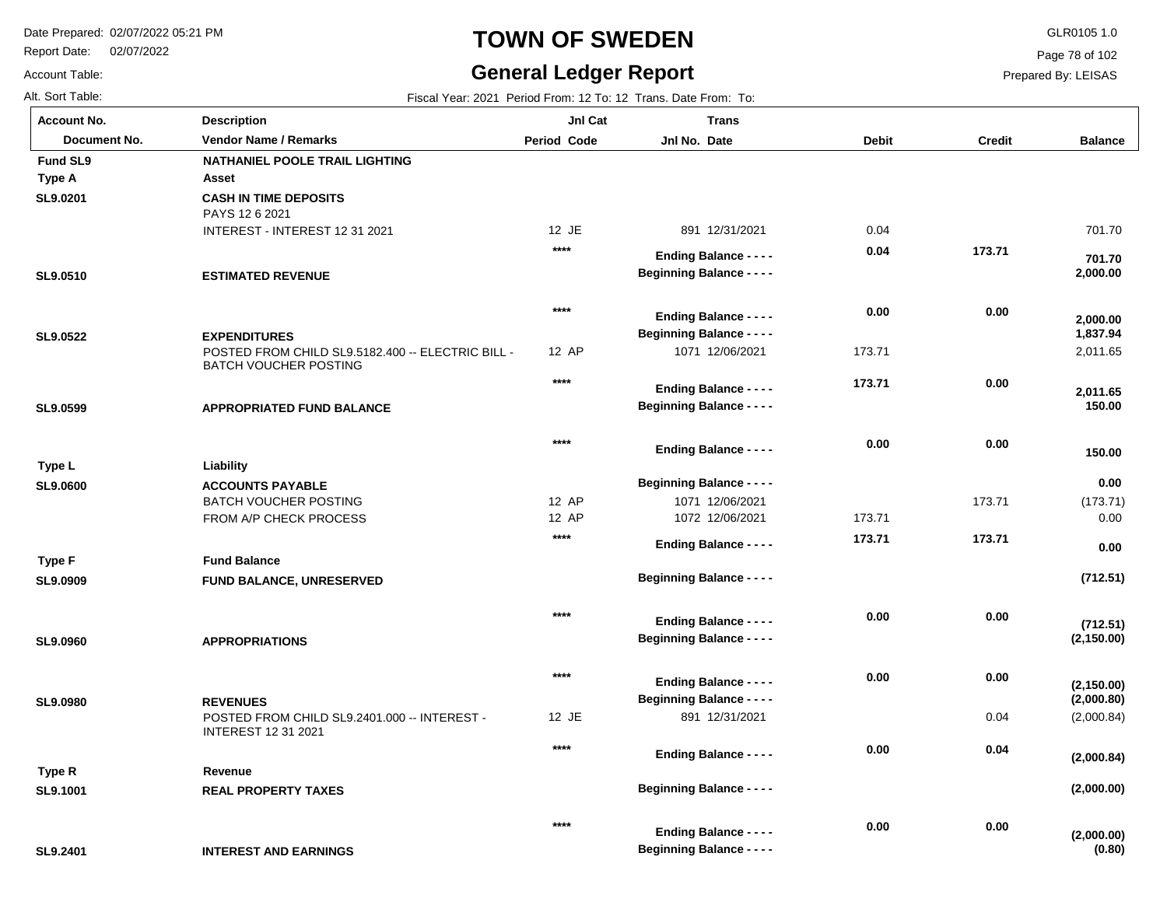**INTEREST AND EARNINGS**

Report Date: 02/07/2022

# **TOWN OF SWEDEN** GLR0105 1.0

### **General Ledger Report**

**(0.80)**

**(2,000.00)**

 **0.00** 

 **0.00** 

Page 78 of 102

Prepared By: LEISAS

Account Table: Alt. Sort Table: Fiscal Year: 2021 Period From: 12 To: 12 Trans. Date From: To:

**SL9.2401**

| <b>Account No.</b> | <b>Description</b>                                                                | JnI Cat            | <b>Trans</b>                     |              |               |                    |
|--------------------|-----------------------------------------------------------------------------------|--------------------|----------------------------------|--------------|---------------|--------------------|
| Document No.       | <b>Vendor Name / Remarks</b>                                                      | <b>Period Code</b> | Jnl No. Date                     | <b>Debit</b> | <b>Credit</b> | <b>Balance</b>     |
| <b>Fund SL9</b>    | NATHANIEL POOLE TRAIL LIGHTING                                                    |                    |                                  |              |               |                    |
| Type A             | Asset                                                                             |                    |                                  |              |               |                    |
| SL9.0201           | <b>CASH IN TIME DEPOSITS</b><br>PAYS 12 6 2021                                    |                    |                                  |              |               |                    |
|                    | INTEREST - INTEREST 12 31 2021                                                    | 12 JE              | 891 12/31/2021                   | 0.04         |               | 701.70             |
|                    |                                                                                   | $***$              | <b>Ending Balance - - - -</b>    | 0.04         | 173.71        | 701.70             |
| SL9.0510           | <b>ESTIMATED REVENUE</b>                                                          |                    | <b>Beginning Balance - - - -</b> |              |               | 2,000.00           |
|                    |                                                                                   | $***$              | <b>Ending Balance - - - -</b>    | 0.00         | 0.00          | 2,000.00           |
| SL9.0522           | <b>EXPENDITURES</b>                                                               |                    | <b>Beginning Balance - - - -</b> |              |               | 1,837.94           |
|                    | POSTED FROM CHILD SL9.5182.400 -- ELECTRIC BILL -<br><b>BATCH VOUCHER POSTING</b> | 12 AP              | 1071 12/06/2021                  | 173.71       |               | 2,011.65           |
|                    |                                                                                   | $***$              | <b>Ending Balance - - - -</b>    | 173.71       | 0.00          |                    |
| SL9.0599           | <b>APPROPRIATED FUND BALANCE</b>                                                  |                    | <b>Beginning Balance - - - -</b> |              |               | 2,011.65<br>150.00 |
|                    |                                                                                   | $***$              | <b>Ending Balance - - - -</b>    | 0.00         | 0.00          | 150.00             |
| Type L             | Liability                                                                         |                    |                                  |              |               |                    |
| SL9.0600           | <b>ACCOUNTS PAYABLE</b>                                                           |                    | <b>Beginning Balance - - - -</b> |              |               | 0.00               |
|                    | BATCH VOUCHER POSTING                                                             | 12 AP              | 1071 12/06/2021                  |              | 173.71        | (173.71)           |
|                    | FROM A/P CHECK PROCESS                                                            | 12 AP              | 1072 12/06/2021                  | 173.71       |               | 0.00               |
|                    |                                                                                   | $***$              | <b>Ending Balance - - - -</b>    | 173.71       | 173.71        | 0.00               |
| <b>Type F</b>      | <b>Fund Balance</b>                                                               |                    |                                  |              |               |                    |
| SL9.0909           | FUND BALANCE, UNRESERVED                                                          |                    | <b>Beginning Balance - - - -</b> |              |               | (712.51)           |
|                    |                                                                                   | $***$              | <b>Ending Balance - - - -</b>    | 0.00         | 0.00          | (712.51)           |
| SL9.0960           | <b>APPROPRIATIONS</b>                                                             |                    | <b>Beginning Balance - - - -</b> |              |               | (2, 150.00)        |
|                    |                                                                                   | $***$              | <b>Ending Balance - - - -</b>    | 0.00         | 0.00          | (2, 150.00)        |
| SL9.0980           | <b>REVENUES</b>                                                                   |                    | <b>Beginning Balance - - - -</b> |              |               | (2,000.80)         |
|                    | POSTED FROM CHILD SL9.2401.000 -- INTEREST -<br><b>INTEREST 12 31 2021</b>        | 12 JE              | 891 12/31/2021                   |              | 0.04          | (2,000.84)         |
|                    |                                                                                   | $***$              | <b>Ending Balance - - - -</b>    | 0.00         | 0.04          | (2,000.84)         |
| Type R             | Revenue                                                                           |                    |                                  |              |               |                    |
| SL9.1001           | <b>REAL PROPERTY TAXES</b>                                                        |                    | <b>Beginning Balance - - - -</b> |              |               | (2,000.00)         |
|                    |                                                                                   |                    |                                  |              |               |                    |

**\*\*\*\***

**Beginning Balance - - - -**

**Ending Balance - - - -**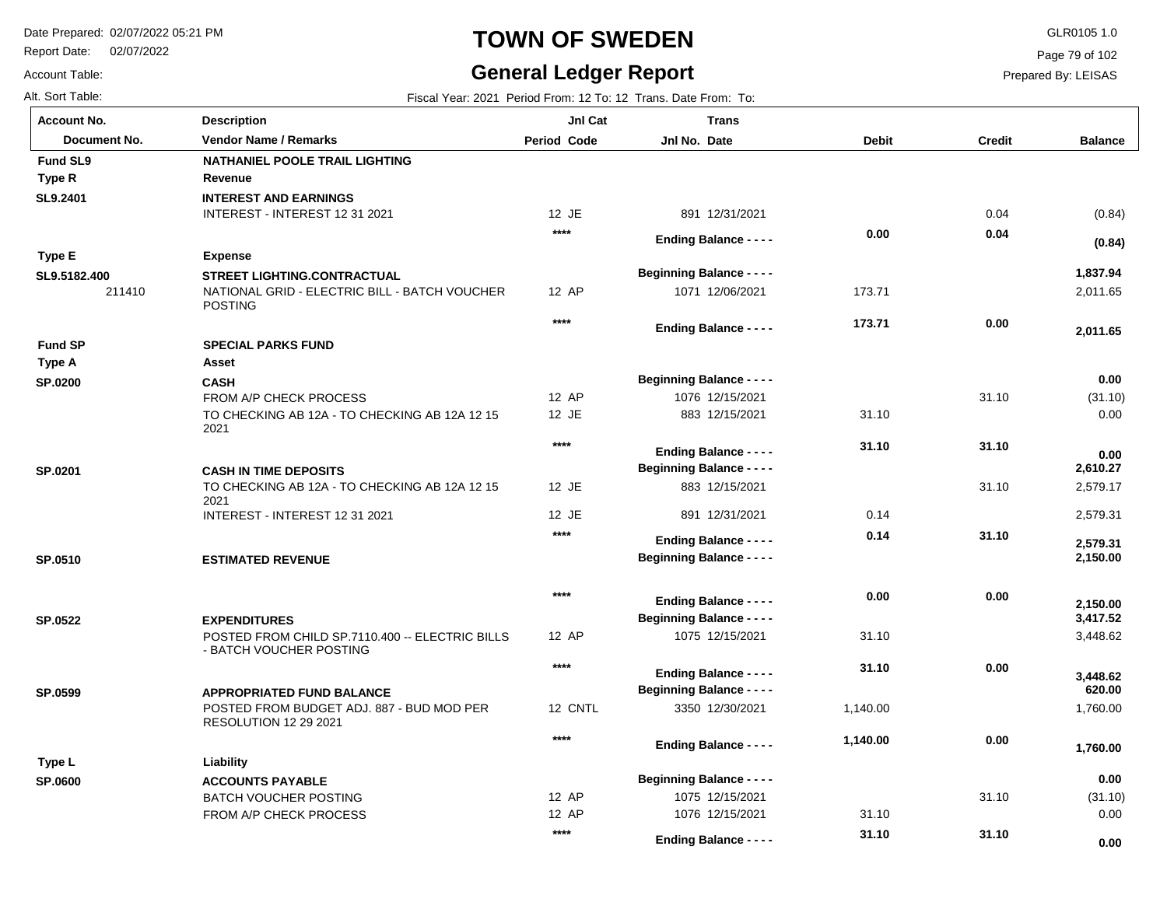Report Date: 02/07/2022

Account Table:

# **TOWN OF SWEDEN** GLR0105 1.0

# **General Ledger Report**

Page 79 of 102

| Alt. Sort Table:   |                                                                           |                    | Fiscal Year: 2021 Period From: 12 To: 12 Trans. Date From: To: |              |               |                      |
|--------------------|---------------------------------------------------------------------------|--------------------|----------------------------------------------------------------|--------------|---------------|----------------------|
| <b>Account No.</b> | <b>Description</b>                                                        | JnI Cat            | <b>Trans</b>                                                   |              |               |                      |
| Document No.       | <b>Vendor Name / Remarks</b>                                              | <b>Period Code</b> | Jnl No. Date                                                   | <b>Debit</b> | <b>Credit</b> | <b>Balance</b>       |
| <b>Fund SL9</b>    | NATHANIEL POOLE TRAIL LIGHTING                                            |                    |                                                                |              |               |                      |
| Type R             | Revenue                                                                   |                    |                                                                |              |               |                      |
| SL9.2401           | <b>INTEREST AND EARNINGS</b>                                              |                    |                                                                |              |               |                      |
|                    | INTEREST - INTEREST 12 31 2021                                            | 12 JE              | 891 12/31/2021                                                 |              | 0.04          | (0.84)               |
|                    |                                                                           | $***$              | <b>Ending Balance - - - -</b>                                  | 0.00         | 0.04          | (0.84)               |
| <b>Type E</b>      | <b>Expense</b>                                                            |                    |                                                                |              |               |                      |
| SL9.5182.400       | <b>STREET LIGHTING.CONTRACTUAL</b>                                        |                    | <b>Beginning Balance - - - -</b>                               |              |               | 1,837.94             |
| 211410             | NATIONAL GRID - ELECTRIC BILL - BATCH VOUCHER<br><b>POSTING</b>           | 12 AP              | 1071 12/06/2021                                                | 173.71       |               | 2,011.65             |
|                    |                                                                           | $****$             | <b>Ending Balance - - - -</b>                                  | 173.71       | 0.00          | 2,011.65             |
| <b>Fund SP</b>     | <b>SPECIAL PARKS FUND</b>                                                 |                    |                                                                |              |               |                      |
| <b>Type A</b>      | Asset                                                                     |                    |                                                                |              |               |                      |
| <b>SP.0200</b>     | <b>CASH</b>                                                               |                    | <b>Beginning Balance - - - -</b>                               |              |               | 0.00                 |
|                    | FROM A/P CHECK PROCESS                                                    | 12 AP              | 1076 12/15/2021                                                |              | 31.10         | (31.10)              |
|                    | TO CHECKING AB 12A - TO CHECKING AB 12A 12 15<br>2021                     | 12 JE              | 883 12/15/2021                                                 | 31.10        |               | 0.00                 |
|                    |                                                                           | $***$              | <b>Ending Balance - - - -</b>                                  | 31.10        | 31.10         | 0.00                 |
| SP.0201            | <b>CASH IN TIME DEPOSITS</b>                                              |                    | <b>Beginning Balance - - - -</b>                               |              |               | 2,610.27             |
|                    | TO CHECKING AB 12A - TO CHECKING AB 12A 12 15<br>2021                     | 12 JE              | 883 12/15/2021                                                 |              | 31.10         | 2,579.17             |
|                    | INTEREST - INTEREST 12 31 2021                                            | 12 JE              | 891 12/31/2021                                                 | 0.14         |               | 2,579.31             |
|                    |                                                                           | $***$              | <b>Ending Balance - - - -</b>                                  | 0.14         | 31.10         | 2,579.31             |
| SP.0510            | <b>ESTIMATED REVENUE</b>                                                  |                    | <b>Beginning Balance - - - -</b>                               |              |               | 2,150.00             |
|                    |                                                                           | $****$             |                                                                | 0.00         | 0.00          |                      |
|                    |                                                                           |                    | <b>Ending Balance - - - -</b>                                  |              |               | 2,150.00             |
| SP.0522            | <b>EXPENDITURES</b><br>POSTED FROM CHILD SP.7110.400 -- ELECTRIC BILLS    | 12 AP              | <b>Beginning Balance - - - -</b><br>1075 12/15/2021            | 31.10        |               | 3,417.52<br>3,448.62 |
|                    | - BATCH VOUCHER POSTING                                                   |                    |                                                                |              |               |                      |
|                    |                                                                           | $***$              | <b>Ending Balance - - - -</b>                                  | 31.10        | 0.00          | 3,448.62             |
| SP.0599            | <b>APPROPRIATED FUND BALANCE</b>                                          |                    | <b>Beginning Balance - - - -</b>                               |              |               | 620.00               |
|                    | POSTED FROM BUDGET ADJ. 887 - BUD MOD PER<br><b>RESOLUTION 12 29 2021</b> | 12 CNTL            | 3350 12/30/2021                                                | 1,140.00     |               | 1,760.00             |
|                    |                                                                           | $***$              | <b>Ending Balance - - - -</b>                                  | 1,140.00     | 0.00          | 1,760.00             |
| Type L             | Liability                                                                 |                    |                                                                |              |               |                      |
| <b>SP.0600</b>     | <b>ACCOUNTS PAYABLE</b>                                                   |                    | <b>Beginning Balance - - - -</b>                               |              |               | 0.00                 |
|                    | <b>BATCH VOUCHER POSTING</b>                                              | 12 AP              | 1075 12/15/2021                                                |              | 31.10         | (31.10)              |
|                    | FROM A/P CHECK PROCESS                                                    | 12 AP              | 1076 12/15/2021                                                | 31.10        |               | 0.00                 |
|                    |                                                                           | $***$              | <b>Ending Balance - - - -</b>                                  | 31.10        | 31.10         | 0.00                 |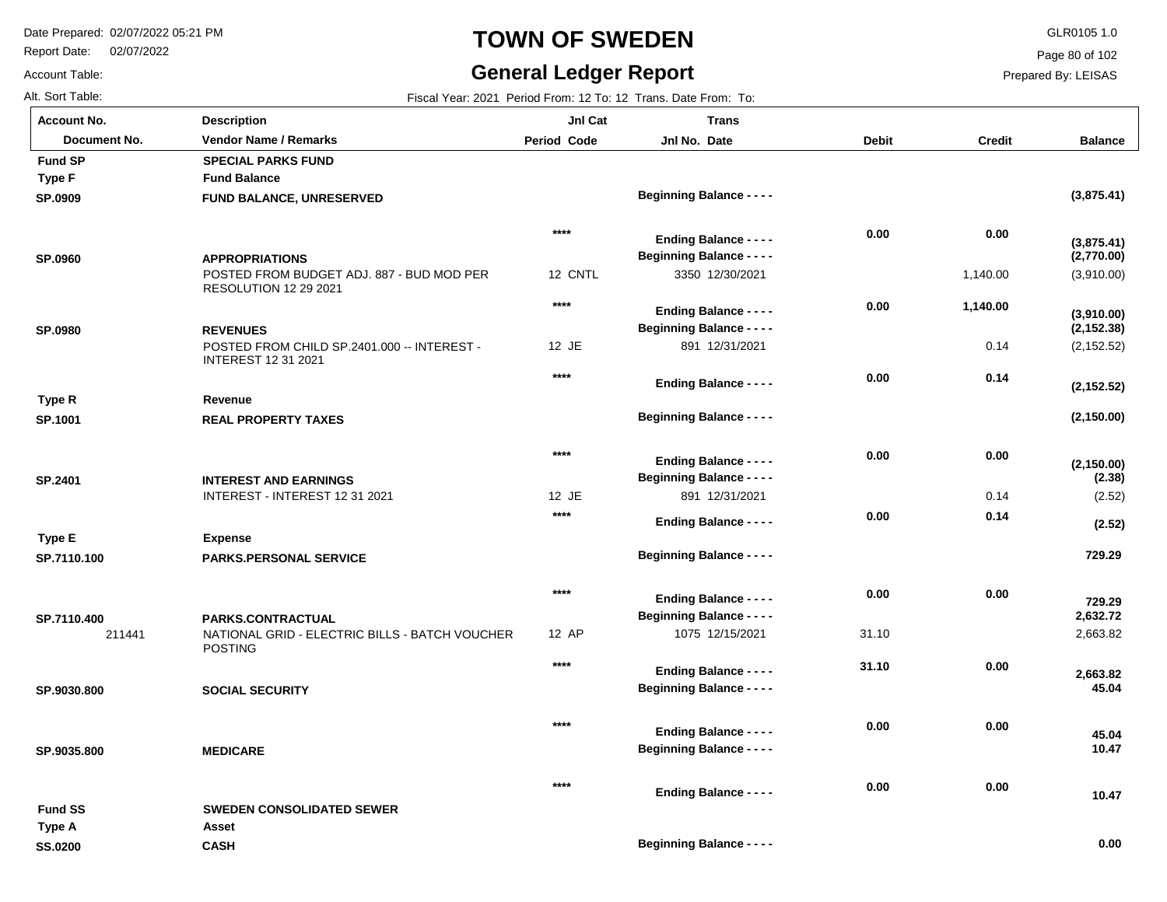Report Date: 02/07/2022

# **TOWN OF SWEDEN** GLR0105 1.0

# **General Ledger Report**

Page 80 of 102

Prepared By: LEISAS

| AIL OUIL TADIE.    |  |
|--------------------|--|
| <b>Account No.</b> |  |

Account Table:

Alt. Sort Table: Fiscal Year: 2021 Period From: 12 To: 12 Trans. Date From: To:

| <b>Account No.</b>    | <b>Description</b>                                                                           | JnI Cat            | <b>Trans</b>                                                      |              |               |                           |
|-----------------------|----------------------------------------------------------------------------------------------|--------------------|-------------------------------------------------------------------|--------------|---------------|---------------------------|
| Document No.          | <b>Vendor Name / Remarks</b>                                                                 | <b>Period Code</b> | Jnl No. Date                                                      | <b>Debit</b> | <b>Credit</b> | <b>Balance</b>            |
| <b>Fund SP</b>        | <b>SPECIAL PARKS FUND</b>                                                                    |                    |                                                                   |              |               |                           |
| <b>Type F</b>         | <b>Fund Balance</b>                                                                          |                    |                                                                   |              |               |                           |
| SP.0909               | FUND BALANCE, UNRESERVED                                                                     |                    | <b>Beginning Balance - - - -</b>                                  |              |               | (3,875.41)                |
|                       |                                                                                              | $***$              | <b>Ending Balance - - - -</b>                                     | 0.00         | 0.00          |                           |
| <b>SP.0960</b>        | <b>APPROPRIATIONS</b>                                                                        |                    | <b>Beginning Balance - - - -</b>                                  |              |               | (3,875.41)<br>(2,770.00)  |
|                       | POSTED FROM BUDGET ADJ. 887 - BUD MOD PER<br><b>RESOLUTION 12 29 2021</b>                    | 12 CNTL            | 3350 12/30/2021                                                   |              | 1,140.00      | (3,910.00)                |
|                       |                                                                                              | $***$              |                                                                   | 0.00         | 1,140.00      |                           |
|                       |                                                                                              |                    | <b>Ending Balance - - - -</b><br><b>Beginning Balance - - - -</b> |              |               | (3,910.00)<br>(2, 152.38) |
| SP.0980               | <b>REVENUES</b><br>POSTED FROM CHILD SP.2401.000 -- INTEREST -<br><b>INTEREST 12 31 2021</b> | 12 JE              | 891 12/31/2021                                                    |              | 0.14          | (2, 152.52)               |
|                       |                                                                                              | $***$              | <b>Ending Balance - - - -</b>                                     | 0.00         | 0.14          |                           |
| Type R                | Revenue                                                                                      |                    |                                                                   |              |               | (2, 152.52)               |
| SP.1001               | <b>REAL PROPERTY TAXES</b>                                                                   |                    | <b>Beginning Balance - - - -</b>                                  |              |               | (2, 150.00)               |
|                       |                                                                                              | $***$              | <b>Ending Balance - - - -</b>                                     | 0.00         | 0.00          |                           |
| SP.2401               | <b>INTEREST AND EARNINGS</b>                                                                 |                    | <b>Beginning Balance - - - -</b>                                  |              |               | (2, 150.00)<br>(2.38)     |
|                       | INTEREST - INTEREST 12 31 2021                                                               | 12 JE              | 891 12/31/2021                                                    |              | 0.14          | (2.52)                    |
|                       |                                                                                              | $***$              |                                                                   | 0.00         | 0.14          |                           |
| Type E                | <b>Expense</b>                                                                               |                    | <b>Ending Balance - - - -</b>                                     |              |               | (2.52)                    |
| SP.7110.100           | <b>PARKS.PERSONAL SERVICE</b>                                                                |                    | <b>Beginning Balance - - - -</b>                                  |              |               | 729.29                    |
|                       |                                                                                              |                    |                                                                   |              |               |                           |
|                       |                                                                                              | $***$              | <b>Ending Balance - - - -</b>                                     | 0.00         | 0.00          |                           |
|                       | <b>PARKS.CONTRACTUAL</b>                                                                     |                    | <b>Beginning Balance - - - -</b>                                  |              |               | 729.29<br>2,632.72        |
| SP.7110.400<br>211441 | NATIONAL GRID - ELECTRIC BILLS - BATCH VOUCHER<br><b>POSTING</b>                             | 12 AP              | 1075 12/15/2021                                                   | 31.10        |               | 2,663.82                  |
|                       |                                                                                              | ****               | <b>Ending Balance - - - -</b>                                     | 31.10        | 0.00          |                           |
| SP.9030.800           | <b>SOCIAL SECURITY</b>                                                                       |                    | <b>Beginning Balance - - - -</b>                                  |              |               | 2,663.82<br>45.04         |
|                       |                                                                                              |                    |                                                                   |              |               |                           |
|                       |                                                                                              | ****               | <b>Ending Balance - - - -</b>                                     | 0.00         | 0.00          |                           |
| SP.9035.800           | <b>MEDICARE</b>                                                                              |                    | <b>Beginning Balance - - - -</b>                                  |              |               | 45.04<br>10.47            |
|                       |                                                                                              |                    |                                                                   |              |               |                           |
|                       |                                                                                              | ****               | <b>Ending Balance - - - -</b>                                     | 0.00         | 0.00          | 10.47                     |
| <b>Fund SS</b>        | <b>SWEDEN CONSOLIDATED SEWER</b>                                                             |                    |                                                                   |              |               |                           |
| Type A                | Asset                                                                                        |                    |                                                                   |              |               |                           |
| <b>SS.0200</b>        | <b>CASH</b>                                                                                  |                    | <b>Beginning Balance - - - -</b>                                  |              |               | 0.00                      |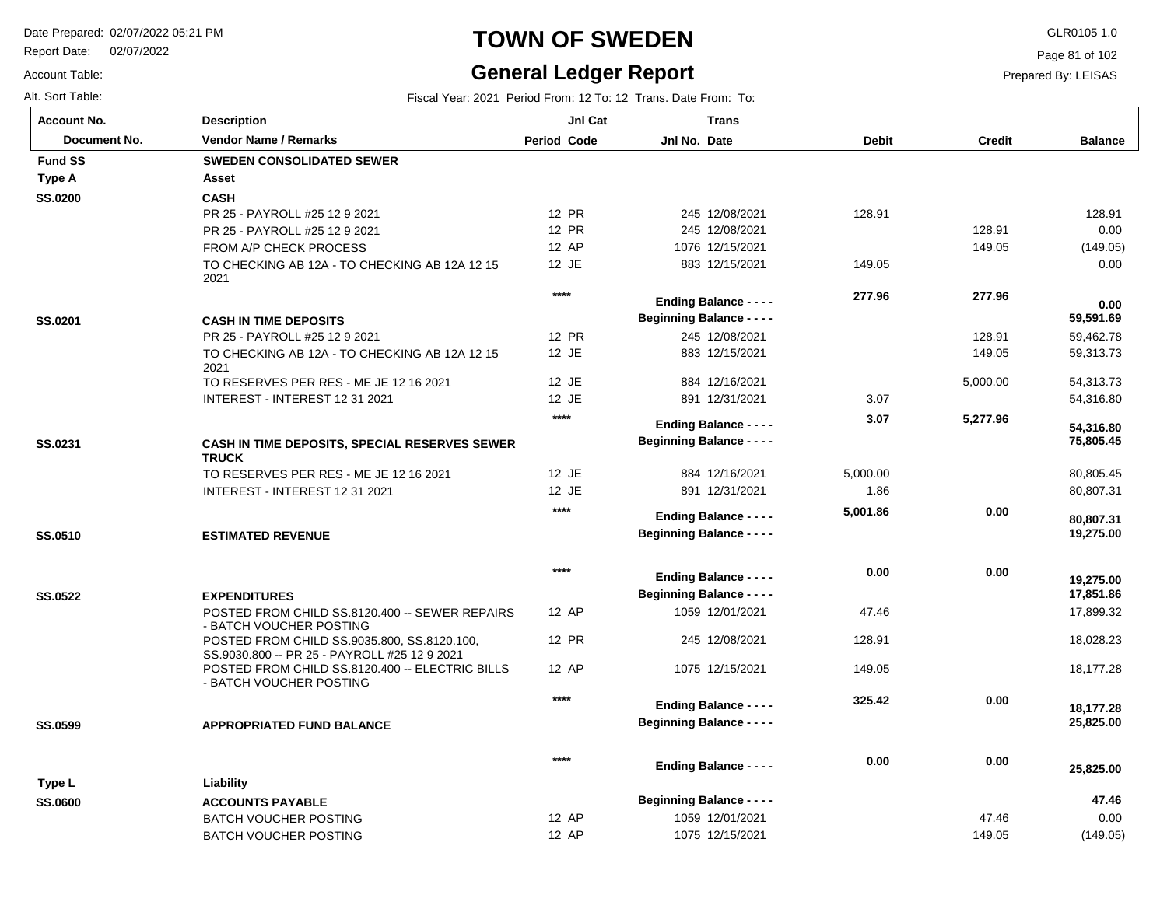Report Date: 02/07/2022

#### Account Table:

# **TOWN OF SWEDEN** GLR0105 1.0

### **General Ledger Report**

Page 81 of 102

**Balance**

 128.91 0.00 (149.05) 0.00

 59,462.78 59,313.73 54,313.73 54,316.80

 **59,591.69** 

 **0.00** 

 80,805.45 80,807.31

 **19,275.00** 

 **80,807.31** 

 **75,805.45** 

 **54,316.80** 

 17,899.32 18,028.23 18,177.28

 **25,825.00** 

 **18,177.28** 

 **17,851.86** 

 **19,275.00** 

| Alt. Sort Table:   |                                                                                             |                    | Fiscal Year: 2021 Period From: 12 To: 12 Trans. Date From: To: |              |          |
|--------------------|---------------------------------------------------------------------------------------------|--------------------|----------------------------------------------------------------|--------------|----------|
| <b>Account No.</b> | <b>Description</b>                                                                          | JnI Cat            | <b>Trans</b>                                                   |              |          |
| Document No.       | <b>Vendor Name / Remarks</b>                                                                | <b>Period Code</b> | Jnl No. Date                                                   | <b>Debit</b> | Credit   |
| <b>Fund SS</b>     | <b>SWEDEN CONSOLIDATED SEWER</b>                                                            |                    |                                                                |              |          |
| <b>Type A</b>      | Asset                                                                                       |                    |                                                                |              |          |
| <b>SS.0200</b>     | <b>CASH</b>                                                                                 |                    |                                                                |              |          |
|                    | PR 25 - PAYROLL #25 12 9 2021                                                               | 12 PR              | 245 12/08/2021                                                 | 128.91       |          |
|                    | PR 25 - PAYROLL #25 12 9 2021                                                               | 12 PR              | 245 12/08/2021                                                 |              | 128.91   |
|                    | FROM A/P CHECK PROCESS                                                                      | 12 AP              | 1076 12/15/2021                                                |              | 149.05   |
|                    | TO CHECKING AB 12A - TO CHECKING AB 12A 12 15<br>2021                                       | 12 JE              | 883 12/15/2021                                                 | 149.05       |          |
|                    |                                                                                             | $***$              | <b>Ending Balance - - - -</b>                                  | 277.96       | 277.96   |
| SS.0201            | <b>CASH IN TIME DEPOSITS</b>                                                                |                    | <b>Beginning Balance - - - -</b>                               |              |          |
|                    | PR 25 - PAYROLL #25 12 9 2021                                                               | 12 PR              | 245 12/08/2021                                                 |              | 128.91   |
|                    | TO CHECKING AB 12A - TO CHECKING AB 12A 12 15<br>2021                                       | 12 JE              | 883 12/15/2021                                                 |              | 149.05   |
|                    | TO RESERVES PER RES - ME JE 12 16 2021                                                      | 12 JE              | 884 12/16/2021                                                 |              | 5,000.00 |
|                    | INTEREST - INTEREST 12 31 2021                                                              | 12 JE              | 891 12/31/2021                                                 | 3.07         |          |
|                    |                                                                                             | $***$              | <b>Ending Balance - - - -</b>                                  | 3.07         | 5,277.96 |
| SS.0231            | CASH IN TIME DEPOSITS, SPECIAL RESERVES SEWER<br><b>TRUCK</b>                               |                    | <b>Beginning Balance - - - -</b>                               |              |          |
|                    | TO RESERVES PER RES - ME JE 12 16 2021                                                      | 12 JE              | 884 12/16/2021                                                 | 5,000.00     |          |
|                    | INTEREST - INTEREST 12 31 2021                                                              | 12 JE              | 891 12/31/2021                                                 | 1.86         |          |
|                    |                                                                                             | $***$              | <b>Ending Balance - - - -</b>                                  | 5,001.86     | 0.00     |
| SS.0510            | <b>ESTIMATED REVENUE</b>                                                                    |                    | <b>Beginning Balance - - - -</b>                               |              |          |
|                    |                                                                                             | $****$             | <b>Ending Balance - - - -</b>                                  | 0.00         | 0.00     |
| <b>SS.0522</b>     | <b>EXPENDITURES</b>                                                                         |                    | <b>Beginning Balance - - - -</b>                               |              |          |
|                    | POSTED FROM CHILD SS.8120.400 -- SEWER REPAIRS                                              | 12 AP              | 1059 12/01/2021                                                | 47.46        |          |
|                    | - BATCH VOUCHER POSTING                                                                     |                    |                                                                |              |          |
|                    | POSTED FROM CHILD SS.9035.800, SS.8120.100,<br>SS.9030.800 -- PR 25 - PAYROLL #25 12 9 2021 | 12 PR              | 245 12/08/2021                                                 | 128.91       |          |
|                    | POSTED FROM CHILD SS.8120.400 -- ELECTRIC BILLS<br>- BATCH VOUCHER POSTING                  | 12 AP              | 1075 12/15/2021                                                | 149.05       |          |
|                    |                                                                                             | $***$              | <b>Ending Balance - - - -</b>                                  | 325.42       | 0.00     |
| SS.0599            | <b>APPROPRIATED FUND BALANCE</b>                                                            |                    | <b>Beginning Balance - - - -</b>                               |              |          |

| Type L         | Liability                    | ****  | <b>Ending Balance - - - -</b>    | 0.00 | 0.00   | 25,825.00 |
|----------------|------------------------------|-------|----------------------------------|------|--------|-----------|
| <b>SS.0600</b> | <b>ACCOUNTS PAYABLE</b>      |       | <b>Beginning Balance - - - -</b> |      |        | 47.46     |
|                | <b>BATCH VOUCHER POSTING</b> | 12 AP | 1059 12/01/2021                  |      | 47.46  | 0.00      |
|                | BATCH VOUCHER POSTING        | 12 AP | 1075 12/15/2021                  |      | 149.05 | (149.05)  |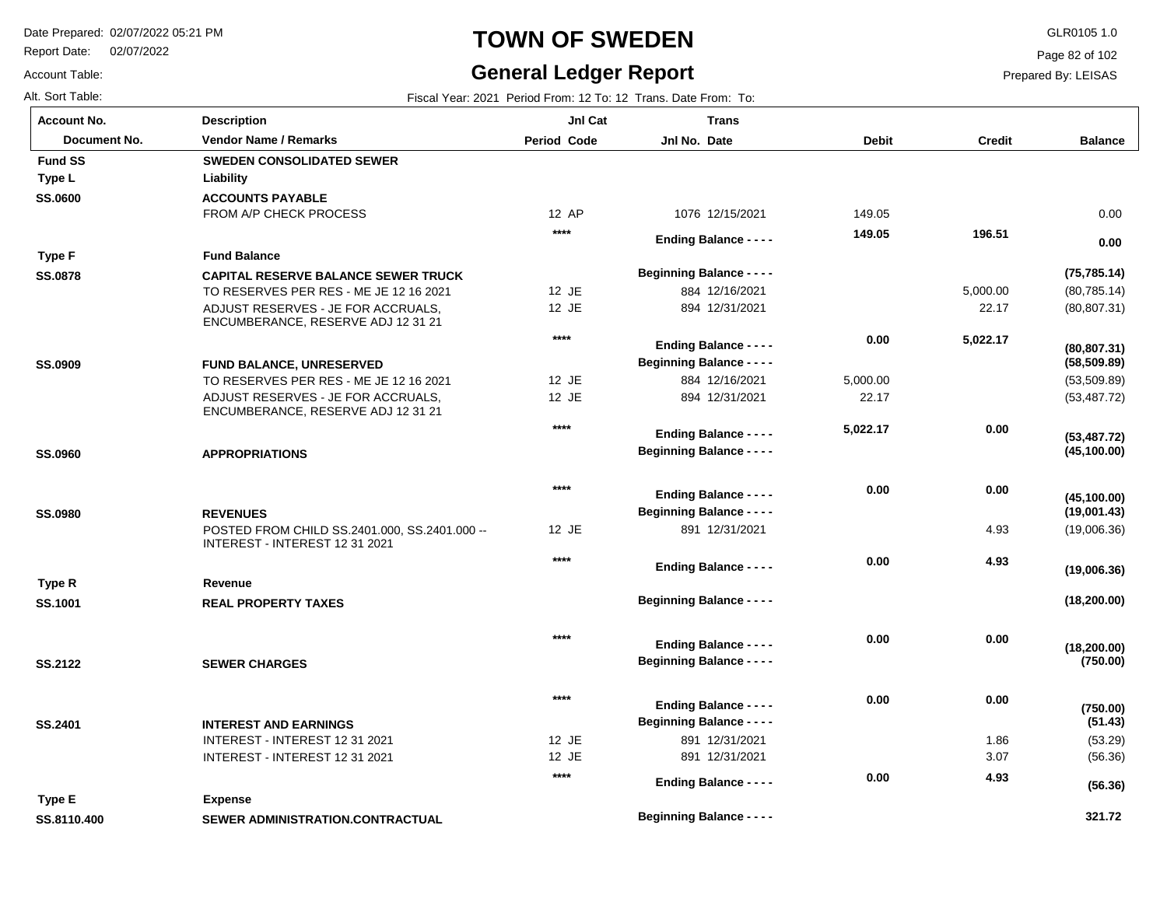Report Date: 02/07/2022

Account Table:

# **TOWN OF SWEDEN** GLR0105 1.0

# **General Ledger Report**

Page 82 of 102

| Alt. Sort Table:   |                                                                                 |                | Fiscal Year: 2021 Period From: 12 To: 12 Trans. Date From: To: |              |               |                              |
|--------------------|---------------------------------------------------------------------------------|----------------|----------------------------------------------------------------|--------------|---------------|------------------------------|
| <b>Account No.</b> | <b>Description</b>                                                              | JnI Cat        | <b>Trans</b>                                                   |              |               |                              |
| Document No.       | <b>Vendor Name / Remarks</b>                                                    | Period Code    | Jnl No. Date                                                   | <b>Debit</b> | <b>Credit</b> | <b>Balance</b>               |
| <b>Fund SS</b>     | <b>SWEDEN CONSOLIDATED SEWER</b>                                                |                |                                                                |              |               |                              |
| Type L             | Liability                                                                       |                |                                                                |              |               |                              |
| <b>SS.0600</b>     | <b>ACCOUNTS PAYABLE</b>                                                         |                |                                                                |              |               |                              |
|                    | FROM A/P CHECK PROCESS                                                          | 12 AP          | 1076 12/15/2021                                                | 149.05       |               | 0.00                         |
|                    |                                                                                 | ****           | <b>Ending Balance - - - -</b>                                  | 149.05       | 196.51        | 0.00                         |
| <b>Type F</b>      | <b>Fund Balance</b>                                                             |                |                                                                |              |               |                              |
| <b>SS.0878</b>     | <b>CAPITAL RESERVE BALANCE SEWER TRUCK</b>                                      |                | <b>Beginning Balance - - - -</b>                               |              |               | (75, 785.14)                 |
|                    | TO RESERVES PER RES - ME JE 12 16 2021                                          | 12 JE          | 884 12/16/2021                                                 |              | 5,000.00      | (80, 785.14)                 |
|                    | ADJUST RESERVES - JE FOR ACCRUALS,<br>ENCUMBERANCE, RESERVE ADJ 12 31 21        | 12 JE          | 894 12/31/2021                                                 |              | 22.17         | (80, 807.31)                 |
|                    |                                                                                 | $****$         | <b>Ending Balance - - - -</b>                                  | 0.00         | 5,022.17      |                              |
| <b>SS.0909</b>     | <b>FUND BALANCE, UNRESERVED</b>                                                 |                | <b>Beginning Balance - - - -</b>                               |              |               | (80, 807.31)<br>(58, 509.89) |
|                    | TO RESERVES PER RES - ME JE 12 16 2021                                          | 12 JE          | 884 12/16/2021                                                 | 5,000.00     |               | (53, 509.89)                 |
|                    | ADJUST RESERVES - JE FOR ACCRUALS,<br>ENCUMBERANCE, RESERVE ADJ 12 31 21        | 12 JE          | 894 12/31/2021                                                 | 22.17        |               | (53, 487.72)                 |
|                    |                                                                                 | ****           | <b>Ending Balance - - - -</b>                                  | 5,022.17     | 0.00          |                              |
| <b>SS.0960</b>     | <b>APPROPRIATIONS</b>                                                           |                | <b>Beginning Balance - - - -</b>                               |              |               | (53, 487.72)<br>(45, 100.00) |
|                    |                                                                                 | $****$         |                                                                | 0.00         |               |                              |
|                    |                                                                                 |                | <b>Ending Balance - - - -</b>                                  |              | 0.00          | (45, 100.00)                 |
| <b>SS.0980</b>     | <b>REVENUES</b>                                                                 |                | <b>Beginning Balance - - - -</b>                               |              |               | (19,001.43)                  |
|                    | POSTED FROM CHILD SS.2401.000, SS.2401.000 --<br>INTEREST - INTEREST 12 31 2021 | 12 JE          | 891 12/31/2021                                                 |              | 4.93          | (19,006.36)                  |
|                    |                                                                                 | ****           | <b>Ending Balance - - - -</b>                                  | 0.00         | 4.93          | (19,006.36)                  |
| Type R             | Revenue                                                                         |                |                                                                |              |               |                              |
| <b>SS.1001</b>     | <b>REAL PROPERTY TAXES</b>                                                      |                | <b>Beginning Balance - - - -</b>                               |              |               | (18, 200.00)                 |
|                    |                                                                                 | ****           | <b>Ending Balance - - - -</b>                                  | 0.00         | 0.00          |                              |
| <b>SS.2122</b>     | <b>SEWER CHARGES</b>                                                            |                | <b>Beginning Balance - - - -</b>                               |              |               | (18, 200.00)<br>(750.00)     |
|                    |                                                                                 | ****           |                                                                | 0.00         | 0.00          |                              |
|                    |                                                                                 |                | <b>Ending Balance - - - -</b>                                  |              |               | (750.00)                     |
| SS.2401            | <b>INTEREST AND EARNINGS</b>                                                    |                | <b>Beginning Balance - - - -</b>                               |              |               | (51.43)                      |
|                    | INTEREST - INTEREST 12 31 2021<br>INTEREST - INTEREST 12 31 2021                | 12 JE<br>12 JE | 891 12/31/2021<br>891 12/31/2021                               |              | 1.86<br>3.07  | (53.29)<br>(56.36)           |
|                    |                                                                                 | ****           |                                                                |              |               |                              |
|                    |                                                                                 |                | <b>Ending Balance - - - -</b>                                  | 0.00         | 4.93          | (56.36)                      |
| Type E             | <b>Expense</b>                                                                  |                |                                                                |              |               |                              |
| SS.8110.400        | SEWER ADMINISTRATION.CONTRACTUAL                                                |                | <b>Beginning Balance - - - -</b>                               |              |               | 321.72                       |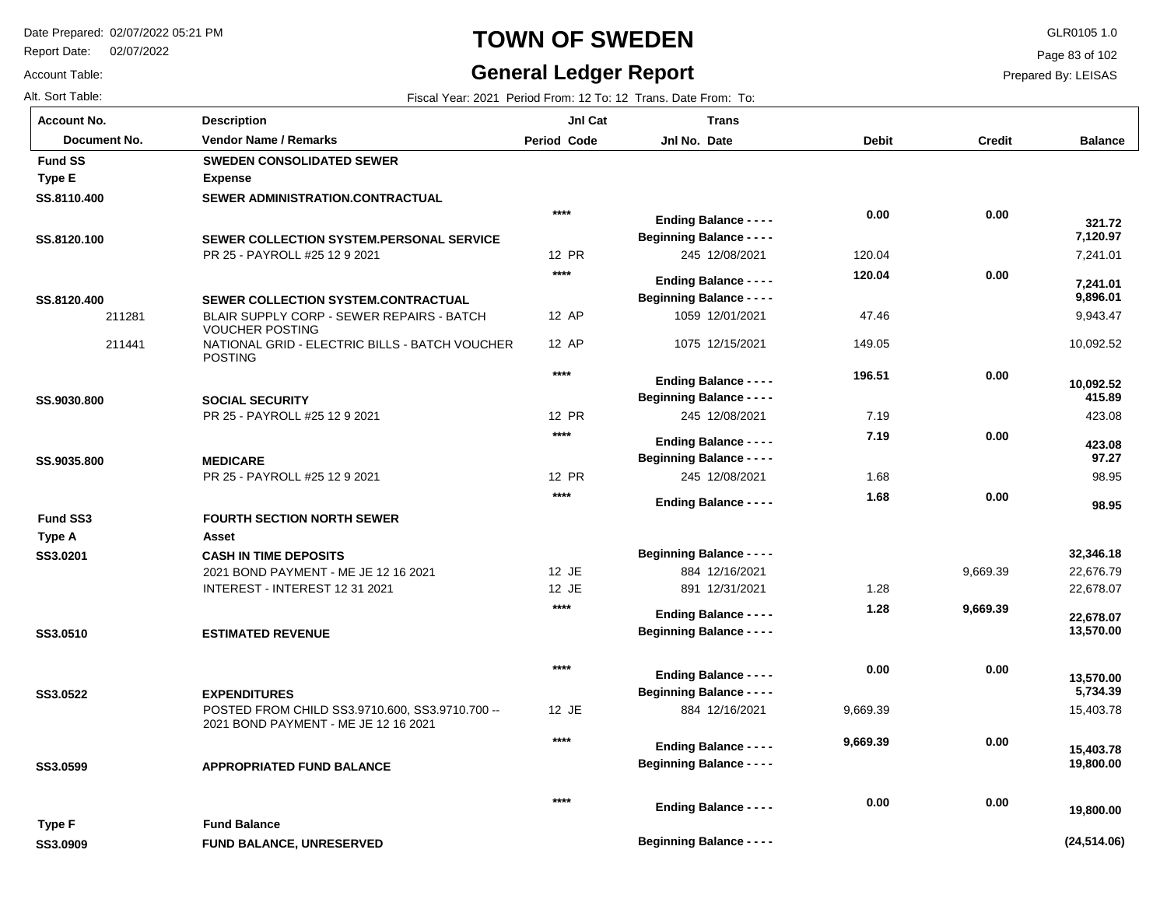**Description**

**FUND BALANCE, UNRESERVED**

Report Date: 02/07/2022

# **TOWN OF SWEDEN** GLR0105 1.0

#### **General Ledger Report**

**Jnl Cat**

**Trans**

**Balance**

7,241.01

 **7,120.97** 

 **321.72** 

 9,943.47 10,092.52

 **9,896.01** 

 **7,241.01** 

423.08

 **415.89** 

 **10,092.52** 

98.95

 **98.95** 

 **97.27** 

 **423.08** 

 22,676.79 22,678.07

 **13,570.00** 

 **22,678.07** 

 **32,346.18** 

15,403.78

 **19,800.00** 

 **15,403.78** 

**(24,514.06)**

 **19,800.00** 

 **5,734.39** 

 **13,570.00** 

Page 83 of 102

Prepared By: LEISAS

Account Table: Alt. Sort Table: Fiscal Year: 2021 Period From: 12 To: 12 Trans. Date From: To: **Account No.**

| Document No.    | <b>Vendor Name / Remarks</b>                                                            | <b>Period Code</b> | Jnl No. Date                     | <b>Debit</b> | Credit   |
|-----------------|-----------------------------------------------------------------------------------------|--------------------|----------------------------------|--------------|----------|
| <b>Fund SS</b>  | <b>SWEDEN CONSOLIDATED SEWER</b>                                                        |                    |                                  |              |          |
| <b>Type E</b>   | <b>Expense</b>                                                                          |                    |                                  |              |          |
| SS.8110.400     | SEWER ADMINISTRATION.CONTRACTUAL                                                        |                    |                                  |              |          |
|                 |                                                                                         | $***$              | <b>Ending Balance - - - -</b>    | 0.00         | 0.00     |
| SS.8120.100     | SEWER COLLECTION SYSTEM.PERSONAL SERVICE                                                |                    | <b>Beginning Balance - - - -</b> |              |          |
|                 | PR 25 - PAYROLL #25 12 9 2021                                                           | 12 PR              | 245 12/08/2021                   | 120.04       |          |
|                 |                                                                                         | $***$              |                                  | 120.04       | 0.00     |
|                 |                                                                                         |                    | <b>Ending Balance - - - -</b>    |              |          |
| SS.8120.400     | SEWER COLLECTION SYSTEM.CONTRACTUAL                                                     | 12 AP              | <b>Beginning Balance - - - -</b> |              |          |
| 211281          | BLAIR SUPPLY CORP - SEWER REPAIRS - BATCH<br><b>VOUCHER POSTING</b>                     |                    | 1059 12/01/2021                  | 47.46        |          |
| 211441          | NATIONAL GRID - ELECTRIC BILLS - BATCH VOUCHER<br><b>POSTING</b>                        | 12 AP              | 1075 12/15/2021                  | 149.05       |          |
|                 |                                                                                         | $***$              | <b>Ending Balance - - - -</b>    | 196.51       | 0.00     |
| SS.9030.800     | <b>SOCIAL SECURITY</b>                                                                  |                    | <b>Beginning Balance - - - -</b> |              |          |
|                 | PR 25 - PAYROLL #25 12 9 2021                                                           | 12 PR              | 245 12/08/2021                   | 7.19         |          |
|                 |                                                                                         | $***$              |                                  | 7.19         | 0.00     |
|                 |                                                                                         |                    | <b>Ending Balance - - - -</b>    |              |          |
| SS.9035.800     | <b>MEDICARE</b>                                                                         |                    | <b>Beginning Balance - - - -</b> |              |          |
|                 | PR 25 - PAYROLL #25 12 9 2021                                                           | 12 PR              | 245 12/08/2021                   | 1.68         |          |
|                 |                                                                                         | $***$              | <b>Ending Balance - - - -</b>    | 1.68         | 0.00     |
| <b>Fund SS3</b> | <b>FOURTH SECTION NORTH SEWER</b>                                                       |                    |                                  |              |          |
| Type A          | Asset                                                                                   |                    |                                  |              |          |
| SS3.0201        | <b>CASH IN TIME DEPOSITS</b>                                                            |                    | <b>Beginning Balance - - - -</b> |              |          |
|                 | 2021 BOND PAYMENT - ME JE 12 16 2021                                                    | 12 JE              | 884 12/16/2021                   |              | 9,669.39 |
|                 | INTEREST - INTEREST 12 31 2021                                                          | 12 JE              | 891 12/31/2021                   | 1.28         |          |
|                 |                                                                                         | $***$              | <b>Ending Balance - - - -</b>    | 1.28         | 9,669.39 |
| SS3.0510        | <b>ESTIMATED REVENUE</b>                                                                |                    | <b>Beginning Balance - - - -</b> |              |          |
|                 |                                                                                         | $***$              | <b>Ending Balance - - - -</b>    | 0.00         | 0.00     |
| SS3.0522        | <b>EXPENDITURES</b>                                                                     |                    | <b>Beginning Balance - - - -</b> |              |          |
|                 | POSTED FROM CHILD SS3.9710.600, SS3.9710.700 --<br>2021 BOND PAYMENT - ME JE 12 16 2021 | 12 JE              | 884 12/16/2021                   | 9,669.39     |          |
|                 |                                                                                         | $***$              | <b>Ending Balance - - - -</b>    | 9,669.39     | 0.00     |
| SS3.0599        | <b>APPROPRIATED FUND BALANCE</b>                                                        |                    | <b>Beginning Balance - - - -</b> |              |          |
|                 |                                                                                         | $***$              | <b>Ending Balance - - - -</b>    | 0.00         | 0.00     |
| Type F          | <b>Fund Balance</b>                                                                     |                    |                                  |              |          |
| SS3.0909        | <b>FUND BALANCE, UNRESERVED</b>                                                         |                    | <b>Beginning Balance - - - -</b> |              |          |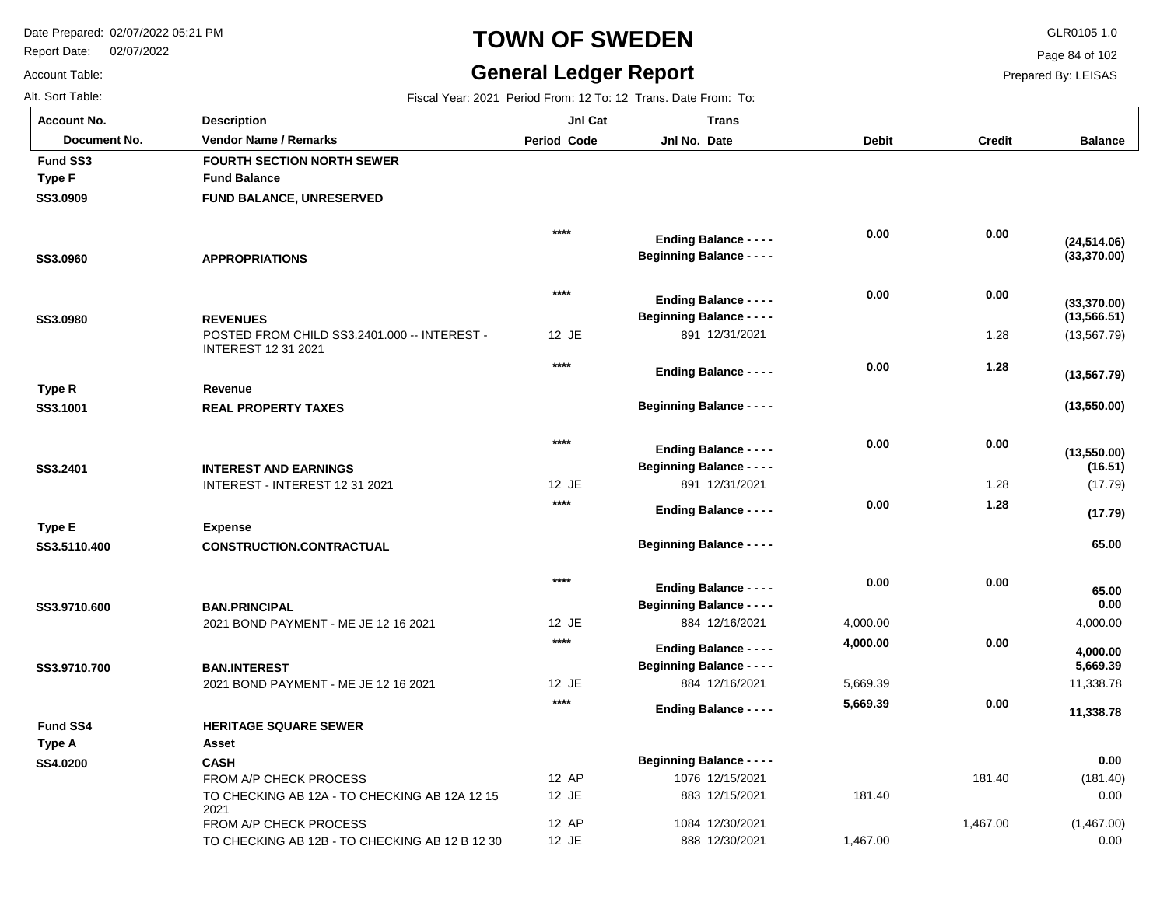2021

**CASH**

**Asset**

Report Date: 02/07/2022

# **TOWN OF SWEDEN** GLR0105 1.0

#### **General Ledger Report**

**Balance**

(13,567.79)

**(13,550.00)**

**(13,550.00)**

**(13,567.79)**

**(13,566.51)**

**(33,370.00)**

**(33,370.00)**

**(24,514.06)**

(17.79)

**(17.79)**

 **65.00** 

**(16.51)**

4,000.00

 **5,669.39** 

 **4,000.00** 

 **0.00** 

 **65.00** 

Page 84 of 102

Prepared By: LEISAS

Account Table: **Account No.**

**SS3.0909**

**Fund SS3**

**Type F**

**SS3.0960**

**SS3.0980**

**SS3.1001**

**Type R**

**SS3.2401**

**Type E**

**SS3.5110.400**

**SS3.9710.600**

**SS3.9710.700**

**SS4.0200**

**Fund SS4**

**Type A**

Alt. Sort Table: Fiscal Year: 2021 Period From: 12 To: 12 Trans. Date From: To: POSTED FROM CHILD SS3.2401.000 -- INTEREST - INTEREST 12 31 2021 INTEREST - INTEREST 12 31 2021 2021 BOND PAYMENT - ME JE 12 16 2021 1.28 1.28 **FUND BALANCE, UNRESERVED APPROPRIATIONS REVENUES REAL PROPERTY TAXES INTEREST AND EARNINGS CONSTRUCTION.CONTRACTUAL BAN.PRINCIPAL BAN.INTEREST** 12 JE 12 JE 12 JE 891 12/31/2021 891 12/31/2021 884 12/16/2021 4,000.00 **Fund Balance Revenue Expense FOURTH SECTION NORTH SEWER 0.00 0.00 1.28 0.00 1.28 0.00 0.00 0.00 0.00 0.00 0.00 0.00 0.00 4,000.00 \*\*\*\* \*\*\*\* \*\*\*\* \*\*\*\* \*\*\*\* \*\*\*\* \*\*\*\* Document No. Vendor Name / Remarks Period Jnl No. Debit Credit Description Period Code Jnl Cat Jnl No. Date Trans Beginning Balance - - - - Beginning Balance - - - - Beginning Balance - - - - Beginning Balance - - - - Beginning Balance - - - - Beginning Balance - - - - Beginning Balance - - - - Ending Balance - - - - Ending Balance - - - - Ending Balance - - - - Ending Balance - - - - Ending Balance - - - - Ending Balance - - - - Ending Balance - - - -**

> 2021 BOND PAYMENT - ME JE 12 16 2021 FROM A/P CHECK PROCESS TO CHECKING AB 12A - TO CHECKING AB 12A 12 15 FROM A/P CHECK PROCESS TO CHECKING AB 12B - TO CHECKING AB 12 B 12 30 181.40 1,467.00 12 JE 12 AP 12 JE 12 AP 12 JE 884 12/16/2021 1076 12/15/2021 883 12/15/2021 1084 12/30/2021 888 12/30/2021 11,338.78 (181.40) 0.00 (1,467.00) 0.00 5,669.39 181.40 1,467.00  **0.00 HERITAGE SQUARE SEWER 11,338.78 0.00 5,669.39 \*\*\*\* Beginning Balance - - - - Ending Balance - - - -**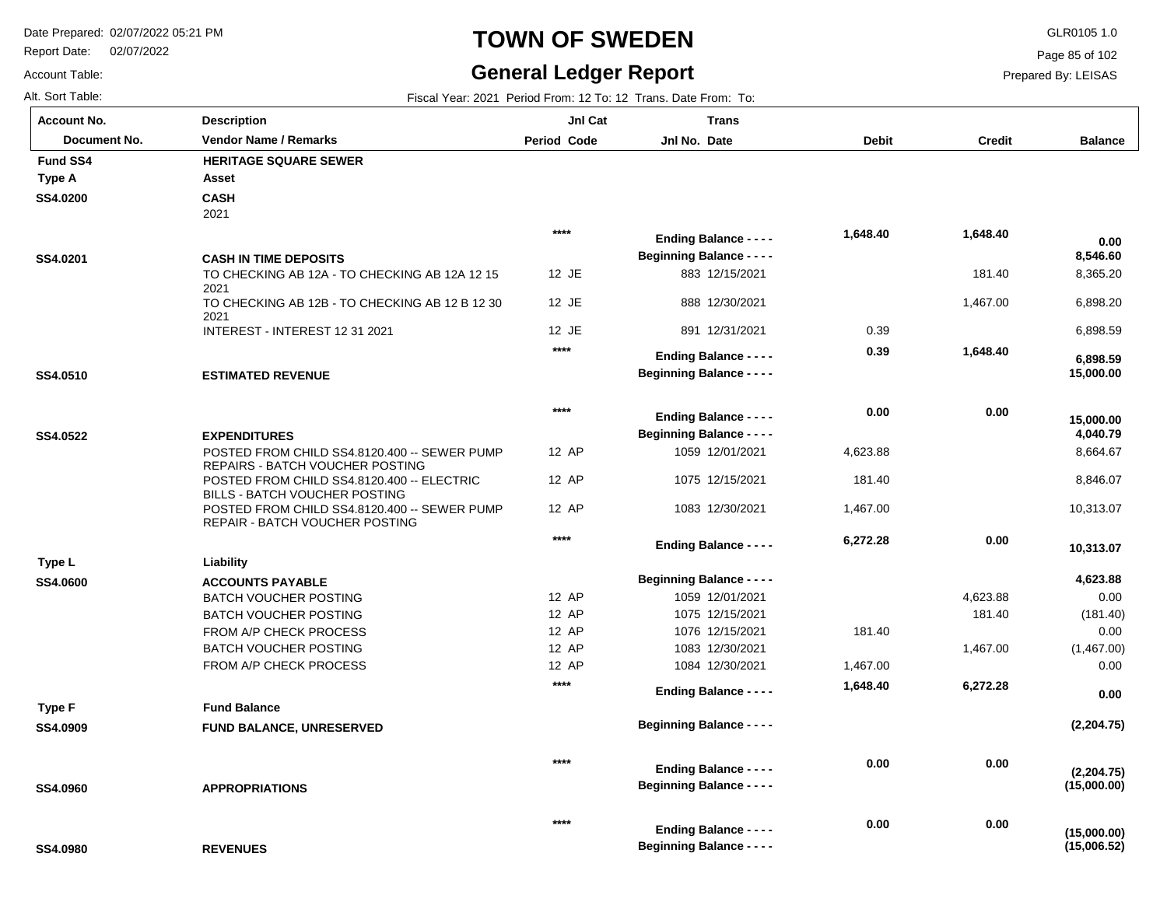Report Date: 02/07/2022

# **TOWN OF SWEDEN** GLR0105 1.0

#### **General Ledger Report**

**Balance**

Page 85 of 102

Prepared By: LEISAS

| Alt. Sort Table:   |                                                                                    |                    | Fiscal Year: 2021 Period From: 12 To: 12 Trans. Date From: To:    |              |               |
|--------------------|------------------------------------------------------------------------------------|--------------------|-------------------------------------------------------------------|--------------|---------------|
| <b>Account No.</b> | <b>Description</b>                                                                 | Jnl Cat            | <b>Trans</b>                                                      |              |               |
| Document No.       | <b>Vendor Name / Remarks</b>                                                       | <b>Period Code</b> | Jnl No. Date                                                      | <b>Debit</b> | <b>Credit</b> |
| <b>Fund SS4</b>    | <b>HERITAGE SQUARE SEWER</b>                                                       |                    |                                                                   |              |               |
| Type A             | Asset                                                                              |                    |                                                                   |              |               |
| SS4.0200           | <b>CASH</b><br>2021                                                                |                    |                                                                   |              |               |
|                    |                                                                                    | $***$              | <b>Ending Balance - - - -</b>                                     | 1,648.40     | 1,648.40      |
| SS4.0201           | <b>CASH IN TIME DEPOSITS</b>                                                       |                    | <b>Beginning Balance - - - -</b>                                  |              |               |
|                    | TO CHECKING AB 12A - TO CHECKING AB 12A 12 15<br>2021                              | 12 JE              | 883 12/15/2021                                                    |              | 181.40        |
|                    | TO CHECKING AB 12B - TO CHECKING AB 12 B 12 30<br>2021                             | 12 JE              | 888 12/30/2021                                                    |              | 1,467.00      |
|                    | INTEREST - INTEREST 12 31 2021                                                     | 12 JE              | 891 12/31/2021                                                    | 0.39         |               |
| SS4.0510           | <b>ESTIMATED REVENUE</b>                                                           | $***$              | <b>Ending Balance - - - -</b><br><b>Beginning Balance - - - -</b> | 0.39         | 1,648.40      |
|                    |                                                                                    | ****               | <b>Ending Balance - - - -</b>                                     | 0.00         | 0.00          |
| SS4.0522           | <b>EXPENDITURES</b>                                                                |                    | <b>Beginning Balance - - - -</b>                                  |              |               |
|                    | POSTED FROM CHILD SS4.8120.400 -- SEWER PUMP<br>REPAIRS - BATCH VOUCHER POSTING    | 12 AP              | 1059 12/01/2021                                                   | 4,623.88     |               |
|                    | POSTED FROM CHILD SS4.8120.400 -- ELECTRIC<br><b>BILLS - BATCH VOUCHER POSTING</b> | 12 AP              | 1075 12/15/2021                                                   | 181.40       |               |
|                    | POSTED FROM CHILD SS4.8120.400 -- SEWER PUMP                                       | 12 AP              | 1083 12/30/2021                                                   | 1.467.00     |               |

|                                                                                 | ****   | <b>Ending Balance - - - -</b>    | 1,648.40 | 1,648.40 | 0.00                       |
|---------------------------------------------------------------------------------|--------|----------------------------------|----------|----------|----------------------------|
| <b>CASH IN TIME DEPOSITS</b>                                                    |        | <b>Beginning Balance - - - -</b> |          |          | 8,546.60                   |
| TO CHECKING AB 12A - TO CHECKING AB 12A 12 15<br>2021                           | 12 JE  | 883 12/15/2021                   |          | 181.40   | 8,365.20                   |
| TO CHECKING AB 12B - TO CHECKING AB 12 B 12 30<br>2021                          | 12 JE  | 888 12/30/2021                   |          | 1,467.00 | 6,898.20                   |
| INTEREST - INTEREST 12 31 2021                                                  | 12 JE  | 891 12/31/2021                   | 0.39     |          | 6,898.59                   |
|                                                                                 | ****   | <b>Ending Balance - - - -</b>    | 0.39     | 1,648.40 |                            |
| <b>ESTIMATED REVENUE</b>                                                        |        | <b>Beginning Balance - - - -</b> |          |          | 6,898.59<br>15,000.00      |
|                                                                                 | ****   |                                  | 0.00     | 0.00     |                            |
|                                                                                 |        | <b>Ending Balance - - - -</b>    |          |          | 15,000.00                  |
| <b>EXPENDITURES</b>                                                             |        | <b>Beginning Balance - - - -</b> |          |          | 4,040.79                   |
| POSTED FROM CHILD SS4.8120.400 -- SEWER PUMP<br>REPAIRS - BATCH VOUCHER POSTING | 12 AP  | 1059 12/01/2021                  | 4,623.88 |          | 8,664.67                   |
| POSTED FROM CHILD SS4.8120.400 -- ELECTRIC<br>BILLS - BATCH VOUCHER POSTING     | 12 AP  | 1075 12/15/2021                  | 181.40   |          | 8,846.07                   |
| POSTED FROM CHILD SS4.8120.400 -- SEWER PUMP<br>REPAIR - BATCH VOUCHER POSTING  | 12 AP  | 1083 12/30/2021                  | 1,467.00 |          | 10,313.07                  |
|                                                                                 | ****   | <b>Ending Balance - - - -</b>    | 6,272.28 | 0.00     | 10,313.07                  |
| Liability                                                                       |        |                                  |          |          |                            |
| <b>ACCOUNTS PAYABLE</b>                                                         |        | <b>Beginning Balance - - - -</b> |          |          | 4,623.88                   |
| <b>BATCH VOUCHER POSTING</b>                                                    | 12 AP  | 1059 12/01/2021                  |          | 4,623.88 | 0.00                       |
| <b>BATCH VOUCHER POSTING</b>                                                    | 12 AP  | 1075 12/15/2021                  |          | 181.40   | (181.40)                   |
| <b>FROM A/P CHECK PROCESS</b>                                                   | 12 AP  | 1076 12/15/2021                  | 181.40   |          | 0.00                       |
| <b>BATCH VOUCHER POSTING</b>                                                    | 12 AP  | 1083 12/30/2021                  |          | 1,467.00 | (1,467.00)                 |
| <b>FROM A/P CHECK PROCESS</b>                                                   | 12 AP  | 1084 12/30/2021                  | 1,467.00 |          | 0.00                       |
|                                                                                 | $****$ | <b>Ending Balance - - - -</b>    | 1,648.40 | 6,272.28 | 0.00                       |
| <b>Fund Balance</b>                                                             |        |                                  |          |          |                            |
| <b>FUND BALANCE, UNRESERVED</b>                                                 |        | <b>Beginning Balance - - - -</b> |          |          | (2,204.75)                 |
|                                                                                 | ****   | <b>Ending Balance - - - -</b>    | 0.00     | 0.00     |                            |
|                                                                                 |        | <b>Beginning Balance - - - -</b> |          |          | (2, 204.75)<br>(15,000.00) |
| <b>APPROPRIATIONS</b>                                                           |        |                                  |          |          |                            |
|                                                                                 | $****$ | <b>Ending Balance - - - -</b>    | 0.00     | 0.00     | (15,000.00)                |
| <b>REVENUES</b>                                                                 |        | <b>Beginning Balance - - - -</b> |          |          | (15,006.52)                |
|                                                                                 |        |                                  |          |          |                            |
|                                                                                 |        |                                  |          |          |                            |

Account Table:

**SS4.0600**

**Type L**

**SS4.0909**

**Type F**

**SS4.0960**

**SS4.0980**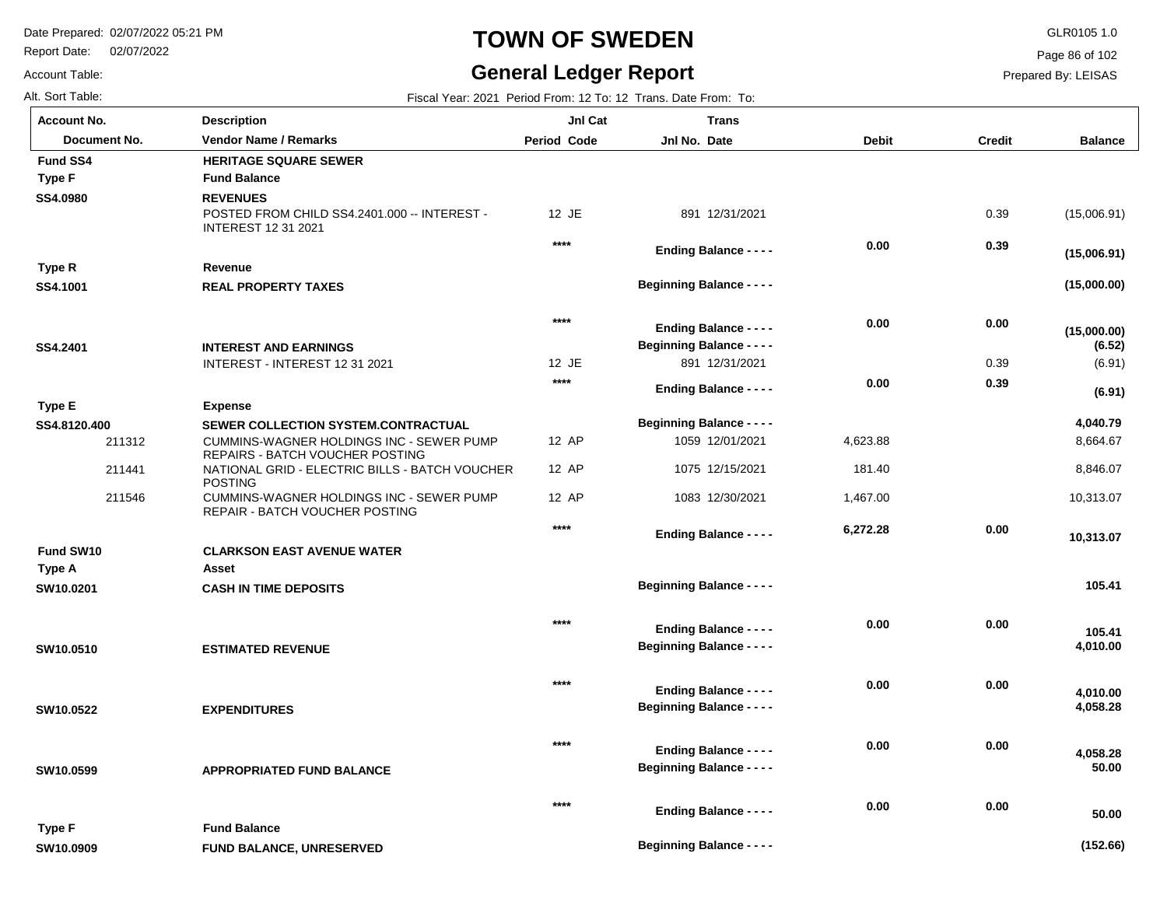Report Date: 02/07/2022

Account Table:

# **TOWN OF SWEDEN** GLR0105 1.0

# **General Ledger Report**

Page 86 of 102

| Alt. Sort Table:       |                                                                                                     |                    | Fiscal Year: 2021 Period From: 12 To: 12 Trans. Date From: To:    |              |               |                       |
|------------------------|-----------------------------------------------------------------------------------------------------|--------------------|-------------------------------------------------------------------|--------------|---------------|-----------------------|
| <b>Account No.</b>     | <b>Description</b>                                                                                  | JnI Cat            | <b>Trans</b>                                                      |              |               |                       |
| Document No.           | <b>Vendor Name / Remarks</b>                                                                        | <b>Period Code</b> | Jnl No. Date                                                      | <b>Debit</b> | <b>Credit</b> | <b>Balance</b>        |
| <b>Fund SS4</b>        | <b>HERITAGE SQUARE SEWER</b>                                                                        |                    |                                                                   |              |               |                       |
| <b>Type F</b>          | <b>Fund Balance</b>                                                                                 |                    |                                                                   |              |               |                       |
| SS4.0980               | <b>REVENUES</b><br>POSTED FROM CHILD SS4.2401.000 -- INTEREST -<br><b>INTEREST 12 31 2021</b>       | 12 JE              | 891 12/31/2021                                                    |              | 0.39          | (15,006.91)           |
|                        |                                                                                                     | $***$              | <b>Ending Balance - - - -</b>                                     | 0.00         | 0.39          | (15,006.91)           |
| Type R                 | Revenue                                                                                             |                    |                                                                   |              |               |                       |
| SS4.1001               | <b>REAL PROPERTY TAXES</b>                                                                          |                    | <b>Beginning Balance - - - -</b>                                  |              |               | (15,000.00)           |
| SS4.2401               | <b>INTEREST AND EARNINGS</b>                                                                        | $***$              | <b>Ending Balance - - - -</b><br><b>Beginning Balance - - - -</b> | 0.00         | 0.00          | (15,000.00)<br>(6.52) |
|                        | INTEREST - INTEREST 12 31 2021                                                                      | 12 JE              | 891 12/31/2021                                                    |              | 0.39          | (6.91)                |
|                        |                                                                                                     | $***$              | <b>Ending Balance - - - -</b>                                     | 0.00         | 0.39          | (6.91)                |
| Type E                 | <b>Expense</b>                                                                                      |                    |                                                                   |              |               |                       |
| SS4.8120.400<br>211312 | SEWER COLLECTION SYSTEM.CONTRACTUAL<br>CUMMINS-WAGNER HOLDINGS INC - SEWER PUMP                     | 12 AP              | <b>Beginning Balance - - - -</b><br>1059 12/01/2021               | 4,623.88     |               | 4,040.79<br>8,664.67  |
| 211441                 | REPAIRS - BATCH VOUCHER POSTING<br>NATIONAL GRID - ELECTRIC BILLS - BATCH VOUCHER<br><b>POSTING</b> | 12 AP              | 1075 12/15/2021                                                   | 181.40       |               | 8,846.07              |
| 211546                 | CUMMINS-WAGNER HOLDINGS INC - SEWER PUMP<br>REPAIR - BATCH VOUCHER POSTING                          | 12 AP              | 1083 12/30/2021                                                   | 1,467.00     |               | 10,313.07             |
|                        |                                                                                                     | $***$              | <b>Ending Balance - - - -</b>                                     | 6,272.28     | 0.00          | 10,313.07             |
| Fund SW10              | <b>CLARKSON EAST AVENUE WATER</b>                                                                   |                    |                                                                   |              |               |                       |
| Type A                 | Asset                                                                                               |                    |                                                                   |              |               |                       |
| SW10.0201              | <b>CASH IN TIME DEPOSITS</b>                                                                        |                    | <b>Beginning Balance - - - -</b>                                  |              |               | 105.41                |
| SW10.0510              | <b>ESTIMATED REVENUE</b>                                                                            | $***$              | <b>Ending Balance - - - -</b><br><b>Beginning Balance - - - -</b> | 0.00         | 0.00          | 105.41<br>4,010.00    |
| SW10.0522              | <b>EXPENDITURES</b>                                                                                 | $***$              | <b>Ending Balance - - - -</b><br><b>Beginning Balance - - - -</b> | 0.00         | 0.00          | 4,010.00<br>4,058.28  |
| SW10.0599              | <b>APPROPRIATED FUND BALANCE</b>                                                                    | $***$              | <b>Ending Balance - - - -</b><br><b>Beginning Balance - - - -</b> | 0.00         | 0.00          | 4,058.28<br>50.00     |
| Type F                 | <b>Fund Balance</b>                                                                                 | $***$              | <b>Ending Balance - - - -</b>                                     | 0.00         | 0.00          | 50.00                 |
| SW10.0909              | <b>FUND BALANCE, UNRESERVED</b>                                                                     |                    | <b>Beginning Balance - - - -</b>                                  |              |               | (152.66)              |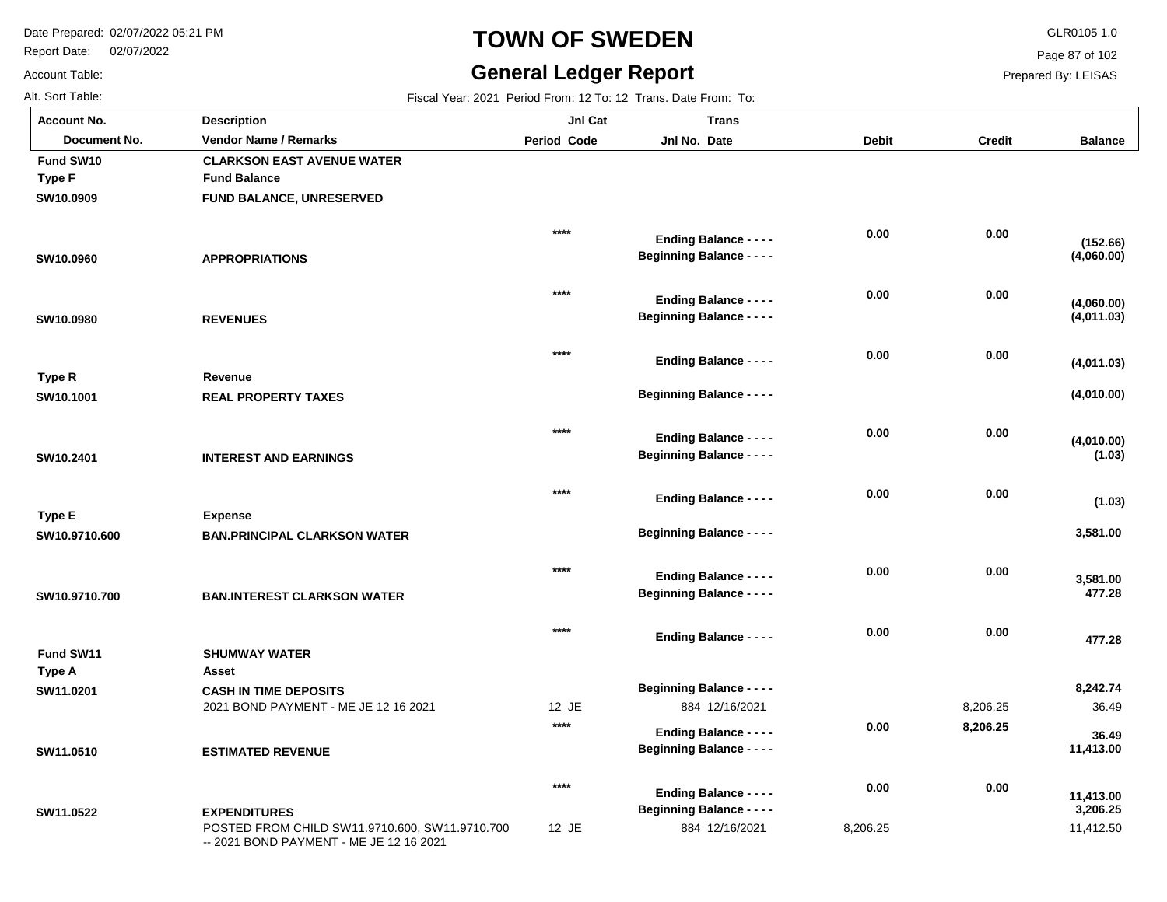Report Date: 02/07/2022

# **TOWN OF SWEDEN** GLR0105 1.0

#### **General Ledger Report**

**Balance**

**(4,060.00)**

**(152.66)**

**(4,011.03)**

**(4,060.00)**

**(4,010.00)**

**(4,010.00)**

**(4,011.03)**

**(1.03)**

**(1.03)**

 **3,581.00** 

 **477.28** 

 **477.28** 

 **3,581.00** 

36.49

 **36.49** 

 **8,242.74** 

 **11,413.00** 

Page 87 of 102

Prepared By: LEISAS

Account Table:

**SW11.0522**

| <b>Account No.</b> | <b>Description</b>                   | Jnl Cat            | <b>Trans</b>                     |              |               |
|--------------------|--------------------------------------|--------------------|----------------------------------|--------------|---------------|
| Document No.       | <b>Vendor Name / Remarks</b>         | <b>Period Code</b> | Jnl No. Date                     | <b>Debit</b> | <b>Credit</b> |
| Fund SW10          | <b>CLARKSON EAST AVENUE WATER</b>    |                    |                                  |              |               |
| <b>Type F</b>      | <b>Fund Balance</b>                  |                    |                                  |              |               |
| SW10.0909          | FUND BALANCE, UNRESERVED             |                    |                                  |              |               |
|                    |                                      |                    |                                  |              |               |
|                    |                                      | $****$             | <b>Ending Balance - - - -</b>    | 0.00         | 0.00          |
| SW10.0960          | <b>APPROPRIATIONS</b>                |                    | <b>Beginning Balance - - - -</b> |              |               |
|                    |                                      |                    |                                  |              |               |
|                    |                                      | $****$             | <b>Ending Balance - - - -</b>    | 0.00         | 0.00          |
| SW10.0980          | <b>REVENUES</b>                      |                    | <b>Beginning Balance - - - -</b> |              |               |
|                    |                                      |                    |                                  |              |               |
|                    |                                      | $****$             | <b>Ending Balance - - - -</b>    | 0.00         | 0.00          |
| Type R             | Revenue                              |                    |                                  |              |               |
| SW10.1001          | <b>REAL PROPERTY TAXES</b>           |                    | <b>Beginning Balance - - - -</b> |              |               |
|                    |                                      |                    |                                  |              |               |
|                    |                                      | $****$             | <b>Ending Balance - - - -</b>    | 0.00         | 0.00          |
| SW10.2401          | <b>INTEREST AND EARNINGS</b>         |                    | <b>Beginning Balance - - - -</b> |              |               |
|                    |                                      |                    |                                  |              |               |
|                    |                                      | $****$             | <b>Ending Balance - - - -</b>    | 0.00         | 0.00          |
| Type E             | <b>Expense</b>                       |                    |                                  |              |               |
| SW10.9710.600      | <b>BAN.PRINCIPAL CLARKSON WATER</b>  |                    | <b>Beginning Balance - - - -</b> |              |               |
|                    |                                      |                    |                                  |              |               |
|                    |                                      | $***$              | <b>Ending Balance - - - -</b>    | 0.00         | 0.00          |
| SW10.9710.700      | <b>BAN.INTEREST CLARKSON WATER</b>   |                    | <b>Beginning Balance - - - -</b> |              |               |
|                    |                                      |                    |                                  |              |               |
|                    |                                      | $****$             | <b>Ending Balance - - - -</b>    | 0.00         | 0.00          |
| Fund SW11          | <b>SHUMWAY WATER</b>                 |                    |                                  |              |               |
| <b>Type A</b>      | Asset                                |                    |                                  |              |               |
| SW11.0201          | <b>CASH IN TIME DEPOSITS</b>         |                    | <b>Beginning Balance - - - -</b> |              |               |
|                    | 2021 BOND PAYMENT - ME JE 12 16 2021 | 12 JE              | 884 12/16/2021                   |              | 8,206.25      |
|                    |                                      | $****$             | <b>Ending Balance - - - -</b>    | 0.00         | 8,206.25      |
| SW11.0510          | <b>ESTIMATED REVENUE</b>             |                    | <b>Beginning Balance - - - -</b> |              |               |
|                    |                                      |                    |                                  |              |               |

POSTED FROM CHILD SW11.9710.600, SW11.9710.700 -- 2021 BOND PAYMENT - ME JE 12 16 2021 **EXPENDITURES** 12 JE 884 12/16/2021 8,206.25 11,412.50  **3,206.25 11,413.00 0.00 0.00 \*\*\*\* Beginning Balance - - - - Ending Balance - - - -**

Alt. Sort Table: Fiscal Year: 2021 Period From: 12 To: 12 Trans. Date From: To: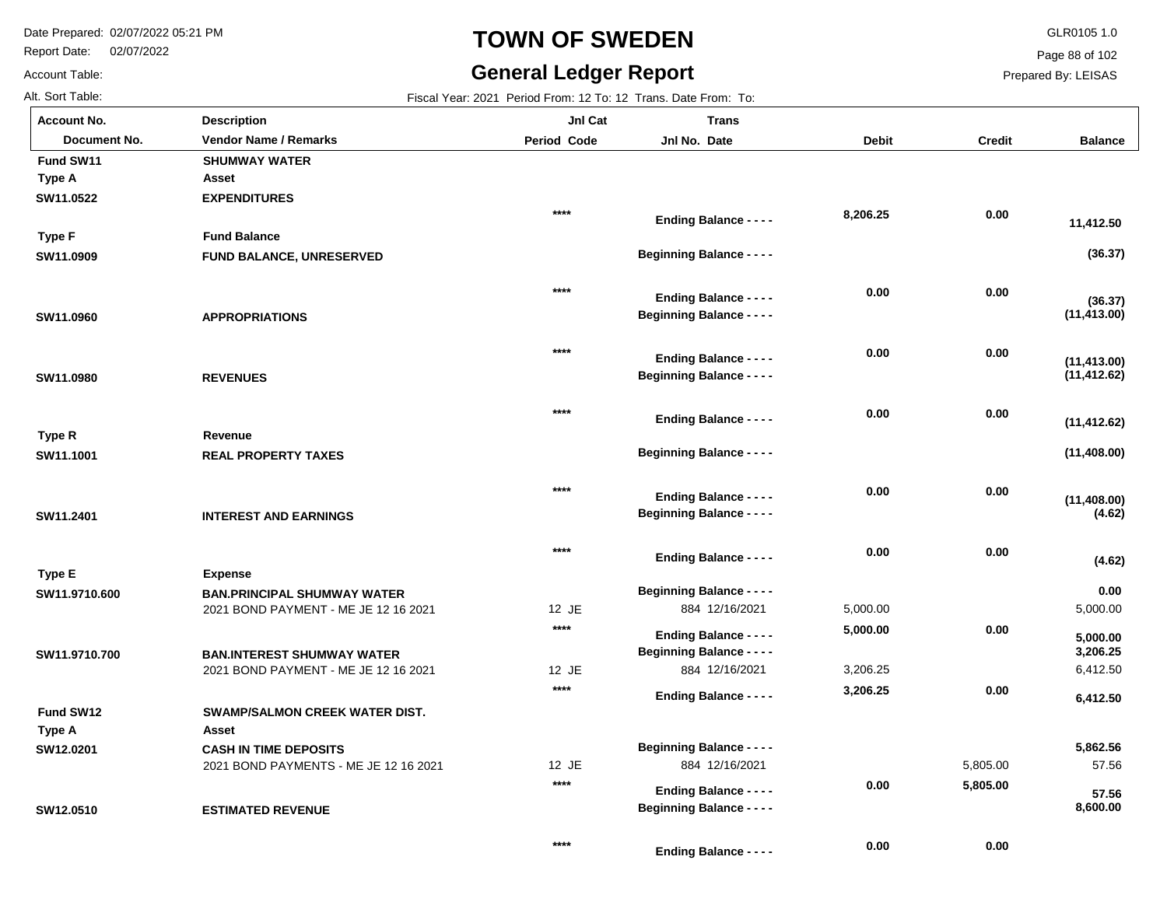**ESTIMATED REVENUE**

Report Date: 02/07/2022

# **TOWN OF SWEDEN** GLR0105 1.0

#### **General Ledger Report**

**Balance**

**(36.37)**

**(36.37)**

 **11,412.50** 

**(11,413.00)**

**(11,412.62)**

**(11,413.00)**

**(11,408.00)**

**(11,408.00)**

**(11,412.62)**

**(4.62)**

5,000.00

 **0.00** 

**(4.62)**

6,412.50

 **6,412.50** 

 **3,206.25** 

 **5,000.00** 

57.56

 **57.56** 

 **5,862.56** 

 **8,600.00** 

 **5,805.00** 

 **0.00** 

 **0.00** 

 **0.00** 

Page 88 of 102

Prepared By: LEISAS

Account Table: **Account No.**

**SW12.0510**

| Alt. Sort Table:   |                                       | Fiscal Year: 2021 Period From: 12 To: 12 Trans. Date From: To: |                                                                   |          |          |  |  |  |
|--------------------|---------------------------------------|----------------------------------------------------------------|-------------------------------------------------------------------|----------|----------|--|--|--|
| <b>Account No.</b> | <b>Description</b>                    | JnI Cat                                                        | <b>Trans</b>                                                      |          |          |  |  |  |
| Document No.       | <b>Vendor Name / Remarks</b>          | Period Code                                                    | Jnl No. Date                                                      | Debit    | Credit   |  |  |  |
| Fund SW11          | <b>SHUMWAY WATER</b>                  |                                                                |                                                                   |          |          |  |  |  |
| <b>Type A</b>      | Asset                                 |                                                                |                                                                   |          |          |  |  |  |
| SW11.0522          | <b>EXPENDITURES</b>                   |                                                                |                                                                   |          |          |  |  |  |
|                    |                                       | $***$                                                          | <b>Ending Balance - - - -</b>                                     | 8,206.25 | 0.00     |  |  |  |
| <b>Type F</b>      | <b>Fund Balance</b>                   |                                                                |                                                                   |          |          |  |  |  |
| SW11.0909          | FUND BALANCE, UNRESERVED              |                                                                | <b>Beginning Balance - - - -</b>                                  |          |          |  |  |  |
|                    |                                       | $****$                                                         |                                                                   | 0.00     | 0.00     |  |  |  |
|                    |                                       |                                                                | <b>Ending Balance - - - -</b><br><b>Beginning Balance - - - -</b> |          |          |  |  |  |
| SW11.0960          | <b>APPROPRIATIONS</b>                 |                                                                |                                                                   |          |          |  |  |  |
|                    |                                       | $****$                                                         | <b>Ending Balance - - - -</b>                                     | 0.00     | 0.00     |  |  |  |
| SW11.0980          | <b>REVENUES</b>                       |                                                                | <b>Beginning Balance - - - -</b>                                  |          |          |  |  |  |
|                    |                                       |                                                                |                                                                   |          |          |  |  |  |
|                    |                                       | $****$                                                         | <b>Ending Balance - - - -</b>                                     | 0.00     | 0.00     |  |  |  |
| Type R             | Revenue                               |                                                                |                                                                   |          |          |  |  |  |
| SW11.1001          | <b>REAL PROPERTY TAXES</b>            |                                                                | <b>Beginning Balance - - - -</b>                                  |          |          |  |  |  |
|                    |                                       | $****$                                                         |                                                                   | 0.00     | 0.00     |  |  |  |
|                    |                                       |                                                                | <b>Ending Balance - - - -</b>                                     |          |          |  |  |  |
| SW11.2401          | <b>INTEREST AND EARNINGS</b>          |                                                                | <b>Beginning Balance - - - -</b>                                  |          |          |  |  |  |
|                    |                                       | $****$                                                         | <b>Ending Balance - - - -</b>                                     | 0.00     | 0.00     |  |  |  |
| <b>Type E</b>      | <b>Expense</b>                        |                                                                |                                                                   |          |          |  |  |  |
| SW11.9710.600      | <b>BAN.PRINCIPAL SHUMWAY WATER</b>    |                                                                | <b>Beginning Balance - - - -</b>                                  |          |          |  |  |  |
|                    | 2021 BOND PAYMENT - ME JE 12 16 2021  | 12 JE                                                          | 884 12/16/2021                                                    | 5,000.00 |          |  |  |  |
|                    |                                       | $****$                                                         | <b>Ending Balance - - - -</b>                                     | 5,000.00 | 0.00     |  |  |  |
| SW11.9710.700      | <b>BAN.INTEREST SHUMWAY WATER</b>     |                                                                | <b>Beginning Balance - - - -</b>                                  |          |          |  |  |  |
|                    | 2021 BOND PAYMENT - ME JE 12 16 2021  | 12 JE                                                          | 884 12/16/2021                                                    | 3,206.25 |          |  |  |  |
|                    |                                       | $***$                                                          | <b>Ending Balance - - - -</b>                                     | 3,206.25 | 0.00     |  |  |  |
| Fund SW12          | <b>SWAMP/SALMON CREEK WATER DIST.</b> |                                                                |                                                                   |          |          |  |  |  |
| Type A             | Asset                                 |                                                                |                                                                   |          |          |  |  |  |
| SW12.0201          | <b>CASH IN TIME DEPOSITS</b>          |                                                                | <b>Beginning Balance - - - -</b>                                  |          |          |  |  |  |
|                    | 2021 BOND PAYMENTS - ME JE 12 16 2021 | 12 JE                                                          | 884 12/16/2021                                                    |          | 5.805.00 |  |  |  |

**\*\*\*\***

**Beginning Balance - - - -**

**Ending Balance - - - -**

**Ending Balance - - - -**

**\*\*\*\***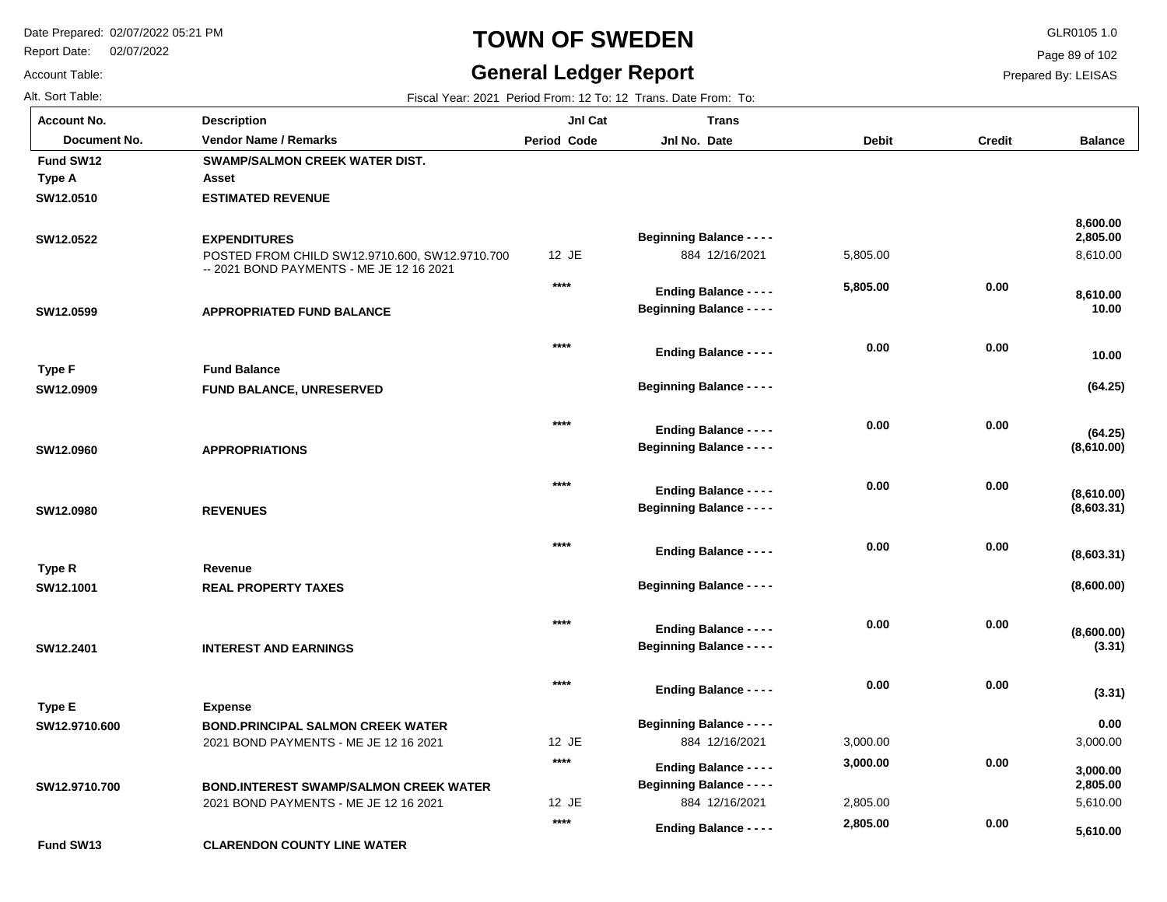Report Date: 02/07/2022

# **TOWN OF SWEDEN** GLR0105 1.0

#### **General Ledger Report** Fiscal Year: 2021 Period From: 12 To: 12 Trans. Date From: To:

**Balance**

8,610.00

 **8,610.00** 

 **0.00** 

 **10.00** 

**(64.25)**

**(64.25)**

 **10.00** 

**(8,610.00)**

**(8,603.31)**

**(8,610.00)**

**(8,600.00)**

**(8,600.00)**

**(8,603.31)**

**(3.31)**

 **2,805.00** 

 **8,600.00** 

Page 89 of 102

Prepared By: LEISAS

| <b>Account No.</b> |
|--------------------|
| Alt. Sort Table:   |
| Account Table:     |

**SW12.0510**

**Fund SW12**

**Type A**

**SW12.0522**

**SW12.0599**

**SW12.0909**

**Type F**

**SW12.0960**

**SW12.0980**

**SW12.1001**

**Type R**

**SW12.2401**

**Type E**

**SW12.9710.600**

| unt No.      | <b>Description</b>                                                                         | JnI Cat            | <b>Trans</b>                                                      |              |               |
|--------------|--------------------------------------------------------------------------------------------|--------------------|-------------------------------------------------------------------|--------------|---------------|
| Document No. | <b>Vendor Name / Remarks</b>                                                               | <b>Period Code</b> | Jnl No. Date                                                      | <b>Debit</b> | <b>Credit</b> |
| I SW12       | <b>SWAMP/SALMON CREEK WATER DIST.</b>                                                      |                    |                                                                   |              |               |
| ۱A           | Asset                                                                                      |                    |                                                                   |              |               |
| 2.0510       | <b>ESTIMATED REVENUE</b>                                                                   |                    |                                                                   |              |               |
| 2.0522       | <b>EXPENDITURES</b>                                                                        |                    | <b>Beginning Balance - - - -</b>                                  |              |               |
|              | POSTED FROM CHILD SW12.9710.600, SW12.9710.700<br>-- 2021 BOND PAYMENTS - ME JE 12 16 2021 | 12 JE              | 884 12/16/2021                                                    | 5,805.00     |               |
|              |                                                                                            | $****$             | <b>Ending Balance - - - -</b>                                     | 5,805.00     | 0.00          |
| 2.0599       | <b>APPROPRIATED FUND BALANCE</b>                                                           |                    | <b>Beginning Balance - - - -</b>                                  |              |               |
|              |                                                                                            | $****$             | <b>Ending Balance - - - -</b>                                     | 0.00         | 0.00          |
| ۱F           | <b>Fund Balance</b>                                                                        |                    |                                                                   |              |               |
| 2.0909       | <b>FUND BALANCE, UNRESERVED</b>                                                            |                    | <b>Beginning Balance - - - -</b>                                  |              |               |
|              |                                                                                            | $****$             | <b>Ending Balance - - - -</b>                                     | 0.00         | 0.00          |
| 2.0960       | <b>APPROPRIATIONS</b>                                                                      |                    | <b>Beginning Balance - - - -</b>                                  |              |               |
|              |                                                                                            | $***$              |                                                                   | 0.00         | 0.00          |
| 2.0980       | <b>REVENUES</b>                                                                            |                    | <b>Ending Balance - - - -</b><br><b>Beginning Balance - - - -</b> |              |               |
|              |                                                                                            |                    |                                                                   |              |               |
| R            | Revenue                                                                                    | $****$             | <b>Ending Balance - - - -</b>                                     | 0.00         | 0.00          |
|              |                                                                                            |                    |                                                                   |              |               |

**\*\*\*\***

**\*\*\*\***

2021 BOND PAYMENTS - ME JE 12 16 2021 **INTEREST AND EARNINGS BOND.PRINCIPAL SALMON CREEK WATER** 12 JE **Expense \*\*\*\* \*\*\*\* Beginning Balance - - - - Ending Balance - - - -**

2021 BOND PAYMENTS - ME JE 12 16 2021 **BOND.INTEREST SWAMP/SALMON CREEK WATER SW12.9710.700**

**REAL PROPERTY TAXES**

12 JE 884 12/16/2021 884 12/16/2021 3,000.00 5,610.00 3,000.00 2,805.00  **0.00 2,805.00 (3.31) 3,000.00 5,610.00 0.00 0.00 0.00 0.00 3,000.00 2,805.00 Beginning Balance - - - - Beginning Balance - - - - Ending Balance - - - - Ending Balance - - - - Ending Balance - - - -**

**Beginning Balance - - - -**

 **0.00** 

**CLARENDON COUNTY LINE WATER Fund SW13**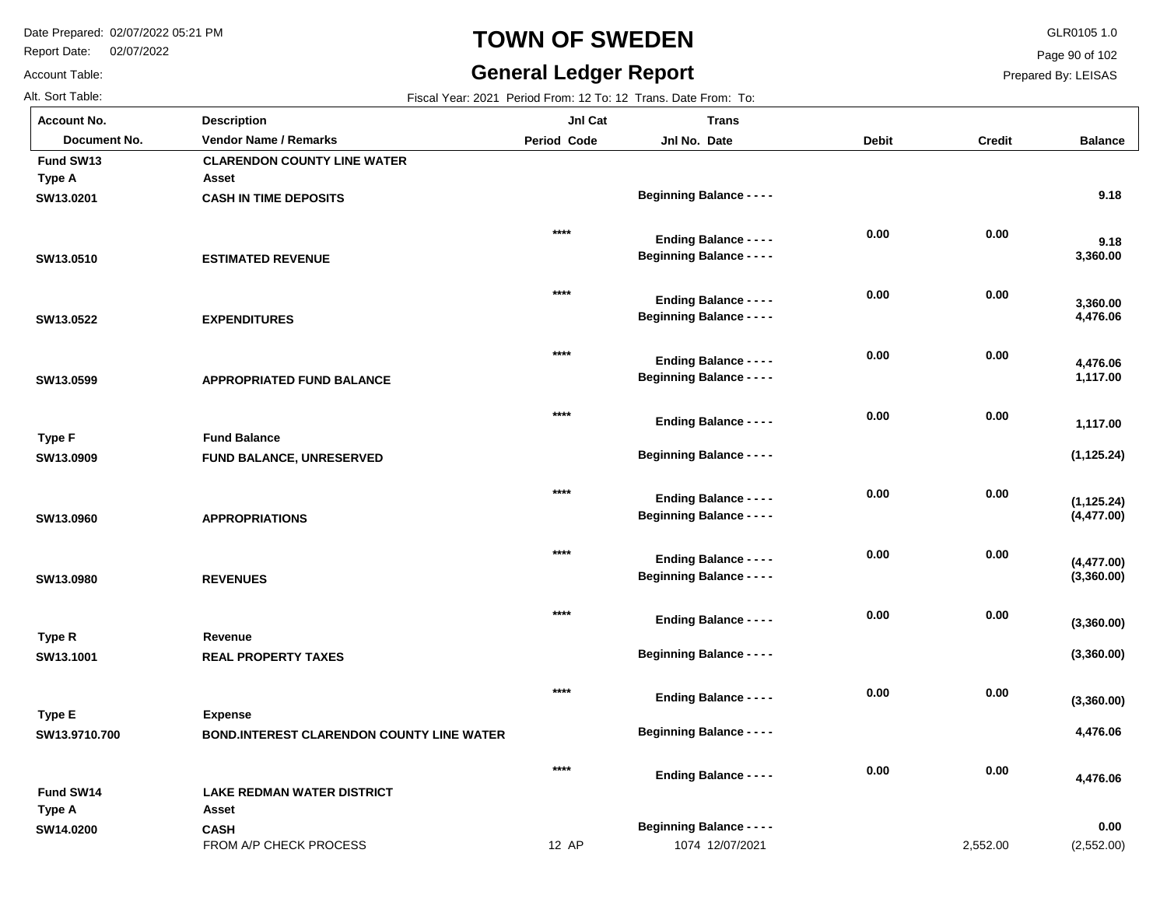Report Date: 02/07/2022

Account Table:

# **TOWN OF SWEDEN** GLR0105 1.0

# **General Ledger Report**

Page 90 of 102

| AIL OUIL TAURE.    |                              |
|--------------------|------------------------------|
| <b>Account No.</b> | <b>Description</b>           |
| Document No.       | <b>Vendor Name / Remarks</b> |
| Fund SW13          | <b>CLARENDON COUNTY LI</b>   |
| Type A             | Asset                        |
| SW13.0201          | <b>CASH IN TIME DEPOSITS</b> |
| SW13.0510          | <b>ESTIMATED REVENUE</b>     |
| SW13.0522          | <b>EXPENDITURES</b>          |
| SW13.0599          | <b>APPROPRIATED FUND B.</b>  |
|                    |                              |

| Fiscal Year: 2021 Period From: 12 To: 12 Trans. Date From: To: |
|----------------------------------------------------------------|
|                                                                |

| <b>Account No.</b>  | <b>Description</b>                               | JnI Cat            | <b>Trans</b>                                                      |              |               |                           |
|---------------------|--------------------------------------------------|--------------------|-------------------------------------------------------------------|--------------|---------------|---------------------------|
| <b>Document No.</b> | <b>Vendor Name / Remarks</b>                     | <b>Period Code</b> | Jnl No. Date                                                      | <b>Debit</b> | <b>Credit</b> | <b>Balance</b>            |
| Fund SW13           | <b>CLARENDON COUNTY LINE WATER</b>               |                    |                                                                   |              |               |                           |
| <b>Type A</b>       | Asset                                            |                    |                                                                   |              |               |                           |
| SW13.0201           | <b>CASH IN TIME DEPOSITS</b>                     |                    | <b>Beginning Balance - - - -</b>                                  |              |               | 9.18                      |
|                     |                                                  | $***$              |                                                                   | 0.00         | 0.00          |                           |
|                     |                                                  |                    | <b>Ending Balance - - - -</b>                                     |              |               | 9.18                      |
| SW13.0510           | <b>ESTIMATED REVENUE</b>                         |                    | <b>Beginning Balance - - - -</b>                                  |              |               | 3,360.00                  |
|                     |                                                  | $***$              | <b>Ending Balance - - - -</b>                                     | 0.00         | 0.00          |                           |
| SW13.0522           | <b>EXPENDITURES</b>                              |                    | <b>Beginning Balance - - - -</b>                                  |              |               | 3,360.00<br>4,476.06      |
|                     |                                                  |                    |                                                                   |              |               |                           |
|                     |                                                  | $****$             | <b>Ending Balance - - - -</b>                                     | 0.00         | 0.00          | 4,476.06                  |
| SW13.0599           | <b>APPROPRIATED FUND BALANCE</b>                 |                    | <b>Beginning Balance - - - -</b>                                  |              |               | 1,117.00                  |
|                     |                                                  |                    |                                                                   |              |               |                           |
|                     |                                                  | $***$              | <b>Ending Balance - - - -</b>                                     | 0.00         | 0.00          | 1,117.00                  |
| <b>Type F</b>       | <b>Fund Balance</b>                              |                    |                                                                   |              |               |                           |
| SW13.0909           | <b>FUND BALANCE, UNRESERVED</b>                  |                    | <b>Beginning Balance - - - -</b>                                  |              |               | (1, 125.24)               |
|                     |                                                  | $***$              |                                                                   | 0.00         | 0.00          |                           |
|                     |                                                  |                    | <b>Ending Balance - - - -</b>                                     |              |               | (1, 125.24)               |
| SW13.0960           | <b>APPROPRIATIONS</b>                            |                    | <b>Beginning Balance - - - -</b>                                  |              |               | (4,477.00)                |
|                     |                                                  | $****$             |                                                                   | 0.00         | 0.00          |                           |
|                     |                                                  |                    | <b>Ending Balance - - - -</b><br><b>Beginning Balance - - - -</b> |              |               | (4, 477.00)<br>(3,360.00) |
| SW13.0980           | <b>REVENUES</b>                                  |                    |                                                                   |              |               |                           |
|                     |                                                  | $***$              | <b>Ending Balance - - - -</b>                                     | 0.00         | 0.00          | (3,360.00)                |
| Type R              | Revenue                                          |                    |                                                                   |              |               |                           |
| SW13.1001           | <b>REAL PROPERTY TAXES</b>                       |                    | <b>Beginning Balance - - - -</b>                                  |              |               | (3,360.00)                |
|                     |                                                  | $***$              |                                                                   | 0.00         | 0.00          |                           |
|                     |                                                  |                    | <b>Ending Balance - - - -</b>                                     |              |               | (3,360.00)                |
| <b>Type E</b>       | <b>Expense</b>                                   |                    | <b>Beginning Balance - - - -</b>                                  |              |               | 4,476.06                  |
| SW13.9710.700       | <b>BOND.INTEREST CLARENDON COUNTY LINE WATER</b> |                    |                                                                   |              |               |                           |
|                     |                                                  | ****               | <b>Ending Balance - - - -</b>                                     | 0.00         | 0.00          | 4,476.06                  |
| Fund SW14           | <b>LAKE REDMAN WATER DISTRICT</b>                |                    |                                                                   |              |               |                           |
| Type A              | Asset                                            |                    |                                                                   |              |               |                           |
| SW14.0200           | <b>CASH</b>                                      |                    | <b>Beginning Balance - - - -</b>                                  |              |               | 0.00                      |
|                     | FROM A/P CHECK PROCESS                           | 12 AP              | 1074 12/07/2021                                                   |              | 2,552.00      | (2, 552.00)               |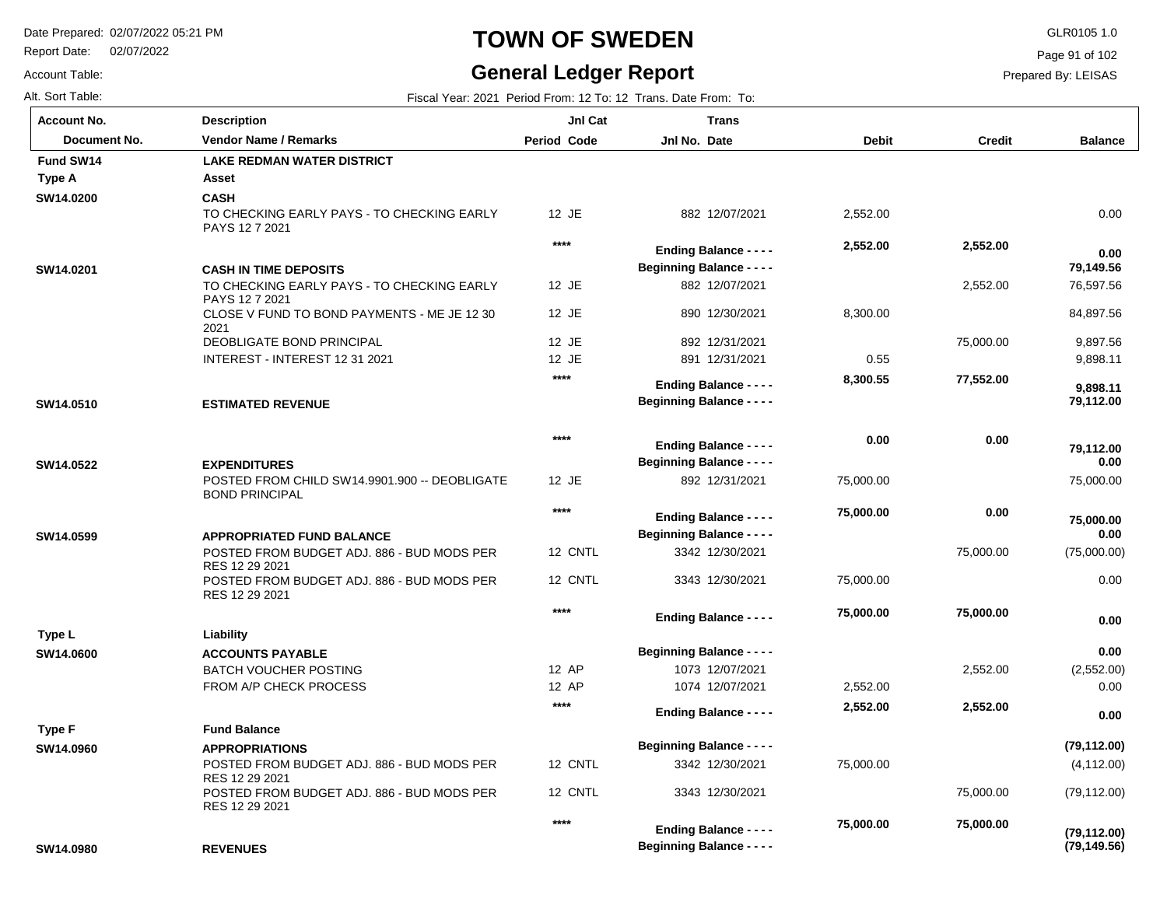Report Date: 02/07/2022

Account Table:

# **TOWN OF SWEDEN** GLR0105 1.0

# **General Ledger Report**

Page 91 of 102

| Alt. Sort Table:   |                                                                                |                    | Fiscal Year: 2021 Period From: 12 To: 12 Trans. Date From: To: |              |               |                   |
|--------------------|--------------------------------------------------------------------------------|--------------------|----------------------------------------------------------------|--------------|---------------|-------------------|
| <b>Account No.</b> | <b>Description</b>                                                             | <b>JnI Cat</b>     | <b>Trans</b>                                                   |              |               |                   |
| Document No.       | Vendor Name / Remarks                                                          | <b>Period Code</b> | Jnl No. Date                                                   | <b>Debit</b> | <b>Credit</b> | <b>Balance</b>    |
| Fund SW14          | <b>LAKE REDMAN WATER DISTRICT</b>                                              |                    |                                                                |              |               |                   |
| Type A             | Asset                                                                          |                    |                                                                |              |               |                   |
| SW14.0200          | <b>CASH</b><br>TO CHECKING EARLY PAYS - TO CHECKING EARLY                      | 12 JE              | 882 12/07/2021                                                 | 2,552.00     |               | 0.00              |
|                    | PAYS 12 7 2021                                                                 |                    |                                                                |              |               |                   |
|                    |                                                                                | ****               | <b>Ending Balance - - - -</b>                                  | 2,552.00     | 2,552.00      | 0.00              |
| SW14.0201          | <b>CASH IN TIME DEPOSITS</b>                                                   |                    | <b>Beginning Balance - - - -</b>                               |              |               | 79,149.56         |
|                    | TO CHECKING EARLY PAYS - TO CHECKING EARLY<br>PAYS 12 7 2021                   | 12 JE              | 882 12/07/2021                                                 |              | 2,552.00      | 76,597.56         |
|                    | CLOSE V FUND TO BOND PAYMENTS - ME JE 12 30<br>2021                            | 12 JE              | 890 12/30/2021                                                 | 8,300.00     |               | 84,897.56         |
|                    | DEOBLIGATE BOND PRINCIPAL                                                      | 12 JE              | 892 12/31/2021                                                 |              | 75,000.00     | 9,897.56          |
|                    | INTEREST - INTEREST 12 31 2021                                                 | 12 JE              | 891 12/31/2021                                                 | 0.55         |               | 9,898.11          |
|                    |                                                                                | $****$             | <b>Ending Balance - - - -</b>                                  | 8,300.55     | 77,552.00     | 9,898.11          |
| SW14.0510          | <b>ESTIMATED REVENUE</b>                                                       |                    | <b>Beginning Balance - - - -</b>                               |              |               | 79,112.00         |
|                    |                                                                                | $***$              | <b>Ending Balance - - - -</b>                                  | 0.00         | 0.00          | 79,112.00         |
| SW14.0522          | <b>EXPENDITURES</b>                                                            |                    | <b>Beginning Balance - - - -</b>                               |              |               | 0.00              |
|                    | POSTED FROM CHILD SW14.9901.900 -- DEOBLIGATE<br><b>BOND PRINCIPAL</b>         | 12 JE              | 892 12/31/2021                                                 | 75,000.00    |               | 75,000.00         |
|                    |                                                                                | $***$              | <b>Ending Balance - - - -</b>                                  | 75,000.00    | 0.00          |                   |
| SW14.0599          | <b>APPROPRIATED FUND BALANCE</b>                                               |                    | <b>Beginning Balance - - - -</b>                               |              |               | 75,000.00<br>0.00 |
|                    | POSTED FROM BUDGET ADJ. 886 - BUD MODS PER                                     | 12 CNTL            | 3342 12/30/2021                                                |              | 75,000.00     | (75,000.00)       |
|                    | RES 12 29 2021<br>POSTED FROM BUDGET ADJ. 886 - BUD MODS PER<br>RES 12 29 2021 | 12 CNTL            | 3343 12/30/2021                                                | 75,000.00    |               | 0.00              |
|                    |                                                                                | $****$             | <b>Ending Balance - - - -</b>                                  | 75,000.00    | 75,000.00     | 0.00              |
| Type L             | Liability                                                                      |                    |                                                                |              |               |                   |
| SW14.0600          | <b>ACCOUNTS PAYABLE</b>                                                        |                    | <b>Beginning Balance - - - -</b>                               |              |               | 0.00              |
|                    | <b>BATCH VOUCHER POSTING</b>                                                   | 12 AP              | 1073 12/07/2021                                                |              | 2,552.00      | (2,552.00)        |
|                    | FROM A/P CHECK PROCESS                                                         | 12 AP              | 1074 12/07/2021                                                | 2,552.00     |               | 0.00              |
|                    | <b>Fund Balance</b>                                                            | $****$             | <b>Ending Balance - - - -</b>                                  | 2,552.00     | 2,552.00      | 0.00              |
| Type F             |                                                                                |                    | <b>Beginning Balance - - - -</b>                               |              |               | (79, 112.00)      |
| SW14.0960          | <b>APPROPRIATIONS</b><br>POSTED FROM BUDGET ADJ. 886 - BUD MODS PER            | 12 CNTL            | 3342 12/30/2021                                                | 75,000.00    |               | (4, 112.00)       |
|                    | RES 12 29 2021<br>POSTED FROM BUDGET ADJ. 886 - BUD MODS PER                   | 12 CNTL            | 3343 12/30/2021                                                |              | 75,000.00     | (79, 112.00)      |
|                    | RES 12 29 2021                                                                 |                    |                                                                |              |               |                   |
|                    |                                                                                | ****               | <b>Ending Balance - - - -</b>                                  | 75,000.00    | 75,000.00     | (79, 112.00)      |
| SW14.0980          | <b>REVENUES</b>                                                                |                    | <b>Beginning Balance - - - -</b>                               |              |               | (79, 149.56)      |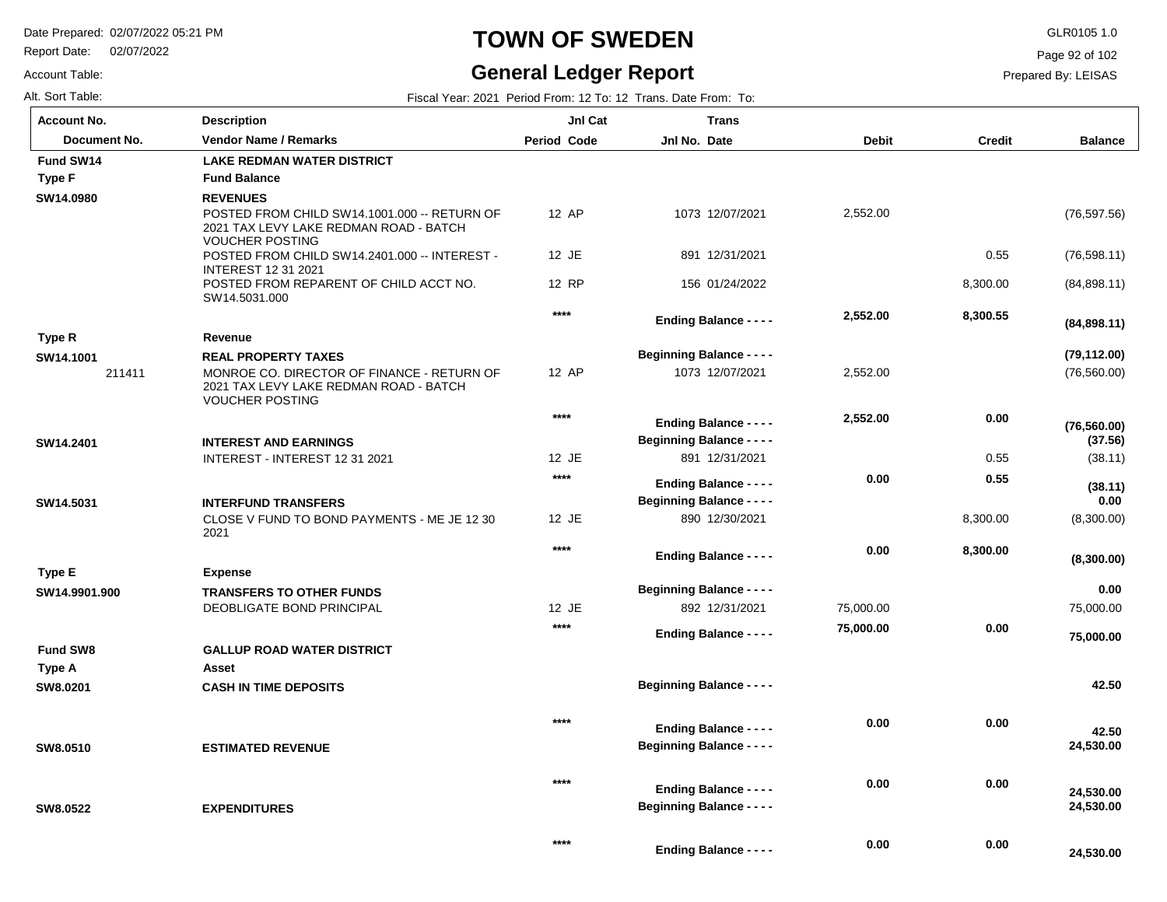Report Date: 02/07/2022

#### Account Table:

### **TOWN OF SWEDEN** GLR0105 1.0

### **General Ledger Report**

 **24,530.00** 

Page 92 of 102

| Fiscal Year: 2021 Period From: 12 To: 12 Trans. Date From: To: |
|----------------------------------------------------------------|
|                                                                |

| <b>Account No.</b>  | <b>Description</b>                                                                                                                           | JnI Cat            | <b>Trans</b>                                                      |              |               |                              |
|---------------------|----------------------------------------------------------------------------------------------------------------------------------------------|--------------------|-------------------------------------------------------------------|--------------|---------------|------------------------------|
| Document No.        | <b>Vendor Name / Remarks</b>                                                                                                                 | <b>Period Code</b> | Jnl No. Date                                                      | <b>Debit</b> | <b>Credit</b> | <b>Balance</b>               |
| Fund SW14           | <b>LAKE REDMAN WATER DISTRICT</b>                                                                                                            |                    |                                                                   |              |               |                              |
| Type F              | <b>Fund Balance</b>                                                                                                                          |                    |                                                                   |              |               |                              |
| SW14.0980           | <b>REVENUES</b><br>POSTED FROM CHILD SW14.1001.000 -- RETURN OF<br>2021 TAX LEVY LAKE REDMAN ROAD - BATCH<br><b>VOUCHER POSTING</b>          | 12 AP              | 1073 12/07/2021                                                   | 2,552.00     |               | (76, 597.56)                 |
|                     | POSTED FROM CHILD SW14.2401.000 -- INTEREST -<br><b>INTEREST 12 31 2021</b>                                                                  | 12 JE              | 891 12/31/2021                                                    |              | 0.55          | (76, 598.11)                 |
|                     | POSTED FROM REPARENT OF CHILD ACCT NO.<br>SW14.5031.000                                                                                      | 12 RP              | 156 01/24/2022                                                    |              | 8,300.00      | (84,898.11)                  |
|                     |                                                                                                                                              | $***$              | <b>Ending Balance - - - -</b>                                     | 2,552.00     | 8,300.55      | (84,898.11)                  |
| Type R              | Revenue                                                                                                                                      |                    |                                                                   |              |               |                              |
| SW14.1001<br>211411 | <b>REAL PROPERTY TAXES</b><br>MONROE CO. DIRECTOR OF FINANCE - RETURN OF<br>2021 TAX LEVY LAKE REDMAN ROAD - BATCH<br><b>VOUCHER POSTING</b> | 12 AP              | <b>Beginning Balance - - - -</b><br>1073 12/07/2021               | 2,552.00     |               | (79, 112.00)<br>(76, 560.00) |
|                     |                                                                                                                                              | $***$              | <b>Ending Balance - - - -</b><br><b>Beginning Balance - - - -</b> | 2,552.00     | 0.00          | (76, 560.00)                 |
| SW14.2401           | <b>INTEREST AND EARNINGS</b><br>INTEREST - INTEREST 12 31 2021                                                                               | 12 JE              | 891 12/31/2021                                                    |              | 0.55          | (37.56)<br>(38.11)           |
|                     |                                                                                                                                              | $***$              |                                                                   |              |               |                              |
|                     |                                                                                                                                              |                    | <b>Ending Balance - - - -</b>                                     | 0.00         | 0.55          | (38.11)                      |
| SW14.5031           | <b>INTERFUND TRANSFERS</b>                                                                                                                   |                    | <b>Beginning Balance - - - -</b>                                  |              |               | 0.00                         |
|                     | CLOSE V FUND TO BOND PAYMENTS - ME JE 12 30<br>2021                                                                                          | 12 JE              | 890 12/30/2021                                                    |              | 8,300.00      | (8,300.00)                   |
|                     |                                                                                                                                              | $***$              | <b>Ending Balance - - - -</b>                                     | 0.00         | 8,300.00      | (8,300.00)                   |
| Type E              | <b>Expense</b>                                                                                                                               |                    |                                                                   |              |               |                              |
| SW14.9901.900       | <b>TRANSFERS TO OTHER FUNDS</b>                                                                                                              |                    | <b>Beginning Balance - - - -</b>                                  |              |               | 0.00                         |
|                     | DEOBLIGATE BOND PRINCIPAL                                                                                                                    | 12 JE              | 892 12/31/2021                                                    | 75,000.00    |               | 75,000.00                    |
|                     |                                                                                                                                              | $***$              | <b>Ending Balance - - - -</b>                                     | 75,000.00    | 0.00          | 75,000.00                    |
| <b>Fund SW8</b>     | <b>GALLUP ROAD WATER DISTRICT</b>                                                                                                            |                    |                                                                   |              |               |                              |
| Type A              | Asset                                                                                                                                        |                    |                                                                   |              |               |                              |
| SW8.0201            | <b>CASH IN TIME DEPOSITS</b>                                                                                                                 |                    | <b>Beginning Balance - - - -</b>                                  |              |               | 42.50                        |
| SW8.0510            | <b>ESTIMATED REVENUE</b>                                                                                                                     | $***$              | <b>Ending Balance - - - -</b><br><b>Beginning Balance - - - -</b> | 0.00         | 0.00          | 42.50<br>24,530.00           |
| SW8.0522            | <b>EXPENDITURES</b>                                                                                                                          | $***$              | <b>Ending Balance - - - -</b><br><b>Beginning Balance - - - -</b> | 0.00         | 0.00          | 24,530.00<br>24,530.00       |
|                     |                                                                                                                                              | $***$              | <b>Ending Balance - - - -</b>                                     | 0.00         | 0.00          | 24 530 00                    |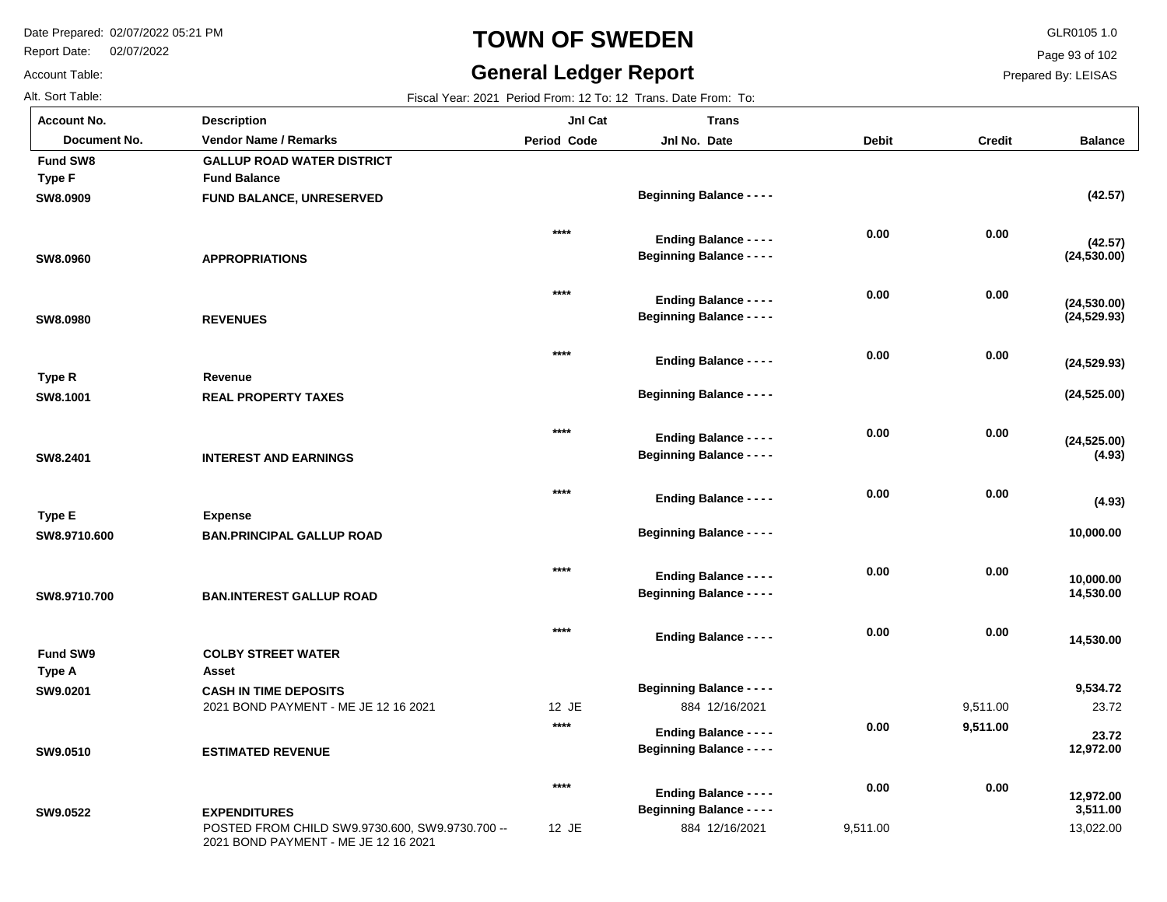Report Date: 02/07/2022

# **TOWN OF SWEDEN** GLR0105 1.0

### **General Ledger Report**

Page 93 of 102

Prepared By: LEISAS

| Alt. Sort Table:   |                                                 |                    | Fiscal Year: 2021 Period From: 12 To: 12 Trans. Date From: To: |              |               |                       |
|--------------------|-------------------------------------------------|--------------------|----------------------------------------------------------------|--------------|---------------|-----------------------|
| <b>Account No.</b> | <b>Description</b>                              | JnI Cat            | <b>Trans</b>                                                   |              |               |                       |
| Document No.       | <b>Vendor Name / Remarks</b>                    | <b>Period Code</b> | Jnl No. Date                                                   | <b>Debit</b> | <b>Credit</b> | <b>Balance</b>        |
| Fund SW8           | <b>GALLUP ROAD WATER DISTRICT</b>               |                    |                                                                |              |               |                       |
| <b>Type F</b>      | <b>Fund Balance</b>                             |                    |                                                                |              |               |                       |
| SW8.0909           | <b>FUND BALANCE, UNRESERVED</b>                 |                    | <b>Beginning Balance - - - -</b>                               |              |               | (42.57)               |
|                    |                                                 | $***$              | <b>Ending Balance - - - -</b>                                  | 0.00         | 0.00          | (42.57)               |
| SW8.0960           | <b>APPROPRIATIONS</b>                           |                    | <b>Beginning Balance - - - -</b>                               |              |               | (24, 530.00)          |
|                    |                                                 | $***$              | <b>Ending Balance - - - -</b>                                  | 0.00         | 0.00          | (24, 530.00)          |
| SW8.0980           | <b>REVENUES</b>                                 |                    | <b>Beginning Balance - - - -</b>                               |              |               | (24, 529.93)          |
|                    |                                                 | $***$              | <b>Ending Balance - - - -</b>                                  | 0.00         | 0.00          |                       |
| Type R             | Revenue                                         |                    |                                                                |              |               | (24, 529.93)          |
| SW8.1001           | <b>REAL PROPERTY TAXES</b>                      |                    | <b>Beginning Balance - - - -</b>                               |              |               | (24, 525.00)          |
|                    |                                                 | $***$              | <b>Ending Balance - - - -</b>                                  | 0.00         | 0.00          | (24, 525.00)          |
| SW8.2401           | <b>INTEREST AND EARNINGS</b>                    |                    | <b>Beginning Balance - - - -</b>                               |              |               | (4.93)                |
|                    |                                                 | $***$              | <b>Ending Balance - - - -</b>                                  | 0.00         | 0.00          |                       |
| Type E             | <b>Expense</b>                                  |                    |                                                                |              |               | (4.93)                |
| SW8.9710.600       | <b>BAN.PRINCIPAL GALLUP ROAD</b>                |                    | <b>Beginning Balance - - - -</b>                               |              |               | 10,000.00             |
|                    |                                                 | $***$              | <b>Ending Balance - - - -</b>                                  | 0.00         | 0.00          | 10,000.00             |
| SW8.9710.700       | <b>BAN.INTEREST GALLUP ROAD</b>                 |                    | <b>Beginning Balance - - - -</b>                               |              |               | 14,530.00             |
|                    |                                                 | $***$              | <b>Ending Balance - - - -</b>                                  | 0.00         | 0.00          |                       |
| Fund SW9           | <b>COLBY STREET WATER</b>                       |                    |                                                                |              |               | 14,530.00             |
| Type A             | Asset                                           |                    |                                                                |              |               |                       |
| SW9.0201           | <b>CASH IN TIME DEPOSITS</b>                    |                    | <b>Beginning Balance - - - -</b>                               |              |               | 9,534.72              |
|                    | 2021 BOND PAYMENT - ME JE 12 16 2021            | 12 JE              | 884 12/16/2021                                                 |              | 9,511.00      | 23.72                 |
|                    |                                                 | $***$              | <b>Ending Balance - - - -</b>                                  | 0.00         | 9,511.00      | 23.72                 |
| SW9.0510           | <b>ESTIMATED REVENUE</b>                        |                    | <b>Beginning Balance - - - -</b>                               |              |               | 12,972.00             |
|                    |                                                 | $***$              | <b>Ending Balance - - - -</b>                                  | 0.00         | 0.00          |                       |
| SW9.0522           | <b>EXPENDITURES</b>                             |                    | <b>Beginning Balance - - - -</b>                               |              |               | 12,972.00<br>3,511.00 |
|                    | POSTED FROM CHILD SW9.9730.600, SW9.9730.700 -- | 12 JE              | 884 12/16/2021                                                 | 9,511.00     |               | 13,022.00             |

2021 BOND PAYMENT - ME JE 12 16 2021

Account Table: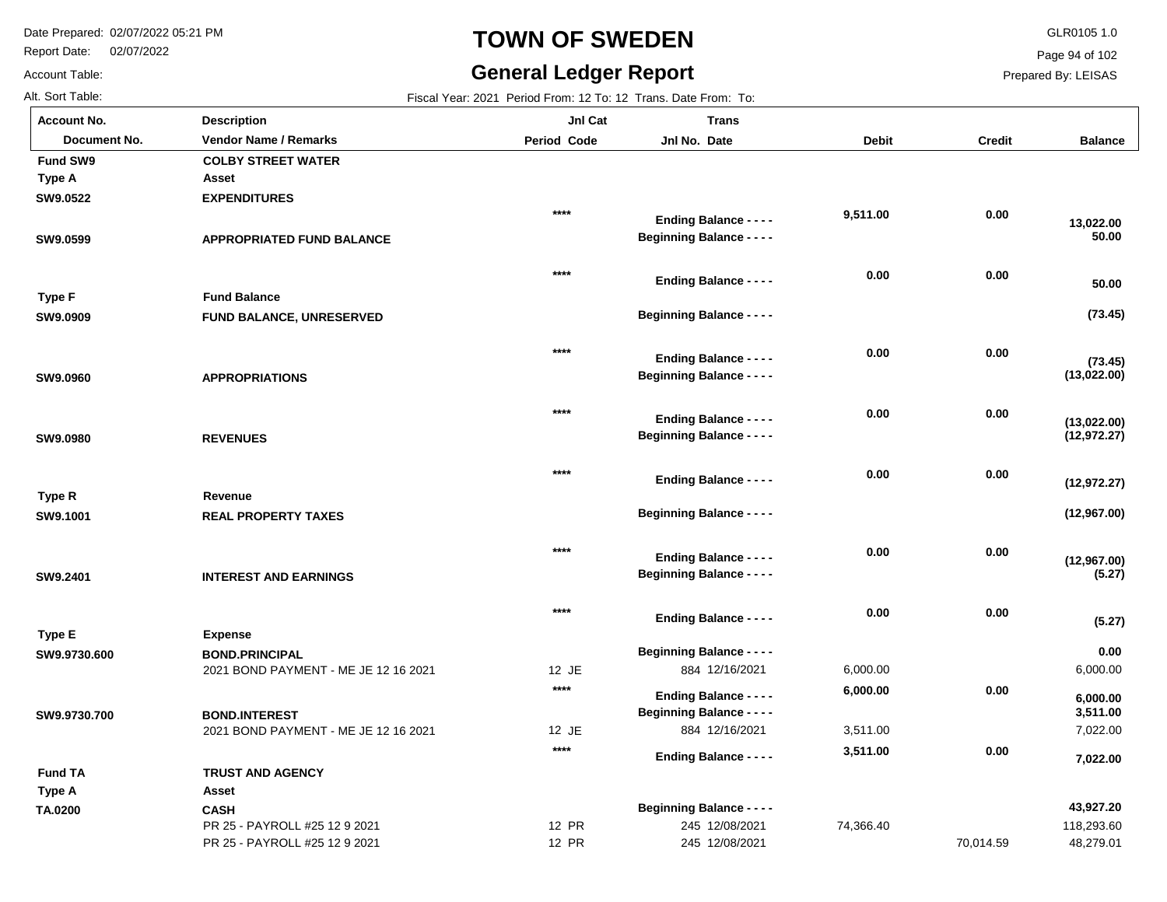Report Date: 02/07/2022

# **TOWN OF SWEDEN** GLR0105 1.0

#### **General Ledger Report**

**Balance**

 **50.00** 

 **13,022.00** 

**(73.45)**

**(73.45)**

 **50.00** 

**(13,022.00)**

**(12,972.27)**

**(13,022.00)**

**(12,967.00)**

**(12,967.00)**

**(12,972.27)**

**(5.27)**

6,000.00

 **0.00** 

**(5.27)**

7,022.00

 **7,022.00** 

 **3,511.00** 

 **6,000.00** 

Page 94 of 102

Prepared By: LEISAS

Account Table:

**TA.0200**

| Alt. Sort Table:   |                                      | Fiscal Year: 2021 Period From: 12 To: 12 Trans. Date From: To: |                                  |              |               |
|--------------------|--------------------------------------|----------------------------------------------------------------|----------------------------------|--------------|---------------|
| <b>Account No.</b> | <b>Description</b>                   | JnI Cat                                                        | <b>Trans</b>                     |              |               |
| Document No.       | <b>Vendor Name / Remarks</b>         | <b>Period Code</b>                                             | Jnl No. Date                     | <b>Debit</b> | <b>Credit</b> |
| Fund SW9           | <b>COLBY STREET WATER</b>            |                                                                |                                  |              |               |
| Type A             | Asset                                |                                                                |                                  |              |               |
| SW9.0522           | <b>EXPENDITURES</b>                  |                                                                |                                  |              |               |
|                    |                                      | $***$                                                          | <b>Ending Balance - - - -</b>    | 9,511.00     | 0.00          |
| SW9.0599           | <b>APPROPRIATED FUND BALANCE</b>     |                                                                | <b>Beginning Balance - - - -</b> |              |               |
|                    |                                      | $****$                                                         | <b>Ending Balance - - - -</b>    | 0.00         | 0.00          |
| <b>Type F</b>      | <b>Fund Balance</b>                  |                                                                |                                  |              |               |
| SW9.0909           | FUND BALANCE, UNRESERVED             |                                                                | <b>Beginning Balance - - - -</b> |              |               |
|                    |                                      | $****$                                                         |                                  | 0.00         | 0.00          |
|                    |                                      |                                                                | <b>Ending Balance - - - -</b>    |              |               |
| SW9.0960           | <b>APPROPRIATIONS</b>                |                                                                | <b>Beginning Balance - - - -</b> |              |               |
|                    |                                      | $****$                                                         | <b>Ending Balance - - - -</b>    | 0.00         | 0.00          |
| SW9.0980           | <b>REVENUES</b>                      |                                                                | <b>Beginning Balance - - - -</b> |              |               |
|                    |                                      |                                                                |                                  |              |               |
|                    |                                      | $***$                                                          | <b>Ending Balance - - - -</b>    | 0.00         | 0.00          |
| Type R             | Revenue                              |                                                                |                                  |              |               |
| SW9.1001           | <b>REAL PROPERTY TAXES</b>           |                                                                | <b>Beginning Balance - - - -</b> |              |               |
|                    |                                      |                                                                |                                  |              |               |
|                    |                                      | $***$                                                          | <b>Ending Balance - - - -</b>    | 0.00         | 0.00          |
| SW9.2401           | <b>INTEREST AND EARNINGS</b>         |                                                                | <b>Beginning Balance - - - -</b> |              |               |
|                    |                                      | $****$                                                         | <b>Ending Balance - - - -</b>    | 0.00         | $\bf 0.00$    |
| Type E             | <b>Expense</b>                       |                                                                |                                  |              |               |
| SW9.9730.600       | <b>BOND.PRINCIPAL</b>                |                                                                | <b>Beginning Balance - - - -</b> |              |               |
|                    | 2021 BOND PAYMENT - ME JE 12 16 2021 | 12 JE                                                          | 884 12/16/2021                   | 6,000.00     |               |
|                    |                                      | $****$                                                         | <b>Ending Balance - - - -</b>    | 6,000.00     | $\bf 0.00$    |
| SW9.9730.700       | <b>BOND.INTEREST</b>                 |                                                                | <b>Beginning Balance - - - -</b> |              |               |
|                    | 2021 BOND PAYMENT - ME JE 12 16 2021 | 12 JE                                                          | 884 12/16/2021                   | 3,511.00     |               |
|                    |                                      | $****$                                                         |                                  | 3,511.00     | 0.00          |
| <b>Fund TA</b>     | <b>TRUST AND AGENCY</b>              |                                                                | <b>Ending Balance - - - -</b>    |              |               |
|                    | Asset                                |                                                                |                                  |              |               |
| Type A             |                                      |                                                                |                                  |              |               |

| .                             |       |                |                                  |           |            |
|-------------------------------|-------|----------------|----------------------------------|-----------|------------|
| CASH                          |       |                |                                  |           | 43,927.20  |
| PR 25 - PAYROLL #25 12 9 2021 | 12 PR | 245 12/08/2021 | 74.366.40                        |           | 118,293.60 |
| PR 25 - PAYROLL #25 12 9 2021 | 12 PR | 245 12/08/2021 |                                  | 70.014.59 | 48,279.01  |
|                               |       |                | <b>Beginning Balance - - - -</b> |           |            |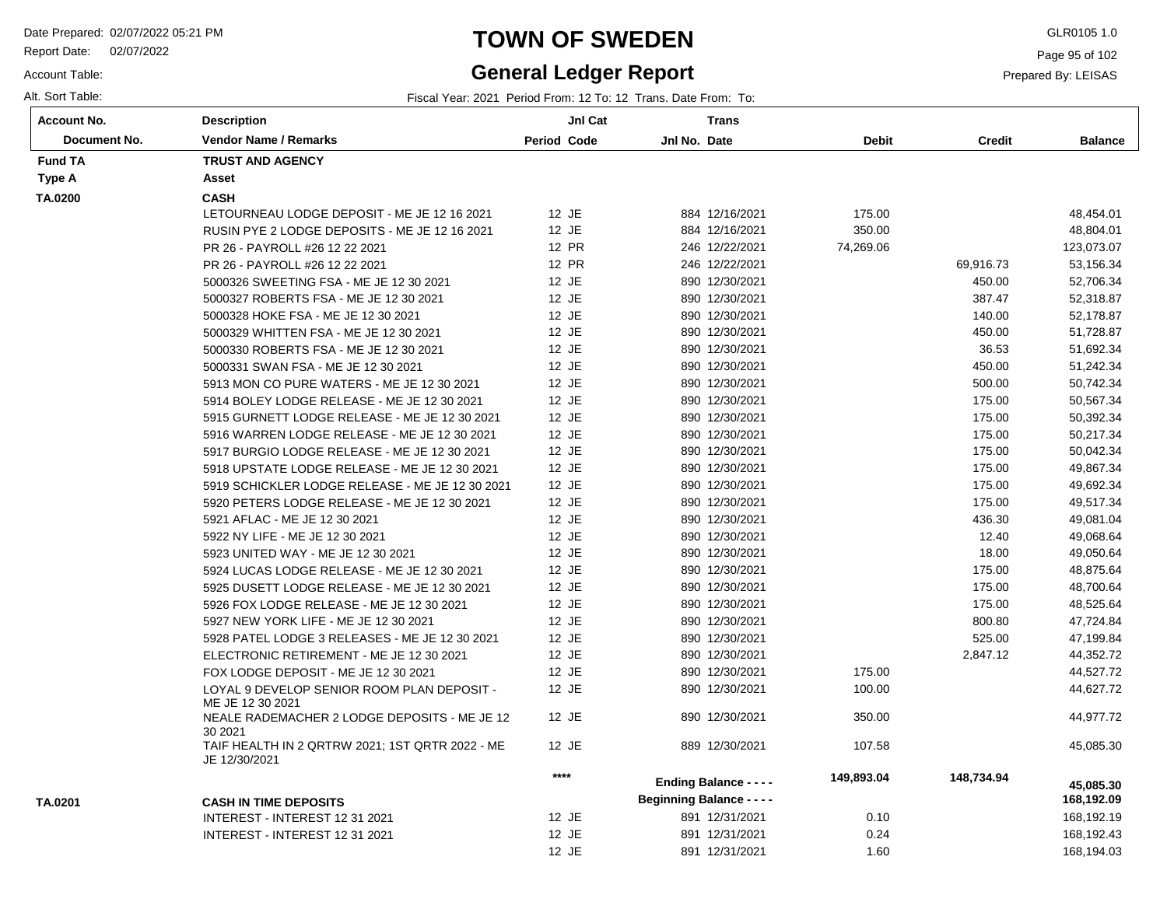Report Date: 02/07/2022

Account Table:

# **TOWN OF SWEDEN** GLR0105 1.0

# **General Ledger Report**

Page 95 of 102

Prepared By: LEISAS

Alt. Sort Table: Fiscal Year: 2021 Period From: 12 To: 12 Trans. Date From: To:

| Account No.    | <b>Description</b>                                               | JnI Cat            | <b>Trans</b>                     |              |               |                |
|----------------|------------------------------------------------------------------|--------------------|----------------------------------|--------------|---------------|----------------|
| Document No.   | <b>Vendor Name / Remarks</b>                                     | <b>Period Code</b> | Jnl No. Date                     | <b>Debit</b> | <b>Credit</b> | <b>Balance</b> |
| <b>Fund TA</b> | <b>TRUST AND AGENCY</b>                                          |                    |                                  |              |               |                |
| Type A         | Asset                                                            |                    |                                  |              |               |                |
| TA.0200        | <b>CASH</b>                                                      |                    |                                  |              |               |                |
|                | LETOURNEAU LODGE DEPOSIT - ME JE 12 16 2021                      | 12 JE              | 884 12/16/2021                   | 175.00       |               | 48,454.01      |
|                | RUSIN PYE 2 LODGE DEPOSITS - ME JE 12 16 2021                    | 12 JE              | 884 12/16/2021                   | 350.00       |               | 48,804.01      |
|                | PR 26 - PAYROLL #26 12 22 2021                                   | 12 PR              | 246 12/22/2021                   | 74,269.06    |               | 123,073.07     |
|                | PR 26 - PAYROLL #26 12 22 2021                                   | 12 PR              | 246 12/22/2021                   |              | 69,916.73     | 53,156.34      |
|                | 5000326 SWEETING FSA - ME JE 12 30 2021                          | 12 JE              | 890 12/30/2021                   |              | 450.00        | 52,706.34      |
|                | 5000327 ROBERTS FSA - ME JE 12 30 2021                           | 12 JE              | 890 12/30/2021                   |              | 387.47        | 52,318.87      |
|                | 5000328 HOKE FSA - ME JE 12 30 2021                              | 12 JE              | 890 12/30/2021                   |              | 140.00        | 52,178.87      |
|                | 5000329 WHITTEN FSA - ME JE 12 30 2021                           | 12 JE              | 890 12/30/2021                   |              | 450.00        | 51,728.87      |
|                | 5000330 ROBERTS FSA - ME JE 12 30 2021                           | 12 JE              | 890 12/30/2021                   |              | 36.53         | 51,692.34      |
|                | 5000331 SWAN FSA - ME JE 12 30 2021                              | 12 JE              | 890 12/30/2021                   |              | 450.00        | 51,242.34      |
|                | 5913 MON CO PURE WATERS - ME JE 12 30 2021                       | 12 JE              | 890 12/30/2021                   |              | 500.00        | 50,742.34      |
|                | 5914 BOLEY LODGE RELEASE - ME JE 12 30 2021                      | 12 JE              | 890 12/30/2021                   |              | 175.00        | 50,567.34      |
|                | 5915 GURNETT LODGE RELEASE - ME JE 12 30 2021                    | 12 JE              | 890 12/30/2021                   |              | 175.00        | 50,392.34      |
|                | 5916 WARREN LODGE RELEASE - ME JE 12 30 2021                     | 12 JE              | 890 12/30/2021                   |              | 175.00        | 50,217.34      |
|                | 5917 BURGIO LODGE RELEASE - ME JE 12 30 2021                     | 12 JE              | 890 12/30/2021                   |              | 175.00        | 50,042.34      |
|                | 5918 UPSTATE LODGE RELEASE - ME JE 12 30 2021                    | 12 JE              | 890 12/30/2021                   |              | 175.00        | 49,867.34      |
|                | 5919 SCHICKLER LODGE RELEASE - ME JE 12 30 2021                  | 12 JE              | 890 12/30/2021                   |              | 175.00        | 49,692.34      |
|                | 5920 PETERS LODGE RELEASE - ME JE 12 30 2021                     | 12 JE              | 890 12/30/2021                   |              | 175.00        | 49,517.34      |
|                | 5921 AFLAC - ME JE 12 30 2021                                    | 12 JE              | 890 12/30/2021                   |              | 436.30        | 49,081.04      |
|                | 5922 NY LIFE - ME JE 12 30 2021                                  | 12 JE              | 890 12/30/2021                   |              | 12.40         | 49,068.64      |
|                | 5923 UNITED WAY - ME JE 12 30 2021                               | 12 JE              | 890 12/30/2021                   |              | 18.00         | 49,050.64      |
|                | 5924 LUCAS LODGE RELEASE - ME JE 12 30 2021                      | 12 JE              | 890 12/30/2021                   |              | 175.00        | 48,875.64      |
|                | 5925 DUSETT LODGE RELEASE - ME JE 12 30 2021                     | 12 JE              | 890 12/30/2021                   |              | 175.00        | 48,700.64      |
|                | 5926 FOX LODGE RELEASE - ME JE 12 30 2021                        | 12 JE              | 890 12/30/2021                   |              | 175.00        | 48,525.64      |
|                | 5927 NEW YORK LIFE - ME JE 12 30 2021                            | 12 JE              | 890 12/30/2021                   |              | 800.80        | 47,724.84      |
|                | 5928 PATEL LODGE 3 RELEASES - ME JE 12 30 2021                   | 12 JE              | 890 12/30/2021                   |              | 525.00        | 47,199.84      |
|                | ELECTRONIC RETIREMENT - ME JE 12 30 2021                         | 12 JE              | 890 12/30/2021                   |              | 2,847.12      | 44,352.72      |
|                | FOX LODGE DEPOSIT - ME JE 12 30 2021                             | 12 JE              | 890 12/30/2021                   | 175.00       |               | 44,527.72      |
|                | LOYAL 9 DEVELOP SENIOR ROOM PLAN DEPOSIT -<br>ME JE 12 30 2021   | 12 JE              | 890 12/30/2021                   | 100.00       |               | 44,627.72      |
|                | NEALE RADEMACHER 2 LODGE DEPOSITS - ME JE 12<br>30 20 21         | 12 JE              | 890 12/30/2021                   | 350.00       |               | 44,977.72      |
|                | TAIF HEALTH IN 2 QRTRW 2021; 1ST QRTR 2022 - ME<br>JE 12/30/2021 | 12 JE              | 889 12/30/2021                   | 107.58       |               | 45,085.30      |
|                |                                                                  | $***$              | <b>Ending Balance - - - -</b>    | 149,893.04   | 148,734.94    | 45,085.30      |
| TA.0201        | <b>CASH IN TIME DEPOSITS</b>                                     |                    | <b>Beginning Balance - - - -</b> |              |               | 168,192.09     |
|                | INTEREST - INTEREST 12 31 2021                                   | 12 JE              | 891 12/31/2021                   | 0.10         |               | 168,192.19     |
|                | INTEREST - INTEREST 12 31 2021                                   | 12 JE              | 891 12/31/2021                   | 0.24         |               | 168,192.43     |
|                |                                                                  | 12 JE              | 891 12/31/2021                   | 1.60         |               | 168,194.03     |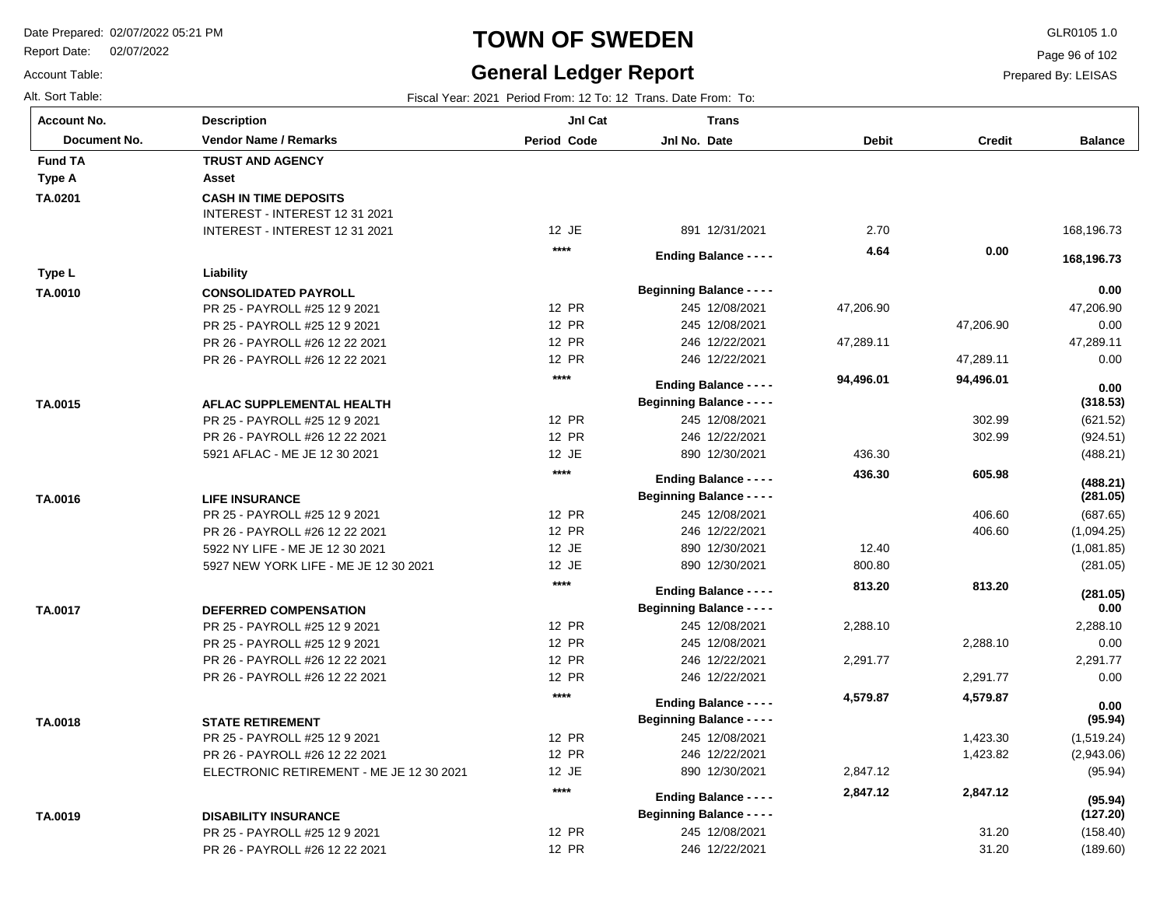PR 26 - PAYROLL #26 12 22 2021

Report Date: 02/07/2022

# **TOWN OF SWEDEN** GLR0105 1.0

### **General Ledger Report**

Page 96 of 102

Prepared By: LEISAS

31.20

(189.60)

Account Table: Alt. Sort Table: Fiscal Year: 2021 Period From: 12 To: 12 Trans. Date From: To:

| <b>Period Code</b><br><b>Vendor Name / Remarks</b><br>Jnl No. Date<br><b>Debit</b><br><b>Credit</b><br><b>Balance</b><br>Document No.<br><b>Fund TA</b><br><b>TRUST AND AGENCY</b><br>Asset<br><b>CASH IN TIME DEPOSITS</b><br>INTEREST - INTEREST 12 31 2021<br>12 JE<br>891 12/31/2021<br>2.70<br>168,196.73<br>INTEREST - INTEREST 12 31 2021<br>$***$<br>4.64<br>0.00<br><b>Ending Balance - - - -</b><br>168,196.73<br>Liability<br>Type L<br>0.00<br><b>Beginning Balance - - - -</b><br><b>CONSOLIDATED PAYROLL</b><br>12 PR<br>245 12/08/2021<br>47,206.90<br>47,206.90<br>PR 25 - PAYROLL #25 12 9 2021<br>12 PR<br>245 12/08/2021<br>47,206.90<br>0.00<br>PR 25 - PAYROLL #25 12 9 2021<br>12 PR<br>246 12/22/2021<br>47,289.11<br>PR 26 - PAYROLL #26 12 22 2021<br>47,289.11<br>12 PR<br>246 12/22/2021<br>47,289.11<br>0.00<br>PR 26 - PAYROLL #26 12 22 2021<br>$***$<br>94,496.01<br>94,496.01<br><b>Ending Balance - - - -</b><br>0.00<br><b>Beginning Balance - - - -</b><br>(318.53)<br>TA.0015<br>AFLAC SUPPLEMENTAL HEALTH<br>12 PR<br>302.99<br>245 12/08/2021<br>(621.52)<br>PR 25 - PAYROLL #25 12 9 2021<br>12 PR<br>302.99<br>246 12/22/2021<br>(924.51)<br>PR 26 - PAYROLL #26 12 22 2021<br>12 JE<br>890 12/30/2021<br>436.30<br>(488.21)<br>5921 AFLAC - ME JE 12 30 2021<br>$***$<br>436.30<br>605.98<br><b>Ending Balance - - - -</b><br>(488.21)<br><b>Beginning Balance - - - -</b><br>(281.05)<br><b>LIFE INSURANCE</b><br>12 PR<br>245 12/08/2021<br>406.60<br>PR 25 - PAYROLL #25 12 9 2021<br>(687.65)<br>12 PR<br>246 12/22/2021<br>406.60<br>PR 26 - PAYROLL #26 12 22 2021<br>(1,094.25)<br>12 JE<br>890 12/30/2021<br>12.40<br>5922 NY LIFE - ME JE 12 30 2021<br>(1,081.85)<br>12 JE<br>5927 NEW YORK LIFE - ME JE 12 30 2021<br>890 12/30/2021<br>800.80<br>(281.05)<br>$***$<br>813.20<br>813.20<br><b>Ending Balance - - - -</b><br>(281.05)<br><b>Beginning Balance - - - -</b><br>0.00<br>TA.0017<br><b>DEFERRED COMPENSATION</b><br>12 PR<br>245 12/08/2021<br>PR 25 - PAYROLL #25 12 9 2021<br>2,288.10<br>2,288.10<br>12 PR<br>0.00<br>PR 25 - PAYROLL #25 12 9 2021<br>245 12/08/2021<br>2,288.10<br>12 PR<br>246 12/22/2021<br>2,291.77<br>PR 26 - PAYROLL #26 12 22 2021<br>2,291.77<br>12 PR<br>246 12/22/2021<br>2,291.77<br>0.00<br>PR 26 - PAYROLL #26 12 22 2021<br>$***$<br>4,579.87<br>4,579.87<br><b>Ending Balance - - - -</b><br>0.00<br><b>Beginning Balance - - - -</b><br>(95.94)<br><b>STATE RETIREMENT</b><br>12 PR<br>245 12/08/2021<br>PR 25 - PAYROLL #25 12 9 2021<br>1,423.30<br>(1,519.24)<br>12 PR<br>PR 26 - PAYROLL #26 12 22 2021<br>246 12/22/2021<br>1,423.82<br>(2,943.06)<br>12 JE<br>890 12/30/2021<br>ELECTRONIC RETIREMENT - ME JE 12 30 2021<br>2,847.12<br>(95.94)<br>$***$<br>2,847.12<br>2,847.12<br><b>Ending Balance - - - -</b><br>(95.94)<br><b>Beginning Balance - - - -</b><br>(127.20)<br>TA.0019<br><b>DISABILITY INSURANCE</b> | <b>Account No.</b> | <b>Description</b>            | JnI Cat | <b>Trans</b>   |       |          |
|---------------------------------------------------------------------------------------------------------------------------------------------------------------------------------------------------------------------------------------------------------------------------------------------------------------------------------------------------------------------------------------------------------------------------------------------------------------------------------------------------------------------------------------------------------------------------------------------------------------------------------------------------------------------------------------------------------------------------------------------------------------------------------------------------------------------------------------------------------------------------------------------------------------------------------------------------------------------------------------------------------------------------------------------------------------------------------------------------------------------------------------------------------------------------------------------------------------------------------------------------------------------------------------------------------------------------------------------------------------------------------------------------------------------------------------------------------------------------------------------------------------------------------------------------------------------------------------------------------------------------------------------------------------------------------------------------------------------------------------------------------------------------------------------------------------------------------------------------------------------------------------------------------------------------------------------------------------------------------------------------------------------------------------------------------------------------------------------------------------------------------------------------------------------------------------------------------------------------------------------------------------------------------------------------------------------------------------------------------------------------------------------------------------------------------------------------------------------------------------------------------------------------------------------------------------------------------------------------------------------------------------------------------------------------------------------------------------------------------------------------------------------------------------------------------------------------------------------------------------------------------------------------------------------------------|--------------------|-------------------------------|---------|----------------|-------|----------|
|                                                                                                                                                                                                                                                                                                                                                                                                                                                                                                                                                                                                                                                                                                                                                                                                                                                                                                                                                                                                                                                                                                                                                                                                                                                                                                                                                                                                                                                                                                                                                                                                                                                                                                                                                                                                                                                                                                                                                                                                                                                                                                                                                                                                                                                                                                                                                                                                                                                                                                                                                                                                                                                                                                                                                                                                                                                                                                                                 |                    |                               |         |                |       |          |
|                                                                                                                                                                                                                                                                                                                                                                                                                                                                                                                                                                                                                                                                                                                                                                                                                                                                                                                                                                                                                                                                                                                                                                                                                                                                                                                                                                                                                                                                                                                                                                                                                                                                                                                                                                                                                                                                                                                                                                                                                                                                                                                                                                                                                                                                                                                                                                                                                                                                                                                                                                                                                                                                                                                                                                                                                                                                                                                                 |                    |                               |         |                |       |          |
|                                                                                                                                                                                                                                                                                                                                                                                                                                                                                                                                                                                                                                                                                                                                                                                                                                                                                                                                                                                                                                                                                                                                                                                                                                                                                                                                                                                                                                                                                                                                                                                                                                                                                                                                                                                                                                                                                                                                                                                                                                                                                                                                                                                                                                                                                                                                                                                                                                                                                                                                                                                                                                                                                                                                                                                                                                                                                                                                 | Type A             |                               |         |                |       |          |
|                                                                                                                                                                                                                                                                                                                                                                                                                                                                                                                                                                                                                                                                                                                                                                                                                                                                                                                                                                                                                                                                                                                                                                                                                                                                                                                                                                                                                                                                                                                                                                                                                                                                                                                                                                                                                                                                                                                                                                                                                                                                                                                                                                                                                                                                                                                                                                                                                                                                                                                                                                                                                                                                                                                                                                                                                                                                                                                                 | TA.0201            |                               |         |                |       |          |
|                                                                                                                                                                                                                                                                                                                                                                                                                                                                                                                                                                                                                                                                                                                                                                                                                                                                                                                                                                                                                                                                                                                                                                                                                                                                                                                                                                                                                                                                                                                                                                                                                                                                                                                                                                                                                                                                                                                                                                                                                                                                                                                                                                                                                                                                                                                                                                                                                                                                                                                                                                                                                                                                                                                                                                                                                                                                                                                                 |                    |                               |         |                |       |          |
|                                                                                                                                                                                                                                                                                                                                                                                                                                                                                                                                                                                                                                                                                                                                                                                                                                                                                                                                                                                                                                                                                                                                                                                                                                                                                                                                                                                                                                                                                                                                                                                                                                                                                                                                                                                                                                                                                                                                                                                                                                                                                                                                                                                                                                                                                                                                                                                                                                                                                                                                                                                                                                                                                                                                                                                                                                                                                                                                 |                    |                               |         |                |       |          |
|                                                                                                                                                                                                                                                                                                                                                                                                                                                                                                                                                                                                                                                                                                                                                                                                                                                                                                                                                                                                                                                                                                                                                                                                                                                                                                                                                                                                                                                                                                                                                                                                                                                                                                                                                                                                                                                                                                                                                                                                                                                                                                                                                                                                                                                                                                                                                                                                                                                                                                                                                                                                                                                                                                                                                                                                                                                                                                                                 |                    |                               |         |                |       |          |
|                                                                                                                                                                                                                                                                                                                                                                                                                                                                                                                                                                                                                                                                                                                                                                                                                                                                                                                                                                                                                                                                                                                                                                                                                                                                                                                                                                                                                                                                                                                                                                                                                                                                                                                                                                                                                                                                                                                                                                                                                                                                                                                                                                                                                                                                                                                                                                                                                                                                                                                                                                                                                                                                                                                                                                                                                                                                                                                                 |                    |                               |         |                |       |          |
|                                                                                                                                                                                                                                                                                                                                                                                                                                                                                                                                                                                                                                                                                                                                                                                                                                                                                                                                                                                                                                                                                                                                                                                                                                                                                                                                                                                                                                                                                                                                                                                                                                                                                                                                                                                                                                                                                                                                                                                                                                                                                                                                                                                                                                                                                                                                                                                                                                                                                                                                                                                                                                                                                                                                                                                                                                                                                                                                 | TA.0010            |                               |         |                |       |          |
|                                                                                                                                                                                                                                                                                                                                                                                                                                                                                                                                                                                                                                                                                                                                                                                                                                                                                                                                                                                                                                                                                                                                                                                                                                                                                                                                                                                                                                                                                                                                                                                                                                                                                                                                                                                                                                                                                                                                                                                                                                                                                                                                                                                                                                                                                                                                                                                                                                                                                                                                                                                                                                                                                                                                                                                                                                                                                                                                 |                    |                               |         |                |       |          |
|                                                                                                                                                                                                                                                                                                                                                                                                                                                                                                                                                                                                                                                                                                                                                                                                                                                                                                                                                                                                                                                                                                                                                                                                                                                                                                                                                                                                                                                                                                                                                                                                                                                                                                                                                                                                                                                                                                                                                                                                                                                                                                                                                                                                                                                                                                                                                                                                                                                                                                                                                                                                                                                                                                                                                                                                                                                                                                                                 |                    |                               |         |                |       |          |
|                                                                                                                                                                                                                                                                                                                                                                                                                                                                                                                                                                                                                                                                                                                                                                                                                                                                                                                                                                                                                                                                                                                                                                                                                                                                                                                                                                                                                                                                                                                                                                                                                                                                                                                                                                                                                                                                                                                                                                                                                                                                                                                                                                                                                                                                                                                                                                                                                                                                                                                                                                                                                                                                                                                                                                                                                                                                                                                                 |                    |                               |         |                |       |          |
|                                                                                                                                                                                                                                                                                                                                                                                                                                                                                                                                                                                                                                                                                                                                                                                                                                                                                                                                                                                                                                                                                                                                                                                                                                                                                                                                                                                                                                                                                                                                                                                                                                                                                                                                                                                                                                                                                                                                                                                                                                                                                                                                                                                                                                                                                                                                                                                                                                                                                                                                                                                                                                                                                                                                                                                                                                                                                                                                 |                    |                               |         |                |       |          |
|                                                                                                                                                                                                                                                                                                                                                                                                                                                                                                                                                                                                                                                                                                                                                                                                                                                                                                                                                                                                                                                                                                                                                                                                                                                                                                                                                                                                                                                                                                                                                                                                                                                                                                                                                                                                                                                                                                                                                                                                                                                                                                                                                                                                                                                                                                                                                                                                                                                                                                                                                                                                                                                                                                                                                                                                                                                                                                                                 |                    |                               |         |                |       |          |
|                                                                                                                                                                                                                                                                                                                                                                                                                                                                                                                                                                                                                                                                                                                                                                                                                                                                                                                                                                                                                                                                                                                                                                                                                                                                                                                                                                                                                                                                                                                                                                                                                                                                                                                                                                                                                                                                                                                                                                                                                                                                                                                                                                                                                                                                                                                                                                                                                                                                                                                                                                                                                                                                                                                                                                                                                                                                                                                                 |                    |                               |         |                |       |          |
|                                                                                                                                                                                                                                                                                                                                                                                                                                                                                                                                                                                                                                                                                                                                                                                                                                                                                                                                                                                                                                                                                                                                                                                                                                                                                                                                                                                                                                                                                                                                                                                                                                                                                                                                                                                                                                                                                                                                                                                                                                                                                                                                                                                                                                                                                                                                                                                                                                                                                                                                                                                                                                                                                                                                                                                                                                                                                                                                 |                    |                               |         |                |       |          |
|                                                                                                                                                                                                                                                                                                                                                                                                                                                                                                                                                                                                                                                                                                                                                                                                                                                                                                                                                                                                                                                                                                                                                                                                                                                                                                                                                                                                                                                                                                                                                                                                                                                                                                                                                                                                                                                                                                                                                                                                                                                                                                                                                                                                                                                                                                                                                                                                                                                                                                                                                                                                                                                                                                                                                                                                                                                                                                                                 |                    |                               |         |                |       |          |
|                                                                                                                                                                                                                                                                                                                                                                                                                                                                                                                                                                                                                                                                                                                                                                                                                                                                                                                                                                                                                                                                                                                                                                                                                                                                                                                                                                                                                                                                                                                                                                                                                                                                                                                                                                                                                                                                                                                                                                                                                                                                                                                                                                                                                                                                                                                                                                                                                                                                                                                                                                                                                                                                                                                                                                                                                                                                                                                                 |                    |                               |         |                |       |          |
|                                                                                                                                                                                                                                                                                                                                                                                                                                                                                                                                                                                                                                                                                                                                                                                                                                                                                                                                                                                                                                                                                                                                                                                                                                                                                                                                                                                                                                                                                                                                                                                                                                                                                                                                                                                                                                                                                                                                                                                                                                                                                                                                                                                                                                                                                                                                                                                                                                                                                                                                                                                                                                                                                                                                                                                                                                                                                                                                 |                    |                               |         |                |       |          |
|                                                                                                                                                                                                                                                                                                                                                                                                                                                                                                                                                                                                                                                                                                                                                                                                                                                                                                                                                                                                                                                                                                                                                                                                                                                                                                                                                                                                                                                                                                                                                                                                                                                                                                                                                                                                                                                                                                                                                                                                                                                                                                                                                                                                                                                                                                                                                                                                                                                                                                                                                                                                                                                                                                                                                                                                                                                                                                                                 |                    |                               |         |                |       |          |
|                                                                                                                                                                                                                                                                                                                                                                                                                                                                                                                                                                                                                                                                                                                                                                                                                                                                                                                                                                                                                                                                                                                                                                                                                                                                                                                                                                                                                                                                                                                                                                                                                                                                                                                                                                                                                                                                                                                                                                                                                                                                                                                                                                                                                                                                                                                                                                                                                                                                                                                                                                                                                                                                                                                                                                                                                                                                                                                                 | TA.0016            |                               |         |                |       |          |
|                                                                                                                                                                                                                                                                                                                                                                                                                                                                                                                                                                                                                                                                                                                                                                                                                                                                                                                                                                                                                                                                                                                                                                                                                                                                                                                                                                                                                                                                                                                                                                                                                                                                                                                                                                                                                                                                                                                                                                                                                                                                                                                                                                                                                                                                                                                                                                                                                                                                                                                                                                                                                                                                                                                                                                                                                                                                                                                                 |                    |                               |         |                |       |          |
|                                                                                                                                                                                                                                                                                                                                                                                                                                                                                                                                                                                                                                                                                                                                                                                                                                                                                                                                                                                                                                                                                                                                                                                                                                                                                                                                                                                                                                                                                                                                                                                                                                                                                                                                                                                                                                                                                                                                                                                                                                                                                                                                                                                                                                                                                                                                                                                                                                                                                                                                                                                                                                                                                                                                                                                                                                                                                                                                 |                    |                               |         |                |       |          |
|                                                                                                                                                                                                                                                                                                                                                                                                                                                                                                                                                                                                                                                                                                                                                                                                                                                                                                                                                                                                                                                                                                                                                                                                                                                                                                                                                                                                                                                                                                                                                                                                                                                                                                                                                                                                                                                                                                                                                                                                                                                                                                                                                                                                                                                                                                                                                                                                                                                                                                                                                                                                                                                                                                                                                                                                                                                                                                                                 |                    |                               |         |                |       |          |
|                                                                                                                                                                                                                                                                                                                                                                                                                                                                                                                                                                                                                                                                                                                                                                                                                                                                                                                                                                                                                                                                                                                                                                                                                                                                                                                                                                                                                                                                                                                                                                                                                                                                                                                                                                                                                                                                                                                                                                                                                                                                                                                                                                                                                                                                                                                                                                                                                                                                                                                                                                                                                                                                                                                                                                                                                                                                                                                                 |                    |                               |         |                |       |          |
|                                                                                                                                                                                                                                                                                                                                                                                                                                                                                                                                                                                                                                                                                                                                                                                                                                                                                                                                                                                                                                                                                                                                                                                                                                                                                                                                                                                                                                                                                                                                                                                                                                                                                                                                                                                                                                                                                                                                                                                                                                                                                                                                                                                                                                                                                                                                                                                                                                                                                                                                                                                                                                                                                                                                                                                                                                                                                                                                 |                    |                               |         |                |       |          |
|                                                                                                                                                                                                                                                                                                                                                                                                                                                                                                                                                                                                                                                                                                                                                                                                                                                                                                                                                                                                                                                                                                                                                                                                                                                                                                                                                                                                                                                                                                                                                                                                                                                                                                                                                                                                                                                                                                                                                                                                                                                                                                                                                                                                                                                                                                                                                                                                                                                                                                                                                                                                                                                                                                                                                                                                                                                                                                                                 |                    |                               |         |                |       |          |
|                                                                                                                                                                                                                                                                                                                                                                                                                                                                                                                                                                                                                                                                                                                                                                                                                                                                                                                                                                                                                                                                                                                                                                                                                                                                                                                                                                                                                                                                                                                                                                                                                                                                                                                                                                                                                                                                                                                                                                                                                                                                                                                                                                                                                                                                                                                                                                                                                                                                                                                                                                                                                                                                                                                                                                                                                                                                                                                                 |                    |                               |         |                |       |          |
|                                                                                                                                                                                                                                                                                                                                                                                                                                                                                                                                                                                                                                                                                                                                                                                                                                                                                                                                                                                                                                                                                                                                                                                                                                                                                                                                                                                                                                                                                                                                                                                                                                                                                                                                                                                                                                                                                                                                                                                                                                                                                                                                                                                                                                                                                                                                                                                                                                                                                                                                                                                                                                                                                                                                                                                                                                                                                                                                 |                    |                               |         |                |       |          |
|                                                                                                                                                                                                                                                                                                                                                                                                                                                                                                                                                                                                                                                                                                                                                                                                                                                                                                                                                                                                                                                                                                                                                                                                                                                                                                                                                                                                                                                                                                                                                                                                                                                                                                                                                                                                                                                                                                                                                                                                                                                                                                                                                                                                                                                                                                                                                                                                                                                                                                                                                                                                                                                                                                                                                                                                                                                                                                                                 |                    |                               |         |                |       |          |
|                                                                                                                                                                                                                                                                                                                                                                                                                                                                                                                                                                                                                                                                                                                                                                                                                                                                                                                                                                                                                                                                                                                                                                                                                                                                                                                                                                                                                                                                                                                                                                                                                                                                                                                                                                                                                                                                                                                                                                                                                                                                                                                                                                                                                                                                                                                                                                                                                                                                                                                                                                                                                                                                                                                                                                                                                                                                                                                                 |                    |                               |         |                |       |          |
|                                                                                                                                                                                                                                                                                                                                                                                                                                                                                                                                                                                                                                                                                                                                                                                                                                                                                                                                                                                                                                                                                                                                                                                                                                                                                                                                                                                                                                                                                                                                                                                                                                                                                                                                                                                                                                                                                                                                                                                                                                                                                                                                                                                                                                                                                                                                                                                                                                                                                                                                                                                                                                                                                                                                                                                                                                                                                                                                 |                    |                               |         |                |       |          |
|                                                                                                                                                                                                                                                                                                                                                                                                                                                                                                                                                                                                                                                                                                                                                                                                                                                                                                                                                                                                                                                                                                                                                                                                                                                                                                                                                                                                                                                                                                                                                                                                                                                                                                                                                                                                                                                                                                                                                                                                                                                                                                                                                                                                                                                                                                                                                                                                                                                                                                                                                                                                                                                                                                                                                                                                                                                                                                                                 |                    |                               |         |                |       |          |
|                                                                                                                                                                                                                                                                                                                                                                                                                                                                                                                                                                                                                                                                                                                                                                                                                                                                                                                                                                                                                                                                                                                                                                                                                                                                                                                                                                                                                                                                                                                                                                                                                                                                                                                                                                                                                                                                                                                                                                                                                                                                                                                                                                                                                                                                                                                                                                                                                                                                                                                                                                                                                                                                                                                                                                                                                                                                                                                                 | TA.0018            |                               |         |                |       |          |
|                                                                                                                                                                                                                                                                                                                                                                                                                                                                                                                                                                                                                                                                                                                                                                                                                                                                                                                                                                                                                                                                                                                                                                                                                                                                                                                                                                                                                                                                                                                                                                                                                                                                                                                                                                                                                                                                                                                                                                                                                                                                                                                                                                                                                                                                                                                                                                                                                                                                                                                                                                                                                                                                                                                                                                                                                                                                                                                                 |                    |                               |         |                |       |          |
|                                                                                                                                                                                                                                                                                                                                                                                                                                                                                                                                                                                                                                                                                                                                                                                                                                                                                                                                                                                                                                                                                                                                                                                                                                                                                                                                                                                                                                                                                                                                                                                                                                                                                                                                                                                                                                                                                                                                                                                                                                                                                                                                                                                                                                                                                                                                                                                                                                                                                                                                                                                                                                                                                                                                                                                                                                                                                                                                 |                    |                               |         |                |       |          |
|                                                                                                                                                                                                                                                                                                                                                                                                                                                                                                                                                                                                                                                                                                                                                                                                                                                                                                                                                                                                                                                                                                                                                                                                                                                                                                                                                                                                                                                                                                                                                                                                                                                                                                                                                                                                                                                                                                                                                                                                                                                                                                                                                                                                                                                                                                                                                                                                                                                                                                                                                                                                                                                                                                                                                                                                                                                                                                                                 |                    |                               |         |                |       |          |
|                                                                                                                                                                                                                                                                                                                                                                                                                                                                                                                                                                                                                                                                                                                                                                                                                                                                                                                                                                                                                                                                                                                                                                                                                                                                                                                                                                                                                                                                                                                                                                                                                                                                                                                                                                                                                                                                                                                                                                                                                                                                                                                                                                                                                                                                                                                                                                                                                                                                                                                                                                                                                                                                                                                                                                                                                                                                                                                                 |                    |                               |         |                |       |          |
|                                                                                                                                                                                                                                                                                                                                                                                                                                                                                                                                                                                                                                                                                                                                                                                                                                                                                                                                                                                                                                                                                                                                                                                                                                                                                                                                                                                                                                                                                                                                                                                                                                                                                                                                                                                                                                                                                                                                                                                                                                                                                                                                                                                                                                                                                                                                                                                                                                                                                                                                                                                                                                                                                                                                                                                                                                                                                                                                 |                    |                               |         |                |       |          |
|                                                                                                                                                                                                                                                                                                                                                                                                                                                                                                                                                                                                                                                                                                                                                                                                                                                                                                                                                                                                                                                                                                                                                                                                                                                                                                                                                                                                                                                                                                                                                                                                                                                                                                                                                                                                                                                                                                                                                                                                                                                                                                                                                                                                                                                                                                                                                                                                                                                                                                                                                                                                                                                                                                                                                                                                                                                                                                                                 |                    | PR 25 - PAYROLL #25 12 9 2021 | 12 PR   | 245 12/08/2021 | 31.20 | (158.40) |

12 PR

246 12/22/2021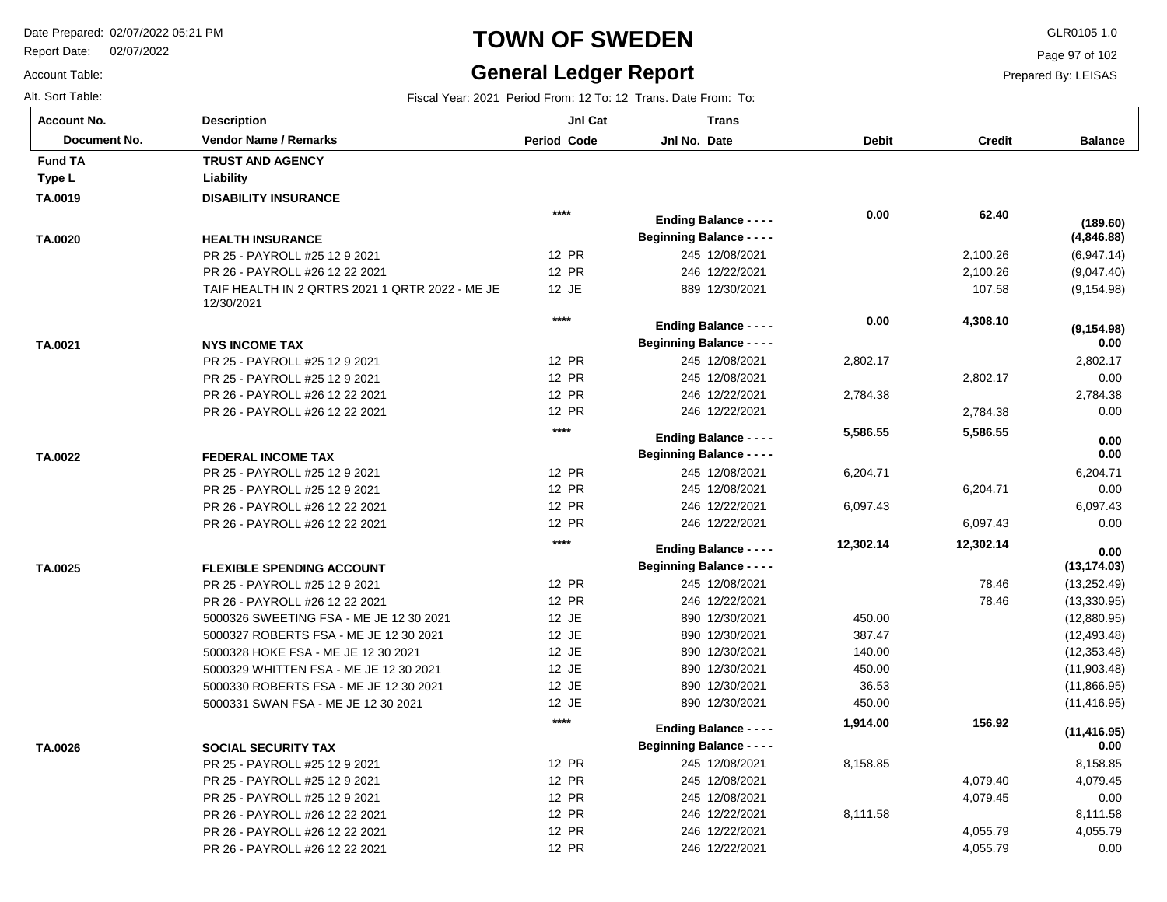PR 26 - PAYROLL #26 12 22 2021 PR 26 - PAYROLL #26 12 22 2021

Report Date: 02/07/2022

# **TOWN OF SWEDEN** GLR0105 1.0

#### **General Ledger Report** Fiscal Year: 2021 Period From: 12 To: 12 Trans. Date From: To:

**Balance**

(6,947.14) (9,047.40) (9,154.98)

**(4,846.88)**

**(189.60)**

 2,802.17 0.00 2,784.38 0.00

**(9,154.98)**

 **0.00** 

 6,204.71 0.00 6,097.43 0.00

 **0.00** 

 **0.00** 

(13,252.49) (13,330.95) (12,880.95) (12,493.48) (12,353.48) (11,903.48) (11,866.95) (11,416.95)

**(13,174.03)**

 **0.00** 

 8,158.85 4,079.45 0.00 8,111.58 4,055.79 0.00

**(11,416.95)**

 **0.00** 

Page 97 of 102

Prepared By: LEISAS

 4,055.79 4,055.79

| <b>Account No.</b> |
|--------------------|
| Alt. Sort Table:   |
| Account Table:     |

**TA.0019**

**Type L Liability Fund TA** 

**TA.0020**

**TA.0021**

**TA.0022**

**TA.0025**

**TA.0026**

| unt No.      | <b>Description</b>                                            | JnI Cat                      | <b>Trans</b>                     |              |               |
|--------------|---------------------------------------------------------------|------------------------------|----------------------------------|--------------|---------------|
| Document No. | <b>Vendor Name / Remarks</b>                                  | Period Code                  | Jnl No. Date                     | <b>Debit</b> | <b>Credit</b> |
| I TA         | <b>TRUST AND AGENCY</b>                                       |                              |                                  |              |               |
| ۱L.          | Liability                                                     |                              |                                  |              |               |
| )19          | <b>DISABILITY INSURANCE</b>                                   |                              |                                  |              |               |
|              |                                                               | $***$                        | <b>Ending Balance - - - -</b>    | 0.00         | 62.40         |
| )20          | <b>HEALTH INSURANCE</b>                                       |                              | <b>Beginning Balance - - - -</b> |              |               |
|              | PR 25 - PAYROLL #25 12 9 2021                                 | <b>12 PR</b>                 | 245 12/08/2021                   |              | 2,100.26      |
|              | PR 26 - PAYROLL #26 12 22 2021                                | <b>12 PR</b>                 | 246 12/22/2021                   |              | 2,100.26      |
|              | TAIF HEALTH IN 2 QRTRS 2021 1 QRTR 2022 - ME JE<br>12/30/2021 | 12 JE                        | 889 12/30/2021                   |              | 107.58        |
|              |                                                               | $****$                       | <b>Ending Balance - - - -</b>    | 0.00         | 4,308.10      |
|              |                                                               |                              | <b>Beginning Balance - - - -</b> |              |               |
| )21          | <b>NYS INCOME TAX</b>                                         | 12 PR                        | 245 12/08/2021                   |              |               |
|              | PR 25 - PAYROLL #25 12 9 2021                                 | <b>12 PR</b>                 | 245 12/08/2021                   | 2,802.17     |               |
|              | PR 25 - PAYROLL #25 12 9 2021                                 |                              |                                  |              | 2,802.17      |
|              | PR 26 - PAYROLL #26 12 22 2021                                | <b>12 PR</b><br><b>12 PR</b> | 246 12/22/2021                   | 2,784.38     |               |
|              | PR 26 - PAYROLL #26 12 22 2021                                |                              | 246 12/22/2021                   |              | 2,784.38      |
|              |                                                               | $****$                       | <b>Ending Balance - - - -</b>    | 5,586.55     | 5,586.55      |
| )22          | <b>FEDERAL INCOME TAX</b>                                     |                              | <b>Beginning Balance - - - -</b> |              |               |
|              | PR 25 - PAYROLL #25 12 9 2021                                 | <b>12 PR</b>                 | 245 12/08/2021                   | 6,204.71     |               |
|              | PR 25 - PAYROLL #25 12 9 2021                                 | <b>12 PR</b>                 | 245 12/08/2021                   |              | 6,204.71      |
|              | PR 26 - PAYROLL #26 12 22 2021                                | <b>12 PR</b>                 | 246 12/22/2021                   | 6,097.43     |               |
|              | PR 26 - PAYROLL #26 12 22 2021                                | <b>12 PR</b>                 | 246 12/22/2021                   |              | 6,097.43      |
|              |                                                               | $***$                        | <b>Ending Balance - - - -</b>    | 12,302.14    | 12,302.14     |
| )25          | <b>FLEXIBLE SPENDING ACCOUNT</b>                              |                              | <b>Beginning Balance - - - -</b> |              |               |
|              | PR 25 - PAYROLL #25 12 9 2021                                 | 12 PR                        | 245 12/08/2021                   |              | 78.46         |
|              | PR 26 - PAYROLL #26 12 22 2021                                | 12 PR                        | 246 12/22/2021                   |              | 78.46         |
|              | 5000326 SWEETING FSA - ME JE 12 30 2021                       | 12 JE                        | 890 12/30/2021                   | 450.00       |               |
|              | 5000327 ROBERTS FSA - ME JE 12 30 2021                        | 12 JE                        | 890 12/30/2021                   | 387.47       |               |
|              | 5000328 HOKE FSA - ME JE 12 30 2021                           | 12 JE                        | 890 12/30/2021                   | 140.00       |               |
|              | 5000329 WHITTEN FSA - ME JE 12 30 2021                        | 12 JE                        | 890 12/30/2021                   | 450.00       |               |
|              | 5000330 ROBERTS FSA - ME JE 12 30 2021                        | 12 JE                        | 890 12/30/2021                   | 36.53        |               |
|              | 5000331 SWAN FSA - ME JE 12 30 2021                           | 12 JE                        | 890 12/30/2021                   | 450.00       |               |
|              |                                                               | $****$                       |                                  | 1,914.00     | 156.92        |
|              |                                                               |                              | <b>Ending Balance - - - -</b>    |              |               |
| )26          | <b>SOCIAL SECURITY TAX</b>                                    |                              | <b>Beginning Balance - - - -</b> |              |               |
|              | PR 25 - PAYROLL #25 12 9 2021                                 | <b>12 PR</b>                 | 245 12/08/2021                   | 8,158.85     |               |
|              | PR 25 - PAYROLL #25 12 9 2021                                 | <b>12 PR</b>                 | 245 12/08/2021                   |              | 4,079.40      |
|              | PR 25 - PAYROLL #25 12 9 2021                                 | <b>12 PR</b>                 | 245 12/08/2021                   |              | 4,079.45      |
|              | PR 26 - PAYROLL #26 12 22 2021                                | <b>12 PR</b>                 | 246 12/22/2021                   | 8,111.58     |               |

12 PR 12 PR 246 12/22/2021 246 12/22/2021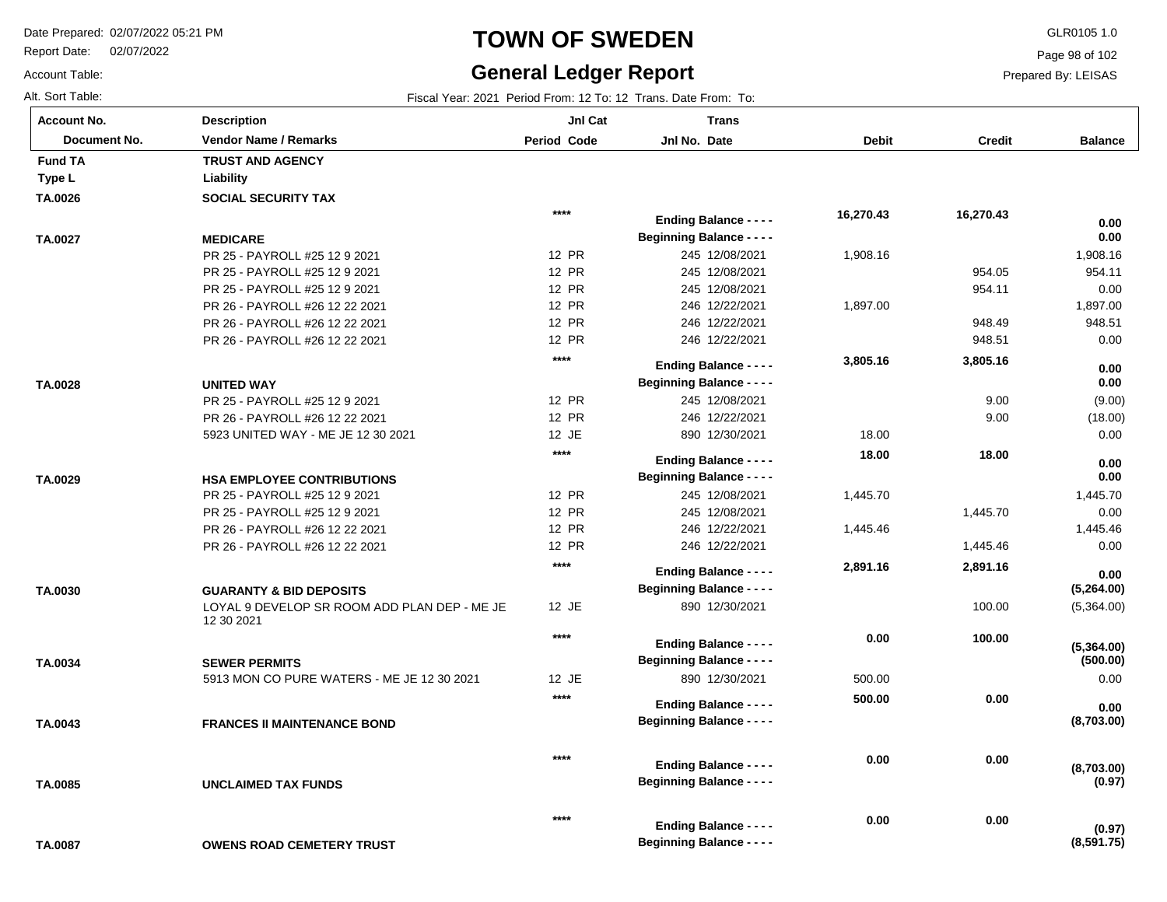Report Date: 02/07/2022

# **TOWN OF SWEDEN** GLR0105 1.0

#### **General Ledger Report** Fiscal Year: 2021 Period From: 12 To: 12 Trans. Date From: To:

**Balance**

 1,908.16 954.11 0.00 1,897.00 948.51 0.00

 **0.00** 

 **0.00** 

(9.00) (18.00) 0.00

 **0.00** 

 **0.00** 

 1,445.70 0.00 1,445.46 0.00

 **0.00** 

 **0.00** 

(5,364.00)

**(5,264.00)**

 **0.00** 

0.00

 **0.00** 

**(0.97)**

**(0.97)**

**(8,591.75)**

**(500.00)**

**(5,364.00)**

**(8,703.00)**

**(8,703.00)**

Page 98 of 102

Prepared By: LEISAS

 **0.00** 

 **0.00** 

| <b>Account No.</b> |
|--------------------|
| Alt. Sort Table:   |
| Account Table:     |

**TA.0026**

**Type L Liability Fund TA** 

**TA.0027**

**TA.0028**

**TA.0029**

**TA.0030**

**TA.0034**

**TA.0043**

| unt No.      | Description                                                | JnI Cat            | <b>Trans</b>                     |              |               |
|--------------|------------------------------------------------------------|--------------------|----------------------------------|--------------|---------------|
| Document No. | <b>Vendor Name / Remarks</b>                               | <b>Period Code</b> | Jnl No. Date                     | <b>Debit</b> | <b>Credit</b> |
| I TA         | <b>TRUST AND AGENCY</b>                                    |                    |                                  |              |               |
| ۱L           | Liability                                                  |                    |                                  |              |               |
| )26          | <b>SOCIAL SECURITY TAX</b>                                 |                    |                                  |              |               |
|              |                                                            | $****$             | <b>Ending Balance - - - -</b>    | 16,270.43    | 16,270.43     |
| )27          | <b>MEDICARE</b>                                            |                    | <b>Beginning Balance - - - -</b> |              |               |
|              | PR 25 - PAYROLL #25 12 9 2021                              | 12 PR              | 245 12/08/2021                   | 1,908.16     |               |
|              | PR 25 - PAYROLL #25 12 9 2021                              | 12 PR              | 245 12/08/2021                   |              | 954.05        |
|              | PR 25 - PAYROLL #25 12 9 2021                              | <b>12 PR</b>       | 245 12/08/2021                   |              | 954.11        |
|              | PR 26 - PAYROLL #26 12 22 2021                             | <b>12 PR</b>       | 246 12/22/2021                   | 1,897.00     |               |
|              | PR 26 - PAYROLL #26 12 22 2021                             | 12 PR              | 246 12/22/2021                   |              | 948.49        |
|              | PR 26 - PAYROLL #26 12 22 2021                             | <b>12 PR</b>       | 246 12/22/2021                   |              | 948.51        |
|              |                                                            | $****$             |                                  | 3,805.16     | 3,805.16      |
|              |                                                            |                    | <b>Ending Balance - - - -</b>    |              |               |
| )28          | UNITED WAY                                                 |                    | <b>Beginning Balance - - - -</b> |              |               |
|              | PR 25 - PAYROLL #25 12 9 2021                              | <b>12 PR</b>       | 245 12/08/2021                   |              | 9.00          |
|              | PR 26 - PAYROLL #26 12 22 2021                             | <b>12 PR</b>       | 246 12/22/2021                   |              | 9.00          |
|              | 5923 UNITED WAY - ME JE 12 30 2021                         | 12 JE              | 890 12/30/2021                   | 18.00        |               |
|              |                                                            | $****$             | <b>Ending Balance - - - -</b>    | 18.00        | 18.00         |
| )29          | <b>HSA EMPLOYEE CONTRIBUTIONS</b>                          |                    | <b>Beginning Balance - - - -</b> |              |               |
|              | PR 25 - PAYROLL #25 12 9 2021                              | <b>12 PR</b>       | 245 12/08/2021                   | 1,445.70     |               |
|              | PR 25 - PAYROLL #25 12 9 2021                              | <b>12 PR</b>       | 245 12/08/2021                   |              | 1,445.70      |
|              | PR 26 - PAYROLL #26 12 22 2021                             | <b>12 PR</b>       | 246 12/22/2021                   | 1,445.46     |               |
|              | PR 26 - PAYROLL #26 12 22 2021                             | <b>12 PR</b>       | 246 12/22/2021                   |              | 1,445.46      |
|              |                                                            | $****$             |                                  | 2,891.16     | 2,891.16      |
|              |                                                            |                    | <b>Ending Balance - - - -</b>    |              |               |
| )30          | <b>GUARANTY &amp; BID DEPOSITS</b>                         |                    | <b>Beginning Balance - - - -</b> |              |               |
|              | LOYAL 9 DEVELOP SR ROOM ADD PLAN DEP - ME JE<br>12 30 2021 | 12 JE              | 890 12/30/2021                   |              | 100.00        |
|              |                                                            | ****               | <b>Ending Balance - - - -</b>    | 0.00         | 100.00        |
| )34          | <b>SEWER PERMITS</b>                                       |                    | <b>Beginning Balance - - - -</b> |              |               |
|              | 5913 MON CO PURE WATERS - ME JE 12 30 2021                 | 12 JE              | 890 12/30/2021                   | 500.00       |               |
|              |                                                            | $****$             |                                  | 500.00       | 0.00          |
|              |                                                            |                    | <b>Ending Balance - - - -</b>    |              |               |
| )43          | <b>FRANCES II MAINTENANCE BOND</b>                         |                    | <b>Beginning Balance - - - -</b> |              |               |
|              |                                                            | $***$              | <b>Ending Balance - - - -</b>    | 0.00         | 0.00          |

**\*\*\*\***

**Beginning Balance - - - -**

**Beginning Balance - - - -**

**Ending Balance - - - -**

**UNCLAIMED TAX FUNDS TA.0085**

| TA.0087 | <b>OWENS ROAD CEMETERY TRUST</b> |
|---------|----------------------------------|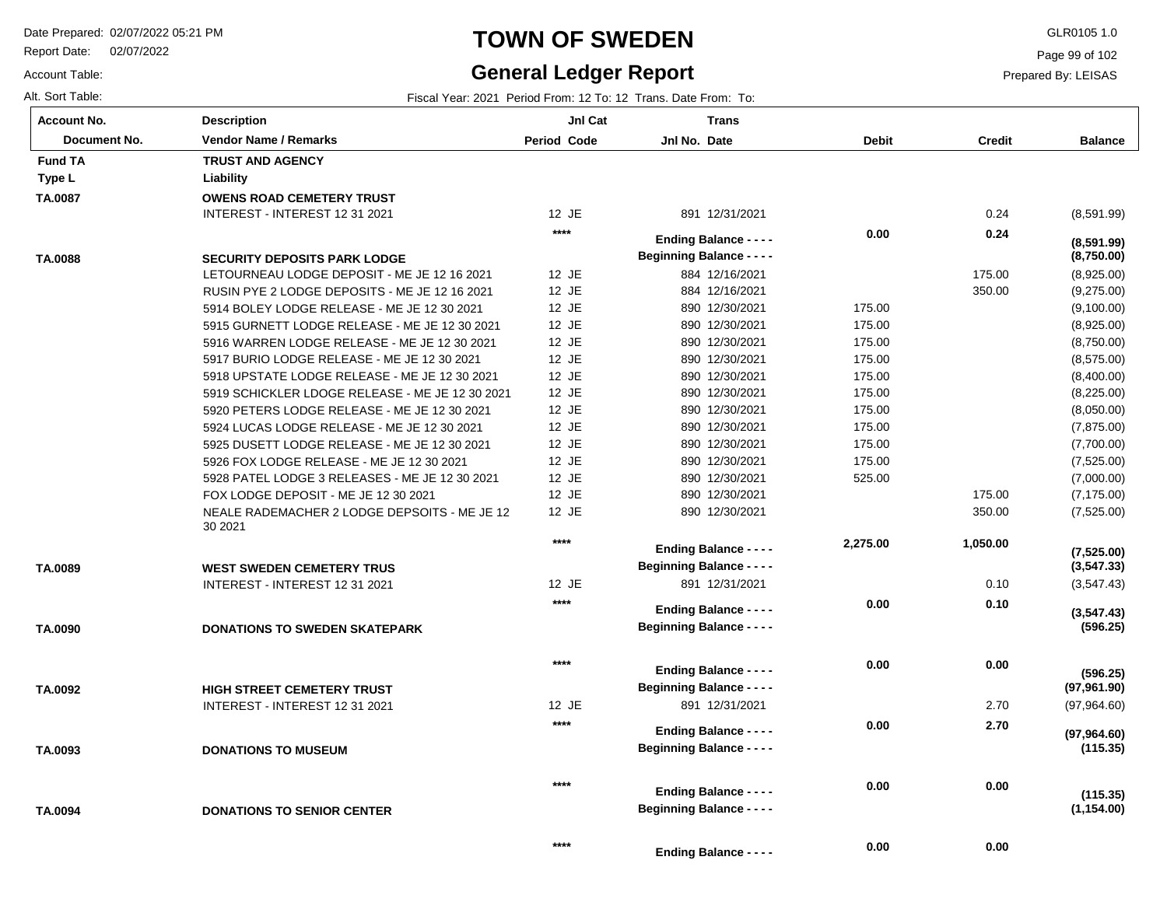Report Date: 02/07/2022

# **TOWN OF SWEDEN** GLR0105 1.0

### **General Ledger Report**

Page 99 of 102

Prepared By: LEISAS

Account Table:

| Alt. Sort Table:   |                                                                                    |             | Fiscal Year: 2021 Period From: 12 To: 12 Trans. Date From: To: |              |               |                          |
|--------------------|------------------------------------------------------------------------------------|-------------|----------------------------------------------------------------|--------------|---------------|--------------------------|
| <b>Account No.</b> | <b>Description</b>                                                                 | JnI Cat     | <b>Trans</b>                                                   |              |               |                          |
| Document No.       | <b>Vendor Name / Remarks</b>                                                       | Period Code | Jnl No. Date                                                   | <b>Debit</b> | <b>Credit</b> | <b>Balance</b>           |
| <b>Fund TA</b>     | <b>TRUST AND AGENCY</b>                                                            |             |                                                                |              |               |                          |
| Type L             | Liability                                                                          |             |                                                                |              |               |                          |
| TA.0087            | <b>OWENS ROAD CEMETERY TRUST</b>                                                   |             |                                                                |              |               |                          |
|                    | INTEREST - INTEREST 12 31 2021                                                     | 12 JE       | 891 12/31/2021                                                 |              | 0.24          | (8,591.99)               |
|                    |                                                                                    | $***$       | <b>Ending Balance - - - -</b>                                  | 0.00         | 0.24          |                          |
|                    |                                                                                    |             | <b>Beginning Balance - - - -</b>                               |              |               | (8,591.99)<br>(8,750.00) |
| TA.0088            | <b>SECURITY DEPOSITS PARK LODGE</b><br>LETOURNEAU LODGE DEPOSIT - ME JE 12 16 2021 | 12 JE       | 884 12/16/2021                                                 |              | 175.00        | (8,925.00)               |
|                    | RUSIN PYE 2 LODGE DEPOSITS - ME JE 12 16 2021                                      | 12 JE       | 884 12/16/2021                                                 |              | 350.00        | (9,275.00)               |
|                    | 5914 BOLEY LODGE RELEASE - ME JE 12 30 2021                                        | 12 JE       | 890 12/30/2021                                                 | 175.00       |               | (9,100.00)               |
|                    | 5915 GURNETT LODGE RELEASE - ME JE 12 30 2021                                      | 12 JE       | 890 12/30/2021                                                 | 175.00       |               | (8,925.00)               |
|                    | 5916 WARREN LODGE RELEASE - ME JE 12 30 2021                                       | 12 JE       | 890 12/30/2021                                                 | 175.00       |               | (8,750.00)               |
|                    | 5917 BURIO LODGE RELEASE - ME JE 12 30 2021                                        | 12 JE       | 890 12/30/2021                                                 | 175.00       |               | (8,575.00)               |
|                    | 5918 UPSTATE LODGE RELEASE - ME JE 12 30 2021                                      | 12 JE       | 890 12/30/2021                                                 | 175.00       |               | (8,400.00)               |
|                    | 5919 SCHICKLER LDOGE RELEASE - ME JE 12 30 2021                                    | 12 JE       | 890 12/30/2021                                                 | 175.00       |               | (8,225.00)               |
|                    | 5920 PETERS LODGE RELEASE - ME JE 12 30 2021                                       | 12 JE       | 890 12/30/2021                                                 | 175.00       |               | (8,050.00)               |
|                    | 5924 LUCAS LODGE RELEASE - ME JE 12 30 2021                                        | 12 JE       | 890 12/30/2021                                                 | 175.00       |               | (7,875.00)               |
|                    | 5925 DUSETT LODGE RELEASE - ME JE 12 30 2021                                       | 12 JE       | 890 12/30/2021                                                 | 175.00       |               | (7,700.00)               |
|                    | 5926 FOX LODGE RELEASE - ME JE 12 30 2021                                          | 12 JE       | 890 12/30/2021                                                 | 175.00       |               | (7, 525.00)              |
|                    | 5928 PATEL LODGE 3 RELEASES - ME JE 12 30 2021                                     | 12 JE       | 890 12/30/2021                                                 | 525.00       |               | (7,000.00)               |
|                    | FOX LODGE DEPOSIT - ME JE 12 30 2021                                               | 12 JE       | 890 12/30/2021                                                 |              | 175.00        | (7, 175.00)              |
|                    | NEALE RADEMACHER 2 LODGE DEPSOITS - ME JE 12                                       | 12 JE       | 890 12/30/2021                                                 |              | 350.00        | (7, 525.00)              |
|                    | 30 2021                                                                            |             |                                                                |              |               |                          |
|                    |                                                                                    | $***$       | <b>Ending Balance - - - -</b>                                  | 2,275.00     | 1,050.00      | (7,525.00)               |
| TA.0089            | <b>WEST SWEDEN CEMETERY TRUS</b>                                                   |             | <b>Beginning Balance - - - -</b>                               |              |               | (3, 547.33)              |
|                    | INTEREST - INTEREST 12 31 2021                                                     | 12 JE       | 891 12/31/2021                                                 |              | 0.10          | (3, 547.43)              |
|                    |                                                                                    | $***$       |                                                                | 0.00         | 0.10          |                          |
|                    |                                                                                    |             | <b>Ending Balance - - - -</b>                                  |              |               | (3,547.43)               |
| TA.0090            | <b>DONATIONS TO SWEDEN SKATEPARK</b>                                               |             | <b>Beginning Balance - - - -</b>                               |              |               | (596.25)                 |
|                    |                                                                                    | $***$       |                                                                | 0.00         | 0.00          |                          |
|                    |                                                                                    |             | <b>Ending Balance - - - -</b>                                  |              |               | (596.25)                 |
| TA.0092            | <b>HIGH STREET CEMETERY TRUST</b>                                                  |             | <b>Beginning Balance - - - -</b>                               |              |               | (97, 961.90)             |
|                    | INTEREST - INTEREST 12 31 2021                                                     | 12 JE       | 891 12/31/2021                                                 |              | 2.70          | (97, 964.60)             |
|                    |                                                                                    | $***$       | <b>Ending Balance - - - -</b>                                  | 0.00         | 2.70          | (97, 964.60)             |
| TA.0093            | <b>DONATIONS TO MUSEUM</b>                                                         |             | <b>Beginning Balance - - - -</b>                               |              |               | (115.35)                 |
|                    |                                                                                    |             |                                                                |              |               |                          |
|                    |                                                                                    | $***$       | <b>Ending Balance - - - -</b>                                  | 0.00         | 0.00          |                          |
| TA.0094            | <b>DONATIONS TO SENIOR CENTER</b>                                                  |             | <b>Beginning Balance - - - -</b>                               |              |               | (115.35)<br>(1, 154.00)  |
|                    |                                                                                    |             |                                                                |              |               |                          |
|                    |                                                                                    | $***$       |                                                                | 0.00         | 0.00          |                          |
|                    |                                                                                    |             | Ending Balance - - - -                                         |              |               |                          |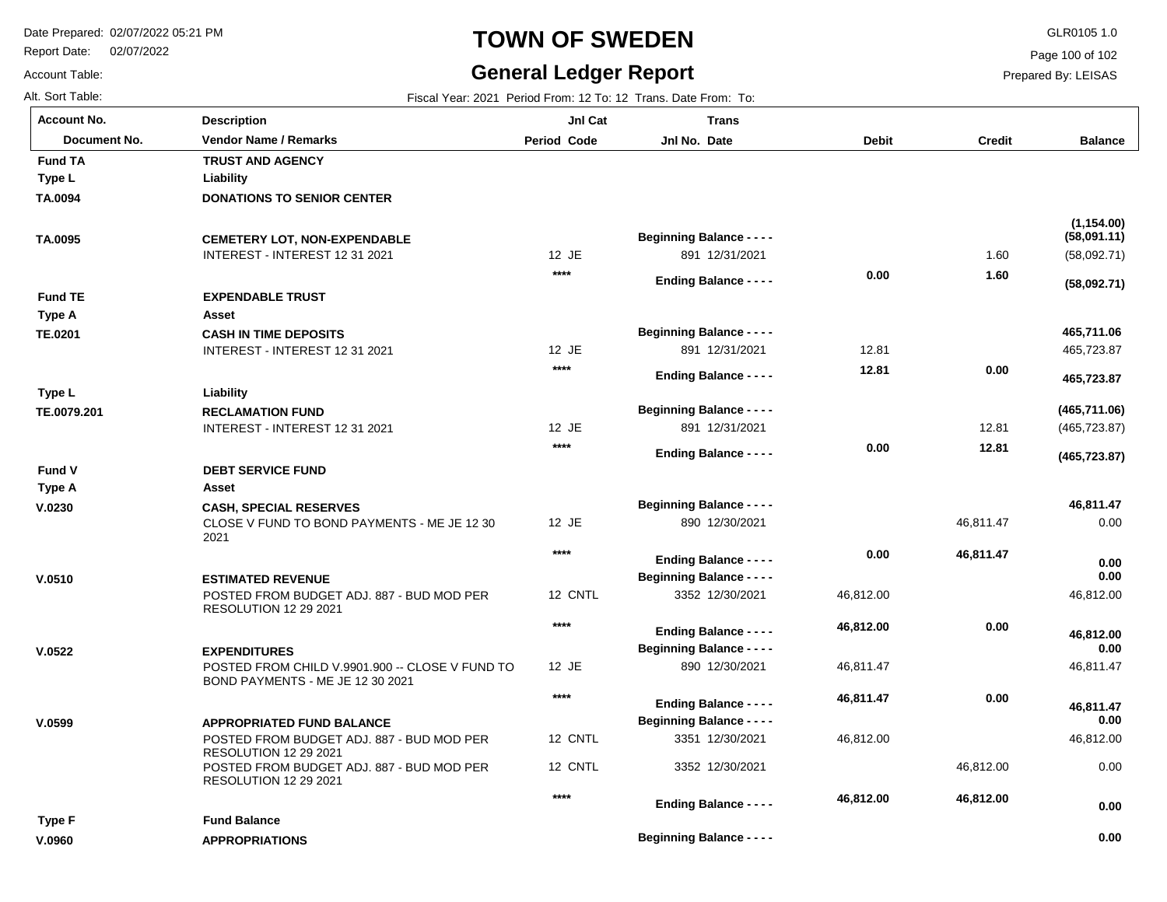**Description**

**APPROPRIATIONS**

**Fund Balance**

Report Date: 02/07/2022

# **TOWN OF SWEDEN** GLR0105 1.0

#### **General Ledger Report**

**Jnl Cat**

**Trans**

**Balance**

(58,092.71)

**(58,092.71)**

**(58,091.11)**

**(1,154.00)**

465,723.87

 **465,723.87** 

 **465,711.06** 

(465,723.87)

**(465,723.87)**

**(465,711.06)**

0.00

 **0.00** 

 **0.00** 

 **0.00** 

 **46,811.47** 

46,812.00

 **46,812.00** 

46,811.47

46,812.00

 **46,812.00** 

 **46,811.47** 

0.00

 **0.00** 

 **0.00** 

Page 100 of 102

Prepared By: LEISAS

Account Table: Alt. Sort Table: Fiscal Year: 2021 Period From: 12 To: 12 Trans. Date From: To: **Account No.**

**TA.0094**

**Type L**

**Fund TA**

**TA.0095**

**TE.0201**

**Type L**

**Type A**

**Fund TE**

**TE.0079.201**

**V.0230**

**Type A**

**Fund V**

**V.0510**

**V.0522**

**V.0599**

**V.0960**

**Type F**

| Document No. | <b>Vendor Name / Remarks</b>                                                        | Period Code | Jnl No. Date                                                      | <b>Debit</b> | <b>Credit</b> |
|--------------|-------------------------------------------------------------------------------------|-------------|-------------------------------------------------------------------|--------------|---------------|
| I TA         | <b>TRUST AND AGENCY</b>                                                             |             |                                                                   |              |               |
| ۱L.          | Liability                                                                           |             |                                                                   |              |               |
| )94          | <b>DONATIONS TO SENIOR CENTER</b>                                                   |             |                                                                   |              |               |
| )95          | <b>CEMETERY LOT, NON-EXPENDABLE</b>                                                 |             | <b>Beginning Balance - - - -</b>                                  |              |               |
|              | INTEREST - INTEREST 12 31 2021                                                      | $12$ JE     | 891 12/31/2021                                                    |              | 1.60          |
|              |                                                                                     | $****$      | <b>Ending Balance - - - -</b>                                     | 0.00         | 1.60          |
| I TE         | <b>EXPENDABLE TRUST</b>                                                             |             |                                                                   |              |               |
| ۰A           | Asset                                                                               |             |                                                                   |              |               |
| 201          | <b>CASH IN TIME DEPOSITS</b>                                                        |             | <b>Beginning Balance - - - -</b>                                  |              |               |
|              | INTEREST - INTEREST 12 31 2021                                                      | $12$ JE     | 891 12/31/2021                                                    | 12.81        |               |
|              |                                                                                     | $****$      | <b>Ending Balance - - - -</b>                                     | 12.81        | 0.00          |
| ۱L           | Liability                                                                           |             |                                                                   |              |               |
| )79.201      | <b>RECLAMATION FUND</b>                                                             |             | <b>Beginning Balance - - - -</b>                                  |              |               |
|              | INTEREST - INTEREST 12 31 2021                                                      | 12 JE       | 891 12/31/2021                                                    |              | 12.81         |
|              |                                                                                     | ****        | <b>Ending Balance - - - -</b>                                     | 0.00         | 12.81         |
| ١V           | <b>DEBT SERVICE FUND</b>                                                            |             |                                                                   |              |               |
| ۰A           | Asset                                                                               |             |                                                                   |              |               |
| 80           | <b>CASH, SPECIAL RESERVES</b>                                                       |             | <b>Beginning Balance - - - -</b>                                  |              |               |
|              | CLOSE V FUND TO BOND PAYMENTS - ME JE 12 30<br>2021                                 | 12 JE       | 890 12/30/2021                                                    |              | 46,811.47     |
|              |                                                                                     | $****$      | <b>Ending Balance - - - -</b>                                     | 0.00         | 46,811.47     |
| 10           | <b>ESTIMATED REVENUE</b>                                                            |             | <b>Beginning Balance - - - -</b>                                  |              |               |
|              | POSTED FROM BUDGET ADJ. 887 - BUD MOD PER<br><b>RESOLUTION 12 29 2021</b>           | 12 CNTL     | 3352 12/30/2021                                                   | 46,812.00    |               |
|              |                                                                                     | $****$      | <b>Ending Balance - - - -</b>                                     | 46,812.00    | 0.00          |
| 22           | <b>EXPENDITURES</b>                                                                 |             | <b>Beginning Balance - - - -</b>                                  |              |               |
|              | POSTED FROM CHILD V.9901.900 -- CLOSE V FUND TO<br>BOND PAYMENTS - ME JE 12 30 2021 | 12 JE       | 890 12/30/2021                                                    | 46,811.47    |               |
|              |                                                                                     | $****$      |                                                                   | 46,811.47    | 0.00          |
|              |                                                                                     |             | <b>Ending Balance - - - -</b><br><b>Beginning Balance - - - -</b> |              |               |
| 99           | <b>APPROPRIATED FUND BALANCE</b><br>POSTED FROM BUDGET ADJ. 887 - BUD MOD PER       | 12 CNTL     | 3351 12/30/2021                                                   | 46,812.00    |               |
|              | RESOLUTION 12 29 2021                                                               |             |                                                                   |              |               |
|              | POSTED FROM BUDGET ADJ. 887 - BUD MOD PER<br>RESOLUTION 12 29 2021                  | 12 CNTL     | 3352 12/30/2021                                                   |              | 46,812.00     |

**\*\*\*\***

**Beginning Balance - - - -**

**Ending Balance - - - -**

 **46,812.00** 

 **0.00**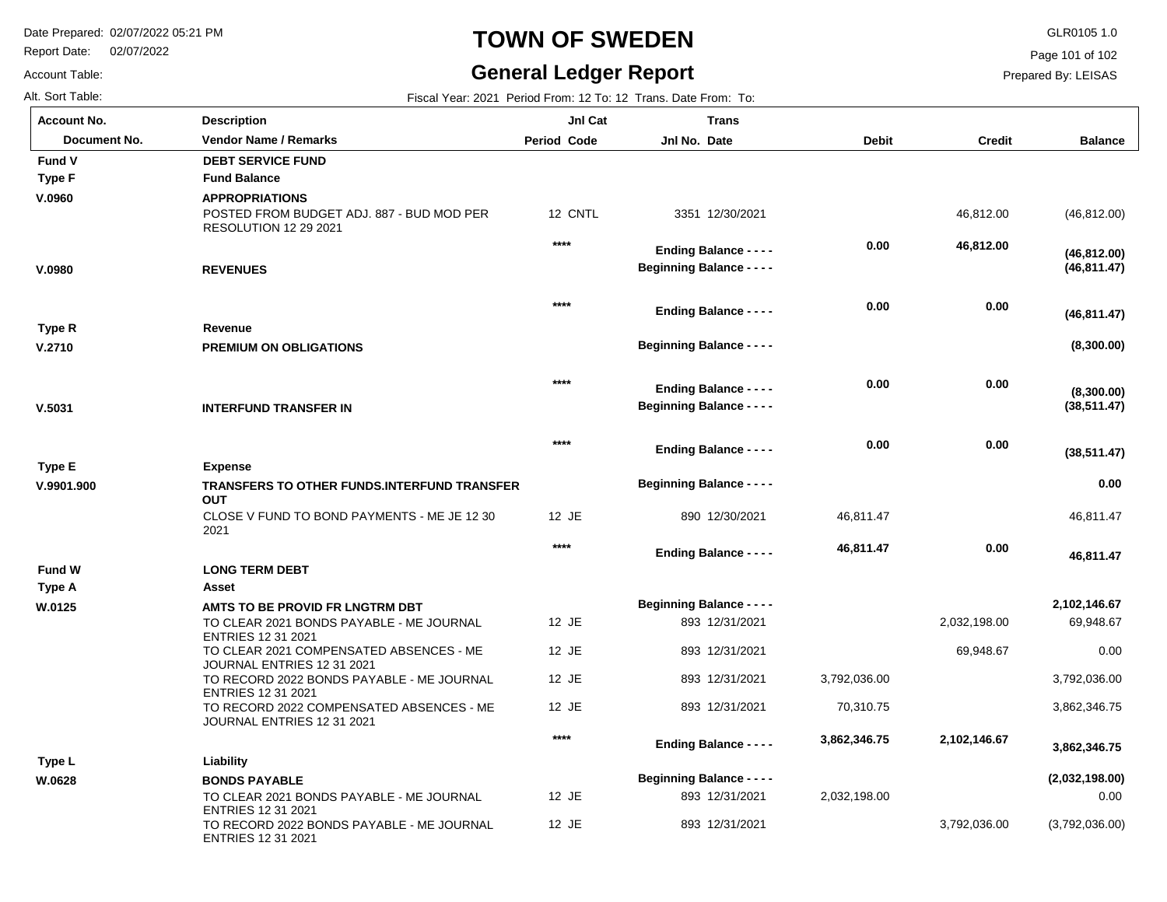Report Date: 02/07/2022

Account Table:

# **TOWN OF SWEDEN** GLR0105 1.0

# **General Ledger Report**

Page 101 of 102

| Alt. Sort Table:   |                                                                                             |             | Fiscal Year: 2021 Period From: 12 To: 12 Trans. Date From: To:    |              |               |                              |
|--------------------|---------------------------------------------------------------------------------------------|-------------|-------------------------------------------------------------------|--------------|---------------|------------------------------|
| <b>Account No.</b> | <b>Description</b>                                                                          | JnI Cat     | <b>Trans</b>                                                      |              |               |                              |
| Document No.       | <b>Vendor Name / Remarks</b>                                                                | Period Code | Jnl No. Date                                                      | <b>Debit</b> | <b>Credit</b> | <b>Balance</b>               |
| Fund V             | <b>DEBT SERVICE FUND</b>                                                                    |             |                                                                   |              |               |                              |
| <b>Type F</b>      | <b>Fund Balance</b>                                                                         |             |                                                                   |              |               |                              |
| V.0960             | <b>APPROPRIATIONS</b><br>POSTED FROM BUDGET ADJ. 887 - BUD MOD PER<br>RESOLUTION 12 29 2021 | 12 CNTL     | 3351 12/30/2021                                                   |              | 46,812.00     | (46, 812.00)                 |
| V.0980             | <b>REVENUES</b>                                                                             | $****$      | <b>Ending Balance - - - -</b><br><b>Beginning Balance - - - -</b> | 0.00         | 46,812.00     | (46, 812.00)<br>(46, 811.47) |
|                    |                                                                                             | $****$      | <b>Ending Balance - - - -</b>                                     | 0.00         | 0.00          | (46, 811.47)                 |
| Type R             | Revenue                                                                                     |             | <b>Beginning Balance - - - -</b>                                  |              |               | (8,300.00)                   |
| V.2710             | PREMIUM ON OBLIGATIONS                                                                      |             |                                                                   |              |               |                              |
| V.5031             | <b>INTERFUND TRANSFER IN</b>                                                                | $***$       | <b>Ending Balance - - - -</b><br><b>Beginning Balance - - - -</b> | 0.00         | 0.00          | (8,300.00)<br>(38, 511.47)   |
|                    |                                                                                             | $***$       | <b>Ending Balance - - - -</b>                                     | 0.00         | 0.00          | (38, 511.47)                 |
| <b>Type E</b>      | <b>Expense</b>                                                                              |             | <b>Beginning Balance - - - -</b>                                  |              |               | 0.00                         |
| V.9901.900         | <b>TRANSFERS TO OTHER FUNDS.INTERFUND TRANSFER</b><br><b>OUT</b>                            |             |                                                                   |              |               |                              |
|                    | CLOSE V FUND TO BOND PAYMENTS - ME JE 12 30<br>2021                                         | 12 JE       | 890 12/30/2021                                                    | 46,811.47    |               | 46,811.47                    |
|                    |                                                                                             | $***$       | <b>Ending Balance - - - -</b>                                     | 46,811.47    | 0.00          | 46,811.47                    |
| <b>Fund W</b>      | <b>LONG TERM DEBT</b>                                                                       |             |                                                                   |              |               |                              |
| <b>Type A</b>      | Asset                                                                                       |             |                                                                   |              |               |                              |
| W.0125             | AMTS TO BE PROVID FR LNGTRM DBT                                                             |             | <b>Beginning Balance - - - -</b>                                  |              |               | 2,102,146.67                 |
|                    | TO CLEAR 2021 BONDS PAYABLE - ME JOURNAL<br><b>ENTRIES 12 31 2021</b>                       | 12 JE       | 893 12/31/2021                                                    |              | 2,032,198.00  | 69,948.67                    |
|                    | TO CLEAR 2021 COMPENSATED ABSENCES - ME<br>JOURNAL ENTRIES 12 31 2021                       | 12 JE       | 893 12/31/2021                                                    |              | 69,948.67     | 0.00                         |
|                    | TO RECORD 2022 BONDS PAYABLE - ME JOURNAL<br><b>ENTRIES 12 31 2021</b>                      | 12 JE       | 893 12/31/2021                                                    | 3,792,036.00 |               | 3,792,036.00                 |
|                    | TO RECORD 2022 COMPENSATED ABSENCES - ME<br>JOURNAL ENTRIES 12 31 2021                      | 12 JE       | 893 12/31/2021                                                    | 70,310.75    |               | 3,862,346.75                 |
|                    |                                                                                             | $***$       | <b>Ending Balance - - - -</b>                                     | 3,862,346.75 | 2,102,146.67  | 3,862,346.75                 |
| Type L             | Liability                                                                                   |             |                                                                   |              |               |                              |
| W.0628             | <b>BONDS PAYABLE</b>                                                                        |             | <b>Beginning Balance - - - -</b>                                  |              |               | (2,032,198.00)               |
|                    | TO CLEAR 2021 BONDS PAYABLE - ME JOURNAL<br><b>ENTRIES 12 31 2021</b>                       | 12 JE       | 893 12/31/2021                                                    | 2,032,198.00 |               | 0.00                         |
|                    | TO RECORD 2022 BONDS PAYABLE - ME JOURNAL<br><b>ENTRIES 12 31 2021</b>                      | 12 JE       | 893 12/31/2021                                                    |              | 3,792,036.00  | (3,792,036.00)               |